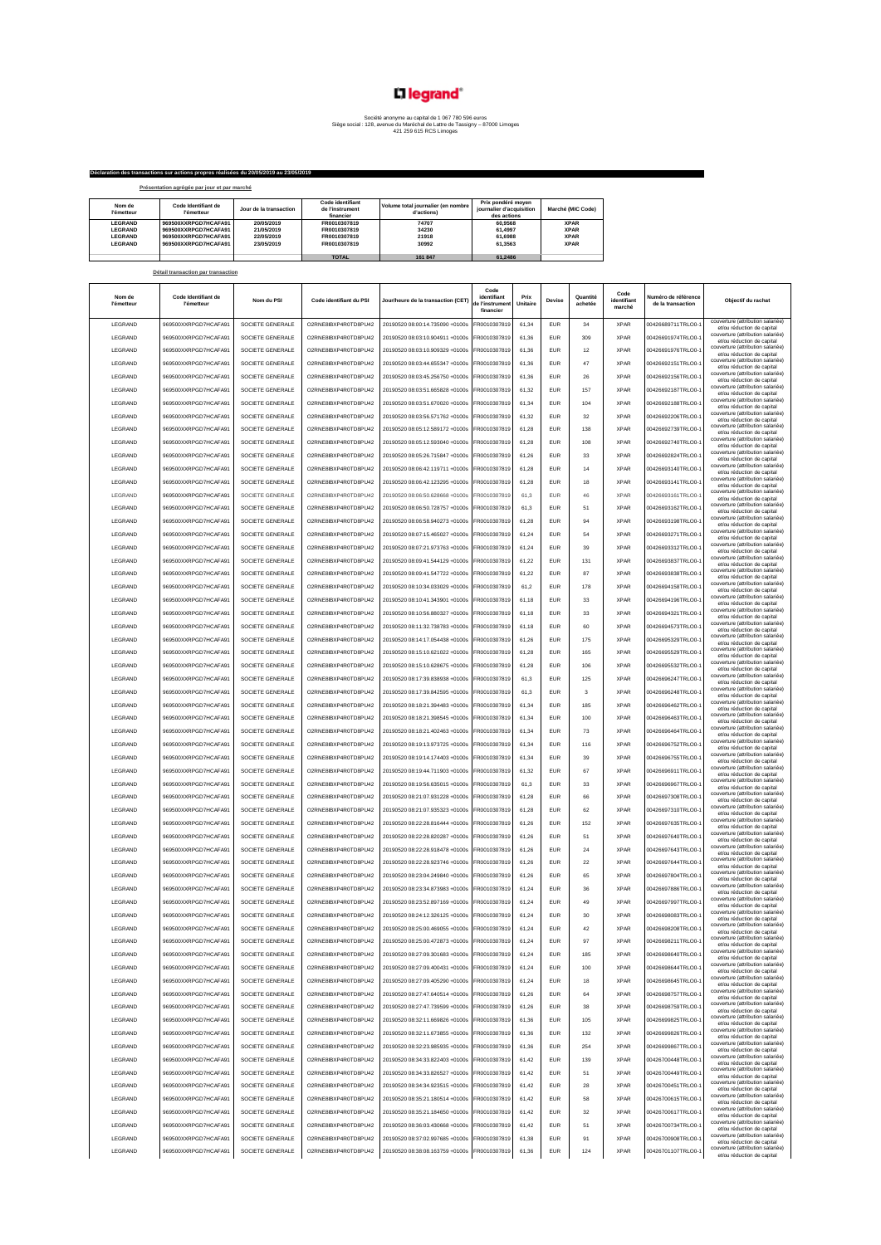## L'I legrand<sup>®</sup>

## Société anonyme au capital de 1 067 780 596 euros Siège social : 128, avenue du Maréchal de Lattre de Tassigny – 87000 Limoges 421 259 615 RCS Limoges

**TOTAL 161 847 61,2486**

|                      | Déclaration des transactions sur actions propres réalisées du 20/05/2019 au 23/05/2019 |                        |                                                  |                                                  |                                                               |                   |
|----------------------|----------------------------------------------------------------------------------------|------------------------|--------------------------------------------------|--------------------------------------------------|---------------------------------------------------------------|-------------------|
|                      | Présentation agrégée par jour et par marché                                            |                        |                                                  |                                                  |                                                               |                   |
| Nom de<br>l'émetteur | Code Identifiant de<br><b><i><u>Fémetteur</u></i></b>                                  | Jour de la transaction | Code identifiant<br>de l'instrument<br>financier | Volume total journalier (en nombre<br>d'actions) | Prix pondéré moven<br>iournalier d'acquisition<br>des actions | Marché (MIC Code) |
| <b>LEGRAND</b>       | 969500XXRPGD7HCAFA91                                                                   | 20/05/2019             | FR0010307819                                     | 74707                                            | 60.9568                                                       | <b>XPAR</b>       |
| <b>LEGRAND</b>       | 969500XXRPGD7HCAFA91                                                                   | 21/05/2019             | FR0010307819                                     | 34230                                            | 61,4997                                                       | <b>XPAR</b>       |
| <b>LEGRAND</b>       | 969500XXRPGD7HCAFA91                                                                   | 22/05/2019             | FR0010307819                                     | 21918                                            | 61,6988                                                       | <b>XPAR</b>       |
| <b>LEGRAND</b>       | 969500XXRPGD7HCAFA91                                                                   | 23/05/2019             | FR0010307819                                     | 30992                                            | 61.3563                                                       | <b>XPAR</b>       |

|                      | Détail transaction par transaction       |                  |                         |                                    |                                                     |                  |            |                     |                               |                                          |                                                                 |
|----------------------|------------------------------------------|------------------|-------------------------|------------------------------------|-----------------------------------------------------|------------------|------------|---------------------|-------------------------------|------------------------------------------|-----------------------------------------------------------------|
| Nom de<br>l'émetteur | Code Identifiant de<br><b>l'émetteur</b> | Nom du PSI       | Code identifiant du PSI | Jour/heure de la transaction (CET) | Code<br>identifiant<br>le l'instrument<br>financier | Prix<br>Unitaire | Devise     | Quantité<br>achetée | Code<br>identifiant<br>marché | Numéro de référence<br>de la transaction | Objectif du rachat                                              |
| LEGRAND              | 969500XXRPGD7HCAFA91                     | SOCIETE GENERALE | O2RNE8IBXP4R0TD8PU42    | 20190520 08:00:14.735090 +0100s    | FR0010307819                                        | 61,34            | EUR        | 34                  | <b>XPAR</b>                   | 00426689711TRLO0-1                       | couverture (attribution salariée)<br>et/ou réduction de capital |
| LEGRAND              | 969500XXRPGD7HCAFA91                     | SOCIETE GENERALE | O2RNE8IBXP4R0TD8PU42    | 20190520 08:03:10.904911 +0100s    | R0010307819                                         | 61,36            | EUR        | 309                 | <b>XPAR</b>                   | 00426691974TRLO0-                        | couverture (attribution salariée)<br>et/ou réduction de capital |
| LEGRAND              | 969500XXRPGD7HCAFA91                     | SOCIETE GENERALE | O2RNE8IBXP4R0TD8PU42    | 20190520 08:03:10.909329 +0100s    | FR0010307819                                        | 61,36            | EUR        | 12                  | <b>XPAR</b>                   | 00426691976TRLO0-1                       | couverture (attribution salariée)<br>et/ou réduction de capital |
| LEGRAND              | 969500XXRPGD7HCAFA91                     | SOCIETE GENERALE | O2RNE8IBXP4R0TD8PU42    | 20190520 08:03:44.655347 +0100s    | FR0010307819                                        | 61,36            | <b>FUR</b> | 47                  | <b>XPAR</b>                   | 00426692151TRLO0-1                       | couverture (attribution salariée)<br>et/ou réduction de capital |
| LEGRAND              | 969500XXRPGD7HCAFA91                     | SOCIETE GENERALE | O2RNE8IBXP4R0TD8PU42    | 20190520 08:03:45.256750 +0100s    | FR0010307819                                        | 61,36            | EUR        | 26                  | <b>XPAR</b>                   | 00426692156TRLO0-1                       | couverture (attribution salariée)<br>et/ou réduction de capital |
| LEGRAND              | 969500XXRPGD7HCAFA91                     | SOCIETE GENERALE | O2RNE8IBXP4R0TD8PU42    | 20190520 08:03:51.665828 +0100s    | FR0010307819                                        | 61.32            | EUR        | 157                 | <b>XPAR</b>                   | 00426692187TRLO0-1                       | couverture (attribution salariée)<br>et/ou réduction de capital |
| LEGRAND              | 969500XXRPGD7HCAFA91                     | SOCIETE GENERALE | O2RNE8IBXP4R0TD8PU42    | 20190520 08:03:51.670020 +0100s    | FR0010307819                                        | 61.34            | EUR        | 104                 | <b>XPAR</b>                   | 00426692188TRLO0-1                       | couverture (attribution salariée)<br>et/ou réduction de capital |
| LEGRAND              | 969500XXRPGD7HCAFA91                     | SOCIETE GENERALE | O2RNE8IBXP4R0TD8PU42    | 20190520 08:03:56.571762 +0100s    | FR0010307819                                        | 61.32            | EUR        | 32                  | <b>XPAR</b>                   | 00426692206TRLO0-1                       | couverture (attribution salariée)<br>et/ou réduction de capital |
| LEGRAND              | 969500XXRPGD7HCAFA91                     | SOCIETE GENERALE | O2RNE8IBXP4R0TD8PU42    | 20190520 08:05:12.589172 +0100s    | FR0010307819                                        | 61.28            | EUR        | 138                 | <b>XPAR</b>                   | 00426692739TRLO0-1                       | couverture (attribution salariée)<br>et/ou réduction de capital |
| LEGRAND              | 969500XXRPGD7HCAFA91                     | SOCIETE GENERALE | O2RNE8IBXP4R0TD8PU42    | 20190520 08:05:12.593040 +0100s    | FR0010307819                                        | 61.28            | EUR        | 108                 | <b>XPAR</b>                   | 00426692740TRLO0-1                       | couverture (attribution salariée)<br>et/ou réduction de capital |
| LEGRAND              | 969500XXRPGD7HCAFA91                     | SOCIETE GENERALE | O2RNE8IBXP4R0TD8PU42    | 20190520 08:05:26.715847 +0100s    | FR0010307819                                        | 61.26            | EUR        | 33                  | <b>XPAR</b>                   | 00426692824TRLO0-1                       | couverture (attribution salariée)<br>et/ou réduction de capital |
| LEGRAND              | 969500XXRPGD7HCAFA91                     | SOCIETE GENERALE | O2RNE8IBXP4R0TD8PU42    | 20190520 08:06:42.119711 +0100s    | FR0010307819                                        | 61.28            | EUR        | 14                  | <b>XPAR</b>                   | 00426693140TRLO0-1                       | couverture (attribution salariée)<br>et/ou réduction de capital |
| LEGRAND              | 969500XXRPGD7HCAFA91                     | SOCIETE GENERALE | O2RNE8IBXP4R0TD8PU42    | 20190520 08:06:42.123295 +0100s    | FR0010307819                                        | 61,28            | EUR        | 18                  | <b>XPAR</b>                   | 00426693141TRLO0-1                       | couverture (attribution salariée)<br>et/ou réduction de capital |
| LEGRAND              | 969500XXRPGD7HCAFA91                     | SOCIETE GENERALE | O2RNE8IBXP4R0TD8PU42    | 20190520 08:06:50.628668 +0100s    | R0010307819                                         | 61,3             | EUR        | 46                  | <b>XPAR</b>                   | 00426693161TRLO0-                        | couverture (attribution salariée)<br>et/ou réduction de capital |
| LEGRAND              | 969500XXRPGD7HCAFA91                     | SOCIETE GENERALE | O2RNE8IBXP4R0TD8PU42    | 20190520 08:06:50.728757 +0100s    | FR0010307819                                        | 61,3             | EUR        | 51                  | <b>XPAR</b>                   | 00426693162TRLO0-1                       | couverture (attribution salariée)<br>et/ou réduction de capital |
| LEGRAND              | 969500XXRPGD7HCAFA91                     | SOCIETE GENERALE | O2RNE8IBXP4R0TD8PU42    | 20190520 08:06:58.940273 +0100s    | R0010307819                                         | 61,28            | <b>FUR</b> | 94                  | <b>XPAR</b>                   | 00426693198TRLO0-                        | couverture (attribution salariée)<br>et/ou réduction de capital |
| LEGRAND              | 969500XXRPGD7HCAFA91                     | SOCIETE GENERALE | O2RNE8IBXP4R0TD8PU42    | 20190520 08:07:15.465027 +0100s    | FR0010307819                                        | 61.24            | <b>FUR</b> | 54                  | <b>XPAR</b>                   | 00426693271TRLO0-1                       | couverture (attribution salariée)<br>et/ou réduction de capital |
| <b>I FGRAND</b>      | 969500XXRPGD7HCAFA91                     | SOCIETE GENERALE | O2RNE8IBXP4R0TD8PU42    | 20190520 08:07:21.973763 +0100s    | R0010307819                                         | 61.24            | <b>FUR</b> | 39                  | <b>XPAR</b>                   | 00426693312TRLO0-                        | couverture (attribution salariée)<br>et/ou réduction de capital |
| LEGRAND              | 969500XXRPGD7HCAFA91                     | SOCIETE GENERALE | O2RNE8IBXP4R0TD8PU42    | 20190520 08:09:41.544129 +0100s    | FR0010307819                                        | 61.22            | <b>EUR</b> | 131                 | <b>XPAR</b>                   | 00426693837TRLO0-1                       | couverture (attribution salariée)<br>et/ou réduction de capital |
| LEGRAND              | 969500XXRPGD7HCAFA91                     | SOCIETE GENERALE | O2RNE8IBXP4R0TD8PU42    | 20190520 08:09:41.547722 +0100s    | FR0010307819                                        | 61.22            | EUR        | 87                  | <b>XPAR</b>                   | 00426693838TRLO0-1                       | couverture (attribution salariée)<br>et/ou réduction de capital |
| LEGRAND              | 969500XXRPGD7HCAFA91                     | SOCIETE GENERALE | O2RNE8IBXP4R0TD8PU42    | 20190520 08:10:34 033029 +0100s    | FR0010307819                                        | 61.2             | <b>EUR</b> | 178                 | <b>XPAR</b>                   | 00426694158TRLO0-1                       | couverture (attribution salariée)<br>et/ou réduction de capital |
| LEGRAND              | 969500XXRPGD7HCAFA91                     | SOCIETE GENERALE | O2RNE8IBXP4R0TD8PU42    | 20190520 08:10:41.343901 +0100s    | FR0010307819                                        | 61,18            | EUR        | 33                  | <b>XPAR</b>                   | 00426694196TRLO0-1                       | couverture (attribution salariée)<br>et/ou réduction de capital |
| LEGRAND              | 969500XXRPGD7HCAFA91                     | SOCIETE GENERALE | O2RNE8IBXP4R0TD8PU42    | 20190520 08:10:56.880327 +0100s    | FR0010307819                                        | 61.18            | EUR        | 33                  | <b>XPAR</b>                   | 00426694321TRLO0-1                       | couverture (attribution salariée)<br>et/ou réduction de capital |
| LEGRAND              | 969500XXRPGD7HCAFA91                     | SOCIETE GENERALE | O2RNE8IBXP4R0TD8PU42    | 20190520 08:11:32.738783 +0100s    | FR0010307819                                        | 61.18            | EUR        | 60                  | <b>XPAR</b>                   | 00426694573TRLO0-1                       | couverture (attribution salariée)<br>et/ou réduction de capital |
| LEGRAND              | 969500XXRPGD7HCAFA91                     | SOCIETE GENERALE | O2RNE8IBXP4R0TD8PU42    | 20190520 08:14:17.054438 +0100s    | FR0010307819                                        | 61,26            | EUR        | 175                 | <b>XPAR</b>                   | 00426695329TRLO0-                        | couverture (attribution salariée)<br>et/ou réduction de capital |
| LEGRAND              | 969500XXRPGD7HCAFA91                     | SOCIETE GENERALE | O2RNE8IBXP4R0TD8PU42    | 20190520 08:15:10.621022 +0100s    | R0010307819                                         | 61,28            | EUR        | 165                 | <b>XPAR</b>                   | 00426695529TRLO0-                        | couverture (attribution salariée)<br>et/ou réduction de capital |
| LEGRAND              | 969500XXRPGD7HCAFA91                     | SOCIETE GENERALE | O2RNE8IBXP4R0TD8PU42    | 20190520 08:15:10.628675 +0100s    | FR0010307819                                        | 61,28            | EUR        | 106                 | <b>XPAR</b>                   | 00426695532TRLO0-                        | couverture (attribution salariée)<br>et/ou réduction de capital |
| LEGRAND              | 969500XXRPGD7HCAFA91                     | SOCIETE GENERALE | O2RNE8IBXP4R0TD8PU42    | 20190520 08:17:39.838938 +0100s    | R0010307819                                         | 61,3             | EUR        | 125                 | <b>XPAR</b>                   | 00426696247TRLO0-1                       | couverture (attribution salariée)<br>et/ou réduction de capital |
| LEGRAND              | 969500XXRPGD7HCAFA91                     | SOCIETE GENERALE | O2RNE8IBXP4R0TD8PU42    | 20190520 08:17:39.842595 +0100s    | FR0010307819                                        | 61,3             | <b>EUR</b> | 3                   | <b>XPAR</b>                   | 00426696248TRLO0-1                       | couverture (attribution salariée)<br>et/ou réduction de capital |
| LEGRAND              | 969500XXRPGD7HCAFA91                     | SOCIETE GENERALE | O2RNE8IBXP4R0TD8PU42    | 20190520 08:18:21.394483 +0100s    | FR0010307819                                        | 61,34            | <b>EUR</b> | 185                 | <b>XPAR</b>                   | 00426696462TRLO0-1                       | couverture (attribution salariée)<br>et/ou réduction de capital |
| LEGRAND              | 969500XXRPGD7HCAFA91                     | SOCIETE GENERALE | O2RNE8IBXP4R0TD8PU42    | 20190520 08:18:21.398545 +0100s    | FR0010307819                                        | 61,34            | <b>EUR</b> | 100                 | <b>XPAR</b>                   | 00426696463TRLO0-1                       | couverture (attribution salariée)<br>et/ou réduction de capital |
| LEGRAND              | 969500XXRPGD7HCAFA91                     | SOCIETE GENERALE | O2RNE8IBXP4R0TD8PU42    | 20190520 08:18:21.402463 +0100s    | FR0010307819                                        | 61.34            | EUR        | 73                  | <b>XPAR</b>                   | 00426696464TRLO0-1                       | couverture (attribution salariée)<br>et/ou réduction de capital |
| LEGRAND              | 969500XXRPGD7HCAFA91                     | SOCIETE GENERALE | O2RNE8IBXP4R0TD8PU42    | 20190520 08:19:13.973725 +0100s    | FR0010307819                                        | 61.34            | <b>EUR</b> | 116                 | <b>XPAR</b>                   | 00426696752TRLO0-1                       | couverture (attribution salariée)<br>et/ou réduction de capital |
| LEGRAND              | 969500XXRPGD7HCAFA91                     | SOCIETE GENERALE | O2RNE8IBXP4R0TD8PU42    | 20190520 08:19:14.174403 +0100s    | FR0010307819                                        | 61.34            | EUR        | 39                  | <b>XPAR</b>                   | 00426696755TRLO0-1                       | couverture (attribution salariée)<br>et/ou réduction de capital |
| LEGRAND              | 969500XXRPGD7HCAFA91                     | SOCIETE GENERALE | O2RNE8IBXP4R0TD8PU42    | 20190520 08:19:44.711903 +0100s    | FR0010307819                                        | 61.32            | EUR        | 67                  | <b>XPAR</b>                   | 00426696911TRLO0-1                       | couverture (attribution salariée)<br>et/ou réduction de capital |
| LEGRAND              | 969500XXRPGD7HCAFA91                     | SOCIETE GENERALE | O2RNE8IBXP4R0TD8PU42    | 20190520 08:19:56.635015 +0100s    | FR0010307819                                        | 61,3             | EUR        | 33                  | <b>XPAR</b>                   | 00426696967TRLO0-1                       | couverture (attribution salariée)<br>et/ou réduction de capital |
| LEGRAND              | 969500XXRPGD7HCAFA91                     | SOCIETE GENERALE | O2RNE8IBXP4R0TD8PU42    | 20190520 08:21:07.931228 +0100s    | FR0010307819                                        | 61.28            | EUR        | 66                  | <b>XPAR</b>                   | 00426697308TRLO0-1                       | couverture (attribution salariée)<br>et/ou réduction de capital |
| LEGRAND              | 969500XXRPGD7HCAFA91                     | SOCIETE GENERALE | O2RNE8IBXP4R0TD8PU42    | 20190520 08:21:07.935323 +0100s    | FR0010307819                                        | 61,28            | <b>EUR</b> | 62                  | <b>XPAR</b>                   | 00426697310TRLO0-1                       | couverture (attribution salariée)<br>et/ou réduction de capital |
| LEGRAND              | 969500XXRPGD7HCAFA91                     | SOCIETE GENERALE | O2RNE8IBXP4R0TD8PU42    | 20190520 08:22:28.816444 +0100s    | R0010307819                                         | 61,26            | <b>EUR</b> | 152                 | <b>XPAR</b>                   | 00426697635TRLO0-                        | couverture (attribution salariée)<br>et/ou réduction de capital |
| LEGRAND              | 969500XXRPGD7HCAFA91                     | SOCIETE GENERALE | O2RNE8IBXP4R0TD8PU42    | 20190520 08:22:28.820287 +0100s    | FR0010307819                                        | 61,26            | EUR        | 51                  | <b>XPAR</b>                   | 00426697640TRLO0-1                       | couverture (attribution salariée)<br>et/ou réduction de capital |
| LEGRAND              | 969500XXRPGD7HCAFA91                     | SOCIETE GENERALE | O2RNE8IBXP4R0TD8PU42    | 20190520 08:22:28.918478 +0100s    | R0010307819                                         | 61,26            | <b>EUR</b> | 24                  | <b>XPAR</b>                   | 00426697643TRLO0-1                       | couverture (attribution salariée)<br>et/ou réduction de capital |
| LEGRAND              | 969500XXRPGD7HCAFA91                     | SOCIETE GENERALE | O2RNE8IBXP4R0TD8PU42    | 20190520 08:22:28 923746 +0100s    | FR0010307819                                        | 61.26            | <b>FUR</b> | 22                  | <b>XPAR</b>                   | 00426697644TRLO0-1                       | couverture (attribution salariée)<br>et/ou réduction de capital |
| LEGRAND              | 969500XXRPGD7HCAFA91                     | SOCIETE GENERALE | O2RNE8IBXP4R0TD8PU42    | 20190520 08:23:04 249840 +0100s    | R0010307819                                         | 61,26            | <b>FUR</b> | 65                  | <b>XPAR</b>                   | 00426697804TRLO0-1                       | couverture (attribution salariée)<br>et/ou réduction de capital |
| <b>I FGRAND</b>      | 969500XXRPGD7HCAFA91                     | SOCIETE GENERALE | O2RNE8IBXP4R0TD8PU42    | 20190520 08:23:34.873983 +0100s    | FR0010307819                                        | 61.24            | <b>FUR</b> | 36                  | <b>XPAR</b>                   | 00426697886TRLO0-1                       | couverture (attribution salariée)<br>et/ou réduction de capital |
| LEGRAND              | 969500XXRPGD7HCAFA91                     | SOCIETE GENERALE | O2RNE8IBXP4R0TD8PU42    | 20190520 08:23:52 897169 +0100s    | FR0010307819                                        | 61.24            | <b>EUR</b> | 49                  | <b>XPAR</b>                   | 00426697997TRLO0-                        | couverture (attribution salariée)<br>et/ou réduction de capital |
| LEGRAND              | 969500XXRPGD7HCAFA91                     | SOCIETE GENERALE | O2RNE8IBXP4R0TD8PU42    | 20190520 08:24:12.326125 +0100s    | FR0010307819                                        | 61.24            | EUR        | 30                  | <b>XPAR</b>                   | 00426698083TRLO0-1                       | couverture (attribution salariée)<br>et/ou réduction de capital |
| LEGRAND              | 969500XXRPGD7HCAFA91                     | SOCIETE GENERALE | O2RNE8IBXP4R0TD8PU42    | 20190520 08:25:00.469055 +0100s    | FR0010307819                                        | 61.24            | EUR        | 42                  | <b>XPAR</b>                   | 00426698208TRLO0-                        | couverture (attribution salariée)<br>et/ou réduction de capital |
| LEGRAND              | 969500XXRPGD7HCAFA91                     | SOCIETE GENERALE | O2RNE8IBXP4R0TD8PU42    | 20190520 08:25:00.472873 +0100s    | FR0010307819                                        | 61.24            | <b>EUR</b> | 97                  | <b>XPAR</b>                   | 00426698211TRLO0-1                       | couverture (attribution salariée)<br>et/ou réduction de capital |
| LEGRAND              | 969500XXRPGD7HCAFA91                     | SOCIETE GENERALE | O2RNE8IBXP4R0TD8PU42    | 20190520 08:27:09.301683 +0100s    | FR0010307819                                        | 61,24            | EUR        | 185                 | <b>XPAR</b>                   | 00426698640TRLO0-1                       | couverture (attribution salariée)<br>et/ou réduction de capital |
| LEGRAND              | 969500XXRPGD7HCAFA91                     | SOCIETE GENERALE | O2RNE8IBXP4R0TD8PU42    | 20190520 08:27:09.400431 +0100s    | FR0010307819                                        | 61,24            | EUR        | 100                 | <b>XPAR</b>                   | 00426698644TRLO0-1                       | couverture (attribution salariée)<br>et/ou réduction de capital |
| LEGRAND              | 969500XXRPGD7HCAFA91                     | SOCIETE GENERALE | O2RNE8IBXP4R0TD8PU42    | 20190520 08:27:09.405290 +0100s    | FR0010307819                                        | 61,24            | EUR        | 18                  | <b>XPAR</b>                   | 00426698645TRLO0-1                       | couverture (attribution salariée)<br>et/ou réduction de capital |
| LEGRAND              | 969500XXRPGD7HCAFA91                     | SOCIETE GENERALE | O2RNE8IBXP4R0TD8PU42    | 20190520 08:27:47.640514 +0100s    | FR0010307819                                        | 61,26            | EUR        | 64                  | <b>XPAR</b>                   | 00426698757TRLO0-1                       | couverture (attribution salariée)<br>et/ou réduction de capital |
| LEGRAND              | 969500XXRPGD7HCAFA91                     | SOCIETE GENERALE | O2RNE8IBXP4R0TD8PU42    | 20190520 08:27:47.739599 +0100s    | FR0010307819                                        | 61,26            | EUR        | 38                  | <b>XPAR</b>                   | 00426698759TRLO0-1                       | couverture (attribution salariée)<br>et/ou réduction de capital |
| LEGRAND              | 969500XXRPGD7HCAFA91                     | SOCIETE GENERALE | O2RNE8IBXP4R0TD8PU42    | 20190520 08:32:11.669826 +0100s    | FR0010307819                                        | 61,36            | EUR        | 105                 | <b>XPAR</b>                   | 00426699825TRLO0-1                       | couverture (attribution salariée)<br>et/ou réduction de capital |
| LEGRAND              | 969500XXRPGD7HCAFA91                     | SOCIETE GENERALE | O2RNE8IBXP4R0TD8PU42    | 20190520 08:32:11.673855 +0100s    | FR0010307819                                        | 61,36            | EUR        | 132                 | <b>XPAR</b>                   | 00426699826TRLO0-1                       | couverture (attribution salariée)<br>et/ou réduction de capital |
| LEGRAND              | 969500XXRPGD7HCAFA91                     | SOCIETE GENERALE | O2RNE8IBXP4R0TD8PU42    | 20190520 08:32:23.985935 +0100s    | FR0010307819                                        | 61,36            | EUR        | 254                 | <b>XPAR</b>                   | 00426699867TRLO0-1                       | couverture (attribution salariée)<br>et/ou réduction de capital |
| LEGRAND              | 969500XXRPGD7HCAFA91                     | SOCIETE GENERALE | O2RNE8IBXP4R0TD8PU42    | 20190520 08:34:33.822403 +0100s    | FR0010307819                                        | 61.42            | <b>EUR</b> | 139                 | <b>XPAR</b>                   | 00426700448TRLO0-1                       | couverture (attribution salariée)<br>et/ou réduction de capital |
| <b>I FGRAND</b>      | 969500XXRPGD7HCAFA91                     | SOCIETE GENERALE | O2RNE8IBXP4R0TD8PU42    | 20190520 08:34:33.826527 +0100s    | FR0010307819                                        | 61.42            | <b>EUR</b> | 51                  | <b>XPAR</b>                   | 00426700449TRLO0-1                       | couverture (attribution salariée)<br>et/ou réduction de capital |
| LEGRAND              | 969500XXRPGD7HCAFA91                     | SOCIETE GENERALE | O2RNE8IBXP4R0TD8PU42    | 20190520 08:34:34.923515 +0100s    | FR0010307819                                        | 61.42            | <b>EUR</b> | 28                  | <b>XPAR</b>                   | 00426700451TRLO0-1                       | couverture (attribution salariée)<br>et/ou réduction de capital |
| LEGRAND              | 969500XXRPGD7HCAFA91                     | SOCIETE GENERALE | O2RNE8IBXP4R0TD8PU42    | 20190520 08:35:21.180514 +0100s    | FR0010307819                                        | 61.42            | <b>EUR</b> | 58                  | <b>XPAR</b>                   | 00426700615TRLO0-1                       | couverture (attribution salariée)<br>et/ou réduction de capital |
| LEGRAND              | 969500XXRPGD7HCAFA91                     | SOCIETE GENERALE | O2RNE8IBXP4R0TD8PU42    | 20190520 08:35:21.184650 +0100s    | FR0010307819                                        | 61,42            | EUR        | 32                  | <b>XPAR</b>                   | 00426700617TRLO0-1                       | couverture (attribution salariée)<br>et/ou réduction de capital |
| LEGRAND              | 969500XXRPGD7HCAFA91                     | SOCIETE GENERALE | O2RNE8IBXP4R0TD8PU42    | 20190520 08:36:03.430668 +0100s    | FR0010307819                                        | 61,42            | EUR        | 51                  | <b>XPAR</b>                   | 00426700734TRLO0-1                       | couverture (attribution salariée)<br>et/ou réduction de capital |
| LEGRAND              | 969500XXRPGD7HCAFA91                     | SOCIETE GENERALE | O2RNE8IBXP4R0TD8PU42    | 20190520 08:37:02.997685 +0100s    | FR0010307819                                        | 61,38            | EUR        | 91                  | <b>XPAR</b>                   | 00426700908TRLO0-1                       | couverture (attribution salariée)<br>et/ou réduction de capital |
| LEGRAND              | 969500XXRPGD7HCAFA91                     | SOCIETE GENERALE | O2RNE8IBXP4R0TD8PU42    | 20190520 08:38:08.163759 +0100s    | FR0010307819                                        | 61,36            | <b>EUR</b> | 124                 | <b>XPAR</b>                   | 00426701107TRLO0-1                       | couverture (attribution salariée)<br>et/ou réduction de capital |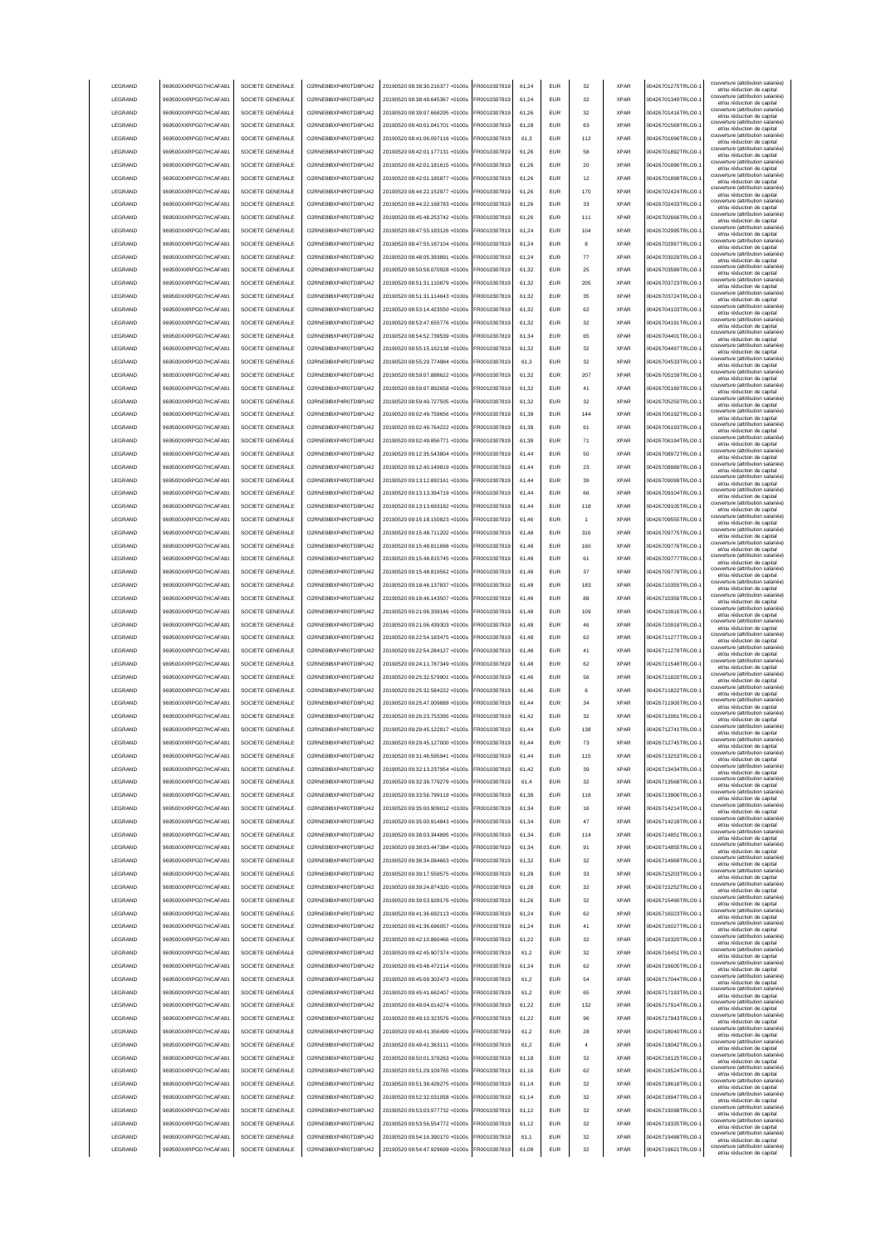| LEGRAND         | 969500XXRPGD7HCAFA91 | SOCIETE GENERALE | O2RNE8IBXP4R0TD8PU42  | 20190520 08:38:30.216377 +0100s | FR0010307819 | 61,24 | <b>EUR</b> | 32  | <b>XPAR</b> | 00426701275TRLO0-  | couverture (attribution salariée)<br>et/ou réduction de capital                               |
|-----------------|----------------------|------------------|-----------------------|---------------------------------|--------------|-------|------------|-----|-------------|--------------------|-----------------------------------------------------------------------------------------------|
| LEGRAND         | 969500XXRPGD7HCAFA91 | SOCIETE GENERALE | O2RNE8IBXP4R0TD8PU42  | 20190520 08:38:49.645367 +0100s | FR0010307819 | 61,24 | <b>EUR</b> | 32  | <b>XPAR</b> | 00426701349TRLO0-  | couverture (attribution salariée)                                                             |
|                 |                      |                  |                       |                                 |              |       |            |     |             |                    | et/ou réduction de capital<br>couverture (attribution salariée)                               |
| LEGRAND         | 969500XXRPGD7HCAFA91 | SOCIETE GENERALE | O2RNE8IBXP4R0TD8PU42  | 20190520 08:39:07.668295 +0100s | FR0010307819 | 61,26 | <b>EUR</b> | 32  | <b>XPAR</b> | 00426701416TRLO0-  | et/ou réduction de capital                                                                    |
| LEGRAND         | 969500XXRPGD7HCAFA91 | SOCIETE GENERALE | O2RNE8IBXP4R0TD8PU42  | 20190520 08:40:01.041701 +0100s | FR0010307819 | 61.28 | <b>EUR</b> | 63  | <b>XPAR</b> | 00426701569TRLO0-  | couverture (attribution salariée)<br>et/ou réduction de capital                               |
| LEGRAND         | 969500XXRPGD7HCAFA91 | SOCIETE GENERALE | O2RNE8IBXP4R0TD8PU42  | 20190520 08:41:06.097116 +0100s | FR0010307819 | 61.3  | <b>EUR</b> | 112 | <b>XPAR</b> | 00426701696TRLO0-  | couverture (attribution salariée)<br>et/ou réduction de capital                               |
| LEGRAND         | 969500XXRPGD7HCAFA91 | SOCIETE GENERALE | O2RNE8IBXP4R0TD8PU42  | 20190520 08:42:01.177131 +0100s | FR0010307819 | 61.26 | EUR        | 58  | <b>XPAR</b> | 00426701892TRLO0-  | couverture (attribution salariée)                                                             |
| LEGRAND         | 969500XXRPGD7HCAFA91 | SOCIETE GENERALE | O2RNE8IBXP4R0TD8PU42  | 20190520.08:42:01.181615.+0100s | FR0010307819 | 61.26 | EUR        | 20  | <b>XPAR</b> | 00426701896TRLO0-  | et/ou réduction de capital<br>couverture (attribution salariée)                               |
|                 |                      |                  |                       |                                 |              |       |            |     |             |                    | et/ou réduction de capital<br>couverture (attribution salariée)                               |
| LEGRAND         | 969500XXRPGD7HCAFA91 | SOCIETE GENERALE | O2RNE8IBXP4R0TD8PU42  | 20190520 08:42:01.185877 +0100s | R0010307819  | 61,26 | EUR        | 12  | <b>XPAR</b> | 00426701898TRLO0-  | et/ou réduction de capital                                                                    |
| LEGRAND         | 969500XXRPGD7HCAFA91 | SOCIETE GENERALE | O2RNE8IBXP4R0TD8PU42  | 20190520 08:44:22.152977 +0100s | FR0010307819 | 61,26 | EUR        | 170 | <b>XPAR</b> | 00426702424TRLO0-  | couverture (attribution salariée)<br>et/ou réduction de capital                               |
| LEGRAND         | 969500XXRPGD7HCAFA91 | SOCIETE GENERALE | O2RNE8IBXP4R0TD8PU42  | 20190520 08:44:22.168783 +0100s | R0010307819  | 61,26 | <b>EUR</b> | 33  | <b>XPAR</b> | 00426702433TRLO0-  | couverture (attribution salariée)<br>et/ou réduction de capital                               |
| LEGRAND         | 969500XXRPGD7HCAFA91 | SOCIETE GENERALE | O2RNE8IBXP4R0TD8PU42  | 20190520 08:45:48.253742 +0100s | FR0010307819 | 61,26 | EUR        | 111 | <b>XPAR</b> | 00426702666TRLO0-  | couverture (attribution salariée)                                                             |
|                 |                      |                  |                       |                                 |              |       |            |     |             |                    | et/ou réduction de capital<br>couverture (attribution salariée)                               |
| LEGRAND         | 969500XXRPGD7HCAFA91 | SOCIETE GENERALE | O2RNE8IBXP4R0TD8PU42  | 20190520 08:47:55.183126 +0100s | FR0010307819 | 61,24 | EUR        | 104 | <b>XPAR</b> | 00426702995TRLO0-  | et/ou réduction de capital                                                                    |
| LEGRAND         | 969500XXRPGD7HCAFA91 | SOCIETE GENERALE | O2RNE8IBXP4R0TD8PU42  | 20190520 08:47:55.187104 +0100s | FR0010307819 | 61,24 | EUR        |     | <b>XPAR</b> | 00426702997TRLO0-  | couverture (attribution salariée)<br>et/ou réduction de capital                               |
| LEGRAND         | 969500XXRPGD7HCAFA91 | SOCIETE GENERALE | O2RNE8IBXP4R0TD8PU42  | 20190520 08:48:05.393891 +0100s | FR0010307819 | 61,24 | <b>EUR</b> | 77  | <b>XPAR</b> | 00426703029TRLO0-  | couverture (attribution salariée)<br>et/ou réduction de capital                               |
| LEGRAND         | 969500XXRPGD7HCAFA91 | SOCIETE GENERALE | O2RNE8IBXP4R0TD8PU42  | 20190520 08:50:58.070928 +0100s | FR0010307819 | 61,32 | <b>EUR</b> | 25  | <b>XPAR</b> | 00426703589TRLO0-  | couverture (attribution salariée)                                                             |
|                 |                      |                  |                       |                                 |              |       |            |     |             |                    | et/ou réduction de capital<br>couverture (attribution salariée)                               |
| LEGRAND         | 969500XXRPGD7HCAFA91 | SOCIETE GENERALE | O2RNE8IBXP4R0TD8PU42  | 20190520 08:51:31.110879 +0100s | FR0010307819 | 61,32 | <b>EUR</b> | 205 | <b>XPAR</b> | 00426703723TRLO0-  | et/ou réduction de capital                                                                    |
| LEGRAND         | 969500XXRPGD7HCAFA91 | SOCIETE GENERALE | O2RNE8IBXP4R0TD8PU42  | 20190520 08:51:31.114643 +0100s | FR0010307819 | 61.32 | <b>EUR</b> | 35  | <b>XPAR</b> | 00426703724TRLO0-  | couverture (attribution salariée)<br>et/ou réduction de capital                               |
| LEGRAND         | 969500XXRPGD7HCAFA91 | SOCIETE GENERALE | O2RNE8IBXP4R0TD8PU42  | 20190520 08:53:14.423550 +0100s | FR0010307819 | 61.32 | EUR        | 62  | <b>XPAR</b> | 00426704103TRLO0-  | couverture (attribution salariée)<br>et/ou réduction de capital                               |
| LEGRAND         | 969500XXRPGD7HCAFA91 | SOCIETE GENERALE | O2RNE8IBXP4R0TD8PU42  | 20190520 08:53:47.655776 +0100s | FR0010307819 | 61.32 | <b>EUR</b> | 32  | <b>XPAR</b> | 00426704191TRLO0-  | couverture (attribution salariée)                                                             |
|                 |                      |                  |                       |                                 | FR0010307819 |       | EUR        | 65  | <b>XPAR</b> |                    | et/ou réduction de capital<br>couverture (attribution salariée)                               |
| LEGRAND         | 969500XXRPGD7HCAFA91 | SOCIETE GENERALE | O2RNE8IBXP4R0TD8PU42  | 20190520 08:54:52.739539 +0100s |              | 61,34 |            |     |             | 00426704401TRLO0-  | et/ou réduction de capital<br>couverture (attribution salariée)                               |
| LEGRAND         | 969500XXRPGD7HCAFA91 | SOCIETE GENERALE | O2RNE8IBXP4R0TD8PU42  | 20190520 08:55:15.162138 +0100s | FR0010307819 | 61,32 | EUR        | 32  | <b>XPAR</b> | 00426704497TRLO0-  | et/ou réduction de capital                                                                    |
| LEGRAND         | 969500XXRPGD7HCAFA91 | SOCIETE GENERALE | O2RNE8IBXP4R0TD8PU42  | 20190520 08:55:29.774984 +0100s | FR0010307819 | 61.3  | EUR        | 32  | <b>XPAR</b> | 00426704533TRLO0-  | couverture (attribution salariée)<br>et/ou réduction de capital                               |
| LEGRAND         | 969500XXRPGD7HCAFA91 | SOCIETE GENERALE | O2RNE8IBXP4R0TD8PU42  | 20190520 08:59:07.888622 +0100s | FR0010307819 | 61,32 | EUR        | 207 | <b>XPAR</b> | 00426705159TRLO0-  | couverture (attribution salariée)                                                             |
| LEGRAND         | 969500XXRPGD7HCAFA91 | SOCIETE GENERALE | O2RNE8IBXP4R0TD8PU42  | 20190520 08:59:07.892658 +0100s | FR0010307819 | 61,32 | EUR        | 41  | <b>XPAR</b> | 00426705160TRLO0-  | et/ou réduction de capital<br>couverture (attribution salariée)                               |
|                 |                      |                  |                       |                                 |              |       |            |     |             |                    | et/ou réduction de capital<br>couverture (attribution salariée)                               |
| LEGRAND         | 969500XXRPGD7HCAFA91 | SOCIETE GENERALE | O2RNE8IBXP4R0TD8PU42  | 20190520 08:59:40.727505 +0100s | FR0010307819 | 61,32 | <b>EUR</b> | 32  | <b>XPAR</b> | 00426705250TRLO0-  | et/ou réduction de capital                                                                    |
| LEGRAND         | 969500XXRPGD7HCAFA91 | SOCIETE GENERALE | O2RNE8IBXP4R0TD8PU42  | 20190520 09:02:49.759656 +0100s | FR0010307819 | 61,38 | EUR        | 144 | <b>XPAR</b> | 00426706192TRLO0-  | couverture (attribution salariée)<br>et/ou réduction de capital                               |
| LEGRAND         | 969500XXRPGD7HCAFA91 | SOCIETE GENERALE | O2RNE8IBXP4R0TD8PU42  | 20190520 09:02:49 764222 +0100s | FR0010307819 | 61,38 | <b>EUR</b> | 61  | <b>XPAR</b> | 00426706193TRLO0-  | couverture (attribution salariée)                                                             |
|                 |                      |                  |                       |                                 |              |       |            |     |             | 00426706194TRLO0-  | et/ou réduction de capital<br>couverture (attribution salariée)                               |
| LEGRAND         | 969500XXRPGD7HCAFA91 | SOCIETE GENERALE | O2RNE8IBXP4R0TD8PU42  | 20190520 09:02:49.856771 +0100s | FR0010307819 | 61,38 | <b>EUR</b> | 71  | <b>XPAR</b> |                    | et/ou réduction de capital                                                                    |
| LEGRAND         | 969500XXRPGD7HCAFA91 | SOCIETE GENERALE | O2RNE8IBXP4R0TD8PU42  | 20190520 09:12:35.543804 +0100s | FR0010307819 | 61,44 | <b>EUR</b> | 50  | <b>XPAR</b> | 00426708972TRLO0-  | couverture (attribution salariée)<br>et/ou réduction de capital                               |
| LEGRAND         | 969500XXRPGD7HCAFA91 | SOCIETE GENERALE | O2RNE8IBXP4R0TD8PU42  | 20190520 09:12:40.149819 +0100s | FR0010307819 | 61.44 | <b>EUR</b> | 23  | <b>XPAR</b> | 00426708989TRLO0-  | couverture (attribution salariée)<br>et/ou réduction de capital                               |
| LEGRAND         | 969500XXRPGD7HCAFA91 | SOCIETE GENERALE | O2RNE8IBXP4R0TD8PLI42 | 20190520 09:13:12.892161 +0100s | FR0010307819 | 61.44 | <b>EUR</b> | 39  | <b>XPAR</b> | 00426709099TRLO0-  | couverture (attribution salariée)                                                             |
| LEGRAND         | 969500XXRPGD7HCAFA91 | SOCIETE GENERALE | O2RNE8IBXP4R0TD8PU42  | 20190520.09:13:13.394719.+0100s | FR0010307819 |       | <b>EUR</b> | 66  | <b>XPAR</b> | 00426709104TRLO0-  | et/ou réduction de capital<br>couverture (attribution salariée)                               |
|                 |                      |                  |                       |                                 |              | 61.44 |            |     |             |                    | et/ou réduction de capital<br>couverture (attribution salariée)                               |
| LEGRAND         | 969500XXRPGD7HCAFA91 | SOCIETE GENERALE | O2RNE8IBXP4R0TD8PU42  | 20190520 09:13:13.693182 +0100s | R0010307819  | 61,44 | EUR        | 118 | <b>XPAR</b> | 00426709105TRLO0-  | et/ou réduction de capital                                                                    |
| LEGRAND         | 969500XXRPGD7HCAFA91 | SOCIETE GENERALE | O2RNE8IBXP4R0TD8PU42  | 20190520 09:15:18.150823 +0100s | FR0010307819 | 61,46 | EUR        |     | <b>XPAR</b> | 00426709555TRLO0-  | couverture (attribution salariée)<br>et/ou réduction de capital                               |
| LEGRAND         | 969500XXRPGD7HCAFA91 | SOCIETE GENERALE | O2RNE8IBXP4R0TD8PU42  | 20190520 09:15:48.711202 +0100s | R0010307819  | 61,48 | EUR        | 316 | <b>XPAR</b> | 00426709775TRLO0-  | couverture (attribution salariée)                                                             |
| LEGRAND         | 969500XXRPGD7HCAFA91 | SOCIETE GENERALE | O2RNE8IBXP4R0TD8PU42  | 20190520 09:15:48.811698 +0100s | FR0010307819 | 61,48 | EUR        | 160 | <b>XPAR</b> | 00426709776TRLO0-  | et/ou réduction de capital<br>couverture (attribution salariée)                               |
|                 |                      |                  |                       |                                 |              |       |            |     |             |                    | et/ou réduction de capital<br>couverture (attribution salariée)                               |
| LEGRAND         | 969500XXRPGD7HCAFA91 | SOCIETE GENERALE | O2RNE8IBXP4R0TD8PU42  | 20190520 09:15:48.815745 +0100s | FR0010307819 | 61,48 | EUR        | 61  | <b>XPAR</b> | 00426709777TRLO0-  | et/ou réduction de capital                                                                    |
| LEGRAND         | 969500XXRPGD7HCAFA91 | SOCIETE GENERALE | O2RNE8IBXP4R0TD8PU42  | 20190520 09:15:48.819562 +0100s | FR0010307819 | 61,48 | EUR        | 37  | <b>XPAR</b> | 00426709778TRLO0-  | couverture (attribution salariée)<br>et/ou réduction de capital                               |
| LEGRAND         | 969500XXRPGD7HCAFA91 | SOCIETE GENERALE | O2RNE8IBXP4R0TD8PU42  | 20190520 09:18:46.137837 +0100s | FR0010307819 | 61,48 | EUR        | 183 | <b>XPAR</b> | 00426710355TRLO0-  | couverture (attribution salariée)                                                             |
| LEGRAND         | 969500XXRPGD7HCAFA91 | SOCIETE GENERALE | O2RNE8IBXP4R0TD8PU42  | 20190520 09:18:46.143507 +0100s | FR0010307819 | 61,48 | <b>EUR</b> | 88  | <b>XPAR</b> | 00426710356TRLO0-  | et/ou réduction de capital<br>couverture (attribution salariée)                               |
|                 |                      |                  |                       |                                 |              |       |            |     |             |                    | et/ou réduction de capital<br>couverture (attribution salariée)                               |
| LEGRAND         | 969500XXRPGD7HCAFA91 | SOCIETE GENERALE | O2RNE8IBXP4R0TD8PU42  | 20190520 09:21:06.339146 +0100s | FR0010307819 | 61,48 | <b>EUR</b> | 109 | <b>XPAR</b> | 00426710916TRLO0-  |                                                                                               |
|                 |                      |                  |                       |                                 |              |       |            |     |             |                    | et/ou réduction de capital                                                                    |
| LEGRAND         | 969500XXRPGD7HCAFA91 | SOCIETE GENERALE | O2RNE8IBXP4R0TD8PU42  | 20190520 09:21:06.439303 +0100s | FR0010307819 | 61,48 | <b>EUR</b> | 46  | <b>XPAR</b> | 00426710918TRLO0-  | couverture (attribution salariée)                                                             |
| LEGRAND         | 969500XXRPGD7HCAFA91 | SOCIETE GENERALE | O2RNE8IBXP4R0TD8PU42  | 20190520 09:22:54.183475 +0100s | FR0010307819 | 61.48 | EUR        | 62  | <b>XPAR</b> | 00426711277TRLO0-  | et/ou réduction de capital<br>couverture (attribution salariée)                               |
|                 |                      |                  |                       |                                 |              |       |            |     |             |                    | et/ou réduction de capital<br>couverture (attribution salariée)                               |
| LEGRAND         | 969500XXRPGD7HCAFA91 | SOCIETE GENERALE | O2RNE8IBXP4R0TD8PU42  | 20190520 09:22:54.284127 +0100s | FR0010307819 | 61.48 | <b>EUR</b> | 41  | <b>XPAR</b> | 00426711278TRLO0-  | et/ou réduction de capital                                                                    |
| LEGRAND         | 969500XXRPGD7HCAFA91 | SOCIETE GENERALE | O2RNE8IBXP4R0TD8PU42  | 20190520 09:24:11.787349 +0100s | FR0010307819 | 61.48 | EUR        | 62  | <b>XPAR</b> | 00426711548TRLO0-  | couverture (attribution salariée)<br>et/ou réduction de capital                               |
| LEGRAND         | 969500XXRPGD7HCAFA91 | SOCIETE GENERALE | O2RNE8IBXP4R0TD8PU42  | 20190520 09:25:32.579901 +0100s | FR0010307819 | 61,46 | EUR        | 56  | <b>XPAR</b> | 00426711820TRLO0-  | couverture (attribution salariée)<br>et/ou réduction de capital                               |
| LEGRAND         | 969500XXRPGD7HCAFA91 | SOCIETE GENERALE | O2RNE8IBXP4R0TD8PU42  | 20190520 09:25:32.584222 +0100s | FR0010307819 | 61,46 | EUR        | 6   | <b>XPAR</b> | 00426711822TRLO0-  | couverture (attribution salariée)                                                             |
|                 |                      |                  |                       |                                 |              |       |            |     |             |                    | et/ou réduction de capital<br>couverture (attribution salariée)                               |
| LEGRAND         | 969500XXRPGD7HCAFA91 | SOCIETE GENERALE | O2RNE8IBXP4R0TD8PU42  | 20190520 09:25:47.009889 +0100s | FR0010307819 | 61,44 | EUR        | 34  | <b>XPAR</b> | 00426711900TRLO0-  | et/ou réduction de capital<br>couverture (attribution salariée)                               |
| LEGRAND         | 969500XXRPGD7HCAFA91 | SOCIETE GENERALE | O2RNE8IBXP4R0TD8PU42  | 20190520 09:26:23.753395 +0100s | FR0010307819 | 61,42 | EUR        | 32  | <b>XPAR</b> | 00426712061TRLO0-  | et/ou réduction de capital                                                                    |
| LEGRAND         | 969500XXRPGD7HCAFA91 | SOCIETE GENERALE | O2RNE8IBXP4R0TD8PU42  | 20190520 09:29:45.122817 +0100s | FR0010307819 | 61,44 | <b>EUR</b> | 138 | <b>XPAR</b> | 00426712741TRLO0-1 | couverture (attribution salariée)<br>et/ou réduction de capital                               |
| LEGRAND         | 969500XXRPGD7HCAFA91 | SOCIETE GENERALE | O2RNE8IBXP4R0TD8PU42  | 20190520 09:29:45.127000 +0100s | FR0010307819 | 61,44 | EUR        |     | <b>XPAR</b> | 00426712745TRLO0-1 | couverture (attribution salariée)                                                             |
|                 |                      |                  |                       |                                 |              |       |            |     |             |                    | et/ou réduction de capita<br>couverture (attribution salariée)                                |
| <b>I FGRAND</b> | 969500XXRPGD7HCAFA91 | SOCIETE GENERALE | O2RNE8IBXP4R0TD8PLI42 | 20190520 09:31:46 595941 +0100s | FR0010307819 | 61.44 | <b>EUR</b> | 115 | <b>XPAR</b> | 00426713253TRLO0-  | et/ou réduction de capital                                                                    |
| <b>I FGRAND</b> | 969500XXRPGD7HCAFA91 | SOCIETE GENERALE | O2RNE8IBXP4R0TD8PLI42 | 20190520 09:32:13.237954 +0100s | FR0010307819 | 61,42 | <b>EUR</b> | 39  | <b>XPAR</b> | 00426713434TRLO0-  | couverture (attribution salariée)<br>et/ou réduction de capital                               |
| LEGRAND         | 969500XXRPGD7HCAFA91 | SOCIETE GENERALE | O2RNE8IBXP4R0TD8PU42  | 20190520 09:32:39.779279 +0100s | FR0010307819 | 61,4  | <b>EUR</b> | 32  | <b>XPAR</b> | 00426713568TRLO0-  | couverture (attribution salariée)<br>et/ou réduction de capital                               |
| LEGRAND         | 969500XXRPGD7HCAFA91 | SOCIETE GENERALE | O2RNE8IBXP4R0TD8PU42  | 20190520 09:33:56.799119 +0100s | FR0010307819 | 61,38 | <b>EUR</b> | 118 | <b>XPAR</b> | 00426713906TRLO0-  | couverture (attribution salariée)                                                             |
|                 |                      |                  |                       |                                 |              |       |            |     |             |                    | et/ou réduction de capital<br>couverture (attribution salariée)                               |
| LEGRAND         | 969500XXRPGD7HCAFA91 | SOCIETE GENERALE | O2RNE8IBXP4R0TD8PU42  | 20190520 09:35:00.909012 +0100s | FR0010307819 | 61.34 | <b>EUR</b> | 16  | <b>XPAR</b> | 00426714214TRLO0-  | et/ou réduction de capital<br>couverture (attribution salariée)                               |
| LEGRAND         | 969500XXRPGD7HCAFA91 | SOCIETE GENERALE | O2RNE8IBXP4R0TD8PU42  | 20190520 09:35:00.914843 +0100s | FR0010307819 | 61.34 | <b>EUR</b> | 47  | <b>XPAR</b> | 00426714218TRLO0-  | et/ou réduction de capital                                                                    |
| LEGRAND         | 969500XXRPGD7HCAFA91 | SOCIETE GENERALE | O2RNE8IBXP4R0TD8PU42  | 20190520 09:38:03.344895 +0100s | FR0010307819 | 61.34 | <b>EUR</b> | 114 | <b>XPAR</b> | 00426714851TRLO0-  | couverture (attribution salariée)<br>et/ou réduction de capital                               |
| LEGRAND         | 969500XXRPGD7HCAFA91 | SOCIETE GENERALE | O2RNE8IBXP4R0TD8PU42  | 20190520 09:38:03.447384 +0100s | FR0010307819 | 61,34 | EUR        | 91  | <b>XPAR</b> | 00426714855TRLO0-  | couverture (attribution salariée)                                                             |
| LEGRAND         | 969500XXRPGD7HCAFA91 | SOCIETE GENERALE | O2RNE8IBXP4R0TD8PU42  | 20190520 09:38:34.084663 +0100s | FR0010307819 | 61,32 | EUR        | 32  | <b>XPAR</b> | 00426714969TRLO0-1 | et/ou réduction de capital<br>couverture (attribution salariée)                               |
|                 |                      |                  |                       |                                 |              |       |            |     |             |                    | et/ou réduction de capital                                                                    |
| LEGRAND         | 969500XXRPGD7HCAFA91 | SOCIETE GENERALE | O2RNE8IBXP4R0TD8PU42  | 20190520 09:39:17.559575 +0100s | FR0010307819 | 61,28 | EUR        | 33  | <b>XPAR</b> | 00426715203TRLO0-  | couverture (attribution salariée)<br>et/ou réduction de capital                               |
| LEGRAND         | 969500XXRPGD7HCAFA91 | SOCIETE GENERALE | O2RNE8IBXP4R0TD8PU42  | 20190520 09:39:24.874320 +0100s | FR0010307819 | 61,28 | <b>EUR</b> | 32  | <b>XPAR</b> | 00426715252TRLO0-  | couverture (attribution salariée)<br>et/ou réduction de capital                               |
| LEGRAND         | 969500XXRPGD7HCAFA91 | SOCIETE GENERALE | O2RNE8IBXP4R0TD8PU42  | 20190520 09:39:53.928176 +0100s | FR0010307819 | 61,26 | <b>EUR</b> | 32  | <b>XPAR</b> | 00426715490TRLO0-  | couverture (attribution salariée)<br>et/ou réduction de capital                               |
|                 |                      |                  |                       |                                 |              |       |            |     |             |                    | couverture (attribution salariée)                                                             |
| LEGRAND         | 969500XXRPGD7HCAFA91 | SOCIETE GENERALE | O2RNE8IBXP4R0TD8PU42  | 20190520 09:41:36.692113 +0100s | FR0010307819 | 61,24 | <b>EUR</b> | 62  | <b>XPAR</b> | 00426716023TRLO0-1 | et/ou réduction de capital<br>couverture (attribution salariée)                               |
| LEGRAND         | 969500XXRPGD7HCAFA91 | SOCIETE GENERALE | O2RNE8IBXP4R0TD8PU42  | 20190520 09:41:36.696057 +0100s | FR0010307819 | 61.24 | <b>EUR</b> | 41  | <b>XPAR</b> | 00426716027TRLO0-  | et/ou réduction de capital                                                                    |
| LEGRAND         | 969500XXRPGD7HCAFA91 | SOCIETE GENERALE | O2RNE8IBXP4R0TD8PU42  | 20190520 09:42:10.860466 +0100s | FR0010307819 | 61.22 | <b>EUR</b> | 32  | <b>XPAR</b> | 00426716320TRLO0-  | couverture (attribution salariée)<br>et/ou réduction de capital                               |
| LEGRAND         | 969500XXRPGD7HCAFA91 | SOCIETE GENERALE | O2RNE8IBXP4R0TD8PU42  | 20190520 09:42:45.907374 +0100s | FR0010307819 | 61,2  | <b>EUR</b> | 32  | <b>XPAR</b> | 00426716451TRLO0-  | couverture (attribution salariée)                                                             |
| LEGRAND         | 969500XXRPGD7HCAFA91 | SOCIETE GENERALE | O2RNE8IBXP4R0TD8PU42  | 20190520 09:43:48.472114 +0100s | FR0010307819 | 61.24 | <b>EUR</b> | 62  | <b>XPAR</b> | 00426716605TRLO0-  | et/ou réduction de capital<br>couverture (attribution salariée)                               |
|                 |                      |                  |                       |                                 |              |       |            |     |             |                    | et/ou réduction de capital<br>couverture (attribution salariée)                               |
| LEGRAND         | 969500XXRPGD7HCAFA91 | SOCIETE GENERALE | O2RNE8IBXP4R0TD8PU42  | 20190520 09:45:09.302473 +0100s | FR0010307819 | 61.2  | <b>EUR</b> | 54  | <b>XPAR</b> | 00426717044TRLO0-  | et/ou réduction de capital                                                                    |
| LEGRAND         | 969500XXRPGD7HCAFA91 | SOCIETE GENERALE | O2RNE8IBXP4R0TD8PU42  | 20190520 09:45:41.662407 +0100s | FR0010307819 | 61.2  | <b>EUR</b> | 65  | <b>XPAR</b> | 00426717193TRLO0-  | couverture (attribution salariée)<br>et/ou réduction de capital                               |
| LEGRAND         | 969500XXRPGD7HCAFA91 | SOCIETE GENERALE | O2RNE8IBXP4R0TD8PU42  | 20190520 09:49:04.014274 +0100s | FR0010307819 | 61,22 | EUR        | 132 | <b>XPAR</b> | 00426717914TRLO0-1 | couverture (attribution salariée)                                                             |
| LEGRAND         | 969500XXRPGD7HCAFA91 | SOCIETE GENERALE | O2RNE8IBXP4R0TD8PU42  | 20190520 09:49:10.323576 +0100s | FR0010307819 | 61,22 | EUR        | 96  | <b>XPAR</b> | 00426717943TRLO0-1 | et/ou réduction de capital<br>couverture (attribution salariée)                               |
|                 |                      |                  |                       |                                 |              |       |            |     |             |                    | et/ou réduction de capital<br>couverture (attribution salariée)                               |
| LEGRAND         | 969500XXRPGD7HCAFA91 | SOCIETE GENERALE | O2RNE8IBXP4R0TD8PU42  | 20190520 09:49:41.356499 +0100s | FR0010307819 | 61,2  | EUR        | 28  | <b>XPAR</b> | 00426718040TRLO0-1 | et/ou réduction de capital                                                                    |
| LEGRAND         | 969500XXRPGD7HCAFA91 | SOCIETE GENERALE | O2RNE8IBXP4R0TD8PU42  | 20190520 09:49:41.363111 +0100s | FR0010307819 | 61,2  | EUR        | 4   | <b>XPAR</b> | 00426718042TRLO0-1 | couverture (attribution salariée)<br>et/ou réduction de capital                               |
| LEGRAND         | 969500XXRPGD7HCAFA91 | SOCIETE GENERALE | O2RNE8IBXP4R0TD8PU42  | 20190520 09:50:01.378263 +0100s | FR0010307819 | 61,18 | <b>EUR</b> | 32  | <b>XPAR</b> | 00426718125TRLO0-  | couverture (attribution salariée)<br>et/ou réduction de capital                               |
| LEGRAND         | 969500XXRPGD7HCAFA91 | SOCIETE GENERALE | O2RNE8IBXP4R0TD8PU42  | 20190520 09:51:29.109765 +0100s | FR0010307819 | 61,16 | <b>EUR</b> | 62  | <b>XPAR</b> | 00426718524TRLO0-  | couverture (attribution salariée)                                                             |
|                 |                      |                  |                       |                                 |              |       |            |     |             |                    | et/ou réduction de capital<br>couverture (attribution salariée)                               |
| LEGRAND         | 969500XXRPGD7HCAFA91 | SOCIETE GENERALE | O2RNE8IBXP4R0TD8PU42  | 20190520 09:51:38.428275 +0100s | FR0010307819 | 61,14 | <b>EUR</b> | 32  | <b>XPAR</b> | 00426718618TRLO0-  | et/ou réduction de capital                                                                    |
| <b>I FGRAND</b> | 969500XXRPGD7HCAFA91 | SOCIETE GENERALE | O2RNE8IBXP4R0TD8PU42  | 20190520 09:52:32.031058 +0100s | FR0010307819 | 61,14 | <b>EUR</b> | 32  | <b>XPAR</b> | 00426718947TRLO0-  | couverture (attribution salariée)<br>et/ou réduction de capital                               |
| <b>I FGRAND</b> | 969500XXRPGD7HCAFA91 | SOCIETE GENERALE | O2RNE8IBXP4R0TD8PU42  | 20190520 09:53:03.977732 +0100s | FR0010307819 | 61,12 | <b>FUR</b> | 32  | <b>XPAR</b> | 00426719098TRLO0-  | couverture (attribution salariée)<br>et/ou réduction de capital                               |
| <b>I FGRAND</b> | 969500XXRPGD7HCAFA91 | SOCIETE GENERALE | O2RNE8IBXP4R0TD8PU42  | 20190520 09:53:56.554772 +0100s | FR0010307819 | 61.12 | <b>EUR</b> | 32  | <b>XPAR</b> | 00426719335TRLO0-  | couverture (attribution salariée)                                                             |
| LEGRAND         | 969500XXRPGD7HCAFA91 | SOCIETE GENERALE | O2RNE8IBXP4R0TD8PU42  | 20190520 09:54:16.390170 +0100s | FR0010307819 | 61.1  | <b>EUR</b> | 32  | <b>XPAR</b> | 00426719488TRLO0-  | et/ou réduction de capital<br>couverture (attribution salariée)                               |
| LEGRAND         | 969500XXRPGD7HCAFA91 | SOCIETE GENERALE | O2RNE8IBXP4R0TD8PU42  | 20190520 09:54:47.929699 +0100s | FR0010307819 | 61.08 | EUR        | 32  | <b>XPAR</b> | 00426719621TRLO0-  | et/ou réduction de capital<br>couverture (attribution salariée)<br>et/ou réduction de capital |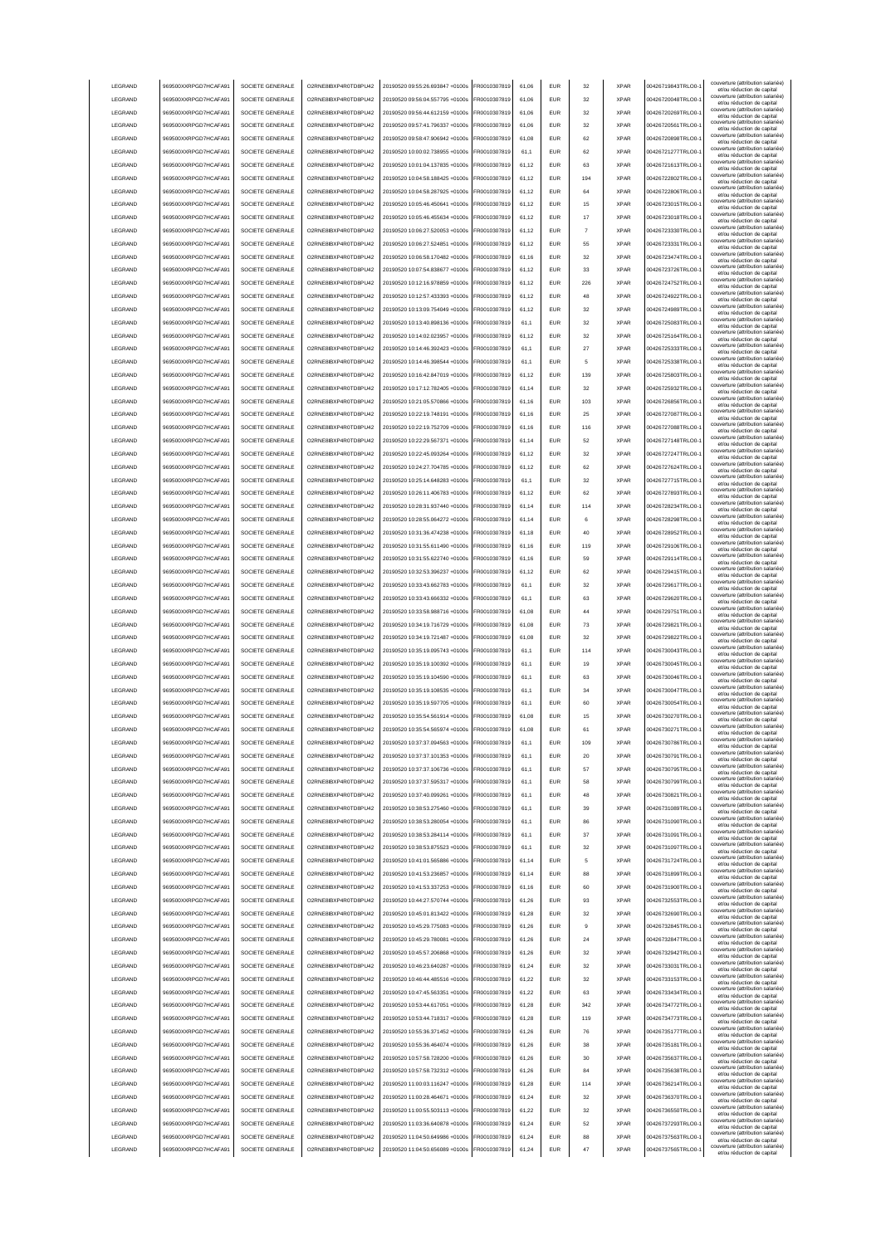| LEGRAND         | 969500XXRPGD7HCAFA91 | SOCIETE GENERALE | O2RNE8IBXP4R0TD8PU42  | 20190520 09:55:26.693847 +0100s              | FR0010307819 | 61,06 | <b>EUR</b> | 32  | <b>XPAR</b> | 00426719843TRLO0-  | couverture (attribution salariée)<br>et/ou réduction de capital |
|-----------------|----------------------|------------------|-----------------------|----------------------------------------------|--------------|-------|------------|-----|-------------|--------------------|-----------------------------------------------------------------|
| LEGRAND         | 969500XXRPGD7HCAFA91 | SOCIETE GENERALE | O2RNE8IBXP4R0TD8PU42  | 20190520 09:56:04.557795 +0100s              | FR0010307819 | 61,06 | <b>EUR</b> | 32  | <b>XPAR</b> | 00426720048TRLO0-  | couverture (attribution salariée)<br>et/ou réduction de capital |
| LEGRAND         | 969500XXRPGD7HCAFA91 | SOCIETE GENERALE | O2RNE8IBXP4R0TD8PU42  | 20190520 09:56:44.612159 +0100s              | FR0010307819 | 61,06 | <b>EUR</b> | 32  | <b>XPAR</b> | 00426720269TRLO0-  | couverture (attribution salariée)                               |
|                 |                      | SOCIETE GENERALE |                       | 20190520.09:57:41.796337.+0100s              |              |       |            |     |             |                    | et/ou réduction de capital<br>couverture (attribution salariée) |
| LEGRAND         | 969500XXRPGD7HCAFA91 |                  | O2RNE8IBXP4R0TD8PU42  |                                              | FR0010307819 | 61.06 | <b>EUR</b> | 32  | <b>XPAR</b> | 00426720561TRLO0-  | et/ou réduction de capital<br>couverture (attribution salariée) |
| LEGRAND         | 969500XXRPGD7HCAFA91 | SOCIETE GENERALE | O2RNE8IBXP4R0TD8PU42  | 20190520 09:58:47.906942 +0100s              | FR0010307819 | 61.08 | <b>EUR</b> | 62  | <b>XPAR</b> | 00426720898TRLO0-  | et/ou réduction de capital                                      |
| LEGRAND         | 969500XXRPGD7HCAFA91 | SOCIETE GENERALE | O2RNE8IBXP4R0TD8PU42  | 20190520 10:00:02.738955 +0100s              | FR0010307819 | 61.1  | <b>EUR</b> | 62  | <b>XPAR</b> | 00426721277TRLO0-  | couverture (attribution salariée)<br>et/ou réduction de capital |
| LEGRAND         | 969500XXRPGD7HCAFA91 | SOCIETE GENERALE | O2RNE8IBXP4R0TD8PU42  | 20190520 10:01:04.137835 +0100s              | FR0010307819 | 61.12 | EUR        | 63  | <b>XPAR</b> | 00426721613TRLO0-  | couverture (attribution salariée)                               |
| LEGRAND         | 969500XXRPGD7HCAFA91 | SOCIETE GENERALE | O2RNE8IBXP4R0TD8PU42  | 20190520 10:04:58.188425 +0100s              | R0010307819  | 61,12 | EUR        | 194 | <b>XPAR</b> | 00426722802TRLO0-  | et/ou réduction de capital<br>couverture (attribution salariée) |
|                 |                      |                  |                       |                                              |              |       |            |     |             |                    | et/ou réduction de capital<br>couverture (attribution salariée) |
| LEGRAND         | 969500XXRPGD7HCAFA91 | SOCIETE GENERALE | O2RNE8IBXP4R0TD8PU42  | 20190520 10:04:58.287925 +0100s              | FR0010307819 | 61,12 | EUR        | 64  | <b>XPAR</b> | 00426722806TRLO0-  | et/ou réduction de capital                                      |
| LEGRAND         | 969500XXRPGD7HCAFA91 | SOCIETE GENERALE | O2RNE8IBXP4R0TD8PU42  | 20190520 10:05:46.450641 +0100s              | R0010307819  | 61,12 | <b>EUR</b> | 15  | <b>XPAR</b> | 00426723015TRLO0-  | couverture (attribution salariée)<br>et/ou réduction de capital |
| LEGRAND         | 969500XXRPGD7HCAFA91 | SOCIETE GENERALE | O2RNE8IBXP4R0TD8PU42  | 20190520 10:05:46.455634 +0100s              | FR0010307819 | 61,12 | EUR        | 17  | <b>XPAR</b> | 00426723018TRLO0-  | couverture (attribution salariée)<br>et/ou réduction de capital |
| LEGRAND         | 969500XXRPGD7HCAFA91 | SOCIETE GENERALE | O2RNE8IBXP4R0TD8PU42  | 20190520 10:06:27.520053 +0100s              | FR0010307819 | 61,12 | EUR        |     | <b>XPAR</b> | 00426723330TRLO0-  | couverture (attribution salariée)                               |
|                 |                      |                  |                       |                                              |              |       |            |     |             |                    | et/ou réduction de capital<br>couverture (attribution salariée) |
| LEGRAND         | 969500XXRPGD7HCAFA91 | SOCIETE GENERALE | O2RNE8IBXP4R0TD8PU42  | 20190520 10:06:27.524851 +0100s              | FR0010307819 | 61,12 | EUR        | 55  | <b>XPAR</b> | 00426723331TRLO0-  | et/ou réduction de capital                                      |
| LEGRAND         | 969500XXRPGD7HCAFA91 | SOCIETE GENERALE | O2RNE8IBXP4R0TD8PU42  | 20190520 10:06:58 170482 +0100s              | FR0010307819 | 61,16 | <b>EUR</b> | 32  | <b>XPAR</b> | 00426723474TRLO0-  | couverture (attribution salariée)<br>et/ou réduction de capital |
| LEGRAND         | 969500XXRPGD7HCAFA91 | SOCIETE GENERALE | O2RNE8IBXP4R0TD8PU42  | 20190520 10:07:54.838677 +0100s              | FR0010307819 | 61,12 | <b>EUR</b> | 33  | <b>XPAR</b> | 00426723726TRLO0-  | couverture (attribution salariée)<br>et/ou réduction de capital |
| LEGRAND         | 969500XXRPGD7HCAFA91 | SOCIETE GENERALE | O2RNE8IBXP4R0TD8PU42  | 20190520 10:12:16.978859 +0100s              | FR0010307819 | 61,12 | <b>EUR</b> | 226 | <b>XPAR</b> | 00426724752TRLO0-  | couverture (attribution salariée)                               |
|                 |                      |                  |                       |                                              |              |       |            |     |             |                    | et/ou réduction de capital<br>couverture (attribution salariée) |
| LEGRAND         | 969500XXRPGD7HCAFA91 | SOCIETE GENERALE | O2RNE8IBXP4R0TD8PU42  | 20190520 10:12:57.433393 +0100s              | FR0010307819 | 61.12 | <b>EUR</b> | 48  | <b>XPAR</b> | 00426724922TRLO0-  | et/ou réduction de capital                                      |
| LEGRAND         | 969500XXRPGD7HCAFA91 | SOCIETE GENERALE | O2RNE8IBXP4R0TD8PU42  | 20190520 10:13:09.754049 +0100s              | FR0010307819 | 61.12 | <b>EUR</b> | 32  | <b>XPAR</b> | 00426724989TRLO0-  | couverture (attribution salariée)<br>et/ou réduction de capital |
| LEGRAND         | 969500XXRPGD7HCAFA91 | SOCIETE GENERALE | O2RNE8IBXP4R0TD8PU42  | 20190520 10:13:40.898136 +0100s              | FR0010307819 | 61.1  | <b>EUR</b> | 32  | <b>XPAR</b> | 00426725083TRLO0-  | couverture (attribution salariée)<br>et/ou réduction de capital |
| LEGRAND         | 969500XXRPGD7HCAFA91 | SOCIETE GENERALE | O2RNE8IBXP4R0TD8PU42  | 20190520 10:14:02.023957 +0100s              | FR0010307819 | 61,12 | EUR        | 32  | <b>XPAR</b> | 00426725164TRLO0-  | couverture (attribution salariée)                               |
|                 |                      |                  |                       |                                              |              |       |            |     |             |                    | et/ou réduction de capital<br>couverture (attribution salariée) |
| LEGRAND         | 969500XXRPGD7HCAFA91 | SOCIETE GENERALE | O2RNE8IBXP4R0TD8PU42  | 20190520 10:14:46.392423 +0100s              | FR0010307819 | 61.1  | EUR        | 27  | <b>XPAR</b> | 00426725333TRLO0-  | et/ou réduction de capital                                      |
| LEGRAND         | 969500XXRPGD7HCAFA91 | SOCIETE GENERALE | O2RNE8IBXP4R0TD8PU42  | 20190520 10:14:46.398544 +0100s              | FR0010307819 | 61.1  | EUR        | 5   | <b>XPAR</b> | 00426725338TRLO0-  | couverture (attribution salariée)<br>et/ou réduction de capital |
| LEGRAND         | 969500XXRPGD7HCAFA91 | SOCIETE GENERALE | O2RNE8IBXP4R0TD8PU42  | 20190520 10:16:42.847019 +0100s              | FR0010307819 | 61,12 | EUR        | 139 | <b>XPAR</b> | 00426725803TRLO0-  | couverture (attribution salariée)<br>et/ou réduction de capital |
| LEGRAND         | 969500XXRPGD7HCAFA91 | SOCIETE GENERALE | O2RNE8IBXP4R0TD8PU42  | 20190520 10:17:12.782405 +0100s              | FR0010307819 | 61,14 | EUR        | 32  | <b>XPAR</b> | 00426725932TRLO0-  | couverture (attribution salariée)                               |
|                 |                      |                  |                       | 20190520 10:21:05.570866 +0100s              |              |       | <b>EUR</b> |     | <b>XPAR</b> |                    | et/ou réduction de capital<br>couverture (attribution salariée) |
| LEGRAND         | 969500XXRPGD7HCAFA91 | SOCIETE GENERALE | O2RNE8IBXP4R0TD8PU42  |                                              | FR0010307819 | 61,16 |            | 103 |             | 00426726856TRLO0-  | et/ou réduction de capital<br>couverture (attribution salariée) |
| LEGRAND         | 969500XXRPGD7HCAFA91 | SOCIETE GENERALE | O2RNE8IBXP4R0TD8PU42  | 20190520 10:22:19.748191 +0100s              | FR0010307819 | 61,16 | EUR        | 25  | <b>XPAR</b> | 00426727087TRLO0-  | et/ou réduction de capital                                      |
| LEGRAND         | 969500XXRPGD7HCAFA91 | SOCIETE GENERALE | O2RNE8IBXP4R0TD8PU42  | 20190520 10:22:19 752709 +0100s              | FR0010307819 | 61,16 | <b>EUR</b> | 116 | <b>XPAR</b> | 00426727088TRLO0-  | couverture (attribution salariée)<br>et/ou réduction de capital |
| LEGRAND         | 969500XXRPGD7HCAFA91 | SOCIETE GENERALE | O2RNE8IBXP4R0TD8PU42  | 20190520 10:22:29.567371 +0100s              | FR0010307819 | 61,14 | <b>EUR</b> | 52  | <b>XPAR</b> | 00426727148TRLO0-  | couverture (attribution salariée)                               |
|                 |                      |                  |                       |                                              |              |       |            |     |             |                    | et/ou réduction de capital<br>couverture (attribution salariée) |
| LEGRAND         | 969500XXRPGD7HCAFA91 | SOCIETE GENERALE | O2RNE8IBXP4R0TD8PU42  | 20190520 10:22:45.093264 +0100s              | FR0010307819 | 61,12 | <b>EUR</b> | 32  | <b>XPAR</b> | 00426727247TRLO0-  | et/ou réduction de capital<br>couverture (attribution salariée) |
| <b>I FGRAND</b> | 969500XXRPGD7HCAFA91 | SOCIETE GENERALE | O2RNE8IBXP4R0TD8PU42  | 20190520 10:24:27.704785 +0100s              | FR0010307819 | 61.12 | <b>EUR</b> | 62  | <b>XPAR</b> | 00426727624TRLO0-  | et/ou réduction de capital                                      |
| LEGRAND         | 969500XXRPGD7HCAFA91 | SOCIETE GENERALE | O2RNE8IBXP4R0TD8PU42  | 20190520 10:25:14.648283 +0100s              | FR0010307819 | 61.1  | <b>EUR</b> | 32  | <b>XPAR</b> | 00426727715TRLO0-  | couverture (attribution salariée)<br>et/ou réduction de capital |
| LEGRAND         | 969500XXRPGD7HCAFA91 | SOCIETE GENERALE | O2RNE8IBXP4R0TD8PLI42 | 20190520 10:26:11.406783 +0100s              | FR0010307819 | 61.12 | <b>EUR</b> | 62  | <b>XPAR</b> | 00426727893TRLO0-  | couverture (attribution salariée)                               |
| LEGRAND         | 969500XXRPGD7HCAFA91 | SOCIETE GENERALE | O2RNE8IBXP4R0TD8PU42  | 20190520 10:28:31.937440 +0100s              | FR0010307819 | 61,14 | EUR        | 114 | <b>XPAR</b> | 00426728234TRLO0-  | et/ou réduction de capital<br>couverture (attribution salariée) |
|                 |                      |                  |                       |                                              |              |       |            |     |             |                    | et/ou réduction de capital<br>couverture (attribution salariée) |
| LEGRAND         | 969500XXRPGD7HCAFA91 | SOCIETE GENERALE | O2RNE8IBXP4R0TD8PU42  | 20190520 10:28:55.064272 +0100s              | FR0010307819 | 61,14 | EUR        | 6   | <b>XPAR</b> | 00426728298TRLO0-  | et/ou réduction de capital                                      |
| LEGRAND         | 969500XXRPGD7HCAFA91 | SOCIETE GENERALE | O2RNE8IBXP4R0TD8PU42  | 20190520 10:31:36.474238 +0100s              | R0010307819  | 61,18 | EUR        | 40  | <b>XPAR</b> | 00426728952TRLO0-  | couverture (attribution salariée)<br>et/ou réduction de capital |
| LEGRAND         | 969500XXRPGD7HCAFA91 | SOCIETE GENERALE | O2RNE8IBXP4R0TD8PU42  | 20190520 10:31:55.611490 +0100s              | FR0010307819 | 61,16 | EUR        | 119 | <b>XPAR</b> | 00426729106TRLO0-  | couverture (attribution salariée)                               |
| LEGRAND         | 969500XXRPGD7HCAFA91 | SOCIETE GENERALE | O2RNE8IBXP4R0TD8PU42  | 20190520 10:31:55.622740 +0100s              | FR0010307819 | 61,16 | EUR        | 59  | <b>XPAR</b> | 00426729114TRLO0-  | et/ou réduction de capital<br>couverture (attribution salariée) |
|                 |                      |                  |                       |                                              |              |       |            |     |             |                    | et/ou réduction de capital<br>couverture (attribution salariée) |
| LEGRAND         | 969500XXRPGD7HCAFA91 | SOCIETE GENERALE | O2RNE8IBXP4R0TD8PU42  | 20190520 10:32:53.396237 +0100s              | FR0010307819 | 61,12 | EUR        | 62  | <b>XPAR</b> | 00426729415TRLO0-  | et/ou réduction de capital                                      |
| LEGRAND         | 969500XXRPGD7HCAFA91 | SOCIETE GENERALE | O2RNE8IBXP4R0TD8PU42  | 20190520 10:33:43.662783 +0100s              | FR0010307819 | 61,1  | EUR        | 32  | <b>XPAR</b> | 00426729617TRLO0-  | couverture (attribution salariée)<br>et/ou réduction de capital |
| LEGRAND         | 969500XXRPGD7HCAFA91 | SOCIETE GENERALE | O2RNE8IBXP4R0TD8PU42  | 20190520 10:33:43.666332 +0100s              | FR0010307819 | 61,1  | <b>EUR</b> | 63  | <b>XPAR</b> | 00426729620TRLO0-  | couverture (attribution salariée)<br>et/ou réduction de capital |
|                 |                      |                  |                       |                                              |              |       |            |     |             |                    |                                                                 |
|                 |                      |                  |                       |                                              |              |       |            |     |             |                    | couverture (attribution salariée)                               |
| LEGRAND         | 969500XXRPGD7HCAFA91 | SOCIETE GENERALE | O2RNE8IBXP4R0TD8PU42  | 20190520 10:33:58.988716 +0100s              | FR0010307819 | 61,08 | <b>EUR</b> | 44  | <b>XPAR</b> | 00426729751TRLO0-  | et/ou réduction de capital                                      |
| LEGRAND         | 969500XXRPGD7HCAFA91 | SOCIETE GENERALE | O2RNE8IBXP4R0TD8PU42  | 20190520 10:34:19.716729 +0100s              | FR0010307819 | 61,08 | <b>EUR</b> | 73  | <b>XPAR</b> | 00426729821TRLO0-  | couverture (attribution salariée)<br>et/ou réduction de capital |
| LEGRAND         | 969500XXRPGD7HCAFA91 | SOCIETE GENERALE | O2RNE8IBXP4R0TD8PU42  | 20190520 10:34:19.721487 +0100s              | FR0010307819 | 61.08 | EUR        | 32  | <b>XPAR</b> | 00426729822TRLO0-  | couverture (attribution salariée)<br>et/ou réduction de capital |
| LEGRAND         | 969500XXRPGD7HCAFA91 | SOCIETE GENERALE | O2RNE8IBXP4R0TD8PU42  | 20190520 10:35:19.095743 +0100s              | FR0010307819 | 61.1  | <b>EUR</b> | 114 | <b>XPAR</b> | 00426730043TRLO0-  | couverture (attribution salariée)                               |
|                 |                      |                  |                       |                                              |              |       |            |     |             |                    | et/ou réduction de capital<br>couverture (attribution salariée) |
| LEGRAND         | 969500XXRPGD7HCAFA91 | SOCIETE GENERALE | O2RNE8IBXP4R0TD8PU42  | 20190520 10:35:19.100392 +0100s              | FR0010307819 | 61.1  | <b>EUR</b> | 19  | <b>XPAR</b> | 00426730045TRLO0-  | et/ou réduction de capital                                      |
| LEGRAND         | 969500XXRPGD7HCAFA91 | SOCIETE GENERALE | O2RNE8IBXP4R0TD8PU42  | 20190520 10:35:19.104590 +0100s              | FR0010307819 | 61,1  | EUR        | 63  | <b>XPAR</b> | 00426730046TRLO0-  | couverture (attribution salariée)<br>et/ou réduction de capital |
| LEGRAND         | 969500XXRPGD7HCAFA91 | SOCIETE GENERALE | O2RNE8IBXP4R0TD8PU42  | 20190520 10:35:19.108535 +0100s              | FR0010307819 | 61,1  | EUR        | 34  | <b>XPAR</b> | 00426730047TRLO0-  | couverture (attribution salariée)<br>et/ou réduction de capital |
| LEGRAND         | 969500XXRPGD7HCAFA91 | SOCIETE GENERALE | O2RNE8IBXP4R0TD8PU42  | 20190520 10:35:19.597705 +0100s              | FR0010307819 | 61,1  | EUR        | 60  | <b>XPAR</b> | 00426730054TRLO0-  | couverture (attribution salariée)                               |
|                 |                      |                  |                       |                                              |              |       |            | 15  | <b>XPAR</b> |                    | et/ou réduction de capital<br>couverture (attribution salariée) |
| LEGRAND         | 969500XXRPGD7HCAFA91 | SOCIETE GENERALE | O2RNE8IBXP4R0TD8PU42  | 20190520 10:35:54.561914 +0100s              | FR0010307819 | 61,08 | EUR        |     |             | 00426730270TRLO0-  | et/ou réduction de capital<br>couverture (attribution salariée) |
| LEGRAND         | 969500XXRPGD7HCAFA91 | SOCIETE GENERALE | O2RNE8IBXP4R0TD8PU42  | 20190520 10:35:54.565974 +0100s              | FR0010307819 | 61,08 | <b>EUR</b> | 61  | <b>XPAR</b> | 00426730271TRLO0-1 | et/ou réduction de capital                                      |
| LEGRAND         | 969500XXRPGD7HCAFA91 | SOCIETE GENERALE | O2RNE8IBXP4R0TD8PU42  | 20190520 10:37:37.094563 +0100s              | FR0010307819 | 61,1  | EUR        | 109 | <b>XPAR</b> | 00426730786TRLO0-  | couverture (attribution salariée)<br>et/ou réduction de capita  |
| <b>I FGRAND</b> | 969500XXRPGD7HCAFA91 | SOCIETE GENERALE | O2RNE8IBXP4R0TD8PLI42 | 20190520 10:37:37.101353 +0100s              | FR0010307819 | 61,1  | <b>EUR</b> | 20  | <b>XPAR</b> | 00426730791TRLO0-  | couverture (attribution salariée)                               |
| LEGRAND         |                      | SOCIETE GENERALE | O2RNE8IBXP4R0TD8PU42  | 20190520 10:37:37.106736 +0100s              | FR0010307819 |       |            | 57  | <b>XPAR</b> | 00426730795TRLO0-  | et/ou réduction de capital<br>couverture (attribution salariée) |
|                 | 969500XXRPGD7HCAFA91 |                  |                       |                                              |              | 61,1  | <b>EUR</b> |     |             |                    | et/ou réduction de capital<br>couverture (attribution salariée) |
| LEGRAND         | 969500XXRPGD7HCAFA91 | SOCIETE GENERALE | O2RNE8IBXP4R0TD8PU42  | 20190520 10:37:37.595317 +0100s              | FR0010307819 | 61,1  | <b>EUR</b> | 58  | <b>XPAR</b> | 00426730799TRLO0-  | et/ou réduction de capital                                      |
| LEGRAND         | 969500XXRPGD7HCAFA91 | SOCIETE GENERALE | O2RNE8IBXP4R0TD8PU42  | 20190520 10:37:40.099261 +0100s              | FR0010307819 | 61,1  | <b>EUR</b> | 48  | <b>XPAR</b> | 00426730821TRLO0-  | couverture (attribution salariée)<br>et/ou réduction de capital |
| LEGRAND         | 969500XXRPGD7HCAFA91 | SOCIETE GENERALE | O2RNE8IBXP4R0TD8PU42  | 20190520 10:38:53.275460 +0100s              | FR0010307819 | 61.1  | <b>EUR</b> | 39  | <b>XPAR</b> | 00426731089TRLO0-  | couverture (attribution salariée)<br>et/ou réduction de capital |
| <b>I FGRAND</b> | 969500XXRPGD7HCAFA91 | SOCIETE GENERALE | O2RNE8IBXP4R0TD8PU42  | 20190520 10:38:53.280054 +0100s              | FR0010307819 | 61.1  | <b>EUR</b> | 86  | <b>XPAR</b> | 00426731090TRLO0-  | couverture (attribution salariée)                               |
|                 |                      |                  |                       |                                              |              |       |            |     |             |                    | et/ou réduction de capital<br>couverture (attribution salariée) |
| LEGRAND         | 969500XXRPGD7HCAFA91 | SOCIETE GENERALE | O2RNE8IBXP4R0TD8PU42  | 20190520 10:38:53.284114 +0100s              | FR0010307819 | 61.1  | <b>EUR</b> | 37  | <b>XPAR</b> | 00426731091TRLO0-  | et/ou réduction de capital<br>couverture (attribution salariée) |
| LEGRAND         | 969500XXRPGD7HCAFA91 | SOCIETE GENERALE | O2RNE8IBXP4R0TD8PU42  | 20190520 10:38:53.875523 +0100s              | FR0010307819 | 61,1  | <b>EUR</b> | 32  | <b>XPAR</b> | 00426731097TRLO0-  | et/ou réduction de capital                                      |
| LEGRAND         | 969500XXRPGD7HCAFA91 | SOCIETE GENERALE | O2RNE8IBXP4R0TD8PU42  | 20190520 10:41:01.565886 +0100s              | FR0010307819 | 61,14 | <b>EUR</b> | 5   | <b>XPAR</b> | 00426731724TRLO0-1 | couverture (attribution salariée)                               |
| LEGRAND         | 969500XXRPGD7HCAFA91 | SOCIETE GENERALE | O2RNE8IBXP4R0TD8PU42  | 20190520 10:41:53.236857 +0100s              | FR0010307819 | 61,14 | <b>EUR</b> | 88  | <b>XPAR</b> | 00426731899TRLO0-  | et/ou réduction de capital<br>couverture (attribution salariée) |
| LEGRAND         | 969500XXRPGD7HCAFA91 |                  | O2RNE8IBXP4R0TD8PU42  | 20190520 10:41:53.337253 +0100s              | R0010307819  | 61,16 | <b>EUR</b> | 60  | <b>XPAR</b> | 00426731900TRLO0-  | et/ou réduction de capital<br>couverture (attribution salariée) |
|                 |                      | SOCIETE GENERALE |                       |                                              |              |       |            |     |             |                    | et/ou réduction de capital<br>couverture (attribution salariée) |
| LEGRAND         | 969500XXRPGD7HCAFA91 | SOCIETE GENERALE | O2RNE8IBXP4R0TD8PU42  | 20190520 10:44:27.570744 +0100s              | FR0010307819 | 61,26 | <b>EUR</b> | 93  | <b>XPAR</b> | 00426732553TRLO0-  | et/ou réduction de capital                                      |
| LEGRAND         | 969500XXRPGD7HCAFA91 | SOCIETE GENERALE | O2RNE8IBXP4R0TD8PU42  | 20190520 10:45:01.813422 +0100s              | FR0010307819 | 61,28 | <b>EUR</b> | 32  | <b>XPAR</b> | 00426732690TRLO0-1 | couverture (attribution salariée)<br>et/ou réduction de capital |
| LEGRAND         | 969500XXRPGD7HCAFA91 | SOCIETE GENERALE | O2RNE8IBXP4R0TD8PU42  | 20190520 10:45:29.775083 +0100s              | FR0010307819 | 61,26 | <b>EUR</b> | я   | <b>XPAR</b> | 00426732845TRLO0-  | couverture (attribution salariée)                               |
| LEGRAND         | 969500XXRPGD7HCAFA91 | SOCIETE GENERALE | O2RNE8IBXP4R0TD8PU42  | 20190520 10:45:29.780081 +0100s              | FR0010307819 | 61,26 | <b>EUR</b> | 24  | <b>XPAR</b> | 00426732847TRLO0-  | et/ou réduction de capital<br>couverture (attribution salariée) |
|                 |                      |                  |                       |                                              |              |       |            |     |             |                    | et/ou réduction de capital<br>couverture (attribution salariée) |
| LEGRAND         | 969500XXRPGD7HCAFA91 | SOCIETE GENERALE | O2RNE8IBXP4R0TD8PU42  | 20190520 10:45:57.206868 +0100s              | FR0010307819 | 61,26 | <b>EUR</b> | 32  | <b>XPAR</b> | 00426732942TRLO0-  | et/ou réduction de capital                                      |
| LEGRAND         | 969500XXRPGD7HCAFA91 | SOCIETE GENERALE | O2RNE8IBXP4R0TD8PU42  | 20190520 10:46:23.640287 +0100s              | FR0010307819 | 61.24 | <b>EUR</b> | 32  | <b>XPAR</b> | 00426733031TRLO0-  | couverture (attribution salariée)<br>et/ou réduction de capital |
| LEGRAND         | 969500XXRPGD7HCAFA91 | SOCIETE GENERALE | O2RNE8IBXP4R0TD8PU42  | 20190520 10:46:44.485516 +0100s              | FR0010307819 | 61.22 | <b>EUR</b> | 32  | <b>XPAR</b> | 00426733153TRLO0-  | couverture (attribution salariée)<br>et/ou réduction de capital |
| LEGRAND         | 969500XXRPGD7HCAFA91 | SOCIETE GENERALE | O2RNE8IBXP4R0TD8PU42  | 20190520 10:47:45.563351 +0100s              | FR0010307819 | 61.22 | <b>EUR</b> | 63  | <b>XPAR</b> | 00426733434TRLO0-  | couverture (attribution salariée)                               |
|                 |                      |                  |                       |                                              |              |       |            |     |             |                    | et/ou réduction de capital<br>couverture (attribution salariée) |
| LEGRAND         | 969500XXRPGD7HCAFA91 | SOCIETE GENERALE | O2RNE8IBXP4R0TD8PU42  | 20190520 10:53:44.617051 +0100s              | FR0010307819 | 61,28 | <b>EUR</b> | 342 | <b>XPAR</b> | 00426734772TRLO0-  | et/ou réduction de capital                                      |
| LEGRAND         | 969500XXRPGD7HCAFA91 | SOCIETE GENERALE | O2RNE8IBXP4R0TD8PU42  | 20190520 10:53:44.718317 +0100s              | FR0010307819 | 61,28 | <b>EUR</b> | 119 | <b>XPAR</b> | 00426734773TRLO0-  | couverture (attribution salariée)<br>et/ou réduction de capital |
| LEGRAND         | 969500XXRPGD7HCAFA91 | SOCIETE GENERALE | O2RNE8IBXP4R0TD8PU42  | 20190520 10:55:36.371452 +0100s              | FR0010307819 | 61,26 | <b>EUR</b> | 76  | <b>XPAR</b> | 00426735177TRLO0-  | couverture (attribution salariée)<br>et/ou réduction de capital |
| LEGRAND         | 969500XXRPGD7HCAFA91 | SOCIETE GENERALE | O2RNE8IBXP4R0TD8PU42  | 20190520 10:55:36.464074 +0100s              | FR0010307819 | 61,26 | <b>EUR</b> | 38  | <b>XPAR</b> | 00426735181TRLO0-  | couverture (attribution salariée)                               |
|                 |                      |                  |                       |                                              |              |       |            |     |             |                    | et/ou réduction de capital<br>couverture (attribution salariée) |
| LEGRAND         | 969500XXRPGD7HCAFA91 | SOCIETE GENERALE | O2RNE8IBXP4R0TD8PU42  | 20190520 10:57:58.728200 +0100s              | FR0010307819 | 61,26 | <b>EUR</b> | 30  | <b>XPAR</b> | 00426735637TRLO0-  | et/ou réduction de capital<br>couverture (attribution salariée) |
| LEGRAND         | 969500XXRPGD7HCAFA91 | SOCIETE GENERALE | O2RNE8IBXP4R0TD8PU42  | 20190520 10:57:58.732312 +0100s              | FR0010307819 | 61,26 | <b>EUR</b> | 84  | <b>XPAR</b> | 00426735638TRLO0-  | et/ou réduction de capital                                      |
| LEGRAND         | 969500XXRPGD7HCAFA91 | SOCIETE GENERALE | O2RNE8IBXP4R0TD8PU42  | 20190520 11:00:03.116247 +0100s              | FR0010307819 | 61,28 | <b>EUR</b> | 114 | <b>XPAR</b> | 00426736214TRLO0-  | couverture (attribution salariée)<br>et/ou réduction de capital |
| LEGRAND         | 969500XXRPGD7HCAFA91 | SOCIETE GENERALE | O2RNE8IBXP4R0TD8PU42  | 20190520 11:00:28.464671 +0100s              | FR0010307819 | 61,24 | <b>EUR</b> | 32  | <b>XPAR</b> | 00426736370TRLO0-  | couverture (attribution salariée)<br>et/ou réduction de capital |
| LEGRAND         | 969500XXRPGD7HCAFA91 | SOCIETE GENERALE | O2RNE8IBXP4R0TD8PU42  | 20190520 11:00:55.503113 +0100s              | FR0010307819 | 61,22 | <b>EUR</b> | 32  | <b>XPAR</b> | 00426736550TRLO0-  | couverture (attribution salariée)                               |
|                 |                      |                  |                       |                                              |              |       |            |     |             |                    | et/ou réduction de capital<br>couverture (attribution salariée) |
| LEGRAND         | 969500XXRPGD7HCAFA91 | SOCIETE GENERALE | O2RNE8IBXP4R0TD8PU42  | 20190520 11:03:36.640878 +0100s              | FR0010307819 | 61.24 | <b>EUR</b> | 52  | <b>XPAR</b> | 00426737293TRLO0-  | et/ou réduction de capital                                      |
| LEGRAND         | 969500XXRPGD7HCAFA91 | SOCIETE GENERALE | O2RNE8IBXP4R0TD8PU42  | 20190520 11:04:50.649986 +0100s              | FR0010307819 | 61.24 | <b>EUR</b> | 88  | <b>XPAR</b> | 00426737563TRLO0-  | couverture (attribution salariée)<br>et/ou réduction de capital |
| LEGRAND         | 969500XXRPGD7HCAFA91 | SOCIETE GENERALE | O2RNE8IBXP4R0TD8PU42  | 20190520 11:04:50.656089 +0100s FR0010307819 |              | 61,24 | <b>EUR</b> | 47  | <b>XPAR</b> | 00426737565TRLO0-1 | couverture (attribution salariée)<br>et/ou réduction de capital |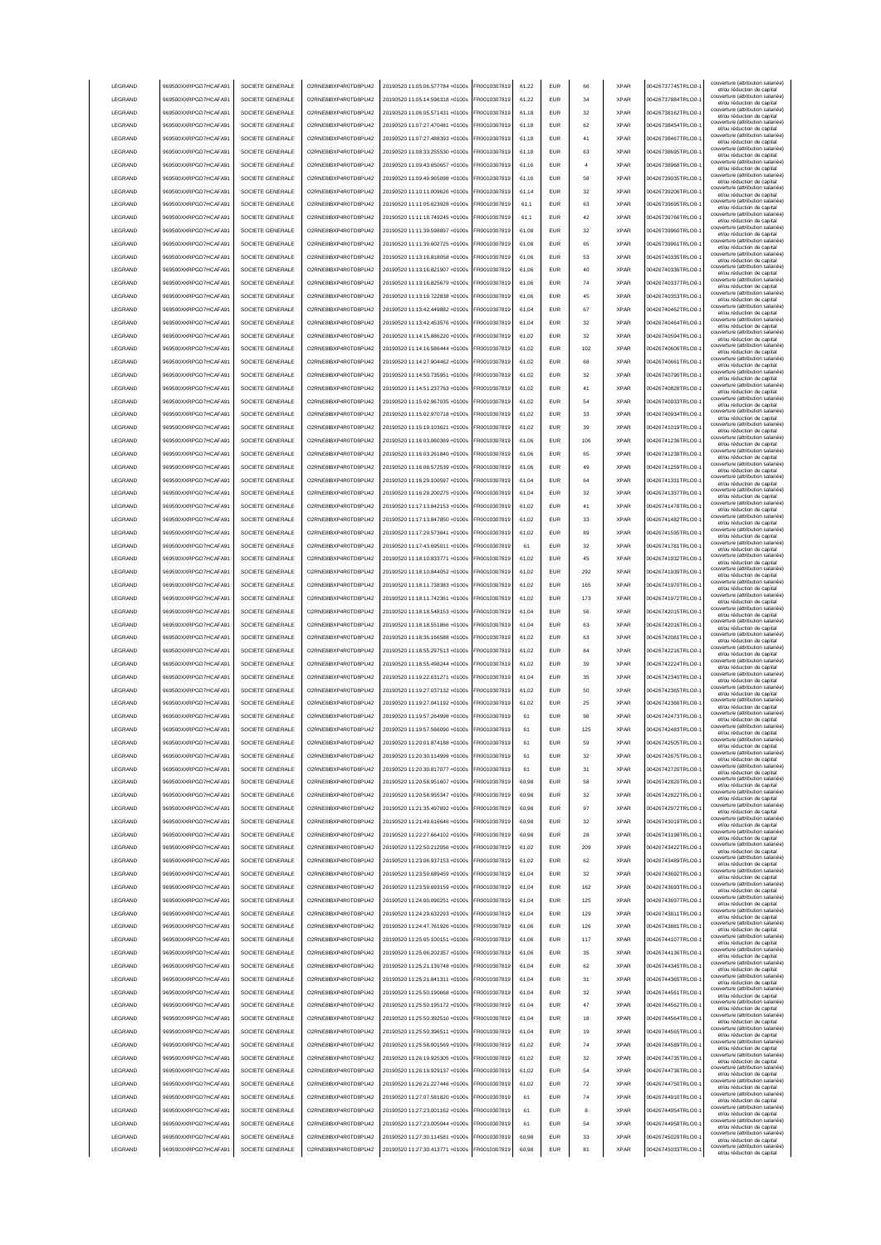| <b>LEGRAND</b>     | 969500XXRPGD7HCAFA91                         | SOCIETE GENERALE                     | O2RNE8IBXP4R0TD8PU42                         | 20190520 11:05:06.577784 +0100s                                    | FR0010307819                 | 61.22          | <b>EUR</b>        | 66       | <b>XPAR</b>                | 00426737745TRLO0-                      | couverture (attribution salariée)<br>et/ou réduction de capital                                      |
|--------------------|----------------------------------------------|--------------------------------------|----------------------------------------------|--------------------------------------------------------------------|------------------------------|----------------|-------------------|----------|----------------------------|----------------------------------------|------------------------------------------------------------------------------------------------------|
| LEGRAND            | 969500XXRPGD7HCAFA91                         | SOCIETE GENERALE                     | O2RNE8IBXP4R0TD8PU42                         | 20190520 11:05:14.596318 +0100s                                    | FR0010307819                 | 61.22          | <b>EUR</b>        | 34       | <b>XPAR</b>                | 00426737884TRLO0-                      | couverture (attribution salariée)<br>et/ou réduction de capital                                      |
| LEGRAND            | 969500XXRPGD7HCAFA91                         | SOCIETE GENERALE                     | O2RNE8IBXP4R0TD8PU42                         | 20190520 11:06:05.571431 +0100s                                    | FR0010307819                 | 61.18          | <b>EUR</b>        | 32       | <b>XPAR</b>                | 00426738162TRLO0-                      | couverture (attribution salariée)<br>et/ou réduction de capital                                      |
| LEGRAND            | 969500XXRPGD7HCAFA91                         | SOCIETE GENERALE                     | O2RNE8IBXP4R0TD8PU42                         | 20190520 11:07:27.470481 +0100s                                    | R0010307819                  | 61,18          | EUR               | 62       | <b>XPAR</b>                | 00426738454TRLO0-                      | couverture (attribution salariée)<br>et/ou réduction de capital                                      |
| LEGRAND            | 969500XXRPGD7HCAFA91                         | SOCIETE GENERALE                     | O2RNE8IBXP4R0TD8PU42                         | 20190520 11:07:27.488393 +0100s                                    | FR0010307819                 | 61,18          | EUR               | 41       | <b>XPAR</b>                | 00426738467TRLO0-                      | couverture (attribution salariée)<br>et/ou réduction de capital                                      |
| LEGRAND            | 969500XXRPGD7HCAFA91                         | SOCIETE GENERALE                     | O2RNE8IBXP4R0TD8PU42                         | 20190520 11:08:33.255530 +0100s                                    | R0010307819                  | 61,18          | EUR               | 63       | <b>XPAR</b>                | 00426738695TRLO0-                      | couverture (attribution salariée)<br>et/ou réduction de capital                                      |
| LEGRAND            | 969500XXRPGD7HCAFA91                         | SOCIETE GENERALE                     | O2RNE8IBXP4R0TD8PU42                         | 20190520 11:09:43.650657 +0100s                                    | FR0010307819                 | 61,16          | EUR               | 4        | <b>XPAR</b>                | 00426738968TRLO0-                      | couverture (attribution salariée)<br>et/ou réduction de capital                                      |
| LEGRAND            | 969500XXRPGD7HCAFA91                         | SOCIETE GENERALE                     | O2RNE8IBXP4R0TD8PU42                         | 20190520 11:09:49.965098 +0100s                                    | R0010307819                  | 61,16          | EUR               | 58       | <b>XPAR</b>                | 00426739035TRLO0-                      | couverture (attribution salariée)<br>et/ou réduction de capital                                      |
| LEGRAND            | 969500XXRPGD7HCAFA91                         | SOCIETE GENERALE                     | O2RNE8IBXP4R0TD8PU42                         | 20190520 11:10:11.009626 +0100s                                    | R0010307819                  | 61,14          | EUR               | 32       | <b>XPAR</b>                | 00426739206TRLO0-                      | couverture (attribution salariée)<br>et/ou réduction de capital                                      |
| LEGRAND            | 969500XXRPGD7HCAFA91                         | SOCIETE GENERALE                     | O2RNE8IBXP4R0TD8PU42                         | 20190520 11:11:05.623928 +0100s                                    | R0010307819                  | 61,1           | EUR               | 63       | <b>XPAR</b>                | 00426739695TRLO0-                      | couverture (attribution salariée)<br>et/ou réduction de capital                                      |
| LEGRAND            | 969500XXRPGD7HCAFA91                         | SOCIETE GENERALE                     | O2RNE8IBXP4R0TD8PU42                         | 20190520 11:11:18.749245 +0100s                                    | FR0010307819                 | 61,1           | <b>FUR</b>        | 42       | <b>XPAR</b>                | 00426739766TRLO0-                      | couverture (attribution salariée)<br>et/ou réduction de capital                                      |
| LEGRAND            | 969500XXRPGD7HCAFA91                         | SOCIETE GENERALE                     | O2RNE8IBXP4R0TD8PU42                         | 20190520 11:11:39.598897 +0100s                                    | R0010307819                  | 61,08          | <b>EUR</b>        | 32       | <b>XPAR</b>                | 00426739960TRLO0-                      | couverture (attribution salariée)<br>et/ou réduction de capital                                      |
| LEGRAND            | 969500XXRPGD7HCAFA91                         | SOCIETE GENERALE                     | O2RNE8IBXP4R0TD8PU42                         | 20190520 11:11:39.602725 +0100s                                    | R0010307819                  | 61,08          | EUR               | 65       | <b>XPAR</b>                | 00426739961TRLO0-                      | couverture (attribution salariée)<br>et/ou réduction de capital                                      |
| <b>LEGRAND</b>     | 969500XXRPGD7HCAFA91                         | SOCIETE GENERALE                     | O2RNE8IBXP4R0TD8PU42                         | 20190520 11:13:16.818058 +0100s                                    | FR0010307819                 | 61.06          | <b>EUR</b>        | 53       | <b>XPAR</b>                | 00426740335TRLO0-                      | couverture (attribution salariée)<br>et/ou réduction de capital                                      |
| <b>LEGRAND</b>     | 969500XXRPGD7HCAFA91                         | SOCIETE GENERALE                     | O2RNE8IBXP4R0TD8PU42                         | 20190520 11:13:16.821907 +0100s                                    | FR0010307819                 | 61.06          | <b>EUR</b>        | 40       | <b>XPAR</b>                | 00426740336TRLO0-                      | couverture (attribution salariée)<br>et/ou réduction de capital                                      |
| <b>LEGRAND</b>     | 969500XXRPGD7HCAFA91                         | SOCIETE GENERALE                     | O2RNE8IBXP4R0TD8PU42                         | 20190520 11:13:16.825679 +0100s                                    | FR0010307819                 | 61.06          | <b>EUR</b>        | 74       | <b>XPAR</b>                | 00426740337TRLO0-                      | couverture (attribution salariée)<br>et/ou réduction de capital                                      |
| LEGRAND            | 969500XXRPGD7HCAFA91                         | SOCIETE GENERALE                     | O2RNE8IBXP4R0TD8PU42                         | 20190520 11:13:19.722838 +0100s                                    | R0010307819                  | 61,06          | EUR               | 45       | <b>XPAR</b>                | 00426740353TRLO0-                      | couverture (attribution salariée)<br>et/ou réduction de capital                                      |
| LEGRAND            | 969500XXRPGD7HCAFA91                         | SOCIETE GENERALE                     | O2RNE8IBXP4R0TD8PU42                         | 20190520 11:13:42.449882 +0100s                                    | R0010307819                  | 61,04          | EUR               | 67       | <b>XPAR</b>                | 00426740462TRLO0-                      | couverture (attribution salariée)<br>et/ou réduction de capital                                      |
| LEGRAND            | 969500XXRPGD7HCAFA91                         | SOCIETE GENERALE                     | O2RNE8IBXP4R0TD8PU42                         | 20190520 11:13:42.453576 +0100s                                    | R0010307819                  | 61,04          | EUR               | 32       | <b>XPAR</b>                | 00426740464TRLO0-                      | couverture (attribution salariée)<br>et/ou réduction de capital                                      |
| LEGRAND            | 969500XXRPGD7HCAFA91                         | SOCIETE GENERALE                     | O2RNE8IBXP4R0TD8PU42                         | 20190520 11:14:15.886220 +0100s                                    | R0010307819                  | 61,02          | <b>EUR</b>        | 32       | <b>XPAR</b>                | 00426740594TRLO0-                      | couverture (attribution salariée)<br>et/ou réduction de capital                                      |
| LEGRAND            | 969500XXRPGD7HCAFA91                         | SOCIETE GENERALE                     | O2RNE8IBXP4R0TD8PU42                         | 20190520 11:14:16.586444 +0100s                                    | R0010307819                  | 61,02          | EUR               | 102      | <b>XPAR</b>                | 00426740606TRLO0-                      | couverture (attribution salariée)<br>et/ou réduction de capital                                      |
| LEGRAND            | 969500XXRPGD7HCAFA91                         | SOCIETE GENERALE                     | O2RNE8IBXP4R0TD8PU42                         | 20190520 11:14:27.904462 +0100s                                    | FR0010307819                 | 61,02          | EUR               | 68       | <b>XPAR</b>                | 00426740661TRLO0-                      | couverture (attribution salariée)<br>et/ou réduction de capital                                      |
| LEGRAND            | 969500XXRPGD7HCAFA91                         | SOCIETE GENERALE                     | O2RNE8IBXP4R0TD8PU42                         | 20190520 11:14:50.735951 +0100s                                    | R0010307819                  | 61,02          | EUR               | 32       | <b>XPAR</b>                | 00426740790TRLO0-                      | couverture (attribution salariée)<br>et/ou réduction de capital                                      |
| LEGRAND            | 969500XXRPGD7HCAFA91                         | SOCIETE GENERALE                     | O2RNE8IBXP4R0TD8PU42                         | 20190520 11:14:51.237763 +0100s                                    | FR0010307819                 | 61,02          | <b>EUR</b>        | 41       | <b>XPAR</b>                | 00426740828TRLO0-                      | couverture (attribution salariée)<br>et/ou réduction de capital                                      |
| <b>I FGRAND</b>    | 969500XXRPGD7HCAFA91                         | SOCIETE GENERALE                     | O2RNE8IBXP4R0TD8PU42                         | 20190520 11:15:02.967035 +0100s                                    | FR0010307819                 | 61,02          | <b>FUR</b>        | 54       | <b>XPAR</b>                | 00426740933TRLO0-                      | couverture (attribution salariée)<br>et/ou réduction de capital                                      |
| LEGRAND            | 969500XXRPGD7HCAFA91                         | SOCIETE GENERALE                     | O2RNE8IBXP4R0TD8PU42                         | 20190520 11:15:02 970718 +0100s                                    | FR0010307819                 | 61,02          | <b>EUR</b>        | 33       | <b>XPAR</b>                | 00426740934TRLO0-                      | couverture (attribution salariée)<br>et/ou réduction de capital                                      |
| LEGRAND            | 969500XXRPGD7HCAFA91                         | SOCIETE GENERALE                     | O2RNE8IBXP4R0TD8PLI42                        | 20190520 11:15:19.103621 +0100s                                    | FR0010307819                 | 61.02          | <b>EUR</b>        | 39       | <b>XPAR</b>                | 00426741019TRLO0-                      | couverture (attribution salariée)<br>et/ou réduction de capital                                      |
| <b>I FGRAND</b>    | 969500XXRPGD7HCAFA91                         | SOCIETE GENERALE                     | O2RNE8IBXP4R0TD8PU42                         | 20190520 11:16:03.060369 +0100s                                    | FR0010307819                 | 61.06          | <b>EUR</b>        | 106      | <b>XPAR</b>                | 00426741236TRLO0-                      | couverture (attribution salariée)<br>et/ou réduction de capital                                      |
| <b>LEGRAND</b>     | 969500XXRPGD7HCAFA91                         | SOCIETE GENERALE                     | O2RNE8IBXP4R0TD8PU42                         | 20190520 11:16:03.261840 +0100s                                    | FR0010307819                 | 61.06          | <b>EUR</b>        | 65       | <b>XPAR</b>                | 00426741238TRLO0-                      | couverture (attribution salariée)<br>et/ou réduction de capital                                      |
| LEGRAND            | 969500XXRPGD7HCAFA91                         | SOCIETE GENERALE                     | O2RNE8IBXP4R0TD8PU42                         | 20190520 11:16:08.572539 +0100s                                    | FR0010307819                 | 61,06          | EUR               | 49       | <b>XPAR</b>                | 00426741259TRLO0-                      | couverture (attribution salariée)<br>et/ou réduction de capital                                      |
| LEGRAND            | 969500XXRPGD7HCAFA91                         | SOCIETE GENERALE                     | O2RNE8IBXP4R0TD8PU42                         | 20190520 11:16:29.100597 +0100s                                    | R0010307819                  | 61,04          | EUR               | 64       | <b>XPAR</b>                | 00426741331TRLO0-                      | couverture (attribution salariée)<br>et/ou réduction de capital                                      |
| LEGRAND            | 969500XXRPGD7HCAFA91                         | SOCIETE GENERALE                     | O2RNE8IBXP4R0TD8PU42                         | 20190520 11:16:29.200275 +0100s                                    | FR0010307819                 | 61,04          | EUR               | 32       | <b>XPAR</b>                | 00426741337TRLO0-                      | couverture (attribution salariée)<br>et/ou réduction de capital                                      |
| LEGRAND            | 969500XXRPGD7HCAFA91                         | SOCIETE GENERALE                     | O2RNE8IBXP4R0TD8PU42                         | 20190520 11:17:13.842153 +0100s                                    | R0010307819                  | 61,02          | EUR               | 41       | <b>XPAR</b>                | 00426741478TRLO0-                      | couverture (attribution salariée)<br>et/ou réduction de capital                                      |
| LEGRAND            | 969500XXRPGD7HCAFA91                         | SOCIETE GENERALE                     | O2RNE8IBXP4R0TD8PU42                         | 20190520 11:17:13.847850 +0100s                                    | R001030781                   | 61,02          | EUR               | 33       | <b>XPAR</b>                | 00426741482TRLO0-                      | couverture (attribution salariée)<br>et/ou réduction de capital                                      |
| LEGRAND            | 969500XXRPGD7HCAFA91                         | SOCIETE GENERALE                     | O2RNE8IBXP4R0TD8PU42                         | 20190520 11:17:29.573841 +0100s                                    | R0010307819                  | 61,02          | EUR               | 89       | <b>XPAR</b>                | 00426741595TRLO0-                      | couverture (attribution salariée)<br>et/ou réduction de capital                                      |
| LEGRAND            | 969500XXRPGD7HCAFA91                         | SOCIETE GENERALE                     | O2RNE8IBXP4R0TD8PU42                         | 20190520 11:17:43.695011 +0100s                                    | R0010307819                  | 61             | <b>FUR</b>        | 32       | <b>XPAR</b>                | 00426741781TRLO0-                      | couverture (attribution salariée)<br>et/ou réduction de capital                                      |
| LEGRAND            | 969500XXRPGD7HCAFA91                         | SOCIETE GENERALE                     | O2RNE8IBXP4R0TD8PU42                         | 20190520 11:18:10.833771 +0100s                                    | FR0010307819                 | 61,02          | <b>EUR</b>        | 45       | <b>XPAR</b>                | 00426741932TRLO0-                      | couverture (attribution salariée)<br>et/ou réduction de capital                                      |
| LEGRAND            | 969500XXRPGD7HCAFA91                         | SOCIETE GENERALE                     | O2RNE8IBXP4R0TD8PU42                         | 20190520 11:18:10.844052 +0100s                                    | R0010307819                  | 61,02          | <b>FUR</b>        | 292      | <b>XPAR</b>                | 00426741939TRLO0-                      | couverture (attribution salariée)<br>et/ou réduction de capital                                      |
| LEGRAND            | 969500XXRPGD7HCAFA91                         | SOCIETE GENERALE                     | O2RNE8IBXP4R0TD8PU42                         | 20190520 11:18:11.738383 +0100s                                    | FR0010307819                 | 61,02          | <b>EUR</b>        | 165      | <b>XPAR</b>                | 00426741970TRLO0-                      | couverture (attribution salariée)                                                                    |
| LEGRAND            | 969500XXRPGD7HCAFA91                         | SOCIETE GENERALE                     | O2RNE8IBXP4R0TD8PU42                         | 20190520 11:18:11.742361 +0100s                                    | FR0010307819                 | 61.02          | <b>EUR</b>        | 173      | <b>XPAR</b>                | 00426741972TRLO0-                      | et/ou réduction de capital<br>couverture (attribution salariée)                                      |
| LEGRAND            | 969500XXRPGD7HCAFA91                         | SOCIETE GENERALE                     | O2RNE8IBXP4R0TD8PU42                         | 20190520 11:18:18.548153 +0100s                                    | FR0010307819                 | 61.04          | EUR               | 56       | <b>XPAR</b>                | 00426742015TRLO0-                      | et/ou réduction de capital<br>couverture (attribution salariée)                                      |
| LEGRAND            | 969500XXRPGD7HCAFA91                         | SOCIETE GENERALE                     | O2RNE8IBXP4R0TD8PU42                         | 20190520 11:18:18.551866 +0100s                                    | FR0010307819                 | 61.04          | <b>EUR</b>        | 63       | <b>XPAR</b>                | 00426742016TRLO0-                      | et/ou réduction de capital<br>couverture (attribution salariée)                                      |
| LEGRAND            | 969500XXRPGD7HCAFA91                         | SOCIETE GENERALE                     | O2RNE8IBXP4R0TD8PU42                         | 20190520 11:18:36.166588 +0100s                                    | R0010307819                  | 61,02          | EUR               | 63       | <b>XPAR</b>                | 00426742081TRLO0-1                     | et/ou réduction de capital<br>couverture (attribution salariée)                                      |
| LEGRAND            | 969500XXRPGD7HCAFA91                         | SOCIETE GENERALE                     | O2RNE8IBXP4R0TD8PU42                         | 20190520 11:18:55.297513 +0100s                                    | R0010307819                  | 61,02          | EUR               | 84       | <b>XPAR</b>                | 00426742216TRLO0-                      | et/ou réduction de capital<br>couverture (attribution salariée)<br>et/ou réduction de capital        |
| LEGRAND            | 969500XXRPGD7HCAFA91                         | SOCIETE GENERALE                     | O2RNE8IBXP4R0TD8PU42                         | 20190520 11:18:55.498244 +0100s                                    | R0010307819                  | 61,02          | EUR               | 39       | <b>XPAR</b>                | 00426742224TRLO0-                      | couverture (attribution salariée)                                                                    |
| LEGRAND            | 969500XXRPGD7HCAFA91                         | SOCIETE GENERALE                     | O2RNE8IBXP4R0TD8PU42                         | 20190520 11:19:22.631271 +0100s                                    | R0010307819                  | 61,04          | EUR               | 35       | <b>XPAR</b>                | 00426742340TRLO0-                      | et/ou réduction de capital<br>couverture (attribution salariée)<br>et/ou réduction de capital        |
| LEGRAND            | 969500XXRPGD7HCAFA91                         | SOCIETE GENERALE                     | O2RNE8IBXP4R0TD8PU42                         | 20190520 11:19:27.037132 +0100s                                    | R0010307819                  | 61,02          | <b>EUR</b>        | 50       | <b>XPAR</b>                | 00426742365TRLO0-                      | couverture (attribution salariée)<br>et/ou réduction de capital                                      |
| LEGRAND            | 969500XXRPGD7HCAFA91                         | SOCIETE GENERALE                     | O2RNE8IBXP4R0TD8PU42                         | 20190520 11:19:27.041192 +0100s                                    | R0010307819                  | 61,02          | EUR               | 25       | <b>XPAR</b>                | 00426742366TRLO0-                      | couverture (attribution salariée)<br>et/ou réduction de capital                                      |
| <b>I FGRAND</b>    | 969500XXRPGD7HCAFA91                         | SOCIETE GENERALE                     | O2RNE8IBXP4R0TD8PU42                         | 20190520 11:19:57.264998 +0100s                                    | FR0010307819                 | 61             | <b>EUR</b>        | 98       | <b>XPAR</b>                | 00426742473TRLO0-                      | couverture (attribution salariée)                                                                    |
| <b>I FGRAND</b>    | 969500XXRPGD7HCAFA91                         | SOCIETE GENERALE                     | O2RNE8IBXP4R0TD8PU42                         | 20190520 11:19:57.566090 +0100s                                    | FR0010307819                 | 61             | <b>EUR</b>        | 125      | <b>XPAR</b>                | 00426742483TRLO0-                      | et/ou réduction de capital<br>couverture (attribution salariée)                                      |
| <b>LEGRAND</b>     | 969500XXRPGD7HCAFA91                         | SOCIETE GENERALE                     | O2RNESIRYP4R0TDSPLI42                        | 20190520 11:20:01.874188 +0100s                                    | FR0010307819                 | 61             | FUR               | 59       | <b>XPAR</b>                | 00426742505TRLO0-                      | et/ou réduction de capital<br>couverture (attribution salariée)                                      |
| LEGRAND            | 969500XXRPGD7HCAFA91                         | SOCIETE GENERALE                     | O2RNE8IBXP4R0TD8PLI42                        | 20190520 11:20:30.114999 +0100s                                    | FR0010307819                 | 61             | <b>EUR</b>        | 32       | <b>XPAR</b>                | 00426742675TRLO0-                      | et/ou reduction de capital<br>couverture (attribution salariée)                                      |
| LEGRAND            | 969500XXRPGD7HCAFA91                         | SOCIETE GENERALE                     | O2RNE8IBXP4R0TD8PU42                         | 20190520 11:20:30 817077 +0100s                                    | FR0010307819                 | 61             | <b>EUR</b>        | 31       | <b>XPAR</b>                | 00426742720TRLO0-                      | et/ou réduction de capital<br>couverture (attribution salariée)                                      |
| LEGRAND            | 969500XXRPGD7HCAFA91                         | SOCIETE GENERALE                     | O2RNE8IBXP4R0TD8PU42                         | 20190520 11:20:58.951607 +0100s                                    | FR0010307819                 | 60.98          | <b>EUR</b>        | 58       | <b>XPAR</b>                | 00426742820TRLO0-                      | et/ou réduction de capital<br>couverture (attribution salariée)                                      |
| LEGRAND            | 969500XXRPGD7HCAFA91                         | SOCIETE GENERALE                     | O2RNE8IBXP4R0TD8PU42                         | 20190520 11:20:58 955347 +0100s                                    | FR0010307819                 | 60.98          | <b>EUR</b>        | 32       | <b>XPAR</b>                | 00426742822TRLO0-                      | et/ou réduction de capital<br>couverture (attribution salariée)                                      |
| LEGRAND            | 969500XXRPGD7HCAFA91                         | SOCIETE GENERALE                     | O2RNE8IBXP4R0TD8PU42                         | 20190520 11:21:35.497892 +0100s                                    | FR0010307819                 | 60,98          | <b>EUR</b>        | 97       | <b>XPAR</b>                | 00426742972TRLO0-1                     | et/ou réduction de capital<br>couverture (attribution salariée)                                      |
| LEGRAND            | 969500XXRPGD7HCAFA91                         | SOCIETE GENERALE                     | O2RNE8IBXP4R0TD8PU42                         | 20190520 11:21:49.616646 +0100s                                    | FR0010307819                 | 60,98          | <b>EUR</b>        | 32       | <b>XPAR</b>                | 00426743019TRLO0-                      | et/ou réduction de capital<br>couverture (attribution salariée)                                      |
| LEGRAND            | 969500XXRPGD7HCAFA91                         | SOCIETE GENERALE                     | O2RNE8IBXP4R0TD8PU42                         | 20190520 11:22:27.664102 +0100s                                    | FR0010307819                 | 60,98          | <b>EUR</b>        | 28       | <b>XPAR</b>                | 00426743198TRLO0-1                     | et/ou réduction de capital<br>couverture (attribution salariée)                                      |
| LEGRAND            | 969500XXRPGD7HCAFA91                         | SOCIETE GENERALE                     | O2RNE8IBXP4R0TD8PU42                         | 20190520 11:22:50.212056 +0100s                                    | FR0010307819                 | 61,02          | <b>EUR</b>        | 209      | <b>XPAR</b>                | 00426743422TRLO0-                      | et/ou réduction de capital<br>couverture (attribution salariée)                                      |
| LEGRAND            | 969500XXRPGD7HCAFA91                         | SOCIETE GENERALE                     | O2RNE8IBXP4R0TD8PU42                         | 20190520 11:23:06.937153 +0100s                                    | R0010307819                  | 61,02          | EUR               | 62       | <b>XPAR</b>                | 00426743489TRLO0-                      | et/ou réduction de capital<br>couverture (attribution salariée)                                      |
| LEGRAND            | 969500XXRPGD7HCAFA91                         | SOCIETE GENERALE                     | O2RNE8IBXP4R0TD8PU42                         | 20190520 11:23:59.689459 +0100s                                    | R0010307819                  | 61,04          | EUR               | 32       | <b>XPAR</b>                | 00426743692TRLO0-                      | et/ou réduction de capital<br>couverture (attribution salariée)                                      |
| LEGRAND            | 969500XXRPGD7HCAFA91                         | SOCIETE GENERALE                     | O2RNE8IBXP4R0TD8PU42                         | 20190520 11:23:59 693159 +0100s                                    | FR0010307819                 | 61,04          | <b>EUR</b>        | 162      | <b>XPAR</b>                | 00426743693TRLO0-                      | et/ou réduction de capital<br>couverture (attribution salariée)                                      |
| LEGRAND            | 969500XXRPGD7HCAFA91                         | SOCIETE GENERALE                     | O2RNE8IBXP4R0TD8PU42                         | 20190520 11:24:00.090251 +0100s                                    | FR0010307819                 | 61,04          | <b>EUR</b>        | 125      | <b>XPAR</b>                | 00426743697TRLO0-                      | et/ou réduction de capital<br>couverture (attribution salariée)                                      |
| LEGRAND            | 969500XXRPGD7HCAFA91                         |                                      |                                              |                                                                    |                              | 61,04          | <b>EUR</b>        |          |                            | 00426743811TRLO0-                      | et/ou réduction de capital<br>couverture (attribution salariée)                                      |
| LEGRAND            |                                              |                                      |                                              |                                                                    |                              |                |                   |          |                            |                                        |                                                                                                      |
| LEGRAND            |                                              | SOCIETE GENERALE                     | O2RNE8IBXP4R0TD8PU42                         | 20190520 11:24:29.632293 +0100s                                    | FR0010307819                 |                |                   | 129      | <b>XPAR</b>                |                                        | et/ou réduction de capital<br>couverture (attribution salariée)                                      |
|                    | 969500XXRPGD7HCAFA91                         | SOCIETE GENERALE                     | O2RNE8IBXP4R0TD8PU42                         | 20190520 11:24:47 761926 +0100s                                    | FR0010307819                 | 61.06          | <b>EUR</b>        | 126      | <b>XPAR</b>                | 00426743881TRLO0-                      | et/ou réduction de capital<br>couverture (attribution salariée)                                      |
|                    | 969500XXRPGD7HCAFA91                         | SOCIETE GENERALE                     | O2RNE8IBXP4R0TD8PU42                         | 20190520 11:25:05.100151 +0100s                                    | FR0010307819                 | 61.06          | <b>EUR</b>        | 117      | <b>XPAR</b>                | 00426744107TRLO0-                      | et/ou réduction de capital                                                                           |
| LEGRAND            | 969500XXRPGD7HCAFA91                         | SOCIETE GENERALE                     | O2RNE8IBXP4R0TD8PU42                         | 20190520 11:25:06.202357 +0100s                                    | FR0010307819                 | 61.06          | <b>EUR</b>        | 35       | <b>XPAR</b>                | 00426744136TRLO0-                      | couverture (attribution salariée)<br>et/ou réduction de capital<br>couverture (attribution salariée) |
| LEGRAND            | 969500XXRPGD7HCAFA91                         | SOCIETE GENERALE                     | O2RNE8IBXP4R0TD8PU42                         | 20190520 11:25:21.139748 +0100s                                    | FR0010307819                 | 61,04          | <b>EUR</b>        | 62       | <b>XPAR</b>                | 00426744345TRLO0-1                     | et/ou réduction de capital<br>couverture (attribution salariée)                                      |
| LEGRAND            | 969500XXRPGD7HCAFA91                         | SOCIETE GENERALE                     | O2RNE8IBXP4R0TD8PU42                         | 20190520 11:25:21.841311 +0100s                                    | FR0010307819                 | 61,04          | <b>EUR</b>        | 31       | <b>XPAR</b>                | 00426744365TRLO0-1                     | et/ou réduction de capital<br>couverture (attribution salariée)                                      |
| LEGRAND            | 969500XXRPGD7HCAFA91                         | SOCIETE GENERALE                     | O2RNE8IBXP4R0TD8PU42                         | 20190520 11:25:50.190668 +0100s                                    | FR0010307819                 | 61,04          | <b>EUR</b>        | 32       | <b>XPAR</b>                | 00426744561TRLO0-1                     | et/ou réduction de capital<br>couverture (attribution salariée)                                      |
| LEGRAND            | 969500XXRPGD7HCAFA91                         | SOCIETE GENERALE                     | O2RNE8IBXP4R0TD8PU42                         | 20190520 11:25:50.195172 +0100s                                    | FR0010307819                 | 61,04          | <b>EUR</b>        | 47       | <b>XPAR</b>                | 00426744562TRLO0-                      | et/ou réduction de capital<br>couverture (attribution salariée)                                      |
| LEGRAND            | 969500XXRPGD7HCAFA91                         | SOCIETE GENERALE                     | O2RNE8IBXP4R0TD8PU42                         | 20190520 11:25:50.392510 +0100s                                    | FR0010307819                 | 61,04          | EUR               | 18       | <b>XPAR</b>                | 00426744564TRLO0-                      | et/ou réduction de capital<br>couverture (attribution salariée)                                      |
| LEGRAND            | 969500XXRPGD7HCAFA91                         | SOCIETE GENERALE                     | O2RNE8IBXP4R0TD8PU42                         | 20190520 11:25:50.396511 +0100s                                    | FR0010307819                 | 61,04          | <b>EUR</b>        | 19       | <b>XPAR</b>                | 00426744565TRLO0-                      | et/ou réduction de capital<br>couverture (attribution salariée)                                      |
| LEGRAND            | 969500XXRPGD7HCAFA91                         | SOCIETE GENERALE                     | O2RNE8IBXP4R0TD8PU42                         | 20190520 11:25:58.001569 +0100s                                    | FR0010307819                 | 61,02          | <b>EUR</b>        | 74       | <b>XPAR</b>                | 00426744589TRLO0-                      | et/ou réduction de capital<br>couverture (attribution salariée)                                      |
| LEGRAND            | 969500XXRPGD7HCAFA91                         | SOCIETE GENERALE                     | O2RNE8IBXP4R0TD8PU42                         | 20190520 11:26:19.925305 +0100s                                    | FR0010307819                 | 61,02          | <b>EUR</b>        | 32       | <b>XPAR</b>                | 00426744735TRLO0-                      | et/ou réduction de capital                                                                           |
| LEGRAND            | 969500XXRPGD7HCAFA91                         | SOCIETE GENERALE                     | O2RNE8IBXP4R0TD8PU42                         | 20190520 11:26:19.929137 +0100s                                    | FR0010307819                 | 61,02          | <b>EUR</b>        | 54       | <b>XPAR</b>                | 00426744736TRLO0-                      | couverture (attribution salariée)<br>et/ou réduction de capital                                      |
| <b>I FGRAND</b>    | 969500XXRPGD7HCAFA91                         | SOCIETE GENERALE                     | O2RNE8IBXP4R0TD8PU42                         | 20190520 11:26:21.227446 +0100s                                    | FR0010307819                 | 61,02          | <b>EUR</b>        | 72       | <b>XPAR</b>                | 00426744750TRLO0-                      | couverture (attribution salariée)<br>et/ou réduction de capital                                      |
| LEGRAND            | 969500XXRPGD7HCAFA91                         | SOCIETE GENERALE                     | O2RNE8IBXP4R0TD8PU42                         | 20190520 11:27:07.581820 +0100s                                    | FR0010307819                 | 61             | <b>EUR</b>        | 74       | <b>XPAR</b>                | 00426744910TRLO0-                      | couverture (attribution salariée)<br>et/ou réduction de capital                                      |
| LEGRAND            | 969500XXRPGD7HCAFA91                         | SOCIETE GENERALE                     | O2RNE8IBXP4R0TD8PU42                         | 20190520 11:27:23.001162 +0100s                                    | FR0010307819                 | 61             | <b>EUR</b>        | 8        | <b>XPAR</b>                | 00426744954TRLO0-                      | couverture (attribution salariée)<br>et/ou réduction de capital<br>couverture (attribution salariée) |
| LEGRAND            | 969500XXRPGD7HCAFA91                         | SOCIETE GENERALE                     | O2RNE8IBXP4R0TD8PU42                         | 20190520 11:27:23.005044 +0100s                                    | FR0010307819                 | 61             | <b>EUR</b>        | 54       | <b>XPAR</b>                | 00426744958TRLO0-                      | et/ou réduction de capital                                                                           |
| LEGRAND<br>LEGRAND | 969500XXRPGD7HCAFA91<br>969500XXRPGD7HCAFA91 | SOCIETE GENERALE<br>SOCIETE GENERALE | O2RNE8IBXP4R0TD8PU42<br>O2RNE8IBXP4R0TD8PU42 | 20190520 11:27:30.114581 +0100s<br>20190520 11:27:30.413771 +0100s | FR0010307819<br>FR0010307819 | 60,98<br>60,98 | EUR<br><b>EUR</b> | 33<br>81 | <b>XPAR</b><br><b>XPAR</b> | 00426745029TRLO0-<br>00426745033TRLO0- | couverture (attribution salariée)<br>et/ou réduction de capital<br>couverture (attribution salariée) |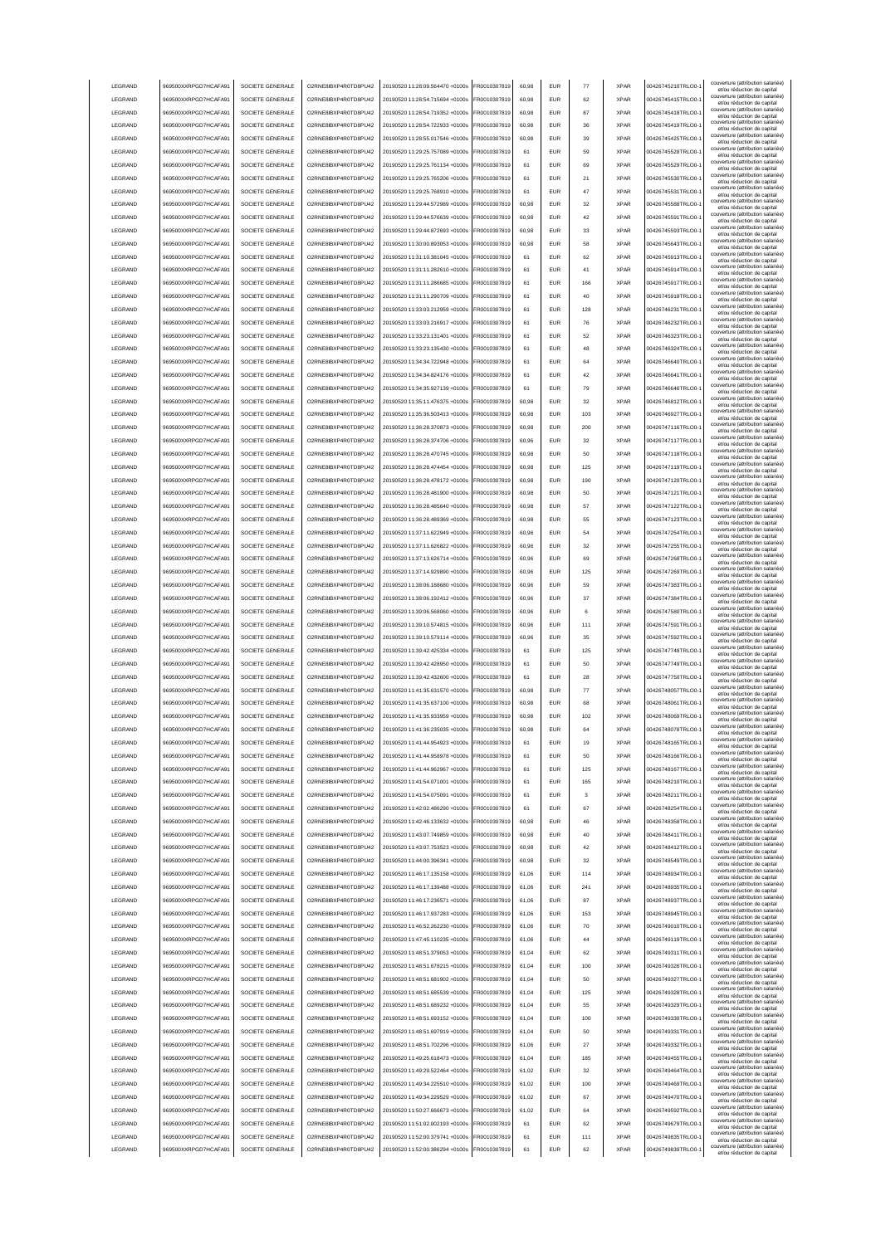| LEGRAND            | 969500XXRPGD7HCAFA91                         | SOCIETE GENERALE                     | O2RNE8IBXP4R0TD8PU42                         | 20190520 11:28:09.564470 +0100s                                    | FR0010307819                 | 60.98          | <b>EUR</b>               | 77        | <b>XPAR</b>                | 00426745210TRLO0-                      | couverture (attribution salariée<br>et/ou réduction de capital                                       |
|--------------------|----------------------------------------------|--------------------------------------|----------------------------------------------|--------------------------------------------------------------------|------------------------------|----------------|--------------------------|-----------|----------------------------|----------------------------------------|------------------------------------------------------------------------------------------------------|
| LEGRAND            | 969500XXRPGD7HCAFA91                         | SOCIETE GENERALE                     | O2RNE8IBXP4R0TD8PU42                         | 20190520 11:28:54.715694 +0100s                                    | FR0010307819                 | 60.98          | <b>EUR</b>               | 62        | <b>XPAR</b>                | 00426745415TRLO0-                      | couverture (attribution salariée)<br>et/ou réduction de capital                                      |
| LEGRAND            | 969500XXRPGD7HCAFA91                         | SOCIETE GENERALE                     | O2RNE8IBXP4R0TD8PU42                         | 20190520 11:28:54.719352 +0100s                                    | FR0010307819                 | 60.98          | <b>EUR</b>               | 87        | <b>XPAR</b>                | 00426745418TRLO0-                      | couverture (attribution salariée)<br>et/ou réduction de capital                                      |
| LEGRAND            | 969500XXRPGD7HCAFA91                         | SOCIETE GENERALE                     | O2RNE8IBXP4R0TD8PU42                         | 20190520 11:28:54.722933 +0100s                                    | FR0010307819                 | 60,98          | EUR                      | 36        | <b>XPAR</b>                | 00426745419TRLO0-                      | couverture (attribution salariée)<br>et/ou réduction de capital                                      |
| LEGRAND            | 969500XXRPGD7HCAFA91                         | SOCIETE GENERALE                     | O2RNE8IBXP4R0TD8PU42                         | 20190520 11:28:55.017546 +0100s                                    | FR0010307819                 | 60,98          | EUR                      | 39        | <b>XPAR</b>                | 00426745425TRLO0-                      | couverture (attribution salariée)<br>et/ou réduction de capital                                      |
| LEGRAND            | 969500XXRPGD7HCAFA91                         | SOCIETE GENERALE                     | O2RNE8IBXP4R0TD8PU42                         | 20190520 11:29:25.757089 +0100s                                    | FR0010307819                 | 61             | EUR                      | 59        | <b>XPAR</b>                | 00426745528TRLO0-                      | couverture (attribution salariée)<br>et/ou réduction de capital<br>couverture (attribution salariée) |
| LEGRAND            | 969500XXRPGD7HCAFA91                         | SOCIETE GENERALE                     | O2RNE8IBXP4R0TD8PU42                         | 20190520 11:29:25.761134 +0100s                                    | FR0010307819                 | 61             | EUR                      | 69        | <b>XPAR</b>                | 00426745529TRLO0-                      | et/ou réduction de capital<br>couverture (attribution salariée)                                      |
| LEGRAND            | 969500XXRPGD7HCAFA91                         | SOCIETE GENERALE                     | O2RNE8IBXP4R0TD8PU42                         | 20190520 11:29:25.765206 +0100s                                    | FR0010307819                 | 61             | EUR                      | 21        | <b>XPAR</b>                | 00426745530TRLO0-                      | et/ou réduction de capital<br>couverture (attribution salariée)                                      |
| LEGRAND            | 969500XXRPGD7HCAFA91                         | SOCIETE GENERALE                     | O2RNE8IBXP4R0TD8PU42                         | 20190520 11:29:25.768910 +0100s                                    | FR0010307819                 | 61             | EUR                      | 47        | <b>XPAR</b>                | 00426745531TRLO0-                      | et/ou réduction de capital<br>couverture (attribution salariée)                                      |
| LEGRAND            | 969500XXRPGD7HCAFA91                         | SOCIETE GENERALE                     | O2RNE8IBXP4R0TD8PU42                         | 20190520 11:29:44.572989 +0100s                                    | FR0010307819                 | 60,98          | EUR                      | 32        | <b>XPAR</b>                | 00426745588TRLO0-                      | et/ou réduction de capital<br>couverture (attribution salariée)                                      |
| LEGRAND            | 969500XXRPGD7HCAFA91                         | SOCIETE GENERALE                     | O2RNE8IBXP4R0TD8PU42                         | 20190520 11:29:44.576639 +0100s                                    | FR0010307819                 | 60,98          | <b>FUR</b>               | 42        | <b>XPAR</b>                | 00426745591TRLO0-                      | et/ou réduction de capital<br>couverture (attribution salariée)                                      |
| LEGRAND            | 969500XXRPGD7HCAFA91                         | SOCIETE GENERALE                     | O2RNE8IBXP4R0TD8PU42                         | 20190520 11:29:44 872693 +0100s                                    | FR0010307819                 | 60,98          | <b>EUR</b>               | 33        | <b>XPAR</b>                | 00426745593TRLO0-                      | et/ou réduction de capital<br>couverture (attribution salariée)                                      |
| LEGRAND            | 969500XXRPGD7HCAFA91                         | SOCIETE GENERALE                     | O2RNE8IBXP4R0TD8PU42                         | 20190520 11:30:00.893053 +0100s                                    | FR0010307819                 | 60,98          | <b>EUR</b>               | 58        | <b>XPAR</b>                | 00426745643TRLO0-                      | et/ou réduction de capital<br>couverture (attribution salariée)                                      |
| LEGRAND            | 969500XXRPGD7HCAFA91                         | SOCIETE GENERALE                     | O2RNE8IBXP4R0TD8PU42                         | 20190520 11:31:10.381045 +0100s                                    | FR0010307819                 | 61             | EUR                      | 62        | <b>XPAR</b>                | 00426745913TRLO0-                      | et/ou réduction de capital<br>couverture (attribution salariée)                                      |
| LEGRAND            | 969500XXRPGD7HCAFA91                         | SOCIETE GENERALE                     | O2RNE8IBXP4R0TD8PU42                         | 20190520 11:31:11.282610 +0100s                                    | FR0010307819                 | 61             | <b>EUR</b>               | 41        | <b>XPAR</b>                | 00426745914TRLO0-                      | et/ou réduction de capital<br>couverture (attribution salariée)                                      |
| LEGRAND            | 969500XXRPGD7HCAFA91                         | SOCIETE GENERALE<br>SOCIETE GENERALE | O2RNE8IBXP4R0TD8PU42                         | 20190520 11:31:11.286685 +0100s                                    | FR0010307819                 | 61             | <b>EUR</b><br>EUR        | 166<br>40 | <b>XPAR</b><br><b>XPAR</b> | 00426745917TRLO0-<br>00426745918TRLO0- | et/ou réduction de capital<br>couverture (attribution salariée)                                      |
| LEGRAND<br>LEGRAND | 969500XXRPGD7HCAFA91<br>969500XXRPGD7HCAFA91 | SOCIETE GENERALE                     | O2RNE8IBXP4R0TD8PU42<br>O2RNE8IBXP4R0TD8PU42 | 20190520 11:31:11.290709 +0100s<br>20190520 11:33:03.212959 +0100s | FR0010307819<br>FR0010307819 | 61<br>61       | EUR                      | 128       | <b>XPAR</b>                | 00426746231TRLO0-                      | et/ou réduction de capital<br>couverture (attribution salariée)                                      |
| LEGRAND            | 969500XXRPGD7HCAFA91                         | SOCIETE GENERALE                     | O2RNE8IBXP4R0TD8PU42                         | 20190520 11:33:03.216917 +0100s                                    | FR0010307819                 | 61             | EUR                      | 76        | <b>XPAR</b>                | 00426746232TRLO0-                      | et/ou réduction de capital<br>couverture (attribution salariée)                                      |
| LEGRAND            | 969500XXRPGD7HCAFA91                         | SOCIETE GENERALE                     | O2RNE8IBXP4R0TD8PU42                         | 20190520 11:33:23.131401 +0100s                                    | FR0010307819                 | 61             | EUR                      | 52        | <b>XPAR</b>                | 00426746323TRLO0-                      | et/ou réduction de capital<br>couverture (attribution salariée)                                      |
| LEGRAND            | 969500XXRPGD7HCAFA91                         | SOCIETE GENERALE                     | O2RNE8IBXP4R0TD8PU42                         | 20190520 11:33:23.135430 +0100s                                    | FR0010307819                 | 61             | <b>EUR</b>               | 48        | <b>XPAR</b>                | 00426746324TRLO0-                      | et/ou réduction de capital<br>couverture (attribution salariée)                                      |
| LEGRAND            | 969500XXRPGD7HCAFA91                         | SOCIETE GENERALE                     | O2RNE8IBXP4R0TD8PU42                         | 20190520 11:34:34.722948 +0100s                                    | FR0010307819                 | 61             | EUR                      | 64        | <b>XPAR</b>                | 00426746640TRLO0-                      | et/ou réduction de capital<br>couverture (attribution salariée)                                      |
| LEGRAND            | 969500XXRPGD7HCAFA91                         | SOCIETE GENERALE                     | O2RNE8IBXP4R0TD8PU42                         | 20190520 11:34:34.824176 +0100s                                    | FR0010307819                 | 61             | EUR                      | 42        | <b>XPAR</b>                | 00426746641TRLO0-                      | et/ou réduction de capital<br>couverture (attribution salariée)                                      |
| LEGRAND            | 969500XXRPGD7HCAFA91                         | SOCIETE GENERALE                     | O2RNE8IBXP4R0TD8PLI42                        | 20190520 11:34:35.927139 +0100s                                    | FR0010307819                 | 61             | <b>EUR</b>               | 79        | <b>XPAR</b>                | 00426746646TRLO0-                      | et/ou réduction de capital<br>couverture (attribution salariée)                                      |
| LEGRAND            | 969500XXRPGD7HCAFA91                         | SOCIETE GENERALE                     | O2RNE8IBXP4R0TD8PU42                         | 20190520 11:35:11.476375 +0100s                                    | FR0010307819                 | 60,98          | <b>EUR</b>               | 32        | <b>XPAR</b>                | 00426746812TRLO0-                      | et/ou réduction de capital<br>couverture (attribution salariée)                                      |
| LEGRAND            | 969500XXRPGD7HCAFA91                         | SOCIETE GENERALE                     | O2RNE8IBXP4R0TD8PU42                         | 20190520 11:35:36.503413 +0100s                                    | FR0010307819                 | 60,98          | <b>EUR</b>               | 103       | <b>XPAR</b>                | 00426746927TRLO0-                      | et/ou réduction de capital<br>couverture (attribution salariée)<br>et/ou réduction de capital        |
| LEGRAND            | 969500XXRPGD7HCAFA91                         | SOCIETE GENERALE                     | O2RNE8IBXP4R0TD8PU42                         | 20190520 11:36:28 370873 +0100s                                    | FR0010307819                 | 60.98          | <b>EUR</b>               | 200       | <b>XPAR</b>                | 00426747116TRLO0-                      | couverture (attribution salariée)<br>et/ou réduction de capital                                      |
| LEGRAND            | 969500XXRPGD7HCAFA91                         | SOCIETE GENERALE                     | O2RNE8IBXP4R0TD8PU42                         | 20190520 11:36:28.374706 +0100s                                    | FR0010307819                 | 60.96          | <b>EUR</b>               | 32        | <b>XPAR</b>                | 00426747117TRLO0-                      | couverture (attribution salariée)<br>et/ou réduction de capital                                      |
| LEGRAND            | 969500XXRPGD7HCAFA91                         | SOCIETE GENERALE                     | O2RNE8IBXP4R0TD8PU42                         | 20190520 11:36:28 470745 +0100s                                    | FR0010307819                 | 60.98          | <b>EUR</b>               | 50        | <b>XPAR</b>                | 00426747118TRLO0-                      | couverture (attribution salariée)<br>et/ou réduction de capital                                      |
| LEGRAND            | 969500XXRPGD7HCAFA91                         | SOCIETE GENERALE                     | O2RNE8IBXP4R0TD8PU42                         | 20190520 11:36:28.474454 +0100s                                    | FR0010307819                 | 60,98          | EUR                      | 125       | <b>XPAR</b>                | 00426747119TRLO0-                      | couverture (attribution salariée)<br>et/ou réduction de capital                                      |
| LEGRAND            | 969500XXRPGD7HCAFA91                         | SOCIETE GENERALE                     | O2RNE8IBXP4R0TD8PU42                         | 20190520 11:36:28.478172 +0100s                                    | FR0010307819                 | 60,98          | EUR                      | 190       | <b>XPAR</b>                | 00426747120TRLO0-                      | couverture (attribution salariée)<br>et/ou réduction de capital                                      |
| LEGRAND            | 969500XXRPGD7HCAFA91                         | SOCIETE GENERALE                     | O2RNE8IBXP4R0TD8PU42                         | 20190520 11:36:28.481900 +0100s                                    | FR0010307819                 | 60,98          | EUR                      | 50        | <b>XPAR</b>                | 00426747121TRLO0-                      | couverture (attribution salariée)<br>et/ou réduction de capital                                      |
| LEGRAND            | 969500XXRPGD7HCAFA91                         | SOCIETE GENERALE                     | O2RNE8IBXP4R0TD8PU42                         | 20190520 11:36:28.485640 +0100s                                    | R0010307819                  | 60,98          | <b>EUR</b>               | 57        | <b>XPAR</b>                | 00426747122TRLO0-                      | couverture (attribution salariée)<br>et/ou réduction de capital                                      |
| LEGRAND            | 969500XXRPGD7HCAFA91                         | SOCIETE GENERALE                     | O2RNE8IBXP4R0TD8PU42                         | 20190520 11:36:28.489369 +0100s                                    | R0010307819                  | 60,98          | EUR                      | 55        | <b>XPAR</b>                | 00426747123TRLO0-                      | couverture (attribution salariée)<br>et/ou réduction de capital                                      |
| LEGRAND            | 969500XXRPGD7HCAFA91                         | SOCIETE GENERALE                     | O2RNE8IBXP4R0TD8PU42                         | 20190520 11:37:11.622949 +0100s                                    | R0010307819                  | 60,96          | EUR                      | 54        | <b>XPAR</b>                | 00426747254TRLO0-                      | couverture (attribution salariée)<br>et/ou réduction de capital                                      |
| LEGRAND            | 969500XXRPGD7HCAFA91                         | SOCIETE GENERALE                     | O2RNE8IBXP4R0TD8PU42                         | 20190520 11:37:11.626822 +0100s                                    | FR0010307819                 | 60.96          | <b>EUR</b>               | 32        | <b>XPAR</b>                | 00426747255TRLO0-                      | couverture (attribution salariée)<br>et/ou réduction de capital                                      |
| LEGRAND            | 969500XXRPGD7HCAFA91                         | SOCIETE GENERALE                     | O2RNE8IBXP4R0TD8PU42                         | 20190520 11:37:13.626714 +0100s                                    | FR0010307819                 | 60,96          | <b>EUR</b>               | 69        | <b>XPAR</b>                | 00426747268TRLO0-                      | couverture (attribution salariée)<br>et/ou réduction de capital                                      |
| LEGRAND            | 969500XXRPGD7HCAFA91                         | SOCIETE GENERALE                     | O2RNE8IBXP4R0TD8PU42                         | 20190520 11:37:14.929890 +0100s                                    | FR0010307819                 | 60,96          | <b>FUR</b>               | 125       | <b>XPAR</b>                | 00426747269TRLO0-                      | couverture (attribution salariée)<br>et/ou réduction de capital                                      |
| LEGRAND            | 969500XXRPGD7HCAFA91                         | SOCIETE GENERALE                     | O2RNE8IBXP4R0TD8PU42                         | 20190520 11:38:06.188680 +0100s                                    | FR0010307819                 | 60,96          | <b>EUR</b>               | 59        | <b>XPAR</b>                | 00426747383TRLO0-                      | couverture (attribution salariée)<br>et/ou réduction de capital                                      |
| LEGRAND            | 969500XXRPGD7HCAFA91                         | SOCIETE GENERALE                     | O2RNE8IBXP4R0TD8PU42                         | 20190520 11:38:06.192412 +0100s                                    | FR0010307819                 | 60.96          | EUR                      | 37        | <b>XPAR</b>                | 00426747384TRLO0-                      | couverture (attribution salariée)<br>et/ou réduction de capital                                      |
| LEGRAND            | 969500XXRPGD7HCAFA91                         | SOCIETE GENERALE                     | O2RNE8IBXP4R0TD8PU42                         | 20190520 11:39:06.568060 +0100s                                    | FR0010307819                 | 60.96          | EUR                      | 6         | <b>XPAR</b>                | 00426747580TRLO0-                      | couverture (attribution salariée)<br>et/ou réduction de capital                                      |
| LEGRAND            | 969500XXRPGD7HCAFA91                         | SOCIETE GENERALE                     | O2RNE8IBXP4R0TD8PU42                         | 20190520 11:39:10.574815 +0100s                                    | FR0010307819                 | 60.96          | <b>EUR</b>               | 111       | <b>XPAR</b>                | 00426747591TRLO0-                      | couverture (attribution salariée)<br>et/ou réduction de capital                                      |
| LEGRAND            | 969500XXRPGD7HCAFA91                         | SOCIETE GENERALE                     | O2RNE8IBXP4R0TD8PU42                         | 20190520 11:39:10.579114 +0100s                                    | FR0010307819                 | 60,96          | EUR                      | 35        | <b>XPAR</b>                | 00426747592TRLO0-                      | couverture (attribution salariée)<br>et/ou réduction de capital                                      |
| LEGRAND            | 969500XXRPGD7HCAFA91                         | SOCIETE GENERALE                     | O2RNE8IBXP4R0TD8PU42                         | 20190520 11:39:42.425334 +0100s                                    | FR0010307819                 | 61             | EUR                      | 125       | <b>XPAR</b>                | 00426747748TRLO0-                      | couverture (attribution salariée)<br>et/ou réduction de capital                                      |
| LEGRAND            | 969500XXRPGD7HCAFA91                         | SOCIETE GENERALE                     | O2RNE8IBXP4R0TD8PU42                         | 20190520 11:39:42.428950 +0100s                                    | FR0010307819                 | 61             | EUR                      | 50        | <b>XPAR</b>                | 00426747749TRLO0-                      | couverture (attribution salariée)<br>et/ou réduction de capital<br>couverture (attribution salariée) |
| LEGRAND            | 969500XXRPGD7HCAFA9                          | SOCIETE GENERALE                     | O2RNE8IBXP4R0TD8PU42                         | 20190520 11:39:42.432600 +0100s                                    | R0010307819                  | 61             | <b>EUR</b>               | 28        | <b>XPAR</b>                | 00426747750TRLO0-                      | et/ou réduction de capital<br>couverture (attribution salariée)                                      |
| LEGRAND<br>LEGRAND | 969500XXRPGD7HCAFA91<br>969500XXRPGD7HCAFA91 | SOCIETE GENERALE<br>SOCIETE GENERALE | O2RNE8IBXP4R0TD8PU42<br>O2RNE8IBXP4R0TD8PU42 | 20190520 11:41:35.631570 +0100s<br>20190520 11:41:35.637100 +0100s | FR0010307819<br>FR0010307819 | 60,98<br>60,98 | <b>EUR</b><br><b>EUR</b> | 77<br>68  | <b>XPAR</b><br><b>XPAR</b> | 00426748057TRLO0-<br>00426748061TRLO0- | et/ou réduction de capital<br>couverture (attribution salariée)                                      |
| <b>I FGRAND</b>    | 969500XXRPGD7HCAFA91                         | SOCIETE GENERALE                     | O2RNE8IBXP4R0TD8PU42                         | 20190520 11:41:35.933959 +0100s                                    | FR0010307819                 | 60.98          | <b>FUR</b>               | 102       | <b>XPAR</b>                | 00426748069TRLO0-                      | et/ou réduction de capital<br>couverture (attribution salariée)                                      |
| <b>I FGRAND</b>    | 969500XXRPGD7HCAFA91                         | SOCIETE GENERALE                     | O2RNE8IBXP4R0TD8PLI42                        | 20190520 11:41:36 235035 +0100s                                    | FR0010307819                 | 60,98          | <b>EUR</b>               | 64        | <b>XPAR</b>                | 00426748078TRLO0-                      | et/ou réduction de capital<br>couverture (attribution salariée)                                      |
| <b>I FGRAND</b>    | 969500XXRPGD7HCAFA91                         | SOCIETE GENERALE                     | O2RNE8IBXP4R0TD8PU42                         | 20190520 11:41:44 954923 +0100s                                    | FR0010307819                 | 61             | FUR                      | 19        | <b>XPAR</b>                | 00426748165TRLO0-                      | et/ou réduction de capital<br>couverture (attribution salariée)                                      |
| LEGRAND            | 969500XXRPGD7HCAFA91                         | SOCIETE GENERALE                     | O2RNE8IBXP4R0TD8PLI42                        | 20190520 11:41:44.958978 +0100s                                    | FR0010307819                 | 61             | <b>EUR</b>               | 50        | <b>XPAR</b>                | 00426748166TRLO0-                      | et/ou reduction de capita<br>couverture (attribution salariée)                                       |
| LEGRAND            | 969500XXRPGD7HCAFA91                         | SOCIETE GENERALE                     | O2RNE8IBXP4R0TD8PU42                         | 20190520 11:41:44.962967 +0100s                                    | FR0010307819                 | 61             | <b>EUR</b>               | 125       | <b>XPAR</b>                | 00426748167TRLO0-                      | et/ou réduction de capital<br>couverture (attribution salariée)<br>et/ou réduction de capital        |
| LEGRAND            | 969500XXRPGD7HCAFA91                         | SOCIETE GENERALE                     | O2RNE8IBXP4R0TD8PU42                         | 20190520 11:41:54.071001 +0100s                                    | FR0010307819                 | 61             | <b>EUR</b>               | 165       | <b>XPAR</b>                | 00426748210TRLO0-                      | couverture (attribution salariée)<br>et/ou réduction de capital                                      |
| LEGRAND            | 969500XXRPGD7HCAFA91                         | SOCIETE GENERALE                     | O2RNE8IBXP4R0TD8PU42                         | 20190520 11:41:54 075091 +0100s                                    | FR0010307819                 | 61             | <b>EUR</b>               | 3         | <b>XPAR</b>                | 00426748211TRLO0-                      | couverture (attribution salariée)<br>et/ou réduction de capital                                      |
| LEGRAND            | 969500XXRPGD7HCAFA91                         | SOCIETE GENERALE                     | O2RNE8IBXP4R0TD8PU42                         | 20190520 11:42:02.486290 +0100s                                    | FR0010307819                 | 61             | EUR                      | 67        | <b>XPAR</b>                | 00426748254TRLO0-                      | couverture (attribution salariée)<br>et/ou réduction de capital                                      |
| LEGRAND            | 969500XXRPGD7HCAFA91                         | SOCIETE GENERALE                     | O2RNE8IBXP4R0TD8PU42                         | 20190520 11:42:46.133632 +0100s                                    | FR0010307819                 | 60,98          | EUR                      | $\bf 46$  | <b>XPAR</b>                | 00426748358TRLO0-                      | couverture (attribution salariée)<br>et/ou réduction de capital                                      |
| LEGRAND            | 969500XXRPGD7HCAFA91                         | SOCIETE GENERALE                     | O2RNE8IBXP4R0TD8PU42                         | 20190520 11:43:07.749859 +0100s                                    | FR0010307819                 | 60,98          | EUR                      | 40        | <b>XPAR</b>                | 00426748411TRLO0-                      | couverture (attribution salariée)<br>et/ou réduction de capital                                      |
| LEGRAND            | 969500XXRPGD7HCAFA91                         | SOCIETE GENERALE                     | O2RNE8IBXP4R0TD8PU42                         | 20190520 11:43:07.753523 +0100s                                    | FR0010307819                 | 60,98          | <b>EUR</b>               | 42        | <b>XPAR</b>                | 00426748412TRLO0-                      | couverture (attribution salariée)<br>et/ou réduction de capital                                      |
| LEGRAND            | 969500XXRPGD7HCAFA91                         | SOCIETE GENERALE                     | O2RNE8IBXP4R0TD8PU42                         | 20190520 11:44:00.396341 +0100s                                    | FR0010307819                 | 60,98          | <b>EUR</b>               | 32        | <b>XPAR</b>                | 00426748549TRLO0-                      | couverture (attribution salariée)<br>et/ou réduction de capital                                      |
| LEGRAND            | 969500XXRPGD7HCAFA91                         | SOCIETE GENERALE                     | O2RNE8IBXP4R0TD8PU42                         | 20190520 11:46:17.135158 +0100s                                    | FR0010307819                 | 61,06          | <b>EUR</b>               | 114       | <b>XPAR</b>                | 00426748934TRLO0-                      | couverture (attribution salariée)<br>et/ou réduction de capital                                      |
| LEGRAND            | 969500XXRPGD7HCAFA91                         | SOCIETE GENERALE                     | O2RNE8IBXP4R0TD8PU42                         | 20190520 11:46:17.139488 +0100s                                    | FR0010307819                 | 61,06          | <b>EUR</b>               | 241       | <b>XPAR</b>                | 00426748935TRLO0-                      | couverture (attribution salariée)<br>et/ou réduction de capital                                      |
| LEGRAND            | 969500XXRPGD7HCAFA91                         | SOCIETE GENERALE                     | O2RNE8IBXP4R0TD8PU42                         | 20190520 11:46:17.236571 +0100s                                    | FR0010307819                 | 61,06          | <b>EUR</b>               | 87        | <b>XPAR</b>                | 00426748937TRLO0-                      | couverture (attribution salariée)<br>et/ou réduction de capital                                      |
| LEGRAND            |                                              |                                      |                                              |                                                                    |                              |                |                          |           |                            | 00426748945TRLO0-                      | couverture (attribution salariée)                                                                    |
| LEGRAND            | 969500XXRPGD7HCAFA91                         | SOCIETE GENERALE                     | O2RNE8IBXP4R0TD8PU42                         | 20190520 11:46:17.937283 +0100s                                    | FR0010307819                 | 61,06          | <b>EUR</b>               | 153       | <b>XPAR</b>                |                                        | et/ou réduction de capital                                                                           |
| LEGRAND            | 969500XXRPGD7HCAFA91                         | SOCIETE GENERALE                     | O2RNE8IBXP4R0TD8PU42                         | 20190520 11:46:52 262230 +0100s                                    | FR0010307819                 | 61.06          | <b>EUR</b>               | 70        | <b>XPAR</b>                | 00426749010TRLO0-                      | couverture (attribution salariée)<br>et/ou réduction de capital                                      |
|                    | 969500XXRPGD7HCAFA91                         | SOCIETE GENERALE                     | O2RNE8IBXP4R0TD8PU42                         | 20190520 11:47:45.110235 +0100s                                    | FR0010307819                 | 61.06          | <b>EUR</b>               | 44        | <b>XPAR</b>                | 00426749119TRLO0-                      | couverture (attribution salariée)<br>et/ou réduction de capital                                      |
| LEGRAND            | 969500XXRPGD7HCAFA91                         | SOCIETE GENERALE                     | O2RNE8IBXP4R0TD8PU42                         | 20190520 11:48:51.379053 +0100s                                    | FR0010307819                 | 61.04          | <b>EUR</b>               | 62        | <b>XPAR</b>                | 00426749311TRLO0-                      | couverture (attribution salariée)<br>et/ou réduction de capital                                      |
| LEGRAND            | 969500XXRPGD7HCAFA91                         | SOCIETE GENERALE                     | O2RNE8IBXP4R0TD8PU42                         | 20190520 11:48:51.678215 +0100s                                    | FR0010307819                 | 61,04          | EUR                      | 100       | <b>XPAR</b>                | 00426749326TRLO0-                      | couverture (attribution salariée)<br>et/ou réduction de capital                                      |
| LEGRAND            | 969500XXRPGD7HCAFA91                         | SOCIETE GENERALE                     | O2RNE8IBXP4R0TD8PU42                         | 20190520 11:48:51.681902 +0100s                                    | FR0010307819                 | 61,04          | EUR                      | 50        | <b>XPAR</b>                | 00426749327TRLO0-                      | couverture (attribution salariée)<br>et/ou réduction de capital                                      |
| LEGRAND            | 969500XXRPGD7HCAFA91                         | SOCIETE GENERALE                     | O2RNE8IBXP4R0TD8PU42                         | 20190520 11:48:51.685539 +0100s                                    | FR0010307819                 | 61,04          | EUR                      | 125       | <b>XPAR</b>                | 00426749328TRLO0-                      | couverture (attribution salariée)<br>et/ou réduction de capital<br>couverture (attribution salariée) |
| LEGRAND            | 969500XXRPGD7HCAFA91                         | SOCIETE GENERALE                     | O2RNE8IBXP4R0TD8PU42                         | 20190520 11:48:51.689232 +0100s                                    | FR0010307819                 | 61,04          | <b>EUR</b>               | 55        | <b>XPAR</b>                | 00426749329TRLO0-                      | et/ou réduction de capital<br>couverture (attribution salariée)                                      |
| LEGRAND            | 969500XXRPGD7HCAFA91                         | SOCIETE GENERALE                     | O2RNE8IBXP4R0TD8PU42                         | 20190520 11:48:51.693152 +0100s                                    | FR0010307819                 | 61,04          | <b>EUR</b>               | 100       | <b>XPAR</b>                | 00426749330TRLO0-                      | et/ou réduction de capital<br>couverture (attribution salariée)                                      |
| LEGRAND            | 969500XXRPGD7HCAFA91                         | SOCIETE GENERALE                     | O2RNE8IBXP4R0TD8PU42                         | 20190520 11:48:51.697919 +0100s                                    | FR0010307819                 | 61,04          | <b>EUR</b>               | 50        | <b>XPAR</b>                | 00426749331TRLO0-                      | et/ou réduction de capital<br>couverture (attribution salariée)                                      |
| LEGRAND            | 969500XXRPGD7HCAFA91                         | SOCIETE GENERALE                     | O2RNE8IBXP4R0TD8PU42                         | 20190520 11:48:51.702296 +0100s                                    | FR0010307819                 | 61,06          | <b>EUR</b>               | 27        | <b>XPAR</b>                | 00426749332TRLO0-                      | et/ou réduction de capital<br>couverture (attribution salariée)                                      |
| LEGRAND            | 969500XXRPGD7HCAFA91                         | SOCIETE GENERALE                     | O2RNE8IBXP4R0TD8PU42                         | 20190520 11:49:25.618473 +0100s                                    | FR0010307819                 | 61,04          | <b>EUR</b>               | 185       | <b>XPAR</b>                | 00426749455TRLO0-                      | et/ou réduction de capital<br>couverture (attribution salariée)                                      |
| LEGRAND            | 969500XXRPGD7HCAFA91                         | SOCIETE GENERALE                     | O2RNE8IBXP4R0TD8PU42                         | 20190520 11:49:29.522464 +0100s                                    | FR0010307819                 | 61,02          | <b>EUR</b>               | 32        | <b>XPAR</b><br><b>XPAR</b> | 00426749464TRLO0-                      | et/ou réduction de capital<br>couverture (attribution salariée)                                      |
| LEGRAND<br>LEGRAND | 969500XXRPGD7HCAFA91<br>969500XXRPGD7HCAFA91 | SOCIETE GENERALE                     | O2RNE8IBXP4R0TD8PU42<br>O2RNE8IBXP4R0TD8PU42 | 20190520 11:49:34.225510 +0100s<br>20190520 11:49:34.229529 +0100s | FR0010307819<br>FR0010307819 | 61,02<br>61.02 | <b>EUR</b><br><b>EUR</b> | 100<br>67 | <b>XPAR</b>                | 00426749469TRLO0-<br>00426749470TRLO0- | et/ou réduction de capital<br>couverture (attribution salariée)                                      |
| LEGRAND            | 969500XXRPGD7HCAFA91                         | SOCIETE GENERALE<br>SOCIETE GENERALE | O2RNE8IBXP4R0TD8PU42                         | 20190520 11:50:27.666673 +0100s                                    | FR0010307819                 | 61.02          | <b>EUR</b>               | 64        | <b>XPAR</b>                | 00426749592TRLO0-                      | et/ou réduction de capital<br>couverture (attribution salariée)                                      |
| LEGRAND            | 969500XXRPGD7HCAFA91                         | SOCIETE GENERALE                     | O2RNE8IBXP4R0TD8PU42                         | 20190520 11:51:02.002193 +0100s                                    | FR0010307819                 | 61             | <b>EUR</b>               | 62        | <b>XPAR</b>                | 00426749679TRLO0-                      | et/ou réduction de capital<br>couverture (attribution salariée)                                      |
| LEGRAND            | 969500XXRPGD7HCAFA91                         | SOCIETE GENERALE                     | O2RNE8IBXP4R0TD8PU42                         | 20190520 11:52:00.379741 +0100s                                    | FR0010307819                 | 61             | <b>EUR</b>               | 111       | <b>XPAR</b>                | 00426749835TRLO0-                      | et/ou réduction de capital<br>couverture (attribution salariée)                                      |
| LEGRAND            | 969500XXRPGD7HCAFA91                         | SOCIETE GENERALE                     | O2RNE8IBXP4R0TD8PU42                         | 20190520 11:52:00.386294 +0100s                                    | FR0010307819                 | 61             | <b>EUR</b>               | 62        | <b>XPAR</b>                | 00426749839TRLO0-                      | et/ou réduction de capital<br>couverture (attribution salariée)<br>et/ou réduction de capital        |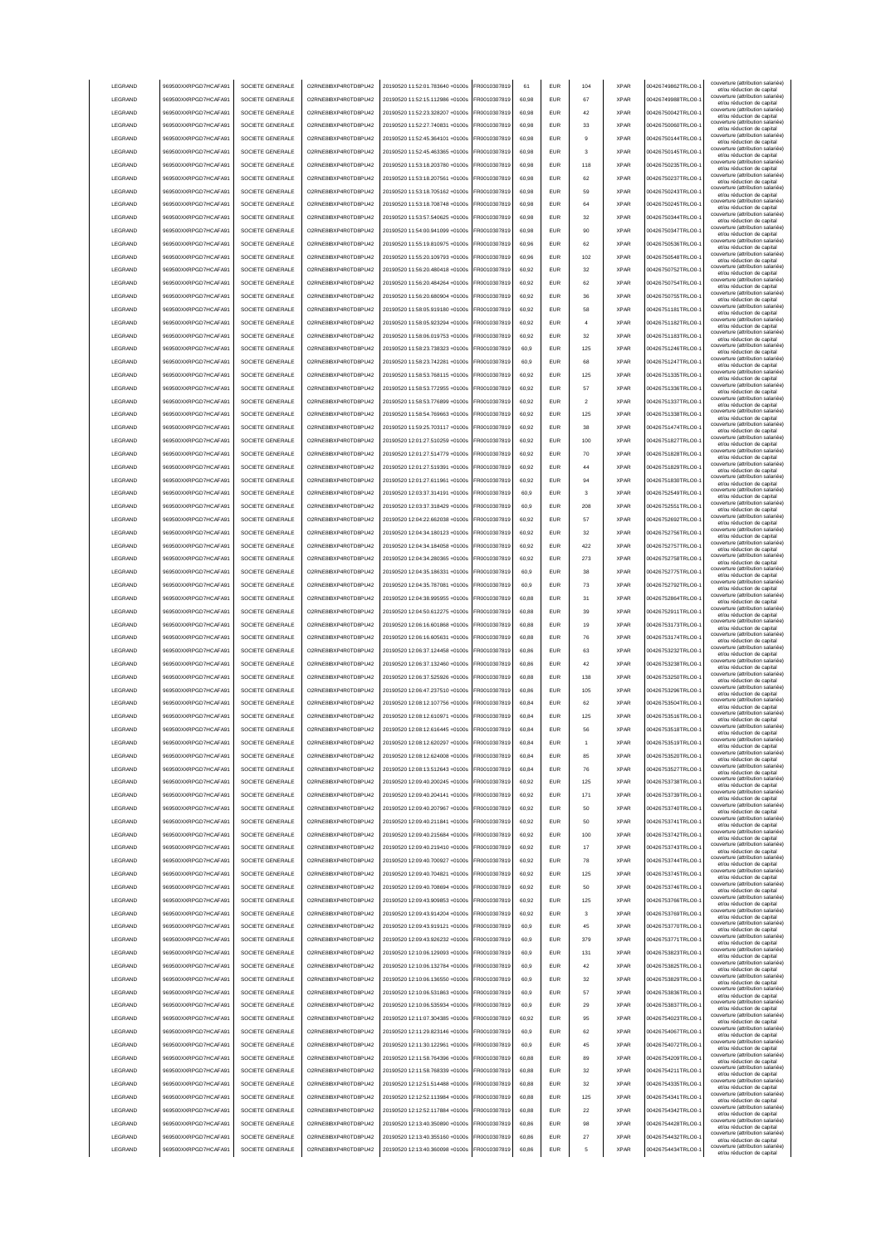|                 | 969500XXRPGD7HCAFA91 | SOCIETE GENERALE | O2RNE8IBXP4R0TD8PU42  | 20190520 11:52:01.783640 +0100s | FR0010307819 | 61    | <b>EUR</b> | 104            | <b>XPAR</b> | 00426749862TRLO0-  | couverture (attribution salariée<br>et/ou réduction de capital                                       |
|-----------------|----------------------|------------------|-----------------------|---------------------------------|--------------|-------|------------|----------------|-------------|--------------------|------------------------------------------------------------------------------------------------------|
| LEGRAND         | 969500XXRPGD7HCAFA91 | SOCIETE GENERALE | O2RNE8IBXP4R0TD8PU42  | 20190520 11:52:15.112986 +0100s | FR0010307819 | 60.98 | <b>EUR</b> | 67             | <b>XPAR</b> | 00426749988TRLO0-  | couverture (attribution salariée)<br>et/ou réduction de capital                                      |
| LEGRAND         | 969500XXRPGD7HCAFA91 | SOCIETE GENERALE | O2RNE8IBXP4R0TD8PU42  | 20190520 11:52:23.328207 +0100s | FR0010307819 | 60.98 | <b>EUR</b> | 42             | <b>XPAR</b> | 00426750042TRLO0-  | couverture (attribution salariée)<br>et/ou réduction de capital                                      |
| LEGRAND         | 969500XXRPGD7HCAFA91 | SOCIETE GENERALE | O2RNE8IBXP4R0TD8PU42  | 20190520 11:52:27.740831 +0100s | FR0010307819 | 60,98 | EUR        | 33             | <b>XPAR</b> | 00426750060TRLO0-  | couverture (attribution salariée)<br>et/ou réduction de capital                                      |
| LEGRAND         | 969500XXRPGD7HCAFA91 | SOCIETE GENERALE | O2RNE8IBXP4R0TD8PU42  | 20190520 11:52:45.364101 +0100s | FR0010307819 | 60,98 | EUR        | 9              | <b>XPAR</b> | 00426750144TRLO0-  | couverture (attribution salariée)<br>et/ou réduction de capital                                      |
| LEGRAND         | 969500XXRPGD7HCAFA91 | SOCIETE GENERALE | O2RNE8IBXP4R0TD8PU42  | 20190520 11:52:45.463365 +0100s | FR0010307819 | 60,98 | EUR        | 3              | <b>XPAR</b> | 00426750145TRLO0-  | couverture (attribution salariée)<br>et/ou réduction de capital                                      |
| LEGRAND         | 969500XXRPGD7HCAFA91 | SOCIETE GENERALE | O2RNE8IBXP4R0TD8PU42  | 20190520 11:53:18.203780 +0100s | FR0010307819 | 60,98 | EUR        | 118            | <b>XPAR</b> | 00426750235TRLO0-  | couverture (attribution salariée)<br>et/ou réduction de capital                                      |
| LEGRAND         | 969500XXRPGD7HCAFA91 | SOCIETE GENERALE | O2RNE8IBXP4R0TD8PU42  | 20190520 11:53:18.207561 +0100s | R0010307819  | 60,98 | EUR        | 62             | <b>XPAR</b> | 00426750237TRLO0-  | couverture (attribution salariée)<br>et/ou réduction de capital                                      |
| LEGRAND         | 969500XXRPGD7HCAFA91 | SOCIETE GENERALE | O2RNE8IBXP4R0TD8PU42  | 20190520 11:53:18.705162 +0100s | FR0010307819 | 60,98 | EUR        | 59             | <b>XPAR</b> | 00426750243TRLO0-  | couverture (attribution salariée)<br>et/ou réduction de capital                                      |
| LEGRAND         | 969500XXRPGD7HCAFA91 | SOCIETE GENERALE | O2RNE8IBXP4R0TD8PU42  | 20190520 11:53:18.708748 +0100s | FR0010307819 | 60,98 | EUR        | 64             | <b>XPAR</b> | 00426750245TRLO0-  | couverture (attribution salariée)<br>et/ou réduction de capital                                      |
| LEGRAND         | 969500XXRPGD7HCAFA91 | SOCIETE GENERALE | O2RNE8IBXP4R0TD8PU42  | 20190520 11:53:57.540625 +0100s | FR0010307819 | 60,98 | <b>EUR</b> | 32             | <b>XPAR</b> | 00426750344TRLO0-  | couverture (attribution salariée)<br>et/ou réduction de capital                                      |
| LEGRAND         | 969500XXRPGD7HCAFA91 | SOCIETE GENERALE | O2RNE8IBXP4R0TD8PU42  | 20190520 11:54:00.941099 +0100s | FR0010307819 | 60,98 | <b>EUR</b> | 90             | <b>XPAR</b> | 00426750347TRLO0-  | couverture (attribution salariée)<br>et/ou réduction de capital                                      |
| LEGRAND         | 969500XXRPGD7HCAFA91 | SOCIETE GENERALE | O2RNE8IBXP4R0TD8PU42  | 20190520 11:55:19.810975 +0100s | FR0010307819 | 60,96 | <b>EUR</b> | 62             | <b>XPAR</b> | 00426750536TRLO0-  | couverture (attribution salariée)<br>et/ou réduction de capital                                      |
| LEGRAND         | 969500XXRPGD7HCAFA91 | SOCIETE GENERALE | O2RNE8IBXP4R0TD8PU42  | 20190520 11:55:20.109793 +0100s | FR0010307819 | 60.96 | EUR        | 102            | <b>XPAR</b> | 00426750548TRLO0-  | couverture (attribution salariée)<br>et/ou réduction de capital                                      |
| LEGRAND         | 969500XXRPGD7HCAFA91 | SOCIETE GENERALE | O2RNE8IBXP4R0TD8PU42  | 20190520 11:56:20.480418 +0100s | FR0010307819 | 60.92 | <b>EUR</b> | 32             | <b>XPAR</b> | 00426750752TRLO0-  | couverture (attribution salariée)<br>et/ou réduction de capital                                      |
| LEGRAND         | 969500XXRPGD7HCAFA91 | SOCIETE GENERALE | O2RNE8IBXP4R0TD8PU42  | 20190520 11:56:20.484264 +0100s | FR0010307819 | 60.92 | <b>EUR</b> | 62             | <b>XPAR</b> | 00426750754TRLO0-  | couverture (attribution salariée)<br>et/ou réduction de capital                                      |
| LEGRAND         | 969500XXRPGD7HCAFA91 | SOCIETE GENERALE | O2RNE8IBXP4R0TD8PU42  | 20190520 11:56:20.680904 +0100s | FR0010307819 | 60,92 | EUR        | 36             | <b>XPAR</b> | 00426750755TRLO0-  | couverture (attribution salariée)<br>et/ou réduction de capital                                      |
| LEGRAND         | 969500XXRPGD7HCAFA91 | SOCIETE GENERALE | O2RNE8IBXP4R0TD8PU42  | 20190520 11:58:05.919180 +0100s | FR0010307819 | 60,92 | EUR        | 58             | <b>XPAR</b> | 00426751181TRLO0-  | couverture (attribution salariée)<br>et/ou réduction de capital                                      |
| LEGRAND         | 969500XXRPGD7HCAFA91 | SOCIETE GENERALE | O2RNE8IBXP4R0TD8PU42  | 20190520 11:58:05.923294 +0100s | FR0010307819 | 60,92 | EUR        |                | <b>XPAR</b> | 00426751182TRLO0-  | couverture (attribution salariée)<br>et/ou réduction de capital                                      |
| LEGRAND         | 969500XXRPGD7HCAFA91 | SOCIETE GENERALE | O2RNE8IBXP4R0TD8PU42  | 20190520 11:58:06.019753 +0100s | FR0010307819 | 60,92 | EUR        | 32             | <b>XPAR</b> | 00426751183TRLO0-  | couverture (attribution salariée)<br>et/ou réduction de capital                                      |
| LEGRAND         | 969500XXRPGD7HCAFA91 | SOCIETE GENERALE | O2RNE8IBXP4R0TD8PU42  | 20190520 11:58:23.738323 +0100s | FR0010307819 | 60,9  | EUR        | 125            | <b>XPAR</b> | 00426751246TRLO0-  | couverture (attribution salariée)<br>et/ou réduction de capital                                      |
| LEGRAND         | 969500XXRPGD7HCAFA91 | SOCIETE GENERALE | O2RNE8IBXP4R0TD8PU42  | 20190520 11:58:23.742281 +0100s | FR0010307819 | 60,9  | EUR        | 68             | <b>XPAR</b> | 00426751247TRLO0-  | couverture (attribution salariée)<br>et/ou réduction de capital                                      |
| LEGRAND         | 969500XXRPGD7HCAFA91 | SOCIETE GENERALE | O2RNE8IBXP4R0TD8PU42  | 20190520 11:58:53.768115 +0100s | FR0010307819 | 60,92 | EUR        | 125            | <b>XPAR</b> | 00426751335TRLO0-  | couverture (attribution salariée)<br>et/ou réduction de capital                                      |
| LEGRAND         | 969500XXRPGD7HCAFA91 | SOCIETE GENERALE | O2RNE8IBXP4R0TD8PLI42 | 20190520 11:58:53.772955 +0100s | FR0010307819 | 60,92 | <b>EUR</b> | 57             | <b>XPAR</b> | 00426751336TRLO0-  | couverture (attribution salariée)<br>et/ou réduction de capital                                      |
| LEGRAND         | 969500XXRPGD7HCAFA91 | SOCIETE GENERALE | O2RNE8IBXP4R0TD8PU42  | 20190520 11:58:53.776899 +0100s | FR0010307819 | 60,92 | <b>EUR</b> | $\mathfrak{p}$ | <b>XPAR</b> | 00426751337TRLO0-  | couverture (attribution salariée)<br>et/ou réduction de capital                                      |
| LEGRAND         | 969500XXRPGD7HCAFA91 | SOCIETE GENERALE | O2RNE8IBXP4R0TD8PU42  | 20190520 11:58:54.769663 +0100s | FR0010307819 | 60,92 | <b>EUR</b> | 125            | <b>XPAR</b> | 00426751338TRLO0-  | couverture (attribution salariée)<br>et/ou réduction de capital                                      |
| LEGRAND         | 969500XXRPGD7HCAFA91 | SOCIETE GENERALE | O2RNE8IBXP4R0TD8PU42  | 20190520 11:59:25 703117 +0100s | FR0010307819 | 60.92 | <b>EUR</b> | 38             | <b>XPAR</b> | 00426751474TRLO0-  | couverture (attribution salariée)<br>et/ou réduction de capital                                      |
| LEGRAND         | 969500XXRPGD7HCAFA91 | SOCIETE GENERALE | O2RNE8IBXP4R0TD8PLI42 | 20190520 12:01:27.510259 +0100s | FR0010307819 | 60.92 | <b>EUR</b> | 100            | <b>XPAR</b> | 00426751827TRLO0-  | couverture (attribution salariée)<br>et/ou réduction de capital                                      |
| LEGRAND         | 969500XXRPGD7HCAFA91 | SOCIETE GENERALE | O2RNE8IBXP4R0TD8PLI42 | 20190520 12:01:27 514779 +0100s | FR0010307819 | 60.92 | <b>EUR</b> | 70             | <b>XPAR</b> | 00426751828TRLO0-  | couverture (attribution salariée)<br>et/ou réduction de capital                                      |
| LEGRAND         | 969500XXRPGD7HCAFA91 | SOCIETE GENERALE | O2RNE8IBXP4R0TD8PU42  | 20190520 12:01:27.519391 +0100s | FR0010307819 | 60,92 | EUR        | 44             | <b>XPAR</b> | 00426751829TRLO0-  | couverture (attribution salariée)<br>et/ou réduction de capital                                      |
| LEGRAND         | 969500XXRPGD7HCAFA91 | SOCIETE GENERALE | O2RNE8IBXP4R0TD8PU42  | 20190520 12:01:27.611961 +0100s | FR0010307819 | 60,92 | EUR        | 94             | <b>XPAR</b> | 00426751830TRLO0-  | couverture (attribution salariée)                                                                    |
| LEGRAND         | 969500XXRPGD7HCAFA91 | SOCIETE GENERALE | O2RNE8IBXP4R0TD8PU42  | 20190520 12:03:37.314191 +0100s | FR0010307819 | 60,9  | EUR        | 3              | <b>XPAR</b> | 00426752549TRLO0-  | et/ou réduction de capital<br>couverture (attribution salariée)                                      |
| LEGRAND         | 969500XXRPGD7HCAFA91 | SOCIETE GENERALE | O2RNE8IBXP4R0TD8PU42  | 20190520 12:03:37.318429 +0100s | R0010307819  | 60,9  | <b>EUR</b> | 208            | <b>XPAR</b> | 00426752551TRLO0-  | et/ou réduction de capital<br>couverture (attribution salariée)                                      |
| LEGRAND         | 969500XXRPGD7HCAFA91 | SOCIETE GENERALE | O2RNE8IBXP4R0TD8PU42  | 20190520 12:04:22.662038 +0100s | R0010307819  | 60,92 | EUR        | 57             | <b>XPAR</b> | 00426752692TRLO0-  | et/ou réduction de capital<br>couverture (attribution salariée)                                      |
| LEGRAND         | 969500XXRPGD7HCAFA91 | SOCIETE GENERALE | O2RNE8IBXP4R0TD8PU42  | 20190520 12:04:34.180123 +0100s | R0010307819  | 60,92 | EUR        | 32             | <b>XPAR</b> | 00426752756TRLO0-  | et/ou réduction de capital<br>couverture (attribution salariée)                                      |
| LEGRAND         | 969500XXRPGD7HCAFA91 | SOCIETE GENERALE | O2RNE8IBXP4R0TD8PU42  | 20190520 12:04:34.184058 +0100s | FR0010307819 | 60.92 | <b>EUR</b> | 422            | <b>XPAR</b> | 00426752757TRLO0-  | et/ou réduction de capital<br>couverture (attribution salariée)                                      |
| LEGRAND         | 969500XXRPGD7HCAFA91 | SOCIETE GENERALE | O2RNE8IBXP4R0TD8PU42  | 20190520 12:04:34.280365 +0100s | FR0010307819 | 60,92 | <b>EUR</b> | 273            | <b>XPAR</b> | 00426752758TRLO0-  | et/ou réduction de capital<br>couverture (attribution salariée)                                      |
| LEGRAND         | 969500XXRPGD7HCAFA91 | SOCIETE GENERALE | O2RNE8IBXP4R0TD8PU42  | 20190520 12:04:35.186331 +0100s | FR0010307819 | 60,9  | <b>FUR</b> | 38             | <b>XPAR</b> | 00426752775TRLO0-  | et/ou réduction de capital<br>couverture (attribution salariée)                                      |
| LEGRAND         | 969500XXRPGD7HCAFA91 | SOCIETE GENERALE | O2RNE8IBXP4R0TD8PU42  | 20190520 12:04:35.787081 +0100s | FR0010307819 | 60,9  | <b>EUR</b> | 73             | <b>XPAR</b> | 00426752792TRLO0-  | et/ou réduction de capital<br>couverture (attribution salariée)                                      |
| LEGRAND         | 969500XXRPGD7HCAFA91 | SOCIETE GENERALE | O2RNE8IBXP4R0TD8PU42  | 20190520 12:04:38.995955 +0100s | FR0010307819 | 60.88 | EUR        | 31             | <b>XPAR</b> | 00426752864TRLO0-  | et/ou réduction de capital<br>couverture (attribution salariée)                                      |
| LEGRAND         | 969500XXRPGD7HCAFA91 | SOCIETE GENERALE | O2RNE8IBXP4R0TD8PU42  | 20190520 12:04:50.612275 +0100s | FR0010307819 | 60.88 | EUR        | 39             | <b>XPAR</b> | 00426752911TRLO0-  | et/ou réduction de capital<br>couverture (attribution salariée)                                      |
|                 |                      |                  |                       |                                 |              |       |            |                |             |                    | et/ou réduction de capital                                                                           |
|                 |                      |                  |                       |                                 |              |       |            |                |             |                    |                                                                                                      |
| LEGRAND         | 969500XXRPGD7HCAFA91 | SOCIETE GENERALE | O2RNE8IBXP4R0TD8PU42  | 20190520 12:06:16.601868 +0100s | FR0010307819 | 60.88 | <b>EUR</b> | 19             | <b>XPAR</b> | 00426753173TRLO0-  | couverture (attribution salariée)<br>et/ou réduction de capital                                      |
| LEGRAND         | 969500XXRPGD7HCAFA91 | SOCIETE GENERALE | O2RNE8IBXP4R0TD8PU42  | 20190520 12:06:16.605631 +0100s | FR0010307819 | 60,88 | EUR        | 76             | <b>XPAR</b> | 00426753174TRLO0-  | couverture (attribution salariée)<br>et/ou réduction de capital                                      |
| LEGRAND         | 969500XXRPGD7HCAFA91 | SOCIETE GENERALE | O2RNE8IBXP4R0TD8PU42  | 20190520 12:06:37.124458 +0100s | FR0010307819 | 60,86 | EUR        | 63             | <b>XPAR</b> | 00426753232TRLO0-  | couverture (attribution salariée)<br>et/ou réduction de capital<br>couverture (attribution salariée) |
| LEGRAND         | 969500XXRPGD7HCAFA91 | SOCIETE GENERALE | O2RNE8IBXP4R0TD8PU42  | 20190520 12:06:37.132460 +0100s | FR0010307819 | 60,86 | EUR        | 42             | <b>XPAR</b> | 00426753238TRLO0-  | et/ou réduction de capital<br>couverture (attribution salariée)                                      |
| LEGRAND         | 969500XXRPGD7HCAFA9  | SOCIETE GENERALE | O2RNE8IBXP4R0TD8PU42  | 20190520 12:06:37.525926 +0100s | R0010307819  | 60,88 | <b>EUR</b> | 138            | <b>XPAR</b> | 00426753250TRLO0-  | et/ou réduction de capital<br>couverture (attribution salariée)                                      |
| LEGRAND         | 969500XXRPGD7HCAFA91 | SOCIETE GENERALE | O2RNE8IBXP4R0TD8PU42  | 20190520 12:06:47.237510 +0100s | FR0010307819 | 60,86 | <b>EUR</b> | 105            | <b>XPAR</b> | 00426753296TRLO0-  | et/ou réduction de capital<br>couverture (attribution salariée)                                      |
| LEGRAND         | 969500XXRPGD7HCAFA91 | SOCIETE GENERALE | O2RNE8IBXP4R0TD8PU42  | 20190520 12:08:12.107756 +0100s | FR0010307819 | 60,84 | <b>EUR</b> | 62             | <b>XPAR</b> | 00426753504TRLO0-  | et/ou réduction de capital<br>couverture (attribution salariée)                                      |
| <b>I FGRAND</b> | 969500XXRPGD7HCAFA91 | SOCIETE GENERALE | O2RNE8IBXP4R0TD8PU42  | 20190520 12:08:12.610971 +0100s | FR0010307819 | 60.84 | <b>FUR</b> | 125            | <b>XPAR</b> | 00426753516TRLO0-  | et/ou réduction de capital<br>couverture (attribution salariée)                                      |
| <b>I FGRAND</b> | 969500XXRPGD7HCAFA91 | SOCIETE GENERALE | O2RNE8IBXP4R0TD8PLI42 | 20190520 12:08:12 616445 +0100s | FR0010307819 | 60.84 | <b>EUR</b> | 56             | <b>XPAR</b> | 00426753518TRLO0-  | et/ou réduction de capital                                                                           |
| <b>I FGRAND</b> | 969500XXRPGD7HCAFA91 | SOCIETE GENERALE | O2RNE8IBXP4R0TD8PU42  | 20190520 12:08:12.620297 +0100s | FR0010307819 | 60.84 | FUR        |                | <b>XPAR</b> | 00426753519TRLO0-  | couverture (attribution salariée)<br>et/ou reduction de capita                                       |
| LEGRAND         | 969500XXRPGD7HCAFA91 | SOCIETE GENERALE | O2RNE8IBXP4R0TD8PU42  | 20190520 12:08:12.624008 +0100s | FR0010307819 | 60.84 | <b>EUR</b> | 85             | <b>XPAR</b> | 00426753520TRLO0-  | couverture (attribution salariée)<br>et/ou réduction de capital                                      |
| LEGRAND         | 969500XXRPGD7HCAFA91 | SOCIETE GENERALE | O2RNE8IBXP4R0TD8PU42  | 20190520 12:08:13.512643 +0100s | FR0010307819 | 60.84 | <b>EUR</b> | 76             | <b>XPAR</b> | 00426753527TRLO0-  | couverture (attribution salariée)<br>et/ou réduction de capital                                      |
| LEGRAND         | 969500XXRPGD7HCAFA91 | SOCIETE GENERALE | O2RNE8IBXP4R0TD8PU42  | 20190520 12:09:40.200245 +0100s | FR0010307819 | 60.92 | <b>EUR</b> | 125            | <b>XPAR</b> | 00426753738TRLO0-  | couverture (attribution salariée)<br>et/ou réduction de capital                                      |
| LEGRAND         | 969500XXRPGD7HCAFA91 | SOCIETE GENERALE | O2RNE8IBXP4R0TD8PU42  | 20190520 12:09:40.204141 +0100s | FR0010307819 | 60.92 | <b>EUR</b> | 171            | <b>XPAR</b> | 00426753739TRLO0-  | couverture (attribution salariée)<br>et/ou réduction de capital                                      |
| LEGRAND         | 969500XXRPGD7HCAFA91 | SOCIETE GENERALE | O2RNE8IBXP4R0TD8PU42  | 20190520 12:09:40.207967 +0100s | FR0010307819 | 60,92 | EUR        | 50             | <b>XPAR</b> | 00426753740TRLO0-1 | couverture (attribution salariée)<br>et/ou réduction de capital                                      |
| LEGRAND         | 969500XXRPGD7HCAFA91 | SOCIETE GENERALE | O2RNE8IBXP4R0TD8PU42  | 20190520 12:09:40.211841 +0100s | FR0010307819 | 60,92 | EUR        | 50             | <b>XPAR</b> | 00426753741TRLO0-1 | couverture (attribution salariée)<br>et/ou réduction de capital<br>couverture (attribution salariée) |
| LEGRAND         | 969500XXRPGD7HCAFA91 | SOCIETE GENERALE | O2RNE8IBXP4R0TD8PU42  | 20190520 12:09:40.215684 +0100s | FR0010307819 | 60,92 | EUR        | 100            | <b>XPAR</b> | 00426753742TRLO0-  | et/ou réduction de capital<br>couverture (attribution salariée)                                      |
| LEGRAND         | 969500XXRPGD7HCAFA91 | SOCIETE GENERALE | O2RNE8IBXP4R0TD8PU42  | 20190520 12:09:40.219410 +0100s | FR0010307819 | 60,92 | <b>EUR</b> | 17             | <b>XPAR</b> | 00426753743TRLO0-  | et/ou réduction de capital<br>couverture (attribution salariée)                                      |
| LEGRAND         | 969500XXRPGD7HCAFA91 | SOCIETE GENERALE | O2RNE8IBXP4R0TD8PU42  | 20190520 12:09:40.700927 +0100s | FR0010307819 | 60,92 | <b>EUR</b> | 78             | <b>XPAR</b> | 00426753744TRLO0-  | et/ou réduction de capital                                                                           |
| LEGRAND         | 969500XXRPGD7HCAFA91 | SOCIETE GENERALE | O2RNE8IBXP4R0TD8PU42  | 20190520 12:09:40.704821 +0100s | FR0010307819 | 60,92 | <b>EUR</b> | 125            | <b>XPAR</b> | 00426753745TRLO0-  | couverture (attribution salariée)<br>et/ou réduction de capital                                      |
| LEGRAND         | 969500XXRPGD7HCAFA91 | SOCIETE GENERALE | O2RNE8IBXP4R0TD8PU42  | 20190520 12:09:40 708694 +0100s | FR0010307819 | 60,92 | <b>EUR</b> | 50             | <b>XPAR</b> | 00426753746TRLO0-  | couverture (attribution salariée)<br>et/ou réduction de capital                                      |
| LEGRAND         | 969500XXRPGD7HCAFA91 | SOCIETE GENERALE | O2RNE8IBXP4R0TD8PU42  | 20190520 12:09:43.909853 +0100s | FR0010307819 | 60.92 | <b>EUR</b> | 125            | <b>XPAR</b> | 00426753766TRLO0-  | couverture (attribution salariée)<br>et/ou réduction de capital                                      |
| LEGRAND         | 969500XXRPGD7HCAFA91 | SOCIETE GENERALE | O2RNE8IBXP4R0TD8PU42  | 20190520 12:09:43 914204 +0100s | FR0010307819 | 60,92 | <b>EUR</b> | $\mathbf{3}$   | <b>XPAR</b> | 00426753769TRLO0-  | couverture (attribution salariée)<br>et/ou réduction de capital                                      |
| LEGRAND         | 969500XXRPGD7HCAFA91 | SOCIETE GENERALE | O2RNE8IBXP4R0TD8PU42  | 20190520 12:09:43 919121 +0100s | FR0010307819 | 60.9  | <b>EUR</b> | 45             | <b>XPAR</b> | 00426753770TRLO0-  | couverture (attribution salariée)<br>et/ou réduction de capital                                      |
| LEGRAND         | 969500XXRPGD7HCAFA91 | SOCIETE GENERALE | O2RNE8IBXP4R0TD8PU42  | 20190520 12:09:43.926232 +0100s | FR0010307819 | 60.9  | <b>EUR</b> | 379            | <b>XPAR</b> | 00426753771TRLO0-  | couverture (attribution salariée)<br>et/ou réduction de capital                                      |
| LEGRAND         | 969500XXRPGD7HCAFA91 | SOCIETE GENERALE | O2RNE8IBXP4R0TD8PU42  | 20190520 12:10:06.129093 +0100s | FR0010307819 | 60.9  | <b>EUR</b> | 131            | <b>XPAR</b> | 00426753823TRLO0-  | couverture (attribution salariée)<br>et/ou réduction de capital                                      |
| LEGRAND         | 969500XXRPGD7HCAFA91 | SOCIETE GENERALE | O2RNE8IBXP4R0TD8PU42  | 20190520 12:10:06.132784 +0100s | FR0010307819 | 60,9  | EUR        | 42             | <b>XPAR</b> | 00426753825TRLO0-1 | couverture (attribution salariée)<br>et/ou réduction de capital                                      |
| LEGRAND         | 969500XXRPGD7HCAFA91 | SOCIETE GENERALE | O2RNE8IBXP4R0TD8PU42  | 20190520 12:10:06.136550 +0100s | FR0010307819 | 60,9  | EUR        | 32             | <b>XPAR</b> | 00426753829TRLO0-1 | couverture (attribution salariée)<br>et/ou réduction de capital                                      |
| LEGRAND         | 969500XXRPGD7HCAFA91 | SOCIETE GENERALE | O2RNE8IBXP4R0TD8PU42  | 20190520 12:10:06.531863 +0100s | FR0010307819 | 60,9  | EUR        | 57             | <b>XPAR</b> | 00426753836TRLO0-1 | couverture (attribution salariée)<br>et/ou réduction de capital                                      |
| LEGRAND         | 969500XXRPGD7HCAFA91 | SOCIETE GENERALE | O2RNE8IBXP4R0TD8PU42  | 20190520 12:10:06.535934 +0100s | FR0010307819 | 60,9  | <b>EUR</b> | 29             | <b>XPAR</b> | 00426753837TRLO0-  | couverture (attribution salariée)<br>et/ou réduction de capital                                      |
| LEGRAND         | 969500XXRPGD7HCAFA91 | SOCIETE GENERALE | O2RNE8IBXP4R0TD8PU42  | 20190520 12:11:07.304385 +0100s | FR0010307819 | 60,92 | <b>EUR</b> | 95             | <b>XPAR</b> | 00426754023TRLO0-  | couverture (attribution salariée)<br>et/ou réduction de capital                                      |
| LEGRAND         | 969500XXRPGD7HCAFA91 | SOCIETE GENERALE | O2RNE8IBXP4R0TD8PU42  | 20190520 12:11:29.823146 +0100s | FR0010307819 | 60,9  | <b>EUR</b> | 62             | <b>XPAR</b> | 00426754067TRLO0-  | couverture (attribution salariée)<br>et/ou réduction de capital                                      |
| LEGRAND         | 969500XXRPGD7HCAFA91 | SOCIETE GENERALE | O2RNE8IBXP4R0TD8PU42  | 20190520 12:11:30.122961 +0100s | FR0010307819 | 60,9  | <b>EUR</b> | 45             | <b>XPAR</b> | 00426754072TRLO0-  | couverture (attribution salariée)<br>et/ou réduction de capital                                      |
| LEGRAND         | 969500XXRPGD7HCAFA91 | SOCIETE GENERALE | O2RNE8IBXP4R0TD8PU42  | 20190520 12:11:58.764396 +0100s | FR0010307819 | 60,88 | <b>EUR</b> | 89             | <b>XPAR</b> | 00426754209TRLO0-  | couverture (attribution salariée)<br>et/ou réduction de capital                                      |
| <b>I FGRAND</b> | 969500XXRPGD7HCAFA91 | SOCIETE GENERALE | O2RNE8IBXP4R0TD8PU42  | 20190520 12:11:58.768339 +0100s | FR0010307819 | 60.88 | <b>EUR</b> | 32             | <b>XPAR</b> | 00426754211TRLO0-  | couverture (attribution salariée)<br>et/ou réduction de capital                                      |
| <b>I FGRAND</b> | 969500XXRPGD7HCAFA91 | SOCIETE GENERALE | O2RNE8IBXP4R0TD8PU42  | 20190520 12:12:51.514488 +0100s | FR0010307819 | 60.88 | <b>EUR</b> | 32             | <b>XPAR</b> | 00426754335TRLO0-  | couverture (attribution salariée)<br>et/ou réduction de capital                                      |
| LEGRAND         | 969500XXRPGD7HCAFA91 | SOCIETE GENERALE | O2RNE8IBXP4R0TD8PU42  | 20190520 12:12:52.113984 +0100s | FR0010307819 | 60.88 | <b>EUR</b> | 125            | <b>XPAR</b> | 00426754341TRLO0-  | couverture (attribution salariée)<br>et/ou réduction de capital                                      |
| LEGRAND         | 969500XXRPGD7HCAFA91 | SOCIETE GENERALE | O2RNE8IBXP4R0TD8PU42  | 20190520 12:12:52.117884 +0100s | FR0010307819 | 60.88 | <b>EUR</b> | 22             | <b>XPAR</b> | 00426754342TRLO0-  | couverture (attribution salariée)<br>et/ou réduction de capital                                      |
| LEGRAND         | 969500XXRPGD7HCAFA91 | SOCIETE GENERALE | O2RNE8IBXP4R0TD8PU42  | 20190520 12:13:40.350890 +0100s | FR0010307819 | 60.86 | <b>EUR</b> | 98             | <b>XPAR</b> | 00426754428TRLO0-  | couverture (attribution salariée)<br>et/ou réduction de capital                                      |
| LEGRAND         | 969500XXRPGD7HCAFA91 | SOCIETE GENERALE | O2RNE8IBXP4R0TD8PU42  | 20190520 12:13:40.355160 +0100s | FR0010307819 | 60,86 | EUR        | 27             | <b>XPAR</b> | 00426754432TRLO0-  | couverture (attribution salariée)<br>et/ou réduction de capital<br>couverture (attribution salariée) |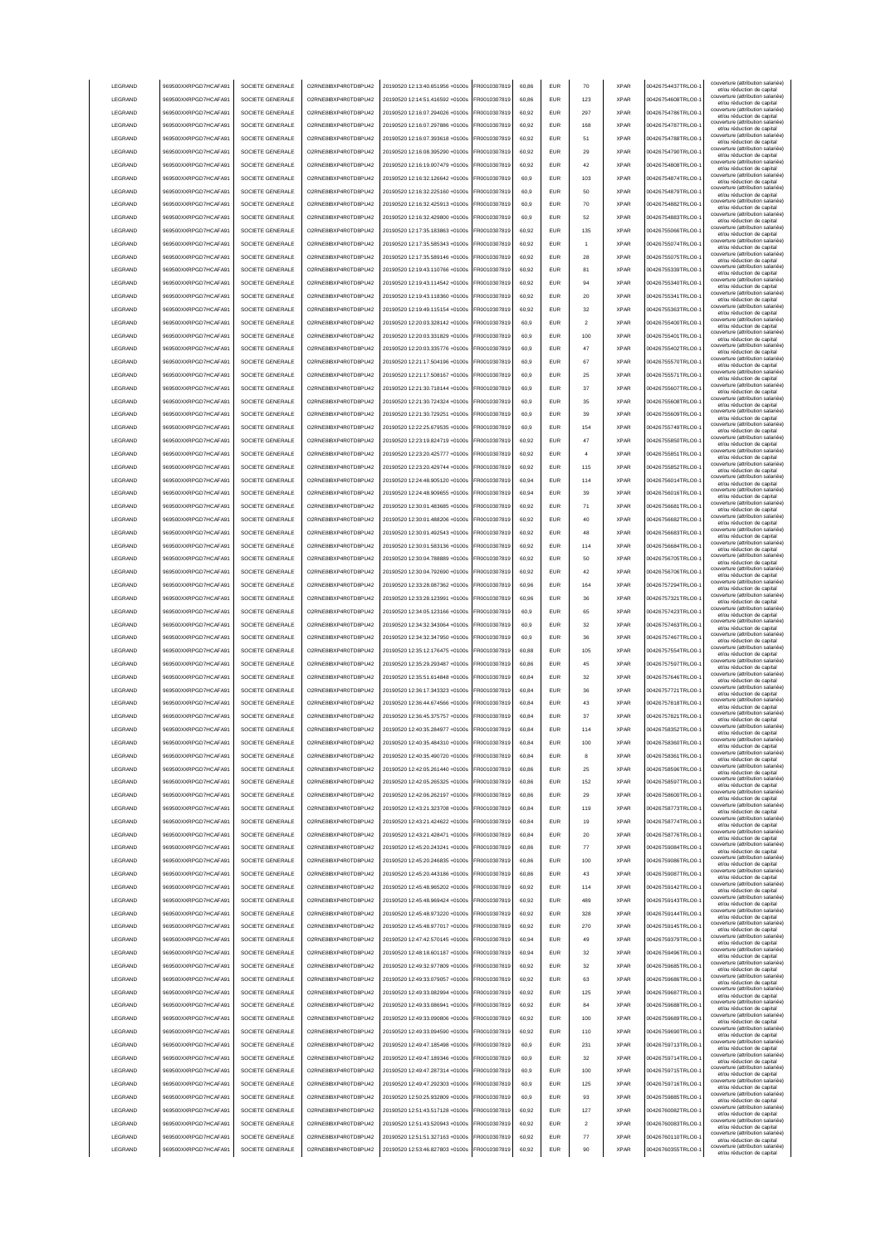| <b>LEGRAND</b>     | 969500XXRPGD7HCAFA91                         | SOCIETE GENERALE                     | O2RNE8IBXP4R0TD8PLI42                        | 20190520 12:13:40.651956 +0100s                                    | FR0010307819                 | 60.86          | <b>EUR</b>        | 70                      | <b>XPAR</b>                | 00426754437TRLO0-                      | couverture (attribution salariée<br>et/ou réduction de capital                                |
|--------------------|----------------------------------------------|--------------------------------------|----------------------------------------------|--------------------------------------------------------------------|------------------------------|----------------|-------------------|-------------------------|----------------------------|----------------------------------------|-----------------------------------------------------------------------------------------------|
| LEGRAND            | 969500XXRPGD7HCAFA91                         | SOCIETE GENERALE                     | O2RNE8IBXP4R0TD8PU42                         | 20190520 12:14:51.416592 +0100s                                    | FR0010307819                 | 60.86          | EUR               | 123                     | <b>XPAR</b>                | 00426754608TRLO0-                      | couverture (attribution salariée)<br>et/ou réduction de capital                               |
| LEGRAND            | 969500XXRPGD7HCAFA91                         | SOCIETE GENERALE                     | O2RNE8IBXP4R0TD8PU42                         | 20190520 12:16:07.294026 +0100s                                    | FR0010307819                 | 60.92          | EUR               | 297                     | <b>XPAR</b>                | 00426754786TRLO0-                      | couverture (attribution salariée)<br>et/ou réduction de capital                               |
| LEGRAND            | 969500XXRPGD7HCAFA91                         | SOCIETE GENERALE                     | O2RNE8IBXP4R0TD8PU42                         | 20190520 12:16:07.297886 +0100s                                    | FR0010307819                 | 60,92          | EUR               | 168                     | <b>XPAR</b>                | 00426754787TRLO0-                      | couverture (attribution salariée)<br>et/ou réduction de capital                               |
| LEGRAND            | 969500XXRPGD7HCAFA91                         | SOCIETE GENERALE                     | O2RNE8IBXP4R0TD8PU42                         | 20190520 12:16:07.393618 +0100s                                    | FR0010307819                 | 60,92          | EUR               | 51                      | <b>XPAR</b>                | 00426754788TRLO0-                      | couverture (attribution salariée)<br>et/ou réduction de capital                               |
| LEGRAND            | 969500XXRPGD7HCAFA91                         | SOCIETE GENERALE                     | O2RNE8IBXP4R0TD8PU42                         | 20190520 12:16:08.395290 +0100s                                    | R0010307819                  | 60,92          | EUR               | 29                      | <b>XPAR</b>                | 00426754790TRLO0-                      | couverture (attribution salariée)<br>et/ou réduction de capital                               |
| LEGRAND            | 969500XXRPGD7HCAFA91                         | SOCIETE GENERALE                     | O2RNE8IBXP4R0TD8PLI42                        | 20190520 12:16:19.007479 +0100s                                    | FR0010307819                 | 60,92          | EUR               | 42                      | <b>XPAR</b>                | 00426754808TRLO0-                      | couverture (attribution salariée)<br>et/ou réduction de capital                               |
| LEGRAND            | 969500XXRPGD7HCAFA91                         | SOCIETE GENERALE                     | O2RNE8IBXP4R0TD8PU42                         | 20190520 12:16:32.126642 +0100s                                    | R0010307819                  | 60,9           | EUR               | 103                     | <b>XPAR</b>                | 00426754874TRLO0-                      | couverture (attribution salariée)<br>et/ou réduction de capital                               |
| LEGRAND            | 969500XXRPGD7HCAFA91                         | SOCIETE GENERALE                     | O2RNE8IBXP4R0TD8PU42                         | 20190520 12:16:32.225160 +0100s                                    | R0010307819                  | 60,9           | EUR               | 50                      | <b>XPAR</b>                | 00426754879TRLO0-                      | couverture (attribution salariée)<br>et/ou réduction de capital                               |
| LEGRAND            | 969500XXRPGD7HCAFA91                         | SOCIETE GENERALE                     | O2RNE8IBXP4R0TD8PU42                         | 20190520 12:16:32.425913 +0100s                                    | R0010307819                  | 60,9           | EUR               | 70                      | <b>XPAR</b>                | 00426754882TRLO0-                      | couverture (attribution salariée)<br>et/ou réduction de capital                               |
| LEGRAND            | 969500XXRPGD7HCAFA91                         | SOCIETE GENERALE                     | O2RNE8IBXP4R0TD8PU42                         | 20190520 12:16:32.429800 +0100s                                    | FR0010307819                 | 60,9           | <b>FUR</b>        | 52                      | <b>XPAR</b>                | 00426754883TRLO0-                      | couverture (attribution salariée)<br>et/ou réduction de capital                               |
| LEGRAND            | 969500XXRPGD7HCAFA91                         | SOCIETE GENERALE                     | O2RNE8IBXP4R0TD8PU42                         | 20190520 12:17:35 183863 +0100s                                    | FR0010307819                 | 60,92          | <b>EUR</b>        | 135                     | <b>XPAR</b>                | 00426755066TRLO0-                      | couverture (attribution salariée)<br>et/ou réduction de capital                               |
| LEGRAND            | 969500XXRPGD7HCAFA91                         | SOCIETE GENERALE                     | O2RNE8IBXP4R0TD8PU42                         | 20190520 12:17:35.585343 +0100s                                    | FR0010307819                 | 60,92          | <b>EUR</b>        | 1                       | <b>XPAR</b>                | 00426755074TRLO0-                      | couverture (attribution salariée)<br>et/ou réduction de capital                               |
| LEGRAND            | 969500XXRPGD7HCAFA91                         | SOCIETE GENERALE                     | O2RNE8IBXP4R0TD8PU42                         | 20190520 12:17:35.589146 +0100s                                    | FR0010307819                 | 60.92          | <b>EUR</b>        | 28                      | <b>XPAR</b>                | 00426755075TRLO0-                      | couverture (attribution salariée)<br>et/ou réduction de capital                               |
| LEGRAND            | 969500XXRPGD7HCAFA91                         | SOCIETE GENERALE                     | O2RNE8IBXP4R0TD8PLI42                        | 20190520 12:19:43.110766 +0100s                                    | FR0010307819                 | 60.92          | <b>EUR</b>        | 81                      | <b>XPAR</b>                | 00426755339TRLO0-                      | couverture (attribution salariée)<br>et/ou réduction de capital                               |
| <b>LEGRAND</b>     | 969500XXRPGD7HCAFA91                         | SOCIETE GENERALE                     | O2RNE8IBXP4R0TD8PU42                         | 20190520 12:19:43.114542 +0100s                                    | FR0010307819                 | 60.92          | <b>EUR</b>        | 94                      | <b>XPAR</b>                | 00426755340TRLO0-                      | couverture (attribution salariée)<br>et/ou réduction de capital                               |
| LEGRAND            | 969500XXRPGD7HCAFA91                         | SOCIETE GENERALE                     | O2RNE8IBXP4R0TD8PU42                         | 20190520 12:19:43.118360 +0100s                                    | R0010307819                  | 60,92          | EUR               | 20                      | <b>XPAR</b>                | 00426755341TRLO0-                      | couverture (attribution salariée)<br>et/ou réduction de capital                               |
| LEGRAND            | 969500XXRPGD7HCAFA91                         | SOCIETE GENERALE                     | O2RNE8IBXP4R0TD8PU42                         | 20190520 12:19:49.115154 +0100s                                    | FR0010307819                 | 60,92          | EUR               | 32                      | <b>XPAR</b>                | 00426755363TRLO0-                      | couverture (attribution salariée)<br>et/ou réduction de capital                               |
| LEGRAND            | 969500XXRPGD7HCAFA91                         | SOCIETE GENERALE                     | O2RNE8IBXP4R0TD8PU42                         | 20190520 12:20:03.328142 +0100s                                    | R0010307819                  | 60,9           | EUR               | $\overline{2}$          | <b>XPAR</b>                | 00426755400TRLO0-                      | couverture (attribution salariée)<br>et/ou réduction de capital                               |
| LEGRAND            | 969500XXRPGD7HCAFA91                         | SOCIETE GENERALE                     | O2RNE8IBXP4R0TD8PU42                         | 20190520 12:20:03.331829 +0100s                                    | R0010307819                  | 60,9           | <b>EUR</b>        | 100                     | <b>XPAR</b>                | 00426755401TRLO0-                      | couverture (attribution salariée)<br>et/ou réduction de capital                               |
| LEGRAND            | 969500XXRPGD7HCAFA91                         | SOCIETE GENERALE                     | O2RNE8IBXP4R0TD8PU42                         | 20190520 12:20:03.335776 +0100s                                    | R0010307819                  | 60,9           | EUR               | 47                      | <b>XPAR</b>                | 00426755402TRLO0-                      | couverture (attribution salariée)<br>et/ou réduction de capital                               |
| LEGRAND            | 969500XXRPGD7HCAFA91                         | SOCIETE GENERALE                     | O2RNE8IBXP4R0TD8PU42                         | 20190520 12:21:17.504196 +0100s                                    | FR0010307819                 | 60,9           | EUR               | 67                      | <b>XPAR</b>                | 00426755570TRLO0-                      | couverture (attribution salariée)<br>et/ou réduction de capital                               |
| LEGRAND            | 969500XXRPGD7HCAFA91                         | SOCIETE GENERALE                     | O2RNE8IBXP4R0TD8PU42                         | 20190520 12:21:17.508167 +0100s                                    | R0010307819                  | 60,9           | EUR               | 25                      | <b>XPAR</b>                | 00426755571TRLO0-                      | couverture (attribution salariée)<br>et/ou réduction de capital                               |
| LEGRAND            | 969500XXRPGD7HCAFA91                         | SOCIETE GENERALE                     | O2RNE8IBXP4R0TD8PU42                         | 20190520 12:21:30 718144 +0100s                                    | FR0010307819                 | 60.9           | <b>EUR</b>        | 37                      | <b>XPAR</b>                | 00426755607TRLO0-                      | couverture (attribution salariée)<br>et/ou réduction de capital                               |
| <b>I FGRAND</b>    | 969500XXRPGD7HCAFA91                         | SOCIETE GENERALE                     | O2RNE8IBXP4R0TD8PU42                         | 20190520 12:21:30 724324 +0100s                                    | FR0010307819                 | 60.9           | <b>FUR</b>        | 35                      | <b>XPAR</b>                | 00426755608TRLO0-                      | couverture (attribution salariée)<br>et/ou réduction de capital                               |
| LEGRAND            | 969500XXRPGD7HCAFA91                         | SOCIETE GENERALE                     | O2RNE8IBXP4R0TD8PU42                         | 20190520 12:21:30.729251 +0100s                                    | FR0010307819                 | 60.9           | <b>EUR</b>        | 39                      | <b>XPAR</b>                | 00426755609TRLO0-                      | couverture (attribution salariée)<br>et/ou réduction de capital                               |
| LEGRAND            | 969500XXRPGD7HCAFA91                         | SOCIETE GENERALE                     | O2RNE8IBXP4R0TD8PLI42                        | 20190520 12:22:25 679535 +0100s                                    | FR0010307819                 | 60.9           | <b>EUR</b>        | 154                     | <b>XPAR</b>                | 00426755749TRLO0-                      | couverture (attribution salariée)<br>et/ou réduction de capital                               |
| <b>LEGRAND</b>     | 969500XXRPGD7HCAFA91                         | SOCIETE GENERALE                     | O2RNE8IBXP4R0TD8PU42                         | 20190520 12:23:19 824719 +0100s                                    | FR0010307819                 | 60.92          | <b>EUR</b>        | 47                      | <b>XPAR</b>                | 00426755850TRLO0-                      | couverture (attribution salariée)<br>et/ou réduction de capital                               |
| <b>LEGRAND</b>     | 969500XXRPGD7HCAFA91                         | SOCIETE GENERALE                     | O2RNE8IBXP4R0TD8PLI42                        | 20190520 12:23:20.425777 +0100s                                    | FR0010307819                 | 60.92          | <b>EUR</b>        | 4                       | <b>XPAR</b>                | 00426755851TRLO0-                      | couverture (attribution salariée)<br>et/ou réduction de capital                               |
| LEGRAND            | 969500XXRPGD7HCAFA91                         | SOCIETE GENERALE                     | O2RNE8IBXP4R0TD8PU42                         | 20190520 12:23:20.429744 +0100s                                    | FR0010307819                 | 60,92          | EUR               | 115                     | <b>XPAR</b>                | 00426755852TRLO0-                      | couverture (attribution salariée)<br>et/ou réduction de capital                               |
| LEGRAND            | 969500XXRPGD7HCAFA91                         | SOCIETE GENERALE                     | O2RNE8IBXP4R0TD8PU42                         | 20190520 12:24:48.905120 +0100s                                    | R0010307819                  | 60,94          | EUR               | 114                     | <b>XPAR</b>                | 00426756014TRLO0-                      | couverture (attribution salariée)<br>et/ou réduction de capital                               |
| LEGRAND            | 969500XXRPGD7HCAFA91                         | SOCIETE GENERALE                     | O2RNE8IBXP4R0TD8PU42                         | 20190520 12:24:48.909655 +0100s                                    | FR0010307819                 | 60,94          | EUR               | 39                      | <b>XPAR</b>                | 00426756016TRLO0-                      | couverture (attribution salariée)<br>et/ou réduction de capital                               |
| LEGRAND            | 969500XXRPGD7HCAFA91                         | SOCIETE GENERALE                     | O2RNE8IBXP4R0TD8PU42                         | 20190520 12:30:01.483685 +0100s                                    | R0010307819                  | 60,92          | <b>EUR</b>        | 71                      | <b>XPAR</b>                | 00426756681TRLO0-                      | couverture (attribution salariée)<br>et/ou réduction de capital                               |
| LEGRAND            | 969500XXRPGD7HCAFA91                         | SOCIETE GENERALE                     | O2RNE8IBXP4R0TD8PU42                         | 20190520 12:30:01.488206 +0100s                                    | R001030781                   | 60,92          | EUR               | 40                      | <b>XPAR</b>                | 00426756682TRLO0-                      | couverture (attribution salariée)<br>et/ou réduction de capital                               |
| LEGRAND            | 969500XXRPGD7HCAFA91                         | SOCIETE GENERALE                     | O2RNE8IBXP4R0TD8PU42                         | 20190520 12:30:01.492543 +0100s                                    | R0010307819                  | 60,92          | EUR               | 48                      | <b>XPAR</b>                | 00426756683TRLO0-                      | couverture (attribution salariée)<br>et/ou réduction de capital                               |
| LEGRAND            | 969500XXRPGD7HCAFA91                         | SOCIETE GENERALE                     | O2RNE8IBXP4R0TD8PU42                         | 20190520 12:30:01.583136 +0100s                                    | FR0010307819                 | 60,92          | <b>FUR</b>        | 114                     | <b>XPAR</b>                | 00426756684TRLO0-                      | couverture (attribution salariée)<br>et/ou réduction de capital                               |
| LEGRAND            | 969500XXRPGD7HCAFA91                         | SOCIETE GENERALE                     | O2RNE8IBXP4R0TD8PU42                         | 20190520 12:30:04.788889 +0100s                                    | FR0010307819                 | 60,92          | <b>EUR</b>        | 50                      | <b>XPAR</b>                | 00426756705TRLO0-                      | couverture (attribution salariée)<br>et/ou réduction de capital                               |
| LEGRAND            | 969500XXRPGD7HCAFA91                         | SOCIETE GENERALE                     | O2RNE8IBXP4R0TD8PU42                         | 20190520 12:30:04.792690 +0100s                                    | FR0010307819                 | 60,92          | <b>FUR</b>        | 42                      | <b>XPAR</b>                | 00426756706TRLO0-                      | couverture (attribution salariée)<br>et/ou réduction de capital                               |
| LEGRAND            | 969500XXRPGD7HCAFA91                         | SOCIETE GENERALE                     | O2RNE8IBXP4R0TD8PU42                         | 20190520 12:33:28.087362 +0100s                                    | FR0010307819                 | 60,96          | <b>EUR</b>        | 164                     | <b>XPAR</b>                | 00426757294TRLO0-                      | couverture (attribution salariée)                                                             |
| LEGRAND            | 969500XXRPGD7HCAFA91                         | SOCIETE GENERALE                     | O2RNE8IBXP4R0TD8PU42                         | 20190520 12:33:28.123991 +0100s                                    | FR0010307819                 | 60.96          | <b>EUR</b>        | 36                      | <b>XPAR</b>                | 00426757321TRLO0-                      | et/ou réduction de capital<br>couverture (attribution salariée)<br>et/ou réduction de capital |
| LEGRAND            | 969500XXRPGD7HCAFA91                         | SOCIETE GENERALE                     | O2RNE8IBXP4R0TD8PU42                         | 20190520 12:34:05.123166 +0100s                                    | FR0010307819                 | 60.9           | EUR               | 65                      | <b>XPAR</b>                | 00426757423TRLO0-                      | couverture (attribution salariée)<br>et/ou réduction de capital                               |
| LEGRAND            | 969500XXRPGD7HCAFA91                         | SOCIETE GENERALE                     | O2RNE8IBXP4R0TD8PU42                         | 20190520 12:34:32.343064 +0100s                                    | FR0010307819                 | 60.9           | <b>EUR</b>        | 32                      | <b>XPAR</b>                | 00426757463TRLO0-                      | couverture (attribution salariée)<br>et/ou réduction de capital                               |
| LEGRAND            | 969500XXRPGD7HCAFA91                         | SOCIETE GENERALE                     | O2RNE8IBXP4R0TD8PU42                         | 20190520 12:34:32.347950 +0100s                                    | R0010307819                  | 60,9           | EUR               | 36                      | <b>XPAR</b>                | 00426757467TRLO0-                      | couverture (attribution salariée)<br>et/ou réduction de capital                               |
| LEGRAND            | 969500XXRPGD7HCAFA91                         | SOCIETE GENERALE                     | O2RNE8IBXP4R0TD8PU42                         | 20190520 12:35:12.176475 +0100s                                    | R0010307819                  | 60,88          | EUR               | 105                     | <b>XPAR</b>                | 00426757554TRLO0-                      | couverture (attribution salariée)<br>et/ou réduction de capital                               |
| LEGRAND            | 969500XXRPGD7HCAFA91                         | SOCIETE GENERALE                     | O2RNE8IBXP4R0TD8PU42                         | 20190520 12:35:29.293487 +0100s                                    | R0010307819                  | 60,86          | <b>EUR</b>        | 45                      | <b>XPAR</b>                | 00426757597TRLO0-                      | couverture (attribution salariée)<br>et/ou réduction de capital                               |
| LEGRAND            | 969500XXRPGD7HCAFA91                         | SOCIETE GENERALE                     | O2RNE8IBXP4R0TD8PU42                         | 20190520 12:35:51.614848 +0100s                                    | R0010307819                  | 60,84          | EUR               | 32                      | <b>XPAR</b>                | 00426757646TRLO0-                      | couverture (attribution salariée)<br>et/ou réduction de capital                               |
| LEGRAND            | 969500XXRPGD7HCAFA91                         | SOCIETE GENERALE                     | O2RNE8IBXP4R0TD8PU42                         | 20190520 12:36:17.343323 +0100s                                    | FR0010307819                 | 60,84          | <b>EUR</b>        | 36                      | <b>XPAR</b>                | 00426757721TRLO0-                      | couverture (attribution salariée)<br>et/ou réduction de capital                               |
| LEGRAND            | 969500XXRPGD7HCAFA91                         | SOCIETE GENERALE                     | O2RNE8IBXP4R0TD8PU42                         | 20190520 12:36:44.674566 +0100s                                    | FR0010307819                 | 60,84          | EUR               | 43                      | <b>XPAR</b>                | 00426757818TRLO0-                      | couverture (attribution salariée)<br>et/ou réduction de capital                               |
| <b>I FGRAND</b>    | 969500XXRPGD7HCAFA91                         | SOCIETE GENERALE                     | O2RNE8IBXP4R0TD8PU42                         | 20190520 12:36:45.375757 +0100s                                    | FR0010307819                 | 60.84          | <b>EUR</b>        | 37                      | <b>XPAR</b>                | 00426757821TRLO0-                      | couverture (attribution salariée)<br>et/ou réduction de capital                               |
| LEGRAND            | 969500XXRPGD7HCAFA91                         | SOCIETE GENERALE                     | O2RNE8IBXP4R0TD8PU42                         | 20190520 12:40:35.284977 +0100s                                    | FR0010307819                 | 60,84          | <b>EUR</b>        | 114                     | <b>XPAR</b>                | 00426758352TRLO0-                      | couverture (attribution salariée)<br>et/ou réduction de capital                               |
| <b>LEGRAND</b>     | 969500XXRPGD7HCAFA91                         | SOCIETE GENERALE                     | O2RNE8IBXP4R0TD8PU42                         | 20190520 12:40:35.484310 +0100s                                    | FR0010307819                 | 60.84          | FUR               | 100                     | <b>XPAR</b>                | 00426758360TRLO0-                      | couverture (attribution salariée)                                                             |
| LEGRAND            | 969500XXRPGD7HCAFA91                         | SOCIETE GENERALE                     | O2RNE8IBXP4R0TD8PLI42                        | 20190520 12:40:35.490720 +0100s                                    | FR0010307819                 | 60.84          | <b>EUR</b>        | 8                       | <b>XPAR</b>                | 00426758361TRLO0-1                     | et/ou reduction de capital<br>couverture (attribution salariée)<br>et/ou réduction de capital |
| LEGRAND            | 969500XXRPGD7HCAFA91                         | SOCIETE GENERALE                     | O2RNE8IBXP4R0TD8PU42                         | 20190520 12:42:05 261440 +0100s                                    | FR0010307819                 | 60.86          | <b>EUR</b>        | 25                      | <b>XPAR</b>                | 00426758596TRLO0-                      | couverture (attribution salariée)<br>et/ou réduction de capital                               |
| LEGRAND            | 969500XXRPGD7HCAFA91                         | SOCIETE GENERALE                     | O2RNE8IBXP4R0TD8PU42                         | 20190520 12:42:05 265325 +0100s                                    | FR0010307819                 | 60.86          | <b>EUR</b>        | 152                     | <b>XPAR</b>                | 00426758597TRLO0-                      | couverture (attribution salariée)                                                             |
| LEGRAND            | 969500XXRPGD7HCAFA91                         | SOCIETE GENERALE                     | O2RNE8IBXP4R0TD8PU42                         | 20190520 12:42:06.262197 +0100s                                    | FR0010307819                 | 60.86          | <b>EUR</b>        | 29                      | <b>XPAR</b>                | 00426758600TRLO0-                      | et/ou réduction de capital<br>couverture (attribution salariée)                               |
| LEGRAND            | 969500XXRPGD7HCAFA91                         | SOCIETE GENERALE                     | O2RNE8IBXP4R0TD8PU42                         | 20190520 12:43:21.323708 +0100s                                    | FR0010307819                 | 60,84          | <b>EUR</b>        | 119                     | <b>XPAR</b>                | 00426758773TRLO0-1                     | et/ou réduction de capital<br>couverture (attribution salariée)                               |
| LEGRAND            | 969500XXRPGD7HCAFA91                         | SOCIETE GENERALE                     | O2RNE8IBXP4R0TD8PU42                         | 20190520 12:43:21.424622 +0100s                                    | FR0010307819                 | 60,84          | <b>EUR</b>        | 19                      | <b>XPAR</b>                | 00426758774TRLO0-                      | et/ou réduction de capital<br>couverture (attribution salariée)                               |
| LEGRAND            | 969500XXRPGD7HCAFA91                         | SOCIETE GENERALE                     | O2RNE8IBXP4R0TD8PU42                         | 20190520 12:43:21.428471 +0100s                                    | FR0010307819                 | 60,84          | EUR               | 20                      | <b>XPAR</b>                | 00426758776TRLO0-                      | et/ou réduction de capital<br>couverture (attribution salariée)<br>et/ou réduction de capital |
| LEGRAND            | 969500XXRPGD7HCAFA91                         | SOCIETE GENERALE                     | O2RNE8IBXP4R0TD8PU42                         | 20190520 12:45:20.243241 +0100s                                    | R0010307819                  | 60,86          | EUR               | 77                      | <b>XPAR</b>                | 00426759084TRLO0-                      | couverture (attribution salariée)                                                             |
| LEGRAND            | 969500XXRPGD7HCAFA91                         | SOCIETE GENERALE                     | O2RNE8IBXP4R0TD8PU42                         | 20190520 12:45:20.246835 +0100s                                    | R0010307819                  | 60,86          | EUR               | 100                     | <b>XPAR</b>                | 00426759086TRLO0-                      | et/ou réduction de capital<br>couverture (attribution salariée)<br>et/ou réduction de capital |
| LEGRAND            | 969500XXRPGD7HCAFA91                         | SOCIETE GENERALE                     | O2RNE8IBXP4R0TD8PU42                         | 20190520 12:45:20.443186 +0100s                                    | R0010307819                  | 60,86          | EUR               | 43                      | <b>XPAR</b>                | 00426759087TRLO0-                      | couverture (attribution salariée)                                                             |
| LEGRAND            | 969500XXRPGD7HCAFA91                         | SOCIETE GENERALE                     | O2RNE8IBXP4R0TD8PU42                         | 20190520 12:45:48 965202 +0100s                                    | FR0010307819                 | 60,92          | <b>EUR</b>        | 114                     | <b>XPAR</b>                | 00426759142TRLO0-                      | et/ou réduction de capital<br>couverture (attribution salariée)                               |
| LEGRAND            | 969500XXRPGD7HCAFA91                         | SOCIETE GENERALE                     | O2RNE8IBXP4R0TD8PLI42                        | 20190520 12:45:48.969424 +0100s                                    | FR0010307819                 | 60,92          | <b>EUR</b>        | 489                     | <b>XPAR</b>                | 00426759143TRLO0-                      | et/ou réduction de capital<br>couverture (attribution salariée)                               |
| LEGRAND            | 969500XXRPGD7HCAFA91                         | SOCIETE GENERALE                     | O2RNE8IBXP4R0TD8PU42                         | 20190520 12:45:48 973220 +0100s                                    | FR0010307819                 | 60,92          | <b>EUR</b>        | 328                     | <b>XPAR</b>                | 00426759144TRLO0-                      | et/ou réduction de capital<br>couverture (attribution salariée)                               |
| LEGRAND            | 969500XXRPGD7HCAFA91                         | SOCIETE GENERALE                     | O2RNE8IBXP4R0TD8PU42                         | 20190520 12:45:48.977017 +0100s                                    | FR0010307819                 | 60.92          | <b>EUR</b>        | 270                     | <b>XPAR</b>                | 00426759145TRLO0-                      | et/ou réduction de capital<br>couverture (attribution salariée)                               |
| LEGRAND            | 969500XXRPGD7HCAFA91                         | SOCIETE GENERALE                     | O2RNE8IBXP4R0TD8PU42                         | 20190520 12:47:42.570145 +0100s                                    | FR0010307819                 | 60.94          | <b>EUR</b>        | 49                      | <b>XPAR</b>                | 00426759379TRLO0-                      | et/ou réduction de capital<br>couverture (attribution salariée)                               |
| LEGRAND            | 969500XXRPGD7HCAFA91                         | SOCIETE GENERALE                     | O2RNE8IBXP4R0TD8PU42                         | 20190520 12:48:18.601187 +0100s                                    | FR0010307819                 | 60.94          | <b>EUR</b>        | 32                      | <b>XPAR</b>                | 00426759496TRLO0-                      | et/ou réduction de capital<br>couverture (attribution salariée)                               |
| LEGRAND            | 969500XXRPGD7HCAFA91                         | SOCIETE GENERALE                     | O2RNE8IBXP4R0TD8PU42                         | 20190520 12:49:32.977809 +0100s                                    | FR0010307819                 | 60,92          | <b>EUR</b>        | 32                      | <b>XPAR</b>                | 00426759685TRLO0-1                     | et/ou réduction de capital<br>couverture (attribution salariée)                               |
| LEGRAND            | 969500XXRPGD7HCAFA91                         | SOCIETE GENERALE                     | O2RNE8IBXP4R0TD8PU42                         | 20190520 12:49:33.079057 +0100s                                    | FR0010307819                 | 60,92          | <b>EUR</b>        | 63                      | <b>XPAR</b>                | 00426759686TRLO0-1                     | et/ou réduction de capital<br>couverture (attribution salariée)                               |
| LEGRAND            | 969500XXRPGD7HCAFA91                         | SOCIETE GENERALE                     | O2RNE8IBXP4R0TD8PU42                         | 20190520 12:49:33.082994 +0100s                                    | FR0010307819                 | 60,92          | <b>EUR</b>        | 125                     | <b>XPAR</b>                | 00426759687TRLO0-1                     | et/ou réduction de capital<br>couverture (attribution salariée)                               |
| LEGRAND            |                                              | SOCIETE GENERALE                     | O2RNE8IBXP4R0TD8PU42                         | 20190520 12:49:33.086941 +0100s                                    | FR0010307819                 | 60,92          | <b>EUR</b>        | 84                      | <b>XPAR</b>                | 00426759688TRLO0-                      | et/ou réduction de capital<br>couverture (attribution salariée)                               |
|                    |                                              |                                      |                                              |                                                                    | FR0010307819                 | 60,92          | EUR               | 100                     |                            | 00426759689TRLO0-                      | et/ou réduction de capital<br>couverture (attribution salariée)                               |
|                    | 969500XXRPGD7HCAFA91                         |                                      |                                              |                                                                    |                              |                |                   |                         |                            |                                        |                                                                                               |
| LEGRAND            | 969500XXRPGD7HCAFA91                         | SOCIETE GENERALE                     | O2RNE8IBXP4R0TD8PU42                         | 20190520 12:49:33.090806 +0100s                                    |                              |                |                   |                         | <b>XPAR</b>                |                                        | et/ou réduction de capital<br>couverture (attribution salariée)                               |
| LEGRAND            | 969500XXRPGD7HCAFA91                         | SOCIETE GENERALE                     | O2RNE8IBXP4R0TD8PU42                         | 20190520 12:49:33.094590 +0100s                                    | FR0010307819                 | 60,92          | <b>EUR</b>        | 110                     | <b>XPAR</b>                | 00426759690TRLO0-                      | et/ou réduction de capital<br>couverture (attribution salariée)                               |
| LEGRAND            | 969500XXRPGD7HCAFA91                         | SOCIETE GENERALE                     | O2RNE8IBXP4R0TD8PU42                         | 20190520 12:49:47.185498 +0100s                                    | FR0010307819                 | 60,9           | EUR               | 231                     | <b>XPAR</b>                | 00426759713TRLO0-                      | et/ou réduction de capital<br>couverture (attribution salariée)                               |
| LEGRAND            | 969500XXRPGD7HCAFA91                         | SOCIETE GENERALE                     | O2RNE8IBXP4R0TD8PU42                         | 20190520 12:49:47.189346 +0100s                                    | FR0010307819                 | 60,9           | <b>EUR</b>        | 32                      | <b>XPAR</b>                | 00426759714TRLO0-                      | et/ou réduction de capital<br>couverture (attribution salariée)                               |
| LEGRAND            | 969500XXRPGD7HCAFA91                         | SOCIETE GENERALE                     | O2RNE8IBXP4R0TD8PU42                         | 20190520 12:49:47.287314 +0100s                                    | FR0010307819                 | 60,9           | <b>EUR</b>        | 100                     | <b>XPAR</b>                | 00426759715TRLO0-                      | et/ou réduction de capital<br>couverture (attribution salariée)                               |
| <b>I FGRAND</b>    | 969500XXRPGD7HCAFA91                         | SOCIETE GENERALE                     | O2RNE8IBXP4R0TD8PU42                         | 20190520 12:49:47.292303 +0100s                                    | FR0010307819                 | 60,9           | <b>EUR</b>        | 125                     | <b>XPAR</b>                | 00426759716TRLO0-                      | et/ou réduction de capital<br>couverture (attribution salariée)                               |
| LEGRAND            | 969500XXRPGD7HCAFA91                         | SOCIETE GENERALE                     | O2RNE8IBXP4R0TD8PU42                         | 20190520 12:50:25.932809 +0100s                                    | FR0010307819                 | 60.9           | <b>EUR</b>        | 93                      | <b>XPAR</b>                | 00426759885TRLO0-                      | et/ou réduction de capital<br>couverture (attribution salariée)                               |
| LEGRAND            | 969500XXRPGD7HCAFA91                         | SOCIETE GENERALE                     | O2RNE8IBXP4R0TD8PU42                         | 20190520 12:51:43.517128 +0100s                                    | FR0010307819                 | 60.92          | <b>EUR</b>        | 127                     | <b>XPAR</b>                | 00426760082TRLO0-                      | et/ou réduction de capital<br>couverture (attribution salariée)                               |
| LEGRAND            | 969500XXRPGD7HCAFA91                         | SOCIETE GENERALE                     | O2RNE8IBXP4R0TD8PU42                         | 20190520 12:51:43.520943 +0100s                                    | FR0010307819                 | 60.92          | <b>EUR</b>        | $\overline{\mathbf{2}}$ | <b>XPAR</b>                | 00426760083TRLO0-                      | et/ou réduction de capital<br>couverture (attribution salariée)                               |
| LEGRAND<br>LEGRAND | 969500XXRPGD7HCAFA91<br>969500XXRPGD7HCAFA91 | SOCIETE GENERALE<br>SOCIETE GENERALE | O2RNE8IBXP4R0TD8PU42<br>O2RNE8IBXP4R0TD8PU42 | 20190520 12:51:51.327163 +0100s<br>20190520 12:53:46.827803 +0100s | FR0010307819<br>FR0010307819 | 60,92<br>60,92 | EUR<br><b>EUR</b> | 77<br>90                | <b>XPAR</b><br><b>XPAR</b> | 00426760110TRLO0-<br>00426760355TRLO0- | et/ou réduction de capital<br>couverture (attribution salariée)                               |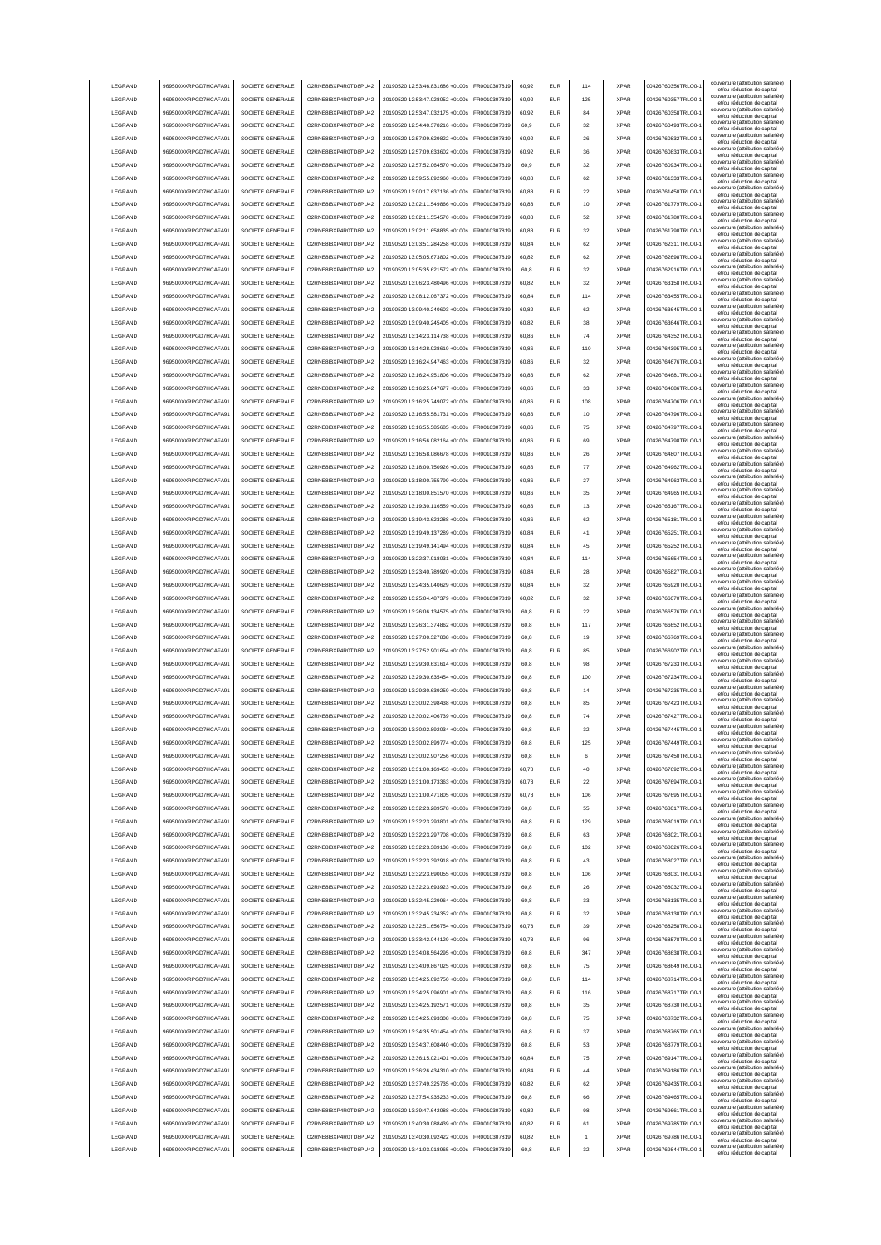| LEGRAND         | 969500XXRPGD7HCAFA91 | SOCIETE GENERALE | O2RNE8IBXP4R0TD8PU42  | 20190520 12:53:46.831686 +0100s | FR0010307819 | 60,92 | <b>EUR</b> | 114 | <b>XPAR</b> | 00426760356TRLO0-  | couverture (attribution salariée)<br>et/ou réduction de capital                                      |
|-----------------|----------------------|------------------|-----------------------|---------------------------------|--------------|-------|------------|-----|-------------|--------------------|------------------------------------------------------------------------------------------------------|
| LEGRAND         | 969500XXRPGD7HCAFA91 | SOCIETE GENERALE | O2RNE8IBXP4R0TD8PU42  | 20190520 12:53:47.028052 +0100s | FR0010307819 | 60,92 | <b>EUR</b> | 125 | <b>XPAR</b> | 00426760357TRLO0-  | couverture (attribution salariée)<br>et/ou réduction de capital                                      |
| LEGRAND         | 969500XXRPGD7HCAFA91 | SOCIETE GENERALE | O2RNE8IBXP4R0TD8PU42  | 20190520 12:53:47.032175 +0100s | FR0010307819 | 60,92 | <b>EUR</b> | 84  | <b>XPAR</b> | 00426760358TRLO0-  | couverture (attribution salariée)                                                                    |
| LEGRAND         | 969500XXRPGD7HCAFA91 | SOCIETE GENERALE | O2RNE8IBXP4R0TD8PU42  | 20190520 12:54:40.378216 +0100s | FR0010307819 | 60.9  | <b>EUR</b> | 32  | <b>XPAR</b> | 00426760493TRLO0-  | et/ou réduction de capital<br>couverture (attribution salariée)                                      |
| LEGRAND         | 969500XXRPGD7HCAFA91 | SOCIETE GENERALE | O2RNE8IBXP4R0TD8PU42  | 20190520 12:57:09.629822 +0100s | FR0010307819 | 60.92 | <b>EUR</b> | 26  | <b>XPAR</b> | 00426760832TRLO0-  | et/ou réduction de capital<br>couverture (attribution salariée)                                      |
|                 |                      |                  |                       |                                 |              |       |            |     |             |                    | et/ou réduction de capital<br>couverture (attribution salariée)                                      |
| LEGRAND         | 969500XXRPGD7HCAFA91 | SOCIETE GENERALE | O2RNE8IBXP4R0TD8PU42  | 20190520 12:57:09.633602 +0100s | FR0010307819 | 60.92 | <b>EUR</b> | 36  | <b>XPAR</b> | 00426760833TRLO0-  | et/ou réduction de capital<br>couverture (attribution salariée)                                      |
| LEGRAND         | 969500XXRPGD7HCAFA91 | SOCIETE GENERALE | O2RNE8IBXP4R0TD8PU42  | 20190520 12:57:52 064570 +0100s | FR0010307819 | 60.9  | EUR        | 32  | <b>XPAR</b> | 00426760934TRLO0-  | et/ou réduction de capital<br>couverture (attribution salariée)                                      |
| LEGRAND         | 969500XXRPGD7HCAFA91 | SOCIETE GENERALE | O2RNE8IBXP4R0TD8PU42  | 20190520 12:59:55.892960 +0100s | R0010307819  | 60,88 | EUR        | 62  | <b>XPAR</b> | 00426761333TRLO0-  | et/ou réduction de capital                                                                           |
| LEGRAND         | 969500XXRPGD7HCAFA91 | SOCIETE GENERALE | O2RNE8IBXP4R0TD8PU42  | 20190520 13:00:17.637136 +0100s | FR0010307819 | 60,88 | EUR        | 22  | <b>XPAR</b> | 00426761450TRLO0-  | couverture (attribution salariée)<br>et/ou réduction de capital                                      |
| LEGRAND         | 969500XXRPGD7HCAFA91 | SOCIETE GENERALE | O2RNE8IBXP4R0TD8PU42  | 20190520 13:02:11.549866 +0100s | R0010307819  | 60,88 | <b>EUR</b> | 10  | <b>XPAR</b> | 00426761779TRLO0-  | couverture (attribution salariée)<br>et/ou réduction de capital                                      |
| LEGRAND         | 969500XXRPGD7HCAFA91 | SOCIETE GENERALE | O2RNE8IBXP4R0TD8PU42  | 20190520 13:02:11.554570 +0100s | FR0010307819 | 60,88 | EUR        | 52  | <b>XPAR</b> | 00426761780TRLO0-  | couverture (attribution salariée)<br>et/ou réduction de capital                                      |
| LEGRAND         | 969500XXRPGD7HCAFA91 | SOCIETE GENERALE | O2RNE8IBXP4R0TD8PU42  | 20190520 13:02:11.658835 +0100s | FR0010307819 | 60,88 | EUR        | 32  | <b>XPAR</b> | 00426761790TRLO0-  | couverture (attribution salariée)                                                                    |
| LEGRAND         | 969500XXRPGD7HCAFA91 | SOCIETE GENERALE | O2RNE8IBXP4R0TD8PU42  | 20190520 13:03:51.284258 +0100s | FR0010307819 | 60,84 | EUR        | 62  | <b>XPAR</b> | 00426762311TRLO0-  | et/ou réduction de capital<br>couverture (attribution salariée)                                      |
|                 |                      |                  | O2RNE8IBXP4R0TD8PLI42 |                                 |              |       |            |     | <b>XPAR</b> |                    | et/ou réduction de capital<br>couverture (attribution salariée)                                      |
| LEGRAND         | 969500XXRPGD7HCAFA91 | SOCIETE GENERALE |                       | 20190520 13:05:05.673802 +0100s | FR0010307819 | 60,82 | <b>EUR</b> | 62  |             | 00426762698TRLO0-  | et/ou réduction de capital<br>couverture (attribution salariée)                                      |
| LEGRAND         | 969500XXRPGD7HCAFA91 | SOCIETE GENERALE | O2RNE8IBXP4R0TD8PU42  | 20190520 13:05:35.621572 +0100s | FR0010307819 | 60,8  | <b>EUR</b> | 32  | <b>XPAR</b> | 00426762916TRLO0-  | et/ou réduction de capital                                                                           |
| LEGRAND         | 969500XXRPGD7HCAFA91 | SOCIETE GENERALE | O2RNE8IBXP4R0TD8PU42  | 20190520 13:06:23.480496 +0100s | FR0010307819 | 60,82 | <b>EUR</b> | 32  | <b>XPAR</b> | 00426763158TRLO0-  | couverture (attribution salariée)<br>et/ou réduction de capital                                      |
| LEGRAND         | 969500XXRPGD7HCAFA91 | SOCIETE GENERALE | O2RNE8IBXP4R0TD8PU42  | 20190520 13:08:12.067372 +0100s | FR0010307819 | 60.84 | <b>EUR</b> | 114 | <b>XPAR</b> | 00426763455TRLO0-  | couverture (attribution salariée)<br>et/ou réduction de capital                                      |
| LEGRAND         | 969500XXRPGD7HCAFA91 | SOCIETE GENERALE | O2RNE8IBXP4R0TD8PU42  | 20190520 13:09:40.240603 +0100s | FR0010307819 | 60.82 | <b>EUR</b> | 62  | <b>XPAR</b> | 00426763645TRLO0-  | couverture (attribution salariée)<br>et/ou réduction de capital                                      |
| LEGRAND         | 969500XXRPGD7HCAFA91 | SOCIETE GENERALE | O2RNE8IBXP4R0TD8PU42  | 20190520 13:09:40.245405 +0100s | FR0010307819 | 60.82 | <b>EUR</b> | 38  | <b>XPAR</b> | 00426763646TRLO0-  | couverture (attribution salariée)<br>et/ou réduction de capital                                      |
| LEGRAND         | 969500XXRPGD7HCAFA91 | SOCIETE GENERALE | O2RNE8IBXP4R0TD8PU42  | 20190520 13:14:23.114738 +0100s | FR0010307819 | 60,86 | EUR        | 74  | <b>XPAR</b> | 00426764352TRLO0-  | couverture (attribution salariée)                                                                    |
| LEGRAND         | 969500XXRPGD7HCAFA91 | SOCIETE GENERALE | O2RNE8IBXP4R0TD8PU42  | 20190520 13:14:28.928619 +0100s | FR0010307819 | 60,86 | EUR        | 110 | <b>XPAR</b> | 00426764395TRLO0-  | et/ou réduction de capital<br>couverture (attribution salariée)                                      |
|                 |                      |                  |                       |                                 |              |       |            |     |             |                    | et/ou réduction de capital<br>couverture (attribution salariée)                                      |
| LEGRAND         | 969500XXRPGD7HCAFA91 | SOCIETE GENERALE | O2RNE8IBXP4R0TD8PU42  | 20190520 13:16:24.947463 +0100s | FR0010307819 | 60,86 | EUR        | 32  | <b>XPAR</b> | 00426764676TRLO0-  | et/ou réduction de capital<br>couverture (attribution salariée)                                      |
| LEGRAND         | 969500XXRPGD7HCAFA91 | SOCIETE GENERALE | O2RNE8IBXP4R0TD8PU42  | 20190520 13:16:24.951806 +0100s | FR0010307819 | 60,86 | EUR        | 62  | <b>XPAR</b> | 00426764681TRLO0-  | et/ou réduction de capital<br>couverture (attribution salariée)                                      |
| LEGRAND         | 969500XXRPGD7HCAFA91 | SOCIETE GENERALE | O2RNE8IBXP4R0TD8PU42  | 20190520 13:16:25.047677 +0100s | FR0010307819 | 60,86 | EUR        | 33  | <b>XPAR</b> | 00426764686TRLO0-  | et/ou réduction de capital                                                                           |
| LEGRAND         | 969500XXRPGD7HCAFA91 | SOCIETE GENERALE | O2RNE8IBXP4R0TD8PU42  | 20190520 13:16:25.749072 +0100s | FR0010307819 | 60,86 | <b>EUR</b> | 108 | <b>XPAR</b> | 00426764706TRLO0-  | couverture (attribution salariée)<br>et/ou réduction de capital                                      |
| LEGRAND         | 969500XXRPGD7HCAFA91 | SOCIETE GENERALE | O2RNE8IBXP4R0TD8PU42  | 20190520 13:16:55.581731 +0100s | FR0010307819 | 60,86 | EUR        | 10  | <b>XPAR</b> | 00426764796TRLO0-  | couverture (attribution salariée)<br>et/ou réduction de capital                                      |
| LEGRAND         | 969500XXRPGD7HCAFA91 | SOCIETE GENERALE | O2RNE8IBXP4R0TD8PU42  | 20190520 13:16:55 585685 +0100s | FR0010307819 | 60,86 | <b>EUR</b> | 75  | <b>XPAR</b> | 00426764797TRLO0-  | couverture (attribution salariée)                                                                    |
| LEGRAND         | 969500XXRPGD7HCAFA91 | SOCIETE GENERALE | O2RNE8IBXP4R0TD8PU42  | 20190520 13:16:56.082164 +0100s | FR0010307819 | 60,86 | <b>EUR</b> | 69  | <b>XPAR</b> | 00426764798TRLO0-  | et/ou réduction de capital<br>couverture (attribution salariée)                                      |
|                 |                      |                  |                       |                                 |              |       |            |     |             |                    | et/ou réduction de capital<br>couverture (attribution salariée)                                      |
| LEGRAND         | 969500XXRPGD7HCAFA91 | SOCIETE GENERALE | O2RNE8IBXP4R0TD8PU42  | 20190520 13:16:58.086678 +0100s | FR0010307819 | 60,86 | <b>EUR</b> | 26  | <b>XPAR</b> | 00426764807TRLO0-  | et/ou réduction de capital<br>couverture (attribution salariée)                                      |
| <b>I FGRAND</b> | 969500XXRPGD7HCAFA91 | SOCIETE GENERALE | O2RNE8IBXP4R0TD8PU42  | 20190520 13:18:00.750926 +0100s | FR0010307819 | 60.86 | <b>EUR</b> | 77  | <b>XPAR</b> | 00426764962TRLO0-  | et/ou réduction de capital<br>couverture (attribution salariée)                                      |
| LEGRAND         | 969500XXRPGD7HCAFA91 | SOCIETE GENERALE | O2RNE8IBXP4R0TD8PU42  | 20190520 13:18:00.755799 +0100s | FR0010307819 | 60.86 | <b>EUR</b> | 27  | <b>XPAR</b> | 00426764963TRLO0-  | et/ou réduction de capital                                                                           |
| LEGRAND         | 969500XXRPGD7HCAFA91 | SOCIETE GENERALE | O2RNE8IBXP4R0TD8PU42  | 20190520 13:18:00.851570 +0100s | FR0010307819 | 60.86 | <b>EUR</b> | 35  | <b>XPAR</b> | 00426764965TRLO0-  | couverture (attribution salariée)<br>et/ou réduction de capital                                      |
| LEGRAND         | 969500XXRPGD7HCAFA91 | SOCIETE GENERALE | O2RNE8IBXP4R0TD8PU42  | 20190520 13:19:30.116559 +0100s | R0010307819  | 60,86 | EUR        | 13  | <b>XPAR</b> | 00426765167TRLO0-  | couverture (attribution salariée)<br>et/ou réduction de capital                                      |
| LEGRAND         | 969500XXRPGD7HCAFA91 | SOCIETE GENERALE | O2RNE8IBXP4R0TD8PU42  | 20190520 13:19:43.623288 +0100s | FR0010307819 | 60,86 | EUR        | 62  | <b>XPAR</b> | 00426765181TRLO0-  | couverture (attribution salariée)                                                                    |
| LEGRAND         | 969500XXRPGD7HCAFA91 | SOCIETE GENERALE | O2RNE8IBXP4R0TD8PU42  | 20190520 13:19:49.137289 +0100s | FR0010307819 | 60,84 | EUR        | 41  | <b>XPAR</b> | 00426765251TRLO0-  | et/ou réduction de capital<br>couverture (attribution salariée)                                      |
| LEGRAND         | 969500XXRPGD7HCAFA91 | SOCIETE GENERALE | O2RNE8IBXP4R0TD8PU42  | 20190520 13:19:49.141494 +0100s | FR0010307819 | 60,84 | EUR        | 45  | <b>XPAR</b> | 00426765252TRLO0-  | et/ou réduction de capital<br>couverture (attribution salariée)                                      |
|                 |                      |                  |                       |                                 |              |       |            |     |             |                    | et/ou réduction de capital<br>couverture (attribution salariée)                                      |
| LEGRAND         | 969500XXRPGD7HCAFA91 | SOCIETE GENERALE | O2RNE8IBXP4R0TD8PU42  | 20190520 13:22:37.918031 +0100s | FR0010307819 | 60,84 | EUR        | 114 | <b>XPAR</b> | 00426765654TRLO0-  | et/ou réduction de capital<br>couverture (attribution salariée)                                      |
| LEGRAND         | 969500XXRPGD7HCAFA91 | SOCIETE GENERALE | O2RNE8IBXP4R0TD8PU42  | 20190520 13:23:40.789920 +0100s | FR0010307819 | 60,84 | EUR        | 28  | <b>XPAR</b> | 00426765827TRLO0-  | et/ou réduction de capital                                                                           |
| LEGRAND         | 969500XXRPGD7HCAFA91 | SOCIETE GENERALE | O2RNE8IBXP4R0TD8PU42  | 20190520 13:24:35.040629 +0100s | FR0010307819 | 60,84 | EUR        | 32  | <b>XPAR</b> | 00426765920TRLO0-  | couverture (attribution salariée)<br>et/ou réduction de capital                                      |
| LEGRAND         | 969500XXRPGD7HCAFA91 | SOCIETE GENERALE | O2RNE8IBXP4R0TD8PU42  | 20190520 13:25:04.487379 +0100s | FR0010307819 | 60.82 | <b>EUR</b> | 32  | <b>XPAR</b> | 00426766070TRLO0-  | couverture (attribution salariée)<br>et/ou réduction de capital                                      |
|                 |                      |                  |                       |                                 |              | 60,8  |            | 22  | <b>XPAR</b> |                    | couverture (attribution salariée)                                                                    |
| LEGRAND         | 969500XXRPGD7HCAFA91 | SOCIETE GENERALE | O2RNE8IBXP4R0TD8PU42  | 20190520 13:26:06.134575 +0100s | FR0010307819 |       | <b>EUR</b> |     |             | 00426766576TRLO0-  |                                                                                                      |
| LEGRAND         | 969500XXRPGD7HCAFA91 | SOCIETE GENERALE | O2RNE8IBXP4R0TD8PU42  | 20190520 13:26:31.374862 +0100s | FR0010307819 | 60,8  | <b>EUR</b> | 117 | <b>XPAR</b> | 00426766652TRLO0-  | et/ou réduction de capital<br>couverture (attribution salariée)                                      |
| LEGRAND         | 969500XXRPGD7HCAFA91 | SOCIETE GENERALE | O2RNE8IBXP4R0TD8PU42  | 20190520 13:27:00.327838 +0100s | FR0010307819 | 60.8  | EUR        | 19  | <b>XPAR</b> | 00426766769TRLO0-  | et/ou réduction de capital<br>couverture (attribution salariée)                                      |
|                 |                      |                  |                       |                                 |              |       |            |     |             |                    | et/ou réduction de capital<br>couverture (attribution salariée)                                      |
| LEGRAND         | 969500XXRPGD7HCAFA91 | SOCIETE GENERALE | O2RNE8IBXP4R0TD8PU42  | 20190520 13:27:52.901654 +0100s | FR0010307819 | 60.8  | <b>EUR</b> | 85  | <b>XPAR</b> | 00426766902TRLO0-  | et/ou réduction de capital<br>couverture (attribution salariée)                                      |
| LEGRAND         | 969500XXRPGD7HCAFA91 | SOCIETE GENERALE | O2RNE8IBXP4R0TD8PU42  | 20190520 13:29:30.631614 +0100s | FR0010307819 | 60.8  | <b>EUR</b> | 98  | <b>XPAR</b> | 00426767233TRLO0-  | et/ou réduction de capital                                                                           |
| LEGRAND         | 969500XXRPGD7HCAFA91 | SOCIETE GENERALE | O2RNE8IBXP4R0TD8PU42  | 20190520 13:29:30.635454 +0100s | FR0010307819 | 60,8  | EUR        | 100 | <b>XPAR</b> | 00426767234TRLO0-  | couverture (attribution salariée)<br>et/ou réduction de capital                                      |
| LEGRAND         | 969500XXRPGD7HCAFA91 | SOCIETE GENERALE | O2RNE8IBXP4R0TD8PU42  | 20190520 13:29:30.639259 +0100s | FR0010307819 | 60,8  | EUR        | 14  | <b>XPAR</b> | 00426767235TRLO0-  | couverture (attribution salariée)<br>et/ou réduction de capital                                      |
| LEGRAND         | 969500XXRPGD7HCAFA91 | SOCIETE GENERALE | O2RNE8IBXP4R0TD8PU42  | 20190520 13:30:02.398438 +0100s | FR0010307819 | 60.8  | EUR        | 85  | <b>XPAR</b> | 00426767423TRLO0-  | couverture (attribution salariée)<br>et/ou réduction de capital                                      |
| LEGRAND         | 969500XXRPGD7HCAFA91 | SOCIETE GENERALE | O2RNE8IBXP4R0TD8PU42  | 20190520 13:30:02.406739 +0100s | FR0010307819 | 60,8  | EUR        | 74  | <b>XPAR</b> | 00426767427TRLO0-  | couverture (attribution salariée)                                                                    |
| LEGRAND         | 969500XXRPGD7HCAFA91 | SOCIETE GENERALE | O2RNE8IBXP4R0TD8PU42  | 20190520 13:30:02.892034 +0100s | FR0010307819 | 60,8  | <b>EUR</b> | 32  | <b>XPAR</b> | 00426767445TRLO0-1 | et/ou réduction de capital<br>couverture (attribution salariée)                                      |
|                 |                      |                  |                       |                                 |              |       |            |     |             |                    | et/ou réduction de capital<br>couverture (attribution salariée)                                      |
| LEGRAND         | 969500XXRPGD7HCAFA91 | SOCIETE GENERALE | O2RNE8IBXP4R0TD8PU42  | 20190520 13:30:02.899774 +0100s | FR0010307819 | 60.8  | EUR        | 125 | <b>XPAR</b> | 00426767449TRLO0-  | et/ou réduction de capita<br>couverture (attribution salariée)                                       |
| <b>I FGRAND</b> | 969500XXRPGD7HCAFA91 | SOCIETE GENERALE | O2RNE8IBXP4R0TD8PLI42 | 20190520 13:30:02 907256 +0100s | FR0010307819 | 60.8  | <b>EUR</b> | 6   | <b>XPAR</b> | 00426767450TRLO0-  | et/ou réduction de capital<br>couverture (attribution salariée)                                      |
| <b>I FGRAND</b> | 969500XXRPGD7HCAFA91 | SOCIETE GENERALE | O2RNE8IBXP4R0TD8PLI42 | 20190520 13:31:00.169453 +0100s | FR0010307819 | 60,78 | <b>EUR</b> | 40  | <b>XPAR</b> | 00426767692TRLO0-  | et/ou réduction de capital                                                                           |
| LEGRAND         | 969500XXRPGD7HCAFA91 | SOCIETE GENERALE | O2RNE8IBXP4R0TD8PU42  | 20190520 13:31:00.173363 +0100s | FR0010307819 | 60.78 | <b>EUR</b> | 22  | <b>XPAR</b> | 00426767694TRLO0-  | couverture (attribution salariée)<br>et/ou réduction de capital                                      |
| LEGRAND         | 969500XXRPGD7HCAFA91 | SOCIETE GENERALE | O2RNE8IBXP4R0TD8PU42  | 20190520 13:31:00.471805 +0100s | FR0010307819 | 60.78 | <b>EUR</b> | 106 | <b>XPAR</b> | 00426767695TRLO0-  | couverture (attribution salariée)<br>et/ou réduction de capital                                      |
| LEGRAND         | 969500XXRPGD7HCAFA91 | SOCIETE GENERALE | O2RNE8IBXP4R0TD8PU42  | 20190520 13:32:23.289578 +0100s | FR0010307819 | 60.8  | <b>EUR</b> | 55  | <b>XPAR</b> | 00426768017TRLO0-  | couverture (attribution salariée)<br>et/ou réduction de capital                                      |
| LEGRAND         | 969500XXRPGD7HCAFA91 | SOCIETE GENERALE | O2RNE8IBXP4R0TD8PU42  | 20190520 13:32:23.293801 +0100s | FR0010307819 | 60.8  | <b>EUR</b> | 129 | <b>XPAR</b> | 00426768019TRLO0-  | couverture (attribution salariée)                                                                    |
| LEGRAND         | 969500XXRPGD7HCAFA91 | SOCIETE GENERALE | O2RNE8IBXP4R0TD8PU42  | 20190520 13:32:23.297708 +0100s | FR0010307819 | 60.8  | <b>EUR</b> | 63  | <b>XPAR</b> | 00426768021TRLO0-  | et/ou réduction de capital<br>couverture (attribution salariée)                                      |
| LEGRAND         | 969500XXRPGD7HCAFA91 | SOCIETE GENERALE | O2RNE8IBXP4R0TD8PU42  | 20190520 13:32:23.389138 +0100s | FR0010307819 | 60,8  | EUR        | 102 | <b>XPAR</b> | 00426768026TRLO0-  | et/ou réduction de capital<br>couverture (attribution salariée)                                      |
|                 |                      |                  |                       |                                 |              |       |            |     |             |                    | et/ou réduction de capital<br>couverture (attribution salariée)                                      |
| LEGRAND         | 969500XXRPGD7HCAFA91 | SOCIETE GENERALE | O2RNE8IBXP4R0TD8PU42  | 20190520 13:32:23.392918 +0100s | FR0010307819 | 60,8  | EUR        | 43  | <b>XPAR</b> | 00426768027TRLO0-1 | et/ou réduction de capital                                                                           |
| LEGRAND         | 969500XXRPGD7HCAFA91 | SOCIETE GENERALE | O2RNE8IBXP4R0TD8PU42  | 20190520 13:32:23.690055 +0100s | FR0010307819 | 60,8  | EUR        | 106 | <b>XPAR</b> | 00426768031TRLO0-  | couverture (attribution salariée)<br>et/ou réduction de capital                                      |
| LEGRAND         | 969500XXRPGD7HCAFA91 | SOCIETE GENERALE | O2RNE8IBXP4R0TD8PU42  | 20190520 13:32:23.693923 +0100s | FR0010307819 | 60,8  | <b>EUR</b> | 26  | <b>XPAR</b> | 00426768032TRLO0-  | couverture (attribution salariée)<br>et/ou réduction de capital                                      |
| LEGRAND         | 969500XXRPGD7HCAFA91 | SOCIETE GENERALE | O2RNE8IBXP4R0TD8PU42  | 20190520 13:32:45.229964 +0100s | FR0010307819 | 60,8  | <b>EUR</b> | 33  | <b>XPAR</b> | 00426768135TRLO0-  | couverture (attribution salariée)<br>et/ou réduction de capital                                      |
| LEGRAND         | 969500XXRPGD7HCAFA91 | SOCIETE GENERALE | O2RNE8IBXP4R0TD8PU42  | 20190520 13:32:45.234352 +0100s | FR0010307819 | 60,8  | <b>EUR</b> | 32  | <b>XPAR</b> | 00426768138TRLO0-  | couverture (attribution salariée)<br>et/ou réduction de capital                                      |
| LEGRAND         | 969500XXRPGD7HCAFA91 | SOCIETE GENERALE | O2RNE8IBXP4R0TD8PU42  | 20190520 13:32:51.656754 +0100s | FR0010307819 | 60,78 | <b>EUR</b> | 39  | <b>XPAR</b> | 00426768258TRLO0-  | couverture (attribution salariée)                                                                    |
| LEGRAND         | 969500XXRPGD7HCAFA91 | SOCIETE GENERALE | O2RNE8IBXP4R0TD8PU42  | 20190520 13:33:42.044129 +0100s | FR0010307819 | 60,78 | <b>EUR</b> | 96  | <b>XPAR</b> | 00426768578TRLO0-  | et/ou réduction de capital<br>couverture (attribution salariée)                                      |
| LEGRAND         | 969500XXRPGD7HCAFA91 | SOCIETE GENERALE | O2RNE8IBXP4R0TD8PU42  | 20190520 13:34:08.564295 +0100s | FR0010307819 | 60,8  | <b>EUR</b> | 347 | <b>XPAR</b> | 00426768638TRLO0-  | et/ou réduction de capital<br>couverture (attribution salariée)                                      |
| LEGRAND         | 969500XXRPGD7HCAFA91 | SOCIETE GENERALE | O2RNE8IBXP4R0TD8PU42  | 20190520 13:34:09.867025 +0100s | FR0010307819 | 60.8  | <b>EUR</b> | 75  | <b>XPAR</b> | 00426768649TRLO0-  | et/ou réduction de capital<br>couverture (attribution salariée)                                      |
|                 |                      |                  |                       |                                 |              |       |            |     |             |                    | et/ou réduction de capital<br>couverture (attribution salariée)                                      |
| LEGRAND         | 969500XXRPGD7HCAFA91 | SOCIETE GENERALE | O2RNE8IBXP4R0TD8PU42  | 20190520 13:34:25.092750 +0100s | FR0010307819 | 60.8  | <b>EUR</b> | 114 | <b>XPAR</b> | 00426768714TRLO0-  | et/ou réduction de capital<br>couverture (attribution salariée)                                      |
| LEGRAND         | 969500XXRPGD7HCAFA91 | SOCIETE GENERALE | O2RNE8IBXP4R0TD8PU42  | 20190520 13:34:25.096901 +0100s | FR0010307819 | 60.8  | <b>EUR</b> | 116 | <b>XPAR</b> | 00426768717TRLO0-  | et/ou réduction de capital                                                                           |
| LEGRAND         | 969500XXRPGD7HCAFA91 | SOCIETE GENERALE | O2RNE8IBXP4R0TD8PU42  | 20190520 13:34:25.192571 +0100s | FR0010307819 | 60,8  | EUR        | 35  | <b>XPAR</b> | 00426768730TRLO0-1 | couverture (attribution salariée)<br>et/ou réduction de capital                                      |
| LEGRAND         | 969500XXRPGD7HCAFA91 | SOCIETE GENERALE | O2RNE8IBXP4R0TD8PU42  | 20190520 13:34:25.693308 +0100s | FR0010307819 | 60,8  | EUR        | 75  | <b>XPAR</b> | 00426768732TRLO0-  | couverture (attribution salariée)<br>et/ou réduction de capital                                      |
| LEGRAND         | 969500XXRPGD7HCAFA91 | SOCIETE GENERALE | O2RNE8IBXP4R0TD8PU42  | 20190520 13:34:35.501454 +0100s | FR0010307819 | 60,8  | EUR        | 37  | <b>XPAR</b> | 00426768765TRLO0-1 | couverture (attribution salariée)<br>et/ou réduction de capital                                      |
| LEGRAND         | 969500XXRPGD7HCAFA91 | SOCIETE GENERALE | O2RNE8IBXP4R0TD8PU42  | 20190520 13:34:37.608440 +0100s | FR0010307819 | 60,8  | EUR        | 53  | <b>XPAR</b> | 00426768779TRLO0-  | couverture (attribution salariée)                                                                    |
| LEGRAND         | 969500XXRPGD7HCAFA91 | SOCIETE GENERALE | O2RNE8IBXP4R0TD8PU42  | 20190520 13:36:15.021401 +0100s | FR0010307819 | 60,84 | <b>EUR</b> | 75  | <b>XPAR</b> | 00426769147TRLO0-  | et/ou réduction de capital<br>couverture (attribution salariée)                                      |
|                 |                      |                  |                       |                                 |              |       |            |     |             |                    | et/ou réduction de capital<br>couverture (attribution salariée)                                      |
| LEGRAND         | 969500XXRPGD7HCAFA91 | SOCIETE GENERALE | O2RNE8IBXP4R0TD8PU42  | 20190520 13:36:26.434310 +0100s | FR0010307819 | 60,84 | <b>EUR</b> | 44  | <b>XPAR</b> | 00426769186TRLO0-  | et/ou réduction de capital<br>couverture (attribution salariée)                                      |
| LEGRAND         | 969500XXRPGD7HCAFA91 | SOCIETE GENERALE | O2RNE8IBXP4R0TD8PU42  | 20190520 13:37:49.325735 +0100s | FR0010307819 | 60,82 | <b>EUR</b> | 62  | <b>XPAR</b> | 00426769435TRLO0-  | et/ou réduction de capital                                                                           |
| <b>I FGRAND</b> | 969500XXRPGD7HCAFA91 | SOCIETE GENERALE | O2RNE8IBXP4R0TD8PU42  | 20190520 13:37:54.935233 +0100s | FR0010307819 | 60,8  | <b>EUR</b> | 66  | <b>XPAR</b> | 00426769465TRLO0-  | couverture (attribution salariée)<br>et/ou réduction de capital                                      |
| <b>I FGRAND</b> | 969500XXRPGD7HCAFA91 | SOCIETE GENERALE | O2RNE8IBXP4R0TD8PU42  | 20190520 13:39:47.642088 +0100s | FR0010307819 | 60.82 | <b>FUR</b> | 98  | <b>XPAR</b> | 00426769661TRLO0-  | couverture (attribution salariée)<br>et/ou réduction de capital                                      |
| <b>I FGRAND</b> | 969500XXRPGD7HCAFA91 | SOCIETE GENERALE | O2RNE8IBXP4R0TD8PU42  | 20190520 13:40:30.088439 +0100s | FR0010307819 | 60.82 | <b>EUR</b> | 61  | <b>XPAR</b> | 00426769785TRLO0-  | couverture (attribution salariée)<br>et/ou réduction de capital                                      |
| LEGRAND         | 969500XXRPGD7HCAFA91 | SOCIETE GENERALE | O2RNE8IBXP4R0TD8PU42  | 20190520 13:40:30.092422 +0100s | FR0010307819 | 60.82 | <b>EUR</b> |     | <b>XPAR</b> | 00426769786TRLO0-  | couverture (attribution salariée)<br>et/ou réduction de capital<br>couverture (attribution salariée) |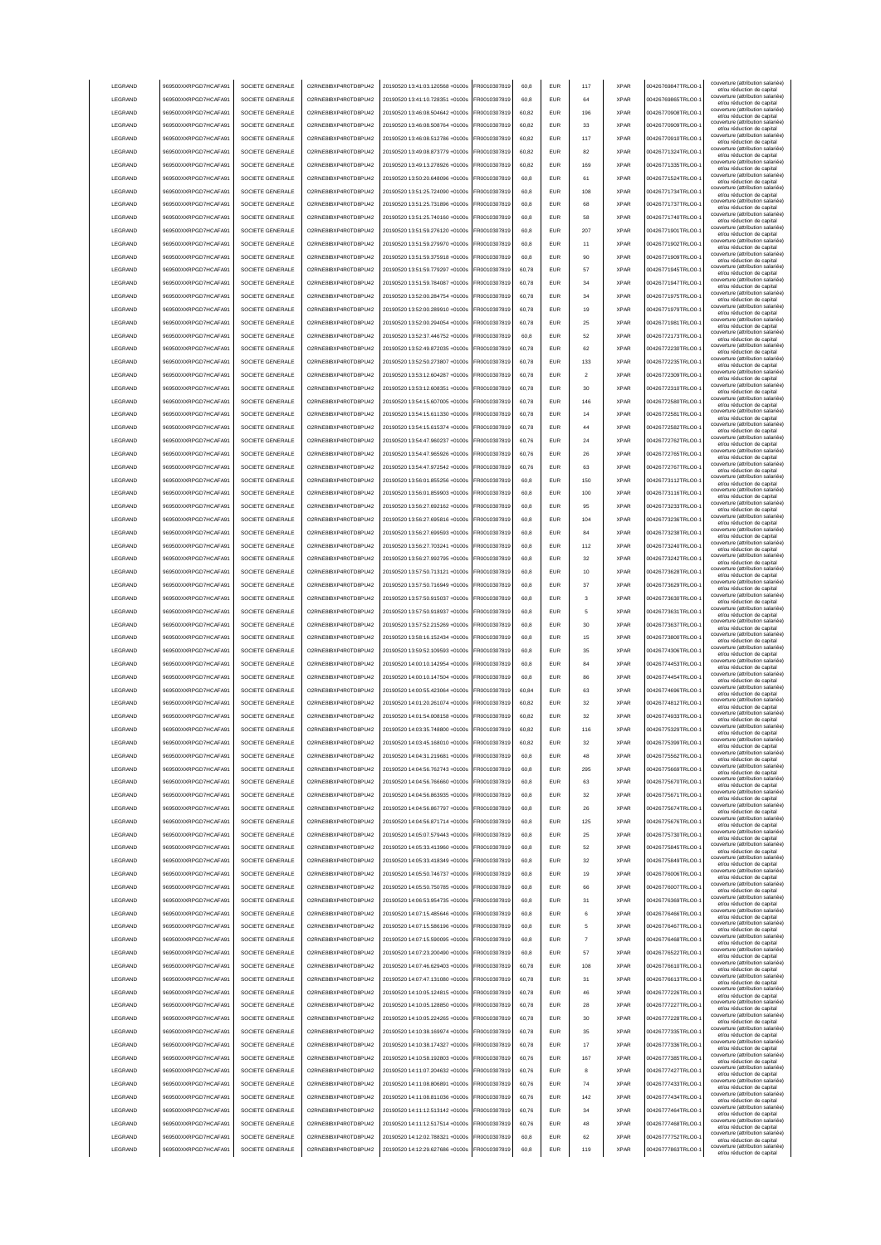|                    | 969500XXRPGD7HCAFA91                         | SOCIETE GENERALE                     | O2RNE8IBXP4R0TD8PU42                         | 20190520 13:41:03.120568 +0100s                                    | FR0010307819                 | 60.8         | <b>EUR</b>               | 117                     | <b>XPAR</b>                | 00426769847TRLO0-                      | couverture (attribution salariée<br>et/ou réduction de capital                                       |
|--------------------|----------------------------------------------|--------------------------------------|----------------------------------------------|--------------------------------------------------------------------|------------------------------|--------------|--------------------------|-------------------------|----------------------------|----------------------------------------|------------------------------------------------------------------------------------------------------|
| LEGRAND            | 969500XXRPGD7HCAFA91                         | SOCIETE GENERALE                     | O2RNE8IBXP4R0TD8PU42                         | 20190520 13:41:10.728351 +0100s                                    | FR0010307819                 | 60.8         | <b>EUR</b>               | 64                      | <b>XPAR</b>                | 00426769865TRLO0-                      | couverture (attribution salariée)<br>et/ou réduction de capital                                      |
| LEGRAND            | 969500XXRPGD7HCAFA91                         | SOCIETE GENERALE                     | O2RNE8IBXP4R0TD8PU42                         | 20190520 13:46:08.504642 +0100s                                    | FR0010307819                 | 60.82        | <b>EUR</b>               | 196                     | <b>XPAR</b>                | 00426770908TRLO0-                      | couverture (attribution salariée)<br>et/ou réduction de capital                                      |
| LEGRAND            | 969500XXRPGD7HCAFA91                         | SOCIETE GENERALE                     | O2RNE8IBXP4R0TD8PU42                         | 20190520 13:46:08.508764 +0100s                                    | FR0010307819                 | 60,82        | EUR                      | 33                      | <b>XPAR</b>                | 00426770909TRLO0-                      | couverture (attribution salariée)<br>et/ou réduction de capital                                      |
| LEGRAND            | 969500XXRPGD7HCAFA91                         | SOCIETE GENERALE                     | O2RNE8IBXP4R0TD8PU42                         | 20190520 13:46:08.512786 +0100s                                    | FR0010307819                 | 60,82        | EUR                      | 117                     | <b>XPAR</b>                | 00426770910TRLO0-                      | couverture (attribution salariée)<br>et/ou réduction de capital                                      |
| LEGRAND            | 969500XXRPGD7HCAFA91                         | SOCIETE GENERALE                     | O2RNE8IBXP4R0TD8PU42                         | 20190520 13:49:08.873779 +0100s                                    | FR0010307819                 | 60,82        | EUR                      | 82                      | <b>XPAR</b>                | 00426771324TRLO0-                      | couverture (attribution salariée)<br>et/ou réduction de capital                                      |
| LEGRAND            | 969500XXRPGD7HCAFA91                         | SOCIETE GENERALE                     | O2RNE8IBXP4R0TD8PU42                         | 20190520 13:49:13.278926 +0100s                                    | FR0010307819                 | 60,82        | EUR                      | 169                     | <b>XPAR</b>                | 00426771335TRLO0-                      | couverture (attribution salariée)<br>et/ou réduction de capital                                      |
| LEGRAND            | 969500XXRPGD7HCAFA91                         | SOCIETE GENERALE                     | O2RNE8IBXP4R0TD8PU42                         | 20190520 13:50:20.648096 +0100s                                    | FR0010307819                 | 60,8         | EUR                      | 61                      | <b>XPAR</b>                | 00426771524TRLO0-                      | couverture (attribution salariée)<br>et/ou réduction de capital                                      |
| LEGRAND            | 969500XXRPGD7HCAFA91                         | SOCIETE GENERALE                     | O2RNE8IBXP4R0TD8PU42                         | 20190520 13:51:25.724090 +0100s                                    | FR0010307819                 | 60,8         | EUR                      | 108                     | <b>XPAR</b>                | 00426771734TRLO0-                      | couverture (attribution salariée)<br>et/ou réduction de capital                                      |
| LEGRAND            | 969500XXRPGD7HCAFA91                         | SOCIETE GENERALE                     | O2RNE8IBXP4R0TD8PU42                         | 20190520 13:51:25.731896 +0100s                                    | FR0010307819                 | 60,8         | EUR                      | 68                      | <b>XPAR</b>                | 00426771737TRLO0-                      | couverture (attribution salariée)<br>et/ou réduction de capital                                      |
| LEGRAND            | 969500XXRPGD7HCAFA91                         | SOCIETE GENERALE                     | O2RNE8IBXP4R0TD8PU42                         | 20190520 13:51:25.740160 +0100s                                    | FR0010307819                 | 60,8         | <b>EUR</b>               | 58                      | <b>XPAR</b>                | 00426771740TRLO0-                      | couverture (attribution salariée)<br>et/ou réduction de capital                                      |
| LEGRAND            | 969500XXRPGD7HCAFA91                         | SOCIETE GENERALE                     | O2RNE8IBXP4R0TD8PU42                         | 20190520 13:51:59.276120 +0100s                                    | FR0010307819                 | 60,8         | <b>EUR</b>               | 207                     | <b>XPAR</b>                | 00426771901TRLO0-                      | couverture (attribution salariée)<br>et/ou réduction de capital                                      |
| LEGRAND            | 969500XXRPGD7HCAFA91                         | SOCIETE GENERALE                     | O2RNE8IBXP4R0TD8PU42                         | 20190520 13:51:59.279970 +0100s                                    | FR0010307819                 | 60,8         | <b>EUR</b>               | 11                      | <b>XPAR</b>                | 00426771902TRLO0-                      | couverture (attribution salariée)<br>et/ou réduction de capital                                      |
| LEGRAND            | 969500XXRPGD7HCAFA91                         | SOCIETE GENERALE                     | O2RNE8IBXP4R0TD8PU42                         | 20190520 13:51:59.375918 +0100s                                    | FR0010307819                 | 60.8         | EUR                      | 90                      | <b>XPAR</b>                | 00426771909TRLO0-                      | couverture (attribution salariée)<br>et/ou réduction de capital                                      |
| LEGRAND            | 969500XXRPGD7HCAFA91                         | SOCIETE GENERALE                     | O2RNE8IBXP4R0TD8PU42                         | 20190520 13:51:59.779297 +0100s                                    | FR0010307819                 | 60.78        | <b>EUR</b>               | 57                      | <b>XPAR</b>                | 00426771945TRLO0-                      | couverture (attribution salariée)<br>et/ou réduction de capital                                      |
| LEGRAND            | 969500XXRPGD7HCAFA91                         | SOCIETE GENERALE                     | O2RNE8IBXP4R0TD8PU42                         | 20190520 13:51:59 784087 +0100s                                    | FR0010307819                 | 60.78        | <b>EUR</b>               | 34                      | <b>XPAR</b>                | 00426771947TRLO0-                      | couverture (attribution salariée)<br>et/ou réduction de capital                                      |
| LEGRAND            | 969500XXRPGD7HCAFA91                         | SOCIETE GENERALE                     | O2RNE8IBXP4R0TD8PU42                         | 20190520 13:52:00.284754 +0100s                                    | FR0010307819                 | 60,78        | EUR                      | 34                      | <b>XPAR</b>                | 00426771975TRLO0-                      | couverture (attribution salariée)<br>et/ou réduction de capital                                      |
| LEGRAND            | 969500XXRPGD7HCAFA91                         | SOCIETE GENERALE                     | O2RNE8IBXP4R0TD8PU42                         | 20190520 13:52:00.289910 +0100s                                    | FR0010307819                 | 60,78        | EUR                      | 19                      | <b>XPAR</b>                | 00426771979TRLO0-                      | couverture (attribution salariée)<br>et/ou réduction de capital                                      |
| LEGRAND            | 969500XXRPGD7HCAFA91                         | SOCIETE GENERALE                     | O2RNE8IBXP4R0TD8PU42                         | 20190520 13:52:00.294054 +0100s                                    | FR0010307819                 | 60,78        | EUR                      | 25                      | <b>XPAR</b>                | 00426771981TRLO0-                      | couverture (attribution salariée)<br>et/ou réduction de capital                                      |
| LEGRAND            | 969500XXRPGD7HCAFA91                         | SOCIETE GENERALE                     | O2RNE8IBXP4R0TD8PU42                         | 20190520 13:52:37.446752 +0100s                                    | FR0010307819                 | 60,8         | EUR                      | 52                      | <b>XPAR</b>                | 00426772173TRLO0-                      | couverture (attribution salariée)<br>et/ou réduction de capital                                      |
| LEGRAND            | 969500XXRPGD7HCAFA91                         | SOCIETE GENERALE                     | O2RNE8IBXP4R0TD8PU42                         | 20190520 13:52:49.872035 +0100s                                    | FR0010307819                 | 60,78        | EUR                      | 62                      | <b>XPAR</b>                | 00426772230TRLO0-                      | couverture (attribution salariée)<br>et/ou réduction de capital                                      |
| LEGRAND            | 969500XXRPGD7HCAFA91                         | SOCIETE GENERALE                     | O2RNE8IBXP4R0TD8PU42                         | 20190520 13:52:50.273807 +0100s                                    | FR0010307819                 | 60,78        | EUR                      | 133                     | <b>XPAR</b>                | 00426772235TRLO0-                      | couverture (attribution salariée)<br>et/ou réduction de capital                                      |
| LEGRAND            | 969500XXRPGD7HCAFA91                         | SOCIETE GENERALE                     | O2RNE8IBXP4R0TD8PU42                         | 20190520 13:53:12.604287 +0100s                                    | FR0010307819                 | 60,78        | EUR                      | $\overline{\mathbf{2}}$ | <b>XPAR</b>                | 00426772309TRLO0-                      | couverture (attribution salariée)<br>et/ou réduction de capital                                      |
| LEGRAND            | 969500XXRPGD7HCAFA91                         | SOCIETE GENERALE                     | O2RNE8IBXP4R0TD8PLI42                        | 20190520 13:53:12.608351 +0100s                                    | FR0010307819                 | 60,78        | <b>EUR</b>               | 30                      | <b>XPAR</b>                | 00426772310TRLO0-                      | couverture (attribution salariée)<br>et/ou réduction de capital                                      |
| LEGRAND            | 969500XXRPGD7HCAFA91                         | SOCIETE GENERALE                     | O2RNE8IBXP4R0TD8PU42                         | 20190520 13:54:15.607005 +0100s                                    | FR0010307819                 | 60,78        | <b>EUR</b>               | 146                     | <b>XPAR</b>                | 00426772580TRLO0-                      | couverture (attribution salariée)<br>et/ou réduction de capital                                      |
| LEGRAND            | 969500XXRPGD7HCAFA91                         | SOCIETE GENERALE                     | O2RNE8IBXP4R0TD8PU42                         | 20190520 13:54:15.611330 +0100s                                    | FR0010307819                 | 60,78        | <b>EUR</b>               | 14                      | <b>XPAR</b>                | 00426772581TRLO0-                      | couverture (attribution salariée)<br>et/ou réduction de capital                                      |
| LEGRAND            | 969500XXRPGD7HCAFA91                         | SOCIETE GENERALE                     | O2RNE8IBXP4R0TD8PU42                         | 20190520 13:54:15 615374 +0100s                                    | FR0010307819                 | 60.78        | <b>EUR</b>               | 44                      | <b>XPAR</b>                | 00426772582TRLO0-                      | couverture (attribution salariée)<br>et/ou réduction de capital                                      |
| LEGRAND            | 969500XXRPGD7HCAFA91                         | SOCIETE GENERALE                     | O2RNE8IBXP4R0TD8PLI42                        | 20190520 13:54:47.960237 +0100s                                    | FR0010307819                 | 60.76        | <b>EUR</b>               | 24                      | <b>XPAR</b>                | 00426772762TRLO0-                      | couverture (attribution salariée)<br>et/ou réduction de capital                                      |
| <b>LEGRAND</b>     | 969500XXRPGD7HCAFA91                         | SOCIETE GENERALE                     | O2RNE8IBXP4R0TD8PLI42                        | 20190520 13:54:47 965926 +0100s                                    | FR0010307819                 | 60.76        | <b>EUR</b>               | 26                      | <b>XPAR</b>                | 00426772765TRLO0-                      | couverture (attribution salariée)<br>et/ou réduction de capital                                      |
| LEGRAND            | 969500XXRPGD7HCAFA91                         | SOCIETE GENERALE                     | O2RNE8IBXP4R0TD8PU42                         | 20190520 13:54:47.972542 +0100s                                    | FR0010307819                 | 60,76        | EUR                      | 63                      | <b>XPAR</b>                | 00426772767TRLO0-                      | couverture (attribution salariée)<br>et/ou réduction de capital                                      |
| LEGRAND            | 969500XXRPGD7HCAFA91                         | SOCIETE GENERALE                     | O2RNE8IBXP4R0TD8PU42                         | 20190520 13:56:01.855256 +0100s                                    | FR0010307819                 | 60,8         | EUR                      | 150                     | <b>XPAR</b>                | 00426773112TRLO0-                      | couverture (attribution salariée)                                                                    |
| LEGRAND            | 969500XXRPGD7HCAFA91                         | SOCIETE GENERALE                     | O2RNE8IBXP4R0TD8PU42                         | 20190520 13:56:01.859903 +0100s                                    | FR0010307819                 | 60,8         | EUR                      | 100                     | <b>XPAR</b>                | 00426773116TRLO0-                      | et/ou réduction de capital<br>couverture (attribution salariée)<br>et/ou réduction de capital        |
| LEGRAND            | 969500XXRPGD7HCAFA91                         | SOCIETE GENERALE                     | O2RNE8IBXP4R0TD8PU42                         | 20190520 13:56:27.692162 +0100s                                    | R0010307819                  | 60,8         | <b>EUR</b>               | 95                      | <b>XPAR</b>                | 00426773233TRLO0-                      | couverture (attribution salariée)<br>et/ou réduction de capital                                      |
| LEGRAND            | 969500XXRPGD7HCAFA91                         | SOCIETE GENERALE                     | O2RNE8IBXP4R0TD8PU42                         | 20190520 13:56:27.695816 +0100s                                    | R0010307819                  | 60,8         | EUR                      | 104                     | <b>XPAR</b>                | 00426773236TRLO0-                      | couverture (attribution salariée)                                                                    |
| LEGRAND            | 969500XXRPGD7HCAFA91                         | SOCIETE GENERALE                     | O2RNE8IBXP4R0TD8PU42                         | 20190520 13:56:27.699593 +0100s                                    | R0010307819                  | 60,8         | EUR                      | 84                      | <b>XPAR</b>                | 00426773238TRLO0-                      | et/ou réduction de capital<br>couverture (attribution salariée)                                      |
| LEGRAND            | 969500XXRPGD7HCAFA91                         | SOCIETE GENERALE                     | O2RNE8IBXP4R0TD8PU42                         | 20190520 13:56:27.703241 +0100s                                    | FR0010307819                 | 60,8         | <b>EUR</b>               | 112                     | <b>XPAR</b>                | 00426773240TRLO0-                      | et/ou réduction de capital<br>couverture (attribution salariée)                                      |
| LEGRAND            | 969500XXRPGD7HCAFA91                         | SOCIETE GENERALE                     | O2RNE8IBXP4R0TD8PU42                         | 20190520 13:56:27.992795 +0100s                                    | FR0010307819                 | 60,8         | <b>EUR</b>               | 32                      | <b>XPAR</b>                | 00426773242TRLO0-                      | et/ou réduction de capital<br>couverture (attribution salariée)                                      |
| LEGRAND            | 969500XXRPGD7HCAFA91                         | SOCIETE GENERALE                     | O2RNE8IBXP4R0TD8PU42                         | 20190520 13:57:50.713121 +0100s                                    | FR0010307819                 | 60.8         | <b>FUR</b>               | 10                      | <b>XPAR</b>                | 00426773628TRLO0-                      | et/ou réduction de capital<br>couverture (attribution salariée)                                      |
| LEGRAND            | 969500XXRPGD7HCAFA91                         | SOCIETE GENERALE                     | O2RNE8IBXP4R0TD8PU42                         | 20190520 13:57:50.716949 +0100s                                    | FR0010307819                 | 60,8         | <b>EUR</b>               | 37                      | <b>XPAR</b>                | 00426773629TRLO0-                      | et/ou réduction de capital<br>couverture (attribution salariée)                                      |
| LEGRAND            | 969500XXRPGD7HCAFA91                         | SOCIETE GENERALE                     | O2RNE8IBXP4R0TD8PU42                         | 20190520 13:57:50.915037 +0100s                                    | FR0010307819                 | 60.8         | EUR                      | 3                       | <b>XPAR</b>                | 00426773630TRLO0-                      | et/ou réduction de capital<br>couverture (attribution salariée)                                      |
| LEGRAND            | 969500XXRPGD7HCAFA91                         | SOCIETE GENERALE                     | O2RNE8IBXP4R0TD8PU42                         | 20190520 13:57:50.918937 +0100s                                    | FR0010307819                 | 60.8         | <b>EUR</b>               | 5                       | <b>XPAR</b>                | 00426773631TRLO0-                      | et/ou réduction de capital<br>couverture (attribution salariée)                                      |
| LEGRAND            | 969500XXRPGD7HCAFA91                         | SOCIETE GENERALE                     | O2RNE8IBXP4R0TD8PU42                         | 20190520 13:57:52.215269 +0100s                                    | FR0010307819                 | 60.8         | <b>EUR</b>               | 30                      | <b>XPAR</b>                | 00426773637TRLO0-                      | et/ou réduction de capital<br>couverture (attribution salariée)                                      |
| LEGRAND            | 969500XXRPGD7HCAFA91                         | SOCIETE GENERALE                     | O2RNE8IBXP4R0TD8PU42                         | 20190520 13:58:16.152434 +0100s                                    | FR0010307819                 | 60,8         | EUR                      | 15                      | <b>XPAR</b>                | 00426773800TRLO0-                      | et/ou réduction de capital<br>couverture (attribution salariée)                                      |
| LEGRAND            | 969500XXRPGD7HCAFA91                         | SOCIETE GENERALE                     | O2RNE8IBXP4R0TD8PU42                         | 20190520 13:59:52.109593 +0100s                                    | FR0010307819                 | 60,8         | EUR                      | 35                      | <b>XPAR</b>                | 00426774306TRLO0-                      | et/ou réduction de capital<br>couverture (attribution salariée)                                      |
| LEGRAND            | 969500XXRPGD7HCAFA91                         | SOCIETE GENERALE                     | O2RNE8IBXP4R0TD8PU42                         | 20190520 14:00:10.142954 +0100s                                    | FR0010307819                 | 60,8         | EUR                      | 84                      | <b>XPAR</b>                | 00426774453TRLO0-                      | et/ou réduction de capital<br>couverture (attribution salariée)                                      |
| LEGRAND            | 969500XXRPGD7HCAFA9                          | SOCIETE GENERALE                     | O2RNE8IBXP4R0TD8PU42                         | 20190520 14:00:10.147504 +0100s                                    | R0010307819                  | 60,8         | <b>EUR</b>               | 86                      | <b>XPAR</b>                | 00426774454TRLO0-                      | et/ou réduction de capital<br>couverture (attribution salariée)                                      |
| LEGRAND            | 969500XXRPGD7HCAFA91                         | SOCIETE GENERALE                     | O2RNE8IBXP4R0TD8PU42                         | 20190520 14:00:55.423064 +0100s                                    | FR0010307819                 | 60,84        | EUR                      | 63                      | <b>XPAR</b>                | 00426774696TRLO0-                      | et/ou réduction de capital<br>couverture (attribution salariée)                                      |
| LEGRAND            | 969500XXRPGD7HCAFA91                         | SOCIETE GENERALE                     |                                              | 20190520 14:01:20.261074 +0100s                                    | FR0010307819                 | 60,82        |                          |                         |                            |                                        | et/ou réduction de capital<br>couverture (attribution salariée)                                      |
| <b>I FGRAND</b>    | 969500XXRPGD7HCAFA91                         |                                      |                                              |                                                                    |                              |              |                          |                         |                            |                                        |                                                                                                      |
| <b>I FGRAND</b>    |                                              |                                      | O2RNE8IBXP4R0TD8PU42                         |                                                                    |                              |              | <b>EUR</b><br><b>FUR</b> | 32<br>32                | <b>XPAR</b><br><b>XPAR</b> | 00426774812TRLO0-<br>00426774933TRLO0- | et/ou réduction de capital<br>couverture (attribution salariée)                                      |
|                    |                                              | SOCIETE GENERALE                     | O2RNE8IBXP4R0TD8PU42                         | 20190520 14:01:54.008158 +0100s                                    | FR0010307819                 | 60.82        |                          |                         |                            |                                        | et/ou réduction de capital<br>couverture (attribution salariée)                                      |
|                    | 969500XXRPGD7HCAFA91                         | SOCIETE GENERALE                     | O2RNE8IBXP4R0TD8PLI42                        | 20190520 14:03:35.748800 +0100s                                    | FR0010307819<br>FR0010307819 | 60.82        | <b>EUR</b>               | 116                     | <b>XPAR</b>                | 00426775329TRLO0-                      | et/ou réduction de capital<br>couverture (attribution salariée)                                      |
| <b>I FGRAND</b>    | 969500XXRPGD7HCAFA91<br>969500XXRPGD7HCAFA91 | SOCIETE GENERALE                     | O2RNE8IBXP4R0TD8PU42<br>O2RNE8IBXP4R0TD8PU42 | 20190520 14:03:45.168010 +0100s                                    |                              | 60.82        | FUR                      | 32                      | <b>XPAR</b>                | 00426775399TRLO0-                      | et/ou reduction de capita<br>couverture (attribution salariée)                                       |
| LEGRAND            |                                              | SOCIETE GENERALE<br>SOCIETE GENERALE |                                              | 20190520 14:04:31.219681 +0100s                                    | FR0010307819                 | 60.8         | <b>EUR</b>               | 48                      | <b>XPAR</b>                | 00426775562TRLO0-                      | et/ou réduction de capital<br>couverture (attribution salariée)                                      |
| LEGRAND            | 969500XXRPGD7HCAFA91                         |                                      | O2RNE8IBXP4R0TD8PU42                         | 20190520 14:04:56.762743 +0100s                                    | FR0010307819                 | 60.8         | <b>EUR</b>               | 295                     | <b>XPAR</b>                | 00426775669TRLO0-                      | et/ou réduction de capital<br>couverture (attribution salariée)                                      |
| LEGRAND            | 969500XXRPGD7HCAFA91                         | SOCIETE GENERALE                     | O2RNE8IBXP4R0TD8PU42                         | 20190520 14:04:56.766660 +0100s                                    | FR0010307819                 | 60.8         | <b>EUR</b>               | 63                      | <b>XPAR</b>                | 00426775670TRLO0-                      | et/ou réduction de capital<br>couverture (attribution salariée)                                      |
| LEGRAND            | 969500XXRPGD7HCAFA91                         | SOCIETE GENERALE                     | O2RNE8IBXP4R0TD8PU42                         | 20190520 14:04:56 863935 +0100s                                    | FR0010307819                 | 60.8         | <b>EUR</b>               | 32                      | <b>XPAR</b>                | 00426775671TRLO0-                      | et/ou réduction de capital<br>couverture (attribution salariée)                                      |
| LEGRAND            | 969500XXRPGD7HCAFA91                         | SOCIETE GENERALE                     | O2RNE8IBXP4R0TD8PU42                         | 20190520 14:04:56.867797 +0100s                                    | FR0010307819                 | 60,8         | EUR                      | 26                      | <b>XPAR</b>                | 00426775674TRLO0-1                     | et/ou réduction de capital<br>couverture (attribution salariée)                                      |
| LEGRAND            | 969500XXRPGD7HCAFA91                         | SOCIETE GENERALE                     | O2RNE8IBXP4R0TD8PU42                         | 20190520 14:04:56.871714 +0100s                                    | FR0010307819                 | 60,8         | EUR                      | 125                     | <b>XPAR</b>                | 00426775676TRLO0-                      | et/ou réduction de capital<br>couverture (attribution salariée)                                      |
| LEGRAND            | 969500XXRPGD7HCAFA91                         | SOCIETE GENERALE                     | O2RNE8IBXP4R0TD8PU42                         | 20190520 14:05:07.579443 +0100s                                    | FR0010307819                 | 60,8         | EUR                      | 25                      | <b>XPAR</b>                | 00426775730TRLO0-                      | et/ou réduction de capital<br>couverture (attribution salariée)                                      |
| LEGRAND            | 969500XXRPGD7HCAFA91                         | SOCIETE GENERALE                     | O2RNE8IBXP4R0TD8PU42                         | 20190520 14:05:33.413960 +0100s                                    | FR0010307819                 | 60,8         | <b>EUR</b>               | 52                      | <b>XPAR</b>                | 00426775845TRLO0-                      | et/ou réduction de capital<br>couverture (attribution salariée)                                      |
| LEGRAND            | 969500XXRPGD7HCAFA91                         | SOCIETE GENERALE                     | O2RNE8IBXP4R0TD8PU42                         | 20190520 14:05:33.418349 +0100s                                    | FR0010307819                 | 60,8         | <b>EUR</b>               | 32                      | <b>XPAR</b>                | 00426775849TRLO0-                      | et/ou réduction de capital<br>couverture (attribution salariée)                                      |
| LEGRAND            | 969500XXRPGD7HCAFA91                         | SOCIETE GENERALE                     | O2RNE8IBXP4R0TD8PU42                         | 20190520 14:05:50.746737 +0100s                                    | FR0010307819                 | 60,8         | <b>EUR</b>               | 19                      | <b>XPAR</b>                | 00426776006TRLO0-                      | et/ou réduction de capital<br>couverture (attribution salariée)                                      |
| LEGRAND            | 969500XXRPGD7HCAFA91                         | SOCIETE GENERALE                     | O2RNE8IBXP4R0TD8PU42                         | 20190520 14:05:50.750785 +0100s                                    | FR0010307819                 | 60,8         | <b>EUR</b>               | 66                      | <b>XPAR</b>                | 00426776007TRLO0-                      | et/ou réduction de capital<br>couverture (attribution salariée)                                      |
| LEGRAND            | 969500XXRPGD7HCAFA91                         | SOCIETE GENERALE                     | O2RNE8IBXP4R0TD8PU42                         | 20190520 14:06:53.954735 +0100s                                    | FR0010307819                 | 60,8         | <b>EUR</b>               | 31                      | <b>XPAR</b>                | 00426776369TRLO0-                      | et/ou réduction de capital<br>couverture (attribution salariée)                                      |
| LEGRAND            | 969500XXRPGD7HCAFA91                         | SOCIETE GENERALE                     | O2RNE8IBXP4R0TD8PU42                         | 20190520 14:07:15 485646 +0100s                                    | FR0010307819                 | 60,8         | <b>EUR</b>               | 6                       | <b>XPAR</b>                | 00426776466TRLO0-                      | et/ou réduction de capital<br>couverture (attribution salariée)                                      |
| LEGRAND            | 969500XXRPGD7HCAFA91                         | SOCIETE GENERALE                     | O2RNE8IBXP4R0TD8PU42                         | 20190520 14:07:15.586196 +0100s                                    | FR0010307819                 | 60.8         | <b>EUR</b>               | 5                       | <b>XPAR</b>                | 00426776467TRLO0-                      | et/ou réduction de capital<br>couverture (attribution salariée)                                      |
| LEGRAND            | 969500XXRPGD7HCAFA91                         | SOCIETE GENERALE                     | O2RNE8IBXP4R0TD8PU42                         | 20190520 14:07:15.590095 +0100s                                    | FR0010307819                 | 60.8         | <b>EUR</b>               | $\overline{7}$          | <b>XPAR</b>                | 00426776468TRLO0-                      | et/ou réduction de capital<br>couverture (attribution salariée)                                      |
| LEGRAND            | 969500XXRPGD7HCAFA91                         | SOCIETE GENERALE                     | O2RNE8IBXP4R0TD8PU42                         | 20190520 14:07:23.200490 +0100s                                    | FR0010307819                 | 60.8         | <b>EUR</b>               | 57                      | <b>XPAR</b>                | 00426776522TRLO0-                      | et/ou réduction de capital<br>couverture (attribution salariée)                                      |
| LEGRAND            | 969500XXRPGD7HCAFA91                         | SOCIETE GENERALE                     | O2RNE8IBXP4R0TD8PU42                         | 20190520 14:07:46.629403 +0100s                                    | FR0010307819                 | 60,78        | EUR                      | 108                     | <b>XPAR</b>                | 00426776610TRLO0-                      | et/ou réduction de capital<br>couverture (attribution salariée)                                      |
| LEGRAND            | 969500XXRPGD7HCAFA91                         | SOCIETE GENERALE                     | O2RNE8IBXP4R0TD8PU42                         | 20190520 14:07:47.131080 +0100s                                    | FR0010307819                 | 60,78        | EUR                      | 31                      | <b>XPAR</b>                | 00426776613TRLO0-                      | et/ou réduction de capital<br>couverture (attribution salariée)                                      |
| LEGRAND            | 969500XXRPGD7HCAFA91                         | SOCIETE GENERALE                     | O2RNE8IBXP4R0TD8PU42                         | 20190520 14:10:05.124815 +0100s                                    | FR0010307819                 | 60,78        | EUR                      | 46                      | <b>XPAR</b>                | 00426777226TRLO0-                      | et/ou réduction de capital<br>couverture (attribution salariée)                                      |
| LEGRAND            | 969500XXRPGD7HCAFA91                         | SOCIETE GENERALE                     | O2RNE8IBXP4R0TD8PU42                         | 20190520 14:10:05.128850 +0100s                                    | FR0010307819                 | 60,78        | <b>EUR</b>               | 28                      | <b>XPAR</b>                | 00426777227TRLO0-                      | et/ou réduction de capital                                                                           |
| LEGRAND            | 969500XXRPGD7HCAFA91                         | SOCIETE GENERALE                     | O2RNE8IBXP4R0TD8PU42                         | 20190520 14:10:05.224265 +0100s                                    | FR0010307819                 | 60,78        | <b>EUR</b>               | 30                      | <b>XPAR</b>                | 00426777228TRLO0-                      | couverture (attribution salariée)<br>et/ou réduction de capital                                      |
| LEGRAND            | 969500XXRPGD7HCAFA91                         | SOCIETE GENERALE                     | O2RNE8IBXP4R0TD8PU42                         | 20190520 14:10:38.169974 +0100s                                    | FR0010307819                 | 60,78        | <b>EUR</b>               | 35                      | <b>XPAR</b>                | 00426777335TRLO0-                      | couverture (attribution salariée)<br>et/ou réduction de capital                                      |
| LEGRAND            | 969500XXRPGD7HCAFA91                         | SOCIETE GENERALE                     | O2RNE8IBXP4R0TD8PU42                         | 20190520 14:10:38.174327 +0100s                                    | FR0010307819                 | 60,78        | <b>EUR</b>               | 17                      | <b>XPAR</b>                | 00426777336TRLO0-                      | couverture (attribution salariée)<br>et/ou réduction de capital                                      |
| LEGRAND            | 969500XXRPGD7HCAFA91                         | SOCIETE GENERALE                     | O2RNE8IBXP4R0TD8PU42                         | 20190520 14:10:58.192803 +0100s                                    | FR0010307819                 | 60,76        | <b>EUR</b>               | 167                     | <b>XPAR</b>                | 00426777385TRLO0-                      | couverture (attribution salariée)<br>et/ou réduction de capital                                      |
| LEGRAND            | 969500XXRPGD7HCAFA91                         | SOCIETE GENERALE                     | O2RNE8IBXP4R0TD8PU42                         | 20190520 14:11:07.204632 +0100s                                    | FR0010307819                 | 60,76        | <b>EUR</b>               | 8                       | <b>XPAR</b>                | 00426777427TRLO0-                      | couverture (attribution salariée)<br>et/ou réduction de capital                                      |
| LEGRAND            | 969500XXRPGD7HCAFA91                         | SOCIETE GENERALE                     | O2RNE8IBXP4R0TD8PU42                         | 20190520 14:11:08.806891 +0100s                                    | FR0010307819                 | 60,76        | <b>EUR</b>               | 74                      | <b>XPAR</b>                | 00426777433TRLO0-                      | couverture (attribution salariée)<br>et/ou réduction de capital                                      |
| LEGRAND            | 969500XXRPGD7HCAFA91                         | SOCIETE GENERALE                     | O2RNE8IBXP4R0TD8PU42                         | 20190520 14:11:08.811036 +0100s                                    | FR0010307819                 | 60.76        | <b>EUR</b>               | 142                     | <b>XPAR</b>                | 00426777434TRLO0-                      | couverture (attribution salariée)<br>et/ou réduction de capital                                      |
| LEGRAND            | 969500XXRPGD7HCAFA91                         | SOCIETE GENERALE                     | O2RNE8IBXP4R0TD8PU42                         | 20190520 14:11:12.513142 +0100s                                    | FR0010307819                 | 60.76        | <b>EUR</b>               | 34                      | <b>XPAR</b>                | 00426777464TRLO0-                      | couverture (attribution salariée)<br>et/ou réduction de capital                                      |
| LEGRAND            | 969500XXRPGD7HCAFA91                         | SOCIETE GENERALE                     | O2RNE8IBXP4R0TD8PU42                         | 20190520 14:11:12.517514 +0100s                                    | FR0010307819                 | 60.76        | <b>EUR</b>               | 48                      | <b>XPAR</b>                | 00426777468TRLO0-                      | couverture (attribution salariée)<br>et/ou réduction de capital                                      |
| LEGRAND<br>LEGRAND | 969500XXRPGD7HCAFA91<br>969500XXRPGD7HCAFA91 | SOCIETE GENERALE<br>SOCIETE GENERALE | O2RNE8IBXP4R0TD8PU42<br>O2RNE8IBXP4R0TD8PU42 | 20190520 14:12:02.788321 +0100s<br>20190520 14:12:29.627686 +0100s | FR0010307819<br>FR0010307819 | 60,8<br>60,8 | <b>EUR</b><br>EUR        | 62<br>119               | <b>XPAR</b><br><b>XPAR</b> | 00426777752TRLO0-<br>00426777863TRLO0- | couverture (attribution salariée)<br>et/ou réduction de capital<br>couverture (attribution salariée) |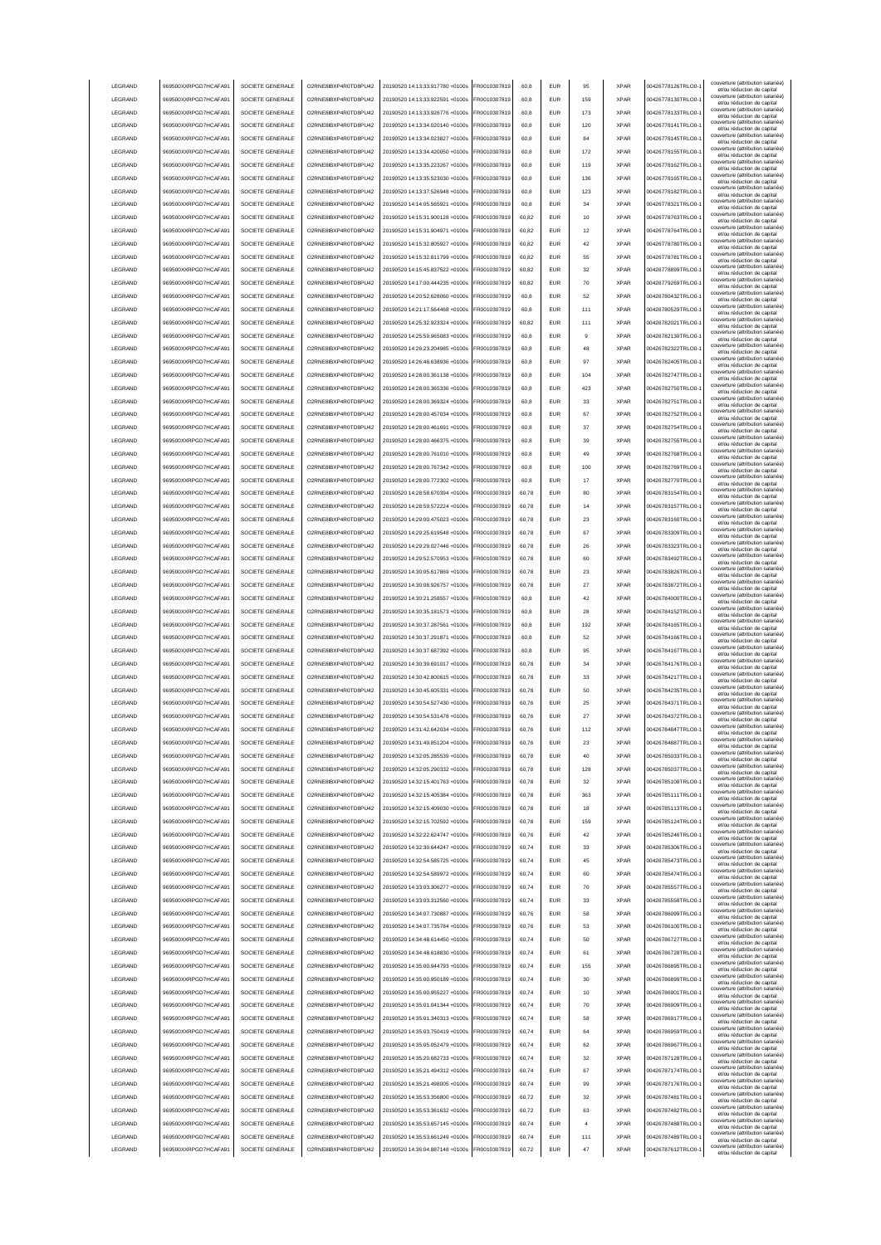| LEGRAND            | 969500XXRPGD7HCAFA91                         | SOCIETE GENERALE                     | O2RNE8IBXP4R0TD8PU42                         | 20190520 14:13:33.917780 +0100s                                    | FR0010307819                 | 60,8           | <b>EUR</b>        | 95             | <b>XPAR</b>                | 00426778126TRLO0-                      | couverture (attribution salariée)<br>et/ou réduction de capital |
|--------------------|----------------------------------------------|--------------------------------------|----------------------------------------------|--------------------------------------------------------------------|------------------------------|----------------|-------------------|----------------|----------------------------|----------------------------------------|-----------------------------------------------------------------|
| LEGRAND            | 969500XXRPGD7HCAFA91                         | SOCIETE GENERALE                     | O2RNE8IBXP4R0TD8PU42                         | 20190520 14:13:33.922591 +0100s                                    | FR0010307819                 | 60,8           | <b>EUR</b>        | 159            | <b>XPAR</b>                | 00426778130TRLO0-                      | couverture (attribution salariée)                               |
|                    |                                              |                                      |                                              |                                                                    |                              |                |                   |                |                            |                                        | et/ou réduction de capital<br>couverture (attribution salariée) |
| LEGRAND            | 969500XXRPGD7HCAFA91                         | SOCIETE GENERALE                     | O2RNE8IBXP4R0TD8PU42                         | 20190520 14:13:33.926776 +0100s                                    | FR0010307819                 | 60,8           | <b>EUR</b>        | 173            | <b>XPAR</b>                | 00426778133TRLO0-                      | et/ou réduction de capital                                      |
| LEGRAND            | 969500XXRPGD7HCAFA91                         | SOCIETE GENERALE                     | O2RNE8IBXP4R0TD8PU42                         | 20190520 14:13:34.020140 +0100s                                    | FR0010307819                 | 60.8           | <b>EUR</b>        | 120            | <b>XPAR</b>                | 00426778141TRLO0-                      | couverture (attribution salariée)<br>et/ou réduction de capital |
| LEGRAND            | 969500XXRPGD7HCAFA91                         | SOCIETE GENERALE                     | O2RNE8IBXP4R0TD8PU42                         | 20190520 14:13:34.023827 +0100s                                    | FR0010307819                 | 60.8           | <b>EUR</b>        | 84             | <b>XPAR</b>                | 00426778145TRLO0-                      | couverture (attribution salariée)<br>et/ou réduction de capital |
| LEGRAND            | 969500XXRPGD7HCAFA91                         | SOCIETE GENERALE                     | O2RNE8IBXP4R0TD8PU42                         | 20190520 14:13:34.420050 +0100s                                    | FR0010307819                 | 60.8           | <b>EUR</b>        | 172            | <b>XPAR</b>                | 00426778155TRLO0-                      | couverture (attribution salariée)<br>et/ou réduction de capital |
| LEGRAND            | 969500XXRPGD7HCAFA91                         | SOCIETE GENERALE                     | O2RNE8IBXP4R0TD8PU42                         | 20190520 14:13:35.223267 +0100s                                    | FR0010307819                 | 60.8           | EUR               | 119            | <b>XPAR</b>                | 00426778162TRLO0-                      | couverture (attribution salariée)                               |
|                    |                                              |                                      |                                              |                                                                    |                              |                |                   |                |                            |                                        | et/ou réduction de capital<br>couverture (attribution salariée) |
| LEGRAND            | 969500XXRPGD7HCAFA91                         | SOCIETE GENERALE                     | O2RNE8IBXP4R0TD8PU42                         | 20190520 14:13:35.523030 +0100s                                    | R0010307819                  | 60,8           | EUR               | 136            | <b>XPAR</b>                | 00426778165TRLO0-                      | et/ou réduction de capital                                      |
| LEGRAND            | 969500XXRPGD7HCAFA91                         | SOCIETE GENERALE                     | O2RNE8IBXP4R0TD8PU42                         | 20190520 14:13:37.526948 +0100s                                    | FR0010307819                 | 60,8           | EUR               | 123            | <b>XPAR</b>                | 00426778182TRLO0-                      | couverture (attribution salariée)<br>et/ou réduction de capital |
| LEGRAND            | 969500XXRPGD7HCAFA91                         | SOCIETE GENERALE                     | O2RNE8IBXP4R0TD8PU42                         | 20190520 14:14:05.565921 +0100s                                    | R0010307819                  | 60,8           | <b>EUR</b>        | 34             | <b>XPAR</b>                | 00426778321TRLO0-                      | couverture (attribution salariée)<br>et/ou réduction de capital |
| LEGRAND            | 969500XXRPGD7HCAFA91                         | SOCIETE GENERALE                     | O2RNE8IBXP4R0TD8PU42                         | 20190520 14:15:31.900128 +0100s                                    | FR0010307819                 | 60,82          | EUR               | 10             | <b>XPAR</b>                | 00426778763TRLO0-                      | couverture (attribution salariée)                               |
|                    |                                              |                                      |                                              |                                                                    |                              |                |                   |                |                            |                                        | et/ou réduction de capital<br>couverture (attribution salariée) |
| LEGRAND            | 969500XXRPGD7HCAFA91                         | SOCIETE GENERALE                     | O2RNE8IBXP4R0TD8PU42                         | 20190520 14:15:31.904971 +0100s                                    | FR0010307819                 | 60,82          | EUR               | 12             | <b>XPAR</b>                | 00426778764TRLO0-                      | et/ou réduction de capital                                      |
| LEGRAND            | 969500XXRPGD7HCAFA91                         | SOCIETE GENERALE                     | O2RNE8IBXP4R0TD8PU42                         | 20190520 14:15:32.805927 +0100s                                    | FR0010307819                 | 60,82          | EUR               | 42             | <b>XPAR</b>                | 00426778780TRLO0-                      | couverture (attribution salariée)<br>et/ou réduction de capital |
| LEGRAND            | 969500XXRPGD7HCAFA91                         | SOCIETE GENERALE                     | O2RNE8IBXP4R0TD8PLI42                        | 20190520 14:15:32.811799 +0100s                                    | FR0010307819                 | 60,82          | <b>EUR</b>        | 55             | <b>XPAR</b>                | 00426778781TRLO0-                      | couverture (attribution salariée)<br>et/ou réduction de capital |
| LEGRAND            | 969500XXRPGD7HCAFA91                         | SOCIETE GENERALE                     | O2RNE8IBXP4R0TD8PU42                         | 20190520 14:15:45.837522 +0100s                                    | FR0010307819                 | 60,82          | <b>EUR</b>        | 32             | <b>XPAR</b>                | 00426778899TRLO0-                      | couverture (attribution salariée)                               |
|                    |                                              |                                      |                                              |                                                                    |                              |                |                   |                |                            |                                        | et/ou réduction de capital<br>couverture (attribution salariée) |
| LEGRAND            | 969500XXRPGD7HCAFA91                         | SOCIETE GENERALE                     | O2RNE8IBXP4R0TD8PU42                         | 20190520 14:17:00.444235 +0100s                                    | FR0010307819                 | 60,82          | <b>EUR</b>        | 70             | <b>XPAR</b>                | 00426779269TRLO0-                      | et/ou réduction de capital                                      |
| LEGRAND            | 969500XXRPGD7HCAFA91                         | SOCIETE GENERALE                     | O2RNE8IBXP4R0TD8PU42                         | 20190520 14:20:52.628060 +0100s                                    | FR0010307819                 | 60.8           | <b>EUR</b>        | 52             | <b>XPAR</b>                | 00426780432TRLO0-                      | couverture (attribution salariée)<br>et/ou réduction de capital |
| LEGRAND            | 969500XXRPGD7HCAFA91                         | SOCIETE GENERALE                     | O2RNE8IBXP4R0TD8PU42                         | 20190520 14:21:17.564468 +0100s                                    | FR0010307819                 | 60.8           | EUR               | 111            | <b>XPAR</b>                | 00426780529TRLO0-                      | couverture (attribution salariée)<br>et/ou réduction de capital |
| LEGRAND            | 969500XXRPGD7HCAFA91                         | SOCIETE GENERALE                     | O2RNE8IBXP4R0TD8PU42                         | 20190520 14:25:32.923324 +0100s                                    | FR0010307819                 | 60.82          | <b>EUR</b>        | 111            | <b>XPAR</b>                | 00426782021TRLO0-                      | couverture (attribution salariée)                               |
|                    |                                              |                                      |                                              |                                                                    |                              |                |                   |                |                            |                                        | et/ou réduction de capital<br>couverture (attribution salariée) |
| LEGRAND            | 969500XXRPGD7HCAFA91                         | SOCIETE GENERALE                     | O2RNE8IBXP4R0TD8PU42                         | 20190520 14:25:59.965083 +0100s                                    | FR0010307819                 | 60,8           | EUR               | g              | <b>XPAR</b>                | 00426782130TRLO0-                      | et/ou réduction de capital                                      |
| LEGRAND            | 969500XXRPGD7HCAFA91                         | SOCIETE GENERALE                     | O2RNE8IBXP4R0TD8PU42                         | 20190520 14:26:23.204985 +0100s                                    | FR0010307819                 | 60.8           | EUR               | 48             | <b>XPAR</b>                | 00426782322TRLO0-                      | couverture (attribution salariée)<br>et/ou réduction de capital |
| LEGRAND            | 969500XXRPGD7HCAFA91                         | SOCIETE GENERALE                     | O2RNE8IBXP4R0TD8PU42                         | 20190520 14:26:46.638936 +0100s                                    | FR0010307819                 | 60.8           | EUR               | 97             | <b>XPAR</b>                | 00426782405TRLO0-                      | couverture (attribution salariée)<br>et/ou réduction de capital |
| LEGRAND            | 969500XXRPGD7HCAFA91                         | SOCIETE GENERALE                     | O2RNE8IBXP4R0TD8PU42                         | 20190520 14:28:00.361138 +0100s                                    | FR0010307819                 | 60.8           | EUR               | 104            | <b>XPAR</b>                | 00426782747TRLO0-                      | couverture (attribution salariée)                               |
|                    |                                              |                                      |                                              |                                                                    |                              |                |                   |                |                            |                                        | et/ou réduction de capital<br>couverture (attribution salariée) |
| LEGRAND            | 969500XXRPGD7HCAFA91                         | SOCIETE GENERALE                     | O2RNE8IBXP4R0TD8PU42                         | 20190520 14:28:00.365336 +0100s                                    | FR0010307819                 | 60,8           | EUR               | 423            | <b>XPAR</b>                | 00426782750TRLO0-                      | et/ou réduction de capital                                      |
| LEGRAND            | 969500XXRPGD7HCAFA91                         | SOCIETE GENERALE                     | O2RNE8IBXP4R0TD8PU42                         | 20190520 14:28:00.369324 +0100s                                    | FR0010307819                 | 60.8           | <b>EUR</b>        | 33             | <b>XPAR</b>                | 00426782751TRLO0-                      | couverture (attribution salariée)<br>et/ou réduction de capital |
| LEGRAND            | 969500XXRPGD7HCAFA91                         | SOCIETE GENERALE                     | O2RNE8IBXP4R0TD8PU42                         | 20190520 14:28:00.457034 +0100s                                    | FR0010307819                 | 60,8           | EUR               | 67             | <b>XPAR</b>                | 00426782752TRLO0-                      | couverture (attribution salariée)<br>et/ou réduction de capital |
| LEGRAND            | 969500XXRPGD7HCAFA91                         | SOCIETE GENERALE                     | O2RNE8IBXP4R0TD8PU42                         | 20190520 14:28:00.461691 +0100s                                    | FR0010307819                 | 60,8           | <b>EUR</b>        | 37             | <b>XPAR</b>                | 00426782754TRLO0-                      | couverture (attribution salariée)                               |
|                    |                                              |                                      |                                              |                                                                    |                              |                |                   |                |                            |                                        | et/ou réduction de capital<br>couverture (attribution salariée) |
| LEGRAND            | 969500XXRPGD7HCAFA91                         | SOCIETE GENERALE                     | O2RNE8IBXP4R0TD8PU42                         | 20190520 14:28:00.466375 +0100s                                    | FR0010307819                 | 60,8           | <b>EUR</b>        | 39             | <b>XPAR</b>                | 00426782755TRLO0-                      | et/ou réduction de capital                                      |
| LEGRAND            | 969500XXRPGD7HCAFA91                         | SOCIETE GENERALE                     | O2RNE8IBXP4R0TD8PU42                         | 20190520 14:28:00.761010 +0100s                                    | FR0010307819                 | 60,8           | <b>EUR</b>        | 49             | <b>XPAR</b>                | 00426782768TRLO0-                      | couverture (attribution salariée)<br>et/ou réduction de capital |
| <b>I FGRAND</b>    | 969500XXRPGD7HCAFA91                         | SOCIETE GENERALE                     | O2RNE8IBXP4R0TD8PU42                         | 20190520 14:28:00.767342 +0100s                                    | FR0010307819                 | 60.8           | <b>EUR</b>        | 100            | <b>XPAR</b>                | 00426782769TRLO0-                      | couverture (attribution salariée)<br>et/ou réduction de capital |
| LEGRAND            | 969500XXRPGD7HCAFA91                         | SOCIETE GENERALE                     | O2RNE8IBXP4R0TD8PU42                         | 20190520 14:28:00.772302 +0100s                                    | FR0010307819                 | 60.8           | <b>EUR</b>        | 17             | <b>XPAR</b>                | 00426782770TRLO0-                      | couverture (attribution salariée)                               |
|                    |                                              |                                      |                                              |                                                                    |                              |                |                   |                |                            |                                        | et/ou réduction de capital<br>couverture (attribution salariée) |
| LEGRAND            | 969500XXRPGD7HCAFA91                         | SOCIETE GENERALE                     | O2RNE8IBXP4R0TD8PU42                         | 20190520 14:28:58.670394 +0100s                                    | FR0010307819                 | 60.78          | <b>EUR</b>        | 80             | <b>XPAR</b>                | 00426783154TRLO0-                      | et/ou réduction de capital                                      |
| LEGRAND            | 969500XXRPGD7HCAFA91                         | SOCIETE GENERALE                     | O2RNE8IBXP4R0TD8PU42                         | 20190520 14:28:59.572224 +0100s                                    | FR0010307819                 | 60,78          | EUR               | 14             | <b>XPAR</b>                | 00426783157TRLO0-                      | couverture (attribution salariée)<br>et/ou réduction de capital |
| LEGRAND            | 969500XXRPGD7HCAFA91                         | SOCIETE GENERALE                     | O2RNE8IBXP4R0TD8PU42                         | 20190520 14:29:00.475023 +0100s                                    | FR0010307819                 | 60,78          | EUR               | 23             | <b>XPAR</b>                | 00426783160TRLO0-                      | couverture (attribution salariée)<br>et/ou réduction de capital |
| LEGRAND            | 969500XXRPGD7HCAFA91                         | SOCIETE GENERALE                     | O2RNE8IBXP4R0TD8PU42                         | 20190520 14:29:25.619548 +0100s                                    | FR0010307819                 | 60,78          | EUR               | 67             | <b>XPAR</b>                | 00426783309TRLO0-                      | couverture (attribution salariée)                               |
|                    |                                              |                                      |                                              |                                                                    |                              |                |                   |                |                            |                                        | et/ou réduction de capital<br>couverture (attribution salariée) |
| LEGRAND            | 969500XXRPGD7HCAFA91                         | SOCIETE GENERALE                     | O2RNE8IBXP4R0TD8PU42                         | 20190520 14:29:29.027446 +0100s                                    | FR0010307819                 | 60,78          | EUR               | 26             | <b>XPAR</b>                | 00426783323TRLO0-                      | et/ou réduction de capital<br>couverture (attribution salariée) |
| LEGRAND            | 969500XXRPGD7HCAFA91                         | SOCIETE GENERALE                     | O2RNE8IBXP4R0TD8PU42                         | 20190520 14:29:52.570953 +0100s                                    | FR0010307819                 | 60,78          | EUR               | 60             | <b>XPAR</b>                | 00426783492TRLO0-                      | et/ou réduction de capital                                      |
| LEGRAND            | 969500XXRPGD7HCAFA91                         | SOCIETE GENERALE                     | O2RNE8IBXP4R0TD8PU42                         | 20190520 14:30:05.617869 +0100s                                    | FR0010307819                 | 60,78          | EUR               | 23             | <b>XPAR</b>                | 00426783826TRLO0-                      | couverture (attribution salariée)<br>et/ou réduction de capital |
| LEGRAND            | 969500XXRPGD7HCAFA91                         | SOCIETE GENERALE                     | O2RNE8IBXP4R0TD8PU42                         | 20190520 14:30:08.926757 +0100s                                    | FR0010307819                 | 60,78          | EUR               | 27             | <b>XPAR</b>                | 00426783872TRLO0-                      | couverture (attribution salariée)                               |
|                    |                                              | SOCIETE GENERALE                     |                                              |                                                                    |                              |                |                   |                |                            |                                        | et/ou réduction de capital<br>couverture (attribution salariée) |
| LEGRAND            | 969500XXRPGD7HCAFA91                         |                                      | O2RNE8IBXP4R0TD8PU42                         | 20190520 14:30:21.258557 +0100s                                    | FR0010307819                 | 60,8           | <b>EUR</b>        | 42             | <b>XPAR</b>                | 00426784000TRLO0-                      | et/ou réduction de capital                                      |
|                    |                                              |                                      |                                              |                                                                    |                              |                |                   |                |                            |                                        |                                                                 |
| LEGRAND            | 969500XXRPGD7HCAFA91                         | SOCIETE GENERALE                     | O2RNE8IBXP4R0TD8PU42                         | 20190520 14:30:35.181573 +0100s                                    | FR0010307819                 | 60,8           | <b>EUR</b>        | 28             | <b>XPAR</b>                | 00426784152TRLO0-                      | couverture (attribution salariée)<br>et/ou réduction de capital |
| LEGRAND            | 969500XXRPGD7HCAFA91                         | SOCIETE GENERALE                     | O2RNE8IBXP4R0TD8PU42                         | 20190520 14:30:37.287561 +0100s                                    | FR0010307819                 | 60,8           | <b>EUR</b>        | 192            | <b>XPAR</b>                | 00426784165TRLO0-                      | couverture (attribution salariée)                               |
| LEGRAND            | 969500XXRPGD7HCAFA91                         | SOCIETE GENERALE                     | O2RNE8IBXP4R0TD8PU42                         | 20190520 14:30:37.291871 +0100s                                    | FR0010307819                 | 60.8           | EUR               | 52             | <b>XPAR</b>                | 00426784166TRLO0-                      | et/ou réduction de capital<br>couverture (attribution salariée) |
|                    |                                              |                                      |                                              |                                                                    |                              |                |                   |                |                            |                                        | et/ou réduction de capital<br>couverture (attribution salariée) |
| LEGRAND            | 969500XXRPGD7HCAFA91                         | SOCIETE GENERALE                     | O2RNE8IBXP4R0TD8PU42                         | 20190520 14:30:37.687392 +0100s                                    | FR0010307819                 | 60.8           | <b>EUR</b>        | 95             | <b>XPAR</b>                | 00426784167TRLO0-                      | et/ou réduction de capital                                      |
| LEGRAND            | 969500XXRPGD7HCAFA91                         | SOCIETE GENERALE                     | O2RNE8IBXP4R0TD8PU42                         | 20190520 14:30:39.691017 +0100s                                    | FR0010307819                 | 60.78          | <b>EUR</b>        | 34             | <b>XPAR</b>                | 00426784176TRLO0-                      | couverture (attribution salariée)<br>et/ou réduction de capital |
| LEGRAND            | 969500XXRPGD7HCAFA91                         | SOCIETE GENERALE                     | O2RNE8IBXP4R0TD8PU42                         | 20190520 14:30:42.800615 +0100s                                    | FR0010307819                 | 60,78          | EUR               | 33             | <b>XPAR</b>                | 00426784217TRLO0-                      | couverture (attribution salariée)                               |
|                    |                                              |                                      |                                              | 20190520 14:30:45.605331 +0100s                                    |                              |                | EUR               | 50             | <b>XPAR</b>                |                                        | et/ou réduction de capital<br>couverture (attribution salariée) |
| LEGRAND            | 969500XXRPGD7HCAFA91                         | SOCIETE GENERALE                     | O2RNE8IBXP4R0TD8PU42                         |                                                                    | FR0010307819                 | 60,78          |                   |                |                            | 00426784235TRLO0-                      | et/ou réduction de capital<br>couverture (attribution salariée) |
| LEGRAND            | 969500XXRPGD7HCAFA91                         | SOCIETE GENERALE                     | O2RNE8IBXP4R0TD8PU42                         | 20190520 14:30:54.527430 +0100s                                    | FR0010307819                 | 60,76          | EUR               | 25             | <b>XPAR</b>                | 00426784371TRLO0-                      | et/ou réduction de capital                                      |
| LEGRAND            | 969500XXRPGD7HCAFA91                         | SOCIETE GENERALE                     | O2RNE8IBXP4R0TD8PU42                         | 20190520 14:30:54.531478 +0100s                                    | FR0010307819                 | 60,76          | EUR               | 27             | <b>XPAR</b>                | 00426784372TRLO0-                      | couverture (attribution salariée)<br>et/ou réduction de capital |
| LEGRAND            | 969500XXRPGD7HCAFA91                         | SOCIETE GENERALE                     | O2RNE8IBXP4R0TD8PU42                         | 20190520 14:31:42.642034 +0100s                                    | FR0010307819                 | 60,76          | <b>EUR</b>        | 112            | <b>XPAR</b>                | 00426784847TRLO0-1                     | couverture (attribution salariée)<br>et/ou réduction de capital |
| LEGRAND            |                                              | SOCIETE GENERALE                     |                                              |                                                                    | FR0010307819                 | 60,76          | EUR               | 23             | <b>XPAR</b>                |                                        | couverture (attribution salariée)                               |
|                    | 969500XXRPGD7HCAFA91                         |                                      | O2RNE8IBXP4R0TD8PU42                         | 20190520 14:31:49.851204 +0100s                                    |                              |                |                   |                |                            | 00426784887TRLO0-1                     | et/ou réduction de capita<br>couverture (attribution salariée)  |
| <b>I FGRAND</b>    | 969500XXRPGD7HCAFA91                         | SOCIETE GENERALE                     | O2RNE8IBXP4R0TD8PLI42                        | 20190520 14:32:05 285539 +0100s                                    | FR0010307819                 | 60.78          | <b>EUR</b>        | 40             | <b>XPAR</b>                | 00426785033TRLO0-                      | et/ou réduction de capital                                      |
| <b>I FGRAND</b>    | 969500XXRPGD7HCAFA91                         | SOCIETE GENERALE                     | O2RNE8IBXP4R0TD8PLI42                        | 20190520 14:32:05.290332 +0100s                                    | FR0010307819                 | 60.78          | <b>EUR</b>        | 128            | <b>XPAR</b>                | 00426785037TRLO0-                      | couverture (attribution salariée)<br>et/ou réduction de capital |
| LEGRAND            | 969500XXRPGD7HCAFA91                         | SOCIETE GENERALE                     | O2RNE8IBXP4R0TD8PU42                         | 20190520 14:32:15.401763 +0100s                                    | FR0010307819                 | 60.78          | <b>EUR</b>        | 32             | <b>XPAR</b>                | 00426785108TRLO0-                      | couverture (attribution salariée)                               |
| LEGRAND            | 969500XXRPGD7HCAFA91                         | SOCIETE GENERALE                     | O2RNE8IBXP4R0TD8PU42                         | 20190520 14:32:15.405384 +0100s                                    | FR0010307819                 | 60.78          | <b>EUR</b>        | 363            | <b>XPAR</b>                | 00426785111TRLO0-                      | et/ou réduction de capital<br>couverture (attribution salariée) |
|                    |                                              |                                      |                                              |                                                                    |                              |                |                   |                |                            |                                        | et/ou réduction de capital<br>couverture (attribution salariée) |
| LEGRAND            | 969500XXRPGD7HCAFA91                         | SOCIETE GENERALE                     | O2RNE8IBXP4R0TD8PU42                         | 20190520 14:32:15 409030 +0100s                                    | FR0010307819                 | 60.78          | <b>EUR</b>        | 18             | <b>XPAR</b>                | 00426785113TRLO0-                      | et/ou réduction de capital                                      |
| LEGRAND            | 969500XXRPGD7HCAFA91                         | SOCIETE GENERALE                     | O2RNE8IBXP4R0TD8PU42                         | 20190520 14:32:15.702592 +0100s                                    | FR0010307819                 | 60.78          | <b>EUR</b>        | 159            | <b>XPAR</b>                | 00426785124TRLO0-                      | couverture (attribution salariée)<br>et/ou réduction de capital |
| LEGRAND            | 969500XXRPGD7HCAFA91                         | SOCIETE GENERALE                     | O2RNE8IBXP4R0TD8PU42                         | 20190520 14:32:22.624747 +0100s                                    | FR0010307819                 | 60.76          | <b>EUR</b>        | 42             | <b>XPAR</b>                | 00426785246TRLO0-                      | couverture (attribution salariée)<br>et/ou réduction de capital |
| LEGRAND            | 969500XXRPGD7HCAFA91                         | SOCIETE GENERALE                     | O2RNE8IBXP4R0TD8PU42                         | 20190520 14:32:30.644247 +0100s                                    | FR0010307819                 | 60,74          | EUR               | 33             | <b>XPAR</b>                | 00426785306TRLO0-                      | couverture (attribution salariée)                               |
|                    |                                              |                                      |                                              |                                                                    |                              |                |                   |                | <b>XPAR</b>                |                                        | et/ou réduction de capital<br>couverture (attribution salariée) |
| LEGRAND            | 969500XXRPGD7HCAFA91                         | SOCIETE GENERALE                     | O2RNE8IBXP4R0TD8PU42                         | 20190520 14:32:54.585725 +0100s                                    | FR0010307819                 | 60,74          | EUR               | 45             |                            | 00426785473TRLO0-1                     | et/ou réduction de capital                                      |
| LEGRAND            | 969500XXRPGD7HCAFA91                         | SOCIETE GENERALE                     | O2RNE8IBXP4R0TD8PU42                         | 20190520 14:32:54.589972 +0100s                                    | FR0010307819                 | 60,74          | EUR               | 60             | <b>XPAR</b>                | 00426785474TRLO0-                      | couverture (attribution salariée)<br>et/ou réduction de capital |
| LEGRAND            | 969500XXRPGD7HCAFA91                         | SOCIETE GENERALE                     | O2RNE8IBXP4R0TD8PU42                         | 20190520 14:33:03.306277 +0100s                                    | FR0010307819                 | 60,74          | <b>EUR</b>        | 70             | <b>XPAR</b>                | 00426785557TRLO0-                      | couverture (attribution salariée)<br>et/ou réduction de capital |
| LEGRAND            | 969500XXRPGD7HCAFA91                         | SOCIETE GENERALE                     | O2RNE8IBXP4R0TD8PU42                         | 20190520 14:33:03.312560 +0100s                                    | FR0010307819                 | 60,74          | <b>EUR</b>        | 33             | <b>XPAR</b>                | 00426785558TRLO0-                      | couverture (attribution salariée)                               |
|                    |                                              |                                      |                                              |                                                                    |                              |                |                   |                |                            |                                        | et/ou réduction de capital<br>couverture (attribution salariée) |
| LEGRAND            | 969500XXRPGD7HCAFA91                         | SOCIETE GENERALE                     | O2RNE8IBXP4R0TD8PU42                         | 20190520 14:34:07.730887 +0100s                                    | FR0010307819                 | 60,76          | <b>EUR</b>        | 58             | <b>XPAR</b>                | 00426786099TRLO0-1                     | et/ou réduction de capital                                      |
| LEGRAND            | 969500XXRPGD7HCAFA91                         | SOCIETE GENERALE                     | O2RNE8IBXP4R0TD8PU42                         | 20190520 14:34:07.735784 +0100s                                    | FR0010307819                 | 60,76          | <b>EUR</b>        | 53             | <b>XPAR</b>                | 00426786100TRLO0-                      | couverture (attribution salariée)<br>et/ou réduction de capital |
| LEGRAND            | 969500XXRPGD7HCAFA91                         | SOCIETE GENERALE                     | O2RNE8IBXP4R0TD8PU42                         | 20190520 14:34:48.614450 +0100s                                    | FR0010307819                 | 60,74          | <b>EUR</b>        | 50             | <b>XPAR</b>                | 00426786727TRLO0-                      | couverture (attribution salariée)<br>et/ou réduction de capital |
| LEGRAND            | 969500XXRPGD7HCAFA91                         | SOCIETE GENERALE                     | O2RNE8IBXP4R0TD8PU42                         | 20190520 14:34:48.618830 +0100s                                    | FR0010307819                 | 60,74          | <b>EUR</b>        | 61             | <b>XPAR</b>                | 00426786728TRLO0-                      | couverture (attribution salariée)                               |
| LEGRAND            | 969500XXRPGD7HCAFA91                         | SOCIETE GENERALE                     | O2RNE8IBXP4R0TD8PU42                         | 20190520 14:35:00.944793 +0100s                                    | FR0010307819                 | 60.74          | <b>EUR</b>        | 155            | <b>XPAR</b>                | 00426786895TRLO0-                      | et/ou réduction de capital<br>couverture (attribution salariée) |
|                    |                                              |                                      |                                              |                                                                    |                              |                |                   |                |                            |                                        | et/ou réduction de capital                                      |
| LEGRAND            | 969500XXRPGD7HCAFA91                         | SOCIETE GENERALE                     | O2RNE8IBXP4R0TD8PU42                         | 20190520 14:35:00.950189 +0100s                                    | FR0010307819                 | 60.74          | <b>EUR</b>        | 30             | <b>XPAR</b>                | 00426786899TRLO0-                      | couverture (attribution salariée)<br>et/ou réduction de capital |
| LEGRAND            | 969500XXRPGD7HCAFA91                         | SOCIETE GENERALE                     | O2RNE8IBXP4R0TD8PU42                         | 20190520 14:35:00.955227 +0100s                                    | FR0010307819                 | 60.74          | <b>EUR</b>        | 10             | <b>XPAR</b>                | 00426786901TRLO0-                      | couverture (attribution salariée)<br>et/ou réduction de capital |
| LEGRAND            | 969500XXRPGD7HCAFA91                         | SOCIETE GENERALE                     | O2RNE8IBXP4R0TD8PU42                         | 20190520 14:35:01.041344 +0100s                                    | FR0010307819                 | 60,74          | EUR               | 70             | <b>XPAR</b>                | 00426786909TRLO0-1                     | couverture (attribution salariée)                               |
|                    |                                              |                                      |                                              |                                                                    |                              | 60,74          | EUR               | 58             | <b>XPAR</b>                |                                        | et/ou réduction de capital<br>couverture (attribution salariée) |
| LEGRAND            | 969500XXRPGD7HCAFA91                         | SOCIETE GENERALE                     | O2RNE8IBXP4R0TD8PU42                         | 20190520 14:35:01.340313 +0100s                                    | FR0010307819                 |                |                   |                |                            | 00426786917TRLO0-1                     | et/ou réduction de capital                                      |
| LEGRAND            | 969500XXRPGD7HCAFA91                         | SOCIETE GENERALE                     | O2RNE8IBXP4R0TD8PU42                         | 20190520 14:35:03.750419 +0100s                                    | FR0010307819                 | 60,74          | EUR               | 64             | <b>XPAR</b>                | 00426786959TRLO0-1                     | couverture (attribution salariée)<br>et/ou réduction de capital |
| LEGRAND            | 969500XXRPGD7HCAFA91                         | SOCIETE GENERALE                     | O2RNE8IBXP4R0TD8PU42                         | 20190520 14:35:05.052479 +0100s                                    | FR0010307819                 | 60,74          | EUR               | 62             | <b>XPAR</b>                | 00426786967TRLO0-                      | couverture (attribution salariée)<br>et/ou réduction de capital |
| LEGRAND            | 969500XXRPGD7HCAFA91                         | SOCIETE GENERALE                     | O2RNE8IBXP4R0TD8PU42                         | 20190520 14:35:20.682733 +0100s                                    | FR0010307819                 | 60,74          | <b>EUR</b>        | 32             | <b>XPAR</b>                | 00426787128TRLO0-                      | couverture (attribution salariée)<br>et/ou réduction de capital |
| LEGRAND            | 969500XXRPGD7HCAFA91                         | SOCIETE GENERALE                     | O2RNE8IBXP4R0TD8PU42                         | 20190520 14:35:21.494312 +0100s                                    | FR0010307819                 | 60,74          | <b>EUR</b>        | 67             | <b>XPAR</b>                | 00426787174TRLO0-                      | couverture (attribution salariée)                               |
|                    |                                              |                                      |                                              |                                                                    |                              |                |                   |                |                            |                                        | et/ou réduction de capital<br>couverture (attribution salariée) |
| LEGRAND            | 969500XXRPGD7HCAFA91                         | SOCIETE GENERALE                     | O2RNE8IBXP4R0TD8PU42                         | 20190520 14:35:21.498005 +0100s                                    | FR0010307819                 | 60,74          | <b>EUR</b>        | 99             | <b>XPAR</b>                | 00426787176TRLO0-                      | et/ou réduction de capital                                      |
| <b>I FGRAND</b>    | 969500XXRPGD7HCAFA91                         | SOCIETE GENERALE                     | O2RNE8IBXP4R0TD8PU42                         | 20190520 14:35:53.356800 +0100s                                    | FR0010307819                 | 60.72          | <b>EUR</b>        | 32             | <b>XPAR</b>                | 00426787481TRLO0-                      | couverture (attribution salariée)<br>et/ou réduction de capital |
| <b>I FGRAND</b>    | 969500XXRPGD7HCAFA91                         | SOCIETE GENERALE                     | O2RNE8IBXP4R0TD8PU42                         | 20190520 14:35:53.361632 +0100s                                    | FR0010307819                 | 60.72          | <b>FUR</b>        | 63             | <b>XPAR</b>                | 00426787482TRLO0-                      | couverture (attribution salariée)<br>et/ou réduction de capital |
| <b>I FGRAND</b>    | 969500XXRPGD7HCAFA91                         | SOCIETE GENERALE                     | O2RNE8IBXP4R0TD8PU42                         | 20190520 14:35:53.657145 +0100s                                    | FR0010307819                 | 60.74          | <b>FUR</b>        | $\overline{a}$ | <b>XPAR</b>                | 00426787488TRLO0-                      | couverture (attribution salariée)                               |
|                    |                                              |                                      |                                              |                                                                    |                              |                |                   |                |                            |                                        | et/ou réduction de capital<br>couverture (attribution salariée) |
| LEGRAND<br>LEGRAND | 969500XXRPGD7HCAFA91<br>969500XXRPGD7HCAFA91 | SOCIETE GENERALE<br>SOCIETE GENERALE | O2RNE8IBXP4R0TD8PU42<br>O2RNE8IBXP4R0TD8PU42 | 20190520 14:35:53.661249 +0100s<br>20190520 14:36:04.887148 +0100s | FR0010307819<br>FR0010307819 | 60.74<br>60.72 | <b>EUR</b><br>EUR | 111<br>47      | <b>XPAR</b><br><b>XPAR</b> | 00426787489TRLO0-<br>00426787612TRLO0- | et/ou réduction de capital<br>couverture (attribution salariée) |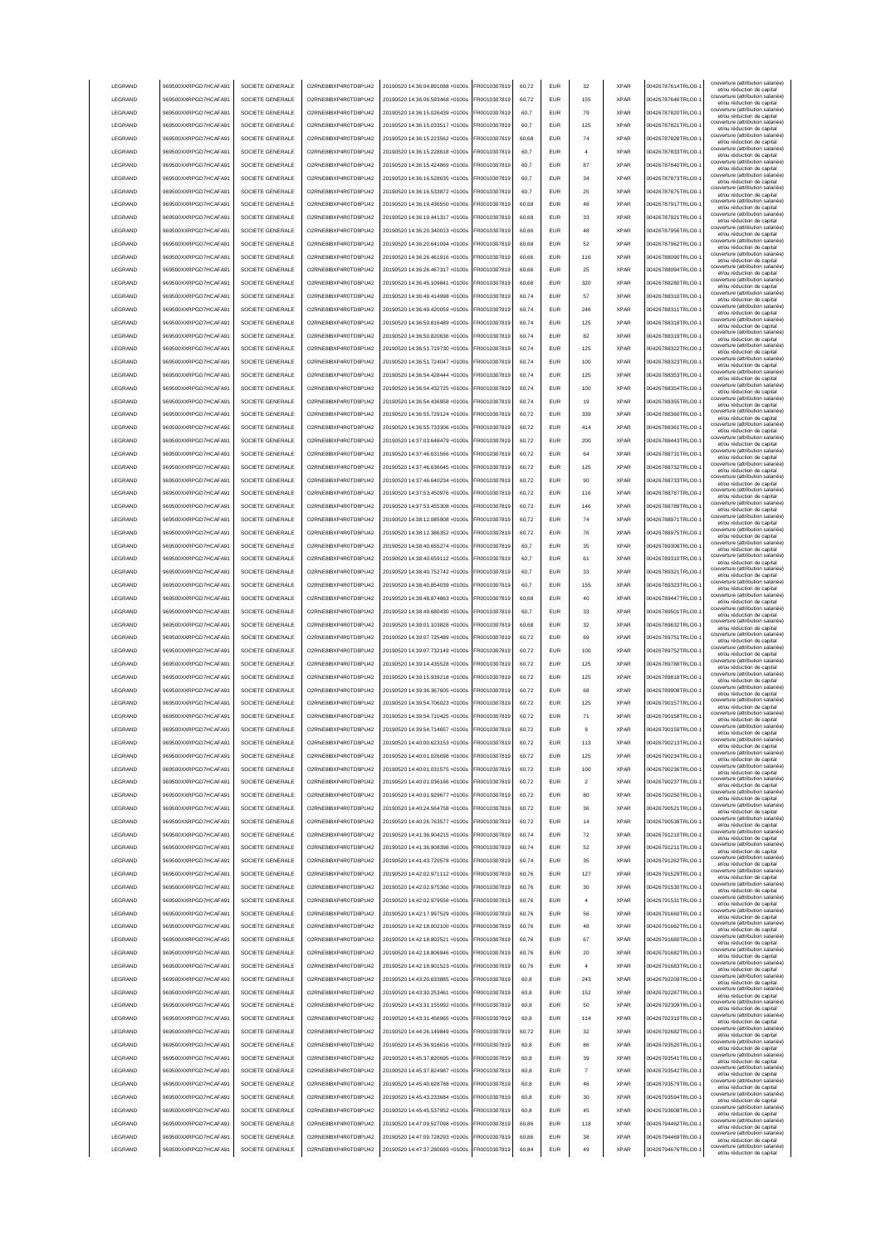|                 | 969500XXRPGD7HCAFA91 | SOCIETE GENERALE | O2RNE8IBXP4R0TD8PU42  | 20190520 14:36:04.891088 +0100s | FR0010307819 | 60.72 | <b>EUR</b> | 32                      | <b>XPAR</b> | 00426787614TRLO0- | couverture (attribution salariée<br>et/ou réduction de capital                                       |
|-----------------|----------------------|------------------|-----------------------|---------------------------------|--------------|-------|------------|-------------------------|-------------|-------------------|------------------------------------------------------------------------------------------------------|
| LEGRAND         | 969500XXRPGD7HCAFA91 | SOCIETE GENERALE | O2RNE8IBXP4R0TD8PU42  | 20190520 14:36:06.593468 +0100s | FR0010307819 | 60.72 | <b>EUR</b> | 155                     | <b>XPAR</b> | 00426787646TRLO0- | couverture (attribution salariée)<br>et/ou réduction de capital                                      |
| LEGRAND         | 969500XXRPGD7HCAFA91 | SOCIETE GENERALE | O2RNE8IBXP4R0TD8PU42  | 20190520 14:36:15.026439 +0100s | FR0010307819 | 60.7  | <b>EUR</b> | 79                      | <b>XPAR</b> | 00426787820TRLO0- | couverture (attribution salariée)<br>et/ou réduction de capital                                      |
| LEGRAND         | 969500XXRPGD7HCAFA91 | SOCIETE GENERALE | O2RNE8IBXP4R0TD8PU42  | 20190520 14:36:15.033517 +0100s | FR0010307819 | 60,7  | EUR        | 125                     | <b>XPAR</b> | 00426787821TRLO0- | couverture (attribution salariée)<br>et/ou réduction de capital                                      |
| LEGRAND         | 969500XXRPGD7HCAFA91 | SOCIETE GENERALE | O2RNE8IBXP4R0TD8PU42  | 20190520 14:36:15.223562 +0100s | FR0010307819 | 60,68 | EUR        | 74                      | <b>XPAR</b> | 00426787828TRLO0- | couverture (attribution salariée)<br>et/ou réduction de capital                                      |
| LEGRAND         | 969500XXRPGD7HCAFA91 | SOCIETE GENERALE | O2RNE8IBXP4R0TD8PU42  | 20190520 14:36:15.228618 +0100s | FR0010307819 | 60,7  | EUR        |                         | <b>XPAR</b> | 00426787833TRLO0- | couverture (attribution salariée)<br>et/ou réduction de capital                                      |
| LEGRAND         | 969500XXRPGD7HCAFA91 | SOCIETE GENERALE | O2RNE8IBXP4R0TD8PU42  | 20190520 14:36:15.424869 +0100s | FR0010307819 | 60,7  | EUR        | 87                      | <b>XPAR</b> | 00426787840TRLO0- | couverture (attribution salariée)<br>et/ou réduction de capital                                      |
| LEGRAND         | 969500XXRPGD7HCAFA91 | SOCIETE GENERALE | O2RNE8IBXP4R0TD8PU42  | 20190520 14:36:16.528635 +0100s | FR0010307819 | 60,7  | EUR        | 34                      | <b>XPAR</b> | 00426787873TRLO0- | couverture (attribution salariée)<br>et/ou réduction de capital                                      |
| LEGRAND         | 969500XXRPGD7HCAFA91 | SOCIETE GENERALE | O2RNE8IBXP4R0TD8PU42  | 20190520 14:36:16.533872 +0100s | FR0010307819 | 60,7  | EUR        | 25                      | <b>XPAR</b> | 00426787875TRLO0- | couverture (attribution salariée)<br>et/ou réduction de capital                                      |
| LEGRAND         | 969500XXRPGD7HCAFA91 | SOCIETE GENERALE | O2RNE8IBXP4R0TD8PU42  | 20190520 14:36:19.436550 +0100s | FR0010307819 | 60,68 | EUR        | 48                      | <b>XPAR</b> | 00426787917TRLO0- | couverture (attribution salariée)<br>et/ou réduction de capital                                      |
| LEGRAND         | 969500XXRPGD7HCAFA91 | SOCIETE GENERALE | O2RNE8IBXP4R0TD8PU42  | 20190520 14:36:19.441317 +0100s | FR0010307819 | 60,68 | <b>FUR</b> | 33                      | <b>XPAR</b> | 00426787921TRLO0- | couverture (attribution salariée)<br>et/ou réduction de capital                                      |
| LEGRAND         | 969500XXRPGD7HCAFA91 | SOCIETE GENERALE | O2RNE8IBXP4R0TD8PU42  | 20190520 14:36:20.340013 +0100s | FR0010307819 | 60,66 | <b>EUR</b> | 48                      | <b>XPAR</b> | 00426787956TRLO0- | couverture (attribution salariée)<br>et/ou réduction de capital                                      |
| LEGRAND         | 969500XXRPGD7HCAFA91 | SOCIETE GENERALE | O2RNE8IBXP4R0TD8PU42  | 20190520 14:36:20.641094 +0100s | FR0010307819 | 60,68 | <b>EUR</b> | 52                      | <b>XPAR</b> | 00426787962TRLO0- | couverture (attribution salariée)<br>et/ou réduction de capital                                      |
| LEGRAND         | 969500XXRPGD7HCAFA91 | SOCIETE GENERALE | O2RNE8IBXP4R0TD8PU42  | 20190520 14:36:26.461916 +0100s | FR0010307819 | 60.66 | EUR        | 116                     | <b>XPAR</b> | 00426788090TRLO0- | couverture (attribution salariée)<br>et/ou réduction de capital                                      |
| LEGRAND         | 969500XXRPGD7HCAFA91 | SOCIETE GENERALE | O2RNE8IBXP4R0TD8PU42  | 20190520 14:36:26.467317 +0100s | FR0010307819 | 60.66 | <b>EUR</b> | 25                      | <b>XPAR</b> | 00426788094TRLO0- | couverture (attribution salariée)<br>et/ou réduction de capital                                      |
| LEGRAND         | 969500XXRPGD7HCAFA91 | SOCIETE GENERALE | O2RNE8IBXP4R0TD8PU42  | 20190520 14:36:45.109841 +0100s | FR0010307819 | 60.68 | EUR        | 320                     | <b>XPAR</b> | 00426788280TRLO0- | couverture (attribution salariée)<br>et/ou réduction de capital                                      |
| LEGRAND         | 969500XXRPGD7HCAFA91 | SOCIETE GENERALE | O2RNE8IBXP4R0TD8PU42  | 20190520 14:36:49.414998 +0100s | FR0010307819 | 60,74 | EUR        | 57                      | <b>XPAR</b> | 00426788310TRLO0- | couverture (attribution salariée)<br>et/ou réduction de capital                                      |
| LEGRAND         | 969500XXRPGD7HCAFA91 | SOCIETE GENERALE | O2RNE8IBXP4R0TD8PU42  | 20190520 14:36:49.420059 +0100s | FR0010307819 | 60,74 | EUR        | 246                     | <b>XPAR</b> | 00426788311TRLO0- | couverture (attribution salariée)<br>et/ou réduction de capital                                      |
| LEGRAND         | 969500XXRPGD7HCAFA91 | SOCIETE GENERALE | O2RNE8IBXP4R0TD8PU42  | 20190520 14:36:50.816489 +0100s | FR0010307819 | 60,74 | EUR        | 125                     | <b>XPAR</b> | 00426788318TRLO0- | couverture (attribution salariée)<br>et/ou réduction de capital                                      |
| LEGRAND         | 969500XXRPGD7HCAFA91 | SOCIETE GENERALE | O2RNE8IBXP4R0TD8PU42  | 20190520 14:36:50.820636 +0100s | FR0010307819 | 60,74 | EUR        | 82                      | <b>XPAR</b> | 00426788319TRLO0- | couverture (attribution salariée)<br>et/ou réduction de capital                                      |
| LEGRAND         | 969500XXRPGD7HCAFA91 | SOCIETE GENERALE | O2RNE8IBXP4R0TD8PU42  | 20190520 14:36:51.719730 +0100s | FR0010307819 | 60,74 | EUR        | 125                     | <b>XPAR</b> | 00426788322TRLO0- | couverture (attribution salariée)<br>et/ou réduction de capital                                      |
| LEGRAND         | 969500XXRPGD7HCAFA91 | SOCIETE GENERALE | O2RNE8IBXP4R0TD8PU42  | 20190520 14:36:51.724047 +0100s | FR0010307819 | 60,74 | EUR        | 100                     | <b>XPAR</b> | 00426788323TRLO0- | couverture (attribution salariée)<br>et/ou réduction de capital                                      |
| LEGRAND         | 969500XXRPGD7HCAFA91 | SOCIETE GENERALE | O2RNE8IBXP4R0TD8PU42  | 20190520 14:36:54.428444 +0100s | FR0010307819 | 60,74 | EUR        | 125                     | <b>XPAR</b> | 00426788353TRLO0- | couverture (attribution salariée)<br>et/ou réduction de capital                                      |
| LEGRAND         | 969500XXRPGD7HCAFA91 | SOCIETE GENERALE | O2RNE8IBXP4R0TD8PLI42 | 20190520 14:36:54.432725 +0100s | FR0010307819 | 60,74 | <b>EUR</b> | 100                     | <b>XPAR</b> | 00426788354TRLO0- | couverture (attribution salariée)<br>et/ou réduction de capital                                      |
| LEGRAND         | 969500XXRPGD7HCAFA91 | SOCIETE GENERALE | O2RNE8IBXP4R0TD8PU42  | 20190520 14:36:54 436958 +0100s | FR0010307819 | 60,74 | <b>EUR</b> | 19                      | <b>XPAR</b> | 00426788355TRLO0- | couverture (attribution salariée)<br>et/ou réduction de capital                                      |
| LEGRAND         | 969500XXRPGD7HCAFA91 | SOCIETE GENERALE | O2RNE8IBXP4R0TD8PU42  | 20190520 14:36:55.729124 +0100s | FR0010307819 | 60,72 | <b>EUR</b> | 339                     | <b>XPAR</b> | 00426788360TRLO0- | couverture (attribution salariée)<br>et/ou réduction de capital                                      |
| LEGRAND         | 969500XXRPGD7HCAFA91 | SOCIETE GENERALE | O2RNE8IBXP4R0TD8PU42  | 20190520 14:36:55 733306 +0100s | FR0010307819 | 60.72 | <b>EUR</b> | 414                     | <b>XPAR</b> | 00426788361TRLO0- | couverture (attribution salariée)<br>et/ou réduction de capital                                      |
| <b>LEGRAND</b>  | 969500XXRPGD7HCAFA91 | SOCIETE GENERALE | O2RNE8IBXP4R0TD8PU42  | 20190520 14:37:03.648479 +0100s | FR0010307819 | 60.72 | EUR        | 200                     | <b>XPAR</b> | 00426788443TRLO0- | couverture (attribution salariée)<br>et/ou réduction de capital                                      |
| <b>LEGRAND</b>  | 969500XXRPGD7HCAFA91 | SOCIETE GENERALE | O2RNE8IBXP4R0TD8PLI42 | 20190520 14:37:46.631566 +0100s | FR0010307819 | 60.72 | <b>EUR</b> | 64                      | <b>XPAR</b> | 00426788731TRLO0- | couverture (attribution salariée)<br>et/ou réduction de capital                                      |
| LEGRAND         | 969500XXRPGD7HCAFA91 | SOCIETE GENERALE | O2RNE8IBXP4R0TD8PU42  | 20190520 14:37:46.636045 +0100s | FR0010307819 | 60,72 | EUR        | 125                     | <b>XPAR</b> | 00426788732TRLO0- | couverture (attribution salariée)<br>et/ou réduction de capital                                      |
| LEGRAND         | 969500XXRPGD7HCAFA91 | SOCIETE GENERALE | O2RNE8IBXP4R0TD8PU42  | 20190520 14:37:46.640234 +0100s | FR0010307819 | 60,72 | EUR        | 90                      | <b>XPAR</b> | 00426788733TRLO0- | couverture (attribution salariée)<br>et/ou réduction de capital                                      |
| LEGRAND         | 969500XXRPGD7HCAFA91 | SOCIETE GENERALE | O2RNE8IBXP4R0TD8PU42  | 20190520 14:37:53.450976 +0100s | FR0010307819 | 60,72 | EUR        | 116                     | <b>XPAR</b> | 00426788787TRLO0- | couverture (attribution salariée)<br>et/ou réduction de capital                                      |
| LEGRAND         | 969500XXRPGD7HCAFA91 | SOCIETE GENERALE | O2RNE8IBXP4R0TD8PU42  | 20190520 14:37:53.455308 +0100s | R0010307819  | 60,72 | <b>EUR</b> | 146                     | <b>XPAR</b> | 00426788789TRLO0- | couverture (attribution salariée)                                                                    |
| LEGRAND         | 969500XXRPGD7HCAFA91 | SOCIETE GENERALE | O2RNE8IBXP4R0TD8PU42  | 20190520 14:38:12.085908 +0100s | R0010307819  | 60,72 | EUR        | 74                      | <b>XPAR</b> | 00426788971TRLO0- | et/ou réduction de capital<br>couverture (attribution salariée)                                      |
| LEGRAND         | 969500XXRPGD7HCAFA91 | SOCIETE GENERALE | O2RNE8IBXP4R0TD8PU42  | 20190520 14:38:12.386352 +0100s | R0010307819  | 60,72 | EUR        | 76                      | <b>XPAR</b> | 00426788975TRLO0- | et/ou réduction de capital<br>couverture (attribution salariée)                                      |
| LEGRAND         | 969500XXRPGD7HCAFA91 | SOCIETE GENERALE | O2RNE8IBXP4R0TD8PU42  | 20190520 14:38:40.655274 +0100s | FR0010307819 | 60.7  | <b>EUR</b> | 35                      | <b>XPAR</b> | 00426789308TRLO0- | et/ou réduction de capital<br>couverture (attribution salariée)                                      |
| LEGRAND         | 969500XXRPGD7HCAFA91 | SOCIETE GENERALE | O2RNE8IBXP4R0TD8PU42  | 20190520 14:38:40.659112 +0100s | FR0010307819 | 60,7  | <b>EUR</b> | 61                      | <b>XPAR</b> | 00426789310TRLO0- | et/ou réduction de capital<br>couverture (attribution salariée)                                      |
| <b>I FGRAND</b> | 969500XXRPGD7HCAFA91 | SOCIETE GENERALE | O2RNE8IBXP4R0TD8PU42  | 20190520 14:38:40.752742 +0100s | FR0010307819 | 60,7  | <b>FUR</b> | 33                      | <b>XPAR</b> | 00426789321TRLO0- | et/ou réduction de capital<br>couverture (attribution salariée)                                      |
| LEGRAND         | 969500XXRPGD7HCAFA91 | SOCIETE GENERALE | O2RNE8IBXP4R0TD8PU42  | 20190520 14:38:40.854039 +0100s | FR0010307819 | 60,7  | <b>EUR</b> | 155                     | <b>XPAR</b> | 00426789323TRLO0- | et/ou réduction de capital<br>couverture (attribution salariée)                                      |
| LEGRAND         | 969500XXRPGD7HCAFA91 | SOCIETE GENERALE | O2RNE8IBXP4R0TD8PU42  | 20190520 14:38:48.874863 +0100s | FR0010307819 | 60.68 | EUR        | 40                      | <b>XPAR</b> | 00426789447TRLO0- | et/ou réduction de capital<br>couverture (attribution salariée)                                      |
| LEGRAND         | 969500XXRPGD7HCAFA91 | SOCIETE GENERALE | O2RNE8IBXP4R0TD8PU42  | 20190520 14:38:49.680430 +0100s | FR0010307819 | 60.7  | EUR        | 33                      | <b>XPAR</b> | 00426789501TRLO0- | et/ou réduction de capital<br>couverture (attribution salariée)                                      |
| LEGRAND         | 969500XXRPGD7HCAFA91 | SOCIETE GENERALE |                       |                                 |              |       |            |                         |             |                   | et/ou réduction de capital<br>couverture (attribution salariée)                                      |
|                 |                      |                  |                       |                                 |              |       |            |                         |             |                   |                                                                                                      |
|                 |                      |                  | O2RNE8IBXP4R0TD8PU42  | 20190520 14:39:01.103828 +0100s | FR0010307819 | 60.68 | <b>EUR</b> | 32                      | <b>XPAR</b> | 00426789632TRLO0- | et/ou réduction de capital                                                                           |
| LEGRAND         | 969500XXRPGD7HCAFA91 | SOCIETE GENERALE | O2RNE8IBXP4R0TD8PU42  | 20190520 14:39:07.725489 +0100s | FR0010307819 | 60,72 | EUR        | 69                      | <b>XPAR</b> | 00426789751TRLO0- | couverture (attribution salariée)<br>et/ou réduction de capital                                      |
| LEGRAND         | 969500XXRPGD7HCAFA91 | SOCIETE GENERALE | O2RNE8IBXP4R0TD8PU42  | 20190520 14:39:07.732149 +0100s | FR0010307819 | 60,72 | EUR        | 100                     | <b>XPAR</b> | 00426789752TRLO0- | couverture (attribution salariée)<br>et/ou réduction de capital<br>couverture (attribution salariée) |
| LEGRAND         | 969500XXRPGD7HCAFA91 | SOCIETE GENERALE | O2RNE8IBXP4R0TD8PU42  | 20190520 14:39:14.435528 +0100s | FR0010307819 | 60,72 | EUR        | 125                     | <b>XPAR</b> | 00426789788TRLO0- | et/ou réduction de capital<br>couverture (attribution salariée)                                      |
| LEGRAND         | 969500XXRPGD7HCAFA91 | SOCIETE GENERALE | O2RNE8IBXP4R0TD8PU42  | 20190520 14:39:15.939218 +0100s | R0010307819  | 60,72 | <b>EUR</b> | 125                     | <b>XPAR</b> | 00426789818TRLO0- | et/ou réduction de capital<br>couverture (attribution salariée)                                      |
| LEGRAND         | 969500XXRPGD7HCAFA91 | SOCIETE GENERALE | O2RNE8IBXP4R0TD8PU42  | 20190520 14:39:36.367605 +0100s | FR0010307819 | 60,72 | EUR        | 68                      | <b>XPAR</b> | 00426789908TRLO0- | et/ou réduction de capital<br>couverture (attribution salariée)                                      |
| LEGRAND         | 969500XXRPGD7HCAFA91 | SOCIETE GENERALE | O2RNE8IBXP4R0TD8PU42  | 20190520 14:39:54.706023 +0100s | FR0010307819 | 60,72 | <b>EUR</b> | 125                     | <b>XPAR</b> | 00426790157TRLO0- | et/ou réduction de capital<br>couverture (attribution salariée)                                      |
| <b>I FGRAND</b> | 969500XXRPGD7HCAFA91 | SOCIETE GENERALE | O2RNE8IBXP4R0TD8PU42  | 20190520 14:39:54.710425 +0100s | FR0010307819 | 60.72 | <b>FUR</b> | 71                      | <b>XPAR</b> | 00426790158TRLO0- | et/ou réduction de capital<br>couverture (attribution salariée)                                      |
| <b>I FGRAND</b> | 969500XXRPGD7HCAFA91 | SOCIETE GENERALE | O2RNE8IBXP4R0TD8PU42  | 20190520 14:39:54.714657 +0100s | FR0010307819 | 60.72 | <b>EUR</b> | $\mathbf{Q}$            | <b>XPAR</b> | 00426790159TRLO0- | et/ou réduction de capital<br>couverture (attribution salariée)                                      |
| <b>I FGRAND</b> | 969500XXRPGD7HCAFA91 | SOCIETE GENERALE | O2RNE8IBXP4R0TD8PU42  | 20190520 14:40:00 623153 +0100s | ER0010307819 | 60.72 | FUR        | 113                     | <b>XPAR</b> | 00426790213TRLO0- | et/ou reduction de capita                                                                            |
| LEGRAND         | 969500XXRPGD7HCAFA91 | SOCIETE GENERALE | O2RNE8IBXP4R0TD8PLI42 | 20190520 14:40:01.026698 +0100s | FR0010307819 | 60.72 | <b>EUR</b> | 125                     | <b>XPAR</b> | 00426790234TRLO0- | couverture (attribution salariée)<br>et/ou réduction de capital                                      |
| LEGRAND         | 969500XXRPGD7HCAFA91 | SOCIETE GENERALE | O2RNE8IBXP4R0TD8PU42  | 20190520 14:40:01.031575 +0100s | FR0010307819 | 60.72 | <b>EUR</b> | 100                     | <b>XPAR</b> | 00426790236TRLO0- | couverture (attribution salariée)<br>et/ou réduction de capital                                      |
| LEGRAND         | 969500XXRPGD7HCAFA91 | SOCIETE GENERALE | O2RNE8IBXP4R0TD8PU42  | 20190520 14:40:01.036166 +0100s | FR0010307819 | 60.72 | <b>EUR</b> | $\overline{\mathbf{2}}$ | <b>XPAR</b> | 00426790237TRLO0- | couverture (attribution salariée)<br>et/ou réduction de capital                                      |
| LEGRAND         | 969500XXRPGD7HCAFA91 | SOCIETE GENERALE | O2RNE8IBXP4R0TD8PU42  | 20190520 14:40:01.929677 +0100s | FR0010307819 | 60.72 | <b>EUR</b> | 80                      | <b>XPAR</b> | 00426790250TRLO0- | couverture (attribution salariée)<br>et/ou réduction de capital                                      |
| LEGRAND         | 969500XXRPGD7HCAFA91 | SOCIETE GENERALE | O2RNE8IBXP4R0TD8PU42  | 20190520 14:40:24.564758 +0100s | FR0010307819 | 60,72 | EUR        | 36                      | <b>XPAR</b> | 00426790521TRLO0- | couverture (attribution salariée)<br>et/ou réduction de capital                                      |
| LEGRAND         | 969500XXRPGD7HCAFA91 | SOCIETE GENERALE | O2RNE8IBXP4R0TD8PU42  | 20190520 14:40:26.763577 +0100s | FR0010307819 | 60,72 | EUR        | 14                      | <b>XPAR</b> | 00426790538TRLO0- | couverture (attribution salariée)<br>et/ou réduction de capital                                      |
| LEGRAND         | 969500XXRPGD7HCAFA91 | SOCIETE GENERALE | O2RNE8IBXP4R0TD8PU42  | 20190520 14:41:36.904215 +0100s | FR0010307819 | 60,74 | EUR        | ${\bf 72}$              | <b>XPAR</b> | 00426791210TRLO0- | couverture (attribution salariée)<br>et/ou réduction de capital                                      |
| LEGRAND         | 969500XXRPGD7HCAFA91 | SOCIETE GENERALE | O2RNE8IBXP4R0TD8PU42  | 20190520 14:41:36.908398 +0100s | FR0010307819 | 60,74 | <b>EUR</b> | 52                      | <b>XPAR</b> | 00426791211TRLO0- | couverture (attribution salariée)<br>et/ou réduction de capital                                      |
| LEGRAND         | 969500XXRPGD7HCAFA91 | SOCIETE GENERALE | O2RNE8IBXP4R0TD8PU42  | 20190520 14:41:43.720578 +0100s | FR0010307819 | 60,74 | <b>EUR</b> | 35                      | <b>XPAR</b> | 00426791262TRLO0- | couverture (attribution salariée)<br>et/ou réduction de capital                                      |
| LEGRAND         | 969500XXRPGD7HCAFA91 | SOCIETE GENERALE | O2RNE8IBXP4R0TD8PU42  | 20190520 14:42:02.971112 +0100s | FR0010307819 | 60,76 | <b>EUR</b> | 127                     | <b>XPAR</b> | 00426791529TRLO0- | couverture (attribution salariée)<br>et/ou réduction de capital                                      |
| LEGRAND         | 969500XXRPGD7HCAFA91 | SOCIETE GENERALE | O2RNE8IBXP4R0TD8PU42  | 20190520 14:42:02 975360 +0100s | FR0010307819 | 60,76 | <b>EUR</b> | 30                      | <b>XPAR</b> | 00426791530TRLO0- | couverture (attribution salariée)<br>et/ou réduction de capital                                      |
| LEGRAND         | 969500XXRPGD7HCAFA91 | SOCIETE GENERALE | O2RNE8IBXP4R0TD8PU42  | 20190520 14:42:02.979556 +0100s | FR0010307819 | 60,76 | <b>EUR</b> | $\overline{a}$          | <b>XPAR</b> | 00426791531TRLO0- | couverture (attribution salariée)<br>et/ou réduction de capital                                      |
| LEGRAND         | 969500XXRPGD7HCAFA91 | SOCIETE GENERALE | O2RNE8IBXP4R0TD8PU42  | 20190520 14:42:17 997529 +0100s | FR0010307819 | 60,76 | <b>EUR</b> | 56                      | <b>XPAR</b> | 00426791660TRLO0- | couverture (attribution salariée)<br>et/ou réduction de capital                                      |
| LEGRAND         | 969500XXRPGD7HCAFA91 | SOCIETE GENERALE | O2RNE8IBXP4R0TD8PU42  | 20190520 14:42:18.002100 +0100s | FR0010307819 | 60.76 | <b>EUR</b> | 48                      | <b>XPAR</b> | 00426791662TRLO0- | couverture (attribution salariée)<br>et/ou réduction de capital                                      |
| LEGRAND         | 969500XXRPGD7HCAFA91 | SOCIETE GENERALE | O2RNE8IBXP4R0TD8PU42  | 20190520 14:42:18.802521 +0100s | FR0010307819 | 60.76 | <b>EUR</b> | 67                      | <b>XPAR</b> | 00426791680TRLO0- | couverture (attribution salariée)<br>et/ou réduction de capital                                      |
| LEGRAND         | 969500XXRPGD7HCAFA91 | SOCIETE GENERALE | O2RNE8IBXP4R0TD8PU42  | 20190520 14:42:18.806946 +0100s | FR0010307819 | 60.76 | <b>EUR</b> | 20                      | <b>XPAR</b> | 00426791682TRLO0- | couverture (attribution salariée)<br>et/ou réduction de capital                                      |
| LEGRAND         | 969500XXRPGD7HCAFA91 | SOCIETE GENERALE | O2RNE8IBXP4R0TD8PU42  | 20190520 14:42:18.901523 +0100s | FR0010307819 | 60,76 | EUR        |                         | <b>XPAR</b> | 00426791683TRLO0- | couverture (attribution salariée)<br>et/ou réduction de capital                                      |
| LEGRAND         | 969500XXRPGD7HCAFA91 | SOCIETE GENERALE | O2RNE8IBXP4R0TD8PU42  | 20190520 14:43:20.633885 +0100s | FR0010307819 | 60,8  | <b>EUR</b> | 243                     | <b>XPAR</b> | 00426792209TRLO0- | couverture (attribution salariée)<br>et/ou réduction de capital                                      |
| LEGRAND         | 969500XXRPGD7HCAFA91 | SOCIETE GENERALE | O2RNE8IBXP4R0TD8PU42  | 20190520 14:43:30.253461 +0100s | FR0010307819 | 60,8  | EUR        | 152                     | <b>XPAR</b> | 00426792287TRLO0- | couverture (attribution salariée)<br>et/ou réduction de capital                                      |
| LEGRAND         | 969500XXRPGD7HCAFA91 | SOCIETE GENERALE | O2RNE8IBXP4R0TD8PU42  | 20190520 14:43:31.155992 +0100s | FR0010307819 | 60,8  | <b>EUR</b> | 50                      | <b>XPAR</b> | 00426792309TRLO0- | couverture (attribution salariée)<br>et/ou réduction de capital                                      |
| LEGRAND         | 969500XXRPGD7HCAFA91 | SOCIETE GENERALE | O2RNE8IBXP4R0TD8PU42  | 20190520 14:43:31.456965 +0100s | FR0010307819 | 60,8  | <b>EUR</b> | 114                     | <b>XPAR</b> | 00426792310TRLO0- | couverture (attribution salariée)<br>et/ou réduction de capital                                      |
| LEGRAND         | 969500XXRPGD7HCAFA91 | SOCIETE GENERALE | O2RNE8IBXP4R0TD8PU42  | 20190520 14:44:26.149849 +0100s | FR0010307819 | 60,72 | <b>EUR</b> | 32                      | <b>XPAR</b> | 00426792682TRLO0- | couverture (attribution salariée)<br>et/ou réduction de capital                                      |
| LEGRAND         | 969500XXRPGD7HCAFA91 | SOCIETE GENERALE | O2RNE8IBXP4R0TD8PU42  | 20190520 14:45:36.918616 +0100s | FR0010307819 | 60,8  | <b>EUR</b> | 86                      | <b>XPAR</b> | 00426793520TRLO0- | couverture (attribution salariée)<br>et/ou réduction de capital                                      |
| LEGRAND         | 969500XXRPGD7HCAFA91 | SOCIETE GENERALE | O2RNE8IBXP4R0TD8PU42  | 20190520 14:45:37.820695 +0100s | FR0010307819 | 60,8  | <b>EUR</b> | 39                      | <b>XPAR</b> | 00426793541TRLO0- | couverture (attribution salariée)<br>et/ou réduction de capital                                      |
| LEGRAND         | 969500XXRPGD7HCAFA91 | SOCIETE GENERALE | O2RNE8IBXP4R0TD8PU42  | 20190520 14:45:37.824987 +0100s | FR0010307819 | 60,8  | <b>EUR</b> | $\overline{7}$          | <b>XPAR</b> | 00426793542TRLO0- | couverture (attribution salariée)<br>et/ou réduction de capital                                      |
| LEGRAND         | 969500XXRPGD7HCAFA91 | SOCIETE GENERALE | O2RNE8IBXP4R0TD8PU42  | 20190520 14:45:40.628788 +0100s | FR0010307819 | 60,8  | <b>EUR</b> | 46                      | <b>XPAR</b> | 00426793579TRLO0- | couverture (attribution salariée)<br>et/ou réduction de capital                                      |
| LEGRAND         | 969500XXRPGD7HCAFA91 | SOCIETE GENERALE | O2RNE8IBXP4R0TD8PU42  | 20190520 14:45:43.233684 +0100s | FR0010307819 | 60.8  | <b>EUR</b> | 30                      | <b>XPAR</b> | 00426793594TRLO0- | couverture (attribution salariée)<br>et/ou réduction de capital                                      |
| LEGRAND         | 969500XXRPGD7HCAFA91 | SOCIETE GENERALE | O2RNE8IBXP4R0TD8PU42  | 20190520 14:45:45.537952 +0100s | FR0010307819 | 60.8  | <b>EUR</b> | 45                      | <b>XPAR</b> | 00426793608TRLO0- | couverture (attribution salariée)<br>et/ou réduction de capital                                      |
| LEGRAND         | 969500XXRPGD7HCAFA91 | SOCIETE GENERALE | O2RNE8IBXP4R0TD8PU42  | 20190520 14:47:09.527098 +0100s | FR0010307819 | 60.86 | <b>EUR</b> | 118                     | <b>XPAR</b> | 00426794462TRLO0- | couverture (attribution salariée)<br>et/ou réduction de capital                                      |
| LEGRAND         | 969500XXRPGD7HCAFA91 | SOCIETE GENERALE | O2RNE8IBXP4R0TD8PU42  | 20190520 14:47:09.728293 +0100s | FR0010307819 | 60,86 | <b>EUR</b> | 38                      | <b>XPAR</b> | 00426794469TRLO0- | couverture (attribution salariée)<br>et/ou réduction de capital<br>couverture (attribution salariée) |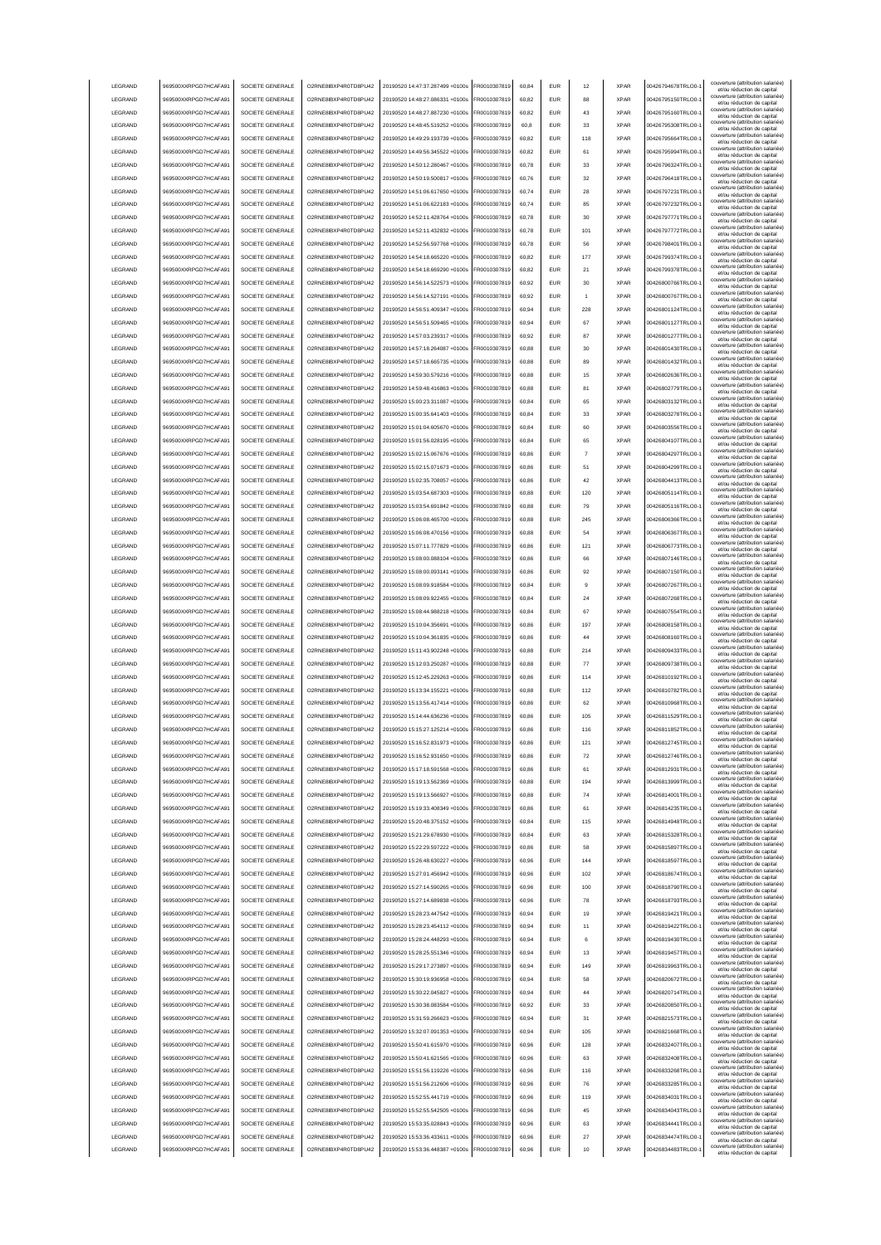|                    | 969500XXRPGD7HCAFA91                         | SOCIETE GENERALE                     | O2RNE8IBXP4R0TD8PU42                         | 20190520 14:47:37.287499 +0100s                                    | FR0010307819                 | 60.84 | <b>EUR</b>                  | 12       | <b>XPAR</b> | 00426794678TRLO0-                      | couverture (attribution salariée<br>et/ou réduction de capital                                       |
|--------------------|----------------------------------------------|--------------------------------------|----------------------------------------------|--------------------------------------------------------------------|------------------------------|-------|-----------------------------|----------|-------------|----------------------------------------|------------------------------------------------------------------------------------------------------|
| LEGRAND            | 969500XXRPGD7HCAFA91                         | SOCIETE GENERALE                     | O2RNE8IBXP4R0TD8PU42                         | 20190520 14:48:27.086331 +0100s                                    | FR0010307819                 | 60.82 | <b>EUR</b>                  | 88       | <b>XPAR</b> | 00426795150TRLO0-                      | couverture (attribution salariée)<br>et/ou réduction de capital                                      |
| LEGRAND            | 969500XXRPGD7HCAFA91                         | SOCIETE GENERALE                     | O2RNE8IBXP4R0TD8PU42                         | 20190520 14:48:27.887230 +0100s                                    | FR0010307819                 | 60.82 | <b>EUR</b>                  | 43       | <b>XPAR</b> | 00426795160TRLO0-                      | couverture (attribution salariée)<br>et/ou réduction de capital                                      |
| LEGRAND            | 969500XXRPGD7HCAFA91                         | SOCIETE GENERALE                     | O2RNE8IBXP4R0TD8PU42                         | 20190520 14:48:45.519252 +0100s                                    | FR0010307819                 | 60,8  | EUR                         | 33       | <b>XPAR</b> | 00426795308TRLO0-                      | couverture (attribution salariée)<br>et/ou réduction de capital                                      |
| LEGRAND            | 969500XXRPGD7HCAFA91                         | SOCIETE GENERALE                     | O2RNE8IBXP4R0TD8PU42                         | 20190520 14:49:29.193739 +0100s                                    | FR0010307819                 | 60,82 | EUR                         | 118      | <b>XPAR</b> | 00426795664TRLO0-                      | couverture (attribution salariée)<br>et/ou réduction de capital                                      |
| LEGRAND            | 969500XXRPGD7HCAFA91                         | SOCIETE GENERALE                     | O2RNE8IBXP4R0TD8PU42                         | 20190520 14:49:56.345522 +0100s                                    | FR0010307819                 | 60,82 | EUR                         | 61       | <b>XPAR</b> | 00426795994TRLO0-                      | couverture (attribution salariée)<br>et/ou réduction de capital                                      |
| LEGRAND            | 969500XXRPGD7HCAFA91                         | SOCIETE GENERALE                     | O2RNE8IBXP4R0TD8PU42                         | 20190520 14:50:12.280467 +0100s                                    | FR0010307819                 | 60,78 | EUR                         | 33       | <b>XPAR</b> | 00426796324TRLO0-                      | couverture (attribution salariée)<br>et/ou réduction de capital                                      |
| LEGRAND            | 969500XXRPGD7HCAFA91                         | SOCIETE GENERALE                     | O2RNE8IBXP4R0TD8PU42                         | 20190520 14:50:19.500817 +0100s                                    | FR0010307819                 | 60,76 | EUR                         | 32       | <b>XPAR</b> | 00426796418TRLO0-                      | couverture (attribution salariée)<br>et/ou réduction de capital                                      |
| LEGRAND            | 969500XXRPGD7HCAFA91                         | SOCIETE GENERALE                     | O2RNE8IBXP4R0TD8PU42                         | 20190520 14:51:06.617650 +0100s                                    | FR0010307819                 | 60,74 | EUR                         | 28       | <b>XPAR</b> | 00426797231TRLO0-                      | couverture (attribution salariée)                                                                    |
| LEGRAND            | 969500XXRPGD7HCAFA91                         | SOCIETE GENERALE                     | O2RNE8IBXP4R0TD8PU42                         | 20190520 14:51:06.622183 +0100s                                    | FR0010307819                 | 60,74 | EUR                         | 85       | <b>XPAR</b> | 00426797232TRLO0-                      | et/ou réduction de capital<br>couverture (attribution salariée)                                      |
| LEGRAND            | 969500XXRPGD7HCAFA91                         | SOCIETE GENERALE                     | O2RNE8IBXP4R0TD8PU42                         | 20190520 14:52:11.428764 +0100s                                    | FR0010307819                 | 60,78 | <b>EUR</b>                  | 30       | <b>XPAR</b> | 00426797771TRLO0-                      | et/ou réduction de capital<br>couverture (attribution salariée)                                      |
| LEGRAND            | 969500XXRPGD7HCAFA91                         | SOCIETE GENERALE                     | O2RNE8IBXP4R0TD8PU42                         | 20190520 14:52:11 432832 +0100s                                    | FR0010307819                 | 60,78 | <b>EUR</b>                  | 101      | <b>XPAR</b> | 00426797772TRLO0-                      | et/ou réduction de capital<br>couverture (attribution salariée)                                      |
| LEGRAND            | 969500XXRPGD7HCAFA91                         | SOCIETE GENERALE                     | O2RNE8IBXP4R0TD8PU42                         | 20190520 14:52:56.597768 +0100s                                    | FR0010307819                 | 60,78 | <b>EUR</b>                  | 56       | <b>XPAR</b> | 00426798401TRLO0-                      | et/ou réduction de capital<br>couverture (attribution salariée)                                      |
| LEGRAND            | 969500XXRPGD7HCAFA91                         | SOCIETE GENERALE                     | O2RNE8IBXP4R0TD8PU42                         | 20190520 14:54:18.665220 +0100s                                    | FR0010307819                 | 60.82 | EUR                         | 177      | <b>XPAR</b> | 00426799374TRLO0-                      | et/ou réduction de capital<br>couverture (attribution salariée)                                      |
|                    | 969500XXRPGD7HCAFA91                         |                                      |                                              |                                                                    |                              |       |                             |          |             | 00426799378TRLO0-                      | et/ou réduction de capital<br>couverture (attribution salariée)                                      |
| LEGRAND            |                                              | SOCIETE GENERALE                     | O2RNE8IBXP4R0TD8PU42                         | 20190520 14:54:18.669290 +0100s                                    | FR0010307819                 | 60.82 | <b>EUR</b>                  | 21       | <b>XPAR</b> |                                        | et/ou réduction de capital<br>couverture (attribution salariée)                                      |
| LEGRAND            | 969500XXRPGD7HCAFA91                         | SOCIETE GENERALE                     | O2RNE8IBXP4R0TD8PU42                         | 20190520 14:56:14 522573 +0100s                                    | FR0010307819                 | 60.92 | <b>EUR</b>                  | 30       | <b>XPAR</b> | 00426800766TRLO0-                      | et/ou réduction de capital<br>couverture (attribution salariée)                                      |
| LEGRAND            | 969500XXRPGD7HCAFA91                         | SOCIETE GENERALE                     | O2RNE8IBXP4R0TD8PU42                         | 20190520 14:56:14.527191 +0100s                                    | FR0010307819                 | 60,92 | EUR                         |          | <b>XPAR</b> | 00426800767TRLO0-                      | et/ou réduction de capital<br>couverture (attribution salariée)                                      |
| LEGRAND            | 969500XXRPGD7HCAFA91                         | SOCIETE GENERALE                     | O2RNE8IBXP4R0TD8PU42                         | 20190520 14:56:51.409347 +0100s                                    | FR0010307819                 | 60,94 | EUR                         | 228      | <b>XPAR</b> | 00426801124TRLO0-                      | et/ou réduction de capital<br>couverture (attribution salariée)                                      |
| LEGRAND            | 969500XXRPGD7HCAFA91                         | SOCIETE GENERALE                     | O2RNE8IBXP4R0TD8PU42                         | 20190520 14:56:51.509465 +0100s                                    | FR0010307819                 | 60,94 | EUR                         | 67       | <b>XPAR</b> | 00426801127TRLO0-                      | et/ou réduction de capital<br>couverture (attribution salariée)                                      |
| LEGRAND            | 969500XXRPGD7HCAFA91                         | SOCIETE GENERALE                     | O2RNE8IBXP4R0TD8PU42                         | 20190520 14:57:03.239317 +0100s                                    | FR0010307819                 | 60,92 | EUR                         | 87       | <b>XPAR</b> | 00426801277TRLO0-                      | et/ou réduction de capital                                                                           |
| LEGRAND            | 969500XXRPGD7HCAFA91                         | SOCIETE GENERALE                     | O2RNE8IBXP4R0TD8PU42                         | 20190520 14:57:18.264087 +0100s                                    | FR0010307819                 | 60,88 | $\ensuremath{\mathsf{EUR}}$ | 30       | <b>XPAR</b> | 00426801430TRLO0-                      | couverture (attribution salariée)<br>et/ou réduction de capital                                      |
| LEGRAND            | 969500XXRPGD7HCAFA91                         | SOCIETE GENERALE                     | O2RNE8IBXP4R0TD8PU42                         | 20190520 14:57:18.665735 +0100s                                    | FR0010307819                 | 60,88 | EUR                         | 89       | <b>XPAR</b> | 00426801432TRLO0-                      | couverture (attribution salariée)<br>et/ou réduction de capital                                      |
| LEGRAND            | 969500XXRPGD7HCAFA91                         | SOCIETE GENERALE                     | O2RNE8IBXP4R0TD8PU42                         | 20190520 14:59:30.579216 +0100s                                    | FR0010307819                 | 60,88 | <b>EUR</b>                  | 15       | <b>XPAR</b> | 00426802636TRLO0-                      | couverture (attribution salariée)<br>et/ou réduction de capital                                      |
| LEGRAND            | 969500XXRPGD7HCAFA91                         | SOCIETE GENERALE                     | O2RNE8IBXP4R0TD8PLI42                        | 20190520 14:59:48.416863 +0100s                                    | FR0010307819                 | 60,88 | <b>EUR</b>                  | 81       | <b>XPAR</b> | 00426802779TRLO0-                      | couverture (attribution salariée)<br>et/ou réduction de capital                                      |
| LEGRAND            | 969500XXRPGD7HCAFA91                         | SOCIETE GENERALE                     | O2RNE8IBXP4R0TD8PU42                         | 20190520 15:00:23.311087 +0100s                                    | FR0010307819                 | 60,84 | <b>EUR</b>                  | 65       | <b>XPAR</b> | 00426803132TRLO0-                      | couverture (attribution salariée)<br>et/ou réduction de capital                                      |
| LEGRAND            | 969500XXRPGD7HCAFA91                         | SOCIETE GENERALE                     | O2RNE8IBXP4R0TD8PU42                         | 20190520 15:00:35.641403 +0100s                                    | FR0010307819                 | 60,84 | <b>EUR</b>                  | 33       | <b>XPAR</b> | 00426803278TRLO0-                      | couverture (attribution salariée)<br>et/ou réduction de capital                                      |
| LEGRAND            | 969500XXRPGD7HCAFA91                         | SOCIETE GENERALE                     | O2RNE8IBXP4R0TD8PU42                         | 20190520 15:01:04 605670 +0100s                                    | FR0010307819                 | 60.84 | <b>EUR</b>                  | 60       | <b>XPAR</b> | 00426803556TRLO0-                      | couverture (attribution salariée)<br>et/ou réduction de capital                                      |
| LEGRAND            | 969500XXRPGD7HCAFA91                         | SOCIETE GENERALE                     | O2RNE8IBXP4R0TD8PU42                         | 20190520 15:01:56 028195 +0100s                                    | FR0010307819                 | 60.84 | EUR                         | 65       | <b>XPAR</b> | 00426804107TRLO0-                      | couverture (attribution salariée)<br>et/ou réduction de capital                                      |
| LEGRAND            | 969500XXRPGD7HCAFA91                         | SOCIETE GENERALE                     | O2RNE8IBXP4R0TD8PLI42                        | 20190520 15:02:15 067676 +0100s                                    | FR0010307819                 | 60.86 | <b>EUR</b>                  |          | <b>XPAR</b> | 00426804297TRLO0-                      | couverture (attribution salariée)<br>et/ou réduction de capital                                      |
| LEGRAND            | 969500XXRPGD7HCAFA91                         | SOCIETE GENERALE                     | O2RNE8IBXP4R0TD8PU42                         | 20190520 15:02:15.071673 +0100s                                    | FR0010307819                 | 60,86 | EUR                         | 51       | <b>XPAR</b> | 00426804299TRLO0-                      | couverture (attribution salariée)<br>et/ou réduction de capital                                      |
| LEGRAND            | 969500XXRPGD7HCAFA91                         | SOCIETE GENERALE                     | O2RNE8IBXP4R0TD8PU42                         | 20190520 15:02:35.708057 +0100s                                    | FR0010307819                 | 60,86 | EUR                         | 42       | <b>XPAR</b> | 00426804413TRLO0-                      | couverture (attribution salariée)<br>et/ou réduction de capital                                      |
| LEGRAND            | 969500XXRPGD7HCAFA91                         | SOCIETE GENERALE                     | O2RNE8IBXP4R0TD8PU42                         | 20190520 15:03:54.687303 +0100s                                    | FR0010307819                 | 60,88 | EUR                         | 120      | <b>XPAR</b> | 00426805114TRLO0-                      | couverture (attribution salariée)                                                                    |
| LEGRAND            | 969500XXRPGD7HCAFA91                         | SOCIETE GENERALE                     | O2RNE8IBXP4R0TD8PU42                         | 20190520 15:03:54.691842 +0100s                                    | R0010307819                  | 60,88 | <b>EUR</b>                  | 79       | <b>XPAR</b> | 00426805116TRLO0-                      | et/ou réduction de capital<br>couverture (attribution salariée)                                      |
| LEGRAND            | 969500XXRPGD7HCAFA91                         | SOCIETE GENERALE                     | O2RNE8IBXP4R0TD8PU42                         | 20190520 15:06:08.465700 +0100s                                    | R0010307819                  | 60,88 | EUR                         | 245      | <b>XPAR</b> | 00426806366TRLO0-                      | et/ou réduction de capital<br>couverture (attribution salariée)                                      |
| LEGRAND            | 969500XXRPGD7HCAFA91                         | SOCIETE GENERALE                     | O2RNE8IBXP4R0TD8PU42                         | 20190520 15:06:08.470156 +0100s                                    | R0010307819                  | 60,88 | EUR                         | 54       | <b>XPAR</b> | 00426806367TRLO0-                      | et/ou réduction de capital<br>couverture (attribution salariée)                                      |
| LEGRAND            | 969500XXRPGD7HCAFA91                         | SOCIETE GENERALE                     | O2RNE8IBXP4R0TD8PU42                         | 20190520 15:07:11.777829 +0100s                                    | FR0010307819                 | 60,86 | <b>EUR</b>                  | 121      | <b>XPAR</b> | 00426806773TRLO0-                      | et/ou réduction de capital<br>couverture (attribution salariée)                                      |
| LEGRAND            | 969500XXRPGD7HCAFA91                         | SOCIETE GENERALE                     | O2RNE8IBXP4R0TD8PU42                         | 20190520 15:08:00.088104 +0100s                                    | FR0010307819                 | 60,86 | <b>EUR</b>                  | 66       | <b>XPAR</b> | 00426807146TRLO0-                      | et/ou réduction de capital<br>couverture (attribution salariée)                                      |
| LEGRAND            | 969500XXRPGD7HCAFA91                         | SOCIETE GENERALE                     | O2RNE8IBXP4R0TD8PU42                         | 20190520 15:08:00.093141 +0100s                                    | FR0010307819                 | 60.86 | <b>FUR</b>                  | 92       | <b>XPAR</b> | 00426807150TRLO0-                      | et/ou réduction de capital<br>couverture (attribution salariée)                                      |
|                    |                                              |                                      |                                              |                                                                    |                              |       |                             |          |             |                                        | et/ou réduction de capital<br>couverture (attribution salariée)                                      |
| LEGRAND            | 969500XXRPGD7HCAFA91                         | SOCIETE GENERALE                     | O2RNE8IBXP4R0TD8PU42                         | 20190520 15:08:09.918584 +0100s                                    | FR0010307819                 | 60,84 | <b>EUR</b>                  | 9        | <b>XPAR</b> | 00426807267TRLO0-                      | et/ou réduction de capital<br>couverture (attribution salariée)                                      |
| LEGRAND            | 969500XXRPGD7HCAFA91                         | SOCIETE GENERALE                     | O2RNE8IBXP4R0TD8PU42                         | 20190520 15:08:09.922455 +0100s                                    | FR0010307819                 | 60.84 | EUR                         | 24       | <b>XPAR</b> | 00426807268TRLO0-                      | et/ou réduction de capital<br>couverture (attribution salariée)                                      |
| LEGRAND            | 969500XXRPGD7HCAFA91                         | SOCIETE GENERALE                     | O2RNE8IBXP4R0TD8PU42                         | 20190520 15:08:44.988218 +0100s                                    | FR0010307819                 | 60.84 | EUR                         | 67       | <b>XPAR</b> | 00426807554TRLO0-                      | et/ou réduction de capital<br>couverture (attribution salariée)                                      |
| LEGRAND            | 969500XXRPGD7HCAFA91                         |                                      |                                              |                                                                    |                              |       |                             |          |             |                                        |                                                                                                      |
|                    |                                              | SOCIETE GENERALE                     | O2RNE8IBXP4R0TD8PU42                         | 20190520 15:10:04.356691 +0100s                                    | FR0010307819                 | 60.86 | <b>EUR</b>                  | 197      | <b>XPAR</b> | 00426808158TRLO0-                      | et/ou réduction de capital                                                                           |
| LEGRAND            | 969500XXRPGD7HCAFA91                         | SOCIETE GENERALE                     | O2RNE8IBXP4R0TD8PU42                         | 20190520 15:10:04.361835 +0100s                                    | FR0010307819                 | 60,86 | EUR                         | 44       | <b>XPAR</b> | 00426808160TRLO0-                      | couverture (attribution salariée)<br>et/ou réduction de capital                                      |
| LEGRAND            | 969500XXRPGD7HCAFA91                         | SOCIETE GENERALE                     | O2RNE8IBXP4R0TD8PU42                         | 20190520 15:11:43.902248 +0100s                                    | FR0010307819                 | 60,88 | EUR                         | 214      | <b>XPAR</b> | 00426809433TRLO0-                      | couverture (attribution salariée)<br>et/ou réduction de capital                                      |
| LEGRAND            | 969500XXRPGD7HCAFA91                         | SOCIETE GENERALE                     | O2RNE8IBXP4R0TD8PU42                         | 20190520 15:12:03.250287 +0100s                                    | FR0010307819                 | 60,88 | EUR                         | 77       | <b>XPAR</b> | 00426809738TRLO0-                      | couverture (attribution salariée)<br>et/ou réduction de capital                                      |
| LEGRAND            | 969500XXRPGD7HCAFA9                          | SOCIETE GENERALE                     | O2RNE8IBXP4R0TD8PU42                         | 20190520 15:12:45.229263 +0100s                                    | R0010307819                  | 60,86 | <b>EUR</b>                  | 114      | <b>XPAR</b> | 00426810192TRLO0-                      | couverture (attribution salariée)<br>et/ou réduction de capital                                      |
| LEGRAND            | 969500XXRPGD7HCAFA91                         | SOCIETE GENERALE                     | O2RNE8IBXP4R0TD8PU42                         | 20190520 15:13:34.155221 +0100s                                    | FR0010307819                 | 60,88 | EUR                         | 112      | <b>XPAR</b> | 00426810782TRLO0-                      | couverture (attribution salariée)<br>et/ou réduction de capital                                      |
| LEGRAND            | 969500XXRPGD7HCAFA91                         | SOCIETE GENERALE                     | O2RNE8IBXP4R0TD8PU42                         | 20190520 15:13:56.417414 +0100s                                    | FR0010307819                 | 60,86 | <b>EUR</b>                  | 62       | <b>XPAR</b> | 00426810968TRLO0-                      | couverture (attribution salariée)<br>et/ou réduction de capital                                      |
| <b>I FGRAND</b>    | 969500XXRPGD7HCAFA91                         | SOCIETE GENERALE                     | O2RNE8IBXP4R0TD8PU42                         | 20190520 15:14:44.636236 +0100s                                    | FR0010307819                 | 60.86 | <b>FUR</b>                  | 105      | <b>XPAR</b> | 00426811529TRLO0-                      | couverture (attribution salariée)<br>et/ou réduction de capital                                      |
| <b>I FGRAND</b>    | 969500XXRPGD7HCAFA91                         | SOCIETE GENERALE                     | O2RNE8IBXP4R0TD8PLI42                        | 20190520 15:15:27.125214 +0100s                                    | FR0010307819                 | 60,86 | <b>EUR</b>                  | 116      | <b>XPAR</b> | 00426811852TRLO0-                      | couverture (attribution salariée)<br>et/ou réduction de capital                                      |
| <b>I FGRAND</b>    | 969500XXRPGD7HCAFA91                         | SOCIETE GENERALE                     | O2RNE8IBXP4R0TD8PU42                         | 20190520 15:16:52 831973 +0100s                                    | ER0010307819                 | 60.86 | FUR                         | 121      | <b>XPAR</b> | 00426812745TRLO0-1                     | couverture (attribution salariée)<br>et/ou reduction de capita                                       |
| LEGRAND            | 969500XXRPGD7HCAFA91                         | SOCIETE GENERALE                     | O2RNE8IBXP4R0TD8PLI42                        | 20190520 15:16:52.931650 +0100s                                    | FR0010307819                 | 60.86 | <b>EUR</b>                  | 72       | <b>XPAR</b> | 00426812746TRLO0-                      | couverture (attribution salariée)                                                                    |
| LEGRAND            | 969500XXRPGD7HCAFA91                         | SOCIETE GENERALE                     | O2RNE8IBXP4R0TD8PU42                         | 20190520 15:17:18.591568 +0100s                                    | FR0010307819                 | 60.86 | <b>EUR</b>                  | 61       | <b>XPAR</b> | 00426812931TRLO0-                      | et/ou réduction de capital<br>couverture (attribution salariée)                                      |
| LEGRAND            | 969500XXRPGD7HCAFA91                         | SOCIETE GENERALE                     | O2RNE8IBXP4R0TD8PU42                         | 20190520 15:19:13.562369 +0100s                                    | FR0010307819                 | 60.88 | <b>EUR</b>                  | 194      | <b>XPAR</b> | 00426813999TRLO0-                      | et/ou réduction de capital<br>couverture (attribution salariée)                                      |
| LEGRAND            | 969500XXRPGD7HCAFA91                         | SOCIETE GENERALE                     | O2RNE8IBXP4R0TD8PU42                         | 20190520 15:19:13.566927 +0100s                                    | FR0010307819                 | 60.88 | <b>EUR</b>                  | 74       | <b>XPAR</b> | 00426814001TRLO0-                      | et/ou réduction de capital<br>couverture (attribution salariée)                                      |
| LEGRAND            | 969500XXRPGD7HCAFA91                         | SOCIETE GENERALE                     | O2RNE8IBXP4R0TD8PU42                         | 20190520 15:19:33.408349 +0100s                                    | FR0010307819                 | 60,86 | EUR                         | 61       | <b>XPAR</b> | 00426814235TRLO0-                      | et/ou réduction de capital<br>couverture (attribution salariée)                                      |
| LEGRAND            | 969500XXRPGD7HCAFA91                         | SOCIETE GENERALE                     | O2RNE8IBXP4R0TD8PU42                         | 20190520 15:20:48.375152 +0100s                                    | FR0010307819                 | 60,84 | EUR                         | 115      | <b>XPAR</b> | 00426814948TRLO0-                      | et/ou réduction de capital<br>couverture (attribution salariée)                                      |
|                    |                                              |                                      |                                              |                                                                    |                              | 60,84 |                             |          | <b>XPAR</b> |                                        | et/ou réduction de capital<br>couverture (attribution salariée)                                      |
| LEGRAND<br>LEGRAND | 969500XXRPGD7HCAFA91<br>969500XXRPGD7HCAFA91 | SOCIETE GENERALE<br>SOCIETE GENERALE | O2RNE8IBXP4R0TD8PU42<br>O2RNE8IBXP4R0TD8PU42 | 20190520 15:21:29.678930 +0100s<br>20190520 15:22:29.597222 +0100s | FR0010307819<br>FR0010307819 | 60,86 | EUR<br><b>EUR</b>           | 63<br>58 | <b>XPAR</b> | 00426815328TRLO0-<br>00426815897TRLO0- | et/ou réduction de capital<br>couverture (attribution salariée)                                      |
|                    |                                              |                                      | O2RNE8IBXP4R0TD8PU42                         |                                                                    |                              |       |                             |          |             |                                        | et/ou réduction de capital<br>couverture (attribution salariée)                                      |
| LEGRAND            | 969500XXRPGD7HCAFA91                         | SOCIETE GENERALE                     |                                              | 20190520 15:26:48.630227 +0100s                                    | FR0010307819                 | 60,96 | <b>EUR</b>                  | 144      | <b>XPAR</b> | 00426818597TRLO0-                      | et/ou réduction de capital<br>couverture (attribution salariée)                                      |
| LEGRAND            | 969500XXRPGD7HCAFA91                         | SOCIETE GENERALE                     | O2RNE8IBXP4R0TD8PU42                         | 20190520 15:27:01.456942 +0100s                                    | FR0010307819                 | 60,96 | <b>EUR</b>                  | 102      | <b>XPAR</b> | 00426818674TRLO0-                      | et/ou réduction de capital<br>couverture (attribution salariée)                                      |
| LEGRAND            | 969500XXRPGD7HCAFA91                         | SOCIETE GENERALE                     | O2RNE8IBXP4R0TD8PU42                         | 20190520 15:27:14.590265 +0100s                                    | FR0010307819                 | 60,96 | <b>EUR</b>                  | 100      | <b>XPAR</b> | 00426818790TRLO0-                      | et/ou réduction de capital<br>couverture (attribution salariée)                                      |
| LEGRAND            | 969500XXRPGD7HCAFA91                         | SOCIETE GENERALE                     | O2RNE8IBXP4R0TD8PU42                         | 20190520 15:27:14.689838 +0100s                                    | FR0010307819                 | 60,96 | <b>EUR</b>                  | 78       | <b>XPAR</b> | 00426818793TRLO0-                      | et/ou réduction de capital<br>couverture (attribution salariée)                                      |
| LEGRAND            | 969500XXRPGD7HCAFA91                         | SOCIETE GENERALE                     | O2RNE8IBXP4R0TD8PU42                         | 20190520 15:28:23.447542 +0100s                                    | FR0010307819                 | 60,94 | <b>EUR</b>                  | 19       | <b>XPAR</b> | 00426819421TRLO0-                      | et/ou réduction de capital<br>couverture (attribution salariée)                                      |
| LEGRAND            | 969500XXRPGD7HCAFA91                         | SOCIETE GENERALE                     | O2RNE8IBXP4R0TD8PU42                         | 20190520 15:28:23.454112 +0100s                                    | FR0010307819                 | 60.94 | <b>EUR</b>                  | 11       | <b>XPAR</b> | 00426819422TRLO0-                      | et/ou réduction de capital                                                                           |
| LEGRAND            | 969500XXRPGD7HCAFA91                         | SOCIETE GENERALE                     | O2RNE8IBXP4R0TD8PU42                         | 20190520 15:28:24.448293 +0100s                                    | FR0010307819                 | 60.94 | <b>EUR</b>                  | 6        | <b>XPAR</b> | 00426819430TRLO0-                      | couverture (attribution salariée)<br>et/ou réduction de capital                                      |
| LEGRAND            | 969500XXRPGD7HCAFA91                         | SOCIETE GENERALE                     | O2RNE8IBXP4R0TD8PU42                         | 20190520 15:28:25.551346 +0100s                                    | FR0010307819                 | 60.94 | <b>EUR</b>                  | 13       | <b>XPAR</b> | 00426819457TRLO0-                      | couverture (attribution salariée)<br>et/ou réduction de capital                                      |
| LEGRAND            | 969500XXRPGD7HCAFA91                         | SOCIETE GENERALE                     | O2RNE8IBXP4R0TD8PU42                         | 20190520 15:29:17.273897 +0100s                                    | FR0010307819                 | 60,94 | EUR                         | 149      | <b>XPAR</b> | 00426819963TRLO0-                      | couverture (attribution salariée)<br>et/ou réduction de capital                                      |
| LEGRAND            | 969500XXRPGD7HCAFA91                         | SOCIETE GENERALE                     | O2RNE8IBXP4R0TD8PU42                         | 20190520 15:30:19.936958 +0100s                                    | FR0010307819                 | 60,94 | EUR                         | 58       | <b>XPAR</b> | 00426820672TRLO0-                      | couverture (attribution salariée)<br>et/ou réduction de capital                                      |
| LEGRAND            | 969500XXRPGD7HCAFA91                         | SOCIETE GENERALE                     | O2RNE8IBXP4R0TD8PU42                         | 20190520 15:30:22.045827 +0100s                                    | FR0010307819                 | 60,94 | EUR                         | 44       | <b>XPAR</b> | 00426820714TRLO0-                      | couverture (attribution salariée)<br>et/ou réduction de capital                                      |
| LEGRAND            | 969500XXRPGD7HCAFA91                         | SOCIETE GENERALE                     | O2RNE8IBXP4R0TD8PU42                         | 20190520 15:30:38.083584 +0100s                                    | FR0010307819                 | 60,92 | <b>EUR</b>                  | 33       | <b>XPAR</b> | 00426820850TRLO0-                      | couverture (attribution salariée)<br>et/ou réduction de capital                                      |
| LEGRAND            | 969500XXRPGD7HCAFA91                         | SOCIETE GENERALE                     | O2RNE8IBXP4R0TD8PU42                         | 20190520 15:31:59.266623 +0100s                                    | FR0010307819                 | 60,94 | <b>EUR</b>                  | 31       | <b>XPAR</b> | 00426821573TRLO0-                      | couverture (attribution salariée)<br>et/ou réduction de capital                                      |
| LEGRAND            | 969500XXRPGD7HCAFA91                         | SOCIETE GENERALE                     | O2RNE8IBXP4R0TD8PU42                         | 20190520 15:32:07.091353 +0100s                                    | FR0010307819                 | 60,94 | <b>EUR</b>                  | 105      | <b>XPAR</b> | 00426821668TRLO0-                      | couverture (attribution salariée)<br>et/ou réduction de capital                                      |
| LEGRAND            | 969500XXRPGD7HCAFA91                         | SOCIETE GENERALE                     | O2RNE8IBXP4R0TD8PU42                         | 20190520 15:50:41.615970 +0100s                                    | FR0010307819                 | 60,96 | <b>EUR</b>                  | 128      | <b>XPAR</b> | 00426832407TRLO0-                      | couverture (attribution salariée)<br>et/ou réduction de capital                                      |
| LEGRAND            | 969500XXRPGD7HCAFA91                         | SOCIETE GENERALE                     | O2RNE8IBXP4R0TD8PU42                         | 20190520 15:50:41.621565 +0100s                                    | FR0010307819                 | 60,96 | <b>EUR</b>                  | 63       | <b>XPAR</b> | 00426832408TRLO0-                      | couverture (attribution salariée)<br>et/ou réduction de capital                                      |
| LEGRAND            | 969500XXRPGD7HCAFA91                         | SOCIETE GENERALE                     | O2RNE8IBXP4R0TD8PU42                         | 20190520 15:51:56.119226 +0100s                                    | FR0010307819                 | 60,96 | <b>EUR</b>                  | 116      | <b>XPAR</b> | 00426833268TRLO0-                      | couverture (attribution salariée)<br>et/ou réduction de capital                                      |
| LEGRAND            | 969500XXRPGD7HCAFA91                         | SOCIETE GENERALE                     | O2RNE8IBXP4R0TD8PU42                         | 20190520 15:51:56.212606 +0100s                                    | FR0010307819                 | 60,96 | <b>EUR</b>                  | 76       | <b>XPAR</b> | 00426833285TRLO0-                      | couverture (attribution salariée)<br>et/ou réduction de capital                                      |
| LEGRAND            | 969500XXRPGD7HCAFA91                         | SOCIETE GENERALE                     | O2RNE8IBXP4R0TD8PU42                         | 20190520 15:52:55.441719 +0100s                                    | FR0010307819                 | 60.96 | <b>EUR</b>                  | 119      | <b>XPAR</b> | 00426834031TRLO0-                      | couverture (attribution salariée)<br>et/ou réduction de capital                                      |
| LEGRAND            | 969500XXRPGD7HCAFA91                         | SOCIETE GENERALE                     | O2RNE8IBXP4R0TD8PU42                         | 20190520 15:52:55.542505 +0100s                                    | FR0010307819                 | 60.96 | <b>EUR</b>                  | 45       | <b>XPAR</b> | 00426834043TRLO0-                      | couverture (attribution salariée)<br>et/ou réduction de capital                                      |
| LEGRAND            | 969500XXRPGD7HCAFA91                         | SOCIETE GENERALE                     | O2RNE8IBXP4R0TD8PU42                         | 20190520 15:53:35.028843 +0100s                                    | FR0010307819                 | 60.96 | <b>EUR</b>                  | 63       | <b>XPAR</b> | 00426834441TRLO0-                      | couverture (attribution salariée)<br>et/ou réduction de capital                                      |
| LEGRAND            | 969500XXRPGD7HCAFA91                         | SOCIETE GENERALE                     | O2RNE8IBXP4R0TD8PU42                         | 20190520 15:53:36.433611 +0100s                                    | FR0010307819                 | 60,96 | <b>EUR</b>                  | 27       | <b>XPAR</b> | 00426834474TRLO0-                      | couverture (attribution salariée)<br>et/ou réduction de capital<br>couverture (attribution salariée) |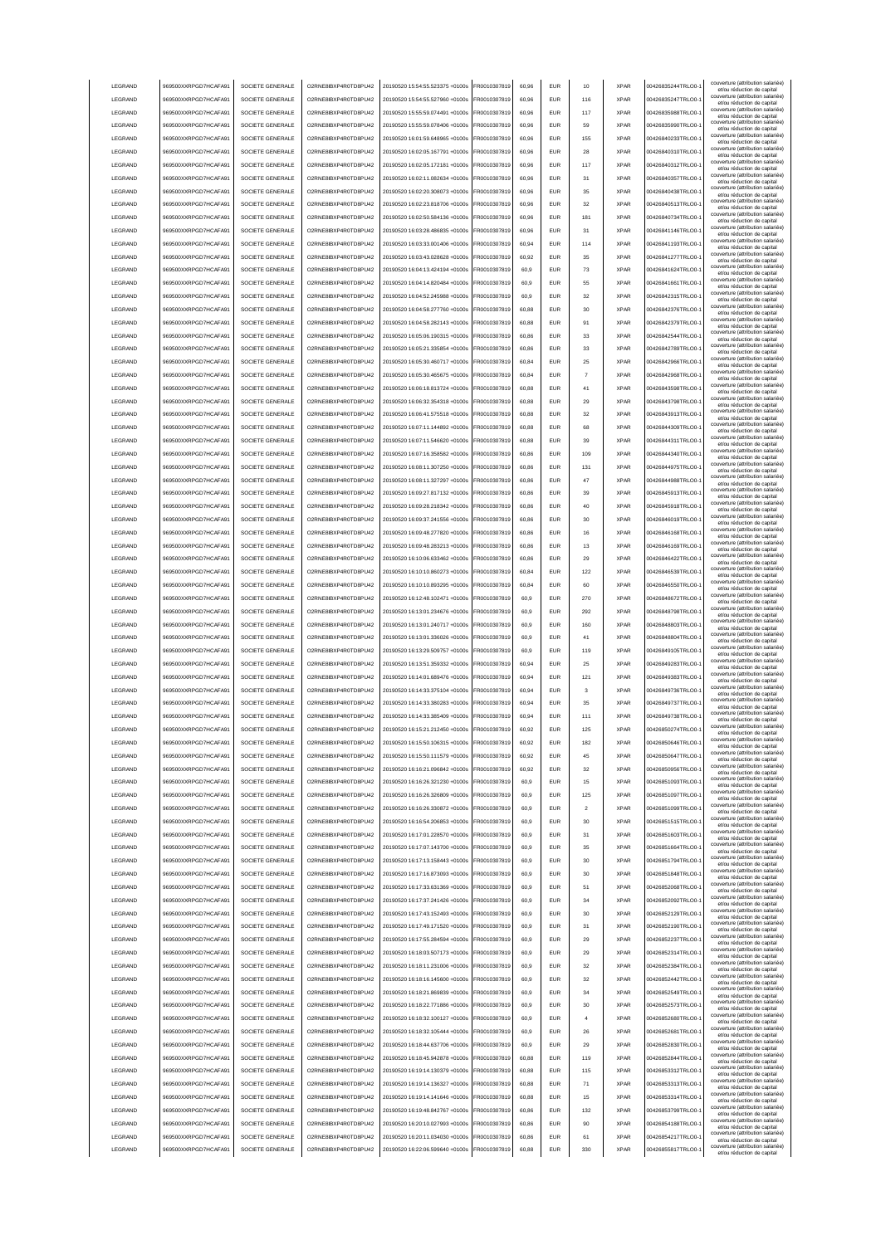|                 | 969500XXRPGD7HCAFA91 | SOCIETE GENERALE | O2RNE8IBXP4R0TD8PU42  | 20190520 15:54:55.523375 +0100s | FR0010307819 | 60.96 | <b>EUR</b> | 10                      | <b>XPAR</b> | 00426835244TRLO0-  | couverture (attribution salariée<br>et/ou réduction de capital                                       |
|-----------------|----------------------|------------------|-----------------------|---------------------------------|--------------|-------|------------|-------------------------|-------------|--------------------|------------------------------------------------------------------------------------------------------|
| LEGRAND         | 969500XXRPGD7HCAFA91 | SOCIETE GENERALE | O2RNE8IBXP4R0TD8PU42  | 20190520 15:54:55.527960 +0100s | FR0010307819 | 60.96 | <b>EUR</b> | 116                     | <b>XPAR</b> | 00426835247TRLO0-  | couverture (attribution salariée)<br>et/ou réduction de capital                                      |
| LEGRAND         | 969500XXRPGD7HCAFA91 | SOCIETE GENERALE | O2RNE8IBXP4R0TD8PU42  | 20190520 15:55:59.074491 +0100s | FR0010307819 | 60.96 | <b>EUR</b> | 117                     | <b>XPAR</b> | 00426835988TRLO0-  | couverture (attribution salariée)<br>et/ou réduction de capital                                      |
| LEGRAND         | 969500XXRPGD7HCAFA91 | SOCIETE GENERALE | O2RNE8IBXP4R0TD8PU42  | 20190520 15:55:59.078406 +0100s | FR0010307819 | 60,96 | EUR        | 59                      | <b>XPAR</b> | 00426835990TRLO0-  | couverture (attribution salariée)<br>et/ou réduction de capital                                      |
| LEGRAND         | 969500XXRPGD7HCAFA91 | SOCIETE GENERALE | O2RNE8IBXP4R0TD8PU42  | 20190520 16:01:59.648965 +0100s | FR0010307819 | 60,96 | EUR        | 155                     | <b>XPAR</b> | 00426840233TRLO0-  | couverture (attribution salariée)<br>et/ou réduction de capital                                      |
| LEGRAND         | 969500XXRPGD7HCAFA91 | SOCIETE GENERALE | O2RNE8IBXP4R0TD8PU42  | 20190520 16:02:05.167791 +0100s | FR0010307819 | 60,96 | EUR        | 28                      | <b>XPAR</b> | 00426840310TRLO0-  | couverture (attribution salariée)<br>et/ou réduction de capital                                      |
| LEGRAND         | 969500XXRPGD7HCAFA91 | SOCIETE GENERALE | O2RNE8IBXP4R0TD8PU42  | 20190520 16:02:05.172181 +0100s | FR0010307819 | 60,96 | EUR        | 117                     | <b>XPAR</b> | 00426840312TRLO0-  | couverture (attribution salariée)<br>et/ou réduction de capital                                      |
| LEGRAND         | 969500XXRPGD7HCAFA91 | SOCIETE GENERALE | O2RNE8IBXP4R0TD8PU42  | 20190520 16:02:11.082634 +0100s | FR0010307819 | 60,96 | EUR        | 31                      | <b>XPAR</b> | 00426840357TRLO0-  | couverture (attribution salariée)<br>et/ou réduction de capital                                      |
| LEGRAND         | 969500XXRPGD7HCAFA91 | SOCIETE GENERALE | O2RNE8IBXP4R0TD8PU42  | 20190520 16:02:20.308073 +0100s | FR0010307819 | 60,96 | EUR        | 35                      | <b>XPAR</b> | 00426840438TRLO0-  | couverture (attribution salariée)<br>et/ou réduction de capital                                      |
| LEGRAND         | 969500XXRPGD7HCAFA91 | SOCIETE GENERALE | O2RNE8IBXP4R0TD8PU42  | 20190520 16:02:23.818706 +0100s | FR0010307819 | 60,96 | EUR        | 32                      | <b>XPAR</b> | 00426840513TRLO0-  | couverture (attribution salariée)<br>et/ou réduction de capital                                      |
| LEGRAND         | 969500XXRPGD7HCAFA91 | SOCIETE GENERALE | O2RNE8IBXP4R0TD8PU42  | 20190520 16:02:50.584136 +0100s | FR0010307819 | 60,96 | <b>EUR</b> | 181                     | <b>XPAR</b> | 00426840734TRLO0-  | couverture (attribution salariée)<br>et/ou réduction de capital                                      |
| LEGRAND         | 969500XXRPGD7HCAFA91 | SOCIETE GENERALE | O2RNE8IBXP4R0TD8PU42  | 20190520 16:03:28 486835 +0100s | FR0010307819 | 60,96 | <b>EUR</b> | 31                      | <b>XPAR</b> | 00426841146TRLO0-  | couverture (attribution salariée)<br>et/ou réduction de capital                                      |
| LEGRAND         | 969500XXRPGD7HCAFA91 | SOCIETE GENERALE | O2RNE8IBXP4R0TD8PU42  | 20190520 16:03:33.001406 +0100s | FR0010307819 | 60,94 | <b>EUR</b> | 114                     | <b>XPAR</b> | 00426841193TRLO0-  | couverture (attribution salariée)<br>et/ou réduction de capital                                      |
| LEGRAND         | 969500XXRPGD7HCAFA91 | SOCIETE GENERALE | O2RNE8IBXP4R0TD8PU42  | 20190520 16:03:43.028628 +0100s | FR0010307819 | 60.92 | EUR        | 35                      | <b>XPAR</b> | 00426841277TRLO0-  | couverture (attribution salariée)<br>et/ou réduction de capital                                      |
| LEGRAND         | 969500XXRPGD7HCAFA91 | SOCIETE GENERALE | O2RNE8IBXP4R0TD8PU42  | 20190520 16:04:13.424194 +0100s | FR0010307819 | 60.9  | <b>EUR</b> | 73                      | <b>XPAR</b> | 00426841624TRLO0-  | couverture (attribution salariée)<br>et/ou réduction de capital                                      |
| LEGRAND         | 969500XXRPGD7HCAFA91 | SOCIETE GENERALE | O2RNE8IBXP4R0TD8PU42  | 20190520 16:04:14.820484 +0100s | FR0010307819 | 60.9  | EUR        | 55                      | <b>XPAR</b> | 00426841661TRLO0-  | couverture (attribution salariée)<br>et/ou réduction de capital                                      |
| LEGRAND         | 969500XXRPGD7HCAFA91 | SOCIETE GENERALE | O2RNE8IBXP4R0TD8PU42  | 20190520 16:04:52.245988 +0100s | FR0010307819 | 60,9  | EUR        | 32                      | <b>XPAR</b> | 00426842315TRLO0-  | couverture (attribution salariée)<br>et/ou réduction de capital                                      |
| LEGRAND         | 969500XXRPGD7HCAFA91 | SOCIETE GENERALE | O2RNE8IBXP4R0TD8PU42  | 20190520 16:04:58.277760 +0100s | FR0010307819 | 60,88 | EUR        | 30                      | <b>XPAR</b> | 00426842376TRLO0-  | couverture (attribution salariée)<br>et/ou réduction de capital                                      |
| LEGRAND         | 969500XXRPGD7HCAFA91 | SOCIETE GENERALE | O2RNE8IBXP4R0TD8PU42  | 20190520 16:04:58.282143 +0100s | FR0010307819 | 60,88 | EUR        | 91                      | <b>XPAR</b> | 00426842379TRLO0-  | couverture (attribution salariée)<br>et/ou réduction de capital                                      |
| LEGRAND         | 969500XXRPGD7HCAFA91 | SOCIETE GENERALE | O2RNE8IBXP4R0TD8PU42  | 20190520 16:05:06.190315 +0100s | FR0010307819 | 60,86 | EUR        | 33                      | <b>XPAR</b> | 00426842544TRLO0-  | couverture (attribution salariée)<br>et/ou réduction de capital                                      |
| LEGRAND         | 969500XXRPGD7HCAFA91 | SOCIETE GENERALE | O2RNE8IBXP4R0TD8PU42  | 20190520 16:05:21.335854 +0100s | FR0010307819 | 60,86 | EUR        | 33                      | <b>XPAR</b> | 00426842789TRLO0-  | couverture (attribution salariée)<br>et/ou réduction de capital                                      |
| LEGRAND         | 969500XXRPGD7HCAFA91 | SOCIETE GENERALE | O2RNE8IBXP4R0TD8PU42  | 20190520 16:05:30.460717 +0100s | FR0010307819 | 60,84 | EUR        | 25                      | <b>XPAR</b> | 00426842966TRLO0-  | couverture (attribution salariée)<br>et/ou réduction de capital                                      |
| LEGRAND         | 969500XXRPGD7HCAFA91 | SOCIETE GENERALE | O2RNE8IBXP4R0TD8PU42  | 20190520 16:05:30.465675 +0100s | FR0010307819 | 60,84 | EUR        |                         | <b>XPAR</b> | 00426842968TRLO0-  | couverture (attribution salariée)<br>et/ou réduction de capital                                      |
| LEGRAND         | 969500XXRPGD7HCAFA91 | SOCIETE GENERALE | O2RNE8IBXP4R0TD8PLI42 | 20190520 16:06:18.813724 +0100s | FR0010307819 | 60,88 | <b>EUR</b> | 41                      | <b>XPAR</b> | 00426843598TRLO0-  | couverture (attribution salariée)<br>et/ou réduction de capital                                      |
| LEGRAND         | 969500XXRPGD7HCAFA91 | SOCIETE GENERALE | O2RNE8IBXP4R0TD8PU42  | 20190520 16:06:32.354318 +0100s | FR0010307819 | 60,88 | <b>EUR</b> | 29                      | <b>XPAR</b> | 00426843798TRLO0-  | couverture (attribution salariée)<br>et/ou réduction de capital                                      |
| LEGRAND         | 969500XXRPGD7HCAFA91 | SOCIETE GENERALE | O2RNE8IBXP4R0TD8PU42  | 20190520 16:06:41.575518 +0100s | FR0010307819 | 60,88 | <b>EUR</b> | 32                      | <b>XPAR</b> | 00426843913TRLO0-  | couverture (attribution salariée)<br>et/ou réduction de capital                                      |
| LEGRAND         | 969500XXRPGD7HCAFA91 | SOCIETE GENERALE | O2RNE8IBXP4R0TD8PU42  | 20190520 16:07:11 144892 +0100s | FR0010307819 | 60.88 | <b>EUR</b> | 68                      | <b>XPAR</b> | 00426844309TRLO0-  | couverture (attribution salariée)<br>et/ou réduction de capital                                      |
| LEGRAND         | 969500XXRPGD7HCAFA91 | SOCIETE GENERALE | O2RNE8IBXP4R0TD8PU42  | 20190520 16:07:11.546620 +0100s | FR0010307819 | 60.88 | EUR        | 39                      | <b>XPAR</b> | 00426844311TRLO0-  | couverture (attribution salariée)<br>et/ou réduction de capital                                      |
| <b>LEGRAND</b>  | 969500XXRPGD7HCAFA91 | SOCIETE GENERALE | O2RNE8IBXP4R0TD8PLI42 | 20190520 16:07:16 358582 +0100s | FR0010307819 | 60.86 | <b>EUR</b> | 109                     | <b>XPAR</b> | 00426844340TRLO0-  | couverture (attribution salariée)<br>et/ou réduction de capital                                      |
| LEGRAND         | 969500XXRPGD7HCAFA91 | SOCIETE GENERALE | O2RNE8IBXP4R0TD8PU42  | 20190520 16:08:11.307250 +0100s | FR0010307819 | 60,86 | EUR        | 131                     | <b>XPAR</b> | 00426844975TRLO0-  | couverture (attribution salariée)<br>et/ou réduction de capital                                      |
| LEGRAND         | 969500XXRPGD7HCAFA91 | SOCIETE GENERALE | O2RNE8IBXP4R0TD8PU42  | 20190520 16:08:11.327297 +0100s | FR0010307819 | 60,86 | EUR        | 47                      | <b>XPAR</b> | 00426844988TRLO0-  | couverture (attribution salariée)                                                                    |
| LEGRAND         | 969500XXRPGD7HCAFA91 | SOCIETE GENERALE | O2RNE8IBXP4R0TD8PU42  | 20190520 16:09:27.817132 +0100s | FR0010307819 | 60,86 | EUR        | 39                      | <b>XPAR</b> | 00426845913TRLO0-  | et/ou réduction de capital<br>couverture (attribution salariée)<br>et/ou réduction de capital        |
| LEGRAND         | 969500XXRPGD7HCAFA91 | SOCIETE GENERALE | O2RNE8IBXP4R0TD8PU42  | 20190520 16:09:28.218342 +0100s | R0010307819  | 60,86 | <b>EUR</b> | 40                      | <b>XPAR</b> | 00426845918TRLO0-  | couverture (attribution salariée)                                                                    |
| LEGRAND         | 969500XXRPGD7HCAFA91 | SOCIETE GENERALE | O2RNE8IBXP4R0TD8PU42  | 20190520 16:09:37.241556 +0100s | R0010307819  | 60,86 | EUR        | 30                      | <b>XPAR</b> | 00426846019TRLO0-  | et/ou réduction de capital<br>couverture (attribution salariée)                                      |
| LEGRAND         | 969500XXRPGD7HCAFA91 | SOCIETE GENERALE | O2RNE8IBXP4R0TD8PU42  | 20190520 16:09:48.277820 +0100s | R0010307819  | 60,86 | EUR        | 16                      | <b>XPAR</b> | 00426846168TRLO0-  | et/ou réduction de capital<br>couverture (attribution salariée)                                      |
| LEGRAND         | 969500XXRPGD7HCAFA91 | SOCIETE GENERALE | O2RNE8IBXP4R0TD8PU42  | 20190520 16:09:48.283213 +0100s | FR0010307819 | 60,86 | <b>EUR</b> | 13                      | <b>XPAR</b> | 00426846169TRLO0-  | et/ou réduction de capital<br>couverture (attribution salariée)                                      |
| LEGRAND         | 969500XXRPGD7HCAFA91 | SOCIETE GENERALE | O2RNE8IBXP4R0TD8PU42  | 20190520 16:10:06.633462 +0100s | FR0010307819 | 60,86 | <b>EUR</b> | 29                      | <b>XPAR</b> | 00426846422TRLO0-  | et/ou réduction de capital<br>couverture (attribution salariée)                                      |
| LEGRAND         | 969500XXRPGD7HCAFA91 | SOCIETE GENERALE | O2RNE8IBXP4R0TD8PU42  | 20190520 16:10:10.860273 +0100s | FR0010307819 | 60.84 | <b>FUR</b> | 122                     | <b>XPAR</b> | 00426846539TRLO0-  | et/ou réduction de capital<br>couverture (attribution salariée)                                      |
| LEGRAND         | 969500XXRPGD7HCAFA91 | SOCIETE GENERALE | O2RNE8IBXP4R0TD8PU42  | 20190520 16:10:10.893295 +0100s | FR0010307819 | 60,84 | <b>EUR</b> | 60                      | <b>XPAR</b> | 00426846550TRLO0-  | et/ou réduction de capital<br>couverture (attribution salariée)                                      |
| LEGRAND         | 969500XXRPGD7HCAFA91 | SOCIETE GENERALE | O2RNE8IBXP4R0TD8PU42  | 20190520 16:12:48.102471 +0100s | FR0010307819 | 60.9  | EUR        | 270                     | <b>XPAR</b> | 00426848672TRLO0-  | et/ou réduction de capital<br>couverture (attribution salariée)                                      |
| LEGRAND         | 969500XXRPGD7HCAFA91 | SOCIETE GENERALE | O2RNE8IBXP4R0TD8PU42  | 20190520 16:13:01.234676 +0100s | FR0010307819 | 60.9  | EUR        | 292                     | <b>XPAR</b> | 00426848798TRLO0-  | et/ou réduction de capital<br>couverture (attribution salariée)                                      |
| LEGRAND         |                      |                  |                       |                                 |              |       |            |                         |             |                    | et/ou réduction de capital                                                                           |
|                 |                      |                  |                       |                                 |              |       |            |                         |             |                    | couverture (attribution salariée)                                                                    |
|                 | 969500XXRPGD7HCAFA91 | SOCIETE GENERALE | O2RNE8IBXP4R0TD8PU42  | 20190520 16:13:01.240717 +0100s | FR0010307819 | 60.9  | <b>EUR</b> | 160                     | <b>XPAR</b> | 00426848803TRLO0-  | et/ou réduction de capital<br>couverture (attribution salariée)                                      |
| LEGRAND         | 969500XXRPGD7HCAFA91 | SOCIETE GENERALE | O2RNE8IBXP4R0TD8PU42  | 20190520 16:13:01.336026 +0100s | FR0010307819 | 60,9  | EUR        | 41                      | <b>XPAR</b> | 00426848804TRLO0-  | et/ou réduction de capital<br>couverture (attribution salariée)                                      |
| LEGRAND         | 969500XXRPGD7HCAFA91 | SOCIETE GENERALE | O2RNE8IBXP4R0TD8PU42  | 20190520 16:13:29.509757 +0100s | FR0010307819 | 60,9  | EUR        | 119                     | <b>XPAR</b> | 00426849105TRLO0-  | et/ou réduction de capital<br>couverture (attribution salariée)                                      |
| LEGRAND         | 969500XXRPGD7HCAFA91 | SOCIETE GENERALE | O2RNE8IBXP4R0TD8PU42  | 20190520 16:13:51.359332 +0100s | FR0010307819 | 60,94 | EUR        | 25                      | <b>XPAR</b> | 00426849283TRLO0-  | et/ou réduction de capital<br>couverture (attribution salariée)                                      |
| LEGRAND         | 969500XXRPGD7HCAFA91 | SOCIETE GENERALE | O2RNE8IBXP4R0TD8PU42  | 20190520 16:14:01.689476 +0100s | R0010307819  | 60,94 | <b>EUR</b> | 121                     | <b>XPAR</b> | 00426849383TRLO0-  | et/ou réduction de capital<br>couverture (attribution salariée)                                      |
| LEGRAND         | 969500XXRPGD7HCAFA91 | SOCIETE GENERALE | O2RNE8IBXP4R0TD8PU42  | 20190520 16:14:33.375104 +0100s | FR0010307819 | 60,94 | EUR        | 3                       | <b>XPAR</b> | 00426849736TRLO0-  | et/ou réduction de capital<br>couverture (attribution salariée)                                      |
| LEGRAND         | 969500XXRPGD7HCAFA91 | SOCIETE GENERALE | O2RNE8IBXP4R0TD8PU42  | 20190520 16:14:33.380283 +0100s | FR0010307819 | 60,94 | <b>EUR</b> | 35                      | <b>XPAR</b> | 00426849737TRLO0-  | et/ou réduction de capital<br>couverture (attribution salariée)                                      |
| <b>I FGRAND</b> | 969500XXRPGD7HCAFA91 | SOCIETE GENERALE | O2RNE8IBXP4R0TD8PU42  | 20190520 16:14:33.385409 +0100s | FR0010307819 | 60.94 | <b>FUR</b> | 111                     | <b>XPAR</b> | 00426849738TRLO0-  | et/ou réduction de capital<br>couverture (attribution salariée)                                      |
| <b>I FGRAND</b> | 969500XXRPGD7HCAFA91 | SOCIETE GENERALE | O2RNE8IBXP4R0TD8PLI42 | 20190520 16:15:21 212450 +0100s | FR0010307819 | 60,92 | <b>EUR</b> | 125                     | <b>XPAR</b> | 00426850274TRLO0-  | et/ou réduction de capital<br>couverture (attribution salariée)                                      |
| <b>I FGRAND</b> | 969500XXRPGD7HCAFA91 | SOCIETE GENERALE | O2RNE8IBXP4R0TD8PU42  | 20190520 16:15:50.106315 +0100s | FR0010307819 | 60.92 | FUR        | 182                     | <b>XPAR</b> | 00426850646TRLO0-1 | et/ou reduction de capita                                                                            |
| LEGRAND         | 969500XXRPGD7HCAFA91 | SOCIETE GENERALE | O2RNE8IBXP4R0TD8PLI42 | 20190520 16:15:50.111579 +0100s | FR0010307819 | 60.92 | <b>EUR</b> | 45                      | <b>XPAR</b> | 00426850647TRLO0-  | couverture (attribution salariée)<br>et/ou réduction de capital<br>couverture (attribution salariée) |
| LEGRAND         | 969500XXRPGD7HCAFA91 | SOCIETE GENERALE | O2RNE8IBXP4R0TD8PU42  | 20190520 16:16:21.096842 +0100s | FR0010307819 | 60.92 | <b>EUR</b> | 32                      | <b>XPAR</b> | 00426850956TRLO0-  | et/ou réduction de capital<br>couverture (attribution salariée)                                      |
| LEGRAND         | 969500XXRPGD7HCAFA91 | SOCIETE GENERALE | O2RNE8IBXP4R0TD8PU42  | 20190520 16:16:26.321230 +0100s | FR0010307819 | 60.9  | <b>EUR</b> | 15                      | <b>XPAR</b> | 00426851093TRLO0-  | et/ou réduction de capital                                                                           |
| LEGRAND         | 969500XXRPGD7HCAFA91 | SOCIETE GENERALE | O2RNE8IBXP4R0TD8PU42  | 20190520 16:16:26 326809 +0100s | FR0010307819 | 60.9  | <b>EUR</b> | 125                     | <b>XPAR</b> | 00426851097TRLO0-  | couverture (attribution salariée)<br>et/ou réduction de capital                                      |
| LEGRAND         | 969500XXRPGD7HCAFA91 | SOCIETE GENERALE | O2RNE8IBXP4R0TD8PU42  | 20190520 16:16:26.330872 +0100s | FR0010307819 | 60,9  | EUR        | $\overline{\mathbf{2}}$ | <b>XPAR</b> | 00426851099TRLO0-  | couverture (attribution salariée)<br>et/ou réduction de capital                                      |
| LEGRAND         | 969500XXRPGD7HCAFA91 | SOCIETE GENERALE | O2RNE8IBXP4R0TD8PU42  | 20190520 16:16:54.206853 +0100s | FR0010307819 | 60,9  | EUR        | 30                      | <b>XPAR</b> | 00426851515TRLO0-  | couverture (attribution salariée)<br>et/ou réduction de capital<br>couverture (attribution salariée) |
| LEGRAND         | 969500XXRPGD7HCAFA91 | SOCIETE GENERALE | O2RNE8IBXP4R0TD8PU42  | 20190520 16:17:01.228570 +0100s | FR0010307819 | 60,9  | EUR        | 31                      | <b>XPAR</b> | 00426851603TRLO0-  | et/ou réduction de capital<br>couverture (attribution salariée)                                      |
| LEGRAND         | 969500XXRPGD7HCAFA91 | SOCIETE GENERALE | O2RNE8IBXP4R0TD8PU42  | 20190520 16:17:07.143700 +0100s | FR0010307819 | 60,9  | <b>EUR</b> | 35                      | <b>XPAR</b> | 00426851664TRLO0-  | et/ou réduction de capital                                                                           |
| LEGRAND         | 969500XXRPGD7HCAFA91 | SOCIETE GENERALE | O2RNE8IBXP4R0TD8PU42  | 20190520 16:17:13.158443 +0100s | FR0010307819 | 60,9  | <b>EUR</b> | 30                      | <b>XPAR</b> | 00426851794TRLO0-  | couverture (attribution salariée)<br>et/ou réduction de capital                                      |
| LEGRAND         | 969500XXRPGD7HCAFA91 | SOCIETE GENERALE | O2RNE8IBXP4R0TD8PU42  | 20190520 16:17:16.873093 +0100s | FR0010307819 | 60,9  | <b>EUR</b> | 30                      | <b>XPAR</b> | 00426851848TRLO0-  | couverture (attribution salariée)<br>et/ou réduction de capital                                      |
| LEGRAND         | 969500XXRPGD7HCAFA91 | SOCIETE GENERALE | O2RNE8IBXP4R0TD8PU42  | 20190520 16:17:33.631369 +0100s | FR0010307819 | 60,9  | <b>EUR</b> | 51                      | <b>XPAR</b> | 00426852068TRLO0-  | couverture (attribution salariée)<br>et/ou réduction de capital                                      |
| LEGRAND         | 969500XXRPGD7HCAFA91 | SOCIETE GENERALE | O2RNE8IBXP4R0TD8PU42  | 20190520 16:17:37.241426 +0100s | FR0010307819 | 60,9  | <b>EUR</b> | 34                      | <b>XPAR</b> | 00426852092TRLO0-  | couverture (attribution salariée)<br>et/ou réduction de capital                                      |
| LEGRAND         | 969500XXRPGD7HCAFA91 | SOCIETE GENERALE | O2RNE8IBXP4R0TD8PU42  | 20190520 16:17:43 152493 +0100s | FR0010307819 | 60,9  | <b>EUR</b> | 30                      | <b>XPAR</b> | 00426852129TRLO0-  | couverture (attribution salariée)<br>et/ou réduction de capital                                      |
| LEGRAND         | 969500XXRPGD7HCAFA91 | SOCIETE GENERALE | O2RNE8IBXP4R0TD8PU42  | 20190520 16:17:49.171520 +0100s | FR0010307819 | 60.9  | <b>EUR</b> | 31                      | <b>XPAR</b> | 00426852190TRLO0-  | couverture (attribution salariée)<br>et/ou réduction de capital                                      |
| LEGRAND         | 969500XXRPGD7HCAFA91 | SOCIETE GENERALE | O2RNE8IBXP4R0TD8PU42  | 20190520 16:17:55.284594 +0100s | FR0010307819 | 60.9  | <b>EUR</b> | 29                      | <b>XPAR</b> | 00426852237TRLO0-  | couverture (attribution salariée)<br>et/ou réduction de capital                                      |
| LEGRAND         | 969500XXRPGD7HCAFA91 | SOCIETE GENERALE | O2RNE8IBXP4R0TD8PU42  | 20190520 16:18:03.507173 +0100s | FR0010307819 | 60.9  | <b>EUR</b> | 29                      | <b>XPAR</b> | 00426852314TRLO0-  | couverture (attribution salariée)<br>et/ou réduction de capital                                      |
| LEGRAND         | 969500XXRPGD7HCAFA91 | SOCIETE GENERALE | O2RNE8IBXP4R0TD8PU42  | 20190520 16:18:11.231006 +0100s | FR0010307819 | 60,9  | <b>EUR</b> | 32                      | <b>XPAR</b> | 00426852384TRLO0-  | couverture (attribution salariée)<br>et/ou réduction de capital                                      |
| LEGRAND         | 969500XXRPGD7HCAFA91 | SOCIETE GENERALE | O2RNE8IBXP4R0TD8PU42  | 20190520 16:18:16.145600 +0100s | FR0010307819 | 60,9  | <b>EUR</b> | 32                      | <b>XPAR</b> | 00426852442TRLO0-  | couverture (attribution salariée)<br>et/ou réduction de capital                                      |
| LEGRAND         | 969500XXRPGD7HCAFA91 | SOCIETE GENERALE | O2RNE8IBXP4R0TD8PU42  | 20190520 16:18:21.869839 +0100s | FR0010307819 | 60,9  | EUR        | 34                      | <b>XPAR</b> | 00426852549TRLO0-1 | couverture (attribution salariée)<br>et/ou réduction de capital                                      |
| LEGRAND         | 969500XXRPGD7HCAFA91 | SOCIETE GENERALE | O2RNE8IBXP4R0TD8PU42  | 20190520 16:18:22.771886 +0100s | FR0010307819 | 60,9  | <b>EUR</b> | 30                      | <b>XPAR</b> | 00426852573TRLO0-  | couverture (attribution salariée)<br>et/ou réduction de capital                                      |
| LEGRAND         | 969500XXRPGD7HCAFA91 | SOCIETE GENERALE | O2RNE8IBXP4R0TD8PU42  | 20190520 16:18:32.100127 +0100s | FR0010307819 | 60,9  | <b>EUR</b> | $\overline{4}$          | <b>XPAR</b> | 00426852680TRLO0-  | couverture (attribution salariée)<br>et/ou réduction de capital                                      |
| LEGRAND         | 969500XXRPGD7HCAFA91 | SOCIETE GENERALE | O2RNE8IBXP4R0TD8PU42  | 20190520 16:18:32.105444 +0100s | FR0010307819 | 60,9  | <b>EUR</b> | 26                      | <b>XPAR</b> | 00426852681TRLO0-  | couverture (attribution salariée)<br>et/ou réduction de capital                                      |
| LEGRAND         | 969500XXRPGD7HCAFA91 | SOCIETE GENERALE | O2RNE8IBXP4R0TD8PU42  | 20190520 16:18:44.637706 +0100s | FR0010307819 | 60,9  | <b>EUR</b> | 29                      | <b>XPAR</b> | 00426852830TRLO0-  | couverture (attribution salariée)<br>et/ou réduction de capital                                      |
| LEGRAND         | 969500XXRPGD7HCAFA91 | SOCIETE GENERALE | O2RNE8IBXP4R0TD8PU42  | 20190520 16:18:45.942878 +0100s | FR0010307819 | 60,88 | <b>EUR</b> | 119                     | <b>XPAR</b> | 00426852844TRLO0-  | couverture (attribution salariée)<br>et/ou réduction de capital                                      |
| LEGRAND         | 969500XXRPGD7HCAFA91 | SOCIETE GENERALE | O2RNE8IBXP4R0TD8PU42  | 20190520 16:19:14.130379 +0100s | FR0010307819 | 60,88 | <b>EUR</b> | 115                     | <b>XPAR</b> | 00426853312TRLO0-  | couverture (attribution salariée)<br>et/ou réduction de capital                                      |
| LEGRAND         | 969500XXRPGD7HCAFA91 | SOCIETE GENERALE | O2RNE8IBXP4R0TD8PU42  | 20190520 16:19:14.136327 +0100s | FR0010307819 | 60,88 | <b>EUR</b> | 71                      | <b>XPAR</b> | 00426853313TRLO0-  | couverture (attribution salariée)<br>et/ou réduction de capital                                      |
| LEGRAND         | 969500XXRPGD7HCAFA91 | SOCIETE GENERALE | O2RNE8IBXP4R0TD8PU42  | 20190520 16:19:14.141646 +0100s | FR0010307819 | 60.88 | <b>EUR</b> | 15                      | <b>XPAR</b> | 00426853314TRLO0-  | couverture (attribution salariée)<br>et/ou réduction de capital                                      |
| LEGRAND         | 969500XXRPGD7HCAFA91 | SOCIETE GENERALE | O2RNE8IBXP4R0TD8PU42  | 20190520 16:19:48.842767 +0100s | FR0010307819 | 60.86 | <b>EUR</b> | 132                     | <b>XPAR</b> | 00426853799TRLO0-  | couverture (attribution salariée)<br>et/ou réduction de capital                                      |
| LEGRAND         | 969500XXRPGD7HCAFA91 | SOCIETE GENERALE | O2RNE8IBXP4R0TD8PU42  | 20190520 16:20:10.027993 +0100s | FR0010307819 | 60.86 | <b>EUR</b> | 90                      | <b>XPAR</b> | 00426854188TRLO0-  | couverture (attribution salariée)<br>et/ou réduction de capital                                      |
| LEGRAND         | 969500XXRPGD7HCAFA91 | SOCIETE GENERALE | O2RNE8IBXP4R0TD8PU42  | 20190520 16:20:11.034030 +0100s | FR0010307819 | 60,86 | <b>EUR</b> | 61                      | <b>XPAR</b> | 00426854217TRLO0-  | couverture (attribution salariée)<br>et/ou réduction de capital<br>couverture (attribution salariée) |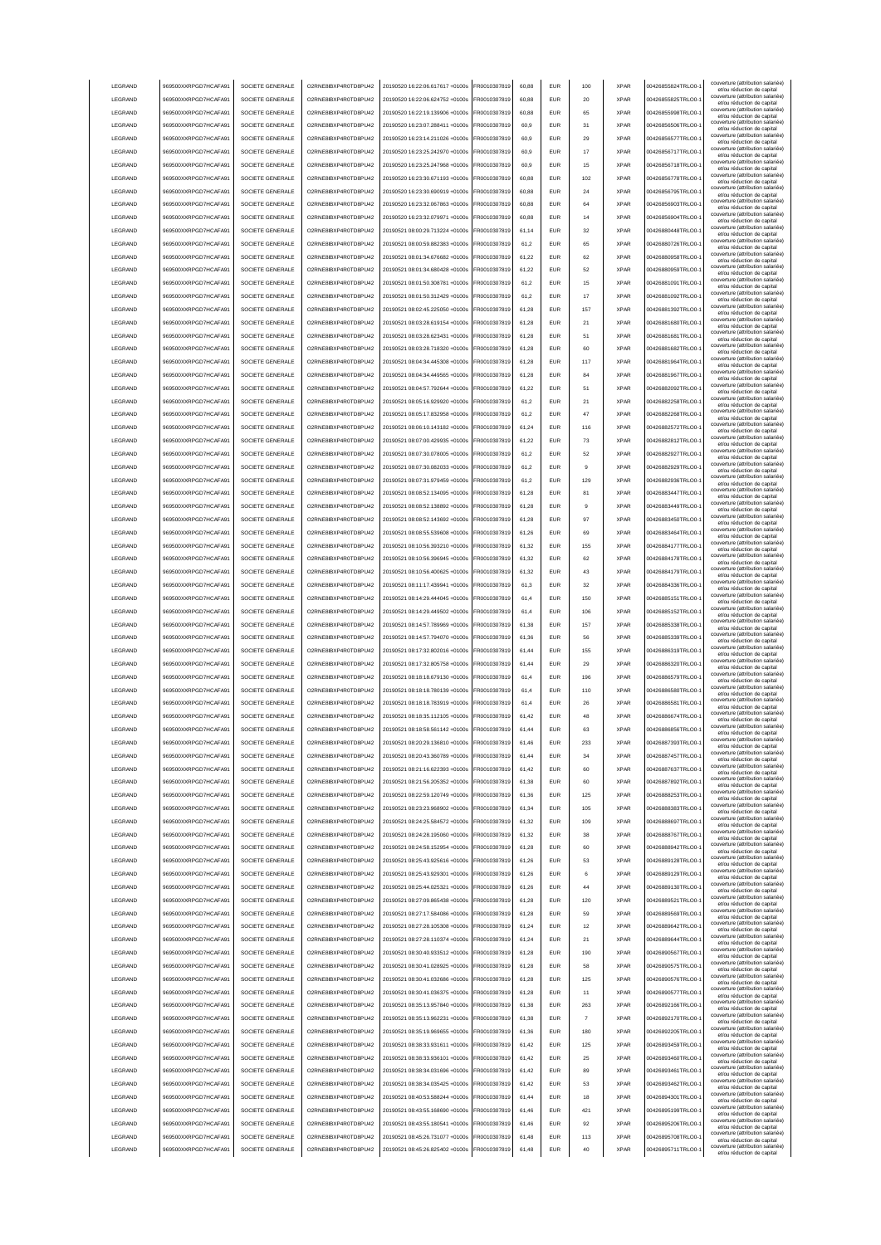| LEGRAND            | 969500XXRPGD7HCAFA91                         | SOCIETE GENERALE                     | O2RNE8IBXP4R0TD8PU42                         | 20190520 16:22:06.617617 +0100s                                    | FR0010307819                 | 60,88          | <b>EUR</b>        | 100            | <b>XPAR</b>                | 00426855824TRLO0-                      | couverture (attribution salariée)<br>et/ou réduction de capital |
|--------------------|----------------------------------------------|--------------------------------------|----------------------------------------------|--------------------------------------------------------------------|------------------------------|----------------|-------------------|----------------|----------------------------|----------------------------------------|-----------------------------------------------------------------|
| LEGRAND            | 969500XXRPGD7HCAFA91                         | SOCIETE GENERALE                     | O2RNE8IBXP4R0TD8PU42                         | 20190520 16:22:06.624752 +0100s                                    | FR0010307819                 | 60,88          | <b>EUR</b>        | 20             | <b>XPAR</b>                | 00426855825TRLO0-                      | couverture (attribution salariée)                               |
|                    |                                              |                                      |                                              |                                                                    |                              |                |                   |                |                            |                                        | et/ou réduction de capital<br>couverture (attribution salariée) |
| LEGRAND            | 969500XXRPGD7HCAFA91                         | SOCIETE GENERALE                     | O2RNE8IBXP4R0TD8PU42                         | 20190520 16:22:19.139906 +0100s                                    | FR0010307819                 | 60,88          | <b>EUR</b>        | 65             | <b>XPAR</b>                | 00426855998TRLO0-                      | et/ou réduction de capital                                      |
| LEGRAND            | 969500XXRPGD7HCAFA91                         | SOCIETE GENERALE                     | O2RNE8IBXP4R0TD8PU42                         | 20190520 16:23:07.288411 +0100s                                    | FR0010307819                 | 60.9           | <b>EUR</b>        | 31             | <b>XPAR</b>                | 00426856506TRLO0-                      | couverture (attribution salariée)<br>et/ou réduction de capital |
| LEGRAND            | 969500XXRPGD7HCAFA91                         | SOCIETE GENERALE                     | O2RNE8IBXP4R0TD8PU42                         | 20190520 16:23:14.211026 +0100s                                    | FR0010307819                 | 60.9           | <b>EUR</b>        | 29             | <b>XPAR</b>                | 00426856577TRLO0-                      | couverture (attribution salariée)<br>et/ou réduction de capital |
| LEGRAND            | 969500XXRPGD7HCAFA91                         | SOCIETE GENERALE                     | O2RNE8IBXP4R0TD8PU42                         | 20190520 16:23:25.242970 +0100s                                    | FR0010307819                 | 60.9           | <b>EUR</b>        | 17             | <b>XPAR</b>                | 00426856717TRLO0-                      | couverture (attribution salariée)<br>et/ou réduction de capital |
| LEGRAND            | 969500XXRPGD7HCAFA91                         | SOCIETE GENERALE                     | O2RNE8IBXP4R0TD8PU42                         | 20190520 16:23:25 247968 +0100s                                    | FR0010307819                 | 60.9           | EUR               | 15             | <b>XPAR</b>                | 00426856718TRLO0-                      | couverture (attribution salariée)                               |
|                    |                                              |                                      |                                              |                                                                    |                              |                |                   |                |                            |                                        | et/ou réduction de capital<br>couverture (attribution salariée) |
| LEGRAND            | 969500XXRPGD7HCAFA91                         | SOCIETE GENERALE                     | O2RNE8IBXP4R0TD8PU42                         | 20190520 16:23:30.671193 +0100s                                    | R0010307819                  | 60,88          | EUR               | 102            | <b>XPAR</b>                | 00426856778TRLO0-                      | et/ou réduction de capital                                      |
| LEGRAND            | 969500XXRPGD7HCAFA91                         | SOCIETE GENERALE                     | O2RNE8IBXP4R0TD8PU42                         | 20190520 16:23:30.690919 +0100s                                    | FR0010307819                 | 60,88          | EUR               | 24             | <b>XPAR</b>                | 00426856795TRLO0-                      | couverture (attribution salariée)<br>et/ou réduction de capital |
| LEGRAND            | 969500XXRPGD7HCAFA91                         | SOCIETE GENERALE                     | O2RNE8IBXP4R0TD8PU42                         | 20190520 16:23:32.067863 +0100s                                    | R0010307819                  | 60,88          | <b>EUR</b>        | 64             | <b>XPAR</b>                | 00426856903TRLO0-                      | couverture (attribution salariée)<br>et/ou réduction de capital |
| LEGRAND            | 969500XXRPGD7HCAFA91                         | SOCIETE GENERALE                     | O2RNE8IBXP4R0TD8PU42                         | 20190520 16:23:32.079971 +0100s                                    | FR0010307819                 | 60,88          | EUR               | 14             | <b>XPAR</b>                | 00426856904TRLO0-                      | couverture (attribution salariée)                               |
|                    |                                              |                                      |                                              |                                                                    |                              |                |                   |                |                            |                                        | et/ou réduction de capital<br>couverture (attribution salariée) |
| LEGRAND            | 969500XXRPGD7HCAFA91                         | SOCIETE GENERALE                     | O2RNE8IBXP4R0TD8PU42                         | 20190521 08:00:29.713224 +0100s                                    | FR0010307819                 | 61,14          | EUR               | 32             | <b>XPAR</b>                | 00426880448TRLO0-                      | et/ou réduction de capital                                      |
| LEGRAND            | 969500XXRPGD7HCAFA91                         | SOCIETE GENERALE                     | O2RNE8IBXP4R0TD8PU42                         | 20190521 08:00:59.882383 +0100s                                    | FR0010307819                 | 61,2           | EUR               | 65             | <b>XPAR</b>                | 00426880726TRLO0-                      | couverture (attribution salariée)<br>et/ou réduction de capital |
| LEGRAND            | 969500XXRPGD7HCAFA91                         | SOCIETE GENERALE                     | O2RNE8IBXP4R0TD8PLI42                        | 20190521 08:01:34.676682 +0100s                                    | FR0010307819                 | 61,22          | <b>EUR</b>        | 62             | <b>XPAR</b>                | 00426880958TRLO0-                      | couverture (attribution salariée)<br>et/ou réduction de capital |
| LEGRAND            | 969500XXRPGD7HCAFA91                         | SOCIETE GENERALE                     | O2RNE8IBXP4R0TD8PU42                         | 20190521 08:01:34.680428 +0100s                                    | FR0010307819                 | 61,22          | <b>EUR</b>        | 52             | <b>XPAR</b>                | 00426880959TRLO0-                      | couverture (attribution salariée)                               |
|                    |                                              |                                      |                                              |                                                                    |                              |                |                   |                |                            |                                        | et/ou réduction de capital<br>couverture (attribution salariée) |
| LEGRAND            | 969500XXRPGD7HCAFA91                         | SOCIETE GENERALE                     | O2RNE8IBXP4R0TD8PU42                         | 20190521 08:01:50 308781 +0100s                                    | FR0010307819                 | 61,2           | <b>EUR</b>        | 15             | <b>XPAR</b>                | 00426881091TRLO0-                      | et/ou réduction de capital<br>couverture (attribution salariée) |
| LEGRAND            | 969500XXRPGD7HCAFA91                         | SOCIETE GENERALE                     | O2RNE8IBXP4R0TD8PU42                         | 20190521 08:01:50.312429 +0100s                                    | FR0010307819                 | 61.2           | <b>EUR</b>        | 17             | <b>XPAR</b>                | 00426881092TRLO0-                      | et/ou réduction de capital                                      |
| LEGRAND            | 969500XXRPGD7HCAFA91                         | SOCIETE GENERALE                     | O2RNE8IBXP4R0TD8PU42                         | 20190521 08:02:45.225050 +0100s                                    | FR0010307819                 | 61.28          | <b>EUR</b>        | 157            | <b>XPAR</b>                | 00426881392TRLO0-                      | couverture (attribution salariée)<br>et/ou réduction de capital |
| LEGRAND            | 969500XXRPGD7HCAFA91                         | SOCIETE GENERALE                     | O2RNE8IBXP4R0TD8PU42                         | 20190521 08:03:28.619154 +0100s                                    | FR0010307819                 | 61.28          | <b>EUR</b>        | 21             | <b>XPAR</b>                | 00426881680TRLO0-                      | couverture (attribution salariée)                               |
| LEGRAND            | 969500XXRPGD7HCAFA91                         | SOCIETE GENERALE                     | O2RNE8IBXP4R0TD8PU42                         | 20190521 08:03:28.623431 +0100s                                    | FR0010307819                 | 61,28          | EUR               | 51             | <b>XPAR</b>                | 00426881681TRLO0-                      | et/ou réduction de capital<br>couverture (attribution salariée) |
|                    |                                              |                                      |                                              |                                                                    |                              |                |                   |                |                            |                                        | et/ou réduction de capital<br>couverture (attribution salariée) |
| LEGRAND            | 969500XXRPGD7HCAFA91                         | SOCIETE GENERALE                     | O2RNE8IBXP4R0TD8PU42                         | 20190521 08:03:28.718320 +0100s                                    | FR0010307819                 | 61,28          | EUR               | 60             | <b>XPAR</b>                | 00426881682TRLO0-                      | et/ou réduction de capital                                      |
| LEGRAND            | 969500XXRPGD7HCAFA91                         | SOCIETE GENERALE                     | O2RNE8IBXP4R0TD8PU42                         | 20190521 08:04:34.445308 +0100s                                    | FR0010307819                 | 61,28          | EUR               | 117            | <b>XPAR</b>                | 00426881964TRLO0-                      | couverture (attribution salariée)<br>et/ou réduction de capital |
| LEGRAND            | 969500XXRPGD7HCAFA91                         | SOCIETE GENERALE                     | O2RNE8IBXP4R0TD8PU42                         | 20190521 08:04:34.449565 +0100s                                    | FR0010307819                 | 61.28          | EUR               | 84             | <b>XPAR</b>                | 00426881967TRLO0-                      | couverture (attribution salariée)                               |
| LEGRAND            | 969500XXRPGD7HCAFA91                         | SOCIETE GENERALE                     | O2RNE8IBXP4R0TD8PU42                         | 20190521 08:04:57.792644 +0100s                                    | FR0010307819                 | 61,22          | EUR               | 51             | <b>XPAR</b>                | 00426882092TRLO0-                      | et/ou réduction de capital<br>couverture (attribution salariée) |
|                    |                                              |                                      |                                              |                                                                    |                              |                |                   |                |                            |                                        | et/ou réduction de capital<br>couverture (attribution salariée) |
| LEGRAND            | 969500XXRPGD7HCAFA91                         | SOCIETE GENERALE                     | O2RNE8IBXP4R0TD8PU42                         | 20190521 08:05:16.929920 +0100s                                    | FR0010307819                 | 61,2           | <b>EUR</b>        | 21             | <b>XPAR</b>                | 00426882258TRLO0-                      | et/ou réduction de capital                                      |
| LEGRAND            | 969500XXRPGD7HCAFA91                         | SOCIETE GENERALE                     | O2RNE8IBXP4R0TD8PU42                         | 20190521 08:05:17.832958 +0100s                                    | FR0010307819                 | 61,2           | EUR               | 47             | <b>XPAR</b>                | 00426882268TRLO0-                      | couverture (attribution salariée)<br>et/ou réduction de capital |
| LEGRAND            | 969500XXRPGD7HCAFA91                         | SOCIETE GENERALE                     | O2RNE8IBXP4R0TD8PU42                         | 20190521 08:06:10 143182 +0100s                                    | FR0010307819                 | 61,24          | <b>EUR</b>        | 116            | <b>XPAR</b>                | 00426882572TRLO0-                      | couverture (attribution salariée)                               |
|                    |                                              |                                      |                                              |                                                                    |                              |                |                   |                |                            | 00426882812TRLO0-                      | et/ou réduction de capital<br>couverture (attribution salariée) |
| LEGRAND            | 969500XXRPGD7HCAFA91                         | SOCIETE GENERALE                     | O2RNE8IBXP4R0TD8PU42                         | 20190521 08:07:00.429935 +0100s                                    | FR0010307819                 | 61,22          | <b>EUR</b>        | 73             | <b>XPAR</b>                |                                        | et/ou réduction de capital                                      |
| LEGRAND            | 969500XXRPGD7HCAFA91                         | SOCIETE GENERALE                     | O2RNE8IBXP4R0TD8PU42                         | 20190521 08:07:30.078005 +0100s                                    | FR0010307819                 | 61,2           | <b>EUR</b>        | 52             | <b>XPAR</b>                | 00426882927TRLO0-                      | couverture (attribution salariée)<br>et/ou réduction de capital |
| LEGRAND            | 969500XXRPGD7HCAFA91                         | SOCIETE GENERALE                     | O2RNE8IBXP4R0TD8PU42                         | 20190521 08:07:30.082033 +0100s                                    | FR0010307819                 | 61.2           | EUR               | 9              | <b>XPAR</b>                | 00426882929TRLO0-                      | couverture (attribution salariée)<br>et/ou réduction de capital |
| LEGRAND            | 969500XXRPGD7HCAFA91                         | SOCIETE GENERALE                     | O2RNE8IBXP4R0TD8PLI42                        | 20190521 08:07:31 979459 +0100s                                    | FR0010307819                 | 61.2           | <b>EUR</b>        | 129            | <b>XPAR</b>                | 00426882936TRLO0-                      | couverture (attribution salariée)                               |
| LEGRAND            | 969500XXRPGD7HCAFA91                         | SOCIETE GENERALE                     | O2RNE8IBXP4R0TD8PU42                         | 20190521 08:08:52 134095 +0100s                                    | FR0010307819                 |                | <b>EUR</b>        | 81             | <b>XPAR</b>                | 00426883447TRLO0-                      | et/ou réduction de capital<br>couverture (attribution salariée) |
|                    |                                              |                                      |                                              |                                                                    |                              | 61.28          |                   |                |                            |                                        | et/ou réduction de capital<br>couverture (attribution salariée) |
| LEGRAND            | 969500XXRPGD7HCAFA91                         | SOCIETE GENERALE                     | O2RNE8IBXP4R0TD8PU42                         | 20190521 08:08:52.138892 +0100s                                    | R0010307819                  | 61,28          | EUR               | g              | <b>XPAR</b>                | 00426883449TRLO0-                      | et/ou réduction de capital                                      |
| LEGRAND            | 969500XXRPGD7HCAFA91                         | SOCIETE GENERALE                     | O2RNE8IBXP4R0TD8PU42                         | 20190521 08:08:52.143692 +0100s                                    | FR0010307819                 | 61,28          | EUR               | 97             | <b>XPAR</b>                | 00426883450TRLO0-                      | couverture (attribution salariée)<br>et/ou réduction de capital |
| LEGRAND            | 969500XXRPGD7HCAFA91                         | SOCIETE GENERALE                     | O2RNE8IBXP4R0TD8PU42                         | 20190521 08:08:55.539608 +0100s                                    | R0010307819                  | 61,26          | EUR               | 69             | <b>XPAR</b>                | 00426883464TRLO0-                      | couverture (attribution salariée)                               |
| LEGRAND            | 969500XXRPGD7HCAFA91                         | SOCIETE GENERALE                     | O2RNE8IBXP4R0TD8PU42                         | 20190521 08:10:56.393210 +0100s                                    | FR0010307819                 | 61,32          | EUR               | 155            | <b>XPAR</b>                | 00426884177TRLO0-                      | et/ou réduction de capital<br>couverture (attribution salariée) |
|                    |                                              |                                      |                                              |                                                                    |                              |                |                   |                |                            |                                        | et/ou réduction de capital<br>couverture (attribution salariée) |
| LEGRAND            | 969500XXRPGD7HCAFA91                         | SOCIETE GENERALE                     | O2RNE8IBXP4R0TD8PU42                         | 20190521 08:10:56.396945 +0100s                                    | FR0010307819                 | 61,32          | EUR               | 62             | <b>XPAR</b>                | 00426884178TRLO0-                      | et/ou réduction de capital                                      |
| LEGRAND            | 969500XXRPGD7HCAFA91                         | SOCIETE GENERALE                     | O2RNE8IBXP4R0TD8PU42                         | 20190521 08:10:56.400625 +0100s                                    | FR0010307819                 | 61,32          | EUR               | 43             | <b>XPAR</b>                | 00426884179TRLO0-                      | couverture (attribution salariée)<br>et/ou réduction de capital |
| LEGRAND            | 969500XXRPGD7HCAFA91                         | SOCIETE GENERALE                     | O2RNE8IBXP4R0TD8PU42                         | 20190521 08:11:17.439941 +0100s                                    | FR0010307819                 | 61,3           | EUR               | 32             | <b>XPAR</b>                | 00426884336TRLO0-                      | couverture (attribution salariée)                               |
| LEGRAND            | 969500XXRPGD7HCAFA91                         | SOCIETE GENERALE                     | O2RNE8IBXP4R0TD8PU42                         | 20190521 08:14:29.444045 +0100s                                    | FR0010307819                 | 61,4           | <b>EUR</b>        | 150            | <b>XPAR</b>                | 00426885151TRLO0-                      | et/ou réduction de capital<br>couverture (attribution salariée) |
|                    |                                              |                                      |                                              |                                                                    |                              |                |                   |                |                            |                                        | et/ou réduction de capital<br>couverture (attribution salariée) |
|                    |                                              |                                      |                                              |                                                                    |                              |                |                   |                | <b>XPAR</b>                |                                        |                                                                 |
| LEGRAND            | 969500XXRPGD7HCAFA91                         | SOCIETE GENERALE                     | O2RNE8IBXP4R0TD8PU42                         | 20190521 08:14:29.449502 +0100s                                    | FR0010307819                 | 61,4           | <b>EUR</b>        | 106            |                            | 00426885152TRLO0-                      | et/ou réduction de capital                                      |
| LEGRAND            | 969500XXRPGD7HCAFA91                         | SOCIETE GENERALE                     | O2RNE8IBXP4R0TD8PU42                         | 20190521 08:14:57.789969 +0100s                                    | FR0010307819                 | 61,38          | <b>EUR</b>        | 157            | <b>XPAR</b>                | 00426885338TRLO0-                      | couverture (attribution salariée)                               |
| LEGRAND            | 969500XXRPGD7HCAFA91                         | SOCIETE GENERALE                     | O2RNE8IBXP4R0TD8PU42                         | 20190521 08:14:57.794070 +0100s                                    | FR0010307819                 | 61.36          | EUR               | 56             | <b>XPAR</b>                | 00426885339TRLO0-                      | et/ou réduction de capital<br>couverture (attribution salariée) |
|                    |                                              |                                      |                                              |                                                                    |                              |                |                   |                |                            |                                        | et/ou réduction de capital<br>couverture (attribution salariée) |
| LEGRAND            | 969500XXRPGD7HCAFA91                         | SOCIETE GENERALE                     | O2RNE8IBXP4R0TD8PU42                         | 20190521 08:17:32.802016 +0100s                                    | FR0010307819                 | 61.44          | <b>EUR</b>        | 155            | <b>XPAR</b>                | 00426886319TRLO0-                      | et/ou réduction de capital                                      |
| LEGRAND            | 969500XXRPGD7HCAFA91                         | SOCIETE GENERALE                     | O2RNE8IBXP4R0TD8PU42                         | 20190521 08:17:32.805758 +0100s                                    | FR0010307819                 | 61.44          | EUR               | 29             | <b>XPAR</b>                | 00426886320TRLO0-                      | couverture (attribution salariée)<br>et/ou réduction de capital |
| LEGRAND            | 969500XXRPGD7HCAFA91                         | SOCIETE GENERALE                     | O2RNE8IBXP4R0TD8PU42                         | 20190521 08:18:18.679130 +0100s                                    | FR0010307819                 | 61,4           | EUR               | 196            | <b>XPAR</b>                | 00426886579TRLO0-                      | couverture (attribution salariée)                               |
|                    |                                              | SOCIETE GENERALE                     |                                              |                                                                    |                              | 61,4           | EUR               | 110            | <b>XPAR</b>                |                                        | et/ou réduction de capital<br>couverture (attribution salariée) |
| LEGRAND            | 969500XXRPGD7HCAFA91                         |                                      | O2RNE8IBXP4R0TD8PU42                         | 20190521 08:18:18.780139 +0100s                                    | FR0010307819                 |                |                   |                |                            | 00426886580TRLO0-                      | et/ou réduction de capital                                      |
| LEGRAND            | 969500XXRPGD7HCAFA91                         | SOCIETE GENERALE                     | O2RNE8IBXP4R0TD8PU42                         | 20190521 08:18:18.783919 +0100s                                    | FR0010307819                 | 61,4           | EUR               | 26             | <b>XPAR</b>                | 00426886581TRLO0-                      | couverture (attribution salariée)<br>et/ou réduction de capital |
| LEGRAND            | 969500XXRPGD7HCAFA91                         | SOCIETE GENERALE                     | O2RNE8IBXP4R0TD8PU42                         | 20190521 08:18:35.112105 +0100s                                    | FR0010307819                 | 61,42          | EUR               | 48             | <b>XPAR</b>                | 00426886674TRLO0-                      | couverture (attribution salariée)<br>et/ou réduction de capital |
| LEGRAND            | 969500XXRPGD7HCAFA91                         | SOCIETE GENERALE                     | O2RNE8IBXP4R0TD8PU42                         | 20190521 08:18:58.561142 +0100s                                    | FR0010307819                 | 61,44          | <b>EUR</b>        | 63             | <b>XPAR</b>                | 00426886856TRLO0-1                     | couverture (attribution salariée)<br>et/ou réduction de capital |
| LEGRAND            | 969500XXRPGD7HCAFA91                         | SOCIETE GENERALE                     |                                              |                                                                    | FR0010307819                 | 61,46          | EUR               | 233            | <b>XPAR</b>                |                                        | couverture (attribution salariée)                               |
|                    |                                              |                                      | O2RNE8IBXP4R0TD8PU42                         | 20190521 08:20:29.136810 +0100s                                    |                              |                |                   |                |                            | 00426887393TRLO0-1                     | et/ou réduction de capita<br>couverture (attribution salariée)  |
| <b>I FGRAND</b>    | 969500XXRPGD7HCAFA91                         | SOCIETE GENERALE                     | O2RNE8IBXP4R0TD8PLI42                        | 20190521 08:20:43 360789 +0100s                                    | FR0010307819                 | 61.44          | <b>EUR</b>        | 34             | <b>XPAR</b>                | 00426887457TRLO0-                      | et/ou réduction de capital                                      |
| <b>I FGRAND</b>    | 969500XXRPGD7HCAFA91                         | SOCIETE GENERALE                     | O2RNE8IBXP4R0TD8PLI42                        | 20190521 08:21:16.622393 +0100s                                    | FR0010307819                 | 61,42          | <b>EUR</b>        | 60             | <b>XPAR</b>                | 00426887637TRLO0-                      | couverture (attribution salariée)<br>et/ou réduction de capital |
| LEGRAND            | 969500XXRPGD7HCAFA91                         | SOCIETE GENERALE                     | O2RNE8IBXP4R0TD8PU42                         | 20190521 08:21:56.205352 +0100s                                    | FR0010307819                 | 61,38          | <b>EUR</b>        | 60             | <b>XPAR</b>                | 00426887892TRLO0-                      | couverture (attribution salariée)                               |
| LEGRAND            | 969500XXRPGD7HCAFA91                         | SOCIETE GENERALE                     | O2RNE8IBXP4R0TD8PU42                         | 20190521 08:22:59.120749 +0100s                                    | FR0010307819                 |                | <b>EUR</b>        | 125            | <b>XPAR</b>                | 00426888253TRLO0-                      | et/ou réduction de capital<br>couverture (attribution salariée) |
|                    |                                              |                                      |                                              |                                                                    |                              | 61,36          |                   |                |                            |                                        | et/ou réduction de capital                                      |
| LEGRAND            | 969500XXRPGD7HCAFA91                         | SOCIETE GENERALE                     | O2RNE8IBXP4R0TD8PU42                         | 20190521 08:23:23 968902 +0100s                                    | FR0010307819                 | 61.34          | <b>EUR</b>        | 105            | <b>XPAR</b>                | 00426888383TRLO0-                      | couverture (attribution salariée)<br>et/ou réduction de capital |
| LEGRAND            | 969500XXRPGD7HCAFA91                         | SOCIETE GENERALE                     | O2RNE8IBXP4R0TD8PU42                         | 20190521 08:24:25.584572 +0100s                                    | FR0010307819                 | 61.32          | <b>EUR</b>        | 109            | <b>XPAR</b>                | 00426888697TRLO0-                      | couverture (attribution salariée)<br>et/ou réduction de capital |
| LEGRAND            | 969500XXRPGD7HCAFA91                         | SOCIETE GENERALE                     | O2RNE8IBXP4R0TD8PU42                         | 20190521 08:24:28.195060 +0100s                                    | FR0010307819                 | 61.32          | <b>EUR</b>        | 38             | <b>XPAR</b>                | 00426888767TRLO0-                      | couverture (attribution salariée)<br>et/ou réduction de capital |
| LEGRAND            | 969500XXRPGD7HCAFA91                         | SOCIETE GENERALE                     | O2RNE8IBXP4R0TD8PU42                         | 20190521 08:24:58.152954 +0100s                                    | FR0010307819                 | 61,28          | EUR               | 60             | <b>XPAR</b>                | 00426888942TRLO0-                      | couverture (attribution salariée)                               |
|                    |                                              |                                      |                                              |                                                                    |                              |                |                   |                |                            |                                        | et/ou réduction de capital<br>couverture (attribution salariée) |
| LEGRAND            | 969500XXRPGD7HCAFA91                         | SOCIETE GENERALE                     | O2RNE8IBXP4R0TD8PU42                         | 20190521 08:25:43.925616 +0100s                                    | FR0010307819                 | 61,26          | EUR               | 53             | <b>XPAR</b>                | 00426889128TRLO0-1                     | et/ou réduction de capital                                      |
| LEGRAND            | 969500XXRPGD7HCAFA91                         | SOCIETE GENERALE                     | O2RNE8IBXP4R0TD8PU42                         | 20190521 08:25:43.929301 +0100s                                    | FR0010307819                 | 61,26          | EUR               | 6              | <b>XPAR</b>                | 00426889129TRLO0-                      | couverture (attribution salariée)<br>et/ou réduction de capital |
| LEGRAND            | 969500XXRPGD7HCAFA91                         | SOCIETE GENERALE                     | O2RNE8IBXP4R0TD8PU42                         | 20190521 08:25:44.025321 +0100s                                    | FR0010307819                 | 61,26          | <b>EUR</b>        | 44             | <b>XPAR</b>                | 00426889130TRLO0-                      | couverture (attribution salariée)<br>et/ou réduction de capital |
| LEGRAND            | 969500XXRPGD7HCAFA91                         | SOCIETE GENERALE                     | O2RNE8IBXP4R0TD8PU42                         | 20190521 08:27:09.865438 +0100s                                    | FR0010307819                 | 61,28          | <b>EUR</b>        | 120            | <b>XPAR</b>                | 00426889521TRLO0-                      | couverture (attribution salariée)                               |
|                    |                                              |                                      |                                              |                                                                    |                              |                |                   |                |                            |                                        | et/ou réduction de capital<br>couverture (attribution salariée) |
| LEGRAND            | 969500XXRPGD7HCAFA91                         | SOCIETE GENERALE                     | O2RNE8IBXP4R0TD8PU42                         | 20190521 08:27:17.584086 +0100s                                    | FR0010307819                 | 61,28          | <b>EUR</b>        | 59             | <b>XPAR</b>                | 00426889569TRLO0-1                     | et/ou réduction de capital                                      |
| LEGRAND            | 969500XXRPGD7HCAFA91                         | SOCIETE GENERALE                     | O2RNE8IBXP4R0TD8PU42                         | 20190521 08:27:28.105308 +0100s                                    | FR0010307819                 | 61.24          | <b>EUR</b>        | 12             | <b>XPAR</b>                | 00426889642TRLO0-                      | couverture (attribution salariée)<br>et/ou réduction de capital |
| LEGRAND            | 969500XXRPGD7HCAFA91                         | SOCIETE GENERALE                     | O2RNE8IBXP4R0TD8PU42                         | 20190521 08:27:28.110374 +0100s                                    | FR0010307819                 | 61,24          | <b>EUR</b>        | 21             | <b>XPAR</b>                | 00426889644TRLO0-                      | couverture (attribution salariée)<br>et/ou réduction de capital |
| LEGRAND            | 969500XXRPGD7HCAFA91                         | SOCIETE GENERALE                     | O2RNE8IBXP4R0TD8PU42                         | 20190521 08:30:40.933512 +0100s                                    | FR0010307819                 | 61,28          | <b>EUR</b>        | 190            | <b>XPAR</b>                | 00426890567TRLO0-                      | couverture (attribution salariée)                               |
| LEGRAND            | 969500XXRPGD7HCAFA91                         | SOCIETE GENERALE                     | O2RNE8IBXP4R0TD8PU42                         | 20190521 08:30:41.028925 +0100s                                    | FR0010307819                 | 61.28          | <b>EUR</b>        | 58             | <b>XPAR</b>                | 00426890575TRLO0-                      | et/ou réduction de capital<br>couverture (attribution salariée) |
|                    |                                              |                                      |                                              |                                                                    |                              |                |                   |                |                            |                                        | et/ou réduction de capital                                      |
| LEGRAND            | 969500XXRPGD7HCAFA91                         | SOCIETE GENERALE                     | O2RNE8IBXP4R0TD8PU42                         | 20190521 08:30:41.032686 +0100s                                    | FR0010307819                 | 61.28          | <b>EUR</b>        | 125            | <b>XPAR</b>                | 00426890576TRLO0-                      | couverture (attribution salariée)<br>et/ou réduction de capital |
| LEGRAND            | 969500XXRPGD7HCAFA91                         | SOCIETE GENERALE                     | O2RNE8IBXP4R0TD8PU42                         | 20190521 08:30:41.036375 +0100s                                    | FR0010307819                 | 61.28          | <b>EUR</b>        | 11             | <b>XPAR</b>                | 00426890577TRLO0-                      | couverture (attribution salariée)<br>et/ou réduction de capital |
| LEGRAND            | 969500XXRPGD7HCAFA91                         | SOCIETE GENERALE                     | O2RNE8IBXP4R0TD8PU42                         | 20190521 08:35:13.957840 +0100s                                    | FR0010307819                 | 61,38          | EUR               | 263            | <b>XPAR</b>                | 00426892166TRLO0-1                     | couverture (attribution salariée)                               |
|                    |                                              |                                      |                                              | 20190521 08:35:13.962231 +0100s                                    |                              | 61,38          |                   | $\overline{7}$ | <b>XPAR</b>                |                                        | et/ou réduction de capital<br>couverture (attribution salariée) |
| LEGRAND            | 969500XXRPGD7HCAFA91                         | SOCIETE GENERALE                     | O2RNE8IBXP4R0TD8PU42                         |                                                                    | FR0010307819                 |                | EUR               |                |                            | 00426892170TRLO0-1                     | et/ou réduction de capital                                      |
| LEGRAND            | 969500XXRPGD7HCAFA91                         | SOCIETE GENERALE                     | O2RNE8IBXP4R0TD8PU42                         | 20190521 08:35:19.969655 +0100s                                    | FR0010307819                 | 61,36          | <b>EUR</b>        | 180            | <b>XPAR</b>                | 00426892205TRLO0-1                     | couverture (attribution salariée)<br>et/ou réduction de capital |
| LEGRAND            | 969500XXRPGD7HCAFA91                         | SOCIETE GENERALE                     | O2RNE8IBXP4R0TD8PU42                         | 20190521 08:38:33.931611 +0100s                                    | FR0010307819                 | 61,42          | EUR               | 125            | <b>XPAR</b>                | 00426893459TRLO0-                      | couverture (attribution salariée)<br>et/ou réduction de capital |
| LEGRAND            | 969500XXRPGD7HCAFA91                         | SOCIETE GENERALE                     | O2RNE8IBXP4R0TD8PU42                         | 20190521 08:38:33.936101 +0100s                                    | FR0010307819                 | 61,42          | <b>EUR</b>        | 25             | <b>XPAR</b>                | 00426893460TRLO0-                      | couverture (attribution salariée)<br>et/ou réduction de capital |
| LEGRAND            | 969500XXRPGD7HCAFA91                         | SOCIETE GENERALE                     | O2RNE8IBXP4R0TD8PU42                         | 20190521 08:38:34.031696 +0100s                                    | FR0010307819                 | 61,42          | <b>EUR</b>        | 89             | <b>XPAR</b>                | 00426893461TRLO0-                      | couverture (attribution salariée)                               |
|                    |                                              |                                      |                                              |                                                                    |                              |                |                   |                |                            |                                        | et/ou réduction de capital<br>couverture (attribution salariée) |
| LEGRAND            | 969500XXRPGD7HCAFA91                         | SOCIETE GENERALE                     | O2RNE8IBXP4R0TD8PU42                         | 20190521 08:38:34.035425 +0100s                                    | FR0010307819                 | 61,42          | <b>EUR</b>        | 53             | <b>XPAR</b>                | 00426893462TRLO0-                      | et/ou réduction de capital                                      |
| <b>I FGRAND</b>    | 969500XXRPGD7HCAFA91                         | SOCIETE GENERALE                     | O2RNE8IBXP4R0TD8PU42                         | 20190521 08:40:53.588244 +0100s                                    | FR0010307819                 | 61,44          | <b>EUR</b>        | 18             | <b>XPAR</b>                | 00426894301TRLO0-                      | couverture (attribution salariée)<br>et/ou réduction de capital |
| <b>I FGRAND</b>    | 969500XXRPGD7HCAFA91                         | SOCIETE GENERALE                     | O2RNE8IBXP4R0TD8PU42                         | 20190521 08:43:55.168690 +0100s                                    | FR0010307819                 | 61,46          | <b>EUR</b>        | 421            | <b>XPAR</b>                | 00426895199TRLO0-                      | couverture (attribution salariée)<br>et/ou réduction de capital |
| <b>I FGRAND</b>    | 969500XXRPGD7HCAFA91                         | SOCIETE GENERALE                     | O2RNE8IBXP4R0TD8PU42                         | 20190521 08:43:55.180541 +0100s                                    | FR0010307819                 | 61.46          | <b>FUR</b>        | 92             | <b>XPAR</b>                | 00426895206TRLO0-                      | couverture (attribution salariée)                               |
|                    |                                              |                                      |                                              |                                                                    |                              |                |                   |                |                            |                                        | et/ou réduction de capital<br>couverture (attribution salariée) |
| LEGRAND<br>LEGRAND | 969500XXRPGD7HCAFA91<br>969500XXRPGD7HCAFA91 | SOCIETE GENERALE<br>SOCIETE GENERALE | O2RNE8IBXP4R0TD8PU42<br>O2RNE8IBXP4R0TD8PU42 | 20190521 08:45:26.731077 +0100s<br>20190521 08:45:26.825402 +0100s | FR0010307819<br>FR0010307819 | 61.48<br>61.48 | <b>EUR</b><br>EUR | 113<br>40      | <b>XPAR</b><br><b>XPAR</b> | 00426895708TRLO0-<br>00426895711TRLO0- | et/ou réduction de capital<br>couverture (attribution salariée) |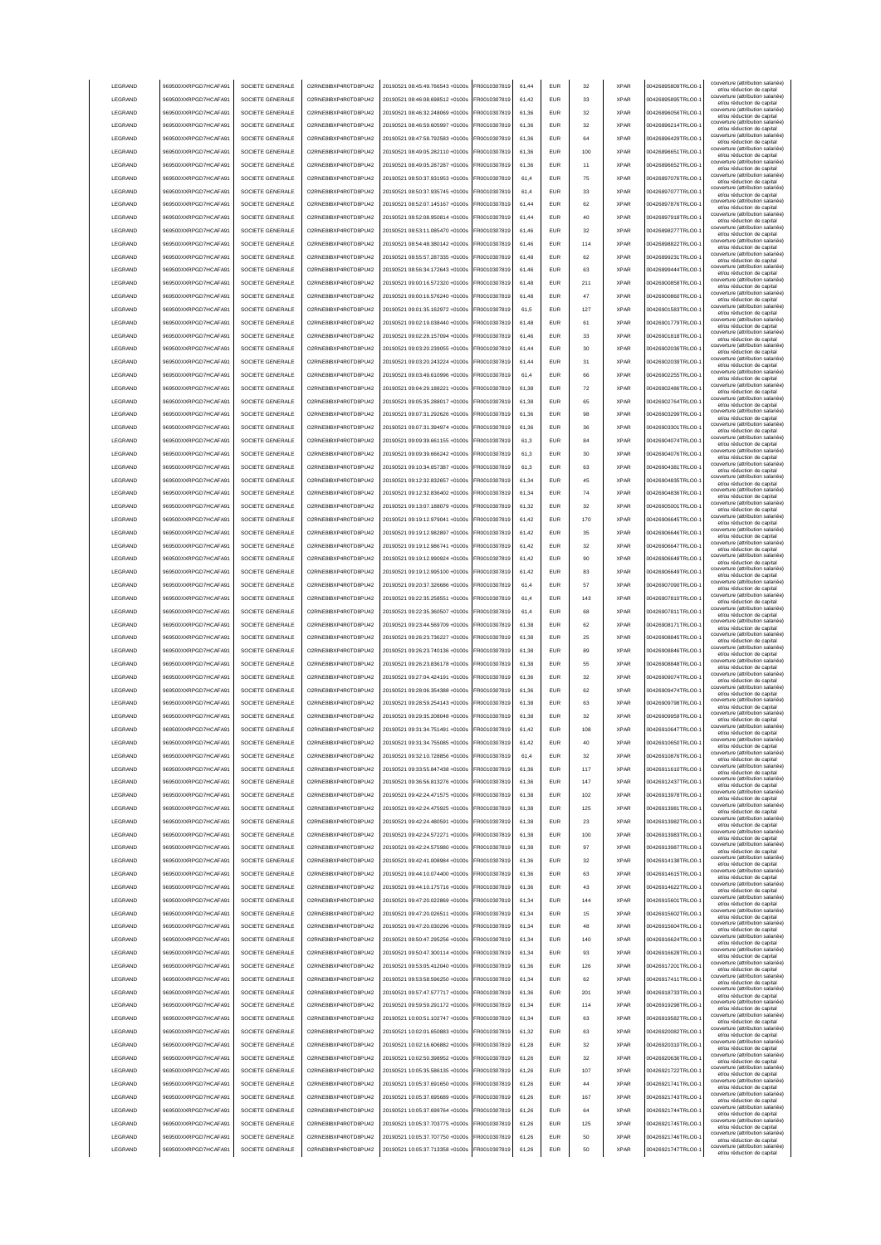| LEGRAND            | 969500XXRPGD7HCAFA91                         | SOCIETE GENERALE                     | O2RNE8IBXP4R0TD8PU42                         | 20190521 08:45:49.766543 +0100s                                    | FR0010307819                 | 61,44          | <b>EUR</b>        | 32       | <b>XPAR</b>                | 00426895809TRLO0-                      | couverture (attribution salariée)<br>et/ou réduction de capital |
|--------------------|----------------------------------------------|--------------------------------------|----------------------------------------------|--------------------------------------------------------------------|------------------------------|----------------|-------------------|----------|----------------------------|----------------------------------------|-----------------------------------------------------------------|
| LEGRAND            | 969500XXRPGD7HCAFA91                         | SOCIETE GENERALE                     | O2RNE8IBXP4R0TD8PU42                         | 20190521 08:46:08.698512 +0100s                                    | FR0010307819                 | 61,42          | <b>EUR</b>        | 33       | <b>XPAR</b>                | 00426895895TRLO0-                      | couverture (attribution salariée)                               |
|                    |                                              |                                      |                                              |                                                                    |                              |                |                   |          |                            |                                        | et/ou réduction de capital<br>couverture (attribution salariée) |
| LEGRAND            | 969500XXRPGD7HCAFA91                         | SOCIETE GENERALE                     | O2RNE8IBXP4R0TD8PU42                         | 20190521 08:46:32.248069 +0100s                                    | FR0010307819                 | 61,36          | <b>EUR</b>        | 32       | <b>XPAR</b>                | 00426896056TRLO0-                      | et/ou réduction de capital<br>couverture (attribution salariée) |
| LEGRAND            | 969500XXRPGD7HCAFA91                         | SOCIETE GENERALE                     | O2RNE8IBXP4R0TD8PU42                         | 20190521 08:46:59.605997 +0100s                                    | FR0010307819                 | 61.36          | <b>EUR</b>        | 32       | <b>XPAR</b>                | 00426896214TRLO0-                      | et/ou réduction de capital                                      |
| LEGRAND            | 969500XXRPGD7HCAFA91                         | SOCIETE GENERALE                     | O2RNE8IBXP4R0TD8PU42                         | 20190521 08:47:58.792583 +0100s                                    | FR0010307819                 | 61.36          | <b>EUR</b>        | 64       | <b>XPAR</b>                | 00426896429TRLO0-                      | couverture (attribution salariée)<br>et/ou réduction de capital |
| LEGRAND            | 969500XXRPGD7HCAFA91                         | SOCIETE GENERALE                     | O2RNE8IBXP4R0TD8PU42                         | 20190521 08:49:05.282110 +0100s                                    | FR0010307819                 | 61.36          | <b>EUR</b>        | 100      | <b>XPAR</b>                | 00426896651TRLO0-                      | couverture (attribution salariée)<br>et/ou réduction de capital |
| LEGRAND            | 969500XXRPGD7HCAFA91                         | SOCIETE GENERALE                     | O2RNE8IBXP4R0TD8PU42                         | 20190521 08:49:05.287287 +0100s                                    | FR0010307819                 | 61.36          | EUR               | 11       | <b>XPAR</b>                | 00426896652TRLO0-                      | couverture (attribution salariée)                               |
|                    |                                              |                                      |                                              |                                                                    |                              |                |                   |          |                            |                                        | et/ou réduction de capital<br>couverture (attribution salariée) |
| LEGRAND            | 969500XXRPGD7HCAFA91                         | SOCIETE GENERALE                     | O2RNE8IBXP4R0TD8PU42                         | 20190521 08:50:37.931953 +0100s                                    | R0010307819                  | 61,4           | EUR               | 75       | <b>XPAR</b>                | 00426897076TRLO0-                      | et/ou réduction de capital                                      |
| LEGRAND            | 969500XXRPGD7HCAFA91                         | SOCIETE GENERALE                     | O2RNE8IBXP4R0TD8PU42                         | 20190521 08:50:37.935745 +0100s                                    | FR0010307819                 | 61.4           | EUR               | 33       | <b>XPAR</b>                | 00426897077TRLO0-                      | couverture (attribution salariée)<br>et/ou réduction de capital |
| LEGRAND            | 969500XXRPGD7HCAFA91                         | SOCIETE GENERALE                     | O2RNE8IBXP4R0TD8PU42                         | 20190521 08:52:07.145167 +0100s                                    | R0010307819                  | 61,44          | <b>EUR</b>        | 62       | <b>XPAR</b>                | 00426897876TRLO0-                      | couverture (attribution salariée)<br>et/ou réduction de capital |
| LEGRAND            | 969500XXRPGD7HCAFA91                         | SOCIETE GENERALE                     | O2RNE8IBXP4R0TD8PU42                         | 20190521 08:52:08.950814 +0100s                                    | FR0010307819                 | 61,44          | EUR               | 40       | <b>XPAR</b>                | 00426897918TRLO0-                      | couverture (attribution salariée)                               |
|                    |                                              |                                      |                                              |                                                                    |                              |                |                   |          |                            |                                        | et/ou réduction de capital<br>couverture (attribution salariée) |
| LEGRAND            | 969500XXRPGD7HCAFA91                         | SOCIETE GENERALE                     | O2RNE8IBXP4R0TD8PU42                         | 20190521 08:53:11.085470 +0100s                                    | FR0010307819                 | 61,46          | EUR               | 32       | <b>XPAR</b>                | 00426898277TRLO0-                      | et/ou réduction de capital                                      |
| LEGRAND            | 969500XXRPGD7HCAFA91                         | SOCIETE GENERALE                     | O2RNE8IBXP4R0TD8PU42                         | 20190521 08:54:48.380142 +0100s                                    | FR0010307819                 | 61,46          | EUR               | 114      | <b>XPAR</b>                | 00426898822TRLO0-                      | couverture (attribution salariée)<br>et/ou réduction de capital |
| LEGRAND            | 969500XXRPGD7HCAFA91                         | SOCIETE GENERALE                     | O2RNE8IBXP4R0TD8PLI42                        | 20190521 08:55:57.287335 +0100s                                    | FR0010307819                 | 61,48          | <b>EUR</b>        | 62       | <b>XPAR</b>                | 00426899231TRLO0-                      | couverture (attribution salariée)<br>et/ou réduction de capital |
| LEGRAND            | 969500XXRPGD7HCAFA91                         | SOCIETE GENERALE                     | O2RNE8IBXP4R0TD8PU42                         | 20190521 08:56:34.172643 +0100s                                    | FR0010307819                 | 61,46          | <b>EUR</b>        | 63       | <b>XPAR</b>                | 00426899444TRLO0-                      | couverture (attribution salariée)                               |
|                    |                                              |                                      |                                              |                                                                    |                              |                |                   |          |                            |                                        | et/ou réduction de capital<br>couverture (attribution salariée) |
| LEGRAND            | 969500XXRPGD7HCAFA91                         | SOCIETE GENERALE                     | O2RNE8IBXP4R0TD8PU42                         | 20190521 09:00:16.572320 +0100s                                    | FR0010307819                 | 61,48          | <b>EUR</b>        | 211      | <b>XPAR</b>                | 00426900858TRLO0-                      | et/ou réduction de capital                                      |
| LEGRAND            | 969500XXRPGD7HCAFA91                         | SOCIETE GENERALE                     | O2RNE8IBXP4R0TD8PU42                         | 20190521 09:00:16.576240 +0100s                                    | FR0010307819                 | 61.48          | <b>EUR</b>        | 47       | <b>XPAR</b>                | 00426900860TRLO0-                      | couverture (attribution salariée)<br>et/ou réduction de capital |
| LEGRAND            | 969500XXRPGD7HCAFA91                         | SOCIETE GENERALE                     | O2RNE8IBXP4R0TD8PU42                         | 20190521 09:01:35.162972 +0100s                                    | FR0010307819                 | 61.5           | <b>EUR</b>        | 127      | <b>XPAR</b>                | 00426901583TRLO0-                      | couverture (attribution salariée)<br>et/ou réduction de capital |
| LEGRAND            | 969500XXRPGD7HCAFA91                         | SOCIETE GENERALE                     | O2RNE8IBXP4R0TD8PU42                         | 20190521 09:02:19.038440 +0100s                                    | FR0010307819                 | 61.48          | <b>EUR</b>        | 61       | <b>XPAR</b>                | 00426901779TRLO0-                      | couverture (attribution salariée)                               |
|                    |                                              |                                      |                                              |                                                                    |                              |                |                   |          |                            |                                        | et/ou réduction de capital<br>couverture (attribution salariée) |
| LEGRAND            | 969500XXRPGD7HCAFA91                         | SOCIETE GENERALE                     | O2RNE8IBXP4R0TD8PU42                         | 20190521 09:02:28.157094 +0100s                                    | FR0010307819                 | 61,46          | EUR               | 33       | <b>XPAR</b>                | 00426901818TRLO0-                      | et/ou réduction de capital                                      |
| LEGRAND            | 969500XXRPGD7HCAFA91                         | SOCIETE GENERALE                     | O2RNE8IBXP4R0TD8PU42                         | 20190521 09:03:20.239055 +0100s                                    | FR0010307819                 | 61,44          | EUR               | 30       | <b>XPAR</b>                | 00426902036TRLO0-                      | couverture (attribution salariée)<br>et/ou réduction de capital |
| LEGRAND            | 969500XXRPGD7HCAFA91                         | SOCIETE GENERALE                     | O2RNE8IBXP4R0TD8PU42                         | 20190521 09:03:20.243224 +0100s                                    | FR0010307819                 | 61,44          | EUR               | 31       | <b>XPAR</b>                | 00426902039TRLO0-                      | couverture (attribution salariée)<br>et/ou réduction de capital |
| LEGRAND            | 969500XXRPGD7HCAFA91                         | SOCIETE GENERALE                     | O2RNE8IBXP4R0TD8PU42                         | 20190521 09:03:49.610996 +0100s                                    | FR0010307819                 | 61.4           | EUR               | 66       | <b>XPAR</b>                | 00426902255TRLO0-                      | couverture (attribution salariée)                               |
|                    |                                              |                                      |                                              |                                                                    |                              |                |                   |          |                            |                                        | et/ou réduction de capital<br>couverture (attribution salariée) |
| LEGRAND            | 969500XXRPGD7HCAFA91                         | SOCIETE GENERALE                     | O2RNE8IBXP4R0TD8PU42                         | 20190521 09:04:29.188221 +0100s                                    | FR0010307819                 | 61,38          | EUR               | 72       | <b>XPAR</b>                | 00426902486TRLO0-                      | et/ou réduction de capital                                      |
| LEGRAND            | 969500XXRPGD7HCAFA91                         | SOCIETE GENERALE                     | O2RNE8IBXP4R0TD8PU42                         | 20190521 09:05:35.288017 +0100s                                    | FR0010307819                 | 61,38          | <b>EUR</b>        | 65       | <b>XPAR</b>                | 00426902764TRLO0-                      | couverture (attribution salariée)<br>et/ou réduction de capital |
| LEGRAND            | 969500XXRPGD7HCAFA91                         | SOCIETE GENERALE                     | O2RNE8IBXP4R0TD8PU42                         | 20190521 09:07:31.292626 +0100s                                    | FR0010307819                 | 61,36          | EUR               | 98       | <b>XPAR</b>                | 00426903299TRLO0-                      | couverture (attribution salariée)<br>et/ou réduction de capital |
| LEGRAND            | 969500XXRPGD7HCAFA91                         | SOCIETE GENERALE                     | O2RNE8IBXP4R0TD8PU42                         | 20190521 09:07:31 394974 +0100s                                    | FR0010307819                 | 61,36          | <b>EUR</b>        | 36       | <b>XPAR</b>                | 00426903301TRLO0-                      | couverture (attribution salariée)                               |
|                    |                                              |                                      |                                              |                                                                    |                              |                |                   |          |                            |                                        | et/ou réduction de capital<br>couverture (attribution salariée) |
| LEGRAND            | 969500XXRPGD7HCAFA91                         | SOCIETE GENERALE                     | O2RNE8IBXP4R0TD8PU42                         | 20190521 09:09:39.661155 +0100s                                    | FR0010307819                 | 61,3           | <b>EUR</b>        | 84       | <b>XPAR</b>                | 00426904074TRLO0-                      | et/ou réduction de capital                                      |
| LEGRAND            | 969500XXRPGD7HCAFA91                         | SOCIETE GENERALE                     | O2RNE8IBXP4R0TD8PU42                         | 20190521 09:09:39.666242 +0100s                                    | FR0010307819                 | 61,3           | <b>EUR</b>        | 30       | <b>XPAR</b>                | 00426904076TRLO0-                      | couverture (attribution salariée)<br>et/ou réduction de capital |
| <b>I FGRAND</b>    | 969500XXRPGD7HCAFA91                         | SOCIETE GENERALE                     | O2RNE8IBXP4R0TD8PU42                         | 20190521 09:10:34.657387 +0100s                                    | FR0010307819                 | 61.3           | <b>EUR</b>        | 63       | <b>XPAR</b>                | 00426904381TRLO0-                      | couverture (attribution salariée)<br>et/ou réduction de capital |
| LEGRAND            | 969500XXRPGD7HCAFA91                         | SOCIETE GENERALE                     | O2RNE8IBXP4R0TD8PLI42                        | 20190521 09:12:32 832657 +0100s                                    | FR0010307819                 | 61.34          | <b>EUR</b>        | 45       | <b>XPAR</b>                | 00426904835TRLO0-                      | couverture (attribution salariée)                               |
|                    |                                              |                                      |                                              |                                                                    |                              |                |                   |          |                            |                                        | et/ou réduction de capital<br>couverture (attribution salariée) |
| LEGRAND            | 969500XXRPGD7HCAFA91                         | SOCIETE GENERALE                     | O2RNE8IBXP4R0TD8PU42                         | 20190521 09:12:32.836402 +0100s                                    | FR0010307819                 | 61.34          | <b>EUR</b>        | 74       | <b>XPAR</b>                | 00426904836TRLO0-                      | et/ou réduction de capital                                      |
| LEGRAND            | 969500XXRPGD7HCAFA91                         | SOCIETE GENERALE                     | O2RNE8IBXP4R0TD8PU42                         | 20190521 09:13:07.188079 +0100s                                    | FR0010307819                 | 61,32          | EUR               | 32       | <b>XPAR</b>                | 00426905001TRLO0-                      | couverture (attribution salariée)<br>et/ou réduction de capital |
| LEGRAND            | 969500XXRPGD7HCAFA91                         | SOCIETE GENERALE                     | O2RNE8IBXP4R0TD8PU42                         | 20190521 09:19:12.979041 +0100s                                    | FR0010307819                 | 61,42          | EUR               | 170      | <b>XPAR</b>                | 00426906645TRLO0-                      | couverture (attribution salariée)<br>et/ou réduction de capital |
| LEGRAND            | 969500XXRPGD7HCAFA91                         | SOCIETE GENERALE                     | O2RNE8IBXP4R0TD8PU42                         | 20190521 09:19:12.982897 +0100s                                    | R0010307819                  | 61,42          | EUR               | 35       | <b>XPAR</b>                | 00426906646TRLO0-                      | couverture (attribution salariée)                               |
|                    |                                              |                                      |                                              |                                                                    |                              |                |                   |          |                            |                                        | et/ou réduction de capital<br>couverture (attribution salariée) |
| LEGRAND            | 969500XXRPGD7HCAFA91                         | SOCIETE GENERALE                     | O2RNE8IBXP4R0TD8PU42                         | 20190521 09:19:12.986741 +0100s                                    | FR0010307819                 | 61,42          | EUR               | 32       | <b>XPAR</b>                | 00426906647TRLO0-                      | et/ou réduction de capital<br>couverture (attribution salariée) |
| LEGRAND            | 969500XXRPGD7HCAFA91                         | SOCIETE GENERALE                     | O2RNE8IBXP4R0TD8PU42                         | 20190521 09:19:12.990924 +0100s                                    | FR0010307819                 | 61,42          | EUR               | 90       | <b>XPAR</b>                | 00426906648TRLO0-                      | et/ou réduction de capital                                      |
| LEGRAND            | 969500XXRPGD7HCAFA91                         | SOCIETE GENERALE                     | O2RNE8IBXP4R0TD8PU42                         | 20190521 09:19:12.995100 +0100s                                    | FR0010307819                 | 61,42          | EUR               | 83       | <b>XPAR</b>                | 00426906649TRLO0-                      | couverture (attribution salariée)<br>et/ou réduction de capital |
| LEGRAND            | 969500XXRPGD7HCAFA91                         | SOCIETE GENERALE                     | O2RNE8IBXP4R0TD8PU42                         | 20190521 09:20:37.326686 +0100s                                    | FR0010307819                 | 61,4           | EUR               | 57       | <b>XPAR</b>                | 00426907090TRLO0-                      | couverture (attribution salariée)                               |
|                    |                                              |                                      |                                              |                                                                    |                              |                |                   |          |                            |                                        | et/ou réduction de capital<br>couverture (attribution salariée) |
| LEGRAND            | 969500XXRPGD7HCAFA91                         | SOCIETE GENERALE                     | O2RNE8IBXP4R0TD8PU42                         | 20190521 09:22:35.258551 +0100s                                    | FR0010307819                 | 61,4           | <b>EUR</b>        | 143      | <b>XPAR</b>                | 00426907810TRLO0-                      | et/ou réduction de capital                                      |
|                    |                                              |                                      |                                              |                                                                    |                              | 61,4           |                   | 68       | <b>XPAR</b>                |                                        | couverture (attribution salariée)                               |
| LEGRAND            | 969500XXRPGD7HCAFA91                         | SOCIETE GENERALE                     | O2RNE8IBXP4R0TD8PU42                         | 20190521 09:22:35.360507 +0100s                                    | FR0010307819                 |                | <b>EUR</b>        |          |                            | 00426907811TRLO0-                      | et/ou réduction de capital                                      |
| LEGRAND            | 969500XXRPGD7HCAFA91                         | SOCIETE GENERALE                     | O2RNE8IBXP4R0TD8PU42                         | 20190521 09:23:44.569709 +0100s                                    | FR0010307819                 | 61,38          | <b>EUR</b>        | 62       | <b>XPAR</b>                | 00426908171TRLO0-                      | couverture (attribution salariée)                               |
| LEGRAND            | 969500XXRPGD7HCAFA91                         | SOCIETE GENERALE                     | O2RNE8IBXP4R0TD8PU42                         | 20190521 09:26:23.736227 +0100s                                    | FR0010307819                 | 61.38          | EUR               | 25       | <b>XPAR</b>                | 00426908845TRLO0-                      | et/ou réduction de capital<br>couverture (attribution salariée) |
|                    |                                              |                                      |                                              |                                                                    |                              |                |                   |          |                            |                                        | et/ou réduction de capital<br>couverture (attribution salariée) |
| LEGRAND            | 969500XXRPGD7HCAFA91                         | SOCIETE GENERALE                     | O2RNE8IBXP4R0TD8PU42                         | 20190521 09:26:23.740136 +0100s                                    | FR0010307819                 | 61.38          | <b>EUR</b>        | 89       | <b>XPAR</b>                | 00426908846TRLO0-                      | et/ou réduction de capital                                      |
| LEGRAND            | 969500XXRPGD7HCAFA91                         | SOCIETE GENERALE                     | O2RNE8IBXP4R0TD8PU42                         | 20190521 09:26:23.836178 +0100s                                    | FR0010307819                 | 61.38          | EUR               | 55       | <b>XPAR</b>                | 00426908848TRLO0-                      | couverture (attribution salariée)<br>et/ou réduction de capital |
| LEGRAND            | 969500XXRPGD7HCAFA91                         | SOCIETE GENERALE                     | O2RNE8IBXP4R0TD8PU42                         | 20190521 09:27:04.424191 +0100s                                    | FR0010307819                 | 61,36          | EUR               | 32       | <b>XPAR</b>                | 00426909074TRLO0-                      | couverture (attribution salariée)                               |
|                    |                                              | SOCIETE GENERALE                     |                                              |                                                                    |                              | 61,36          | EUR               | 62       | <b>XPAR</b>                |                                        | et/ou réduction de capital<br>couverture (attribution salariée) |
| LEGRAND            | 969500XXRPGD7HCAFA91                         |                                      | O2RNE8IBXP4R0TD8PU42                         | 20190521 09:28:06.354388 +0100s                                    | FR0010307819                 |                |                   |          |                            | 00426909474TRLO0-                      | et/ou réduction de capital                                      |
| LEGRAND            | 969500XXRPGD7HCAFA91                         | SOCIETE GENERALE                     | O2RNE8IBXP4R0TD8PU42                         | 20190521 09:28:59.254143 +0100s                                    | FR0010307819                 | 61,38          | EUR               | 63       | <b>XPAR</b>                | 00426909798TRLO0-                      | couverture (attribution salariée)<br>et/ou réduction de capital |
| LEGRAND            | 969500XXRPGD7HCAFA91                         | SOCIETE GENERALE                     | O2RNE8IBXP4R0TD8PU42                         | 20190521 09:29:35.208048 +0100s                                    | FR0010307819                 | 61,38          | EUR               | 32       | <b>XPAR</b>                | 00426909959TRLO0-                      | couverture (attribution salariée)<br>et/ou réduction de capital |
| LEGRAND            | 969500XXRPGD7HCAFA91                         | SOCIETE GENERALE                     | O2RNE8IBXP4R0TD8PU42                         | 20190521 09:31:34.751491 +0100s                                    | FR0010307819                 | 61,42          | <b>EUR</b>        | 108      | <b>XPAR</b>                | 00426910647TRLO0-1                     | couverture (attribution salariée)<br>et/ou réduction de capital |
| LEGRAND            |                                              | SOCIETE GENERALE                     |                                              | 20190521 09:31:34.755085 +0100s                                    | FR0010307819                 | 61,42          | EUR               | 40       | <b>XPAR</b>                |                                        | couverture (attribution salariée)                               |
|                    | 969500XXRPGD7HCAFA91                         |                                      | O2RNE8IBXP4R0TD8PU42                         |                                                                    |                              |                |                   |          |                            | 00426910650TRLO0-1                     | et/ou réduction de capita<br>couverture (attribution salariée)  |
| <b>I FGRAND</b>    | 969500XXRPGD7HCAFA91                         | SOCIETE GENERALE                     | O2RNE8IBXP4R0TD8PLI42                        | 20190521 09:32:10 728856 +0100s                                    | FR0010307819                 | 61,4           | <b>EUR</b>        | 32       | <b>XPAR</b>                | 00426910876TRLO0-                      | et/ou réduction de capital                                      |
| <b>I FGRAND</b>    | 969500XXRPGD7HCAFA91                         | SOCIETE GENERALE                     | O2RNE8IBXP4R0TD8PLI42                        | 20190521 09:33:55.847438 +0100s                                    | FR0010307819                 | 61,36          | <b>EUR</b>        | 117      | <b>XPAR</b>                | 00426911610TRLO0-                      | couverture (attribution salariée)<br>et/ou réduction de capital |
| LEGRAND            | 969500XXRPGD7HCAFA91                         | SOCIETE GENERALE                     | O2RNE8IBXP4R0TD8PU42                         | 20190521 09:36:56.813276 +0100s                                    | FR0010307819                 | 61,36          | <b>EUR</b>        | 147      | <b>XPAR</b>                | 00426912437TRLO0-                      | couverture (attribution salariée)                               |
| LEGRAND            | 969500XXRPGD7HCAFA91                         | SOCIETE GENERALE                     | O2RNE8IBXP4R0TD8PU42                         | 20190521 09:42:24.471575 +0100s                                    | FR0010307819                 | 61,38          | <b>EUR</b>        | 102      | <b>XPAR</b>                | 00426913978TRLO0-                      | et/ou réduction de capital<br>couverture (attribution salariée) |
|                    |                                              |                                      |                                              |                                                                    |                              |                |                   |          |                            |                                        | et/ou réduction de capital                                      |
| LEGRAND            | 969500XXRPGD7HCAFA91                         | SOCIETE GENERALE                     | O2RNE8IBXP4R0TD8PU42                         | 20190521 09:42:24.475925 +0100s                                    | FR0010307819                 | 61.38          | <b>EUR</b>        | 125      | <b>XPAR</b>                | 00426913981TRLO0-                      | couverture (attribution salariée)<br>et/ou réduction de capital |
| LEGRAND            | 969500XXRPGD7HCAFA91                         | SOCIETE GENERALE                     | O2RNE8IBXP4R0TD8PU42                         | 20190521 09:42:24.480591 +0100s                                    | FR0010307819                 | 61.38          | <b>EUR</b>        | 23       | <b>XPAR</b>                | 00426913982TRLO0-                      | couverture (attribution salariée)<br>et/ou réduction de capital |
| LEGRAND            | 969500XXRPGD7HCAFA91                         | SOCIETE GENERALE                     | O2RNE8IBXP4R0TD8PU42                         | 20190521 09:42:24.572271 +0100s                                    | FR0010307819                 | 61.38          | <b>EUR</b>        | 100      | <b>XPAR</b>                | 00426913983TRLO0-                      | couverture (attribution salariée)<br>et/ou réduction de capital |
| LEGRAND            | 969500XXRPGD7HCAFA91                         | SOCIETE GENERALE                     | O2RNE8IBXP4R0TD8PU42                         | 20190521 09:42:24.575980 +0100s                                    | FR0010307819                 | 61,38          | EUR               | 97       | <b>XPAR</b>                | 00426913987TRLO0-                      | couverture (attribution salariée)                               |
|                    |                                              |                                      |                                              |                                                                    |                              |                |                   |          |                            |                                        | et/ou réduction de capital<br>couverture (attribution salariée) |
| LEGRAND            | 969500XXRPGD7HCAFA91                         | SOCIETE GENERALE                     | O2RNE8IBXP4R0TD8PU42                         | 20190521 09:42:41.008984 +0100s                                    | FR0010307819                 | 61,36          | EUR               | 32       | <b>XPAR</b>                | 00426914138TRLO0-1                     | et/ou réduction de capital                                      |
| LEGRAND            | 969500XXRPGD7HCAFA91                         | SOCIETE GENERALE                     | O2RNE8IBXP4R0TD8PU42                         | 20190521 09:44:10.074400 +0100s                                    | FR0010307819                 | 61,36          | EUR               | 63       | <b>XPAR</b>                | 00426914615TRLO0-                      | couverture (attribution salariée)<br>et/ou réduction de capital |
| LEGRAND            | 969500XXRPGD7HCAFA91                         | SOCIETE GENERALE                     | O2RNE8IBXP4R0TD8PU42                         | 20190521 09:44:10.175716 +0100s                                    | FR0010307819                 | 61,36          | <b>EUR</b>        | 43       | <b>XPAR</b>                | 00426914622TRLO0-                      | couverture (attribution salariée)<br>et/ou réduction de capital |
| LEGRAND            | 969500XXRPGD7HCAFA91                         | SOCIETE GENERALE                     | O2RNE8IBXP4R0TD8PU42                         | 20190521 09:47:20.022869 +0100s                                    | FR0010307819                 | 61,34          | <b>EUR</b>        | 144      | <b>XPAR</b>                | 00426915601TRLO0-                      | couverture (attribution salariée)                               |
|                    |                                              |                                      |                                              |                                                                    |                              |                |                   |          |                            |                                        | et/ou réduction de capital<br>couverture (attribution salariée) |
| LEGRAND            | 969500XXRPGD7HCAFA91                         | SOCIETE GENERALE                     | O2RNE8IBXP4R0TD8PU42                         | 20190521 09:47:20.026511 +0100s                                    | FR0010307819                 | 61,34          | <b>EUR</b>        | 15       | <b>XPAR</b>                | 00426915602TRLO0-1                     | et/ou réduction de capital                                      |
| LEGRAND            | 969500XXRPGD7HCAFA91                         | SOCIETE GENERALE                     | O2RNE8IBXP4R0TD8PU42                         | 20190521 09:47:20.030296 +0100s                                    | FR0010307819                 | 61.34          | <b>EUR</b>        | 48       | <b>XPAR</b>                | 00426915604TRLO0-                      | couverture (attribution salariée)<br>et/ou réduction de capital |
| LEGRAND            | 969500XXRPGD7HCAFA91                         | SOCIETE GENERALE                     | O2RNE8IBXP4R0TD8PU42                         | 20190521 09:50:47.295256 +0100s                                    | FR0010307819                 | 61,34          | <b>EUR</b>        | 140      | <b>XPAR</b>                | 00426916624TRLO0-                      | couverture (attribution salariée)<br>et/ou réduction de capital |
| LEGRAND            | 969500XXRPGD7HCAFA91                         | SOCIETE GENERALE                     | O2RNE8IBXP4R0TD8PU42                         | 20190521 09:50:47.300114 +0100s                                    | FR0010307819                 | 61,34          | <b>EUR</b>        | 93       | <b>XPAR</b>                | 00426916628TRLO0-                      | couverture (attribution salariée)                               |
| LEGRAND            | 969500XXRPGD7HCAFA91                         | SOCIETE GENERALE                     | O2RNE8IBXP4R0TD8PU42                         | 20190521 09:53:05.412040 +0100s                                    | FR0010307819                 | 61.36          | <b>EUR</b>        | 126      | <b>XPAR</b>                | 00426917201TRLO0-                      | et/ou réduction de capital<br>couverture (attribution salariée) |
|                    |                                              |                                      |                                              |                                                                    |                              |                |                   |          |                            |                                        | et/ou réduction de capital                                      |
| LEGRAND            | 969500XXRPGD7HCAFA91                         | SOCIETE GENERALE                     | O2RNE8IBXP4R0TD8PU42                         | 20190521 09:53:58.596250 +0100s                                    | FR0010307819                 | 61.34          | <b>EUR</b>        | 62       | <b>XPAR</b>                | 00426917411TRLO0-                      | couverture (attribution salariée)<br>et/ou réduction de capital |
| LEGRAND            | 969500XXRPGD7HCAFA91                         | SOCIETE GENERALE                     | O2RNE8IBXP4R0TD8PU42                         | 20190521 09:57:47.577717 +0100s                                    | FR0010307819                 | 61.36          | <b>EUR</b>        | 201      | <b>XPAR</b>                | 00426918733TRLO0-                      | couverture (attribution salariée)<br>et/ou réduction de capital |
| LEGRAND            | 969500XXRPGD7HCAFA91                         | SOCIETE GENERALE                     | O2RNE8IBXP4R0TD8PU42                         | 20190521 09:59:59.291172 +0100s                                    | FR0010307819                 | 61,34          | EUR               | 114      | <b>XPAR</b>                | 00426919298TRLO0-1                     | couverture (attribution salariée)                               |
|                    |                                              |                                      |                                              |                                                                    |                              | 61,34          | EUR               |          | <b>XPAR</b>                |                                        | et/ou réduction de capital<br>couverture (attribution salariée) |
| LEGRAND            | 969500XXRPGD7HCAFA91                         | SOCIETE GENERALE                     | O2RNE8IBXP4R0TD8PU42                         | 20190521 10:00:51.102747 +0100s                                    | FR0010307819                 |                |                   | 63       |                            | 00426919582TRLO0-1                     | et/ou réduction de capital                                      |
| LEGRAND            | 969500XXRPGD7HCAFA91                         | SOCIETE GENERALE                     | O2RNE8IBXP4R0TD8PU42                         | 20190521 10:02:01.650883 +0100s                                    | FR0010307819                 | 61,32          | <b>EUR</b>        | 63       | <b>XPAR</b>                | 00426920082TRLO0-1                     | couverture (attribution salariée)<br>et/ou réduction de capital |
| LEGRAND            | 969500XXRPGD7HCAFA91                         | SOCIETE GENERALE                     | O2RNE8IBXP4R0TD8PU42                         | 20190521 10:02:16.606882 +0100s                                    | FR0010307819                 | 61,28          | EUR               | 32       | <b>XPAR</b>                | 00426920310TRLO0-1                     | couverture (attribution salariée)<br>et/ou réduction de capital |
| LEGRAND            | 969500XXRPGD7HCAFA91                         | SOCIETE GENERALE                     | O2RNE8IBXP4R0TD8PU42                         | 20190521 10:02:50.398952 +0100s                                    | FR0010307819                 | 61,26          | <b>EUR</b>        | 32       | <b>XPAR</b>                | 00426920636TRLO0-                      | couverture (attribution salariée)<br>et/ou réduction de capital |
| LEGRAND            | 969500XXRPGD7HCAFA91                         | SOCIETE GENERALE                     | O2RNE8IBXP4R0TD8PU42                         | 20190521 10:05:35.586135 +0100s                                    | FR0010307819                 | 61,26          | <b>EUR</b>        | 107      | <b>XPAR</b>                | 00426921722TRLO0-                      | couverture (attribution salariée)                               |
|                    |                                              |                                      |                                              |                                                                    |                              |                |                   |          |                            |                                        | et/ou réduction de capital<br>couverture (attribution salariée) |
| LEGRAND            | 969500XXRPGD7HCAFA91                         | SOCIETE GENERALE                     | O2RNE8IBXP4R0TD8PU42                         | 20190521 10:05:37.691650 +0100s                                    | FR0010307819                 | 61,26          | <b>EUR</b>        | 44       | <b>XPAR</b>                | 00426921741TRLO0-                      | et/ou réduction de capital                                      |
| <b>I FGRAND</b>    | 969500XXRPGD7HCAFA91                         | SOCIETE GENERALE                     | O2RNE8IBXP4R0TD8PU42                         | 20190521 10:05:37.695689 +0100s                                    | FR0010307819                 | 61.26          | <b>EUR</b>        | 167      | <b>XPAR</b>                | 00426921743TRLO0-                      | couverture (attribution salariée)<br>et/ou réduction de capital |
| <b>I FGRAND</b>    | 969500XXRPGD7HCAFA91                         | SOCIETE GENERALE                     | O2RNE8IBXP4R0TD8PU42                         | 20190521 10:05:37.699764 +0100s                                    | FR0010307819                 | 61.26          | <b>EUR</b>        | 64       | <b>XPAR</b>                | 00426921744TRLO0-                      | couverture (attribution salariée)<br>et/ou réduction de capital |
| <b>I FGRAND</b>    | 969500XXRPGD7HCAFA91                         | SOCIETE GENERALE                     | O2RNE8IBXP4R0TD8PU42                         | 20190521 10:05:37.703775 +0100s                                    | FR0010307819                 | 61.26          | <b>EUR</b>        | 125      | <b>XPAR</b>                | 00426921745TRLO0-                      | couverture (attribution salariée)                               |
|                    |                                              |                                      |                                              |                                                                    |                              |                |                   |          |                            |                                        | et/ou réduction de capital<br>couverture (attribution salariée) |
| LEGRAND<br>LEGRAND | 969500XXRPGD7HCAFA91<br>969500XXRPGD7HCAFA91 | SOCIETE GENERALE<br>SOCIETE GENERALE | O2RNE8IBXP4R0TD8PU42<br>O2RNE8IBXP4R0TD8PU42 | 20190521 10:05:37.707750 +0100s<br>20190521 10:05:37.713358 +0100s | FR0010307819<br>FR0010307819 | 61.26<br>61.26 | <b>EUR</b><br>EUR | 50<br>50 | <b>XPAR</b><br><b>XPAR</b> | 00426921746TRLO0-<br>00426921747TRLO0- | et/ou réduction de capital<br>couverture (attribution salariée) |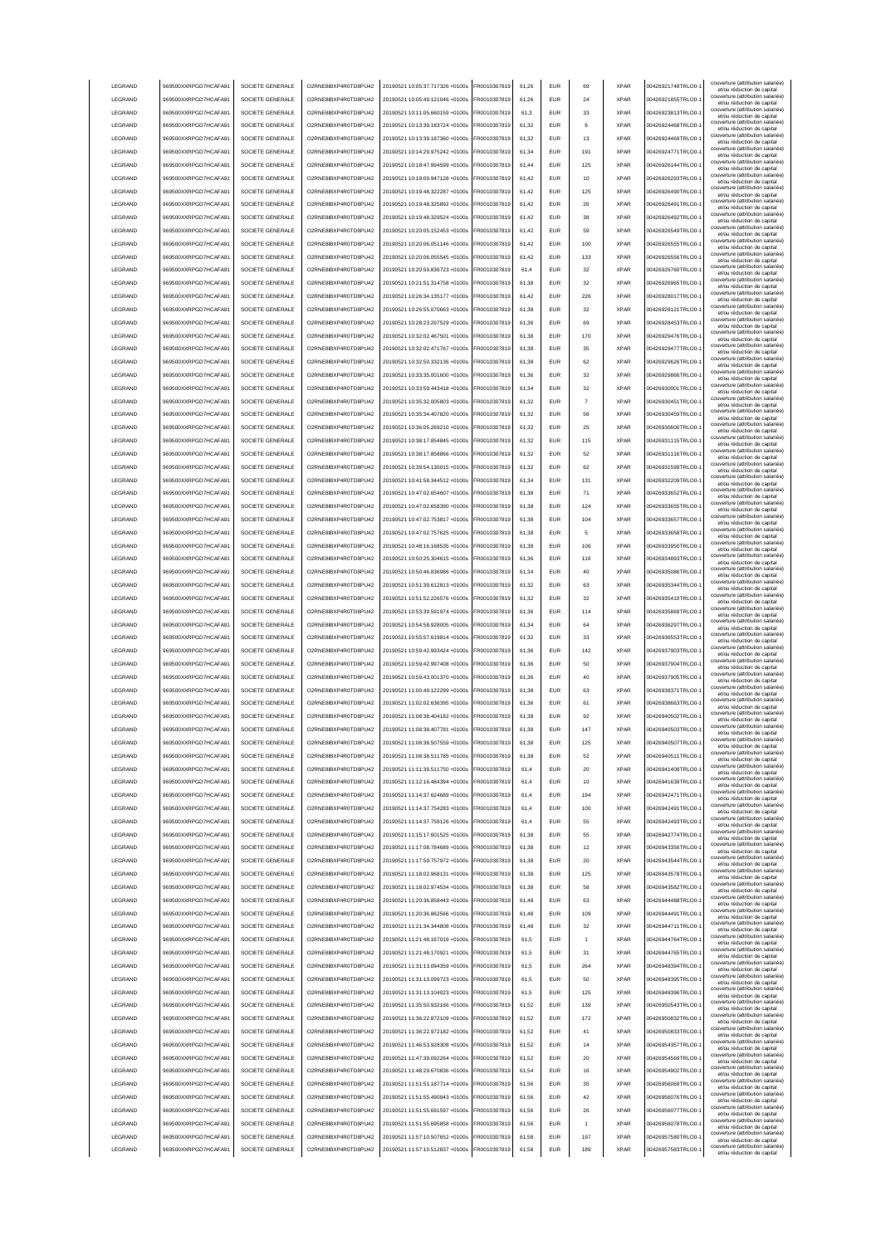|                            | 969500XXRPGD7HCAFA91                         | SOCIETE GENERALE                     | O2RNE8IBXP4R0TD8PU42                          | 20190521 10:05:37.717326 +0100s                                    | FR0010307819                 | 61.26          | <b>EUR</b>               | 69             | <b>XPAR</b>                | 00426921748TRLO0-                       | couverture (attribution salariée<br>et/ou réduction de capital                                |
|----------------------------|----------------------------------------------|--------------------------------------|-----------------------------------------------|--------------------------------------------------------------------|------------------------------|----------------|--------------------------|----------------|----------------------------|-----------------------------------------|-----------------------------------------------------------------------------------------------|
| LEGRAND                    | 969500XXRPGD7HCAFA91                         | SOCIETE GENERALE                     | O2RNE8IBXP4R0TD8PU42                          | 20190521 10:05:49.121046 +0100s                                    | FR0010307819                 | 61.26          | <b>EUR</b>               | 24             | <b>XPAR</b>                | 00426921855TRLO0-                       | couverture (attribution salariée)<br>et/ou réduction de capital                               |
| LEGRAND                    | 969500XXRPGD7HCAFA91                         | SOCIETE GENERALE                     | O2RNE8IBXP4R0TD8PU42                          | 20190521 10:11:05.660159 +0100s                                    | FR0010307819                 | 61.3           | <b>EUR</b>               | 33             | <b>XPAR</b>                | 00426923813TRLO0-                       | couverture (attribution salariée)<br>et/ou réduction de capital                               |
| LEGRAND                    | 969500XXRPGD7HCAFA91                         | SOCIETE GENERALE                     | O2RNE8IBXP4R0TD8PU42                          | 20190521 10:13:39.183724 +0100s                                    | FR0010307819                 | 61,32          | EUR                      | 6              | <b>XPAR</b>                | 00426924468TRLO0-                       | couverture (attribution salariée)<br>et/ou réduction de capital                               |
| LEGRAND                    | 969500XXRPGD7HCAFA91                         | SOCIETE GENERALE                     | O2RNE8IBXP4R0TD8PU42                          | 20190521 10:13:39.187360 +0100s                                    | FR0010307819                 | 61,32          | EUR                      | 13             | <b>XPAR</b>                | 00426924469TRLO0-                       | couverture (attribution salariée)<br>et/ou réduction de capital                               |
| LEGRAND                    | 969500XXRPGD7HCAFA91                         | SOCIETE GENERALE                     | O2RNE8IBXP4R0TD8PU42                          | 20190521 10:14:29.975242 +0100s                                    | FR0010307819                 | 61,34          | EUR                      | 191            | <b>XPAR</b>                | 00426924771TRLO0-                       | couverture (attribution salariée)<br>et/ou réduction de capital                               |
| LEGRAND                    | 969500XXRPGD7HCAFA91                         | SOCIETE GENERALE                     | O2RNE8IBXP4R0TD8PU42                          | 20190521 10:18:47.994599 +0100s                                    | FR0010307819                 | 61,44          | EUR                      | 125            | <b>XPAR</b>                | 00426926144TRLO0-                       | couverture (attribution salariée)<br>et/ou réduction de capital                               |
| LEGRAND                    | 969500XXRPGD7HCAFA91                         | SOCIETE GENERALE                     | O2RNE8IBXP4R0TD8PU42                          | 20190521 10:19:09.947128 +0100s                                    | FR0010307819                 | 61,42          | EUR                      | 10             | <b>XPAR</b>                | 00426926293TRLO0-                       | couverture (attribution salariée)<br>et/ou réduction de capital                               |
| LEGRAND                    | 969500XXRPGD7HCAFA91                         | SOCIETE GENERALE                     | O2RNE8IBXP4R0TD8PU42                          | 20190521 10:19:48.322287 +0100s                                    | FR0010307819                 | 61,42          | EUR                      | 125            | <b>XPAR</b>                | 00426926490TRLO0-                       | couverture (attribution salariée)<br>et/ou réduction de capital                               |
| LEGRAND                    | 969500XXRPGD7HCAFA91                         | SOCIETE GENERALE                     | O2RNE8IBXP4R0TD8PU42                          | 20190521 10:19:48.325892 +0100s                                    | FR0010307819                 | 61,42          | EUR                      | 26             | <b>XPAR</b>                | 00426926491TRLO0-                       | couverture (attribution salariée)<br>et/ou réduction de capital                               |
| LEGRAND                    | 969500XXRPGD7HCAFA91                         | SOCIETE GENERALE                     | O2RNE8IBXP4R0TD8PU42                          | 20190521 10:19:48.329524 +0100s                                    | FR0010307819                 | 61,42          | <b>EUR</b>               | 38             | <b>XPAR</b>                | 00426926492TRLO0-                       | couverture (attribution salariée)<br>et/ou réduction de capital                               |
| LEGRAND                    | 969500XXRPGD7HCAFA91                         | SOCIETE GENERALE                     | O2RNE8IBXP4R0TD8PU42                          | 20190521 10:20:05.152453 +0100s                                    | FR0010307819                 | 61,42          | <b>EUR</b>               | 59             | <b>XPAR</b>                | 00426926549TRLO0-                       | couverture (attribution salariée)<br>et/ou réduction de capital                               |
| LEGRAND                    | 969500XXRPGD7HCAFA91                         | SOCIETE GENERALE                     | O2RNE8IBXP4R0TD8PU42                          | 20190521 10:20:06.051146 +0100s                                    | FR0010307819                 | 61,42          | <b>EUR</b>               | 100            | <b>XPAR</b>                | 00426926555TRLO0-                       | couverture (attribution salariée)<br>et/ou réduction de capital                               |
| LEGRAND                    | 969500XXRPGD7HCAFA91                         | SOCIETE GENERALE                     | O2RNE8IBXP4R0TD8PU42                          | 20190521 10:20:06.055545 +0100s                                    | FR0010307819                 | 61.42          | EUR                      | 133            | <b>XPAR</b>                | 00426926556TRLO0-                       | couverture (attribution salariée)<br>et/ou réduction de capital                               |
| LEGRAND                    | 969500XXRPGD7HCAFA91                         | SOCIETE GENERALE                     | O2RNE8IBXP4R0TD8PU42                          | 20190521 10:20:59.836723 +0100s                                    | FR0010307819                 | 61.4           | <b>EUR</b>               | 32             | <b>XPAR</b>                | 00426926760TRLO0-                       | couverture (attribution salariée)<br>et/ou réduction de capital                               |
| LEGRAND                    | 969500XXRPGD7HCAFA91                         | SOCIETE GENERALE                     | O2RNE8IBXP4R0TD8PU42                          | 20190521 10:21:51.314758 +0100s                                    | FR0010307819                 | 61.38          | EUR                      | 32             | <b>XPAR</b>                | 00426926965TRLO0-                       | couverture (attribution salariée)<br>et/ou réduction de capital                               |
| LEGRAND                    | 969500XXRPGD7HCAFA91                         | SOCIETE GENERALE                     | O2RNE8IBXP4R0TD8PU42                          | 20190521 10:26:34.135177 +0100s                                    | FR0010307819                 | 61,42          | EUR                      | 226            | <b>XPAR</b>                | 00426928017TRLO0-                       | couverture (attribution salariée)<br>et/ou réduction de capital                               |
| LEGRAND                    | 969500XXRPGD7HCAFA91                         | SOCIETE GENERALE                     | O2RNE8IBXP4R0TD8PU42                          | 20190521 10:26:55.070663 +0100s                                    | FR0010307819                 | 61,38          | EUR                      | 32             | <b>XPAR</b>                | 00426928121TRLO0-                       | couverture (attribution salariée)<br>et/ou réduction de capital                               |
| LEGRAND                    | 969500XXRPGD7HCAFA91                         | SOCIETE GENERALE                     | O2RNE8IBXP4R0TD8PU42                          | 20190521 10:28:23.297529 +0100s                                    | FR0010307819                 | 61,36          | EUR                      | 69             | <b>XPAR</b>                | 00426928453TRLO0-                       | couverture (attribution salariée)<br>et/ou réduction de capital                               |
| LEGRAND                    | 969500XXRPGD7HCAFA91                         | SOCIETE GENERALE                     | O2RNE8IBXP4R0TD8PU42                          | 20190521 10:32:02.467501 +0100s                                    | FR0010307819                 | 61,38          | EUR                      | 170            | <b>XPAR</b>                | 00426929476TRLO0-                       | couverture (attribution salariée)<br>et/ou réduction de capital                               |
| LEGRAND                    | 969500XXRPGD7HCAFA91                         | SOCIETE GENERALE                     | O2RNE8IBXP4R0TD8PU42                          | 20190521 10:32:02.471767 +0100s                                    | FR0010307819                 | 61,38          | EUR                      | 35             | <b>XPAR</b>                | 00426929477TRLO0-                       | couverture (attribution salariée)<br>et/ou réduction de capital                               |
| LEGRAND                    | 969500XXRPGD7HCAFA91                         | SOCIETE GENERALE                     | O2RNE8IBXP4R0TD8PU42                          | 20190521 10:32:50.332136 +0100s                                    | FR0010307819                 | 61,38          | EUR                      | 62             | <b>XPAR</b>                | 00426929626TRLO0-                       | couverture (attribution salariée)<br>et/ou réduction de capital                               |
| LEGRAND                    | 969500XXRPGD7HCAFA91                         | SOCIETE GENERALE                     | O2RNE8IBXP4R0TD8PU42                          | 20190521 10:33:35.001600 +0100s                                    | FR0010307819                 | 61,36          | <b>EUR</b>               | 32             | <b>XPAR</b>                | 00426929866TRLO0-                       | couverture (attribution salariée)<br>et/ou réduction de capital                               |
| <b>I FGRAND</b>            | 969500XXRPGD7HCAFA91                         | SOCIETE GENERALE                     | O2RNE8IBXP4R0TD8PLI42                         | 20190521 10:33:59.443418 +0100s                                    | FR0010307819                 | 61,34          | <b>EUR</b>               | 32             | <b>XPAR</b>                | 00426930001TRLO0-                       | couverture (attribution salariée)<br>et/ou réduction de capital                               |
| LEGRAND                    | 969500XXRPGD7HCAFA91                         | SOCIETE GENERALE                     | O2RNE8IBXP4R0TD8PU42                          | 20190521 10:35:32.005803 +0100s                                    | FR0010307819                 | 61,32          | <b>EUR</b>               | $\overline{7}$ | <b>XPAR</b>                | 00426930451TRLO0-                       | couverture (attribution salariée)<br>et/ou réduction de capital                               |
| LEGRAND                    | 969500XXRPGD7HCAFA91                         | SOCIETE GENERALE                     | O2RNE8IBXP4R0TD8PU42                          | 20190521 10:35:34.407820 +0100s                                    | FR0010307819                 | 61,32          | <b>EUR</b>               | 56             | <b>XPAR</b>                | 00426930459TRLO0-                       | couverture (attribution salariée)<br>et/ou réduction de capital                               |
| LEGRAND                    | 969500XXRPGD7HCAFA91                         | SOCIETE GENERALE                     | O2RNE8IBXP4R0TD8PU42                          | 20190521 10:36:05 269210 +0100s                                    | FR0010307819                 | 61.32          | <b>EUR</b>               | 25             | <b>XPAR</b>                | 00426930600TRLO0-                       | couverture (attribution salariée)<br>et/ou réduction de capital                               |
| <b>LEGRAND</b>             | 969500XXRPGD7HCAFA91                         | SOCIETE GENERALE                     | O2RNE8IBXP4R0TD8PU42                          | 20190521 10:38:17.854845 +0100s                                    | FR0010307819                 | 61.32          | EUR                      | 115            | <b>XPAR</b>                | 00426931115TRLO0-                       | couverture (attribution salariée)<br>et/ou réduction de capital                               |
| LEGRAND                    | 969500XXRPGD7HCAFA91                         | SOCIETE GENERALE                     | O2RNE8IBXP4R0TD8PLI42                         | 20190521 10:38:17 858866 +0100s                                    | FR0010307819                 | 61.32          | <b>EUR</b>               | 52             | <b>XPAR</b>                | 00426931116TRLO0-                       | couverture (attribution salariée)<br>et/ou réduction de capital                               |
| LEGRAND                    | 969500XXRPGD7HCAFA91                         | SOCIETE GENERALE                     | O2RNE8IBXP4R0TD8PU42                          | 20190521 10:39:54.130015 +0100s                                    | FR0010307819                 | 61,32          | EUR                      | 62             | <b>XPAR</b>                | 00426931599TRLO0-                       | couverture (attribution salariée)<br>et/ou réduction de capital                               |
| LEGRAND                    | 969500XXRPGD7HCAFA91                         | SOCIETE GENERALE                     | O2RNE8IBXP4R0TD8PU42                          | 20190521 10:41:58.344512 +0100s                                    | FR0010307819                 | 61,34          | EUR                      | 131            | <b>XPAR</b>                | 00426932209TRLO0-                       | couverture (attribution salariée)<br>et/ou réduction de capital                               |
| LEGRAND                    | 969500XXRPGD7HCAFA91                         | SOCIETE GENERALE                     | O2RNE8IBXP4R0TD8PU42                          | 20190521 10:47:02.654607 +0100s                                    | FR0010307819                 | 61,38          | EUR                      | 71             | <b>XPAR</b>                | 00426933652TRLO0-                       | couverture (attribution salariée)<br>et/ou réduction de capital                               |
| LEGRAND                    | 969500XXRPGD7HCAFA91                         | SOCIETE GENERALE                     | O2RNE8IBXP4R0TD8PU42                          | 20190521 10:47:02.658390 +0100s                                    | R0010307819                  | 61,38          | <b>EUR</b>               | 124            | <b>XPAR</b>                | 00426933655TRLO0-                       | couverture (attribution salariée)<br>et/ou réduction de capital                               |
| LEGRAND                    | 969500XXRPGD7HCAFA91                         | SOCIETE GENERALE                     | O2RNE8IBXP4R0TD8PU42                          | 20190521 10:47:02.753817 +0100s                                    | R0010307819                  | 61,38          | EUR                      | 104            | <b>XPAR</b>                | 00426933657TRLO0-                       | couverture (attribution salariée)<br>et/ou réduction de capital                               |
| LEGRAND                    | 969500XXRPGD7HCAFA91                         | SOCIETE GENERALE                     | O2RNE8IBXP4R0TD8PU42                          | 20190521 10:47:02.757625 +0100s                                    | R0010307819                  | 61,38          | EUR                      | 5              | <b>XPAR</b>                | 00426933658TRLO0-                       | couverture (attribution salariée)<br>et/ou réduction de capital                               |
| LEGRAND                    | 969500XXRPGD7HCAFA91                         | SOCIETE GENERALE                     | O2RNE8IBXP4R0TD8PU42                          | 20190521 10:48:16.168535 +0100s                                    | FR0010307819                 | 61.38          | <b>EUR</b>               | 106            | <b>XPAR</b>                | 00426933950TRLO0-                       | couverture (attribution salariée)<br>et/ou réduction de capital                               |
| <b>I FGRAND</b>            | 969500XXRPGD7HCAFA91                         | SOCIETE GENERALE                     | O2RNE8IBXP4R0TD8PU42                          | 20190521 10:50:25.304615 +0100s                                    | FR0010307819                 | 61.36          | <b>EUR</b>               | 116            | <b>XPAR</b>                | 00426934893TRLO0-                       | couverture (attribution salariée)<br>et/ou réduction de capital                               |
| <b>I FGRAND</b>            | 969500XXRPGD7HCAFA91                         | SOCIETE GENERALE                     | O2RNE8IBXP4R0TD8PU42                          | 20190521 10:50:46.836986 +0100s                                    | FR0010307819                 | 61.34          | <b>FUR</b>               | 40             | <b>XPAR</b>                | 00426935086TRLO0-                       | couverture (attribution salariée)                                                             |
| LEGRAND                    | 969500XXRPGD7HCAFA91                         | SOCIETE GENERALE                     | O2RNE8IBXP4R0TD8PU42                          | 20190521 10:51:39.612813 +0100s                                    | FR0010307819                 | 61,32          | <b>EUR</b>               | 63             | <b>XPAR</b>                | 00426935344TRLO0-                       | et/ou réduction de capital<br>couverture (attribution salariée)                               |
| LEGRAND                    | 969500XXRPGD7HCAFA91                         | SOCIETE GENERALE                     | O2RNE8IBXP4R0TD8PU42                          | 20190521 10:51:52.226576 +0100s                                    | FR0010307819                 | 61.32          | EUR                      | 32             | <b>XPAR</b>                | 00426935410TRLO0-                       | et/ou réduction de capital<br>couverture (attribution salariée)                               |
| LEGRAND                    | 969500XXRPGD7HCAFA91                         | SOCIETE GENERALE                     | O2RNE8IBXP4R0TD8PU42                          | 20190521 10:53:39.591974 +0100s                                    | FR0010307819                 | 61.36          | EUR                      | 114            | <b>XPAR</b>                | 00426935869TRLO0-                       | et/ou réduction de capital<br>couverture (attribution salariée)                               |
| LEGRAND                    | 969500XXRPGD7HCAFA91                         | SOCIETE GENERALE                     | O2RNE8IBXP4R0TD8PU42                          | 20190521 10:54:58.928005 +0100s                                    | FR0010307819                 | 61.34          | <b>EUR</b>               | 64             | <b>XPAR</b>                | 00426936297TRLO0-                       | et/ou réduction de capital<br>couverture (attribution salariée)                               |
| LEGRAND                    | 969500XXRPGD7HCAFA91                         | SOCIETE GENERALE                     | O2RNE8IBXP4R0TD8PU42                          | 20190521 10:55:57.619814 +0100s                                    | FR0010307819                 | 61,32          | EUR                      | 33             | <b>XPAR</b>                | 00426936553TRLO0-                       | et/ou réduction de capital<br>couverture (attribution salariée)                               |
| LEGRAND                    | 969500XXRPGD7HCAFA91                         | SOCIETE GENERALE                     | O2RNE8IBXP4R0TD8PU42                          | 20190521 10:59:42.993424 +0100s                                    | FR0010307819                 | 61,36          | EUR                      | 142            | <b>XPAR</b>                | 00426937903TRLO0-                       | et/ou réduction de capital<br>couverture (attribution salariée)                               |
| LEGRAND                    | 969500XXRPGD7HCAFA91                         | SOCIETE GENERALE                     | O2RNE8IBXP4R0TD8PU42                          | 20190521 10:59:42.997408 +0100s                                    | FR0010307819                 | 61,36          | EUR                      | 50             | <b>XPAR</b>                | 00426937904TRLO0-                       | et/ou réduction de capital<br>couverture (attribution salariée)                               |
| LEGRAND                    | 969500XXRPGD7HCAFA91                         | SOCIETE GENERALE                     | O2RNE8IBXP4R0TD8PU42                          | 20190521 10:59:43.001370 +0100s                                    | R0010307819                  | 61,36          | <b>EUR</b>               | 40             | <b>XPAR</b>                | 00426937905TRLO0-                       | et/ou réduction de capital<br>couverture (attribution salariée)<br>et/ou réduction de capital |
| LEGRAND                    | 969500XXRPGD7HCAFA91                         |                                      |                                               | 20190521 11:00:49.122299 +0100s                                    | FR0010307819                 | 61,38          | EUR                      |                |                            |                                         |                                                                                               |
|                            |                                              |                                      |                                               |                                                                    |                              |                |                          | 63             |                            | 00426938371TRLO0-                       | couverture (attribution salariée)                                                             |
|                            |                                              | SOCIETE GENERALE                     | O2RNE8IBXP4R0TD8PU42                          | 20190521 11:02:02.636395 +0100s                                    |                              | 61,36          | <b>EUR</b>               | 61             | <b>XPAR</b><br><b>XPAR</b> | 00426938663TRLO0-                       | et/ou réduction de capital<br>couverture (attribution salariée)                               |
| LEGRAND<br><b>I FGRAND</b> | 969500XXRPGD7HCAFA91<br>969500XXRPGD7HCAFA91 | SOCIETE GENERALE<br>SOCIETE GENERALE | O2RNE8IBXP4R0TD8PU42<br>O2RNE8IBXP4R0TD8PU42  | 20190521 11:08:38.404182 +0100s                                    | FR0010307819<br>FR0010307819 | 61.38          | <b>FUR</b>               | 92             | <b>XPAR</b>                | 00426940502TRLO0-                       | et/ou réduction de capital<br>couverture (attribution salariée)                               |
| <b>I FGRAND</b>            | 969500XXRPGD7HCAFA91                         | SOCIETE GENERALE                     | O2RNE8IBXP4R0TD8PU42                          | 20190521 11:08:38.407781 +0100s                                    | FR0010307819                 | 61.38          | <b>EUR</b>               | 147            | <b>XPAR</b>                | 00426940503TRLO0-                       | et/ou réduction de capital<br>couverture (attribution salariée)                               |
| <b>I FGRAND</b>            | 969500XXRPGD7HCAFA91                         | SOCIETE GENERALE                     |                                               | 20190521 11:08:38 507559 +0100s                                    | ER0010307819                 | 61.38          | FUR                      | 125            | <b>XPAR</b>                | 00426940507TRLO0-                       | et/ou réduction de capital<br>couverture (attribution salariée)                               |
| LEGRAND                    | 969500XXRPGD7HCAFA91                         | SOCIETE GENERALE                     | O2RNE8IBXP4R0TD8PU42<br>O2RNE8IBXP4R0TD8PLI42 | 20190521 11:08:38.511785 +0100s                                    | FR0010307819                 | 61.38          | <b>EUR</b>               | 52             | <b>XPAR</b>                | 00426940511TRLO0-                       | et/ou reduction de capita<br>couverture (attribution salariée)                                |
| LEGRAND                    | 969500XXRPGD7HCAFA91                         | SOCIETE GENERALE                     | O2RNE8IBXP4R0TD8PU42                          | 20190521 11:11:39.511750 +0100s                                    | FR0010307819                 | 61.4           | <b>EUR</b>               | 20             | <b>XPAR</b>                | 00426941408TRLO0-                       | et/ou réduction de capital<br>couverture (attribution salariée)                               |
| LEGRAND                    | 969500XXRPGD7HCAFA91                         | SOCIETE GENERALE                     | O2RNE8IBXP4R0TD8PU42                          | 20190521 11:12:16.484394 +0100s                                    | FR0010307819                 | 61.4           | <b>EUR</b>               | 10             | <b>XPAR</b>                | 00426941639TRLO0-                       | et/ou réduction de capital<br>couverture (attribution salariée)                               |
| LEGRAND                    | 969500XXRPGD7HCAFA91                         | SOCIETE GENERALE                     | O2RNE8IBXP4R0TD8PU42                          | 20190521 11:14:37.624689 +0100s                                    | FR0010307819                 | 61.4           | <b>EUR</b>               | 194            | <b>XPAR</b>                | 00426942471TRLO0-                       | et/ou réduction de capital<br>couverture (attribution salariée)                               |
|                            |                                              |                                      |                                               |                                                                    |                              | 61,4           | EUR                      |                | <b>XPAR</b>                |                                         | et/ou réduction de capital<br>couverture (attribution salariée)                               |
| LEGRAND                    | 969500XXRPGD7HCAFA91                         | SOCIETE GENERALE                     | O2RNE8IBXP4R0TD8PU42                          | 20190521 11:14:37.754283 +0100s                                    | FR0010307819                 |                | EUR                      | 100            | <b>XPAR</b>                | 00426942491TRLO0-1                      | et/ou réduction de capital<br>couverture (attribution salariée)                               |
| LEGRAND<br>LEGRAND         | 969500XXRPGD7HCAFA91<br>969500XXRPGD7HCAFA91 | SOCIETE GENERALE<br>SOCIETE GENERALE | O2RNE8IBXP4R0TD8PU42<br>O2RNE8IBXP4R0TD8PU42  | 20190521 11:14:37.759126 +0100s<br>20190521 11:15:17.601525 +0100s | FR0010307819<br>FR0010307819 | 61,4<br>61,38  | EUR                      | 55<br>55       | <b>XPAR</b>                | 00426942493TRLO0-<br>00426942774TRLO0-1 | et/ou réduction de capital<br>couverture (attribution salariée)                               |
| LEGRAND                    | 969500XXRPGD7HCAFA91                         | SOCIETE GENERALE                     | O2RNE8IBXP4R0TD8PU42                          | 20190521 11:17:08.784689 +0100s                                    | FR0010307819                 | 61,38          | <b>EUR</b>               | 12             | <b>XPAR</b>                | 00426943356TRLO0-                       | et/ou réduction de capital<br>couverture (attribution salariée)                               |
| LEGRAND                    |                                              |                                      | O2RNE8IBXP4R0TD8PU42                          |                                                                    |                              |                |                          |                |                            |                                         | et/ou réduction de capital<br>couverture (attribution salariée)                               |
|                            | 969500XXRPGD7HCAFA91                         | SOCIETE GENERALE                     |                                               | 20190521 11:17:59.757972 +0100s                                    | FR0010307819                 | 61,38          | <b>EUR</b>               | 20             | <b>XPAR</b>                | 00426943544TRLO0-                       | et/ou réduction de capital<br>couverture (attribution salariée)                               |
| LEGRAND<br>LEGRAND         | 969500XXRPGD7HCAFA91                         | SOCIETE GENERALE<br>SOCIETE GENERALE | O2RNE8IBXP4R0TD8PU42<br>O2RNE8IBXP4R0TD8PU42  | 20190521 11:18:02.968131 +0100s<br>20190521 11:18:02.974534 +0100s | FR0010307819<br>FR0010307819 | 61,38          | <b>EUR</b><br><b>EUR</b> | 125<br>58      | <b>XPAR</b><br><b>XPAR</b> | 00426943578TRLO0-<br>00426943582TRLO0-  | et/ou réduction de capital<br>couverture (attribution salariée)                               |
|                            | 969500XXRPGD7HCAFA91                         | SOCIETE GENERALE                     |                                               |                                                                    |                              | 61,38          |                          |                | <b>XPAR</b>                | 00426944488TRLO0-                       | et/ou réduction de capital<br>couverture (attribution salariée)                               |
| LEGRAND                    | 969500XXRPGD7HCAFA91                         |                                      | O2RNE8IBXP4R0TD8PU42                          | 20190521 11:20:36.858443 +0100s                                    | FR0010307819                 | 61,48          | <b>EUR</b>               | 63             |                            |                                         | et/ou réduction de capital<br>couverture (attribution salariée)                               |
| LEGRAND                    | 969500XXRPGD7HCAFA91                         | SOCIETE GENERALE                     | O2RNE8IBXP4R0TD8PU42                          | 20190521 11:20:36.862566 +0100s                                    | FR0010307819                 | 61,48          | <b>EUR</b>               | 109            | <b>XPAR</b>                | 00426944491TRLO0-                       | et/ou réduction de capital<br>couverture (attribution salariée)                               |
| LEGRAND                    | 969500XXRPGD7HCAFA91                         | SOCIETE GENERALE                     | O2RNE8IBXP4R0TD8PU42                          | 20190521 11:21:34 344808 +0100s                                    | FR0010307819                 | 61.48          | <b>EUR</b>               | 32<br>-1       | <b>XPAR</b>                | 00426944711TRLO0-                       | et/ou réduction de capital<br>couverture (attribution salariée)                               |
| LEGRAND<br>LEGRAND         | 969500XXRPGD7HCAFA91<br>969500XXRPGD7HCAFA91 | SOCIETE GENERALE<br>SOCIETE GENERALE | O2RNE8IBXP4R0TD8PU42<br>O2RNE8IBXP4R0TD8PU42  | 20190521 11:21:48.167019 +0100s<br>20190521 11:21:48.170921 +0100s | FR0010307819<br>FR0010307819 | 61.5<br>61.5   | <b>EUR</b><br><b>EUR</b> | 31             | <b>XPAR</b><br><b>XPAR</b> | 00426944764TRLO0-<br>00426944765TRLO0-  | et/ou réduction de capital<br>couverture (attribution salariée)                               |
|                            |                                              |                                      |                                               |                                                                    |                              | 61.5           | EUR                      | 264            | <b>XPAR</b>                |                                         | et/ou réduction de capital<br>couverture (attribution salariée)                               |
| LEGRAND                    | 969500XXRPGD7HCAFA91                         | SOCIETE GENERALE                     | O2RNE8IBXP4R0TD8PU42                          | 20190521 11:31:13.094359 +0100s                                    | FR0010307819                 | 61.5           | EUR                      |                | <b>XPAR</b>                | 00426948394TRLO0-                       | et/ou réduction de capital<br>couverture (attribution salariée)                               |
| LEGRAND                    | 969500XXRPGD7HCAFA91                         | SOCIETE GENERALE                     | O2RNE8IBXP4R0TD8PU42                          | 20190521 11:31:13.099723 +0100s                                    | FR0010307819                 |                |                          | 50             |                            | 00426948395TRLO0-1                      | et/ou réduction de capital<br>couverture (attribution salariée)                               |
| LEGRAND                    | 969500XXRPGD7HCAFA91                         | SOCIETE GENERALE                     | O2RNE8IBXP4R0TD8PU42                          | 20190521 11:31:13.104023 +0100s                                    | FR0010307819                 | 61.5           | EUR                      | 125            | <b>XPAR</b>                | 00426948396TRLO0-1                      | et/ou réduction de capital<br>couverture (attribution salariée)                               |
| LEGRAND                    | 969500XXRPGD7HCAFA91                         | SOCIETE GENERALE                     | O2RNE8IBXP4R0TD8PU42                          | 20190521 11:35:50.932166 +0100s                                    | FR0010307819                 | 61,52          | <b>EUR</b>               | 139            | <b>XPAR</b>                | 00426950543TRLO0-                       | et/ou réduction de capital<br>couverture (attribution salariée)                               |
| LEGRAND                    | 969500XXRPGD7HCAFA91                         | SOCIETE GENERALE                     | O2RNE8IBXP4R0TD8PU42                          | 20190521 11:36:22.872109 +0100s                                    | FR0010307819                 | 61,52          | <b>EUR</b>               | 172            | <b>XPAR</b>                | 00426950832TRLO0-                       | et/ou réduction de capital<br>couverture (attribution salariée)                               |
| LEGRAND                    | 969500XXRPGD7HCAFA91                         | SOCIETE GENERALE                     | O2RNE8IBXP4R0TD8PU42                          | 20190521 11:36:22.972182 +0100s                                    | FR0010307819                 | 61,52          | <b>EUR</b>               | 41             | <b>XPAR</b>                | 00426950833TRLO0-                       | et/ou réduction de capital<br>couverture (attribution salariée)                               |
| LEGRAND                    | 969500XXRPGD7HCAFA91                         | SOCIETE GENERALE                     | O2RNE8IBXP4R0TD8PU42                          | 20190521 11:46:53.928308 +0100s                                    | FR0010307819                 | 61,52          | <b>EUR</b>               | 14             | <b>XPAR</b><br><b>XPAR</b> | 00426954357TRLO0-                       | et/ou réduction de capital<br>couverture (attribution salariée)                               |
| LEGRAND                    | 969500XXRPGD7HCAFA91                         | SOCIETE GENERALE                     | O2RNE8IBXP4R0TD8PU42                          | 20190521 11:47:39.092264 +0100s                                    | FR0010307819                 | 61,52          | <b>EUR</b>               | 20             | <b>XPAR</b>                | 00426954569TRLO0-                       | et/ou réduction de capital<br>couverture (attribution salariée)                               |
| LEGRAND                    | 969500XXRPGD7HCAFA91                         | SOCIETE GENERALE                     | O2RNE8IBXP4R0TD8PU42                          | 20190521 11:48:29.670836 +0100s                                    | FR0010307819                 | 61,54          | <b>EUR</b>               | 16             |                            | 00426954902TRLO0-                       | et/ou réduction de capital<br>couverture (attribution salariée)                               |
| <b>I FGRAND</b>            | 969500XXRPGD7HCAFA91                         | SOCIETE GENERALE                     | O2RNE8IBXP4R0TD8PU42                          | 20190521 11:51:51.187714 +0100s                                    | FR0010307819                 | 61,56          | <b>EUR</b>               | 35             | <b>XPAR</b>                | 00426956069TRLO0-                       | et/ou réduction de capital<br>couverture (attribution salariée)                               |
| LEGRAND<br>LEGRAND         | 969500XXRPGD7HCAFA91<br>969500XXRPGD7HCAFA91 | SOCIETE GENERALE<br>SOCIETE GENERALE | O2RNE8IBXP4R0TD8PU42<br>O2RNE8IBXP4R0TD8PU42  | 20190521 11:51:55.490943 +0100s<br>20190521 11:51:55.691597 +0100s | FR0010307819<br>FR0010307819 | 61.56<br>61.56 | <b>EUR</b><br><b>EUR</b> | 42<br>26       | <b>XPAR</b><br><b>XPAR</b> | 00426956076TRLO0-<br>00426956077TRLO0-  | et/ou réduction de capital<br>couverture (attribution salariée)                               |
|                            |                                              |                                      |                                               |                                                                    |                              |                |                          | -1             |                            |                                         | et/ou réduction de capital<br>couverture (attribution salariée)                               |
| LEGRAND                    | 969500XXRPGD7HCAFA91                         | SOCIETE GENERALE<br>SOCIETE GENERALE | O2RNE8IBXP4R0TD8PU42<br>O2RNE8IBXP4R0TD8PU42  | 20190521 11:51:55.695858 +0100s                                    | FR0010307819                 | 61.56          | <b>EUR</b><br>EUR        | 197            | <b>XPAR</b><br><b>XPAR</b> | 00426956078TRLO0-                       | et/ou réduction de capital<br>couverture (attribution salariée)                               |
| LEGRAND<br>LEGRAND         | 969500XXRPGD7HCAFA91<br>969500XXRPGD7HCAFA91 | SOCIETE GENERALE                     | O2RNE8IBXP4R0TD8PU42                          | 20190521 11:57:10.507652 +0100s<br>20190521 11:57:10.512837 +0100s | FR0010307819<br>FR0010307819 | 61,58<br>61,58 | EUR                      | 189            | <b>XPAR</b>                | 00426957580TRLO0-<br>00426957583TRLO0-  | et/ou réduction de capital<br>couverture (attribution salariée)<br>et/ou réduction de capital |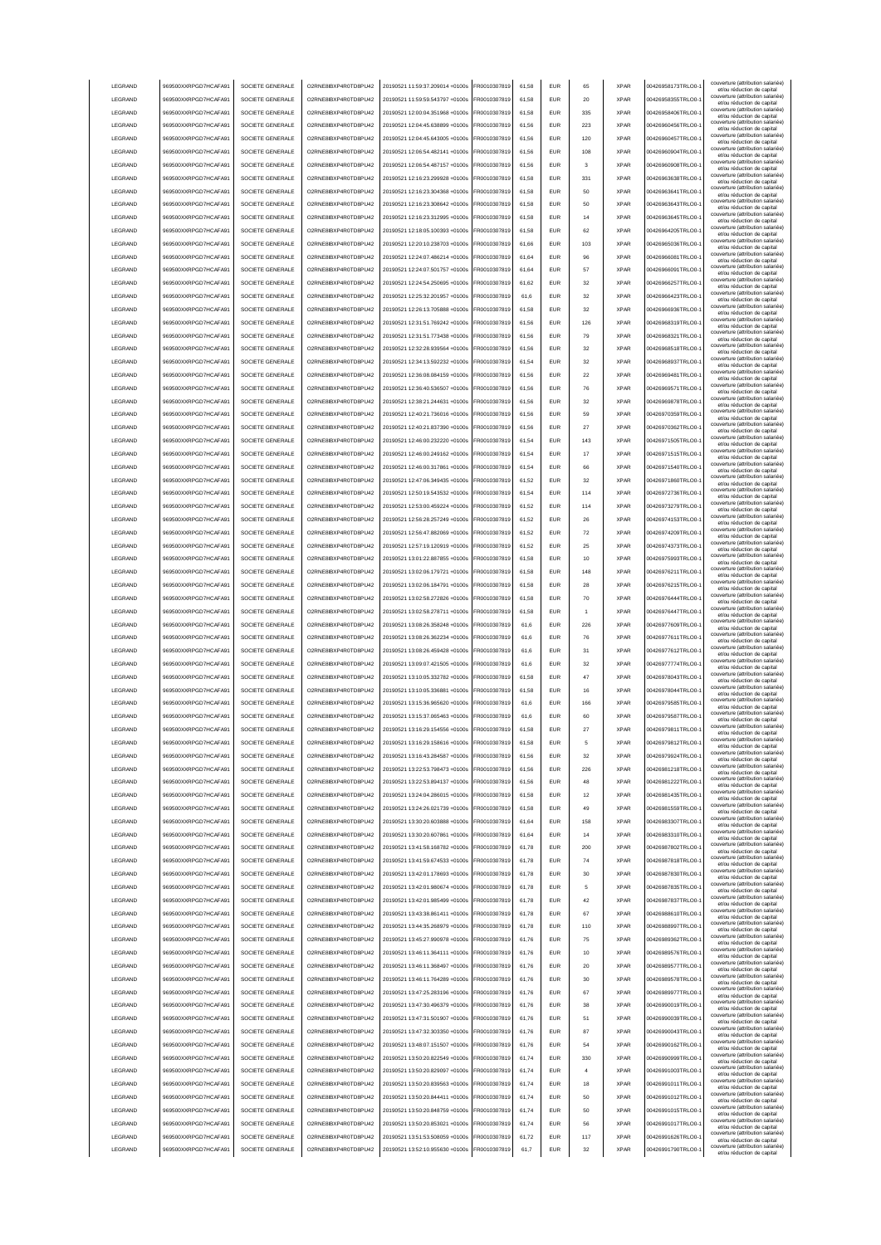| LEGRAND         | 969500XXRPGD7HCAFA91 | SOCIETE GENERALE | O2RNE8IBXP4R0TD8PU42  | 20190521 11:59:37.209014 +0100s | FR0010307819 | 61.58 | <b>EUR</b> | 65             | <b>XPAR</b> | 00426958173TRLO0-  | couverture (attribution salariée<br>et/ou réduction de capital                                       |
|-----------------|----------------------|------------------|-----------------------|---------------------------------|--------------|-------|------------|----------------|-------------|--------------------|------------------------------------------------------------------------------------------------------|
| LEGRAND         | 969500XXRPGD7HCAFA91 | SOCIETE GENERALE | O2RNE8IBXP4R0TD8PU42  | 20190521 11:59:59.543797 +0100s | FR0010307819 | 61.58 | <b>EUR</b> | 20             | <b>XPAR</b> | 00426958355TRLO0-  | couverture (attribution salariée)<br>et/ou réduction de capital                                      |
| LEGRAND         | 969500XXRPGD7HCAFA91 | SOCIETE GENERALE | O2RNE8IBXP4R0TD8PU42  | 20190521 12:00:04.351968 +0100s | FR0010307819 | 61.58 | <b>EUR</b> | 335            | <b>XPAR</b> | 00426958406TRLO0-  | couverture (attribution salariée)<br>et/ou réduction de capital                                      |
| LEGRAND         | 969500XXRPGD7HCAFA91 | SOCIETE GENERALE | O2RNE8IBXP4R0TD8PU42  | 20190521 12:04:45.638899 +0100s | FR0010307819 | 61,56 | EUR        | 223            | <b>XPAR</b> | 00426960456TRLO0-  | couverture (attribution salariée)<br>et/ou réduction de capital                                      |
| LEGRAND         | 969500XXRPGD7HCAFA91 | SOCIETE GENERALE | O2RNE8IBXP4R0TD8PU42  | 20190521 12:04:45.643005 +0100s | FR0010307819 | 61,56 | EUR        | 120            | <b>XPAR</b> | 00426960457TRLO0-  | couverture (attribution salariée)<br>et/ou réduction de capital                                      |
| LEGRAND         | 969500XXRPGD7HCAFA91 | SOCIETE GENERALE | O2RNE8IBXP4R0TD8PU42  | 20190521 12:06:54.482141 +0100s | FR0010307819 | 61,56 | EUR        | 108            | <b>XPAR</b> | 00426960904TRLO0-  | couverture (attribution salariée)<br>et/ou réduction de capital                                      |
| LEGRAND         | 969500XXRPGD7HCAFA91 | SOCIETE GENERALE | O2RNE8IBXP4R0TD8PU42  | 20190521 12:06:54.487157 +0100s | FR0010307819 | 61,56 | EUR        | 3              | <b>XPAR</b> | 00426960908TRLO0-  | couverture (attribution salariée)<br>et/ou réduction de capital                                      |
| LEGRAND         | 969500XXRPGD7HCAFA91 | SOCIETE GENERALE | O2RNE8IBXP4R0TD8PU42  | 20190521 12:16:23.299928 +0100s | FR0010307819 | 61,58 | EUR        | 331            | <b>XPAR</b> | 00426963638TRLO0-  | couverture (attribution salariée)<br>et/ou réduction de capital                                      |
| LEGRAND         | 969500XXRPGD7HCAFA91 | SOCIETE GENERALE | O2RNE8IBXP4R0TD8PU42  | 20190521 12:16:23.304368 +0100s | FR0010307819 | 61,58 | EUR        | 50             | <b>XPAR</b> | 00426963641TRLO0-  | couverture (attribution salariée)<br>et/ou réduction de capital                                      |
| LEGRAND         | 969500XXRPGD7HCAFA91 | SOCIETE GENERALE | O2RNE8IBXP4R0TD8PU42  | 20190521 12:16:23.308642 +0100s | FR0010307819 | 61,58 | EUR        | 50             | <b>XPAR</b> | 00426963643TRLO0-  | couverture (attribution salariée)<br>et/ou réduction de capital                                      |
| LEGRAND         | 969500XXRPGD7HCAFA91 | SOCIETE GENERALE | O2RNE8IBXP4R0TD8PU42  | 20190521 12:16:23.312995 +0100s | FR0010307819 | 61.58 | <b>EUR</b> | 14             | <b>XPAR</b> | 00426963645TRLO0-  | couverture (attribution salariée)<br>et/ou réduction de capital                                      |
| LEGRAND         | 969500XXRPGD7HCAFA91 | SOCIETE GENERALE | O2RNE8IBXP4R0TD8PU42  | 20190521 12:18:05.100393 +0100s | FR0010307819 | 61,58 | <b>EUR</b> | 62             | <b>XPAR</b> | 00426964205TRLO0-  | couverture (attribution salariée)<br>et/ou réduction de capital                                      |
| LEGRAND         | 969500XXRPGD7HCAFA91 | SOCIETE GENERALE | O2RNE8IBXP4R0TD8PU42  | 20190521 12:20:10.238703 +0100s | FR0010307819 | 61,66 | <b>EUR</b> | 103            | <b>XPAR</b> | 00426965036TRLO0-  | couverture (attribution salariée)<br>et/ou réduction de capital                                      |
| LEGRAND         | 969500XXRPGD7HCAFA91 | SOCIETE GENERALE | O2RNE8IBXP4R0TD8PU42  | 20190521 12:24:07.486214 +0100s | FR0010307819 | 61.64 | EUR        | 96             | <b>XPAR</b> | 00426966081TRLO0-  | couverture (attribution salariée)<br>et/ou réduction de capital                                      |
| LEGRAND         | 969500XXRPGD7HCAFA91 | SOCIETE GENERALE | O2RNE8IBXP4R0TD8PU42  | 20190521 12:24:07.501757 +0100s | FR0010307819 | 61.64 | <b>EUR</b> | 57             | <b>XPAR</b> | 00426966091TRLO0-  | couverture (attribution salariée)<br>et/ou réduction de capital                                      |
| LEGRAND         | 969500XXRPGD7HCAFA91 | SOCIETE GENERALE | O2RNE8IBXP4R0TD8PU42  | 20190521 12:24:54.250695 +0100s | FR0010307819 | 61.62 | <b>EUR</b> | 32             | <b>XPAR</b> | 00426966257TRLO0-  | couverture (attribution salariée)<br>et/ou réduction de capital                                      |
| LEGRAND         | 969500XXRPGD7HCAFA91 | SOCIETE GENERALE | O2RNE8IBXP4R0TD8PU42  | 20190521 12:25:32.201957 +0100s | FR0010307819 | 61,6  | EUR        | 32             | <b>XPAR</b> | 00426966423TRLO0-  | couverture (attribution salariée)<br>et/ou réduction de capital                                      |
| LEGRAND         | 969500XXRPGD7HCAFA91 | SOCIETE GENERALE | O2RNE8IBXP4R0TD8PU42  | 20190521 12:26:13.705888 +0100s | FR0010307819 | 61,58 | EUR        | 32             | <b>XPAR</b> | 00426966936TRLO0-  | couverture (attribution salariée)<br>et/ou réduction de capital                                      |
| LEGRAND         | 969500XXRPGD7HCAFA91 | SOCIETE GENERALE | O2RNE8IBXP4R0TD8PU42  | 20190521 12:31:51.769242 +0100s | FR0010307819 | 61,56 | EUR        | 126            | <b>XPAR</b> | 00426968319TRLO0-  | couverture (attribution salariée)<br>et/ou réduction de capital                                      |
| LEGRAND         | 969500XXRPGD7HCAFA91 | SOCIETE GENERALE | O2RNE8IBXP4R0TD8PU42  | 20190521 12:31:51.773438 +0100s | FR0010307819 | 61,56 | EUR        | 79             | <b>XPAR</b> | 00426968321TRLO0-  | couverture (attribution salariée)<br>et/ou réduction de capital                                      |
| LEGRAND         | 969500XXRPGD7HCAFA91 | SOCIETE GENERALE | O2RNE8IBXP4R0TD8PU42  | 20190521 12:32:28.939564 +0100s | FR0010307819 | 61,56 | EUR        | 32             | <b>XPAR</b> | 00426968518TRLO0-  | couverture (attribution salariée)<br>et/ou réduction de capital                                      |
| LEGRAND         | 969500XXRPGD7HCAFA91 | SOCIETE GENERALE | O2RNE8IBXP4R0TD8PU42  | 20190521 12:34:13.592232 +0100s | FR0010307819 | 61,54 | EUR        | 32             | <b>XPAR</b> | 00426968937TRLO0-  | couverture (attribution salariée)<br>et/ou réduction de capital                                      |
| LEGRAND         | 969500XXRPGD7HCAFA91 | SOCIETE GENERALE | O2RNE8IBXP4R0TD8PU42  | 20190521 12:36:08.084159 +0100s | FR0010307819 | 61,56 | EUR        | 22             | <b>XPAR</b> | 00426969481TRLO0-  | couverture (attribution salariée)<br>et/ou réduction de capital                                      |
| LEGRAND         | 969500XXRPGD7HCAFA91 | SOCIETE GENERALE | O2RNE8IBXP4R0TD8PLI42 | 20190521 12:36:40.536507 +0100s | FR0010307819 | 61,56 | <b>EUR</b> | 76             | <b>XPAR</b> | 00426969571TRLO0-  | couverture (attribution salariée)<br>et/ou réduction de capital                                      |
| LEGRAND         | 969500XXRPGD7HCAFA91 | SOCIETE GENERALE | O2RNE8IBXP4R0TD8PU42  | 20190521 12:38:21.244631 +0100s | FR0010307819 | 61,56 | <b>EUR</b> | 32             | <b>XPAR</b> | 00426969878TRLO0-  | couverture (attribution salariée)<br>et/ou réduction de capital                                      |
| LEGRAND         | 969500XXRPGD7HCAFA91 | SOCIETE GENERALE | O2RNE8IBXP4R0TD8PU42  | 20190521 12:40:21.736016 +0100s | FR0010307819 | 61,56 | <b>EUR</b> | 59             | <b>XPAR</b> | 00426970359TRLO0-  | couverture (attribution salariée)<br>et/ou réduction de capital                                      |
| LEGRAND         | 969500XXRPGD7HCAFA91 | SOCIETE GENERALE | O2RNE8IBXP4R0TD8PU42  | 20190521 12:40:21 837390 +0100s | FR0010307819 | 61.56 | <b>EUR</b> | 27             | <b>XPAR</b> | 00426970362TRLO0-  | couverture (attribution salariée)<br>et/ou réduction de capital                                      |
| LEGRAND         | 969500XXRPGD7HCAFA91 | SOCIETE GENERALE | O2RNE8IBXP4R0TD8PLI42 | 20190521 12:46:00.232220 +0100s | FR0010307819 | 61.54 | <b>EUR</b> | 143            | <b>XPAR</b> | 00426971505TRLO0-  | couverture (attribution salariée)<br>et/ou réduction de capital                                      |
| <b>LEGRAND</b>  | 969500XXRPGD7HCAFA91 | SOCIETE GENERALE | O2RNE8IBXP4R0TD8PU42  | 20190521 12:46:00.249162 +0100s | FR0010307819 | 61.54 | <b>EUR</b> | 17             | <b>XPAR</b> | 00426971515TRLO0-  | couverture (attribution salariée)<br>et/ou réduction de capital                                      |
| LEGRAND         | 969500XXRPGD7HCAFA91 | SOCIETE GENERALE | O2RNE8IBXP4R0TD8PU42  | 20190521 12:46:00.317861 +0100s | FR0010307819 | 61,54 | EUR        | 66             | <b>XPAR</b> | 00426971540TRLO0-  | couverture (attribution salariée)<br>et/ou réduction de capital                                      |
| LEGRAND         | 969500XXRPGD7HCAFA91 | SOCIETE GENERALE | O2RNE8IBXP4R0TD8PU42  | 20190521 12:47:06.349435 +0100s | FR0010307819 | 61,52 | EUR        | 32             | <b>XPAR</b> | 00426971860TRLO0-  | couverture (attribution salariée)                                                                    |
| LEGRAND         | 969500XXRPGD7HCAFA91 | SOCIETE GENERALE | O2RNE8IBXP4R0TD8PU42  | 20190521 12:50:19.543532 +0100s | FR0010307819 | 61,54 | EUR        | 114            | <b>XPAR</b> | 00426972736TRLO0-  | et/ou réduction de capital<br>couverture (attribution salariée)                                      |
| LEGRAND         | 969500XXRPGD7HCAFA91 | SOCIETE GENERALE | O2RNE8IBXP4R0TD8PU42  | 20190521 12:53:00.459224 +0100s | R0010307819  | 61,52 | <b>EUR</b> | 114            | <b>XPAR</b> | 00426973279TRLO0-  | et/ou réduction de capital<br>couverture (attribution salariée)                                      |
| LEGRAND         | 969500XXRPGD7HCAFA9  | SOCIETE GENERALE | O2RNE8IBXP4R0TD8PU42  | 20190521 12:56:28.257249 +0100s | R0010307819  | 61,52 | EUR        | 26             | <b>XPAR</b> | 00426974153TRLO0-  | et/ou réduction de capital<br>couverture (attribution salariée)                                      |
| LEGRAND         | 969500XXRPGD7HCAFA91 | SOCIETE GENERALE | O2RNE8IBXP4R0TD8PU42  | 20190521 12:56:47.882069 +0100s | R0010307819  | 61,52 | EUR        | 72             | <b>XPAR</b> | 00426974209TRLO0-  | et/ou réduction de capital<br>couverture (attribution salariée)                                      |
| LEGRAND         | 969500XXRPGD7HCAFA91 | SOCIETE GENERALE | O2RNE8IBXP4R0TD8PU42  | 20190521 12:57:19.120919 +0100s | FR0010307819 | 61.52 | <b>EUR</b> | 25             | <b>XPAR</b> | 00426974373TRLO0-  | et/ou réduction de capital<br>couverture (attribution salariée)                                      |
| LEGRAND         | 969500XXRPGD7HCAFA91 | SOCIETE GENERALE | O2RNE8IBXP4R0TD8PU42  | 20190521 13:01:22.887855 +0100s | FR0010307819 | 61,58 | <b>EUR</b> | 10             | <b>XPAR</b> | 00426975993TRLO0-  | et/ou réduction de capital<br>couverture (attribution salariée)                                      |
| <b>I FGRAND</b> | 969500XXRPGD7HCAFA91 | SOCIETE GENERALE | O2RNE8IBXP4R0TD8PU42  | 20190521 13:02:06.179721 +0100s | FR0010307819 | 61.58 | <b>FUR</b> | 148            | <b>XPAR</b> | 00426976211TRLO0-  | et/ou réduction de capital<br>couverture (attribution salariée)                                      |
| LEGRAND         | 969500XXRPGD7HCAFA91 | SOCIETE GENERALE | O2RNE8IBXP4R0TD8PU42  | 20190521 13:02:06.184791 +0100s | FR0010307819 | 61,58 | <b>EUR</b> | 28             | <b>XPAR</b> | 00426976215TRLO0-  | et/ou réduction de capital<br>couverture (attribution salariée)                                      |
| LEGRAND         | 969500XXRPGD7HCAFA91 | SOCIETE GENERALE | O2RNE8IBXP4R0TD8PU42  | 20190521 13:02:58.272826 +0100s | FR0010307819 | 61.58 | EUR        | 70             | <b>XPAR</b> | 00426976444TRLO0-  | et/ou réduction de capital<br>couverture (attribution salariée)                                      |
| LEGRAND         | 969500XXRPGD7HCAFA91 | SOCIETE GENERALE | O2RNE8IBXP4R0TD8PU42  | 20190521 13:02:58.278711 +0100s | FR0010307819 | 61.58 | EUR        | $\overline{1}$ | <b>XPAR</b> | 00426976447TRLO0-  | et/ou réduction de capital<br>couverture (attribution salariée)                                      |
|                 |                      |                  |                       |                                 |              |       |            |                |             |                    |                                                                                                      |
|                 |                      |                  |                       |                                 |              |       |            |                |             |                    | et/ou réduction de capital                                                                           |
| LEGRAND         | 969500XXRPGD7HCAFA91 | SOCIETE GENERALE | O2RNE8IBXP4R0TD8PU42  | 20190521 13:08:26.358248 +0100s | FR0010307819 | 61.6  | <b>EUR</b> | 226            | <b>XPAR</b> | 00426977609TRLO0-  | couverture (attribution salariée)<br>et/ou réduction de capital                                      |
| LEGRAND         | 969500XXRPGD7HCAFA91 | SOCIETE GENERALE | O2RNE8IBXP4R0TD8PU42  | 20190521 13:08:26.362234 +0100s | FR0010307819 | 61,6  | EUR        | 76             | <b>XPAR</b> | 00426977611TRLO0-  | couverture (attribution salariée)<br>et/ou réduction de capital                                      |
| LEGRAND         | 969500XXRPGD7HCAFA91 | SOCIETE GENERALE | O2RNE8IBXP4R0TD8PU42  | 20190521 13:08:26.459428 +0100s | FR0010307819 | 61,6  | EUR        | 31             | <b>XPAR</b> | 00426977612TRLO0-  | couverture (attribution salariée)<br>et/ou réduction de capital<br>couverture (attribution salariée) |
| LEGRAND         | 969500XXRPGD7HCAFA91 | SOCIETE GENERALE | O2RNE8IBXP4R0TD8PU42  | 20190521 13:09:07.421505 +0100s | FR0010307819 | 61,6  | EUR        | 32             | <b>XPAR</b> | 00426977774TRLO0-  | et/ou réduction de capital<br>couverture (attribution salariée)                                      |
| LEGRAND         | 969500XXRPGD7HCAFA9  | SOCIETE GENERALE | O2RNE8IBXP4R0TD8PU42  | 20190521 13:10:05.332782 +0100s | R0010307819  | 61,58 | <b>EUR</b> | 47             | <b>XPAR</b> | 00426978043TRLO0-  | et/ou réduction de capital<br>couverture (attribution salariée)                                      |
| LEGRAND         | 969500XXRPGD7HCAFA91 | SOCIETE GENERALE | O2RNE8IBXP4R0TD8PU42  | 20190521 13:10:05.336881 +0100s | FR0010307819 | 61,58 | <b>EUR</b> | 16             | <b>XPAR</b> | 00426978044TRLO0-  | et/ou réduction de capital<br>couverture (attribution salariée)                                      |
| LEGRAND         | 969500XXRPGD7HCAFA91 | SOCIETE GENERALE | O2RNE8IBXP4R0TD8PU42  | 20190521 13:15:36.965620 +0100s | FR0010307819 | 61,6  | <b>EUR</b> | 166            | <b>XPAR</b> | 00426979585TRLO0-  | et/ou réduction de capital<br>couverture (attribution salariée)                                      |
| <b>I FGRAND</b> | 969500XXRPGD7HCAFA91 | SOCIETE GENERALE | O2RNE8IBXP4R0TD8PU42  | 20190521 13:15:37.065463 +0100s | FR0010307819 | 61.6  | <b>FUR</b> | 60             | <b>XPAR</b> | 00426979587TRLO0-  | et/ou réduction de capital<br>couverture (attribution salariée)                                      |
| <b>I FGRAND</b> | 969500XXRPGD7HCAFA91 | SOCIETE GENERALE | O2RNE8IBXP4R0TD8PU42  | 20190521 13:16:29.154556 +0100s | FR0010307819 | 61,58 | <b>EUR</b> | 27             | <b>XPAR</b> | 00426979811TRLO0-  | et/ou réduction de capital                                                                           |
| <b>I FGRAND</b> | 969500XXRPGD7HCAFA91 | SOCIETE GENERALE | O2RNE8IBXP4R0TD8PU42  | 20190521 13:16:29.158616 +0100s | FR0010307819 | 61.58 | FUR        |                | <b>XPAR</b> | 00426979812TRLO0-  | couverture (attribution salariée)<br>et/ou reduction de capita                                       |
| LEGRAND         | 969500XXRPGD7HCAFA91 | SOCIETE GENERALE | O2RNE8IBXP4R0TD8PU42  | 20190521 13:16:43.284587 +0100s | FR0010307819 | 61.56 | <b>EUR</b> | 32             | <b>XPAR</b> | 00426979924TRLO0-  | couverture (attribution salariée)<br>et/ou réduction de capital                                      |
| LEGRAND         | 969500XXRPGD7HCAFA91 | SOCIETE GENERALE | O2RNE8IBXP4R0TD8PU42  | 20190521 13:22:53.798473 +0100s | FR0010307819 | 61.56 | <b>EUR</b> | 226            | <b>XPAR</b> | 00426981218TRLO0-  | couverture (attribution salariée)<br>et/ou réduction de capital                                      |
| LEGRAND         | 969500XXRPGD7HCAFA91 | SOCIETE GENERALE | O2RNE8IBXP4R0TD8PU42  | 20190521 13:22:53.894137 +0100s | FR0010307819 | 61.56 | <b>EUR</b> | 48             | <b>XPAR</b> | 00426981222TRLO0-  | couverture (attribution salariée)<br>et/ou réduction de capital                                      |
| LEGRAND         | 969500XXRPGD7HCAFA91 | SOCIETE GENERALE | O2RNE8IBXP4R0TD8PU42  | 20190521 13:24:04.286015 +0100s | FR0010307819 | 61.58 | <b>EUR</b> | 12             | <b>XPAR</b> | 00426981435TRLO0-  | couverture (attribution salariée)<br>et/ou réduction de capital                                      |
| LEGRAND         | 969500XXRPGD7HCAFA91 | SOCIETE GENERALE | O2RNE8IBXP4R0TD8PU42  | 20190521 13:24:26.021739 +0100s | FR0010307819 | 61,58 | EUR        | 49             | <b>XPAR</b> | 00426981559TRLO0-1 | couverture (attribution salariée)<br>et/ou réduction de capital                                      |
| LEGRAND         | 969500XXRPGD7HCAFA91 | SOCIETE GENERALE | O2RNE8IBXP4R0TD8PU42  | 20190521 13:30:20.603888 +0100s | FR0010307819 | 61,64 | EUR        | 158            | <b>XPAR</b> | 00426983307TRLO0-  | couverture (attribution salariée)<br>et/ou réduction de capital                                      |
| LEGRAND         | 969500XXRPGD7HCAFA91 | SOCIETE GENERALE | O2RNE8IBXP4R0TD8PU42  | 20190521 13:30:20.607861 +0100s | FR0010307819 | 61,64 | EUR        | 14             | <b>XPAR</b> | 00426983310TRLO0-1 | couverture (attribution salariée)<br>et/ou réduction de capital                                      |
| LEGRAND         | 969500XXRPGD7HCAFA91 | SOCIETE GENERALE | O2RNE8IBXP4R0TD8PU42  | 20190521 13:41:58.168782 +0100s | FR0010307819 | 61,78 | <b>EUR</b> | 200            | <b>XPAR</b> | 00426987802TRLO0-  | couverture (attribution salariée)<br>et/ou réduction de capital                                      |
| LEGRAND         | 969500XXRPGD7HCAFA91 | SOCIETE GENERALE | O2RNE8IBXP4R0TD8PU42  | 20190521 13:41:59.674533 +0100s | FR0010307819 | 61,78 | <b>EUR</b> | 74             | <b>XPAR</b> | 00426987818TRLO0-  | couverture (attribution salariée)<br>et/ou réduction de capital                                      |
| LEGRAND         | 969500XXRPGD7HCAFA91 | SOCIETE GENERALE | O2RNE8IBXP4R0TD8PU42  | 20190521 13:42:01.178693 +0100s | FR0010307819 | 61,78 | <b>EUR</b> | 30             | <b>XPAR</b> | 00426987830TRLO0-  | couverture (attribution salariée)<br>et/ou réduction de capital                                      |
| LEGRAND         | 969500XXRPGD7HCAFA91 | SOCIETE GENERALE | O2RNE8IBXP4R0TD8PU42  | 20190521 13:42:01 980674 +0100s | FR0010307819 | 61,78 | <b>EUR</b> | 5              | <b>XPAR</b> | 00426987835TRLO0-  | couverture (attribution salariée)<br>et/ou réduction de capital                                      |
| LEGRAND         | 969500XXRPGD7HCAFA91 | SOCIETE GENERALE | O2RNE8IBXP4R0TD8PU42  | 20190521 13:42:01.985499 +0100s | FR0010307819 | 61,78 | <b>EUR</b> | 42             | <b>XPAR</b> | 00426987837TRLO0-  | couverture (attribution salariée)<br>et/ou réduction de capital                                      |
| LEGRAND         | 969500XXRPGD7HCAFA91 | SOCIETE GENERALE | O2RNE8IBXP4R0TD8PU42  | 20190521 13:43:38.861411 +0100s | FR0010307819 | 61,78 | <b>EUR</b> | 67             | <b>XPAR</b> | 00426988610TRLO0-  | couverture (attribution salariée)<br>et/ou réduction de capital                                      |
| LEGRAND         | 969500XXRPGD7HCAFA91 | SOCIETE GENERALE | O2RNE8IBXP4R0TD8PU42  | 20190521 13:44:35.268979 +0100s | FR0010307819 | 61.78 | <b>EUR</b> | 110            | <b>XPAR</b> | 00426988997TRLO0-  | couverture (attribution salariée)<br>et/ou réduction de capital                                      |
| LEGRAND         | 969500XXRPGD7HCAFA91 | SOCIETE GENERALE | O2RNE8IBXP4R0TD8PU42  | 20190521 13:45:27.990978 +0100s | FR0010307819 | 61.76 | <b>EUR</b> | 75             | <b>XPAR</b> | 00426989362TRLO0-  | couverture (attribution salariée)<br>et/ou réduction de capital                                      |
| LEGRAND         | 969500XXRPGD7HCAFA91 | SOCIETE GENERALE | O2RNE8IBXP4R0TD8PU42  | 20190521 13:46:11.364111 +0100s | FR0010307819 | 61.76 | <b>EUR</b> | 10             | <b>XPAR</b> | 00426989576TRLO0-  | couverture (attribution salariée)<br>et/ou réduction de capital                                      |
| LEGRAND         | 969500XXRPGD7HCAFA91 | SOCIETE GENERALE | O2RNE8IBXP4R0TD8PU42  | 20190521 13:46:11.368497 +0100s | FR0010307819 | 61,76 | EUR        | 20             | <b>XPAR</b> | 00426989577TRLO0-1 | couverture (attribution salariée)<br>et/ou réduction de capital                                      |
| LEGRAND         | 969500XXRPGD7HCAFA91 | SOCIETE GENERALE | O2RNE8IBXP4R0TD8PU42  | 20190521 13:46:11.764289 +0100s | FR0010307819 | 61,76 | EUR        | 30             | <b>XPAR</b> | 00426989578TRLO0-1 | couverture (attribution salariée)<br>et/ou réduction de capital                                      |
| LEGRAND         | 969500XXRPGD7HCAFA91 | SOCIETE GENERALE | O2RNE8IBXP4R0TD8PU42  | 20190521 13:47:25.283196 +0100s | FR0010307819 | 61,76 | EUR        | 67             | <b>XPAR</b> | 00426989977TRLO0-1 | couverture (attribution salariée)<br>et/ou réduction de capital                                      |
| LEGRAND         | 969500XXRPGD7HCAFA91 | SOCIETE GENERALE | O2RNE8IBXP4R0TD8PU42  | 20190521 13:47:30.496379 +0100s | FR0010307819 | 61,76 | <b>EUR</b> | 38             | <b>XPAR</b> | 00426990019TRLO0-  | couverture (attribution salariée)<br>et/ou réduction de capital                                      |
| LEGRAND         | 969500XXRPGD7HCAFA91 | SOCIETE GENERALE | O2RNE8IBXP4R0TD8PU42  | 20190521 13:47:31.501907 +0100s | FR0010307819 | 61,76 | <b>EUR</b> | 51             | <b>XPAR</b> | 00426990039TRLO0-  | couverture (attribution salariée)<br>et/ou réduction de capital                                      |
| LEGRAND         | 969500XXRPGD7HCAFA91 | SOCIETE GENERALE | O2RNE8IBXP4R0TD8PU42  | 20190521 13:47:32.303350 +0100s | FR0010307819 | 61,76 | <b>EUR</b> | 87             | <b>XPAR</b> | 00426990043TRLO0-  | couverture (attribution salariée)<br>et/ou réduction de capital                                      |
| LEGRAND         | 969500XXRPGD7HCAFA91 | SOCIETE GENERALE | O2RNE8IBXP4R0TD8PU42  | 20190521 13:48:07.151507 +0100s | FR0010307819 | 61,76 | <b>EUR</b> | 54             | <b>XPAR</b> | 00426990162TRLO0-  | couverture (attribution salariée)<br>et/ou réduction de capital                                      |
| LEGRAND         | 969500XXRPGD7HCAFA91 | SOCIETE GENERALE | O2RNE8IBXP4R0TD8PU42  | 20190521 13:50:20.822549 +0100s | FR0010307819 | 61,74 | <b>EUR</b> | 330            | <b>XPAR</b> | 00426990999TRLO0-  | couverture (attribution salariée)<br>et/ou réduction de capital                                      |
| <b>I FGRAND</b> | 969500XXRPGD7HCAFA91 | SOCIETE GENERALE | O2RNE8IBXP4R0TD8PU42  | 20190521 13:50:20.829097 +0100s | FR0010307819 | 61.74 | <b>EUR</b> | $\overline{a}$ | <b>XPAR</b> | 00426991003TRLO0-  | couverture (attribution salariée)<br>et/ou réduction de capital                                      |
| <b>I FGRAND</b> | 969500XXRPGD7HCAFA91 | SOCIETE GENERALE | O2RNE8IBXP4R0TD8PU42  | 20190521 13:50:20.839563 +0100s | FR0010307819 | 61,74 | <b>EUR</b> | 18             | <b>XPAR</b> | 00426991011TRLO0-  | couverture (attribution salariée)<br>et/ou réduction de capital                                      |
| LEGRAND         | 969500XXRPGD7HCAFA91 | SOCIETE GENERALE | O2RNE8IBXP4R0TD8PU42  | 20190521 13:50:20.844411 +0100s | FR0010307819 | 61.74 | <b>EUR</b> | 50             | <b>XPAR</b> | 00426991012TRLO0-  | couverture (attribution salariée)<br>et/ou réduction de capital                                      |
| LEGRAND         | 969500XXRPGD7HCAFA91 | SOCIETE GENERALE | O2RNE8IBXP4R0TD8PU42  | 20190521 13:50:20.848759 +0100s | FR0010307819 | 61.74 | <b>EUR</b> | 50             | <b>XPAR</b> | 00426991015TRLO0-  | couverture (attribution salariée)<br>et/ou réduction de capital                                      |
| LEGRAND         | 969500XXRPGD7HCAFA91 | SOCIETE GENERALE | O2RNE8IBXP4R0TD8PU42  | 20190521 13:50:20.853021 +0100s | FR0010307819 | 61.74 | <b>EUR</b> | 56             | <b>XPAR</b> | 00426991017TRLO0-  | couverture (attribution salariée)<br>et/ou réduction de capital                                      |
| LEGRAND         | 969500XXRPGD7HCAFA91 | SOCIETE GENERALE | O2RNE8IBXP4R0TD8PU42  | 20190521 13:51:53.508059 +0100s | FR0010307819 | 61,72 | <b>EUR</b> | 117            | <b>XPAR</b> | 00426991626TRLO0-  | couverture (attribution salariée)<br>et/ou réduction de capital<br>couverture (attribution salariée) |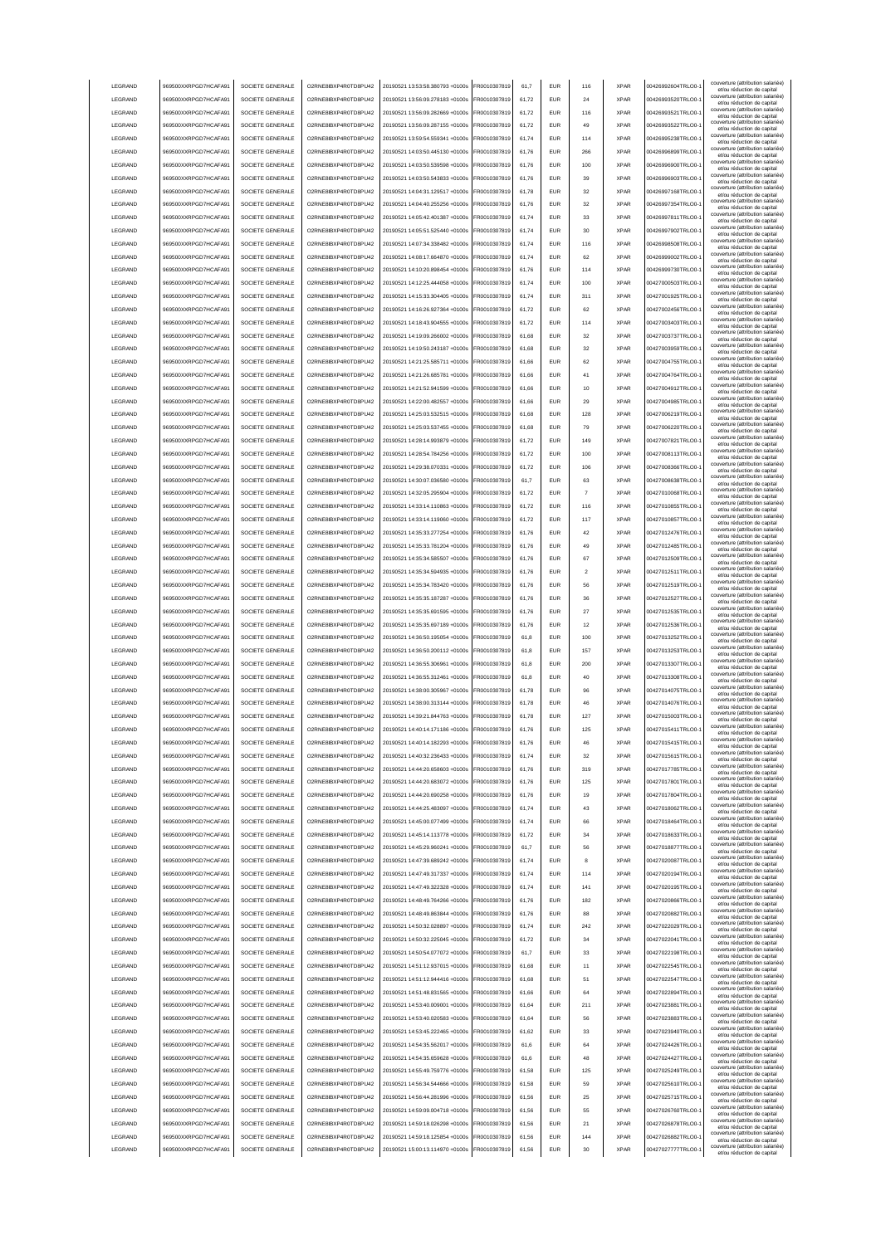|                 | 969500XXRPGD7HCAFA91 | SOCIETE GENERALE | O2RNE8IBXP4R0TD8PU42  | 20190521 13:53:58.380793 +0100s | FR0010307819 | 61.7  | <b>EUR</b> | 116            | <b>XPAR</b> | 00426992604TRLO0-  | couverture (attribution salariée<br>et/ou réduction de capital                                       |
|-----------------|----------------------|------------------|-----------------------|---------------------------------|--------------|-------|------------|----------------|-------------|--------------------|------------------------------------------------------------------------------------------------------|
| LEGRAND         | 969500XXRPGD7HCAFA91 | SOCIETE GENERALE | O2RNE8IBXP4R0TD8PU42  | 20190521 13:56:09.278183 +0100s | FR0010307819 | 61.72 | <b>EUR</b> | 24             | <b>XPAR</b> | 00426993520TRLO0-  | couverture (attribution salariée)<br>et/ou réduction de capital                                      |
| LEGRAND         | 969500XXRPGD7HCAFA91 | SOCIETE GENERALE | O2RNE8IBXP4R0TD8PU42  | 20190521 13:56:09.282669 +0100s | FR0010307819 | 61.72 | <b>EUR</b> | 116            | <b>XPAR</b> | 00426993521TRLO0-  | couverture (attribution salariée)<br>et/ou réduction de capital                                      |
| LEGRAND         | 969500XXRPGD7HCAFA91 | SOCIETE GENERALE | O2RNE8IBXP4R0TD8PU42  | 20190521 13:56:09.287155 +0100s | FR0010307819 | 61,72 | EUR        | 49             | <b>XPAR</b> | 00426993522TRLO0-  | couverture (attribution salariée)<br>et/ou réduction de capital                                      |
| LEGRAND         | 969500XXRPGD7HCAFA91 | SOCIETE GENERALE | O2RNE8IBXP4R0TD8PU42  | 20190521 13:59:54.559341 +0100s | FR0010307819 | 61,74 | EUR        | 114            | <b>XPAR</b> | 00426995238TRLO0-  | couverture (attribution salariée)<br>et/ou réduction de capital                                      |
| LEGRAND         | 969500XXRPGD7HCAFA91 | SOCIETE GENERALE | O2RNE8IBXP4R0TD8PU42  | 20190521 14:03:50.445130 +0100s | FR0010307819 | 61,76 | EUR        | 266            | <b>XPAR</b> | 00426996899TRLO0-  | couverture (attribution salariée)<br>et/ou réduction de capital                                      |
| LEGRAND         | 969500XXRPGD7HCAFA91 | SOCIETE GENERALE | O2RNE8IBXP4R0TD8PU42  | 20190521 14:03:50.539598 +0100s | FR0010307819 | 61,76 | EUR        | 100            | <b>XPAR</b> | 00426996900TRLO0-  | couverture (attribution salariée)<br>et/ou réduction de capital                                      |
| LEGRAND         | 969500XXRPGD7HCAFA91 | SOCIETE GENERALE | O2RNE8IBXP4R0TD8PU42  | 20190521 14:03:50.543833 +0100s | FR0010307819 | 61,76 | EUR        | 39             | <b>XPAR</b> | 00426996903TRLO0-  | couverture (attribution salariée)<br>et/ou réduction de capital                                      |
| LEGRAND         | 969500XXRPGD7HCAFA91 | SOCIETE GENERALE | O2RNE8IBXP4R0TD8PU42  | 20190521 14:04:31.129517 +0100s | FR0010307819 | 61,78 | EUR        | 32             | <b>XPAR</b> | 00426997168TRLO0-  | couverture (attribution salariée)<br>et/ou réduction de capital                                      |
| LEGRAND         | 969500XXRPGD7HCAFA91 | SOCIETE GENERALE | O2RNE8IBXP4R0TD8PU42  | 20190521 14:04:40.255256 +0100s | FR0010307819 | 61,76 | EUR        | 32             | <b>XPAR</b> | 00426997354TRLO0-  | couverture (attribution salariée)<br>et/ou réduction de capital                                      |
| LEGRAND         | 969500XXRPGD7HCAFA91 | SOCIETE GENERALE | O2RNE8IBXP4R0TD8PU42  | 20190521 14:05:42.401387 +0100s | FR0010307819 | 61.74 | <b>EUR</b> | 33             | <b>XPAR</b> | 00426997811TRLO0-  | couverture (attribution salariée)<br>et/ou réduction de capital                                      |
| LEGRAND         | 969500XXRPGD7HCAFA91 | SOCIETE GENERALE | O2RNE8IBXP4R0TD8PU42  | 20190521 14:05:51.525440 +0100s | FR0010307819 | 61,74 | <b>EUR</b> | 30             | <b>XPAR</b> | 00426997902TRLO0-  | couverture (attribution salariée)<br>et/ou réduction de capital                                      |
| LEGRAND         | 969500XXRPGD7HCAFA91 | SOCIETE GENERALE | O2RNE8IBXP4R0TD8PU42  | 20190521 14:07:34.338482 +0100s | FR0010307819 | 61,74 | <b>EUR</b> | 116            | <b>XPAR</b> | 00426998508TRLO0-  | couverture (attribution salariée)<br>et/ou réduction de capital                                      |
| LEGRAND         | 969500XXRPGD7HCAFA91 | SOCIETE GENERALE | O2RNE8IBXP4R0TD8PU42  | 20190521 14:08:17.664870 +0100s | FR0010307819 | 61.74 | EUR        | 62             | <b>XPAR</b> | 00426999002TRLO0-  | couverture (attribution salariée)<br>et/ou réduction de capital                                      |
| LEGRAND         | 969500XXRPGD7HCAFA91 | SOCIETE GENERALE | O2RNE8IBXP4R0TD8PU42  | 20190521 14:10:20.898454 +0100s | FR0010307819 | 61.76 | <b>EUR</b> | 114            | <b>XPAR</b> | 00426999730TRLO0-  | couverture (attribution salariée)<br>et/ou réduction de capital                                      |
| LEGRAND         | 969500XXRPGD7HCAFA91 | SOCIETE GENERALE | O2RNE8IBXP4R0TD8PU42  | 20190521 14:12:25.444058 +0100s | FR0010307819 | 61.74 | EUR        | 100            | <b>XPAR</b> | 00427000503TRLO0-  | couverture (attribution salariée)<br>et/ou réduction de capital                                      |
| LEGRAND         | 969500XXRPGD7HCAFA91 | SOCIETE GENERALE | O2RNE8IBXP4R0TD8PU42  | 20190521 14:15:33.304405 +0100s | FR0010307819 | 61,74 | EUR        | 311            | <b>XPAR</b> | 00427001925TRLO0-  | couverture (attribution salariée)<br>et/ou réduction de capital                                      |
| LEGRAND         | 969500XXRPGD7HCAFA91 | SOCIETE GENERALE | O2RNE8IBXP4R0TD8PU42  | 20190521 14:16:26.927364 +0100s | FR0010307819 | 61,72 | EUR        | 62             | <b>XPAR</b> | 00427002456TRLO0-  | couverture (attribution salariée)<br>et/ou réduction de capital                                      |
| LEGRAND         | 969500XXRPGD7HCAFA91 | SOCIETE GENERALE | O2RNE8IBXP4R0TD8PU42  | 20190521 14:18:43.904555 +0100s | FR0010307819 | 61,72 | EUR        | 114            | <b>XPAR</b> | 00427003403TRLO0-  | couverture (attribution salariée)<br>et/ou réduction de capital                                      |
| LEGRAND         | 969500XXRPGD7HCAFA91 | SOCIETE GENERALE | O2RNE8IBXP4R0TD8PU42  | 20190521 14:19:09.266002 +0100s | FR0010307819 | 61,68 | EUR        | 32             | <b>XPAR</b> | 00427003737TRLO0-  | couverture (attribution salariée)<br>et/ou réduction de capital                                      |
| LEGRAND         | 969500XXRPGD7HCAFA91 | SOCIETE GENERALE | O2RNE8IBXP4R0TD8PU42  | 20190521 14:19:50.243187 +0100s | FR0010307819 | 61,68 | EUR        | 32             | <b>XPAR</b> | 00427003959TRLO0-  | couverture (attribution salariée)<br>et/ou réduction de capital                                      |
| LEGRAND         | 969500XXRPGD7HCAFA91 | SOCIETE GENERALE | O2RNE8IBXP4R0TD8PU42  | 20190521 14:21:25.585711 +0100s | FR0010307819 | 61,66 | EUR        | 62             | <b>XPAR</b> | 00427004755TRLO0-  | couverture (attribution salariée)<br>et/ou réduction de capital                                      |
| LEGRAND         | 969500XXRPGD7HCAFA91 | SOCIETE GENERALE | O2RNE8IBXP4R0TD8PU42  | 20190521 14:21:26.685781 +0100s | FR0010307819 | 61,66 | EUR        | 41             | <b>XPAR</b> | 00427004764TRLO0-  | couverture (attribution salariée)<br>et/ou réduction de capital                                      |
| LEGRAND         | 969500XXRPGD7HCAFA91 | SOCIETE GENERALE | O2RNE8IBXP4R0TD8PLI42 | 20190521 14:21:52.941599 +0100s | FR0010307819 | 61,66 | <b>EUR</b> | 10             | <b>XPAR</b> | 00427004912TRLO0-  | couverture (attribution salariée)<br>et/ou réduction de capital                                      |
| LEGRAND         | 969500XXRPGD7HCAFA91 | SOCIETE GENERALE | O2RNE8IBXP4R0TD8PU42  | 20190521 14:22:00.482557 +0100s | FR0010307819 | 61,66 | <b>EUR</b> | 29             | <b>XPAR</b> | 00427004985TRLO0-  | couverture (attribution salariée)<br>et/ou réduction de capital                                      |
| LEGRAND         | 969500XXRPGD7HCAFA91 | SOCIETE GENERALE | O2RNE8IBXP4R0TD8PU42  | 20190521 14:25:03.532515 +0100s | FR0010307819 | 61,68 | <b>EUR</b> | 128            | <b>XPAR</b> | 00427006219TRLO0-  | couverture (attribution salariée)<br>et/ou réduction de capital                                      |
| LEGRAND         | 969500XXRPGD7HCAFA91 | SOCIETE GENERALE | O2RNE8IBXP4R0TD8PU42  | 20190521 14:25:03 537455 +0100s | FR0010307819 | 61.68 | <b>EUR</b> | 79             | <b>XPAR</b> | 00427006220TRLO0-  | couverture (attribution salariée)<br>et/ou réduction de capital                                      |
| LEGRAND         | 969500XXRPGD7HCAFA91 | SOCIETE GENERALE | O2RNE8IBXP4R0TD8PLI42 | 20190521 14:28:14.993879 +0100s | FR0010307819 | 61.72 | <b>EUR</b> | 149            | <b>XPAR</b> | 00427007821TRLO0-  | couverture (attribution salariée)<br>et/ou réduction de capital                                      |
| <b>LEGRAND</b>  | 969500XXRPGD7HCAFA91 | SOCIETE GENERALE | O2RNE8IBXP4R0TD8PLI42 | 20190521 14:28:54.784256 +0100s | FR0010307819 | 61.72 | <b>EUR</b> | 100            | <b>XPAR</b> | 00427008113TRLO0-  | couverture (attribution salariée)<br>et/ou réduction de capital                                      |
| LEGRAND         | 969500XXRPGD7HCAFA91 | SOCIETE GENERALE | O2RNE8IBXP4R0TD8PU42  | 20190521 14:29:38.070331 +0100s | FR0010307819 | 61,72 | EUR        | 106            | <b>XPAR</b> | 00427008366TRLO0-  | couverture (attribution salariée)<br>et/ou réduction de capital                                      |
| LEGRAND         | 969500XXRPGD7HCAFA91 | SOCIETE GENERALE | O2RNE8IBXP4R0TD8PU42  | 20190521 14:30:07.036580 +0100s | FR0010307819 | 61,7  | EUR        | 63             | <b>XPAR</b> | 00427008638TRLO0-  | couverture (attribution salariée)                                                                    |
| LEGRAND         | 969500XXRPGD7HCAFA91 | SOCIETE GENERALE | O2RNE8IBXP4R0TD8PU42  | 20190521 14:32:05.295904 +0100s | FR0010307819 | 61,72 | EUR        | $\overline{7}$ | <b>XPAR</b> | 00427010068TRLO0-  | et/ou réduction de capital<br>couverture (attribution salariée)<br>et/ou réduction de capital        |
| LEGRAND         | 969500XXRPGD7HCAFA91 | SOCIETE GENERALE | O2RNE8IBXP4R0TD8PU42  | 20190521 14:33:14.110863 +0100s | R0010307819  | 61,72 | <b>EUR</b> | 116            | <b>XPAR</b> | 00427010855TRLO0-  | couverture (attribution salariée)                                                                    |
| LEGRAND         | 969500XXRPGD7HCAFA91 | SOCIETE GENERALE | O2RNE8IBXP4R0TD8PU42  | 20190521 14:33:14.119060 +0100s | R0010307819  | 61,72 | <b>EUR</b> | 117            | <b>XPAR</b> | 00427010857TRLO0-  | et/ou réduction de capital<br>couverture (attribution salariée)                                      |
| LEGRAND         | 969500XXRPGD7HCAFA91 | SOCIETE GENERALE | O2RNE8IBXP4R0TD8PU42  | 20190521 14:35:33.277254 +0100s | R0010307819  | 61,76 | EUR        | 42             | <b>XPAR</b> | 00427012476TRLO0-  | et/ou réduction de capital<br>couverture (attribution salariée)                                      |
| LEGRAND         | 969500XXRPGD7HCAFA91 | SOCIETE GENERALE | O2RNE8IBXP4R0TD8PU42  | 20190521 14:35:33.781204 +0100s | FR0010307819 | 61.76 | <b>EUR</b> | 49             | <b>XPAR</b> | 00427012485TRLO0-  | et/ou réduction de capital<br>couverture (attribution salariée)                                      |
| LEGRAND         | 969500XXRPGD7HCAFA91 | SOCIETE GENERALE | O2RNE8IBXP4R0TD8PU42  | 20190521 14:35:34.585507 +0100s | FR0010307819 | 61.76 | <b>EUR</b> | 67             | <b>XPAR</b> | 00427012509TRLO0-  | et/ou réduction de capital<br>couverture (attribution salariée)                                      |
| <b>I FGRAND</b> | 969500XXRPGD7HCAFA91 | SOCIETE GENERALE | O2RNE8IBXP4R0TD8PU42  | 20190521 14:35:34.594935 +0100s | FR0010307819 | 61.76 | <b>FUR</b> | $\mathfrak{p}$ | <b>XPAR</b> | 00427012511TRLO0-  | et/ou réduction de capital<br>couverture (attribution salariée)                                      |
| LEGRAND         | 969500XXRPGD7HCAFA91 | SOCIETE GENERALE | O2RNE8IBXP4R0TD8PU42  | 20190521 14:35:34.783420 +0100s | FR0010307819 | 61,76 | <b>EUR</b> | 56             | <b>XPAR</b> | 00427012519TRLO0-  | et/ou réduction de capital<br>couverture (attribution salariée)                                      |
| LEGRAND         | 969500XXRPGD7HCAFA91 | SOCIETE GENERALE | O2RNE8IBXP4R0TD8PU42  | 20190521 14:35:35.187287 +0100s | FR0010307819 | 61.76 | EUR        | 36             | <b>XPAR</b> | 00427012527TRLO0-  | et/ou réduction de capital<br>couverture (attribution salariée)                                      |
| LEGRAND         | 969500XXRPGD7HCAFA91 | SOCIETE GENERALE | O2RNE8IBXP4R0TD8PU42  | 20190521 14:35:35.691595 +0100s | FR0010307819 | 61.76 | EUR        | 27             | <b>XPAR</b> | 00427012535TRLO0-  | et/ou réduction de capital<br>couverture (attribution salariée)                                      |
|                 |                      |                  |                       |                                 |              |       |            |                |             |                    | et/ou réduction de capital                                                                           |
|                 |                      |                  |                       |                                 |              |       |            |                |             |                    |                                                                                                      |
| LEGRAND         | 969500XXRPGD7HCAFA91 | SOCIETE GENERALE | O2RNE8IBXP4R0TD8PU42  | 20190521 14:35:35.697189 +0100s | FR0010307819 | 61.76 | <b>EUR</b> | 12             | <b>XPAR</b> | 00427012536TRLO0-  | couverture (attribution salariée)<br>et/ou réduction de capital                                      |
| LEGRAND         | 969500XXRPGD7HCAFA91 | SOCIETE GENERALE | O2RNE8IBXP4R0TD8PU42  | 20190521 14:36:50.195054 +0100s | FR0010307819 | 61,8  | EUR        | 100            | <b>XPAR</b> | 00427013252TRLO0-  | couverture (attribution salariée)<br>et/ou réduction de capital                                      |
| LEGRAND         | 969500XXRPGD7HCAFA91 | SOCIETE GENERALE | O2RNE8IBXP4R0TD8PU42  | 20190521 14:36:50.200112 +0100s | FR0010307819 | 61,8  | EUR        | 157            | <b>XPAR</b> | 00427013253TRLO0-  | couverture (attribution salariée)<br>et/ou réduction de capital<br>couverture (attribution salariée) |
| LEGRAND         | 969500XXRPGD7HCAFA91 | SOCIETE GENERALE | O2RNE8IBXP4R0TD8PU42  | 20190521 14:36:55.306961 +0100s | FR0010307819 | 61,8  | EUR        | 200            | <b>XPAR</b> | 00427013307TRLO0-  | et/ou réduction de capital<br>couverture (attribution salariée)                                      |
| LEGRAND         | 969500XXRPGD7HCAFA9  | SOCIETE GENERALE | O2RNE8IBXP4R0TD8PU42  | 20190521 14:36:55.312461 +0100s | R0010307819  | 61,8  | <b>EUR</b> | 40             | <b>XPAR</b> | 00427013308TRLO0-  | et/ou réduction de capital<br>couverture (attribution salariée)                                      |
| LEGRAND         | 969500XXRPGD7HCAFA91 | SOCIETE GENERALE | O2RNE8IBXP4R0TD8PU42  | 20190521 14:38:00.305967 +0100s | FR0010307819 | 61,78 | <b>EUR</b> | 96             | <b>XPAR</b> | 00427014075TRLO0-  | et/ou réduction de capital<br>couverture (attribution salariée)                                      |
| LEGRAND         | 969500XXRPGD7HCAFA91 | SOCIETE GENERALE | O2RNE8IBXP4R0TD8PU42  | 20190521 14:38:00.313144 +0100s | FR0010307819 | 61,78 | <b>EUR</b> | 46             | <b>XPAR</b> | 00427014076TRLO0-  | et/ou réduction de capital<br>couverture (attribution salariée)                                      |
| <b>I FGRAND</b> | 969500XXRPGD7HCAFA91 | SOCIETE GENERALE | O2RNE8IBXP4R0TD8PU42  | 20190521 14:39:21.844763 +0100s | FR0010307819 | 61.78 | <b>FUR</b> | 127            | <b>XPAR</b> | 00427015003TRLO0-  | et/ou réduction de capital<br>couverture (attribution salariée)                                      |
| <b>I FGRAND</b> | 969500XXRPGD7HCAFA91 | SOCIETE GENERALE | O2RNE8IBXP4R0TD8PLI42 | 20190521 14:40:14.171186 +0100s | FR0010307819 | 61,76 | <b>EUR</b> | 125            | <b>XPAR</b> | 00427015411TRLO0-  | et/ou réduction de capital<br>couverture (attribution salariée)                                      |
| <b>I FGRAND</b> | 969500XXRPGD7HCAFA91 | SOCIETE GENERALE | O2RNE8IBXP4R0TD8PU42  | 20190521 14:40:14.182293 +0100s | FR0010307819 | 61.76 | FUR        | 46             | <b>XPAR</b> | 00427015415TRLO0-  | et/ou reduction de capita                                                                            |
| LEGRAND         | 969500XXRPGD7HCAFA91 | SOCIETE GENERALE | O2RNE8IBXP4R0TD8PLI42 | 20190521 14:40:32.236433 +0100s | FR0010307819 | 61.74 | <b>EUR</b> | 32             | <b>XPAR</b> | 00427015615TRLO0-  | couverture (attribution salariée)<br>et/ou réduction de capital                                      |
| LEGRAND         | 969500XXRPGD7HCAFA91 | SOCIETE GENERALE | O2RNE8IBXP4R0TD8PU42  | 20190521 14:44:20.658603 +0100s | FR0010307819 | 61.76 | <b>EUR</b> | 319            | <b>XPAR</b> | 00427017785TRLO0-  | couverture (attribution salariée)<br>et/ou réduction de capital                                      |
| LEGRAND         | 969500XXRPGD7HCAFA91 | SOCIETE GENERALE | O2RNE8IBXP4R0TD8PU42  | 20190521 14:44:20.683072 +0100s | FR0010307819 | 61.76 | <b>EUR</b> | 125            | <b>XPAR</b> | 00427017801TRLO0-  | couverture (attribution salariée)<br>et/ou réduction de capital                                      |
| LEGRAND         | 969500XXRPGD7HCAFA91 | SOCIETE GENERALE | O2RNE8IBXP4R0TD8PU42  | 20190521 14:44:20.690258 +0100s | FR0010307819 | 61.76 | <b>EUR</b> | 19             | <b>XPAR</b> | 00427017804TRLO0-  | couverture (attribution salariée)<br>et/ou réduction de capital                                      |
| LEGRAND         | 969500XXRPGD7HCAFA91 | SOCIETE GENERALE | O2RNE8IBXP4R0TD8PU42  | 20190521 14:44:25.483097 +0100s | FR0010307819 | 61,74 | EUR        | 43             | <b>XPAR</b> | 00427018062TRLO0-1 | couverture (attribution salariée)<br>et/ou réduction de capital                                      |
| LEGRAND         | 969500XXRPGD7HCAFA91 | SOCIETE GENERALE | O2RNE8IBXP4R0TD8PU42  | 20190521 14:45:00.077499 +0100s | FR0010307819 | 61,74 | EUR        | 66             | <b>XPAR</b> | 00427018464TRLO0-1 | couverture (attribution salariée)<br>et/ou réduction de capital                                      |
| LEGRAND         | 969500XXRPGD7HCAFA91 | SOCIETE GENERALE | O2RNE8IBXP4R0TD8PU42  | 20190521 14:45:14.113778 +0100s | FR0010307819 | 61,72 | EUR        | 34             | <b>XPAR</b> | 00427018633TRLO0-  | couverture (attribution salariée)<br>et/ou réduction de capital                                      |
| LEGRAND         | 969500XXRPGD7HCAFA91 | SOCIETE GENERALE | O2RNE8IBXP4R0TD8PU42  | 20190521 14:45:29.960241 +0100s | FR0010307819 | 61,7  | <b>EUR</b> | 56             | <b>XPAR</b> | 00427018877TRLO0-  | couverture (attribution salariée)<br>et/ou réduction de capital                                      |
| LEGRAND         | 969500XXRPGD7HCAFA91 | SOCIETE GENERALE | O2RNE8IBXP4R0TD8PU42  | 20190521 14:47:39.689242 +0100s | FR0010307819 | 61,74 | <b>EUR</b> | 8              | <b>XPAR</b> | 00427020087TRLO0-  | couverture (attribution salariée)<br>et/ou réduction de capital                                      |
| LEGRAND         | 969500XXRPGD7HCAFA91 | SOCIETE GENERALE | O2RNE8IBXP4R0TD8PU42  | 20190521 14:47:49.317337 +0100s | FR0010307819 | 61,74 | <b>EUR</b> | 114            | <b>XPAR</b> | 00427020194TRLO0-  | couverture (attribution salariée)<br>et/ou réduction de capital                                      |
| LEGRAND         | 969500XXRPGD7HCAFA91 | SOCIETE GENERALE | O2RNE8IBXP4R0TD8PU42  | 20190521 14:47:49 322328 +0100s | FR0010307819 | 61,74 | <b>EUR</b> | 141            | <b>XPAR</b> | 00427020195TRLO0-  | couverture (attribution salariée)<br>et/ou réduction de capital                                      |
| LEGRAND         | 969500XXRPGD7HCAFA91 | SOCIETE GENERALE | O2RNE8IBXP4R0TD8PLI42 | 20190521 14:48:49.764266 +0100s | FR0010307819 | 61,76 | <b>EUR</b> | 182            | <b>XPAR</b> | 00427020866TRLO0-  | couverture (attribution salariée)<br>et/ou réduction de capital                                      |
| LEGRAND         | 969500XXRPGD7HCAFA91 | SOCIETE GENERALE | O2RNE8IBXP4R0TD8PU42  | 20190521 14:48:49.863844 +0100s | FR0010307819 | 61,76 | <b>EUR</b> | 88             | <b>XPAR</b> | 00427020882TRLO0-  | couverture (attribution salariée)<br>et/ou réduction de capital                                      |
| LEGRAND         | 969500XXRPGD7HCAFA91 | SOCIETE GENERALE | O2RNE8IBXP4R0TD8PU42  | 20190521 14:50:32.028897 +0100s | FR0010307819 | 61.74 | <b>EUR</b> | 242            | <b>XPAR</b> | 00427022029TRLO0-  | couverture (attribution salariée)<br>et/ou réduction de capital                                      |
| LEGRAND         | 969500XXRPGD7HCAFA91 | SOCIETE GENERALE | O2RNE8IBXP4R0TD8PU42  | 20190521 14:50:32.225045 +0100s | FR0010307819 | 61.72 | <b>EUR</b> | 34             | <b>XPAR</b> | 00427022041TRLO0-  | couverture (attribution salariée)<br>et/ou réduction de capital                                      |
| LEGRAND         | 969500XXRPGD7HCAFA91 | SOCIETE GENERALE | O2RNE8IBXP4R0TD8PU42  | 20190521 14:50:54.077072 +0100s | FR0010307819 | 61.7  | <b>EUR</b> | 33             | <b>XPAR</b> | 00427022198TRLO0-  | couverture (attribution salariée)<br>et/ou réduction de capital                                      |
| LEGRAND         | 969500XXRPGD7HCAFA91 | SOCIETE GENERALE | O2RNE8IBXP4R0TD8PU42  | 20190521 14:51:12.937015 +0100s | FR0010307819 | 61,68 | EUR        | 11             | <b>XPAR</b> | 00427022545TRLO0-  | couverture (attribution salariée)<br>et/ou réduction de capital                                      |
| LEGRAND         | 969500XXRPGD7HCAFA91 | SOCIETE GENERALE | O2RNE8IBXP4R0TD8PU42  | 20190521 14:51:12.944416 +0100s | FR0010307819 | 61,68 | EUR        | 51             | <b>XPAR</b> | 00427022547TRLO0-  | couverture (attribution salariée)<br>et/ou réduction de capital                                      |
| LEGRAND         | 969500XXRPGD7HCAFA91 | SOCIETE GENERALE | O2RNE8IBXP4R0TD8PU42  | 20190521 14:51:48.831565 +0100s | FR0010307819 | 61,66 | EUR        | 64             | <b>XPAR</b> | 00427022894TRLO0-1 | couverture (attribution salariée)<br>et/ou réduction de capital                                      |
| LEGRAND         | 969500XXRPGD7HCAFA91 | SOCIETE GENERALE | O2RNE8IBXP4R0TD8PU42  | 20190521 14:53:40.009001 +0100s | FR0010307819 | 61,64 | <b>EUR</b> | 211            | <b>XPAR</b> | 00427023881TRLO0-  | couverture (attribution salariée)<br>et/ou réduction de capital                                      |
| LEGRAND         | 969500XXRPGD7HCAFA91 | SOCIETE GENERALE | O2RNE8IBXP4R0TD8PU42  | 20190521 14:53:40.020583 +0100s | FR0010307819 | 61,64 | <b>EUR</b> | 56             | <b>XPAR</b> | 00427023883TRLO0-  | couverture (attribution salariée)<br>et/ou réduction de capital                                      |
| LEGRAND         | 969500XXRPGD7HCAFA91 | SOCIETE GENERALE | O2RNE8IBXP4R0TD8PU42  | 20190521 14:53:45.222465 +0100s | FR0010307819 | 61,62 | <b>EUR</b> | 33             | <b>XPAR</b> | 00427023940TRLO0-  | couverture (attribution salariée)<br>et/ou réduction de capital                                      |
| LEGRAND         | 969500XXRPGD7HCAFA91 | SOCIETE GENERALE | O2RNE8IBXP4R0TD8PU42  | 20190521 14:54:35.562017 +0100s | FR0010307819 | 61,6  | <b>EUR</b> | 64             | <b>XPAR</b> | 00427024426TRLO0-  | couverture (attribution salariée)<br>et/ou réduction de capital                                      |
| LEGRAND         | 969500XXRPGD7HCAFA91 | SOCIETE GENERALE | O2RNE8IBXP4R0TD8PU42  | 20190521 14:54:35.659628 +0100s | FR0010307819 | 61,6  | <b>EUR</b> | 48             | <b>XPAR</b> | 00427024427TRLO0-  | couverture (attribution salariée)<br>et/ou réduction de capital                                      |
| LEGRAND         | 969500XXRPGD7HCAFA91 | SOCIETE GENERALE | O2RNE8IBXP4R0TD8PU42  | 20190521 14:55:49.759776 +0100s | FR0010307819 | 61,58 | <b>EUR</b> | 125            | <b>XPAR</b> | 00427025249TRLO0-  | couverture (attribution salariée)<br>et/ou réduction de capital                                      |
| <b>I FGRAND</b> | 969500XXRPGD7HCAFA91 | SOCIETE GENERALE | O2RNE8IBXP4R0TD8PU42  | 20190521 14:56:34.544666 +0100s | FR0010307819 | 61,58 | <b>EUR</b> | 59             | <b>XPAR</b> | 00427025610TRLO0-  | couverture (attribution salariée)<br>et/ou réduction de capital                                      |
| LEGRAND         | 969500XXRPGD7HCAFA91 | SOCIETE GENERALE | O2RNE8IBXP4R0TD8PU42  | 20190521 14:56:44.281996 +0100s | FR0010307819 | 61.56 | <b>EUR</b> | 25             | <b>XPAR</b> | 00427025715TRLO0-  | couverture (attribution salariée)<br>et/ou réduction de capital                                      |
| LEGRAND         | 969500XXRPGD7HCAFA91 | SOCIETE GENERALE | O2RNE8IBXP4R0TD8PU42  | 20190521 14:59:09.004718 +0100s | FR0010307819 | 61.56 | <b>EUR</b> | 55             | <b>XPAR</b> | 00427026760TRLO0-  | couverture (attribution salariée)<br>et/ou réduction de capital                                      |
| LEGRAND         | 969500XXRPGD7HCAFA91 | SOCIETE GENERALE | O2RNE8IBXP4R0TD8PU42  | 20190521 14:59:18.026298 +0100s | FR0010307819 | 61.56 | <b>EUR</b> | 21             | <b>XPAR</b> | 00427026878TRLO0-  | couverture (attribution salariée)<br>et/ou réduction de capital                                      |
| LEGRAND         | 969500XXRPGD7HCAFA91 | SOCIETE GENERALE | O2RNE8IBXP4R0TD8PU42  | 20190521 14:59:18.125854 +0100s | FR0010307819 | 61,56 | <b>EUR</b> | 144            | <b>XPAR</b> | 00427026882TRLO0-  | couverture (attribution salariée)<br>et/ou réduction de capital                                      |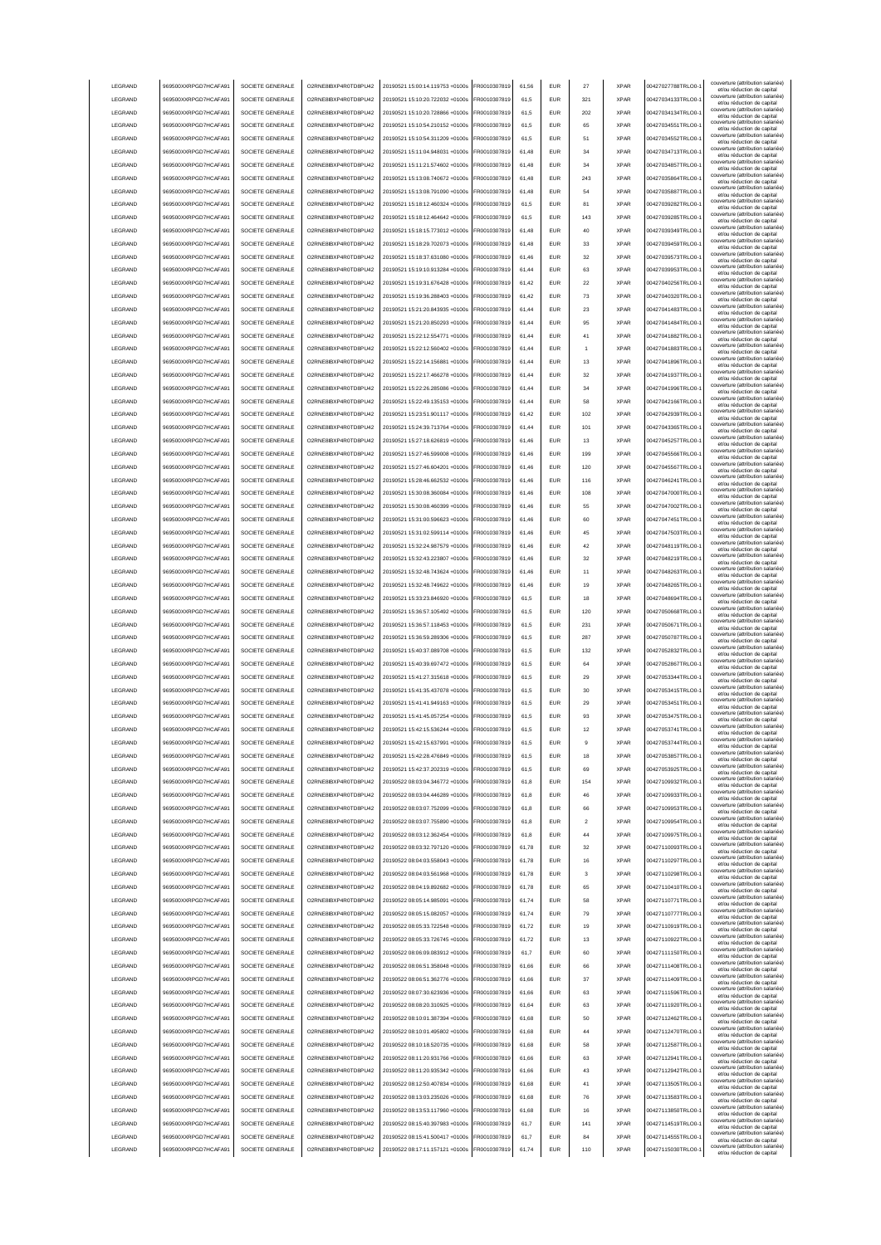| LEGRAND         | 969500XXRPGD7HCAFA91 | SOCIETE GENERALE | O2RNE8IBXP4R0TD8PU42  | 20190521 15:00:14.119753 +0100s | FR0010307819 | 61.56 | <b>EUR</b> | 27                      | <b>XPAR</b> | 00427027788TRLO0-  | couverture (attribution salariée<br>et/ou réduction de capital                                       |
|-----------------|----------------------|------------------|-----------------------|---------------------------------|--------------|-------|------------|-------------------------|-------------|--------------------|------------------------------------------------------------------------------------------------------|
| LEGRAND         | 969500XXRPGD7HCAFA91 | SOCIETE GENERALE | O2RNE8IBXP4R0TD8PU42  | 20190521 15:10:20.722032 +0100s | FR0010307819 | 61.5  | EUR        | 321                     | <b>XPAR</b> | 00427034133TRLO0-  | couverture (attribution salariée)<br>et/ou réduction de capital                                      |
| LEGRAND         | 969500XXRPGD7HCAFA91 | SOCIETE GENERALE | O2RNE8IBXP4R0TD8PU42  | 20190521 15:10:20.728866 +0100s | FR0010307819 | 61.5  | <b>EUR</b> | 202                     | <b>XPAR</b> | 00427034134TRLO0-  | couverture (attribution salariée)<br>et/ou réduction de capital                                      |
| LEGRAND         | 969500XXRPGD7HCAFA91 | SOCIETE GENERALE | O2RNE8IBXP4R0TD8PU42  | 20190521 15:10:54.210152 +0100s | FR0010307819 | 61,5  | EUR        | 65                      | <b>XPAR</b> | 00427034551TRLO0-  | couverture (attribution salariée)<br>et/ou réduction de capital                                      |
| LEGRAND         | 969500XXRPGD7HCAFA91 | SOCIETE GENERALE | O2RNE8IBXP4R0TD8PU42  | 20190521 15:10:54.311209 +0100s | FR0010307819 | 61,5  | EUR        | 51                      | <b>XPAR</b> | 00427034552TRLO0-  | couverture (attribution salariée)<br>et/ou réduction de capital                                      |
| LEGRAND         | 969500XXRPGD7HCAFA91 | SOCIETE GENERALE | O2RNE8IBXP4R0TD8PU42  | 20190521 15:11:04.948031 +0100s | FR0010307819 | 61,48 | EUR        | 34                      | <b>XPAR</b> | 00427034713TRLO0-  | couverture (attribution salariée)<br>et/ou réduction de capital                                      |
| LEGRAND         | 969500XXRPGD7HCAFA91 | SOCIETE GENERALE | O2RNE8IBXP4R0TD8PU42  | 20190521 15:11:21.574602 +0100s | FR0010307819 | 61,48 | EUR        | 34                      | <b>XPAR</b> | 00427034857TRLO0-  | couverture (attribution salariée)<br>et/ou réduction de capital                                      |
| LEGRAND         | 969500XXRPGD7HCAFA91 | SOCIETE GENERALE | O2RNE8IBXP4R0TD8PU42  | 20190521 15:13:08.740672 +0100s | FR0010307819 | 61,48 | EUR        | 243                     | <b>XPAR</b> | 00427035864TRLO0-  | couverture (attribution salariée)<br>et/ou réduction de capital                                      |
| LEGRAND         | 969500XXRPGD7HCAFA91 | SOCIETE GENERALE | O2RNE8IBXP4R0TD8PU42  | 20190521 15:13:08.791090 +0100s | FR0010307819 | 61,48 | EUR        | 54                      | <b>XPAR</b> | 00427035887TRLO0-  | couverture (attribution salariée)<br>et/ou réduction de capital                                      |
| LEGRAND         | 969500XXRPGD7HCAFA91 | SOCIETE GENERALE | O2RNE8IBXP4R0TD8PU42  | 20190521 15:18:12.460324 +0100s | FR0010307819 | 61,5  | EUR        | 81                      | <b>XPAR</b> | 00427039282TRLO0-  | couverture (attribution salariée)<br>et/ou réduction de capital                                      |
| LEGRAND         | 969500XXRPGD7HCAFA91 | SOCIETE GENERALE | O2RNE8IBXP4R0TD8PU42  | 20190521 15:18:12.464642 +0100s | FR0010307819 | 61,5  | <b>EUR</b> | 143                     | <b>XPAR</b> | 00427039285TRLO0-  | couverture (attribution salariée)<br>et/ou réduction de capital                                      |
| LEGRAND         | 969500XXRPGD7HCAFA91 | SOCIETE GENERALE | O2RNE8IBXP4R0TD8PU42  | 20190521 15:18:15 773012 +0100s | FR0010307819 | 61,48 | <b>EUR</b> | 40                      | <b>XPAR</b> | 00427039349TRLO0-  | couverture (attribution salariée)<br>et/ou réduction de capital                                      |
| LEGRAND         | 969500XXRPGD7HCAFA91 | SOCIETE GENERALE | O2RNE8IBXP4R0TD8PU42  | 20190521 15:18:29.702073 +0100s | FR0010307819 | 61,48 | <b>EUR</b> | 33                      | <b>XPAR</b> | 00427039459TRLO0-  | couverture (attribution salariée)<br>et/ou réduction de capital                                      |
| LEGRAND         | 969500XXRPGD7HCAFA91 | SOCIETE GENERALE | O2RNE8IBXP4R0TD8PU42  | 20190521 15:18:37.631080 +0100s | FR0010307819 | 61.46 | EUR        | 32                      | <b>XPAR</b> | 00427039573TRLO0-  | couverture (attribution salariée)<br>et/ou réduction de capital                                      |
| LEGRAND         | 969500XXRPGD7HCAFA91 | SOCIETE GENERALE | O2RNE8IBXP4R0TD8PU42  | 20190521 15:19:10.913284 +0100s | FR0010307819 | 61.44 | <b>EUR</b> | 63                      | <b>XPAR</b> | 00427039953TRLO0-  | couverture (attribution salariée)<br>et/ou réduction de capital                                      |
| LEGRAND         | 969500XXRPGD7HCAFA91 | SOCIETE GENERALE | O2RNE8IBXP4R0TD8PU42  | 20190521 15:19:31 676428 +0100s | FR0010307819 | 61.42 | EUR        | 22                      | <b>XPAR</b> | 00427040256TRLO0-  | couverture (attribution salariée)<br>et/ou réduction de capital                                      |
| LEGRAND         | 969500XXRPGD7HCAFA91 | SOCIETE GENERALE | O2RNE8IBXP4R0TD8PU42  | 20190521 15:19:36.288403 +0100s | FR0010307819 | 61,42 | EUR        | 73                      | <b>XPAR</b> | 00427040320TRLO0-  | couverture (attribution salariée)<br>et/ou réduction de capital                                      |
| LEGRAND         | 969500XXRPGD7HCAFA91 | SOCIETE GENERALE | O2RNE8IBXP4R0TD8PU42  | 20190521 15:21:20.843935 +0100s | FR0010307819 | 61,44 | EUR        | 23                      | <b>XPAR</b> | 00427041483TRLO0-  | couverture (attribution salariée)<br>et/ou réduction de capital                                      |
| LEGRAND         | 969500XXRPGD7HCAFA91 | SOCIETE GENERALE | O2RNE8IBXP4R0TD8PU42  | 20190521 15:21:20.850293 +0100s | FR0010307819 | 61,44 | EUR        | 95                      | <b>XPAR</b> | 00427041484TRLO0-  | couverture (attribution salariée)<br>et/ou réduction de capital                                      |
| LEGRAND         | 969500XXRPGD7HCAFA91 | SOCIETE GENERALE | O2RNE8IBXP4R0TD8PU42  | 20190521 15:22:12.554771 +0100s | FR0010307819 | 61,44 | EUR        | 41                      | <b>XPAR</b> | 00427041882TRLO0-  | couverture (attribution salariée)<br>et/ou réduction de capital                                      |
| LEGRAND         | 969500XXRPGD7HCAFA91 | SOCIETE GENERALE | O2RNE8IBXP4R0TD8PU42  | 20190521 15:22:12.560402 +0100s | FR0010307819 | 61,44 | <b>EUR</b> |                         | <b>XPAR</b> | 00427041883TRLO0-  | couverture (attribution salariée)<br>et/ou réduction de capital                                      |
| LEGRAND         | 969500XXRPGD7HCAFA91 | SOCIETE GENERALE | O2RNE8IBXP4R0TD8PU42  | 20190521 15:22:14.156881 +0100s | FR0010307819 | 61,44 | EUR        | 13                      | <b>XPAR</b> | 00427041896TRLO0-  | couverture (attribution salariée)<br>et/ou réduction de capital                                      |
| LEGRAND         | 969500XXRPGD7HCAFA91 | SOCIETE GENERALE | O2RNE8IBXP4R0TD8PU42  | 20190521 15:22:17.466278 +0100s | FR0010307819 | 61,44 | EUR        | 32                      | <b>XPAR</b> | 00427041937TRLO0-  | couverture (attribution salariée)<br>et/ou réduction de capital                                      |
| LEGRAND         | 969500XXRPGD7HCAFA91 | SOCIETE GENERALE | O2RNE8IBXP4R0TD8PLI42 | 20190521 15:22:26.285086 +0100s | FR0010307819 | 61,44 | <b>EUR</b> | 34                      | <b>XPAR</b> | 00427041996TRLO0-  | couverture (attribution salariée)<br>et/ou réduction de capital                                      |
| LEGRAND         | 969500XXRPGD7HCAFA91 | SOCIETE GENERALE | O2RNE8IBXP4R0TD8PU42  | 20190521 15:22:49.135153 +0100s | FR0010307819 | 61,44 | <b>EUR</b> | 58                      | <b>XPAR</b> | 00427042166TRLO0-  | couverture (attribution salariée)<br>et/ou réduction de capital                                      |
| LEGRAND         | 969500XXRPGD7HCAFA91 | SOCIETE GENERALE | O2RNE8IBXP4R0TD8PU42  | 20190521 15:23:51.901117 +0100s | FR0010307819 | 61,42 | <b>EUR</b> | 102                     | <b>XPAR</b> | 00427042939TRLO0-  | couverture (attribution salariée)<br>et/ou réduction de capital                                      |
| LEGRAND         | 969500XXRPGD7HCAFA91 | SOCIETE GENERALE | O2RNE8IBXP4R0TD8PU42  | 20190521 15:24:39 713764 +0100s | FR0010307819 | 61.44 | <b>EUR</b> | 101                     | <b>XPAR</b> | 00427043365TRLO0-  | couverture (attribution salariée)<br>et/ou réduction de capital                                      |
| LEGRAND         | 969500XXRPGD7HCAFA91 | SOCIETE GENERALE | O2RNE8IBXP4R0TD8PLI42 | 20190521 15:27:18.626819 +0100s | FR0010307819 | 61.46 | EUR        | 13                      | <b>XPAR</b> | 00427045257TRLO0-  | couverture (attribution salariée)<br>et/ou réduction de capital                                      |
| <b>LEGRAND</b>  | 969500XXRPGD7HCAFA91 | SOCIETE GENERALE | O2RNE8IBXP4R0TD8PLI42 | 20190521 15:27:46 599008 +0100s | FR0010307819 | 61.46 | <b>EUR</b> | 199                     | <b>XPAR</b> | 00427045566TRLO0-  | couverture (attribution salariée)<br>et/ou réduction de capital                                      |
| LEGRAND         | 969500XXRPGD7HCAFA91 | SOCIETE GENERALE | O2RNE8IBXP4R0TD8PU42  | 20190521 15:27:46.604201 +0100s | FR0010307819 | 61,46 | EUR        | 120                     | <b>XPAR</b> | 00427045567TRLO0-  | couverture (attribution salariée)<br>et/ou réduction de capital                                      |
| LEGRAND         | 969500XXRPGD7HCAFA91 | SOCIETE GENERALE | O2RNE8IBXP4R0TD8PU42  | 20190521 15:28:46.662532 +0100s | FR0010307819 | 61,46 | EUR        | 116                     | <b>XPAR</b> | 00427046241TRLO0-  | couverture (attribution salariée)                                                                    |
| LEGRAND         | 969500XXRPGD7HCAFA91 | SOCIETE GENERALE | O2RNE8IBXP4R0TD8PU42  | 20190521 15:30:08.360084 +0100s | FR0010307819 | 61,46 | EUR        | 108                     | <b>XPAR</b> | 00427047000TRLO0-  | et/ou réduction de capital<br>couverture (attribution salariée)                                      |
| LEGRAND         | 969500XXRPGD7HCAFA91 | SOCIETE GENERALE | O2RNE8IBXP4R0TD8PU42  | 20190521 15:30:08.460399 +0100s | R0010307819  | 61,46 | <b>EUR</b> | 55                      | <b>XPAR</b> | 00427047002TRLO0-  | et/ou réduction de capital<br>couverture (attribution salariée)                                      |
| LEGRAND         | 969500XXRPGD7HCAFA91 | SOCIETE GENERALE | O2RNE8IBXP4R0TD8PU42  | 20190521 15:31:00.596623 +0100s | R0010307819  | 61,46 | EUR        | 60                      | <b>XPAR</b> | 00427047451TRLO0-  | et/ou réduction de capital<br>couverture (attribution salariée)                                      |
| LEGRAND         | 969500XXRPGD7HCAFA91 | SOCIETE GENERALE | O2RNE8IBXP4R0TD8PU42  | 20190521 15:31:02.599114 +0100s | R0010307819  | 61,46 | EUR        | 45                      | <b>XPAR</b> | 00427047503TRLO0-  | et/ou réduction de capital<br>couverture (attribution salariée)                                      |
| LEGRAND         | 969500XXRPGD7HCAFA91 | SOCIETE GENERALE | O2RNE8IBXP4R0TD8PU42  | 20190521 15:32:24.987579 +0100s | FR0010307819 | 61,46 | <b>EUR</b> | 42                      | <b>XPAR</b> | 00427048119TRLO0-  | et/ou réduction de capital<br>couverture (attribution salariée)                                      |
| LEGRAND         | 969500XXRPGD7HCAFA91 | SOCIETE GENERALE | O2RNE8IBXP4R0TD8PU42  | 20190521 15:32:43.223807 +0100s | FR0010307819 | 61,46 | <b>EUR</b> | 32                      | <b>XPAR</b> | 00427048219TRLO0-  | et/ou réduction de capital<br>couverture (attribution salariée)                                      |
| LEGRAND         | 969500XXRPGD7HCAFA91 | SOCIETE GENERALE | O2RNE8IBXP4R0TD8PU42  | 20190521 15:32:48.743624 +0100s | FR0010307819 | 61.46 | <b>FUR</b> | 11                      | <b>XPAR</b> | 00427048263TRLO0-  | et/ou réduction de capital<br>couverture (attribution salariée)                                      |
| LEGRAND         | 969500XXRPGD7HCAFA91 | SOCIETE GENERALE | O2RNE8IBXP4R0TD8PU42  | 20190521 15:32:48.749622 +0100s | FR0010307819 | 61,46 | <b>EUR</b> | 19                      | <b>XPAR</b> | 00427048265TRLO0-  | et/ou réduction de capital<br>couverture (attribution salariée)                                      |
| LEGRAND         | 969500XXRPGD7HCAFA91 | SOCIETE GENERALE | O2RNE8IBXP4R0TD8PU42  | 20190521 15:33:23.846920 +0100s | FR0010307819 | 61.5  | EUR        | 18                      | <b>XPAR</b> | 00427048694TRLO0-  | et/ou réduction de capital<br>couverture (attribution salariée)                                      |
| LEGRAND         | 969500XXRPGD7HCAFA91 | SOCIETE GENERALE | O2RNE8IBXP4R0TD8PU42  | 20190521 15:36:57.105492 +0100s | FR0010307819 | 61.5  | EUR        | 120                     | <b>XPAR</b> | 00427050668TRLO0-  | et/ou réduction de capital<br>couverture (attribution salariée)                                      |
|                 |                      |                  |                       |                                 |              |       |            |                         |             |                    |                                                                                                      |
|                 |                      |                  |                       |                                 |              |       |            |                         |             |                    | et/ou réduction de capital                                                                           |
| LEGRAND         | 969500XXRPGD7HCAFA91 | SOCIETE GENERALE | O2RNE8IBXP4R0TD8PU42  | 20190521 15:36:57.118453 +0100s | FR0010307819 | 61.5  | <b>EUR</b> | 231                     | <b>XPAR</b> | 00427050671TRLO0-  | couverture (attribution salariée)<br>et/ou réduction de capital                                      |
| LEGRAND         | 969500XXRPGD7HCAFA91 | SOCIETE GENERALE | O2RNE8IBXP4R0TD8PU42  | 20190521 15:36:59.289306 +0100s | FR0010307819 | 61,5  | EUR        | 287                     | <b>XPAR</b> | 00427050787TRLO0-  | couverture (attribution salariée)<br>et/ou réduction de capital                                      |
| LEGRAND         | 969500XXRPGD7HCAFA91 | SOCIETE GENERALE | O2RNE8IBXP4R0TD8PU42  | 20190521 15:40:37.089708 +0100s | FR0010307819 | 61,5  | EUR        | 132                     | <b>XPAR</b> | 00427052832TRLO0-  | couverture (attribution salariée)<br>et/ou réduction de capital<br>couverture (attribution salariée) |
| LEGRAND         | 969500XXRPGD7HCAFA91 | SOCIETE GENERALE | O2RNE8IBXP4R0TD8PU42  | 20190521 15:40:39.697472 +0100s | FR0010307819 | 61,5  | EUR        | 64                      | <b>XPAR</b> | 00427052867TRLO0-  | et/ou réduction de capital<br>couverture (attribution salariée)                                      |
| LEGRAND         | 969500XXRPGD7HCAFA9  | SOCIETE GENERALE | O2RNE8IBXP4R0TD8PU42  | 20190521 15:41:27.315618 +0100s | R0010307819  | 61,5  | <b>EUR</b> | 29                      | <b>XPAR</b> | 00427053344TRLO0-  | et/ou réduction de capital<br>couverture (attribution salariée)                                      |
| LEGRAND         | 969500XXRPGD7HCAFA91 | SOCIETE GENERALE | O2RNE8IBXP4R0TD8PU42  | 20190521 15:41:35.437078 +0100s | FR0010307819 | 61,5  | EUR        | 30                      | <b>XPAR</b> | 00427053415TRLO0-  | et/ou réduction de capital<br>couverture (attribution salariée)                                      |
| LEGRAND         | 969500XXRPGD7HCAFA91 | SOCIETE GENERALE | O2RNE8IBXP4R0TD8PU42  | 20190521 15:41:41.949163 +0100s | FR0010307819 | 61,5  | <b>EUR</b> | 29                      | <b>XPAR</b> | 00427053451TRLO0-  | et/ou réduction de capital<br>couverture (attribution salariée)                                      |
| <b>I FGRAND</b> | 969500XXRPGD7HCAFA91 | SOCIETE GENERALE | O2RNE8IBXP4R0TD8PU42  | 20190521 15:41:45.057254 +0100s | FR0010307819 | 61.5  | <b>FUR</b> | 93                      | <b>XPAR</b> | 00427053475TRLO0-  | et/ou réduction de capital<br>couverture (attribution salariée)                                      |
| <b>I FGRAND</b> | 969500XXRPGD7HCAFA91 | SOCIETE GENERALE | O2RNE8IBXP4R0TD8PLI42 | 20190521 15:42:15 536244 +0100s | FR0010307819 | 61,5  | <b>EUR</b> | 12                      | <b>XPAR</b> | 00427053741TRLO0-  | et/ou réduction de capital<br>couverture (attribution salariée)                                      |
| <b>I FGRAND</b> | 969500XXRPGD7HCAFA91 | SOCIETE GENERALE | O2RNE8IBXP4R0TD8PU42  | 20190521 15:42:15.637991 +0100s | ER0010307819 | 61.5  | FUR        |                         | <b>XPAR</b> | 00427053744TRLO0-  | et/ou reduction de capita                                                                            |
| LEGRAND         | 969500XXRPGD7HCAFA91 | SOCIETE GENERALE | O2RNE8IBXP4R0TD8PU42  | 20190521 15:42:28.476849 +0100s | FR0010307819 | 61.5  | <b>EUR</b> | 18                      | <b>XPAR</b> | 00427053857TRLO0-  | couverture (attribution salariée)<br>et/ou réduction de capital                                      |
| LEGRAND         | 969500XXRPGD7HCAFA91 | SOCIETE GENERALE | O2RNE8IBXP4R0TD8PU42  | 20190521 15:42:37.202319 +0100s | FR0010307819 | 61.5  | <b>EUR</b> | 69                      | <b>XPAR</b> | 00427053925TRLO0-  | couverture (attribution salariée)<br>et/ou réduction de capital                                      |
| LEGRAND         | 969500XXRPGD7HCAFA91 | SOCIETE GENERALE | O2RNE8IBXP4R0TD8PU42  | 20190522 08:03:04.346772 +0100s | FR0010307819 | 61.8  | <b>EUR</b> | 154                     | <b>XPAR</b> | 00427109932TRLO0-  | couverture (attribution salariée)<br>et/ou réduction de capital                                      |
| LEGRAND         | 969500XXRPGD7HCAFA91 | SOCIETE GENERALE | O2RNE8IBXP4R0TD8PU42  | 20190522 08:03:04.446289 +0100s | FR0010307819 | 61.8  | <b>EUR</b> | 46                      | <b>XPAR</b> | 00427109933TRLO0-  | couverture (attribution salariée)<br>et/ou réduction de capital                                      |
| LEGRAND         | 969500XXRPGD7HCAFA91 | SOCIETE GENERALE | O2RNE8IBXP4R0TD8PU42  | 20190522 08:03:07.752099 +0100s | FR0010307819 | 61,8  | EUR        | 66                      | <b>XPAR</b> | 00427109953TRLO0-1 | couverture (attribution salariée)<br>et/ou réduction de capital                                      |
| LEGRAND         | 969500XXRPGD7HCAFA91 | SOCIETE GENERALE | O2RNE8IBXP4R0TD8PU42  | 20190522 08:03:07.755890 +0100s | FR0010307819 | 61,8  | EUR        | $\overline{\mathbf{2}}$ | <b>XPAR</b> | 00427109954TRLO0-1 | couverture (attribution salariée)<br>et/ou réduction de capital                                      |
| LEGRAND         | 969500XXRPGD7HCAFA91 | SOCIETE GENERALE | O2RNE8IBXP4R0TD8PU42  | 20190522 08:03:12.362454 +0100s | FR0010307819 | 61,8  | EUR        | 44                      | <b>XPAR</b> | 00427109975TRLO0-1 | couverture (attribution salariée)<br>et/ou réduction de capital<br>couverture (attribution salariée) |
| LEGRAND         | 969500XXRPGD7HCAFA91 | SOCIETE GENERALE | O2RNE8IBXP4R0TD8PU42  | 20190522 08:03:32.797120 +0100s | FR0010307819 | 61,78 | <b>EUR</b> | 32                      | <b>XPAR</b> | 00427110093TRLO0-  | et/ou réduction de capital<br>couverture (attribution salariée)                                      |
| LEGRAND         | 969500XXRPGD7HCAFA91 | SOCIETE GENERALE | O2RNE8IBXP4R0TD8PU42  | 20190522 08:04:03.558043 +0100s | FR0010307819 | 61,78 | <b>EUR</b> | 16                      | <b>XPAR</b> | 00427110297TRLO0-  | et/ou réduction de capital                                                                           |
| LEGRAND         | 969500XXRPGD7HCAFA91 | SOCIETE GENERALE | O2RNE8IBXP4R0TD8PU42  | 20190522 08:04:03.561968 +0100s | FR0010307819 | 61,78 | <b>EUR</b> | 3                       | <b>XPAR</b> | 00427110298TRLO0-  | couverture (attribution salariée)<br>et/ou réduction de capital                                      |
| LEGRAND         | 969500XXRPGD7HCAFA91 | SOCIETE GENERALE | O2RNE8IBXP4R0TD8PU42  | 20190522 08:04:19.892682 +0100s | FR0010307819 | 61,78 | <b>EUR</b> | 65                      | <b>XPAR</b> | 00427110410TRLO0-  | couverture (attribution salariée)<br>et/ou réduction de capital                                      |
| LEGRAND         | 969500XXRPGD7HCAFA91 | SOCIETE GENERALE | O2RNE8IBXP4R0TD8PLI42 | 20190522 08:05:14.985091 +0100s | FR0010307819 | 61,74 | <b>EUR</b> | 58                      | <b>XPAR</b> | 00427110771TRLO0-  | couverture (attribution salariée)<br>et/ou réduction de capital                                      |
| LEGRAND         | 969500XXRPGD7HCAFA91 | SOCIETE GENERALE | O2RNE8IBXP4R0TD8PU42  | 20190522 08:05:15.082057 +0100s | FR0010307819 | 61,74 | <b>EUR</b> | 79                      | <b>XPAR</b> | 00427110777TRLO0-  | couverture (attribution salariée)<br>et/ou réduction de capital                                      |
| LEGRAND         | 969500XXRPGD7HCAFA91 | SOCIETE GENERALE | O2RNE8IBXP4R0TD8PU42  | 20190522 08:05:33.722548 +0100s | FR0010307819 | 61.72 | <b>EUR</b> | 19                      | <b>XPAR</b> | 00427110919TRLO0-  | couverture (attribution salariée)<br>et/ou réduction de capital                                      |
| LEGRAND         | 969500XXRPGD7HCAFA91 | SOCIETE GENERALE | O2RNE8IBXP4R0TD8PU42  | 20190522 08:05:33.726745 +0100s | FR0010307819 | 61.72 | <b>EUR</b> | 13                      | <b>XPAR</b> | 00427110922TRLO0-  | couverture (attribution salariée)<br>et/ou réduction de capital                                      |
| LEGRAND         | 969500XXRPGD7HCAFA91 | SOCIETE GENERALE | O2RNE8IBXP4R0TD8PU42  | 20190522 08:06:09.083912 +0100s | FR0010307819 | 61.7  | <b>EUR</b> | 60                      | <b>XPAR</b> | 00427111150TRLO0-  | couverture (attribution salariée)<br>et/ou réduction de capital                                      |
| LEGRAND         | 969500XXRPGD7HCAFA91 | SOCIETE GENERALE | O2RNE8IBXP4R0TD8PU42  | 20190522 08:06:51.358048 +0100s | FR0010307819 | 61,66 | EUR        | 66                      | <b>XPAR</b> | 00427111408TRLO0-  | couverture (attribution salariée)<br>et/ou réduction de capital                                      |
| LEGRAND         | 969500XXRPGD7HCAFA91 | SOCIETE GENERALE | O2RNE8IBXP4R0TD8PU42  | 20190522 08:06:51.362776 +0100s | FR0010307819 | 61,66 | EUR        | 37                      | <b>XPAR</b> | 00427111409TRLO0-1 | couverture (attribution salariée)<br>et/ou réduction de capital                                      |
| LEGRAND         | 969500XXRPGD7HCAFA91 | SOCIETE GENERALE | O2RNE8IBXP4R0TD8PU42  | 20190522 08:07:30.623936 +0100s | FR0010307819 | 61,66 | EUR        | 63                      | <b>XPAR</b> | 00427111596TRLO0-1 | couverture (attribution salariée)<br>et/ou réduction de capital                                      |
| LEGRAND         | 969500XXRPGD7HCAFA91 | SOCIETE GENERALE | O2RNE8IBXP4R0TD8PU42  | 20190522 08:08:20.310925 +0100s | FR0010307819 | 61,64 | <b>EUR</b> | 63                      | <b>XPAR</b> | 00427111920TRLO0-  | couverture (attribution salariée)<br>et/ou réduction de capital                                      |
| LEGRAND         | 969500XXRPGD7HCAFA91 | SOCIETE GENERALE | O2RNE8IBXP4R0TD8PU42  | 20190522 08:10:01.387394 +0100s | FR0010307819 | 61,68 | <b>EUR</b> | 50                      | <b>XPAR</b> | 00427112462TRLO0-  | couverture (attribution salariée)<br>et/ou réduction de capital                                      |
| LEGRAND         | 969500XXRPGD7HCAFA91 | SOCIETE GENERALE | O2RNE8IBXP4R0TD8PU42  | 20190522 08:10:01.495802 +0100s | FR0010307819 | 61,68 | <b>EUR</b> | 44                      | <b>XPAR</b> | 00427112470TRLO0-  | couverture (attribution salariée)<br>et/ou réduction de capital                                      |
| LEGRAND         | 969500XXRPGD7HCAFA91 | SOCIETE GENERALE | O2RNE8IBXP4R0TD8PU42  | 20190522 08:10:18.520735 +0100s | FR0010307819 | 61,68 | <b>EUR</b> | 58                      | <b>XPAR</b> | 00427112587TRLO0-  | couverture (attribution salariée)<br>et/ou réduction de capital                                      |
| LEGRAND         | 969500XXRPGD7HCAFA91 | SOCIETE GENERALE | O2RNE8IBXP4R0TD8PU42  | 20190522 08:11:20.931766 +0100s | FR0010307819 | 61,66 | <b>EUR</b> | 63                      | <b>XPAR</b> | 00427112941TRLO0-  | couverture (attribution salariée)<br>et/ou réduction de capital                                      |
| LEGRAND         | 969500XXRPGD7HCAFA91 | SOCIETE GENERALE | O2RNE8IBXP4R0TD8PU42  | 20190522 08:11:20.935342 +0100s | FR0010307819 | 61,66 | <b>EUR</b> | 43                      | <b>XPAR</b> | 00427112942TRLO0-  | couverture (attribution salariée)<br>et/ou réduction de capital                                      |
| <b>I FGRAND</b> | 969500XXRPGD7HCAFA91 | SOCIETE GENERALE | O2RNE8IBXP4R0TD8PU42  | 20190522 08:12:50.407834 +0100s | FR0010307819 | 61,68 | <b>EUR</b> | 41                      | <b>XPAR</b> | 00427113505TRLO0-  | couverture (attribution salariée)<br>et/ou réduction de capital                                      |
| LEGRAND         | 969500XXRPGD7HCAFA91 | SOCIETE GENERALE | O2RNE8IBXP4R0TD8PU42  | 20190522 08:13:03.235026 +0100s | FR0010307819 | 61.68 | <b>EUR</b> | 76                      | <b>XPAR</b> | 00427113583TRLO0-  | couverture (attribution salariée)<br>et/ou réduction de capital                                      |
| LEGRAND         | 969500XXRPGD7HCAFA91 | SOCIETE GENERALE | O2RNE8IBXP4R0TD8PU42  | 20190522 08:13:53.117960 +0100s | FR0010307819 | 61.68 | <b>EUR</b> | 16                      | <b>XPAR</b> | 00427113850TRLO0-  | couverture (attribution salariée)<br>et/ou réduction de capital                                      |
| LEGRAND         | 969500XXRPGD7HCAFA91 | SOCIETE GENERALE | O2RNE8IBXP4R0TD8PU42  | 20190522 08:15:40.397983 +0100s | FR0010307819 | 61.7  | <b>EUR</b> | 141                     | <b>XPAR</b> | 00427114519TRLO0-  | couverture (attribution salariée)<br>et/ou réduction de capital                                      |
| LEGRAND         | 969500XXRPGD7HCAFA91 | SOCIETE GENERALE | O2RNE8IBXP4R0TD8PU42  | 20190522 08:15:41.500417 +0100s | FR0010307819 | 61.7  | <b>EUR</b> | 84                      | <b>XPAR</b> | 00427114555TRLO0-  | couverture (attribution salariée)<br>et/ou réduction de capital<br>couverture (attribution salariée) |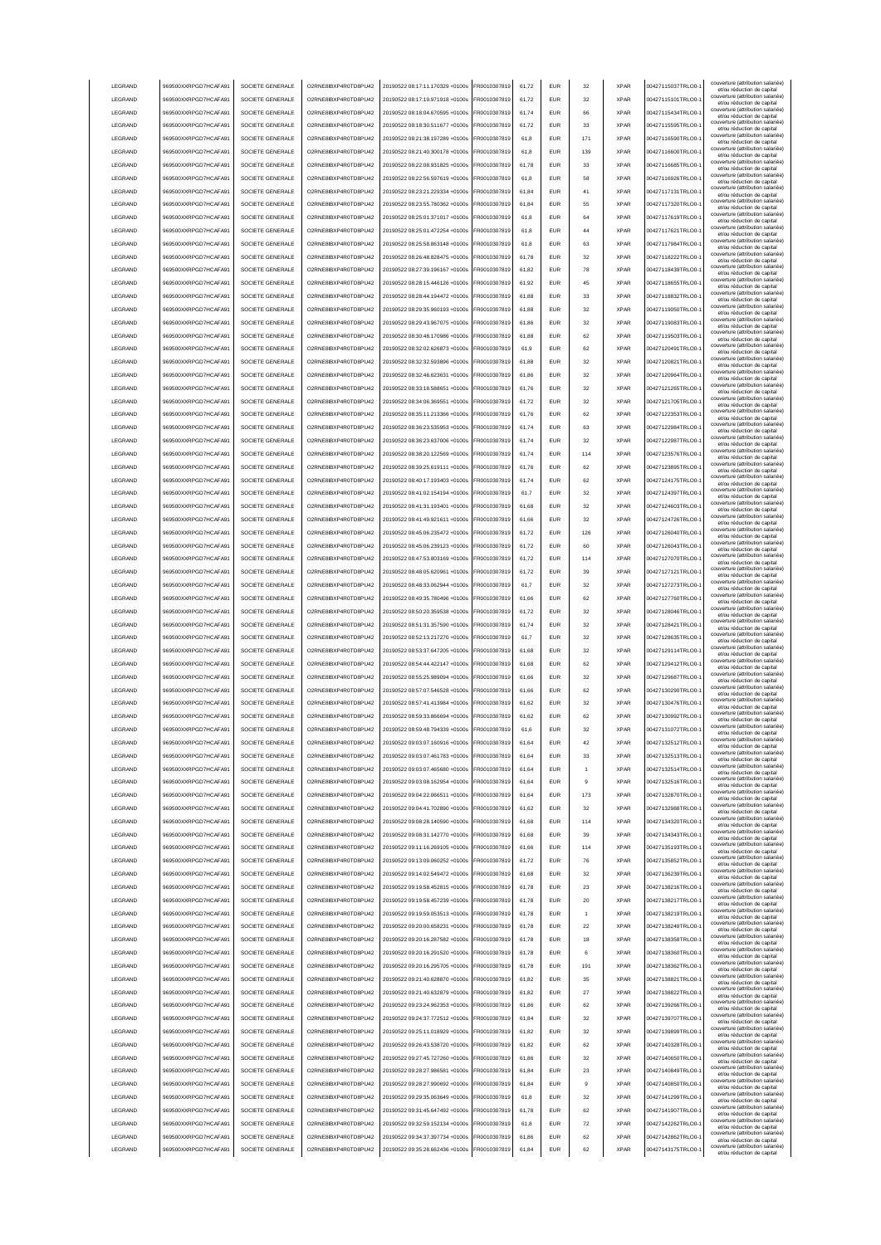| LEGRAND            | 969500XXRPGD7HCAFA91                         | SOCIETE GENERALE                     | O2RNE8IBXP4R0TD8PU42                         | 20190522 08:17:11.170329 +0100s                                    | FR0010307819                 | 61,72 | <b>EUR</b>               | 32             | <b>XPAR</b> | 00427115037TRLO0-                      | couverture (attribution salariée)<br>et/ou réduction de capital |
|--------------------|----------------------------------------------|--------------------------------------|----------------------------------------------|--------------------------------------------------------------------|------------------------------|-------|--------------------------|----------------|-------------|----------------------------------------|-----------------------------------------------------------------|
| LEGRAND            | 969500XXRPGD7HCAFA91                         | SOCIETE GENERALE                     | O2RNE8IBXP4R0TD8PU42                         | 20190522 08:17:19.971918 +0100s                                    | FR0010307819                 | 61,72 | <b>EUR</b>               | 32             | <b>XPAR</b> | 00427115101TRLO0-                      | couverture (attribution salariée)                               |
|                    |                                              |                                      |                                              |                                                                    |                              |       |                          |                |             |                                        | et/ou réduction de capital<br>couverture (attribution salariée) |
| LEGRAND            | 969500XXRPGD7HCAFA91                         | SOCIETE GENERALE                     | O2RNE8IBXP4R0TD8PU42                         | 20190522 08:18:04.670595 +0100s                                    | FR0010307819                 | 61,74 | EUR                      | 66             | <b>XPAR</b> | 00427115434TRLO0-                      | et/ou réduction de capital<br>couverture (attribution salariée) |
| <b>LEGRAND</b>     | 969500XXRPGD7HCAFA91                         | SOCIETE GENERALE                     | O2RNE8IBXP4R0TD8PLI42                        | 20190522 08:18:30.511677 +0100s                                    | FR0010307819                 | 61.72 | <b>EUR</b>               | 33             | <b>XPAR</b> | 00427115595TRLO0-                      | et/ou réduction de capital                                      |
| LEGRAND            | 969500XXRPGD7HCAFA91                         | SOCIETE GENERALE                     | O2RNE8IBXP4R0TD8PU42                         | 20190522 08:21:38.197289 +0100s                                    | FR0010307819                 | 61.8  | <b>EUR</b>               | 171            | <b>XPAR</b> | 00427116590TRLO0-                      | couverture (attribution salariée)<br>et/ou réduction de capital |
| LEGRAND            | 969500XXRPGD7HCAFA91                         | SOCIETE GENERALE                     | O2RNE8IBXP4R0TD8PU42                         | 20190522 08:21:40.300178 +0100s                                    | FR0010307819                 | 61.8  | <b>EUR</b>               | 139            | <b>XPAR</b> | 00427116600TRLO0-                      | couverture (attribution salariée)                               |
| <b>LEGRAND</b>     |                                              | SOCIETE GENERALE                     | O2RNE8IBXP4R0TD8PU42                         | 20190522.08:22:08.931825.+0100s                                    |                              |       |                          |                |             | 00427116685TRLO0-                      | et/ou réduction de capital<br>couverture (attribution salariée) |
|                    | 969500XXRPGD7HCAFA91                         |                                      |                                              |                                                                    | FR0010307819                 | 61.78 | <b>EUR</b>               | 33             | <b>XPAR</b> |                                        | et/ou réduction de capital<br>couverture (attribution salariée) |
| LEGRAND            | 969500XXRPGD7HCAFA91                         | SOCIETE GENERALE                     | O2RNE8IBXP4R0TD8PU42                         | 20190522 08:22:56.597619 +0100s                                    | R0010307819                  | 61,8  | EUR                      | 58             | <b>XPAR</b> | 00427116926TRLO0-                      | et/ou réduction de capital                                      |
| LEGRAND            | 969500XXRPGD7HCAFA91                         | SOCIETE GENERALE                     | O2RNE8IBXP4R0TD8PU42                         | 20190522 08:23:21.229334 +0100s                                    | FR0010307819                 | 61.84 | EUR                      | 41             | <b>XPAR</b> | 00427117131TRLO0-                      | couverture (attribution salariée)<br>et/ou réduction de capital |
| LEGRAND            | 969500XXRPGD7HCAFA91                         | SOCIETE GENERALE                     | O2RNE8IBXP4R0TD8PU42                         | 20190522 08:23:55.780362 +0100s                                    | R0010307819                  | 61,84 | EUR                      | 55             | <b>XPAR</b> | 00427117320TRLO0-                      | couverture (attribution salariée)                               |
| LEGRAND            | 969500XXRPGD7HCAFA91                         | SOCIETE GENERALE                     | O2RNE8IBXP4R0TD8PU42                         | 20190522 08:25:01.371017 +0100s                                    | FR0010307819                 | 61,8  | EUR                      | 64             | <b>XPAR</b> | 00427117619TRLO0-                      | et/ou réduction de capital<br>couverture (attribution salariée) |
|                    |                                              |                                      |                                              |                                                                    |                              |       |                          |                |             |                                        | et/ou réduction de capital<br>couverture (attribution salariée) |
| LEGRAND            | 969500XXRPGD7HCAFA91                         | SOCIETE GENERALE                     | O2RNE8IBXP4R0TD8PU42                         | 20190522 08:25:01.472254 +0100s                                    | R0010307819                  | 61,8  | EUR                      | 44             | <b>XPAR</b> | 00427117621TRLO0-                      | et/ou réduction de capital                                      |
| LEGRAND            | 969500XXRPGD7HCAFA91                         | SOCIETE GENERALE                     | O2RNE8IBXP4R0TD8PU42                         | 20190522 08:25:58.863148 +0100s                                    | R0010307819                  | 61,8  | EUR                      | 63             | <b>XPAR</b> | 00427117984TRLO0-                      | couverture (attribution salariée)<br>et/ou réduction de capital |
| LEGRAND            | 969500XXRPGD7HCAFA91                         | SOCIETE GENERALE                     | O2RNE8IBXP4R0TD8PU42                         | 20190522 08:26:48.828475 +0100s                                    | FR0010307819                 | 61,78 | <b>EUR</b>               | 32             | <b>XPAR</b> | 00427118222TRLO0-                      | couverture (attribution salariée)                               |
| LEGRAND            | 969500XXRPGD7HCAFA91                         | SOCIETE GENERALE                     | O2RNE8IBXP4R0TD8PU42                         | 20190522 08:27:39.196167 +0100s                                    | R0010307819                  | 61,82 | <b>EUR</b>               | 78             | <b>XPAR</b> | 00427118439TRLO0-                      | et/ou réduction de capital<br>couverture (attribution salariée) |
|                    |                                              |                                      |                                              |                                                                    |                              |       |                          |                |             |                                        | et/ou réduction de capital<br>couverture (attribution salariée) |
| LEGRAND            | 969500XXRPGD7HCAFA91                         | SOCIETE GENERALE                     | O2RNE8IBXP4R0TD8PU42                         | 20190522 08:28:15.446126 +0100s                                    | R0010307819                  | 61,92 | <b>EUR</b>               | 45             | <b>XPAR</b> | 00427118655TRLO0-                      | et/ou réduction de capital                                      |
| LEGRAND            | 969500XXRPGD7HCAFA91                         | SOCIETE GENERALE                     | O2RNE8IBXP4R0TD8PU42                         | 20190522 08:28:44.194472 +0100s                                    | FR0010307819                 | 61.88 | <b>EUR</b>               | 33             | <b>XPAR</b> | 00427118832TRLO0-                      | couverture (attribution salariée)<br>et/ou réduction de capital |
| LEGRAND            | 969500XXRPGD7HCAFA91                         | SOCIETE GENERALE                     | O2RNE8IBXP4R0TD8PU42                         | 20190522 08:29:35.960193 +0100s                                    | FR0010307819                 | 61.88 | <b>EUR</b>               | 32             | <b>XPAR</b> | 00427119050TRLO0-                      | couverture (attribution salariée)<br>et/ou réduction de capital |
| LEGRAND            | 969500XXRPGD7HCAFA91                         | SOCIETE GENERALE                     | O2RNE8IBXP4R0TD8PU42                         | 20190522 08:29:43.967075 +0100s                                    | R0010307819                  | 61.86 | EUR                      | 32             | <b>XPAR</b> | 00427119083TRLO0-                      | couverture (attribution salariée)                               |
|                    |                                              |                                      |                                              |                                                                    |                              |       |                          |                |             |                                        | et/ou réduction de capital<br>couverture (attribution salariée) |
| LEGRAND            | 969500XXRPGD7HCAFA91                         | SOCIETE GENERALE                     | O2RNE8IBXP4R0TD8PU42                         | 20190522 08:30:48.170986 +0100s                                    | R0010307819                  | 61,88 | EUR                      | 62             | <b>XPAR</b> | 00427119503TRLO0-                      | et/ou réduction de capital                                      |
| LEGRAND            | 969500XXRPGD7HCAFA91                         | SOCIETE GENERALE                     | O2RNE8IBXP4R0TD8PU42                         | 20190522 08:32:02.626873 +0100s                                    | R0010307819                  | 61,9  | EUR                      | 62             | <b>XPAR</b> | 00427120491TRLO0-                      | couverture (attribution salariée)<br>et/ou réduction de capital |
| LEGRAND            | 969500XXRPGD7HCAFA91                         | SOCIETE GENERALE                     | O2RNE8IBXP4R0TD8PU42                         | 20190522 08:32:32.593896 +0100s                                    | R0010307819                  | 61,88 | <b>EUR</b>               | 32             | <b>XPAR</b> | 00427120821TRLO0-                      | couverture (attribution salariée)                               |
| <b>LEGRAND</b>     | 969500XXRPGD7HCAFA91                         | SOCIETE GENERALE                     | O2RNE8IBXP4R0TD8PU42                         | 20190522 08:32:46.623631 +0100s                                    | R0010307819                  | 61,86 | EUR                      | 32             | <b>XPAR</b> | 00427120964TRLO0-                      | et/ou réduction de capital<br>couverture (attribution salariée) |
|                    |                                              |                                      |                                              |                                                                    |                              |       |                          |                |             |                                        | et/ou réduction de capital<br>couverture (attribution salariée) |
| LEGRAND            | 969500XXRPGD7HCAFA91                         | SOCIETE GENERALE                     | O2RNE8IBXP4R0TD8PU42                         | 20190522 08:33:18.588651 +0100s                                    | FR0010307819                 | 61,76 | EUR                      | 32             | <b>XPAR</b> | 00427121265TRLO0-                      | et/ou réduction de capital                                      |
| LEGRAND            | 969500XXRPGD7HCAFA91                         | SOCIETE GENERALE                     | O2RNE8IBXP4R0TD8PU42                         | 20190522 08:34:06.369551 +0100s                                    | FR0010307819                 | 61,72 | EUR                      | 32             | <b>XPAR</b> | 00427121705TRLO0-                      | couverture (attribution salariée)<br>et/ou réduction de capital |
| LEGRAND            | 969500XXRPGD7HCAFA91                         | SOCIETE GENERALE                     | O2RNE8IBXP4R0TD8PU42                         | 20190522 08:35:11.213366 +0100s                                    | FR0010307819                 | 61,76 | EUR                      | 62             | <b>XPAR</b> | 00427122353TRLO0-                      | couverture (attribution salariée)<br>et/ou réduction de capital |
| LEGRAND            | 969500XXRPGD7HCAFA91                         | SOCIETE GENERALE                     | O2RNE8IBXP4R0TD8PU42                         | 20190522 08:36:23.535953 +0100s                                    | FR0010307819                 | 61,74 | <b>EUR</b>               | 63             | <b>XPAR</b> | 00427122984TRLO0-                      | couverture (attribution salariée)                               |
|                    |                                              |                                      |                                              |                                                                    |                              |       |                          |                |             |                                        | et/ou réduction de capital<br>couverture (attribution salariée) |
| LEGRAND            | 969500XXRPGD7HCAFA91                         | SOCIETE GENERALE                     | O2RNE8IBXP4R0TD8PLI42                        | 20190522 08:36:23.637006 +0100s                                    | FR0010307819                 | 61,74 | <b>EUR</b>               | 32             | <b>XPAR</b> | 00427122987TRLO0-                      | et/ou réduction de capital                                      |
| LEGRAND            | 969500XXRPGD7HCAFA91                         | SOCIETE GENERALE                     | O2RNE8IBXP4R0TD8PU42                         | 20190522 08:38:20.122569 +0100s                                    | FR0010307819                 | 61,74 | <b>EUR</b>               | 114            | <b>XPAR</b> | 00427123576TRLO0-                      | couverture (attribution salariée)<br>et/ou réduction de capital |
| <b>I FGRAND</b>    | 969500XXRPGD7HCAFA91                         | SOCIETE GENERALE                     | O2RNE8IBXP4R0TD8PU42                         | 20190522 08:39:25.619111 +0100s                                    | FR0010307819                 | 61.76 | <b>EUR</b>               | 62             | <b>XPAR</b> | 00427123895TRLO0-                      | couverture (attribution salariée)                               |
| <b>LEGRAND</b>     | 969500XXRPGD7HCAFA91                         | SOCIETE GENERALE                     | O2RNE8IBXP4R0TD8PU42                         | 20190522 08:40:17.193403 +0100s                                    | FR0010307819                 | 61.74 | <b>EUR</b>               | 62             | <b>XPAR</b> | 00427124175TRLO0-                      | et/ou réduction de capital<br>couverture (attribution salariée) |
|                    |                                              |                                      |                                              |                                                                    |                              |       |                          |                |             |                                        | et/ou réduction de capital<br>couverture (attribution salariée) |
| <b>I FGRAND</b>    | 969500XXRPGD7HCAFA91                         | SOCIETE GENERALE                     | O2RNE8IBXP4R0TD8PU42                         | 20190522 08:41:02.154194 +0100s                                    | FR0010307819                 | 61.7  | <b>EUR</b>               | 32             | <b>XPAR</b> | 00427124397TRLO0-                      | et/ou réduction de capital                                      |
| LEGRAND            | 969500XXRPGD7HCAFA91                         | SOCIETE GENERALE                     | O2RNE8IBXP4R0TD8PU42                         | 20190522 08:41:31.193401 +0100s                                    | R0010307819                  | 61,68 | EUR                      | 32             | <b>XPAR</b> | 00427124603TRLO0-                      | couverture (attribution salariée)<br>et/ou réduction de capital |
| LEGRAND            | 969500XXRPGD7HCAFA91                         | SOCIETE GENERALE                     | O2RNE8IBXP4R0TD8PU42                         | 20190522 08:41:49.921611 +0100s                                    | FR0010307819                 | 61,66 | <b>EUR</b>               | 32             | <b>XPAR</b> | 00427124726TRLO0-                      | couverture (attribution salariée)                               |
| LEGRAND            | 969500XXRPGD7HCAFA91                         | SOCIETE GENERALE                     | O2RNE8IBXP4R0TD8PU42                         | 20190522 08:45:06.235472 +0100s                                    | R0010307819                  | 61,72 | EUR                      | 126            | <b>XPAR</b> | 00427126040TRLO0-                      | et/ou réduction de capital<br>couverture (attribution salariée) |
|                    |                                              |                                      |                                              |                                                                    |                              |       |                          |                |             |                                        | et/ou réduction de capital<br>couverture (attribution salariée) |
| LEGRAND            | 969500XXRPGD7HCAFA91                         | SOCIETE GENERALE                     | O2RNE8IBXP4R0TD8PU42                         | 20190522 08:45:06.239123 +0100s                                    | R0010307819                  | 61,72 | EUR                      | 60             | <b>XPAR</b> | 00427126043TRLO0-                      | et/ou réduction de capital                                      |
| LEGRAND            | 969500XXRPGD7HCAFA91                         | SOCIETE GENERALE                     | O2RNE8IBXP4R0TD8PU42                         | 20190522 08:47:53.803169 +0100s                                    | R0010307819                  | 61,72 | EUR                      | 114            | <b>XPAR</b> | 00427127070TRLO0-                      | couverture (attribution salariée)<br>et/ou réduction de capital |
| LEGRAND            | 969500XXRPGD7HCAFA91                         | SOCIETE GENERALE                     | O2RNE8IBXP4R0TD8PU42                         | 20190522 08:48:05.620961 +0100s                                    | R0010307819                  | 61,72 | EUR                      | 39             | <b>XPAR</b> | 00427127121TRLO0-                      | couverture (attribution salariée)                               |
| LEGRAND            | 969500XXRPGD7HCAFA91                         | SOCIETE GENERALE                     | O2RNE8IBXP4R0TD8PU42                         | 20190522 08:48:33.062944 +0100s                                    | R0010307819                  | 61,7  | EUR                      | 32             | <b>XPAR</b> | 00427127273TRLO0-                      | et/ou réduction de capital<br>couverture (attribution salariée) |
|                    |                                              |                                      |                                              |                                                                    |                              |       |                          |                |             |                                        | et/ou réduction de capital<br>couverture (attribution salariée) |
| LEGRAND            | 969500XXRPGD7HCAFA91                         | SOCIETE GENERALE                     | O2RNE8IBXP4R0TD8PU42                         | 20190522 08:49:35.780496 +0100s                                    | FR0010307819                 | 61,66 | <b>EUR</b>               | 62             | <b>XPAR</b> | 00427127760TRLO0-                      | et/ou réduction de capital                                      |
|                    |                                              |                                      |                                              |                                                                    |                              |       |                          |                |             |                                        |                                                                 |
| LEGRAND            | 969500XXRPGD7HCAFA91                         | SOCIETE GENERALE                     | O2RNE8IBXP4R0TD8PU42                         | 20190522 08:50:20.359538 +0100s                                    | FR0010307819                 | 61,72 | <b>EUR</b>               | 32             | <b>XPAR</b> | 00427128046TRLO0-                      | couverture (attribution salariée)<br>et/ou réduction de capital |
| LEGRAND            | 969500XXRPGD7HCAFA91                         | SOCIETE GENERALE                     | O2RNE8IBXP4R0TD8PU42                         | 20190522 08:51:31.357590 +0100s                                    | R0010307819                  | 61,74 | <b>EUR</b>               | 32             | <b>XPAR</b> | 00427128421TRLO0-                      | couverture (attribution salariée)                               |
|                    |                                              |                                      |                                              |                                                                    |                              |       |                          |                |             |                                        | et/ou réduction de capital<br>couverture (attribution salariée) |
| LEGRAND            | 969500XXRPGD7HCAFA91                         | SOCIETE GENERALE                     | O2RNE8IBXP4R0TD8PU42                         | 20190522 08:52:13.217270 +0100s                                    | FR0010307819                 | 61.7  | <b>EUR</b>               | 32             | <b>XPAR</b> | 00427128635TRLO0-                      | et/ou réduction de capital                                      |
| <b>LEGRAND</b>     | 969500XXRPGD7HCAFA91                         | SOCIETE GENERALE                     | O2RNE8IBXP4R0TD8PU42                         | 20190522 08:53:37.647205 +0100s                                    | FR0010307819                 | 61.68 | <b>EUR</b>               | 32             | <b>XPAR</b> | 00427129114TRLO0-                      | couverture (attribution salariée)<br>et/ou réduction de capital |
| <b>LEGRAND</b>     | 969500XXRPGD7HCAFA91                         | SOCIETE GENERALE                     | O2RNE8IBXP4R0TD8PU42                         | 20190522 08:54:44 422147 +0100s                                    | FR0010307819                 | 61.68 | <b>EUR</b>               | 62             | <b>XPAR</b> | 00427129412TRLO0-                      | couverture (attribution salariée)<br>et/ou réduction de capital |
| LEGRAND            | 969500XXRPGD7HCAFA91                         | SOCIETE GENERALE                     | O2RNE8IBXP4R0TD8PU42                         | 20190522 08:55:25.989094 +0100s                                    | R0010307819                  | 61,66 | EUR                      | 32             | <b>XPAR</b> | 00427129687TRLO0-                      | couverture (attribution salariée)                               |
|                    |                                              |                                      |                                              |                                                                    |                              |       |                          |                |             |                                        | et/ou réduction de capital<br>couverture (attribution salariée) |
| LEGRAND            | 969500XXRPGD7HCAFA91                         | SOCIETE GENERALE                     | O2RNE8IBXP4R0TD8PU42                         | 20190522 08:57:07.546528 +0100s                                    | R0010307819                  | 61,66 | <b>EUR</b>               | 62             | <b>XPAR</b> | 00427130290TRLO0-1                     | et/ou réduction de capital                                      |
| LEGRAND            | 969500XXRPGD7HCAFA91                         | SOCIETE GENERALE                     | O2RNE8IBXP4R0TD8PU42                         | 20190522 08:57:41.413984 +0100s                                    | R0010307819                  | 61,62 | EUR                      | 32             | <b>XPAR</b> | 00427130476TRLO0-                      | couverture (attribution salariée)<br>et/ou réduction de capital |
| LEGRAND            | 969500XXRPGD7HCAFA91                         | SOCIETE GENERALE                     | O2RNE8IBXP4R0TD8PU42                         | 20190522 08:59:33.866694 +0100s                                    | FR0010307819                 | 61,62 | EUR                      | 62             | <b>XPAR</b> | 00427130992TRLO0-                      | couverture (attribution salariée)<br>et/ou réduction de capital |
| LEGRAND            | 969500XXRPGD7HCAFA91                         | SOCIETE GENERALE                     | O2RNE8IBXP4R0TD8PU42                         | 20190522 08:59:48.794339 +0100s                                    | FR0010307819                 | 61,6  | EUR                      | 32             | <b>XPAR</b> | 00427131072TRLO0-                      | couverture (attribution salariée)                               |
|                    |                                              |                                      |                                              |                                                                    |                              |       |                          |                |             |                                        | et/ou réduction de capital<br>couverture (attribution salariée) |
| LEGRAND            | 969500XXRPGD7HCAFA91                         | SOCIETE GENERALE                     | O2RNE8IBXP4R0TD8PU42                         | 20190522 09:03:07.160916 +0100s                                    | FR0010307819                 | 61,64 | EUR                      |                | <b>XPAR</b> | 00427132512TRLO0-                      | et/ou réduction de capital<br>couverture (attribution salariée) |
| <b>I FGRAND</b>    | 969500XXRPGD7HCAFA91                         | SOCIETE GENERALE                     | O2RNE8IBXP4R0TD8PU42                         | 20190522.09:03:07.461783.+0100s                                    | FR0010307819                 | 61.64 | <b>FUR</b>               | 33             | <b>XPAR</b> | 00427132513TRLO0-                      | et/ou réduction de capital                                      |
| <b>I FGRAND</b>    | 969500XXRPGD7HCAFA91                         | SOCIETE GENERALE                     | O2RNE8IBXP4R0TD8PU42                         | 20190522 09:03:07.465680 +0100s                                    | FR0010307819                 | 61,64 | <b>EUR</b>               | 1              | <b>XPAR</b> | 00427132514TRLO0-                      | couverture (attribution salariée)<br>et/ou réduction de capital |
| <b>I FGRAND</b>    | 969500XXRPGD7HCAFA91                         | SOCIETE GENERALE                     | O2RNE8IBXP4R0TD8PLI42                        | 20190522 09:03:08.162954 +0100s                                    | FR0010307819                 | 61,64 | <b>FUR</b>               | $\overline{9}$ | <b>XPAR</b> | 00427132516TRLO0-                      | couverture (attribution salariée)                               |
|                    |                                              |                                      |                                              |                                                                    |                              |       |                          |                |             |                                        | et/ou réduction de capital<br>couverture (attribution salariée) |
| LEGRAND            | 969500XXRPGD7HCAFA91                         | SOCIETE GENERALE                     | O2RNE8IBXP4R0TD8PU42                         | 20190522 09:04:22.066511 +0100s                                    | FR0010307819                 | 61,64 | <b>EUR</b>               | 173            | <b>XPAR</b> | 00427132870TRLO0-                      | et/ou réduction de capital                                      |
| LEGRAND            | 969500XXRPGD7HCAFA91                         | SOCIETE GENERALE                     | O2RNE8IBXP4R0TD8PLI42                        | 20190522 09:04:41.702890 +0100s                                    | FR0010307819                 | 61.62 | <b>EUR</b>               | 32             | <b>XPAR</b> | 00427132988TRLO0-                      | couverture (attribution salariée)<br>et/ou réduction de capital |
| LEGRAND            | 969500XXRPGD7HCAFA91                         | SOCIETE GENERALE                     | O2RNE8IBXP4R0TD8PU42                         | 20190522 09:08:28.140590 +0100s                                    | FR0010307819                 | 61.68 | <b>EUR</b>               | 114            | <b>XPAR</b> | 00427134320TRLO0-                      | couverture (attribution salariée)<br>et/ou réduction de capital |
| LEGRAND            | 969500XXRPGD7HCAFA91                         | SOCIETE GENERALE                     | O2RNE8IBXP4R0TD8PLI42                        | 20190522 09:08:31.142770 +0100s                                    | FR0010307819                 | 61.68 | <b>EUR</b>               | 39             | <b>XPAR</b> | 00427134343TRLO0-                      | couverture (attribution salariée)                               |
|                    |                                              |                                      |                                              |                                                                    |                              |       |                          |                | <b>XPAR</b> |                                        | et/ou réduction de capital<br>couverture (attribution salariée) |
| LEGRAND            | 969500XXRPGD7HCAFA91                         | SOCIETE GENERALE                     | O2RNE8IBXP4R0TD8PU42                         | 20190522 09:11:16.269105 +0100s                                    | FR0010307819                 | 61,66 | EUR                      | 114            |             | 00427135193TRLO0-1                     | et/ou réduction de capital                                      |
| LEGRAND            | 969500XXRPGD7HCAFA91                         | SOCIETE GENERALE                     | O2RNE8IBXP4R0TD8PU42                         | 20190522 09:13:09.060252 +0100s                                    | FR0010307819                 | 61,72 | <b>EUR</b>               | 76             | <b>XPAR</b> | 00427135852TRLO0-1                     | couverture (attribution salariée)<br>et/ou réduction de capital |
| LEGRAND            | 969500XXRPGD7HCAFA91                         | SOCIETE GENERALE                     | O2RNE8IBXP4R0TD8PU42                         | 20190522 09:14:02.549472 +0100s                                    | FR0010307819                 | 61,68 | <b>EUR</b>               | 32             | <b>XPAR</b> | 00427136239TRLO0-                      | couverture (attribution salariée)<br>et/ou réduction de capital |
| LEGRAND            | 969500XXRPGD7HCAFA91                         | SOCIETE GENERALE                     | O2RNE8IBXP4R0TD8PU42                         | 20190522 09:19:58.452815 +0100s                                    | R0010307819                  | 61,78 | EUR                      | 23             | <b>XPAR</b> | 00427138216TRLO0-1                     | couverture (attribution salariée)                               |
|                    |                                              |                                      |                                              |                                                                    |                              |       |                          |                |             |                                        | et/ou réduction de capital<br>couverture (attribution salariée) |
| LEGRAND            | 969500XXRPGD7HCAFA91                         | SOCIETE GENERALE                     | O2RNE8IBXP4R0TD8PU42                         | 20190522 09:19:58.457239 +0100s                                    | R0010307819                  | 61,78 | EUR                      | 20             | <b>XPAR</b> | 00427138217TRLO0-                      | et/ou réduction de capital<br>couverture (attribution salariée) |
| LEGRAND            | 969500XXRPGD7HCAFA91                         | SOCIETE GENERALE                     | O2RNE8IBXP4R0TD8PU42                         | 20190522 09:19:59.053513 +0100s                                    | R0010307819                  | 61,78 | EUR                      |                | <b>XPAR</b> | 00427138219TRLO0-1                     | et/ou réduction de capital                                      |
| LEGRAND            | 969500XXRPGD7HCAFA91                         | SOCIETE GENERALE                     | O2RNE8IBXP4R0TD8PLI42                        | 20190522 09:20:00.658231 +0100s                                    | FR0010307819                 | 61,78 | <b>FUR</b>               | 22             | <b>XPAR</b> | 00427138249TRLO0-                      | couverture (attribution salariée)<br>et/ou réduction de capital |
| LEGRAND            | 969500XXRPGD7HCAFA91                         | SOCIETE GENERALE                     | O2RNE8IBXP4R0TD8PU42                         | 20190522 09:20:16.287582 +0100s                                    | FR0010307819                 | 61,78 | <b>EUR</b>               | 18             | <b>XPAR</b> | 00427138358TRLO0-                      | couverture (attribution salariée)                               |
| LEGRAND            |                                              | SOCIETE GENERALE                     | O2RNE8IBXP4R0TD8PU42                         |                                                                    |                              |       | <b>FUR</b>               | 6              | <b>XPAR</b> |                                        | et/ou réduction de capital<br>couverture (attribution salariée) |
|                    | 969500XXRPGD7HCAFA91                         |                                      |                                              | 20190522 09:20:16.291520 +0100s                                    | FR0010307819                 | 61,78 |                          |                |             | 00427138360TRLO0-                      | et/ou réduction de capital                                      |
| LEGRAND            | 969500XXRPGD7HCAFA91                         | SOCIETE GENERALE                     | O2RNE8IBXP4R0TD8PU42                         | 20190522 09:20:16.295705 +0100s                                    | FR0010307819                 | 61.78 | <b>EUR</b>               | 191            | <b>XPAR</b> | 00427138362TRLO0-                      | couverture (attribution salariée)<br>et/ou réduction de capital |
| LEGRAND            | 969500XXRPGD7HCAFA91                         | SOCIETE GENERALE                     | O2RNE8IBXP4R0TD8PU42                         | 20190522 09:21:40.628870 +0100s                                    | FR0010307819                 | 61.82 | <b>EUR</b>               | 35             | <b>XPAR</b> | 00427138821TRLO0-                      | couverture (attribution salariée)<br>et/ou réduction de capital |
| LEGRAND            | 969500XXRPGD7HCAFA91                         | SOCIETE GENERALE                     | O2RNE8IBXP4R0TD8PU42                         | 20190522 09:21:40.632879 +0100s                                    | FR0010307819                 | 61.82 | <b>EUR</b>               | 27             | <b>XPAR</b> | 00427138822TRLO0-                      | couverture (attribution salariée)                               |
|                    |                                              |                                      |                                              |                                                                    | R0010307819                  | 61,86 | <b>EUR</b>               | 62             | <b>XPAR</b> |                                        | et/ou réduction de capital<br>couverture (attribution salariée) |
| LEGRAND            | 969500XXRPGD7HCAFA91                         | SOCIETE GENERALE                     | O2RNE8IBXP4R0TD8PU42                         | 20190522 09:23:24.962353 +0100s                                    |                              |       |                          |                |             | 00427139266TRLO0-1                     | et/ou réduction de capital<br>couverture (attribution salariée) |
| LEGRAND            | 969500XXRPGD7HCAFA91                         | SOCIETE GENERALE                     | O2RNE8IBXP4R0TD8PU42                         | 20190522 09:24:37.772512 +0100s                                    | FR0010307819                 | 61,84 | EUR                      | 32             | <b>XPAR</b> | 00427139707TRLO0-1                     | et/ou réduction de capital                                      |
| LEGRAND            | 969500XXRPGD7HCAFA91                         | SOCIETE GENERALE                     | O2RNE8IBXP4R0TD8PU42                         | 20190522 09:25:11.018929 +0100s                                    | R0010307819                  | 61,82 | EUR                      | 32             | <b>XPAR</b> | 00427139899TRLO0-1                     | couverture (attribution salariée)<br>et/ou réduction de capital |
| LEGRAND            | 969500XXRPGD7HCAFA91                         | SOCIETE GENERALE                     | O2RNE8IBXP4R0TD8PU42                         | 20190522 09:26:43.538720 +0100s                                    | FR0010307819                 | 61,82 | EUR                      | 62             | <b>XPAR</b> | 00427140328TRLO0-1                     | couverture (attribution salariée)                               |
| LEGRAND            | 969500XXRPGD7HCAFA91                         | SOCIETE GENERALE                     | O2RNE8IBXP4R0TD8PU42                         | 20190522 09:27:45.727260 +0100s                                    | R0010307819                  | 61,86 | <b>EUR</b>               | 32             | <b>XPAR</b> | 00427140650TRLO0-                      | et/ou réduction de capital<br>couverture (attribution salariée) |
|                    |                                              |                                      |                                              |                                                                    |                              |       |                          |                |             |                                        | et/ou réduction de capital<br>couverture (attribution salariée) |
| LEGRAND            | 969500XXRPGD7HCAFA91                         | SOCIETE GENERALE                     | O2RNE8IBXP4R0TD8PU42                         | 20190522 09:28:27.986581 +0100s                                    | FR0010307819                 | 61,84 | <b>EUR</b>               | 23             | <b>XPAR</b> | 00427140849TRLO0-                      | et/ou réduction de capital                                      |
| LEGRAND            | 969500XXRPGD7HCAFA91                         | SOCIETE GENERALE                     | O2RNE8IBXP4R0TD8PU42                         | 20190522 09:28:27.990692 +0100s                                    | R0010307819                  | 61,84 | <b>EUR</b>               | 9              | <b>XPAR</b> | 00427140850TRLO0-                      | couverture (attribution salariée)<br>et/ou réduction de capital |
| <b>I FGRAND</b>    | 969500XXRPGD7HCAFA91                         | SOCIETE GENERALE                     | O2RNE8IBXP4R0TD8PU42                         | 20190522 09:29:35.063649 +0100s                                    | FR0010307819                 | 61,8  | <b>EUR</b>               | 32             | <b>XPAR</b> | 00427141299TRLO0-                      | couverture (attribution salariée)<br>et/ou réduction de capital |
| <b>I FGRAND</b>    | 969500XXRPGD7HCAFA91                         | SOCIETE GENERALE                     | O2RNE8IBXP4R0TD8PU42                         | 20190522 09:31:45.647492 +0100s                                    | FR0010307819                 | 61,78 | <b>FUR</b>               | 62             | <b>XPAR</b> | 00427141907TRLO0-                      | couverture (attribution salariée)                               |
| <b>I FGRAND</b>    |                                              |                                      |                                              |                                                                    |                              |       | <b>FUR</b>               |                | <b>XPAR</b> |                                        | et/ou réduction de capital<br>couverture (attribution salariée) |
|                    | 969500XXRPGD7HCAFA91                         | SOCIETE GENERALE                     | O2RNE8IBXP4R0TD8PU42                         | 20190522 09:32:59.152134 +0100s                                    | FR0010307819                 | 61,8  |                          | 72             |             | 00427142262TRLO0-                      | et/ou réduction de capital<br>couverture (attribution salariée) |
| LEGRAND<br>LEGRAND | 969500XXRPGD7HCAFA91<br>969500XXRPGD7HCAFA91 | SOCIETE GENERALE<br>SOCIETE GENERALE | O2RNE8IBXP4R0TD8PU42<br>O2RNE8IBXP4R0TD8PU42 | 20190522 09:34:37.397734 +0100s<br>20190522 09:35:28.662436 +0100s | FR0010307819<br>FR0010307819 | 61.86 | <b>EUR</b><br><b>EUR</b> | 62             | <b>XPAR</b> | 00427142862TRLO0-<br>00427143175TRLO0- | et/ou réduction de capital<br>couverture (attribution salariée) |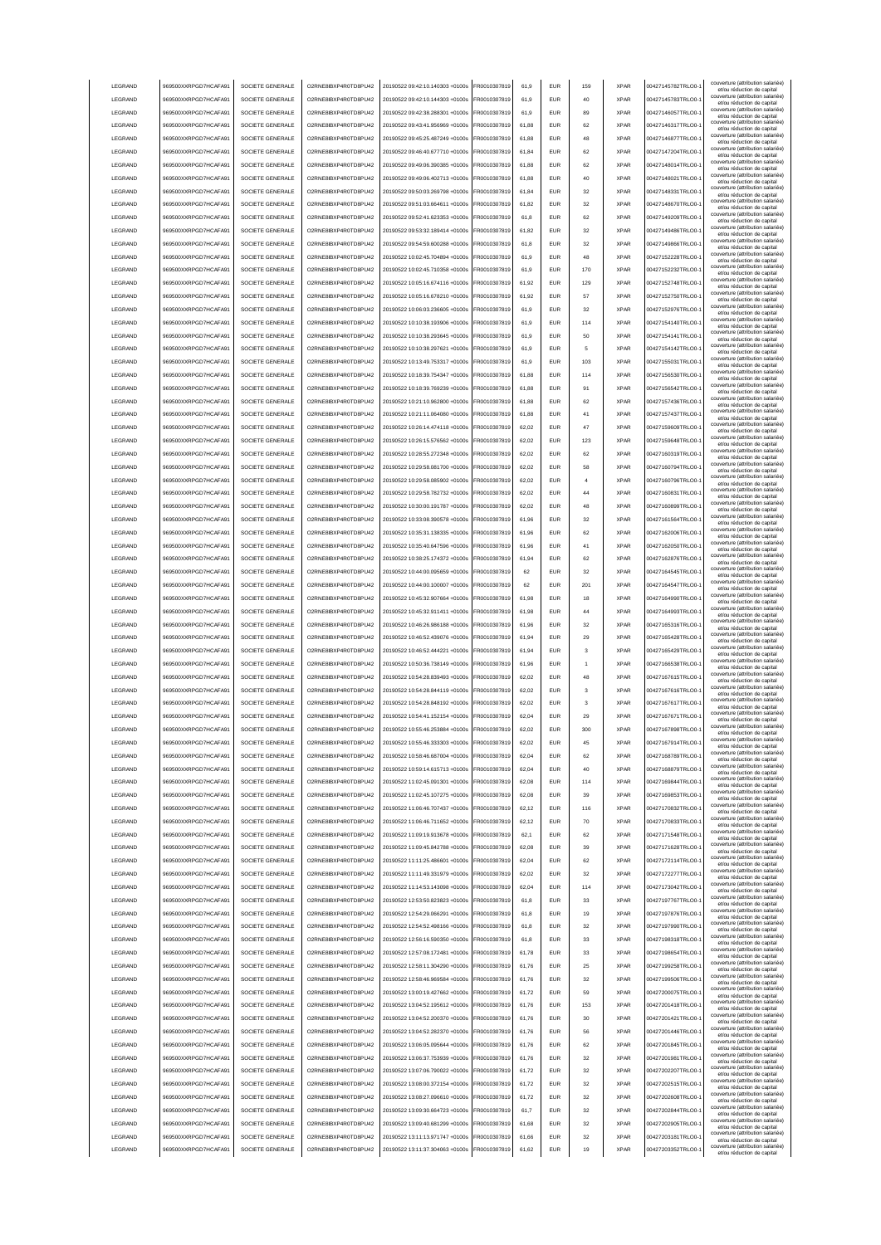| LEGRAND                            | 969500XXRPGD7HCAFA91                         | SOCIETE GENERALE                     | O2RNE8IBXP4R0TD8PU42                          | 20190522 09:42:10.140303 +0100s                                    | FR0010307819                 | 61.9           | <b>EUR</b>        | 159      | <b>XPAR</b>                | 00427145782TRLO0-                      | couverture (attribution salariée<br>et/ou réduction de capital<br>couverture (attribution salariée)  |
|------------------------------------|----------------------------------------------|--------------------------------------|-----------------------------------------------|--------------------------------------------------------------------|------------------------------|----------------|-------------------|----------|----------------------------|----------------------------------------|------------------------------------------------------------------------------------------------------|
| LEGRAND                            | 969500XXRPGD7HCAFA91                         | SOCIETE GENERALE                     | O2RNE8IBXP4R0TD8PU42                          | 20190522 09:42:10.144303 +0100s                                    | FR0010307819                 | 61.9           | <b>EUR</b>        | 40       | <b>XPAR</b>                | 00427145783TRLO0-                      | et/ou réduction de capital<br>couverture (attribution salariée)                                      |
| LEGRAND                            | 969500XXRPGD7HCAFA91                         | SOCIETE GENERALE                     | O2RNE8IBXP4R0TD8PU42                          | 20190522 09:42:38.288301 +0100s                                    | FR0010307819                 | 61.9           | <b>EUR</b>        | 89       | <b>XPAR</b>                | 00427146057TRLO0-                      | et/ou réduction de capital<br>couverture (attribution salariée)                                      |
| LEGRAND                            | 969500XXRPGD7HCAFA91                         | SOCIETE GENERALE                     | O2RNE8IBXP4R0TD8PU42                          | 20190522 09:43:41.956969 +0100s                                    | FR0010307819                 | 61,88          | EUR               | 62       | <b>XPAR</b>                | 00427146317TRLO0-                      | et/ou réduction de capital<br>couverture (attribution salariée)                                      |
| LEGRAND                            | 969500XXRPGD7HCAFA91                         | SOCIETE GENERALE                     | O2RNE8IBXP4R0TD8PU42                          | 20190522 09:45:25.487249 +0100s                                    | FR0010307819                 | 61,88          | EUR               | 48       | <b>XPAR</b>                | 00427146877TRLO0-                      | et/ou réduction de capital<br>couverture (attribution salariée)                                      |
| LEGRAND                            | 969500XXRPGD7HCAFA91                         | SOCIETE GENERALE                     | O2RNE8IBXP4R0TD8PU42                          | 20190522 09:46:40.677710 +0100s                                    | FR0010307819                 | 61,84          | EUR               | 62       | <b>XPAR</b>                | 00427147204TRLO0-                      | et/ou réduction de capital<br>couverture (attribution salariée)                                      |
| LEGRAND                            | 969500XXRPGD7HCAFA91                         | SOCIETE GENERALE                     | O2RNE8IBXP4R0TD8PU42                          | 20190522 09:49:06.390385 +0100s                                    | FR0010307819                 | 61,88          | EUR               | 62       | <b>XPAR</b>                | 00427148014TRLO0-                      | et/ou réduction de capital<br>couverture (attribution salariée)                                      |
| LEGRAND                            | 969500XXRPGD7HCAFA91                         | SOCIETE GENERALE                     | O2RNE8IBXP4R0TD8PU42                          | 20190522 09:49:06.402713 +0100s                                    | R0010307819                  | 61,88          | EUR               | 40       | <b>XPAR</b>                | 00427148021TRLO0-                      | et/ou réduction de capital<br>couverture (attribution salariée)                                      |
| LEGRAND                            | 969500XXRPGD7HCAFA91                         | SOCIETE GENERALE                     | O2RNE8IBXP4R0TD8PU42                          | 20190522 09:50:03.269798 +0100s                                    | FR0010307819                 | 61,84          | EUR               | 32<br>32 | <b>XPAR</b><br><b>XPAR</b> | 00427148331TRLO0-                      | et/ou réduction de capital<br>couverture (attribution salariée)                                      |
| LEGRAND<br>LEGRAND                 | 969500XXRPGD7HCAFA91                         | SOCIETE GENERALE<br>SOCIETE GENERALE | O2RNE8IBXP4R0TD8PU42<br>O2RNE8IBXP4R0TD8PU42  | 20190522 09:51:03.664611 +0100s<br>20190522 09:52:41.623353 +0100s | FR0010307819<br>FR0010307819 | 61,82          | EUR<br><b>EUR</b> | 62       | <b>XPAR</b>                | 00427148670TRLO0-<br>00427149209TRLO0- | et/ou réduction de capital<br>couverture (attribution salariée)                                      |
|                                    | 969500XXRPGD7HCAFA91                         |                                      |                                               |                                                                    |                              | 61,8           |                   |          | <b>XPAR</b>                |                                        | et/ou réduction de capital<br>couverture (attribution salariée)                                      |
| LEGRAND                            | 969500XXRPGD7HCAFA91                         | SOCIETE GENERALE                     | O2RNE8IBXP4R0TD8PU42                          | 20190522 09:53:32.189414 +0100s                                    | FR0010307819                 | 61,82          | <b>EUR</b>        | 32       |                            | 00427149486TRLO0-<br>00427149866TRLO0- | et/ou réduction de capital<br>couverture (attribution salariée)                                      |
| LEGRAND<br>LEGRAND                 | 969500XXRPGD7HCAFA91<br>969500XXRPGD7HCAFA91 | SOCIETE GENERALE<br>SOCIETE GENERALE | O2RNE8IBXP4R0TD8PU42<br>O2RNE8IBXP4R0TD8PU42  | 20190522 09:54:59.600288 +0100s<br>20190522 10:02:45.704894 +0100s | FR0010307819<br>FR0010307819 | 61,8<br>61.9   | <b>EUR</b><br>EUR | 32<br>48 | <b>XPAR</b><br><b>XPAR</b> | 00427152228TRLO0-                      | et/ou réduction de capital<br>couverture (attribution salariée)                                      |
| LEGRAND                            | 969500XXRPGD7HCAFA91                         | SOCIETE GENERALE                     | O2RNE8IBXP4R0TD8PU42                          | 20190522 10:02:45.710358 +0100s                                    | FR0010307819                 | 61.9           | <b>EUR</b>        | 170      | <b>XPAR</b>                | 00427152232TRLO0-                      | et/ou réduction de capital<br>couverture (attribution salariée)                                      |
| LEGRAND                            | 969500XXRPGD7HCAFA91                         | SOCIETE GENERALE                     | O2RNE8IBXP4R0TD8PU42                          | 20190522 10:05:16.674116 +0100s                                    | FR0010307819                 | 61.92          | EUR               | 129      | <b>XPAR</b>                | 00427152748TRLO0-                      | et/ou réduction de capital<br>couverture (attribution salariée)                                      |
| LEGRAND                            | 969500XXRPGD7HCAFA91                         | SOCIETE GENERALE                     | O2RNE8IBXP4R0TD8PU42                          | 20190522 10:05:16.678210 +0100s                                    | FR0010307819                 | 61,92          | EUR               | 57       | <b>XPAR</b>                | 00427152750TRLO0-                      | et/ou réduction de capital<br>couverture (attribution salariée)                                      |
| LEGRAND                            | 969500XXRPGD7HCAFA91                         | SOCIETE GENERALE                     | O2RNE8IBXP4R0TD8PU42                          | 20190522 10:06:03.236605 +0100s                                    | FR0010307819                 | 61,9           | EUR               | 32       | <b>XPAR</b>                | 00427152976TRLO0-                      | et/ou réduction de capital<br>couverture (attribution salariée)                                      |
| LEGRAND                            | 969500XXRPGD7HCAFA91                         | SOCIETE GENERALE                     | O2RNE8IBXP4R0TD8PU42                          | 20190522 10:10:38.193906 +0100s                                    | FR0010307819                 | 61,9           | EUR               | 114      | <b>XPAR</b>                | 00427154140TRLO0-                      | et/ou réduction de capital<br>couverture (attribution salariée)                                      |
| LEGRAND                            | 969500XXRPGD7HCAFA91                         | SOCIETE GENERALE                     | O2RNE8IBXP4R0TD8PU42                          | 20190522 10:10:38.293645 +0100s                                    | FR0010307819                 | 61,9           | EUR               | 50       | <b>XPAR</b>                | 00427154141TRLO0-                      | et/ou réduction de capital<br>couverture (attribution salariée)                                      |
| LEGRAND                            | 969500XXRPGD7HCAFA91                         | SOCIETE GENERALE                     | O2RNE8IBXP4R0TD8PU42                          | 20190522 10:10:38.297621 +0100s                                    | FR0010307819                 | 61,9           | EUR               | 5        | <b>XPAR</b>                | 00427154142TRLO0-                      | et/ou réduction de capital<br>couverture (attribution salariée)<br>et/ou réduction de capital        |
| LEGRAND                            | 969500XXRPGD7HCAFA91                         | SOCIETE GENERALE                     | O2RNE8IBXP4R0TD8PU42                          | 20190522 10:13:49.753317 +0100s                                    | FR0010307819                 | 61,9           | EUR               | 103      | <b>XPAR</b>                | 00427155031TRLO0-                      | couverture (attribution salariée)                                                                    |
| LEGRAND                            | 969500XXRPGD7HCAFA91                         | SOCIETE GENERALE                     | O2RNE8IBXP4R0TD8PU42                          | 20190522 10:18:39.754347 +0100s                                    | FR0010307819                 | 61,88          | EUR               | 114      | <b>XPAR</b>                | 00427156530TRLO0-                      | et/ou réduction de capital<br>couverture (attribution salariée)<br>et/ou réduction de capital        |
| LEGRAND                            | 969500XXRPGD7HCAFA91                         | SOCIETE GENERALE                     | O2RNE8IBXP4R0TD8PLI42                         | 20190522 10:18:39.769239 +0100s                                    | FR0010307819                 | 61,88          | <b>EUR</b>        | 91       | <b>XPAR</b>                | 00427156542TRLO0-                      | couverture (attribution salariée)<br>et/ou réduction de capital                                      |
| LEGRAND                            | 969500XXRPGD7HCAFA91                         | SOCIETE GENERALE                     | O2RNE8IBXP4R0TD8PU42                          | 20190522 10:21:10.962800 +0100s                                    | FR0010307819                 | 61,88          | <b>EUR</b>        | 62       | <b>XPAR</b>                | 00427157436TRLO0-                      | couverture (attribution salariée)<br>et/ou réduction de capital                                      |
| LEGRAND                            | 969500XXRPGD7HCAFA91                         | SOCIETE GENERALE                     | O2RNE8IBXP4R0TD8PLI42                         | 20190522 10:21:11.064080 +0100s                                    | FR0010307819                 | 61,88          | <b>EUR</b>        | 41       | <b>XPAR</b>                | 00427157437TRLO0-                      | couverture (attribution salariée)<br>et/ou réduction de capital                                      |
| LEGRAND                            | 969500XXRPGD7HCAFA91                         | SOCIETE GENERALE                     | O2RNE8IBXP4R0TD8PU42                          | 20190522 10:26:14 474118 +0100s                                    | FR0010307819                 | 62.02          | <b>EUR</b>        | 47       | <b>XPAR</b>                | 00427159609TRLO0-                      | couverture (attribution salariée)<br>et/ou réduction de capital                                      |
| LEGRAND                            | 969500XXRPGD7HCAFA91                         | SOCIETE GENERALE                     | O2RNE8IBXP4R0TD8PU42                          | 20190522 10:26:15.576562 +0100s                                    | FR0010307819                 | 62.02          | EUR               | 123      | <b>XPAR</b>                | 00427159648TRLO0-                      | couverture (attribution salariée)<br>et/ou réduction de capital                                      |
| <b>LEGRAND</b>                     | 969500XXRPGD7HCAFA91                         | SOCIETE GENERALE                     | O2RNE8IBXP4R0TD8PLI42                         | 20190522 10:28:55 272348 +0100s                                    | FR0010307819                 | 62.02          | <b>EUR</b>        | 62       | <b>XPAR</b>                | 00427160319TRLO0-                      | couverture (attribution salariée)<br>et/ou réduction de capital                                      |
| LEGRAND                            | 969500XXRPGD7HCAFA91                         | SOCIETE GENERALE                     | O2RNE8IBXP4R0TD8PU42                          | 20190522 10:29:58.081700 +0100s                                    | FR0010307819                 | 62,02          | EUR               | 58       | <b>XPAR</b>                | 00427160794TRLO0-                      | couverture (attribution salariée)<br>et/ou réduction de capital                                      |
| LEGRAND                            | 969500XXRPGD7HCAFA91                         | SOCIETE GENERALE                     | O2RNE8IBXP4R0TD8PU42                          | 20190522 10:29:58.085902 +0100s                                    | FR0010307819                 | 62,02          | EUR               |          | <b>XPAR</b>                | 00427160796TRLO0-                      | couverture (attribution salariée)<br>et/ou réduction de capital                                      |
| LEGRAND                            | 969500XXRPGD7HCAFA91                         | SOCIETE GENERALE                     | O2RNE8IBXP4R0TD8PU42                          | 20190522 10:29:58.782732 +0100s                                    | FR0010307819                 | 62,02          | EUR               | 44       | <b>XPAR</b>                | 00427160831TRLO0-                      | couverture (attribution salariée)<br>et/ou réduction de capital                                      |
| LEGRAND                            | 969500XXRPGD7HCAFA91                         | SOCIETE GENERALE                     | O2RNE8IBXP4R0TD8PU42                          | 20190522 10:30:00.191787 +0100s                                    | R0010307819                  | 62,02          | <b>EUR</b>        | 48       | <b>XPAR</b>                | 00427160899TRLO0-                      | couverture (attribution salariée)<br>et/ou réduction de capital                                      |
| LEGRAND                            | 969500XXRPGD7HCAFA91                         | SOCIETE GENERALE                     | O2RNE8IBXP4R0TD8PU42                          | 20190522 10:33:08.390578 +0100s                                    | R0010307819                  | 61,96          | EUR               | 32       | <b>XPAR</b>                | 00427161564TRLO0-                      | couverture (attribution salariée)<br>et/ou réduction de capital                                      |
| LEGRAND                            | 969500XXRPGD7HCAFA91                         | SOCIETE GENERALE                     | O2RNE8IBXP4R0TD8PU42                          | 20190522 10:35:31.138335 +0100s                                    | R0010307819                  | 61,96          | EUR               | 62       | <b>XPAR</b>                | 00427162006TRLO0-                      | couverture (attribution salariée)<br>et/ou réduction de capital                                      |
| LEGRAND                            | 969500XXRPGD7HCAFA91                         | SOCIETE GENERALE                     | O2RNE8IBXP4R0TD8PU42                          | 20190522 10:35:40.647596 +0100s                                    | FR0010307819                 | 61.96          | <b>EUR</b>        | 41       | <b>XPAR</b>                | 00427162050TRLO0-                      | couverture (attribution salariée)<br>et/ou réduction de capital                                      |
| LEGRAND                            | 969500XXRPGD7HCAFA91                         | SOCIETE GENERALE                     | O2RNE8IBXP4R0TD8PU42                          | 20190522 10:38:25.174372 +0100s                                    | FR0010307819                 | 61,94          | <b>EUR</b>        | 62       | <b>XPAR</b>                | 00427162876TRLO0-                      | couverture (attribution salariée)<br>et/ou réduction de capital                                      |
| LEGRAND                            | 969500XXRPGD7HCAFA91                         | SOCIETE GENERALE                     | O2RNE8IBXP4R0TD8PU42                          | 20190522 10:44:00.095659 +0100s                                    | FR0010307819                 | 62             | <b>EUR</b>        | 32       | <b>XPAR</b>                | 00427164545TRLO0-                      | couverture (attribution salariée)<br>et/ou réduction de capital                                      |
| LEGRAND                            | 969500XXRPGD7HCAFA91                         | SOCIETE GENERALE                     | O2RNE8IBXP4R0TD8PU42                          | 20190522 10:44:00.100007 +0100s                                    | FR0010307819                 | 62             | <b>EUR</b>        | 201      | <b>XPAR</b>                | 00427164547TRLO0-                      | couverture (attribution salariée)<br>et/ou réduction de capital                                      |
| LEGRAND                            | 969500XXRPGD7HCAFA91                         | SOCIETE GENERALE                     | O2RNE8IBXP4R0TD8PU42                          | 20190522 10:45:32.907664 +0100s                                    | FR0010307819                 | 61.98          | EUR               | 18       | <b>XPAR</b>                | 00427164990TRLO0-                      | couverture (attribution salariée)<br>et/ou réduction de capital                                      |
| LEGRAND                            | 969500XXRPGD7HCAFA91                         | SOCIETE GENERALE                     | O2RNE8IBXP4R0TD8PU42                          | 20190522 10:45:32.911411 +0100s                                    | FR0010307819                 | 61.98          | EUR               | 44       | <b>XPAR</b>                | 00427164993TRLO0-                      | couverture (attribution salariée)<br>et/ou réduction de capital                                      |
| LEGRAND                            | 969500XXRPGD7HCAFA91                         | SOCIETE GENERALE                     | O2RNE8IBXP4R0TD8PU42                          | 20190522 10:46:26.986188 +0100s                                    | FR0010307819                 | 61.96          | <b>EUR</b>        | 32       | <b>XPAR</b>                | 00427165316TRLO0-                      | couverture (attribution salariée)<br>et/ou réduction de capital                                      |
| LEGRAND                            | 969500XXRPGD7HCAFA91                         | SOCIETE GENERALE                     | O2RNE8IBXP4R0TD8PU42                          | 20190522 10:46:52.439076 +0100s                                    | FR0010307819                 | 61,94          | EUR               | 29       | <b>XPAR</b>                | 00427165428TRLO0-                      | couverture (attribution salariée)<br>et/ou réduction de capital                                      |
| LEGRAND                            | 969500XXRPGD7HCAFA91                         | SOCIETE GENERALE                     | O2RNE8IBXP4R0TD8PU42                          | 20190522 10:46:52.444221 +0100s                                    | FR0010307819                 | 61,94          | EUR               | з        | <b>XPAR</b>                | 00427165429TRLO0-                      | couverture (attribution salariée)<br>et/ou réduction de capital<br>couverture (attribution salariée) |
| LEGRAND                            | 969500XXRPGD7HCAFA91                         | SOCIETE GENERALE                     | O2RNE8IBXP4R0TD8PU42                          | 20190522 10:50:36.738149 +0100s                                    | FR0010307819                 | 61,96          | EUR               |          | <b>XPAR</b>                | 00427166538TRLO0-                      | et/ou réduction de capital<br>couverture (attribution salariée)                                      |
| LEGRAND                            | 969500XXRPGD7HCAFA91                         | SOCIETE GENERALE                     | O2RNE8IBXP4R0TD8PU42                          | 20190522 10:54:28.839493 +0100s                                    | R0010307819                  | 62,02          | <b>EUR</b>        | 48       | <b>XPAR</b>                | 00427167615TRLO0-                      | et/ou réduction de capital<br>couverture (attribution salariée)                                      |
| LEGRAND                            | 969500XXRPGD7HCAFA91                         | SOCIETE GENERALE                     | O2RNE8IBXP4R0TD8PU42                          | 20190522 10:54:28.844119 +0100s                                    | FR0010307819                 | 62,02          | EUR               | 3        | <b>XPAR</b>                | 00427167616TRLO0-                      | et/ou réduction de capital<br>couverture (attribution salariée)                                      |
| LEGRAND                            | 969500XXRPGD7HCAFA91                         | SOCIETE GENERALE                     | O2RNE8IBXP4R0TD8PU42                          | 20190522 10:54:28.848192 +0100s                                    | FR0010307819                 | 62,02          | <b>EUR</b>        | 3        | <b>XPAR</b>                | 00427167617TRLO0-<br>00427167671TRLO0- | et/ou réduction de capital<br>couverture (attribution salariée)                                      |
| <b>I FGRAND</b><br><b>I FGRAND</b> | 969500XXRPGD7HCAFA91                         | SOCIETE GENERALE                     | O2RNE8IBXP4R0TD8PU42                          | 20190522 10:54:41.152154 +0100s                                    | FR0010307819                 | 62.04          | <b>FUR</b>        | 29       | <b>XPAR</b><br><b>XPAR</b> | 00427167898TRLO0-                      | et/ou réduction de capital<br>couverture (attribution salariée)                                      |
| <b>I FGRAND</b>                    | 969500XXRPGD7HCAFA91                         | SOCIETE GENERALE<br>SOCIETE GENERALE | O2RNE8IBXP4R0TD8PU42                          | 20190522 10:55:46.253884 +0100s<br>20190522 10:55:46 333303 +0100s | FR0010307819<br>FR0010307819 | 62.02          | <b>EUR</b><br>FUR | 300      |                            |                                        |                                                                                                      |
| LEGRAND                            | 969500XXRPGD7HCAFA91<br>969500XXRPGD7HCAFA91 | SOCIETE GENERALE                     | O2RNE8IBXP4R0TD8PU42<br>O2RNE8IBXP4R0TD8PLI42 |                                                                    |                              | 62.02          |                   |          |                            |                                        | et/ou réduction de capital<br>couverture (attribution salariée)                                      |
| LEGRAND                            | 969500XXRPGD7HCAFA91                         | SOCIETE GENERALE                     |                                               |                                                                    |                              |                |                   | 45       | <b>XPAR</b>                | 00427167914TRLO0-                      | et/ou reduction de capita<br>couverture (attribution salariée)                                       |
| LEGRAND                            |                                              |                                      |                                               | 20190522 10:58:46.687004 +0100s                                    | FR0010307819                 | 62.04          | <b>EUR</b>        | 62       | <b>XPAR</b>                | 00427168789TRLO0-                      | et/ou réduction de capital<br>couverture (attribution salariée)                                      |
| LEGRAND                            |                                              |                                      | O2RNE8IBXP4R0TD8PU42                          | 20190522 10:59:14.615713 +0100s                                    | FR0010307819                 | 62.04          | <b>EUR</b>        | 40       | <b>XPAR</b>                | 00427168879TRLO0-                      | et/ou réduction de capital<br>couverture (attribution salariée)                                      |
|                                    | 969500XXRPGD7HCAFA91                         | SOCIETE GENERALE                     | O2RNE8IBXP4R0TD8PU42                          | 20190522 11:02:45.091301 +0100s                                    | FR0010307819                 | 62.08          | <b>EUR</b>        | 114      | <b>XPAR</b>                | 00427169844TRLO0-                      | et/ou réduction de capital<br>couverture (attribution salariée)                                      |
|                                    | 969500XXRPGD7HCAFA91                         | SOCIETE GENERALE                     | O2RNE8IBXP4R0TD8PU42                          | 20190522 11:02:45.107275 +0100s                                    | FR0010307819                 | 62.08          | <b>EUR</b>        | 39       | <b>XPAR</b>                | 00427169853TRLO0-                      | et/ou réduction de capital<br>couverture (attribution salariée)                                      |
| LEGRAND                            | 969500XXRPGD7HCAFA91                         | SOCIETE GENERALE<br>SOCIETE GENERALE | O2RNE8IBXP4R0TD8PU42                          | 20190522 11:06:46.707437 +0100s                                    | FR0010307819                 | 62,12<br>62,12 | EUR               | 116      | <b>XPAR</b><br><b>XPAR</b> | 00427170832TRLO0-1                     | et/ou réduction de capital<br>couverture (attribution salariée)                                      |
| LEGRAND                            | 969500XXRPGD7HCAFA91                         |                                      | O2RNE8IBXP4R0TD8PU42                          | 20190522 11:06:46.711652 +0100s                                    | FR0010307819                 | 62.1           | EUR               | $70$     | <b>XPAR</b>                | 00427170833TRLO0-                      | et/ou réduction de capital<br>couverture (attribution salariée)                                      |
| LEGRAND<br>LEGRAND                 | 969500XXRPGD7HCAFA91<br>969500XXRPGD7HCAFA91 | SOCIETE GENERALE<br>SOCIETE GENERALE | O2RNE8IBXP4R0TD8PU42<br>O2RNE8IBXP4R0TD8PU42  | 20190522 11:09:19.913678 +0100s<br>20190522 11:09:45.842788 +0100s | FR0010307819<br>FR0010307819 | 62,08          | EUR<br><b>EUR</b> | 62<br>39 | <b>XPAR</b>                | 00427171548TRLO0-<br>00427171628TRLO0- | et/ou réduction de capital<br>couverture (attribution salariée)                                      |
| LEGRAND                            | 969500XXRPGD7HCAFA91                         | SOCIETE GENERALE                     | O2RNE8IBXP4R0TD8PU42                          | 20190522 11:11:25.486601 +0100s                                    | FR0010307819                 | 62,04          | <b>EUR</b>        | 62       | <b>XPAR</b>                | 00427172114TRLO0-1                     | et/ou réduction de capital<br>couverture (attribution salariée)                                      |
| LEGRAND                            | 969500XXRPGD7HCAFA91                         | SOCIETE GENERALE                     | O2RNE8IBXP4R0TD8PU42                          | 20190522 11:11:49.331979 +0100s                                    | FR0010307819                 | 62,02          | <b>EUR</b>        | 32       | <b>XPAR</b>                | 00427172277TRLO0-                      | et/ou réduction de capital<br>couverture (attribution salariée)                                      |
| LEGRAND                            | 969500XXRPGD7HCAFA91                         | SOCIETE GENERALE                     | O2RNE8IBXP4R0TD8PU42                          | 20190522 11:14:53.143098 +0100s                                    | FR0010307819                 | 62,04          | <b>EUR</b>        | 114      | <b>XPAR</b>                | 00427173042TRLO0-                      | et/ou réduction de capital<br>couverture (attribution salariée)                                      |
| LEGRAND                            | 969500XXRPGD7HCAFA91                         | SOCIETE GENERALE                     | O2RNE8IBXP4R0TD8PU42                          | 20190522 12:53:50.823823 +0100s                                    | FR0010307819                 | 61,8           | <b>EUR</b>        | 33       | <b>XPAR</b>                | 00427197767TRLO0-                      | et/ou réduction de capital<br>couverture (attribution salariée)                                      |
| LEGRAND                            | 969500XXRPGD7HCAFA91                         | SOCIETE GENERALE                     | O2RNE8IBXP4R0TD8PU42                          | 20190522 12:54:29.066291 +0100s                                    | FR0010307819                 | 61,8           | <b>EUR</b>        | 19       | <b>XPAR</b>                | 00427197876TRLO0-                      | et/ou réduction de capital<br>couverture (attribution salariée)                                      |
| LEGRAND                            | 969500XXRPGD7HCAFA91                         | SOCIETE GENERALE                     | O2RNE8IBXP4R0TD8PU42                          | 20190522 12:54:52.498166 +0100s                                    | FR0010307819                 | 61.8           | <b>EUR</b>        | 32       | <b>XPAR</b>                | 00427197990TRLO0-                      | et/ou réduction de capital<br>couverture (attribution salariée)                                      |
| LEGRAND                            | 969500XXRPGD7HCAFA91                         | SOCIETE GENERALE                     | O2RNE8IBXP4R0TD8PU42                          | 20190522 12:56:16.590350 +0100s                                    | FR0010307819                 | 61.8           | <b>EUR</b>        | 33       | <b>XPAR</b>                | 00427198318TRLO0-                      | et/ou réduction de capital<br>couverture (attribution salariée)                                      |
| LEGRAND                            | 969500XXRPGD7HCAFA91                         | SOCIETE GENERALE                     | O2RNE8IBXP4R0TD8PU42                          | 20190522 12:57:08.172481 +0100s                                    | FR0010307819                 | 61.78          | <b>EUR</b>        | 33       | <b>XPAR</b>                | 00427198654TRLO0-                      | et/ou réduction de capital<br>couverture (attribution salariée)                                      |
| LEGRAND                            | 969500XXRPGD7HCAFA91                         | SOCIETE GENERALE                     | O2RNE8IBXP4R0TD8PU42                          | 20190522 12:58:11.304290 +0100s                                    | FR0010307819                 | 61,76          | EUR               | 25       | <b>XPAR</b>                | 00427199258TRLO0-                      | et/ou réduction de capital<br>couverture (attribution salariée)<br>et/ou réduction de capital        |
| LEGRAND                            | 969500XXRPGD7HCAFA91                         | SOCIETE GENERALE                     | O2RNE8IBXP4R0TD8PU42                          | 20190522 12:58:46.969584 +0100s                                    | FR0010307819                 | 61,76          | EUR               | 32       | <b>XPAR</b>                | 00427199506TRLO0-                      | couverture (attribution salariée)<br>et/ou réduction de capital                                      |
| LEGRAND                            | 969500XXRPGD7HCAFA91                         | SOCIETE GENERALE                     | O2RNE8IBXP4R0TD8PU42                          | 20190522 13:00:19.427662 +0100s                                    | FR0010307819                 | 61,72          | EUR               | 59       | <b>XPAR</b>                | 00427200075TRLO0-                      | couverture (attribution salariée)<br>et/ou réduction de capital                                      |
| LEGRAND                            | 969500XXRPGD7HCAFA91                         | SOCIETE GENERALE                     | O2RNE8IBXP4R0TD8PU42                          | 20190522 13:04:52.195612 +0100s                                    | FR0010307819                 | 61,76          | <b>EUR</b>        | 153      | <b>XPAR</b>                | 00427201418TRLO0-                      | couverture (attribution salariée)<br>et/ou réduction de capital                                      |
| LEGRAND                            | 969500XXRPGD7HCAFA91                         | SOCIETE GENERALE                     | O2RNE8IBXP4R0TD8PU42                          | 20190522 13:04:52.200370 +0100s                                    | FR0010307819                 | 61,76          | <b>EUR</b>        | 30       | <b>XPAR</b>                | 00427201421TRLO0-                      | couverture (attribution salariée)<br>et/ou réduction de capital                                      |
| LEGRAND                            | 969500XXRPGD7HCAFA91                         | SOCIETE GENERALE                     | O2RNE8IBXP4R0TD8PU42                          | 20190522 13:04:52.282370 +0100s                                    | FR0010307819                 | 61,76          | <b>EUR</b>        | 56       | <b>XPAR</b>                | 00427201446TRLO0-                      | couverture (attribution salariée)<br>et/ou réduction de capital                                      |
| LEGRAND                            | 969500XXRPGD7HCAFA91                         | SOCIETE GENERALE                     | O2RNE8IBXP4R0TD8PU42                          | 20190522 13:06:05.095644 +0100s                                    | FR0010307819                 | 61,76          | <b>EUR</b>        | 62       | <b>XPAR</b>                | 00427201845TRLO0-                      | couverture (attribution salariée)<br>et/ou réduction de capital                                      |
| LEGRAND                            | 969500XXRPGD7HCAFA91                         | SOCIETE GENERALE                     | O2RNE8IBXP4R0TD8PU42                          | 20190522 13:06:37.753939 +0100s                                    | FR0010307819                 | 61,76          | <b>EUR</b>        | 32       | <b>XPAR</b>                | 00427201981TRLO0-                      | couverture (attribution salariée)<br>et/ou réduction de capital                                      |
| LEGRAND                            | 969500XXRPGD7HCAFA91                         | SOCIETE GENERALE                     | O2RNE8IBXP4R0TD8PU42                          | 20190522 13:07:06.790022 +0100s                                    | FR0010307819                 | 61,72          | <b>EUR</b>        | 32       | <b>XPAR</b>                | 00427202207TRLO0-                      | couverture (attribution salariée)<br>et/ou réduction de capital                                      |
| LEGRAND                            | 969500XXRPGD7HCAFA91                         | SOCIETE GENERALE                     | O2RNE8IBXP4R0TD8PU42                          | 20190522 13:08:00.372154 +0100s                                    | FR0010307819                 | 61,72          | <b>EUR</b>        | 32       | <b>XPAR</b>                | 00427202515TRLO0-                      | couverture (attribution salariée)<br>et/ou réduction de capital                                      |
| LEGRAND                            | 969500XXRPGD7HCAFA91                         | SOCIETE GENERALE                     | O2RNE8IBXP4R0TD8PU42                          | 20190522 13:08:27.096610 +0100s                                    | FR0010307819                 | 61.72          | <b>EUR</b>        | 32       | <b>XPAR</b>                | 00427202608TRLO0-                      | couverture (attribution salariée)<br>et/ou réduction de capital                                      |
| LEGRAND                            | 969500XXRPGD7HCAFA91                         | SOCIETE GENERALE                     | O2RNE8IBXP4R0TD8PU42                          | 20190522 13:09:30.664723 +0100s                                    | FR0010307819                 | 61.7           | <b>EUR</b>        | 32       | <b>XPAR</b>                | 00427202844TRLO0-                      | couverture (attribution salariée)<br>et/ou réduction de capital                                      |
| LEGRAND                            | 969500XXRPGD7HCAFA91                         | SOCIETE GENERALE                     | O2RNE8IBXP4R0TD8PU42                          | 20190522 13:09:40.681299 +0100s                                    | FR0010307819                 | 61.68          | <b>EUR</b>        | 32       | <b>XPAR</b>                | 00427202905TRLO0-                      | couverture (attribution salariée)<br>et/ou réduction de capital                                      |
| LEGRAND<br>LEGRAND                 | 969500XXRPGD7HCAFA91<br>969500XXRPGD7HCAFA91 | SOCIETE GENERALE<br>SOCIETE GENERALE | O2RNE8IBXP4R0TD8PU42<br>O2RNE8IBXP4R0TD8PU42  | 20190522 13:11:13.971747 +0100s<br>20190522 13:11:37.304063 +0100s | FR0010307819<br>FR0010307819 | 61,66<br>61,62 | <b>EUR</b><br>EUR | 32<br>19 | <b>XPAR</b><br><b>XPAR</b> | 00427203181TRLO0-<br>00427203352TRLO0- | couverture (attribution salariée)<br>et/ou réduction de capital<br>couverture (attribution salariée) |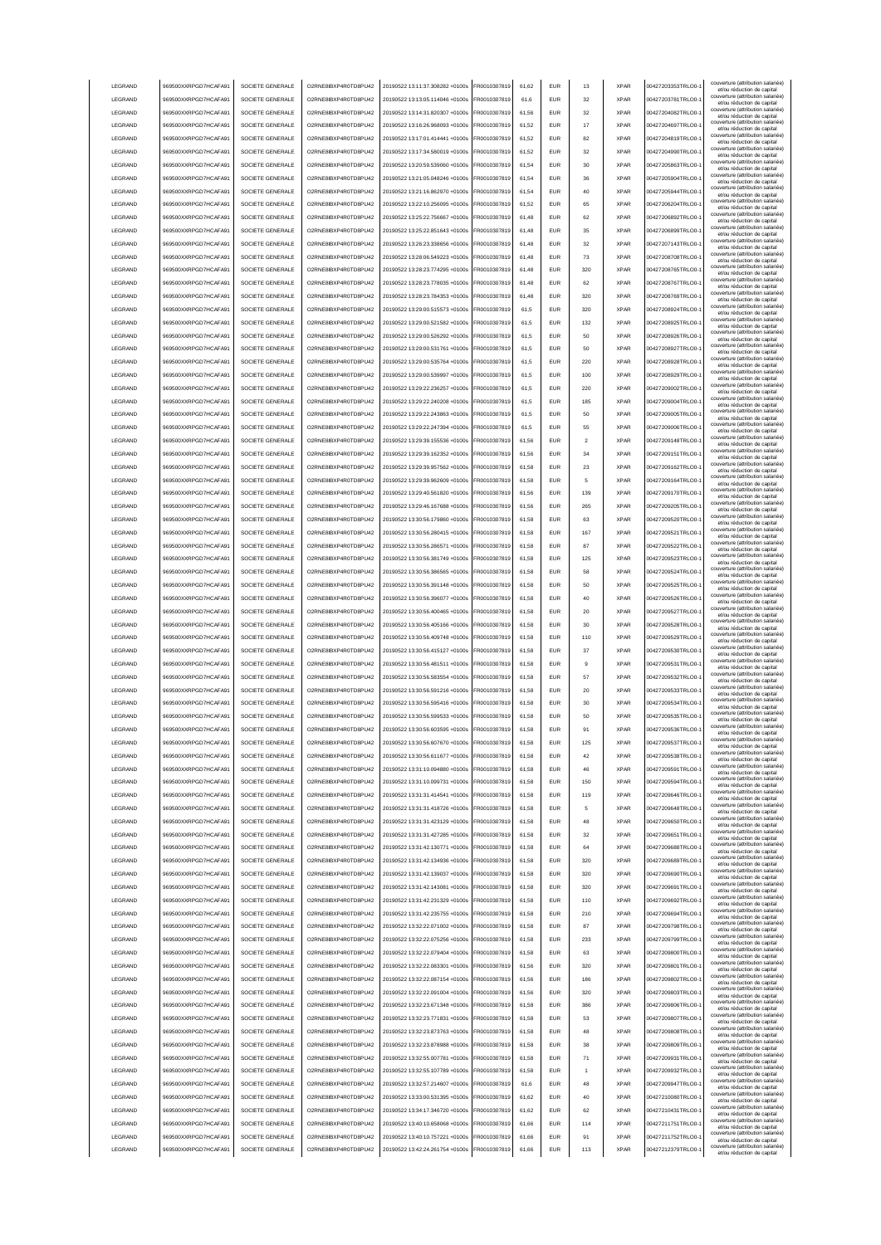| LEGRAND            | 969500XXRPGD7HCAFA91                         | SOCIETE GENERALE                     | O2RNE8IBXP4R0TD8PU42                         | 20190522 13:11:37.308282 +0100s                                    | FR0010307819                 | 61,62          | <b>EUR</b>        | 13             | <b>XPAR</b>                | 00427203353TRLO0-                      | couverture (attribution salariée)<br>et/ou réduction de capital |
|--------------------|----------------------------------------------|--------------------------------------|----------------------------------------------|--------------------------------------------------------------------|------------------------------|----------------|-------------------|----------------|----------------------------|----------------------------------------|-----------------------------------------------------------------|
| LEGRAND            | 969500XXRPGD7HCAFA91                         | SOCIETE GENERALE                     | O2RNE8IBXP4R0TD8PU42                         | 20190522 13:13:05.114046 +0100s                                    | FR0010307819                 | 61,6           | <b>EUR</b>        | 32             | <b>XPAR</b>                | 00427203781TRLO0-                      | couverture (attribution salariée)                               |
|                    |                                              |                                      |                                              |                                                                    |                              |                |                   |                |                            |                                        | et/ou réduction de capital<br>couverture (attribution salariée) |
| LEGRAND            | 969500XXRPGD7HCAFA91                         | SOCIETE GENERALE                     | O2RNE8IBXP4R0TD8PU42                         | 20190522 13:14:31.820307 +0100s                                    | FR0010307819                 | 61,56          | <b>EUR</b>        | 32             | <b>XPAR</b>                | 00427204082TRLO0-                      | et/ou réduction de capital                                      |
| LEGRAND            | 969500XXRPGD7HCAFA91                         | SOCIETE GENERALE                     | O2RNE8IBXP4R0TD8PU42                         | 20190522 13:16:26 968093 +0100s                                    | FR0010307819                 | 61.52          | <b>EUR</b>        | 17             | <b>XPAR</b>                | 00427204697TRLO0-                      | couverture (attribution salariée)<br>et/ou réduction de capital |
| LEGRAND            | 969500XXRPGD7HCAFA91                         | SOCIETE GENERALE                     | O2RNE8IBXP4R0TD8PU42                         | 20190522 13:17:01.414441 +0100s                                    | FR0010307819                 | 61.52          | <b>EUR</b>        | 82             | <b>XPAR</b>                | 00427204819TRLO0-                      | couverture (attribution salariée)<br>et/ou réduction de capital |
| LEGRAND            | 969500XXRPGD7HCAFA91                         | SOCIETE GENERALE                     | O2RNE8IBXP4R0TD8PU42                         | 20190522 13:17:34.580019 +0100s                                    | FR0010307819                 | 61.52          | <b>EUR</b>        | 32             | <b>XPAR</b>                | 00427204990TRLO0-                      | couverture (attribution salariée)<br>et/ou réduction de capital |
| <b>LEGRAND</b>     | 969500XXRPGD7HCAFA91                         | SOCIETE GENERALE                     | O2RNE8IBXP4R0TD8PU42                         | 20190522 13:20:59 539060 +0100s                                    | FR0010307819                 | 61.54          | EUR               | 30             | <b>XPAR</b>                | 00427205863TRLO0-                      | couverture (attribution salariée)                               |
|                    |                                              |                                      |                                              |                                                                    |                              |                |                   |                |                            |                                        | et/ou réduction de capital<br>couverture (attribution salariée) |
| LEGRAND            | 969500XXRPGD7HCAFA91                         | SOCIETE GENERALE                     | O2RNE8IBXP4R0TD8PU42                         | 20190522 13:21:05.048246 +0100s                                    | FR0010307819                 | 61,54          | EUR               | 36             | <b>XPAR</b>                | 00427205904TRLO0-                      | et/ou réduction de capital                                      |
| LEGRAND            | 969500XXRPGD7HCAFA91                         | SOCIETE GENERALE                     | O2RNE8IBXP4R0TD8PU42                         | 20190522 13:21:16.862970 +0100s                                    | FR0010307819                 | 61,54          | EUR               | 40             | <b>XPAR</b>                | 00427205944TRLO0-                      | couverture (attribution salariée)<br>et/ou réduction de capital |
| LEGRAND            | 969500XXRPGD7HCAFA91                         | SOCIETE GENERALE                     | O2RNE8IBXP4R0TD8PU42                         | 20190522 13:22:10.256095 +0100s                                    | R0010307819                  | 61,52          | <b>EUR</b>        | 65             | <b>XPAR</b>                | 00427206204TRLO0-                      | couverture (attribution salariée)<br>et/ou réduction de capital |
| LEGRAND            | 969500XXRPGD7HCAFA91                         | SOCIETE GENERALE                     | O2RNE8IBXP4R0TD8PU42                         | 20190522 13:25:22.756667 +0100s                                    | FR0010307819                 | 61,48          | EUR               | 62             | <b>XPAR</b>                | 00427206892TRLO0-                      | couverture (attribution salariée)                               |
|                    |                                              | SOCIETE GENERALE                     |                                              |                                                                    |                              |                |                   |                |                            |                                        | et/ou réduction de capital<br>couverture (attribution salariée) |
| LEGRAND            | 969500XXRPGD7HCAFA91                         |                                      | O2RNE8IBXP4R0TD8PU42                         | 20190522 13:25:22.851643 +0100s                                    | FR0010307819                 | 61,48          | EUR               | 35             | <b>XPAR</b>                | 00427206899TRLO0-                      | et/ou réduction de capital<br>couverture (attribution salariée) |
| LEGRAND            | 969500XXRPGD7HCAFA91                         | SOCIETE GENERALE                     | O2RNE8IBXP4R0TD8PU42                         | 20190522 13:26:23.338656 +0100s                                    | FR0010307819                 | 61,48          | EUR               | 32             | <b>XPAR</b>                | 00427207143TRLO0-                      | et/ou réduction de capital                                      |
| LEGRAND            | 969500XXRPGD7HCAFA91                         | SOCIETE GENERALE                     | O2RNE8IBXP4R0TD8PLI42                        | 20190522 13:28:06.549223 +0100s                                    | FR0010307819                 | 61,48          | <b>EUR</b>        | 73             | <b>XPAR</b>                | 00427208708TRLO0-                      | couverture (attribution salariée)<br>et/ou réduction de capital |
| LEGRAND            | 969500XXRPGD7HCAFA91                         | SOCIETE GENERALE                     | O2RNE8IBXP4R0TD8PU42                         | 20190522 13:28:23.774295 +0100s                                    | FR0010307819                 | 61,48          | <b>EUR</b>        | 320            | <b>XPAR</b>                | 00427208765TRLO0-                      | couverture (attribution salariée)                               |
| LEGRAND            | 969500XXRPGD7HCAFA91                         | SOCIETE GENERALE                     | O2RNE8IBXP4R0TD8PU42                         | 20190522 13:28:23.778035 +0100s                                    | FR0010307819                 | 61,48          | <b>EUR</b>        | 62             | <b>XPAR</b>                | 00427208767TRLO0-                      | et/ou réduction de capital<br>couverture (attribution salariée) |
|                    |                                              |                                      |                                              |                                                                    |                              |                |                   |                |                            |                                        | et/ou réduction de capital<br>couverture (attribution salariée) |
| LEGRAND            | 969500XXRPGD7HCAFA91                         | SOCIETE GENERALE                     | O2RNE8IBXP4R0TD8PU42                         | 20190522 13:28:23.784353 +0100s                                    | FR0010307819                 | 61.48          | <b>EUR</b>        | 320            | <b>XPAR</b>                | 00427208769TRLO0-                      | et/ou réduction de capital                                      |
| LEGRAND            | 969500XXRPGD7HCAFA91                         | SOCIETE GENERALE                     | O2RNE8IBXP4R0TD8PU42                         | 20190522 13:29:00.515573 +0100s                                    | FR0010307819                 | 61.5           | <b>EUR</b>        | 320            | <b>XPAR</b>                | 00427208924TRLO0-                      | couverture (attribution salariée)<br>et/ou réduction de capital |
| LEGRAND            | 969500XXRPGD7HCAFA91                         | SOCIETE GENERALE                     | O2RNE8IBXP4R0TD8PU42                         | 20190522 13:29:00.521582 +0100s                                    | FR0010307819                 | 61.5           | <b>EUR</b>        | 132            | <b>XPAR</b>                | 00427208925TRLO0-                      | couverture (attribution salariée)<br>et/ou réduction de capital |
| LEGRAND            | 969500XXRPGD7HCAFA91                         | SOCIETE GENERALE                     | O2RNE8IBXP4R0TD8PU42                         | 20190522 13:29:00.526292 +0100s                                    | FR0010307819                 | 61,5           | EUR               | 50             | <b>XPAR</b>                | 00427208926TRLO0-                      | couverture (attribution salariée)                               |
| LEGRAND            |                                              |                                      |                                              |                                                                    |                              |                | EUR               | 50             | <b>XPAR</b>                |                                        | et/ou réduction de capital<br>couverture (attribution salariée) |
|                    | 969500XXRPGD7HCAFA91                         | SOCIETE GENERALE                     | O2RNE8IBXP4R0TD8PU42                         | 20190522 13:29:00.531761 +0100s                                    | FR0010307819                 | 61.5           |                   |                |                            | 00427208927TRLO0-                      | et/ou réduction de capital<br>couverture (attribution salariée) |
| LEGRAND            | 969500XXRPGD7HCAFA91                         | SOCIETE GENERALE                     | O2RNE8IBXP4R0TD8PU42                         | 20190522 13:29:00.535764 +0100s                                    | FR0010307819                 | 61.5           | EUR               | 220            | <b>XPAR</b>                | 00427208928TRLO0-                      | et/ou réduction de capital                                      |
| <b>LEGRAND</b>     | 969500XXRPGD7HCAFA91                         | SOCIETE GENERALE                     | O2RNE8IBXP4R0TD8PU42                         | 20190522 13:29:00.539997 +0100s                                    | FR0010307819                 | 61.5           | EUR               | 100            | <b>XPAR</b>                | 00427208929TRLO0-                      | couverture (attribution salariée)<br>et/ou réduction de capital |
| LEGRAND            | 969500XXRPGD7HCAFA91                         | SOCIETE GENERALE                     | O2RNE8IBXP4R0TD8PU42                         | 20190522 13:29:22.236257 +0100s                                    | FR0010307819                 | 61,5           | EUR               | 220            | <b>XPAR</b>                | 00427209002TRLO0-                      | couverture (attribution salariée)<br>et/ou réduction de capital |
| LEGRAND            | 969500XXRPGD7HCAFA91                         | SOCIETE GENERALE                     | O2RNE8IBXP4R0TD8PU42                         | 20190522 13:29:22.240208 +0100s                                    | FR0010307819                 | 61,5           | <b>EUR</b>        | 185            | <b>XPAR</b>                | 00427209004TRLO0-                      | couverture (attribution salariée)                               |
|                    |                                              |                                      |                                              |                                                                    |                              |                |                   |                |                            |                                        | et/ou réduction de capital<br>couverture (attribution salariée) |
| LEGRAND            | 969500XXRPGD7HCAFA91                         | SOCIETE GENERALE                     | O2RNE8IBXP4R0TD8PU42                         | 20190522 13:29:22.243863 +0100s                                    | FR0010307819                 | 61,5           | EUR               | 50             | <b>XPAR</b>                | 00427209005TRLO0-                      | et/ou réduction de capital                                      |
| LEGRAND            | 969500XXRPGD7HCAFA91                         | SOCIETE GENERALE                     | O2RNE8IBXP4R0TD8PU42                         | 20190522 13:29:22 247394 +0100s                                    | FR0010307819                 | 61,5           | <b>EUR</b>        | 55             | <b>XPAR</b>                | 00427209006TRLO0-                      | couverture (attribution salariée)<br>et/ou réduction de capital |
| LEGRAND            | 969500XXRPGD7HCAFA91                         | SOCIETE GENERALE                     | O2RNE8IBXP4R0TD8PU42                         | 20190522 13:29:39.155536 +0100s                                    | FR0010307819                 | 61,56          | <b>EUR</b>        | $\overline{2}$ | <b>XPAR</b>                | 00427209148TRLO0-                      | couverture (attribution salariée)<br>et/ou réduction de capital |
| LEGRAND            | 969500XXRPGD7HCAFA91                         | SOCIETE GENERALE                     | O2RNE8IBXP4R0TD8PU42                         | 20190522 13:29:39.162352 +0100s                                    | FR0010307819                 | 61,56          | <b>EUR</b>        | 34             | <b>XPAR</b>                | 00427209151TRLO0-                      | couverture (attribution salariée)                               |
|                    |                                              |                                      |                                              |                                                                    |                              |                |                   |                |                            |                                        | et/ou réduction de capital<br>couverture (attribution salariée) |
| LEGRAND            | 969500XXRPGD7HCAFA91                         | SOCIETE GENERALE                     | O2RNE8IBXP4R0TD8PU42                         | 20190522 13:29:39.957562 +0100s                                    | FR0010307819                 | 61.58          | <b>EUR</b>        | 23             | <b>XPAR</b>                | 00427209162TRLO0-                      | et/ou réduction de capital                                      |
| LEGRAND            | 969500XXRPGD7HCAFA91                         | SOCIETE GENERALE                     | O2RNE8IBXP4R0TD8PU42                         | 20190522 13:29:39.962609 +0100s                                    | FR0010307819                 | 61.58          | <b>EUR</b>        | 5              | <b>XPAR</b>                | 00427209164TRLO0-                      | couverture (attribution salariée)<br>et/ou réduction de capital |
| LEGRAND            | 969500XXRPGD7HCAFA91                         | SOCIETE GENERALE                     | O2RNE8IBXP4R0TD8PU42                         | 20190522 13:29:40.561820 +0100s                                    | FR0010307819                 | 61.56          | <b>EUR</b>        | 139            | <b>XPAR</b>                | 00427209170TRLO0-                      | couverture (attribution salariée)                               |
| LEGRAND            | 969500XXRPGD7HCAFA91                         | SOCIETE GENERALE                     | O2RNE8IBXP4R0TD8PU42                         | 20190522 13:29:46.167688 +0100s                                    | FR0010307819                 | 61,56          | EUR               | 265            | <b>XPAR</b>                | 00427209205TRLO0-                      | et/ou réduction de capital<br>couverture (attribution salariée) |
|                    |                                              |                                      |                                              |                                                                    |                              |                |                   |                |                            |                                        | et/ou réduction de capital<br>couverture (attribution salariée) |
| LEGRAND            | 969500XXRPGD7HCAFA91                         | SOCIETE GENERALE                     | O2RNE8IBXP4R0TD8PU42                         | 20190522 13:30:56.179860 +0100s                                    | FR0010307819                 | 61,58          | EUR               | 63             | <b>XPAR</b>                | 00427209520TRLO0-                      | et/ou réduction de capital                                      |
| LEGRAND            | 969500XXRPGD7HCAFA91                         | SOCIETE GENERALE                     | O2RNE8IBXP4R0TD8PU42                         | 20190522 13:30:56.280415 +0100s                                    | FR0010307819                 | 61,58          | EUR               | 167            | <b>XPAR</b>                | 00427209521TRLO0-                      | couverture (attribution salariée)<br>et/ou réduction de capital |
| LEGRAND            | 969500XXRPGD7HCAFA91                         | SOCIETE GENERALE                     | O2RNE8IBXP4R0TD8PU42                         | 20190522 13:30:56.286571 +0100s                                    | FR0010307819                 | 61,58          | EUR               | 87             | <b>XPAR</b>                | 00427209522TRLO0-                      | couverture (attribution salariée)                               |
| LEGRAND            | 969500XXRPGD7HCAFA91                         | SOCIETE GENERALE                     | O2RNE8IBXP4R0TD8PU42                         | 20190522 13:30:56.381749 +0100s                                    | FR0010307819                 | 61,58          | EUR               | 125            | <b>XPAR</b>                | 00427209523TRLO0-                      | et/ou réduction de capital<br>couverture (attribution salariée) |
|                    |                                              |                                      |                                              |                                                                    |                              |                |                   |                |                            |                                        | et/ou réduction de capital<br>couverture (attribution salariée) |
| LEGRAND            | 969500XXRPGD7HCAFA91                         | SOCIETE GENERALE                     | O2RNE8IBXP4R0TD8PU42                         | 20190522 13:30:56.386565 +0100s                                    | FR0010307819                 | 61,58          | EUR               | 58             | <b>XPAR</b>                | 00427209524TRLO0-                      | et/ou réduction de capital                                      |
| LEGRAND            | 969500XXRPGD7HCAFA91                         | SOCIETE GENERALE                     | O2RNE8IBXP4R0TD8PU42                         | 20190522 13:30:56.391148 +0100s                                    | FR0010307819                 | 61,58          | EUR               | 50             | <b>XPAR</b>                | 00427209525TRLO0-                      | couverture (attribution salariée)<br>et/ou réduction de capital |
| LEGRAND            | 969500XXRPGD7HCAFA91                         | SOCIETE GENERALE                     | O2RNE8IBXP4R0TD8PU42                         | 20190522 13:30:56.396077 +0100s                                    | FR0010307819                 | 61,58          | <b>EUR</b>        | 40             | <b>XPAR</b>                | 00427209526TRLO0-                      | couverture (attribution salariée)<br>et/ou réduction de capital |
|                    |                                              |                                      |                                              |                                                                    |                              |                |                   |                |                            |                                        |                                                                 |
| LEGRAND            |                                              | SOCIETE GENERALE                     | O2RNE8IBXP4R0TD8PU42                         | 20190522 13:30:56.400465 +0100s                                    | FR0010307819                 |                | <b>EUR</b>        | 20             | <b>XPAR</b>                |                                        | couverture (attribution salariée)                               |
|                    | 969500XXRPGD7HCAFA91                         |                                      |                                              |                                                                    |                              | 61,58          |                   |                |                            | 00427209527TRLO0-                      | et/ou réduction de capital<br>couverture (attribution salariée) |
| LEGRAND            | 969500XXRPGD7HCAFA91                         | SOCIETE GENERALE                     | O2RNE8IBXP4R0TD8PU42                         | 20190522 13:30:56.405166 +0100s                                    | FR0010307819                 | 61,58          | <b>EUR</b>        | 30             | <b>XPAR</b>                | 00427209528TRLO0-                      | et/ou réduction de capital                                      |
| LEGRAND            | 969500XXRPGD7HCAFA91                         | SOCIETE GENERALE                     | O2RNE8IBXP4R0TD8PU42                         | 20190522 13:30:56.409748 +0100s                                    | FR0010307819                 | 61.58          | EUR               | 110            | <b>XPAR</b>                | 00427209529TRLO0-                      | couverture (attribution salariée)<br>et/ou réduction de capital |
| LEGRAND            | 969500XXRPGD7HCAFA91                         | SOCIETE GENERALE                     | O2RNE8IBXP4R0TD8PU42                         | 20190522 13:30:56.415127 +0100s                                    | FR0010307819                 | 61.58          | <b>EUR</b>        | 37             | <b>XPAR</b>                | 00427209530TRLO0-                      | couverture (attribution salariée)                               |
| LEGRAND            | 969500XXRPGD7HCAFA91                         | SOCIETE GENERALE                     | O2RNE8IBXP4R0TD8PU42                         | 20190522 13:30:56.481511 +0100s                                    | FR0010307819                 | 61.58          | <b>EUR</b>        | я              | <b>XPAR</b>                | 00427209531TRLO0-                      | et/ou réduction de capital<br>couverture (attribution salariée) |
|                    |                                              |                                      |                                              |                                                                    |                              |                |                   |                |                            |                                        | et/ou réduction de capital                                      |
| LEGRAND            | 969500XXRPGD7HCAFA91                         | SOCIETE GENERALE                     | O2RNE8IBXP4R0TD8PU42                         | 20190522 13:30:56.583554 +0100s                                    | FR0010307819                 | 61,58          | EUR               | 57             | <b>XPAR</b>                | 00427209532TRLO0-                      | couverture (attribution salariée)<br>et/ou réduction de capital |
| LEGRAND            | 969500XXRPGD7HCAFA91                         | SOCIETE GENERALE                     | O2RNE8IBXP4R0TD8PU42                         | 20190522 13:30:56.591216 +0100s                                    | FR0010307819                 | 61,58          | EUR               | 20             | <b>XPAR</b>                | 00427209533TRLO0-                      | couverture (attribution salariée)<br>et/ou réduction de capital |
| LEGRAND            | 969500XXRPGD7HCAFA91                         | SOCIETE GENERALE                     | O2RNE8IBXP4R0TD8PU42                         | 20190522 13:30:56.595416 +0100s                                    | FR0010307819                 | 61,58          | EUR               | 30             | <b>XPAR</b>                | 00427209534TRLO0-                      | couverture (attribution salariée)<br>et/ou réduction de capital |
| LEGRAND            | 969500XXRPGD7HCAFA91                         | SOCIETE GENERALE                     | O2RNE8IBXP4R0TD8PU42                         | 20190522 13:30:56.599533 +0100s                                    | FR0010307819                 | 61,58          | EUR               | 50             | <b>XPAR</b>                | 00427209535TRLO0-                      | couverture (attribution salariée)                               |
|                    |                                              |                                      |                                              |                                                                    |                              |                |                   |                |                            |                                        | et/ou réduction de capital<br>couverture (attribution salariée) |
| LEGRAND            | 969500XXRPGD7HCAFA91                         | SOCIETE GENERALE                     | O2RNE8IBXP4R0TD8PU42                         | 20190522 13:30:56.603595 +0100s                                    | FR0010307819                 | 61,58          | <b>EUR</b>        | 91             | <b>XPAR</b>                | 00427209536TRLO0-1                     | et/ou réduction de capital<br>couverture (attribution salariée) |
| LEGRAND            | 969500XXRPGD7HCAFA91                         | SOCIETE GENERALE                     | O2RNE8IBXP4R0TD8PU42                         | 20190522 13:30:56.607670 +0100s                                    | FR0010307819                 | 61,58          | <b>EUR</b>        | 125            | <b>XPAR</b>                | 00427209537TRLO0-                      | et/ou réduction de capita                                       |
| <b>I FGRAND</b>    | 969500XXRPGD7HCAFA91                         | SOCIETE GENERALE                     | O2RNE8IBXP4R0TD8PLI42                        | 20190522 13:30:56 611677 +0100s                                    | FR0010307819                 | 61.58          | <b>EUR</b>        | 42             | <b>XPAR</b>                | 00427209538TRLO0-                      | couverture (attribution salariée)<br>et/ou réduction de capital |
| <b>I FGRAND</b>    | 969500XXRPGD7HCAFA91                         | SOCIETE GENERALE                     | O2RNE8IBXP4R0TD8PLI42                        | 20190522 13:31:10.094880 +0100s                                    | FR0010307819                 | 61,58          | <b>EUR</b>        | 46             | <b>XPAR</b>                | 00427209591TRLO0-                      | couverture (attribution salariée)                               |
| LEGRAND            | 969500XXRPGD7HCAFA91                         | SOCIETE GENERALE                     | O2RNE8IBXP4R0TD8PU42                         | 20190522 13:31:10.099731 +0100s                                    |                              |                | <b>EUR</b>        | 150            | <b>XPAR</b>                | 00427209594TRLO0-                      | et/ou réduction de capital<br>couverture (attribution salariée) |
|                    |                                              |                                      |                                              |                                                                    | FR0010307819                 | 61,58          |                   |                |                            |                                        | et/ou réduction de capital                                      |
| LEGRAND            | 969500XXRPGD7HCAFA91                         | SOCIETE GENERALE                     | O2RNE8IBXP4R0TD8PU42                         | 20190522 13:31:31.414541 +0100s                                    | FR0010307819                 | 61,58          | <b>EUR</b>        | 119            | <b>XPAR</b>                | 00427209646TRLO0-                      | couverture (attribution salariée)<br>et/ou réduction de capital |
| LEGRAND            | 969500XXRPGD7HCAFA91                         | SOCIETE GENERALE                     | O2RNE8IBXP4R0TD8PU42                         | 20190522 13:31:31.418726 +0100s                                    | FR0010307819                 | 61.58          | <b>EUR</b>        | 5              | <b>XPAR</b>                | 00427209648TRLO0-                      | couverture (attribution salariée)<br>et/ou réduction de capital |
| LEGRAND            | 969500XXRPGD7HCAFA91                         | SOCIETE GENERALE                     | O2RNE8IBXP4R0TD8PU42                         | 20190522 13:31:31.423129 +0100s                                    | FR0010307819                 | 61.58          | <b>EUR</b>        | 48             | <b>XPAR</b>                | 00427209650TRLO0-                      | couverture (attribution salariée)<br>et/ou réduction de capital |
| LEGRAND            | 969500XXRPGD7HCAFA91                         | SOCIETE GENERALE                     | O2RNE8IBXP4R0TD8PU42                         | 20190522 13:31:31.427285 +0100s                                    | FR0010307819                 | 61.58          | <b>EUR</b>        | 32             | <b>XPAR</b>                | 00427209651TRLO0-                      | couverture (attribution salariée)                               |
|                    |                                              |                                      |                                              |                                                                    |                              |                |                   | 64             | <b>XPAR</b>                |                                        | et/ou réduction de capital<br>couverture (attribution salariée) |
| LEGRAND            | 969500XXRPGD7HCAFA91                         | SOCIETE GENERALE                     | O2RNE8IBXP4R0TD8PU42                         | 20190522 13:31:42.130771 +0100s                                    | FR0010307819                 | 61,58          | EUR               |                |                            | 00427209688TRLO0-                      | et/ou réduction de capital                                      |
| LEGRAND            | 969500XXRPGD7HCAFA91                         | SOCIETE GENERALE                     | O2RNE8IBXP4R0TD8PU42                         | 20190522 13:31:42.134936 +0100s                                    | FR0010307819                 | 61,58          | EUR               | 320            | <b>XPAR</b>                | 00427209689TRLO0-1                     | couverture (attribution salariée)<br>et/ou réduction de capital |
| LEGRAND            | 969500XXRPGD7HCAFA91                         | SOCIETE GENERALE                     | O2RNE8IBXP4R0TD8PU42                         | 20190522 13:31:42.139037 +0100s                                    | FR0010307819                 | 61,58          | EUR               | 320            | <b>XPAR</b>                | 00427209690TRLO0-                      | couverture (attribution salariée)<br>et/ou réduction de capital |
| LEGRAND            | 969500XXRPGD7HCAFA91                         | SOCIETE GENERALE                     | O2RNE8IBXP4R0TD8PU42                         | 20190522 13:31:42.143081 +0100s                                    | R0010307819                  | 61,58          | <b>EUR</b>        | 320            | <b>XPAR</b>                | 00427209691TRLO0-                      | couverture (attribution salariée)<br>et/ou réduction de capital |
|                    | 969500XXRPGD7HCAFA91                         |                                      | O2RNE8IBXP4R0TD8PU42                         |                                                                    | FR0010307819                 | 61,58          | <b>EUR</b>        | 110            | <b>XPAR</b>                | 00427209692TRLO0-                      | couverture (attribution salariée)                               |
| LEGRAND            |                                              | SOCIETE GENERALE                     |                                              | 20190522 13:31:42.231329 +0100s                                    |                              |                |                   |                |                            |                                        | et/ou réduction de capital<br>couverture (attribution salariée) |
| LEGRAND            | 969500XXRPGD7HCAFA91                         | SOCIETE GENERALE                     | O2RNE8IBXP4R0TD8PU42                         | 20190522 13:31:42.235755 +0100s                                    | FR0010307819                 | 61,58          | <b>EUR</b>        | 210            | <b>XPAR</b>                | 00427209694TRLO0-1                     | et/ou réduction de capital                                      |
| LEGRAND            | 969500XXRPGD7HCAFA91                         | SOCIETE GENERALE                     | O2RNE8IBXP4R0TD8PU42                         | 20190522 13:32:22.071002 +0100s                                    | FR0010307819                 | 61.58          | <b>EUR</b>        | 87             | <b>XPAR</b>                | 00427209798TRLO0-                      | couverture (attribution salariée)<br>et/ou réduction de capital |
| LEGRAND            | 969500XXRPGD7HCAFA91                         | SOCIETE GENERALE                     | O2RNE8IBXP4R0TD8PU42                         | 20190522 13:32:22.075256 +0100s                                    | FR0010307819                 | 61,58          | <b>EUR</b>        | 233            | <b>XPAR</b>                | 00427209799TRLO0-                      | couverture (attribution salariée)<br>et/ou réduction de capital |
| LEGRAND            | 969500XXRPGD7HCAFA91                         | SOCIETE GENERALE                     | O2RNE8IBXP4R0TD8PU42                         | 20190522 13:32:22.079404 +0100s                                    | FR0010307819                 | 61,58          | <b>EUR</b>        | 63             | <b>XPAR</b>                | 00427209800TRLO0-                      | couverture (attribution salariée)                               |
|                    |                                              |                                      |                                              |                                                                    |                              |                |                   |                |                            |                                        | et/ou réduction de capital<br>couverture (attribution salariée) |
| LEGRAND            | 969500XXRPGD7HCAFA91                         | SOCIETE GENERALE                     | O2RNE8IBXP4R0TD8PU42                         | 20190522 13:32:22.083301 +0100s                                    | FR0010307819                 | 61.56          | <b>EUR</b>        | 320            | <b>XPAR</b>                | 00427209801TRLO0-                      | et/ou réduction de capital                                      |
| LEGRAND            | 969500XXRPGD7HCAFA91                         | SOCIETE GENERALE                     | O2RNE8IBXP4R0TD8PU42                         | 20190522 13:32:22.087154 +0100s                                    | FR0010307819                 | 61.56          | <b>EUR</b>        | 186            | <b>XPAR</b>                | 00427209802TRLO0-                      | couverture (attribution salariée)<br>et/ou réduction de capital |
| LEGRAND            | 969500XXRPGD7HCAFA91                         | SOCIETE GENERALE                     | O2RNE8IBXP4R0TD8PU42                         | 20190522 13:32:22.091004 +0100s                                    | FR0010307819                 | 61.56          | <b>EUR</b>        | 320            | <b>XPAR</b>                | 00427209803TRLO0-                      | couverture (attribution salariée)<br>et/ou réduction de capital |
| LEGRAND            | 969500XXRPGD7HCAFA91                         | SOCIETE GENERALE                     | O2RNE8IBXP4R0TD8PU42                         | 20190522 13:32:23.671348 +0100s                                    | FR0010307819                 | 61,58          | EUR               | 386            | <b>XPAR</b>                | 00427209806TRLO0-1                     | couverture (attribution salariée)                               |
|                    |                                              |                                      |                                              |                                                                    |                              |                |                   |                |                            |                                        | et/ou réduction de capital<br>couverture (attribution salariée) |
| LEGRAND            | 969500XXRPGD7HCAFA91                         | SOCIETE GENERALE                     | O2RNE8IBXP4R0TD8PU42                         | 20190522 13:32:23.771831 +0100s                                    | FR0010307819                 | 61,58          | EUR               | 53             | <b>XPAR</b>                | 00427209807TRLO0-1                     | et/ou réduction de capital                                      |
| LEGRAND            | 969500XXRPGD7HCAFA91                         | SOCIETE GENERALE                     | O2RNE8IBXP4R0TD8PU42                         | 20190522 13:32:23.873763 +0100s                                    | FR0010307819                 | 61,58          | EUR               | 48             | <b>XPAR</b>                | 00427209808TRLO0-1                     | couverture (attribution salariée)<br>et/ou réduction de capital |
| LEGRAND            | 969500XXRPGD7HCAFA91                         | SOCIETE GENERALE                     | O2RNE8IBXP4R0TD8PU42                         | 20190522 13:32:23.878988 +0100s                                    | FR0010307819                 | 61,58          | EUR               | 38             | <b>XPAR</b>                | 00427209809TRLO0-1                     | couverture (attribution salariée)<br>et/ou réduction de capital |
| LEGRAND            | 969500XXRPGD7HCAFA91                         | SOCIETE GENERALE                     | O2RNE8IBXP4R0TD8PU42                         | 20190522 13:32:55.007781 +0100s                                    | FR0010307819                 | 61,58          | <b>EUR</b>        | 71             | <b>XPAR</b>                | 00427209931TRLO0-                      | couverture (attribution salariée)<br>et/ou réduction de capital |
|                    |                                              |                                      |                                              |                                                                    |                              |                |                   |                |                            |                                        | couverture (attribution salariée)                               |
| LEGRAND            | 969500XXRPGD7HCAFA91                         | SOCIETE GENERALE                     | O2RNE8IBXP4R0TD8PU42                         | 20190522 13:32:55.107789 +0100s                                    | FR0010307819                 | 61,58          | <b>EUR</b>        |                | <b>XPAR</b>                | 00427209932TRLO0-                      | et/ou réduction de capital<br>couverture (attribution salariée) |
| LEGRAND            | 969500XXRPGD7HCAFA91                         | SOCIETE GENERALE                     | O2RNE8IBXP4R0TD8PU42                         | 20190522 13:32:57.214607 +0100s                                    | FR0010307819                 | 61,6           | <b>EUR</b>        | 48             | <b>XPAR</b>                | 00427209947TRLO0-                      | et/ou réduction de capital                                      |
| <b>I FGRAND</b>    | 969500XXRPGD7HCAFA91                         | SOCIETE GENERALE                     | O2RNE8IBXP4R0TD8PU42                         | 20190522 13:33:00.531395 +0100s                                    | FR0010307819                 | 61,62          | <b>EUR</b>        | 40             | <b>XPAR</b>                | 00427210080TRLO0-                      | couverture (attribution salariée)<br>et/ou réduction de capital |
| <b>I FGRAND</b>    | 969500XXRPGD7HCAFA91                         | SOCIETE GENERALE                     | O2RNE8IBXP4R0TD8PU42                         | 20190522 13:34:17.346720 +0100s                                    | FR0010307819                 | 61,62          | <b>EUR</b>        | 62             | <b>XPAR</b>                | 00427210431TRLO0-                      | couverture (attribution salariée)<br>et/ou réduction de capital |
| <b>I FGRAND</b>    | 969500XXRPGD7HCAFA91                         | SOCIETE GENERALE                     | O2RNE8IBXP4R0TD8PU42                         | 20190522 13:40:10.658068 +0100s                                    | FR0010307819                 | 61.66          | <b>EUR</b>        | 114            | <b>XPAR</b>                | 00427211751TRLO0-                      | couverture (attribution salariée)                               |
|                    |                                              |                                      |                                              |                                                                    |                              |                |                   |                |                            |                                        | et/ou réduction de capital<br>couverture (attribution salariée) |
| LEGRAND<br>LEGRAND | 969500XXRPGD7HCAFA91<br>969500XXRPGD7HCAFA91 | SOCIETE GENERALE<br>SOCIETE GENERALE | O2RNE8IBXP4R0TD8PU42<br>O2RNE8IBXP4R0TD8PU42 | 20190522 13:40:10.757221 +0100s<br>20190522 13:42:24.261754 +0100s | FR0010307819<br>FR0010307819 | 61.66<br>61.66 | <b>EUR</b><br>EUR | 91<br>113      | <b>XPAR</b><br><b>XPAR</b> | 00427211752TRLO0-<br>00427212379TRLO0- | et/ou réduction de capital<br>couverture (attribution salariée) |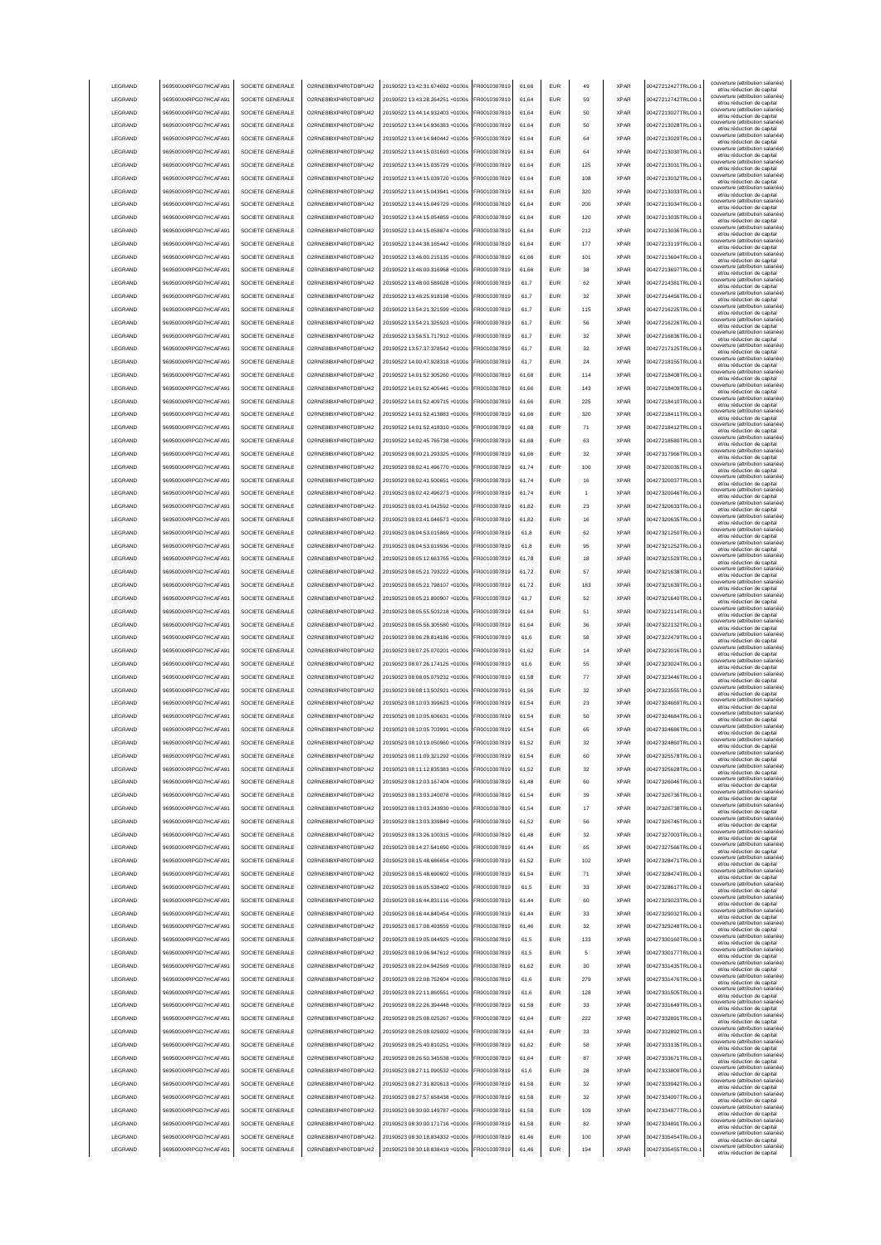| LEGRAND            | 969500XXRPGD7HCAFA91                         | SOCIETE GENERALE                     | O2RNE8IBXP4R0TD8PU42                         | 20190522 13:42:31.674692 +0100s                                    | FR0010307819                 | 61,66          | <b>EUR</b>        | 49         | <b>XPAR</b>                | 00427212427TRLO0-                      | couverture (attribution salariée)<br>et/ou réduction de capital |
|--------------------|----------------------------------------------|--------------------------------------|----------------------------------------------|--------------------------------------------------------------------|------------------------------|----------------|-------------------|------------|----------------------------|----------------------------------------|-----------------------------------------------------------------|
| LEGRAND            | 969500XXRPGD7HCAFA91                         | SOCIETE GENERALE                     | O2RNE8IBXP4R0TD8PU42                         | 20190522 13:43:28.264251 +0100s                                    | FR0010307819                 | 61,64          | <b>EUR</b>        | 59         | <b>XPAR</b>                | 00427212742TRLO0-                      | couverture (attribution salariée)                               |
|                    |                                              |                                      |                                              |                                                                    |                              |                |                   |            |                            |                                        | et/ou réduction de capital<br>couverture (attribution salariée) |
| LEGRAND            | 969500XXRPGD7HCAFA91                         | SOCIETE GENERALE                     | O2RNE8IBXP4R0TD8PU42                         | 20190522 13:44:14.932403 +0100s                                    | FR0010307819                 | 61,64          | <b>EUR</b>        | 50         | <b>XPAR</b>                | 00427213027TRLO0-                      | et/ou réduction de capital<br>couverture (attribution salariée) |
| LEGRAND            | 969500XXRPGD7HCAFA91                         | SOCIETE GENERALE                     | O2RNE8IBXP4R0TD8PLI42                        | 20190522 13:44:14.936383 +0100s                                    | FR0010307819                 | 61.64          | <b>EUR</b>        | 50         | <b>XPAR</b>                | 00427213028TRLO0-                      | et/ou réduction de capital                                      |
| LEGRAND            | 969500XXRPGD7HCAFA91                         | SOCIETE GENERALE                     | O2RNE8IBXP4R0TD8PU42                         | 20190522 13:44:14.940442 +0100s                                    | FR0010307819                 | 61.64          | <b>EUR</b>        | 64         | <b>XPAR</b>                | 00427213029TRLO0-                      | couverture (attribution salariée)<br>et/ou réduction de capital |
| LEGRAND            | 969500XXRPGD7HCAFA91                         | SOCIETE GENERALE                     | O2RNE8IBXP4R0TD8PU42                         | 20190522 13:44:15.031693 +0100s                                    | FR0010307819                 | 61.64          | <b>EUR</b>        | 64         | <b>XPAR</b>                | 00427213030TRLO0-                      | couverture (attribution salariée)<br>et/ou réduction de capital |
| <b>LEGRAND</b>     | 969500XXRPGD7HCAFA91                         | SOCIETE GENERALE                     | O2RNE8IBXP4R0TD8PU42                         | 20190522 13:44:15 035729 +0100s                                    | FR0010307819                 | 61.64          | EUR               | 125        | <b>XPAR</b>                | 00427213031TRLO0-                      | couverture (attribution salariée)                               |
|                    |                                              |                                      |                                              |                                                                    |                              |                |                   |            |                            |                                        | et/ou réduction de capital<br>couverture (attribution salariée) |
| LEGRAND            | 969500XXRPGD7HCAFA91                         | SOCIETE GENERALE                     | O2RNE8IBXP4R0TD8PU42                         | 20190522 13:44:15.039720 +0100s                                    | R0010307819                  | 61,64          | EUR               | 108        | <b>XPAR</b>                | 00427213032TRLO0-                      | et/ou réduction de capital                                      |
| LEGRAND            | 969500XXRPGD7HCAFA91                         | SOCIETE GENERALE                     | O2RNE8IBXP4R0TD8PU42                         | 20190522 13:44:15.043941 +0100s                                    | FR0010307819                 | 61,64          | EUR               | 320        | <b>XPAR</b>                | 00427213033TRLO0-                      | couverture (attribution salariée)<br>et/ou réduction de capital |
| LEGRAND            | 969500XXRPGD7HCAFA91                         | SOCIETE GENERALE                     | O2RNE8IBXP4R0TD8PU42                         | 20190522 13:44:15.049729 +0100s                                    | R0010307819                  | 61,64          | EUR               | 200        | <b>XPAR</b>                | 00427213034TRLO0-                      | couverture (attribution salariée)<br>et/ou réduction de capital |
| LEGRAND            | 969500XXRPGD7HCAFA91                         | SOCIETE GENERALE                     | O2RNE8IBXP4R0TD8PU42                         | 20190522 13:44:15.054859 +0100s                                    | FR0010307819                 | 61,64          | EUR               | 120        | <b>XPAR</b>                | 00427213035TRLO0-                      | couverture (attribution salariée)                               |
|                    |                                              |                                      |                                              |                                                                    |                              |                |                   |            |                            |                                        | et/ou réduction de capital<br>couverture (attribution salariée) |
| LEGRAND            | 969500XXRPGD7HCAFA91                         | SOCIETE GENERALE                     | O2RNE8IBXP4R0TD8PU42                         | 20190522 13:44:15.058874 +0100s                                    | FR0010307819                 | 61,64          | EUR               | 212        | <b>XPAR</b>                | 00427213036TRLO0-                      | et/ou réduction de capital                                      |
| LEGRAND            | 969500XXRPGD7HCAFA91                         | SOCIETE GENERALE                     | O2RNE8IBXP4R0TD8PU42                         | 20190522 13:44:38.165442 +0100s                                    | FR0010307819                 | 61,64          | EUR               | 177        | <b>XPAR</b>                | 00427213119TRLO0-                      | couverture (attribution salariée)<br>et/ou réduction de capital |
| LEGRAND            | 969500XXRPGD7HCAFA91                         | SOCIETE GENERALE                     | O2RNE8IBXP4R0TD8PLI42                        | 20190522 13:46:00.215135 +0100s                                    | FR0010307819                 | 61,66          | <b>EUR</b>        | 101        | <b>XPAR</b>                | 00427213694TRLO0-                      | couverture (attribution salariée)<br>et/ou réduction de capital |
| LEGRAND            | 969500XXRPGD7HCAFA91                         | SOCIETE GENERALE                     | O2RNE8IBXP4R0TD8PU42                         | 20190522 13:46:00.316968 +0100s                                    | FR0010307819                 | 61,66          | <b>EUR</b>        | 38         | <b>XPAR</b>                | 00427213697TRLO0-                      | couverture (attribution salariée)                               |
|                    |                                              |                                      |                                              |                                                                    |                              |                |                   |            |                            |                                        | et/ou réduction de capital<br>couverture (attribution salariée) |
| LEGRAND            | 969500XXRPGD7HCAFA91                         | SOCIETE GENERALE                     | O2RNE8IBXP4R0TD8PU42                         | 20190522 13:48:00.589028 +0100s                                    | FR0010307819                 | 61,7           | <b>EUR</b>        | 62         | <b>XPAR</b>                | 00427214381TRLO0-                      | et/ou réduction de capital                                      |
| LEGRAND            | 969500XXRPGD7HCAFA91                         | SOCIETE GENERALE                     | O2RNE8IBXP4R0TD8PU42                         | 20190522 13:48:25.918198 +0100s                                    | FR0010307819                 | 61.7           | <b>EUR</b>        | 32         | <b>XPAR</b>                | 00427214456TRLO0-                      | couverture (attribution salariée)<br>et/ou réduction de capital |
| LEGRAND            | 969500XXRPGD7HCAFA91                         | SOCIETE GENERALE                     | O2RNE8IBXP4R0TD8PU42                         | 20190522 13:54:21.321599 +0100s                                    | FR0010307819                 | 61.7           | <b>EUR</b>        | 115        | <b>XPAR</b>                | 00427216225TRLO0-                      | couverture (attribution salariée)<br>et/ou réduction de capital |
| LEGRAND            | 969500XXRPGD7HCAFA91                         | SOCIETE GENERALE                     | O2RNE8IBXP4R0TD8PU42                         | 20190522 13:54:21.325923 +0100s                                    | FR0010307819                 | 61.7           | <b>EUR</b>        | 56         | <b>XPAR</b>                | 00427216226TRLO0-                      | couverture (attribution salariée)                               |
|                    |                                              |                                      |                                              |                                                                    |                              |                |                   |            |                            |                                        | et/ou réduction de capital<br>couverture (attribution salariée  |
| LEGRAND            | 969500XXRPGD7HCAFA91                         | SOCIETE GENERALE                     | O2RNE8IBXP4R0TD8PU42                         | 20190522 13:56:51.717912 +0100s                                    | FR0010307819                 | 61,7           | EUR               | 32         | <b>XPAR</b>                | 00427216836TRLO0-                      | et/ou réduction de capital                                      |
| LEGRAND            | 969500XXRPGD7HCAFA91                         | SOCIETE GENERALE                     | O2RNE8IBXP4R0TD8PU42                         | 20190522 13:57:37.378542 +0100s                                    | FR0010307819                 | 61,7           | EUR               | 32         | <b>XPAR</b>                | 00427217125TRLO0-                      | couverture (attribution salariée)<br>et/ou réduction de capital |
| LEGRAND            | 969500XXRPGD7HCAFA91                         | SOCIETE GENERALE                     | O2RNE8IBXP4R0TD8PU42                         | 20190522 14:00:47.928318 +0100s                                    | FR0010307819                 | 61.7           | EUR               | 24         | <b>XPAR</b>                | 00427218155TRLO0-                      | couverture (attribution salariée)<br>et/ou réduction de capital |
| <b>LEGRAND</b>     | 969500XXRPGD7HCAFA91                         | SOCIETE GENERALE                     | O2RNE8IBXP4R0TD8PU42                         | 20190522 14:01:52 305260 +0100s                                    | FR0010307819                 | 61,68          | EUR               | 114        | <b>XPAR</b>                | 00427218408TRLO0-                      | couverture (attribution salariée)                               |
|                    |                                              |                                      |                                              |                                                                    |                              |                |                   |            |                            |                                        | et/ou réduction de capital<br>couverture (attribution salariée) |
| LEGRAND            | 969500XXRPGD7HCAFA91                         | SOCIETE GENERALE                     | O2RNE8IBXP4R0TD8PU42                         | 20190522 14:01:52.405441 +0100s                                    | FR0010307819                 | 61,66          | EUR               | 143        | <b>XPAR</b>                | 00427218409TRLO0-                      | et/ou réduction de capital                                      |
| LEGRAND            | 969500XXRPGD7HCAFA91                         | SOCIETE GENERALE                     | O2RNE8IBXP4R0TD8PU42                         | 20190522 14:01:52.409715 +0100s                                    | FR0010307819                 | 61,66          | <b>EUR</b>        | 225        | <b>XPAR</b>                | 00427218410TRLO0-                      | couverture (attribution salariée)<br>et/ou réduction de capital |
| LEGRAND            | 969500XXRPGD7HCAFA91                         | SOCIETE GENERALE                     | O2RNE8IBXP4R0TD8PU42                         | 20190522 14:01:52.413883 +0100s                                    | FR0010307819                 | 61,66          | EUR               | 320        | <b>XPAR</b>                | 00427218411TRLO0-                      | couverture (attribution salariée)<br>et/ou réduction de capital |
| LEGRAND            | 969500XXRPGD7HCAFA91                         | SOCIETE GENERALE                     | O2RNE8IBXP4R0TD8PU42                         | 20190522 14:01:52.418310 +0100s                                    | FR0010307819                 | 61,68          | <b>EUR</b>        | 71         | <b>XPAR</b>                | 00427218412TRLO0-                      | couverture (attribution salariée)                               |
|                    |                                              |                                      |                                              |                                                                    |                              |                |                   |            |                            |                                        | et/ou réduction de capital<br>couverture (attribution salariée) |
| LEGRAND            | 969500XXRPGD7HCAFA91                         | SOCIETE GENERALE                     | O2RNE8IBXP4R0TD8PU42                         | 20190522 14:02:45.765738 +0100s                                    | FR0010307819                 | 61,68          | <b>EUR</b>        | 63         | <b>XPAR</b>                | 00427218580TRLO0-                      | et/ou réduction de capital                                      |
| LEGRAND            | 969500XXRPGD7HCAFA91                         | SOCIETE GENERALE                     | O2RNE8IBXP4R0TD8PU42                         | 20190523 08:00:21.293325 +0100s                                    | FR0010307819                 | 61,66          | <b>EUR</b>        | 32         | <b>XPAR</b>                | 00427317966TRLO0-                      | couverture (attribution salariée)<br>et/ou réduction de capital |
| LEGRAND            | 969500XXRPGD7HCAFA91                         | SOCIETE GENERALE                     | O2RNE8IBXP4R0TD8PU42                         | 20190523 08:02:41.496770 +0100s                                    | FR0010307819                 | 61.74          | <b>EUR</b>        | 100        | <b>XPAR</b>                | 00427320035TRLO0-                      | couverture (attribution salariée)<br>et/ou réduction de capital |
| LEGRAND            | 969500XXRPGD7HCAFA91                         | SOCIETE GENERALE                     | O2RNE8IBXP4R0TD8PU42                         | 20190523 08:02:41.500651 +0100s                                    | FR0010307819                 | 61.74          | <b>EUR</b>        | 16         | <b>XPAR</b>                | 00427320037TRLO0-                      | couverture (attribution salariée)                               |
|                    |                                              |                                      |                                              |                                                                    |                              |                |                   |            |                            |                                        | et/ou réduction de capital<br>couverture (attribution salariée) |
| LEGRAND            | 969500XXRPGD7HCAFA91                         | SOCIETE GENERALE                     | O2RNE8IBXP4R0TD8PU42                         | 20190523 08:02:42.496273 +0100s                                    | FR0010307819                 | 61.74          | <b>EUR</b>        | -1         | <b>XPAR</b>                | 00427320046TRLO0-                      | et/ou réduction de capital                                      |
| LEGRAND            | 969500XXRPGD7HCAFA91                         | SOCIETE GENERALE                     | O2RNE8IBXP4R0TD8PU42                         | 20190523 08:03:41.042592 +0100s                                    | FR0010307819                 | 61,82          | EUR               | 23         | <b>XPAR</b>                | 00427320633TRLO0-                      | couverture (attribution salariée)<br>et/ou réduction de capital |
| LEGRAND            | 969500XXRPGD7HCAFA91                         | SOCIETE GENERALE                     | O2RNE8IBXP4R0TD8PU42                         | 20190523 08:03:41.046573 +0100s                                    | FR0010307819                 | 61,82          | EUR               | 16         | <b>XPAR</b>                | 00427320635TRLO0-                      | couverture (attribution salariée)<br>et/ou réduction de capital |
| LEGRAND            | 969500XXRPGD7HCAFA91                         | SOCIETE GENERALE                     | O2RNE8IBXP4R0TD8PU42                         | 20190523 08:04:53.015869 +0100s                                    | FR0010307819                 | 61,8           | EUR               | 62         | <b>XPAR</b>                | 00427321250TRLO0-                      | couverture (attribution salariée)                               |
|                    |                                              |                                      |                                              |                                                                    |                              |                |                   |            |                            |                                        | et/ou réduction de capital<br>couverture (attribution salariée) |
| LEGRAND            | 969500XXRPGD7HCAFA91                         | SOCIETE GENERALE                     | O2RNE8IBXP4R0TD8PU42                         | 20190523 08:04:53.019936 +0100s                                    | R0010307819                  | 61,8           | EUR               | 95         | <b>XPAR</b>                | 00427321252TRLO0-                      | et/ou réduction de capital<br>couverture (attribution salariée) |
| LEGRAND            | 969500XXRPGD7HCAFA91                         | SOCIETE GENERALE                     | O2RNE8IBXP4R0TD8PU42                         | 20190523 08:05:12.663765 +0100s                                    | FR0010307819                 | 61,78          | EUR               | 18         | <b>XPAR</b>                | 00427321529TRLO0-                      | et/ou réduction de capital                                      |
| LEGRAND            | 969500XXRPGD7HCAFA91                         | SOCIETE GENERALE                     | O2RNE8IBXP4R0TD8PU42                         | 20190523 08:05:21.793222 +0100s                                    | FR0010307819                 | 61,72          | EUR               | 57         | <b>XPAR</b>                | 00427321638TRLO0-                      | couverture (attribution salariée)<br>et/ou réduction de capital |
| LEGRAND            | 969500XXRPGD7HCAFA91                         | SOCIETE GENERALE                     | O2RNE8IBXP4R0TD8PU42                         | 20190523 08:05:21.798107 +0100s                                    | FR0010307819                 | 61,72          | EUR               | 183        | <b>XPAR</b>                | 00427321639TRLO0-                      | couverture (attribution salariée)                               |
|                    |                                              |                                      |                                              |                                                                    |                              |                |                   |            |                            |                                        | et/ou réduction de capital<br>couverture (attribution salariée) |
| LEGRAND            | 969500XXRPGD7HCAFA91                         |                                      | O2RNE8IBXP4R0TD8PU42                         | 20190523 08:05:21.890907 +0100s                                    | FR0010307819                 | 61,7           | <b>EUR</b>        | 52         | <b>XPAR</b>                | 00427321640TRLO0-                      | et/ou réduction de capital                                      |
|                    |                                              | SOCIETE GENERALE                     |                                              |                                                                    |                              |                |                   |            |                            |                                        |                                                                 |
| LEGRAND            | 969500XXRPGD7HCAFA91                         | SOCIETE GENERALE                     | O2RNE8IBXP4R0TD8PU42                         | 20190523 08:05:55.503218 +0100s                                    | FR0010307819                 | 61,64          | <b>EUR</b>        | 51         | <b>XPAR</b>                | 00427322114TRLO0-                      | couverture (attribution salariée)<br>et/ou réduction de capital |
| LEGRAND            | 969500XXRPGD7HCAFA91                         | SOCIETE GENERALE                     | O2RNE8IBXP4R0TD8PU42                         | 20190523 08:05:56.305580 +0100s                                    | FR0010307819                 | 61,64          | <b>EUR</b>        | 36         | <b>XPAR</b>                | 00427322132TRLO0-                      | couverture (attribution salariée)                               |
| LEGRAND            | 969500XXRPGD7HCAFA91                         | SOCIETE GENERALE                     | O2RNE8IBXP4R0TD8PU42                         | 20190523 08:06:28.814186 +0100s                                    | FR0010307819                 | 61.6           | EUR               | 58         | <b>XPAR</b>                | 00427322479TRLO0-                      | et/ou réduction de capital<br>couverture (attribution salariée) |
|                    |                                              |                                      |                                              |                                                                    |                              |                |                   |            |                            |                                        | et/ou réduction de capital<br>couverture (attribution salariée) |
| LEGRAND            | 969500XXRPGD7HCAFA91                         | SOCIETE GENERALE                     | O2RNE8IBXP4R0TD8PU42                         | 20190523 08:07:25.070201 +0100s                                    | FR0010307819                 | 61.62          | <b>EUR</b>        | 14         | <b>XPAR</b>                | 00427323016TRLO0-                      | et/ou réduction de capital                                      |
| LEGRAND            | 969500XXRPGD7HCAFA91                         | SOCIETE GENERALE                     | O2RNE8IBXP4R0TD8PU42                         | 20190523 08:07:26.174125 +0100s                                    | FR0010307819                 | 61.6           | <b>EUR</b>        | 55         | <b>XPAR</b>                | 00427323024TRLO0-                      | couverture (attribution salariée)<br>et/ou réduction de capital |
| LEGRAND            | 969500XXRPGD7HCAFA91                         | SOCIETE GENERALE                     | O2RNE8IBXP4R0TD8PU42                         | 20190523 08:08:05.079232 +0100s                                    | FR0010307819                 | 61,58          | EUR               | 77         | <b>XPAR</b>                | 00427323446TRLO0-                      | couverture (attribution salariée)                               |
|                    |                                              |                                      |                                              |                                                                    | FR0010307819                 | 61,56          | EUR               | 32         | <b>XPAR</b>                |                                        | et/ou réduction de capital<br>couverture (attribution salariée) |
| LEGRAND            | 969500XXRPGD7HCAFA91                         | SOCIETE GENERALE                     | O2RNE8IBXP4R0TD8PU42                         | 20190523 08:08:13.502921 +0100s                                    |                              |                |                   |            |                            | 00427323555TRLO0-                      | et/ou réduction de capital                                      |
| LEGRAND            | 969500XXRPGD7HCAFA91                         | SOCIETE GENERALE                     | O2RNE8IBXP4R0TD8PU42                         | 20190523 08:10:03.399623 +0100s                                    | FR0010307819                 | 61,54          | EUR               | 23         | <b>XPAR</b>                | 00427324669TRLO0-                      | couverture (attribution salariée)<br>et/ou réduction de capital |
| LEGRAND            | 969500XXRPGD7HCAFA91                         | SOCIETE GENERALE                     | O2RNE8IBXP4R0TD8PU42                         | 20190523 08:10:05.606631 +0100s                                    | FR0010307819                 | 61,54          | EUR               | 50         | <b>XPAR</b>                | 00427324684TRLO0-                      | couverture (attribution salariée)<br>et/ou réduction de capital |
| LEGRAND            | 969500XXRPGD7HCAFA91                         | SOCIETE GENERALE                     | O2RNE8IBXP4R0TD8PU42                         | 20190523 08:10:05.703991 +0100s                                    | FR0010307819                 | 61,54          | <b>EUR</b>        | 65         | <b>XPAR</b>                | 00427324686TRLO0-1                     | couverture (attribution salariée)<br>et/ou réduction de capital |
| LEGRAND            |                                              | SOCIETE GENERALE                     |                                              |                                                                    | FR0010307819                 | 61,52          | <b>EUR</b>        | 32         | <b>XPAR</b>                |                                        | couverture (attribution salariée)                               |
|                    | 969500XXRPGD7HCAFA91                         |                                      | O2RNE8IBXP4R0TD8PU42                         | 20190523 08:10:19.050960 +0100s                                    |                              |                |                   |            |                            | 00427324860TRLO0-1                     | et/ou réduction de capita<br>couverture (attribution salariée)  |
| <b>I FGRAND</b>    | 969500XXRPGD7HCAFA91                         | SOCIETE GENERALE                     | O2RNE8IBXP4R0TD8PLI42                        | 20190523.08:11:09.321292.+0100s                                    | FR0010307819                 | 61,54          | <b>EUR</b>        | 60         | <b>XPAR</b>                | 00427325578TRLO0-                      | et/ou réduction de capital                                      |
| <b>I FGRAND</b>    | 969500XXRPGD7HCAFA91                         | SOCIETE GENERALE                     | O2RNE8IBXP4R0TD8PLI42                        | 20190523 08:11:12.835383 +0100s                                    | FR0010307819                 | 61,52          | <b>EUR</b>        | 32         | <b>XPAR</b>                | 00427325628TRLO0-                      | couverture (attribution salariée)<br>et/ou réduction de capital |
| LEGRAND            | 969500XXRPGD7HCAFA91                         | SOCIETE GENERALE                     | O2RNE8IBXP4R0TD8PU42                         | 20190523 08:12:03.167404 +0100s                                    | FR0010307819                 | 61,48          | <b>EUR</b>        | 60         | <b>XPAR</b>                | 00427326046TRLO0-                      | couverture (attribution salariée)                               |
| LEGRAND            | 969500XXRPGD7HCAFA91                         | SOCIETE GENERALE                     | O2RNE8IBXP4R0TD8PU42                         | 20190523 08:13:03.240078 +0100s                                    | FR0010307819                 | 61,54          | <b>EUR</b>        | 39         | <b>XPAR</b>                | 00427326736TRLO0-                      | et/ou réduction de capital<br>couverture (attribution salariée) |
|                    |                                              |                                      |                                              |                                                                    |                              |                |                   |            |                            |                                        | et/ou réduction de capital<br>couverture (attribution salariée) |
| LEGRAND            | 969500XXRPGD7HCAFA91                         | SOCIETE GENERALE                     | O2RNE8IBXP4R0TD8PU42                         | 20190523 08:13:03.243930 +0100s                                    | FR0010307819                 | 61.54          | <b>EUR</b>        | 17         | <b>XPAR</b>                | 00427326738TRLO0-                      | et/ou réduction de capital                                      |
| LEGRAND            | 969500XXRPGD7HCAFA91                         | SOCIETE GENERALE                     | O2RNE8IBXP4R0TD8PU42                         | 20190523 08:13:03.339849 +0100s                                    | FR0010307819                 | 61.52          | <b>EUR</b>        | 56         | <b>XPAR</b>                | 00427326745TRLO0-                      | couverture (attribution salariée)<br>et/ou réduction de capital |
| LEGRAND            | 969500XXRPGD7HCAFA91                         | SOCIETE GENERALE                     | O2RNE8IBXP4R0TD8PU42                         | 20190523 08:13:26.100315 +0100s                                    | FR0010307819                 | 61.48          | <b>EUR</b>        | 32         | <b>XPAR</b>                | 00427327003TRLO0-                      | couverture (attribution salariée)<br>et/ou réduction de capital |
| LEGRAND            | 969500XXRPGD7HCAFA91                         | SOCIETE GENERALE                     | O2RNE8IBXP4R0TD8PU42                         | 20190523 08:14:27.541690 +0100s                                    | FR0010307819                 | 61,44          | EUR               | 65         | <b>XPAR</b>                | 00427327566TRLO0-                      | couverture (attribution salariée)                               |
|                    |                                              |                                      |                                              |                                                                    |                              |                |                   |            |                            |                                        | et/ou réduction de capital<br>couverture (attribution salariée) |
| LEGRAND            | 969500XXRPGD7HCAFA91                         | SOCIETE GENERALE                     | O2RNE8IBXP4R0TD8PU42                         | 20190523 08:15:48.686654 +0100s                                    | FR0010307819                 | 61,52          | EUR               | 102        | <b>XPAR</b>                | 00427328471TRLO0-1                     | et/ou réduction de capital                                      |
| LEGRAND            | 969500XXRPGD7HCAFA91                         | SOCIETE GENERALE                     | O2RNE8IBXP4R0TD8PU42                         | 20190523 08:15:48.690602 +0100s                                    | FR0010307819                 | 61,54          | EUR               | 71         | <b>XPAR</b>                | 00427328474TRLO0-                      | couverture (attribution salariée)<br>et/ou réduction de capital |
| LEGRAND            | 969500XXRPGD7HCAFA91                         | SOCIETE GENERALE                     | O2RNE8IBXP4R0TD8PU42                         | 20190523 08:16:05.538402 +0100s                                    | FR0010307819                 | 61,5           | <b>EUR</b>        | 33         | <b>XPAR</b>                | 00427328617TRLO0-                      | couverture (attribution salariée)<br>et/ou réduction de capital |
| LEGRAND            | 969500XXRPGD7HCAFA91                         | SOCIETE GENERALE                     | O2RNE8IBXP4R0TD8PU42                         | 20190523 08:16:44.831116 +0100s                                    | FR0010307819                 | 61,44          | <b>EUR</b>        | 60         | <b>XPAR</b>                | 00427329023TRLO0-                      | couverture (attribution salariée)                               |
|                    |                                              |                                      |                                              |                                                                    |                              |                |                   |            |                            |                                        | et/ou réduction de capital<br>couverture (attribution salariée) |
| LEGRAND            | 969500XXRPGD7HCAFA91                         | SOCIETE GENERALE                     | O2RNE8IBXP4R0TD8PU42                         | 20190523 08:16:44.840454 +0100s                                    | FR0010307819                 | 61,44          | <b>EUR</b>        | 33         | <b>XPAR</b>                | 00427329032TRLO0-1                     | et/ou réduction de capital                                      |
| LEGRAND            | 969500XXRPGD7HCAFA91                         | SOCIETE GENERALE                     | O2RNE8IBXP4R0TD8PU42                         | 20190523 08:17:08.493559 +0100s                                    | FR0010307819                 | 61.46          | <b>EUR</b>        | 32         | <b>XPAR</b>                | 00427329248TRLO0-                      | couverture (attribution salariée)<br>et/ou réduction de capital |
| LEGRAND            | 969500XXRPGD7HCAFA91                         | SOCIETE GENERALE                     | O2RNE8IBXP4R0TD8PU42                         | 20190523 08:19:05.044925 +0100s                                    | FR0010307819                 | 61,5           | <b>EUR</b>        | 133        | <b>XPAR</b>                | 00427330160TRLO0-                      | couverture (attribution salariée)<br>et/ou réduction de capital |
| LEGRAND            | 969500XXRPGD7HCAFA91                         | SOCIETE GENERALE                     | O2RNE8IBXP4R0TD8PU42                         | 20190523 08:19:06.947612 +0100s                                    | FR0010307819                 | 61,5           | <b>EUR</b>        | 5          | <b>XPAR</b>                | 00427330177TRLO0-                      | couverture (attribution salariée)                               |
| LEGRAND            | 969500XXRPGD7HCAFA91                         | SOCIETE GENERALE                     | O2RNE8IBXP4R0TD8PU42                         | 20190523 08:22:04.942569 +0100s                                    | FR0010307819                 | 61.62          | <b>EUR</b>        | 30         | <b>XPAR</b>                | 00427331435TRLO0-                      | et/ou réduction de capital<br>couverture (attribution salariée) |
|                    |                                              |                                      |                                              |                                                                    |                              |                |                   |            |                            |                                        | et/ou réduction de capital                                      |
| LEGRAND            | 969500XXRPGD7HCAFA91                         | SOCIETE GENERALE                     | O2RNE8IBXP4R0TD8PU42                         | 20190523 08:22:08.752604 +0100s                                    | FR0010307819                 | 61.6           | <b>EUR</b>        | 279        | <b>XPAR</b>                | 00427331476TRLO0-                      | couverture (attribution salariée)<br>et/ou réduction de capital |
| LEGRAND            | 969500XXRPGD7HCAFA91                         | SOCIETE GENERALE                     | O2RNE8IBXP4R0TD8PU42                         | 20190523 08:22:11.860551 +0100s                                    | FR0010307819                 | 61.6           | <b>EUR</b>        | 128        | <b>XPAR</b>                | 00427331505TRLO0-                      | couverture (attribution salariée)<br>et/ou réduction de capital |
| LEGRAND            | 969500XXRPGD7HCAFA91                         | SOCIETE GENERALE                     | O2RNE8IBXP4R0TD8PU42                         | 20190523 08:22:26.394448 +0100s                                    | FR0010307819                 | 61,58          | EUR               | 33         | <b>XPAR</b>                | 00427331649TRLO0-1                     | couverture (attribution salariée)                               |
|                    |                                              |                                      |                                              |                                                                    |                              | 61,64          | EUR               | 222        | <b>XPAR</b>                |                                        | et/ou réduction de capital<br>couverture (attribution salariée) |
| LEGRAND            | 969500XXRPGD7HCAFA91                         | SOCIETE GENERALE                     | O2RNE8IBXP4R0TD8PU42                         | 20190523 08:25:08.025267 +0100s                                    | FR0010307819                 |                |                   |            |                            | 00427332891TRLO0-1                     | et/ou réduction de capital                                      |
| LEGRAND            | 969500XXRPGD7HCAFA91                         | SOCIETE GENERALE                     | O2RNE8IBXP4R0TD8PU42                         | 20190523 08:25:08.029002 +0100s                                    | FR0010307819                 | 61,64          | <b>EUR</b>        | 33         | <b>XPAR</b>                | 00427332892TRLO0-1                     | couverture (attribution salariée)<br>et/ou réduction de capital |
| LEGRAND            | 969500XXRPGD7HCAFA91                         | SOCIETE GENERALE                     | O2RNE8IBXP4R0TD8PU42                         | 20190523 08:25:40.810251 +0100s                                    | FR0010307819                 | 61,62          | EUR               | 58         | <b>XPAR</b>                | 00427333135TRLO0-1                     | couverture (attribution salariée)<br>et/ou réduction de capital |
| LEGRAND            | 969500XXRPGD7HCAFA91                         | SOCIETE GENERALE                     | O2RNE8IBXP4R0TD8PU42                         | 20190523 08:26:50.345538 +0100s                                    | FR0010307819                 | 61,64          | <b>EUR</b>        | 87         | <b>XPAR</b>                | 00427333671TRLO0-                      | couverture (attribution salariée)<br>et/ou réduction de capital |
| LEGRAND            | 969500XXRPGD7HCAFA91                         | SOCIETE GENERALE                     | O2RNE8IBXP4R0TD8PU42                         | 20190523 08:27:11.090532 +0100s                                    | FR0010307819                 | 61,6           | <b>EUR</b>        | 28         | <b>XPAR</b>                | 00427333809TRLO0-                      | couverture (attribution salariée)                               |
|                    |                                              |                                      |                                              |                                                                    |                              |                |                   |            |                            |                                        | et/ou réduction de capital<br>couverture (attribution salariée) |
| LEGRAND            | 969500XXRPGD7HCAFA91                         | SOCIETE GENERALE                     | O2RNE8IBXP4R0TD8PU42                         | 20190523 08:27:31.820613 +0100s                                    | FR0010307819                 | 61,58          | <b>EUR</b>        | 32         | <b>XPAR</b>                | 00427333942TRLO0-                      | et/ou réduction de capital                                      |
| <b>I FGRAND</b>    | 969500XXRPGD7HCAFA91                         | SOCIETE GENERALE                     | O2RNE8IBXP4R0TD8PU42                         | 20190523 08:27:57.658438 +0100s                                    | FR0010307819                 | 61,58          | <b>EUR</b>        | 32         | <b>XPAR</b>                | 00427334097TRLO0-                      | couverture (attribution salariée)<br>et/ou réduction de capital |
| <b>I FGRAND</b>    | 969500XXRPGD7HCAFA91                         | SOCIETE GENERALE                     | O2RNE8IBXP4R0TD8PU42                         | 20190523 08:30:00.149787 +0100s                                    | FR0010307819                 | 61,58          | <b>EUR</b>        | 109        | <b>XPAR</b>                | 00427334877TRLO0-                      | couverture (attribution salariée)<br>et/ou réduction de capital |
| <b>I FGRAND</b>    | 969500XXRPGD7HCAFA91                         | SOCIETE GENERALE                     | O2RNE8IBXP4R0TD8PU42                         | 20190523 08:30:00.171716 +0100s                                    | FR0010307819                 | 61.58          | <b>FUR</b>        | 82         | <b>XPAR</b>                | 00427334891TRLO0-                      | couverture (attribution salariée)                               |
|                    |                                              |                                      |                                              |                                                                    |                              |                |                   |            |                            |                                        | et/ou réduction de capital<br>couverture (attribution salariée) |
| LEGRAND<br>LEGRAND | 969500XXRPGD7HCAFA91<br>969500XXRPGD7HCAFA91 | SOCIETE GENERALE<br>SOCIETE GENERALE | O2RNE8IBXP4R0TD8PU42<br>O2RNE8IBXP4R0TD8PU42 | 20190523 08:30:18.834332 +0100s<br>20190523 08:30:18.838419 +0100s | FR0010307819<br>FR0010307819 | 61.46<br>61.46 | <b>EUR</b><br>EUR | 100<br>194 | <b>XPAR</b><br><b>XPAR</b> | 00427335454TRLO0-<br>00427335455TRLO0- | et/ou réduction de capital<br>couverture (attribution salariée) |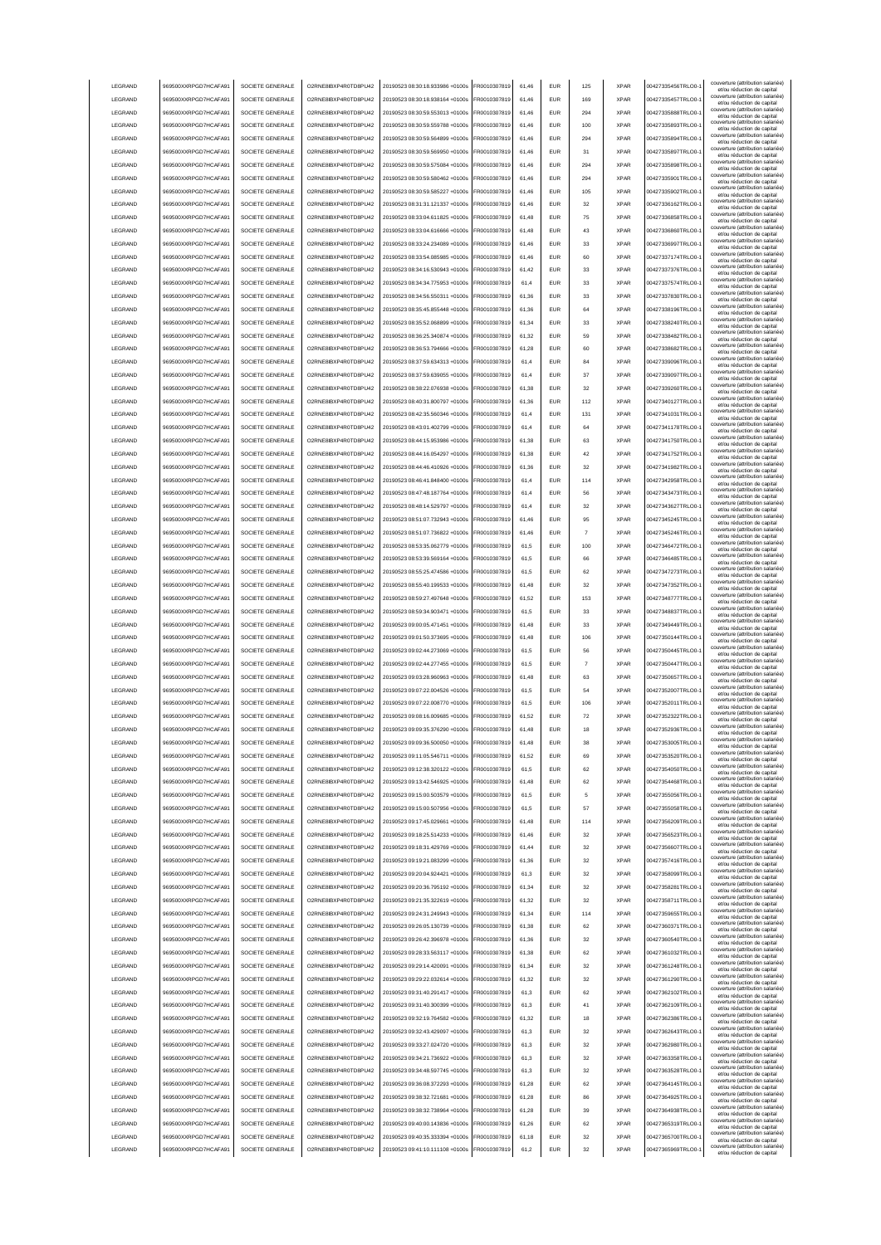|                    | 969500XXRPGD7HCAFA91                         | SOCIETE GENERALE                     | O2RNE8IBXP4R0TD8PU42                          | 20190523 08:30:18.933986 +0100s                                    | FR0010307819                 | 61.46          | <b>EUR</b>               | 125       | <b>XPAR</b>                | 00427335456TRLO0-                      | couverture (attribution salariée<br>et/ou réduction de capital                                       |
|--------------------|----------------------------------------------|--------------------------------------|-----------------------------------------------|--------------------------------------------------------------------|------------------------------|----------------|--------------------------|-----------|----------------------------|----------------------------------------|------------------------------------------------------------------------------------------------------|
| LEGRAND            | 969500XXRPGD7HCAFA91                         | SOCIETE GENERALE                     | O2RNE8IBXP4R0TD8PU42                          | 20190523 08:30:18.938164 +0100s                                    | FR0010307819                 | 61.46          | <b>EUR</b>               | 169       | <b>XPAR</b>                | 00427335457TRLO0-                      | couverture (attribution salariée)<br>et/ou réduction de capital                                      |
| LEGRAND            | 969500XXRPGD7HCAFA91                         | SOCIETE GENERALE                     | O2RNE8IBXP4R0TD8PU42                          | 20190523 08:30:59.553013 +0100s                                    | FR0010307819                 | 61.46          | <b>EUR</b>               | 294       | <b>XPAR</b>                | 00427335888TRLO0-                      | couverture (attribution salariée)<br>et/ou réduction de capital                                      |
| LEGRAND            | 969500XXRPGD7HCAFA91                         | SOCIETE GENERALE                     | O2RNE8IBXP4R0TD8PU42                          | 20190523 08:30:59.559788 +0100s                                    | FR0010307819                 | 61,46          | EUR                      | 100       | <b>XPAR</b>                | 00427335893TRLO0-                      | couverture (attribution salariée)<br>et/ou réduction de capital                                      |
| LEGRAND            | 969500XXRPGD7HCAFA91                         | SOCIETE GENERALE                     | O2RNE8IBXP4R0TD8PU42                          | 20190523 08:30:59.564899 +0100s                                    | FR0010307819                 | 61,46          | EUR                      | 294       | <b>XPAR</b>                | 00427335894TRLO0-                      | couverture (attribution salariée)<br>et/ou réduction de capital                                      |
| LEGRAND            | 969500XXRPGD7HCAFA91                         | SOCIETE GENERALE                     | O2RNE8IBXP4R0TD8PU42                          | 20190523 08:30:59.569950 +0100s                                    | FR0010307819                 | 61,46          | EUR                      | 31        | <b>XPAR</b>                | 00427335897TRLO0-                      | couverture (attribution salariée)<br>et/ou réduction de capital                                      |
| LEGRAND            | 969500XXRPGD7HCAFA91                         | SOCIETE GENERALE                     | O2RNE8IBXP4R0TD8PU42                          | 20190523 08:30:59.575084 +0100s                                    | FR0010307819                 | 61,46          | EUR                      | 294       | <b>XPAR</b>                | 00427335898TRLO0-                      | couverture (attribution salariée)<br>et/ou réduction de capital                                      |
| LEGRAND            | 969500XXRPGD7HCAFA91                         | SOCIETE GENERALE                     | O2RNE8IBXP4R0TD8PU42                          | 20190523 08:30:59.580462 +0100s                                    | R0010307819                  | 61,46          | EUR                      | 294       | <b>XPAR</b>                | 00427335901TRLO0-                      | couverture (attribution salariée)<br>et/ou réduction de capital                                      |
| LEGRAND            | 969500XXRPGD7HCAFA91                         | SOCIETE GENERALE                     | O2RNE8IBXP4R0TD8PU42                          | 20190523 08:30:59.585227 +0100s                                    | FR0010307819                 | 61,46          | EUR                      | 105       | <b>XPAR</b>                | 00427335902TRLO0-                      | couverture (attribution salariée)<br>et/ou réduction de capital                                      |
| LEGRAND            | 969500XXRPGD7HCAFA91                         | SOCIETE GENERALE                     | O2RNE8IBXP4R0TD8PU42                          | 20190523 08:31:31.121337 +0100s                                    | FR0010307819                 | 61,46          | EUR                      | 32        | <b>XPAR</b>                | 00427336162TRLO0-                      | couverture (attribution salariée)<br>et/ou réduction de capital                                      |
| LEGRAND            | 969500XXRPGD7HCAFA91                         | SOCIETE GENERALE                     | O2RNE8IBXP4R0TD8PU42                          | 20190523 08:33:04.611825 +0100s                                    | FR0010307819                 | 61.48          | <b>EUR</b>               | 75        | <b>XPAR</b>                | 00427336858TRLO0-                      | couverture (attribution salariée)<br>et/ou réduction de capital                                      |
| LEGRAND            | 969500XXRPGD7HCAFA91                         | SOCIETE GENERALE                     | O2RNE8IBXP4R0TD8PU42                          | 20190523 08:33:04.616666 +0100s                                    | FR0010307819                 | 61,48          | <b>EUR</b>               | 43        | <b>XPAR</b>                | 00427336860TRLO0-                      | couverture (attribution salariée)<br>et/ou réduction de capital                                      |
| LEGRAND            | 969500XXRPGD7HCAFA91                         | SOCIETE GENERALE                     | O2RNE8IBXP4R0TD8PU42                          | 20190523 08:33:24.234089 +0100s                                    | FR0010307819                 | 61,46          | <b>EUR</b>               | 33        | <b>XPAR</b>                | 00427336997TRLO0-                      | couverture (attribution salariée)<br>et/ou réduction de capital                                      |
| LEGRAND            | 969500XXRPGD7HCAFA91                         | SOCIETE GENERALE                     | O2RNE8IBXP4R0TD8PU42                          | 20190523 08:33:54.085985 +0100s                                    | FR0010307819                 | 61.46          | EUR                      | 60        | <b>XPAR</b>                | 00427337174TRLO0-                      | couverture (attribution salariée)<br>et/ou réduction de capital                                      |
| LEGRAND            | 969500XXRPGD7HCAFA91                         | SOCIETE GENERALE                     | O2RNE8IBXP4R0TD8PU42                          | 20190523 08:34:16.530943 +0100s                                    | FR0010307819                 | 61.42          | <b>EUR</b>               | 33        | <b>XPAR</b>                | 00427337376TRLO0-                      | couverture (attribution salariée)<br>et/ou réduction de capital                                      |
| LEGRAND            | 969500XXRPGD7HCAFA91                         | SOCIETE GENERALE                     | O2RNE8IBXP4R0TD8PU42                          | 20190523 08:34:34 775953 +0100s                                    | FR0010307819                 | 61.4           | EUR                      | 33        | <b>XPAR</b>                | 00427337574TRLO0-                      | couverture (attribution salariée)<br>et/ou réduction de capital                                      |
| LEGRAND            | 969500XXRPGD7HCAFA91                         | SOCIETE GENERALE                     | O2RNE8IBXP4R0TD8PU42                          | 20190523 08:34:56.550311 +0100s                                    | FR0010307819                 | 61,36          | EUR                      | 33        | <b>XPAR</b>                | 00427337830TRLO0-                      | couverture (attribution salariée)<br>et/ou réduction de capital                                      |
| LEGRAND            | 969500XXRPGD7HCAFA91                         | SOCIETE GENERALE                     | O2RNE8IBXP4R0TD8PU42                          | 20190523 08:35:45.855448 +0100s                                    | FR0010307819                 | 61,36          | EUR                      | 64        | <b>XPAR</b>                | 00427338196TRLO0-                      | couverture (attribution salariée)<br>et/ou réduction de capital                                      |
| LEGRAND            | 969500XXRPGD7HCAFA91                         | SOCIETE GENERALE                     | O2RNE8IBXP4R0TD8PU42                          | 20190523 08:35:52.068899 +0100s                                    | FR0010307819                 | 61,34          | EUR                      | 33        | <b>XPAR</b>                | 00427338240TRLO0-                      | couverture (attribution salariée)<br>et/ou réduction de capital                                      |
| LEGRAND            | 969500XXRPGD7HCAFA91                         | SOCIETE GENERALE                     | O2RNE8IBXP4R0TD8PU42                          | 20190523 08:36:25.340874 +0100s                                    | FR0010307819                 | 61,32          | EUR                      | 59        | <b>XPAR</b>                | 00427338482TRLO0-                      | couverture (attribution salariée)<br>et/ou réduction de capital                                      |
| LEGRAND            | 969500XXRPGD7HCAFA91                         | SOCIETE GENERALE                     | O2RNE8IBXP4R0TD8PU42                          | 20190523 08:36:53.794666 +0100s                                    | FR0010307819                 | 61,28          | EUR                      | 60        | <b>XPAR</b>                | 00427338682TRLO0-                      | couverture (attribution salariée)<br>et/ou réduction de capital                                      |
| LEGRAND            | 969500XXRPGD7HCAFA91                         | SOCIETE GENERALE                     | O2RNE8IBXP4R0TD8PU42                          | 20190523 08:37:59.634313 +0100s                                    | FR0010307819                 | 61,4           | EUR                      | 84        | <b>XPAR</b>                | 00427339096TRLO0-                      | couverture (attribution salariée)<br>et/ou réduction de capital                                      |
| LEGRAND            | 969500XXRPGD7HCAFA91                         | SOCIETE GENERALE                     | O2RNE8IBXP4R0TD8PU42                          | 20190523 08:37:59.639055 +0100s                                    | FR0010307819                 | 61,4           | EUR                      | 37        | <b>XPAR</b>                | 00427339097TRLO0-                      | couverture (attribution salariée)<br>et/ou réduction de capital                                      |
| LEGRAND            | 969500XXRPGD7HCAFA91                         | SOCIETE GENERALE                     | O2RNE8IBXP4R0TD8PLI42                         | 20190523 08:38:22.076938 +0100s                                    | FR0010307819                 | 61,38          | <b>EUR</b>               | 32        | <b>XPAR</b>                | 00427339260TRLO0-                      | couverture (attribution salariée)<br>et/ou réduction de capital                                      |
| LEGRAND            | 969500XXRPGD7HCAFA91                         | SOCIETE GENERALE                     | O2RNE8IBXP4R0TD8PU42                          | 20190523 08:40:31.800797 +0100s                                    | FR0010307819                 | 61.36          | <b>EUR</b>               | 112       | <b>XPAR</b>                | 00427340127TRLO0-                      | couverture (attribution salariée)<br>et/ou réduction de capital                                      |
| LEGRAND            | 969500XXRPGD7HCAFA91                         | SOCIETE GENERALE                     | O2RNE8IBXP4R0TD8PLI42                         | 20190523 08:42:35.560346 +0100s                                    | FR0010307819                 | 61,4           | <b>EUR</b>               | 131       | <b>XPAR</b>                | 00427341031TRLO0-                      | couverture (attribution salariée)<br>et/ou réduction de capital                                      |
| LEGRAND            | 969500XXRPGD7HCAFA91                         | SOCIETE GENERALE                     | O2RNE8IBXP4R0TD8PU42                          | 20190523.08:43:01.402799.+0100s                                    | FR0010307819                 | 61.4           | <b>EUR</b>               | 64        | <b>XPAR</b>                | 00427341178TRLO0-                      | couverture (attribution salariée)<br>et/ou réduction de capital                                      |
| LEGRAND            | 969500XXRPGD7HCAFA91                         | SOCIETE GENERALE                     | O2RNE8IBXP4R0TD8PU42                          | 20190523 08:44:15.953986 +0100s                                    | FR0010307819                 | 61.38          | EUR                      | 63        | <b>XPAR</b>                | 00427341750TRLO0-                      | couverture (attribution salariée)<br>et/ou réduction de capital                                      |
| <b>LEGRAND</b>     | 969500XXRPGD7HCAFA91                         | SOCIETE GENERALE                     | O2RNE8IBXP4R0TD8PU42                          | 20190523 08:44:16 054297 +0100s                                    | FR0010307819                 | 61.38          | <b>EUR</b>               | 42        | <b>XPAR</b>                | 00427341752TRLO0-                      | couverture (attribution salariée)<br>et/ou réduction de capital                                      |
| LEGRAND            | 969500XXRPGD7HCAFA91                         | SOCIETE GENERALE                     | O2RNE8IBXP4R0TD8PU42                          | 20190523 08:44:46.410926 +0100s                                    | FR0010307819                 | 61,36          | EUR                      | 32        | <b>XPAR</b>                | 00427341982TRLO0-                      | couverture (attribution salariée)<br>et/ou réduction de capital                                      |
| LEGRAND            | 969500XXRPGD7HCAFA91                         | SOCIETE GENERALE                     | O2RNE8IBXP4R0TD8PU42                          | 20190523 08:46:41.848400 +0100s                                    | FR0010307819                 | 61,4           | EUR                      | 114       | <b>XPAR</b>                | 00427342958TRLO0-                      | couverture (attribution salariée)<br>et/ou réduction de capital                                      |
| LEGRAND            | 969500XXRPGD7HCAFA91                         | SOCIETE GENERALE                     | O2RNE8IBXP4R0TD8PU42                          | 20190523 08:47:48.187764 +0100s                                    | FR0010307819                 | 61,4           | EUR                      | 56        | <b>XPAR</b>                | 00427343473TRLO0-                      | couverture (attribution salariée)<br>et/ou réduction de capital                                      |
| LEGRAND            | 969500XXRPGD7HCAFA91                         | SOCIETE GENERALE                     | O2RNE8IBXP4R0TD8PU42                          | 20190523 08:48:14.529797 +0100s                                    | R0010307819                  | 61,4           | <b>EUR</b>               | 32        | <b>XPAR</b>                | 00427343627TRLO0-                      | couverture (attribution salariée)<br>et/ou réduction de capital                                      |
| LEGRAND            | 969500XXRPGD7HCAFA91                         | SOCIETE GENERALE                     | O2RNE8IBXP4R0TD8PU42                          | 20190523 08:51:07.732943 +0100s                                    | R0010307819                  | 61,46          | EUR                      | 95        | <b>XPAR</b>                | 00427345245TRLO0-                      | couverture (attribution salariée)<br>et/ou réduction de capital                                      |
| LEGRAND            | 969500XXRPGD7HCAFA91                         | SOCIETE GENERALE                     | O2RNE8IBXP4R0TD8PU42                          | 20190523 08:51:07.736822 +0100s                                    | R0010307819                  | 61,46          | EUR                      |           | <b>XPAR</b>                | 00427345246TRLO0-                      | couverture (attribution salariée)<br>et/ou réduction de capital                                      |
| LEGRAND            | 969500XXRPGD7HCAFA91                         | SOCIETE GENERALE                     | O2RNE8IBXP4R0TD8PU42                          | 20190523 08:53:35.062779 +0100s                                    | FR0010307819                 | 61,5           | <b>EUR</b>               | 100       | <b>XPAR</b>                | 00427346472TRLO0-                      | couverture (attribution salariée)<br>et/ou réduction de capital                                      |
| LEGRAND            | 969500XXRPGD7HCAFA91                         | SOCIETE GENERALE                     | O2RNE8IBXP4R0TD8PU42                          | 20190523 08:53:39.569164 +0100s                                    | FR0010307819                 | 61,5           | <b>EUR</b>               | 66        | <b>XPAR</b>                | 00427346485TRLO0-                      | couverture (attribution salariée)<br>et/ou réduction de capital                                      |
| LEGRAND            | 969500XXRPGD7HCAFA91                         | SOCIETE GENERALE                     | O2RNE8IBXP4R0TD8PU42                          | 20190523 08:55:25.474586 +0100s                                    | FR0010307819                 | 61,5           | <b>FUR</b>               | 62        | <b>XPAR</b>                | 00427347273TRLO0-                      | couverture (attribution salariée)                                                                    |
| LEGRAND            | 969500XXRPGD7HCAFA91                         | SOCIETE GENERALE                     | O2RNE8IBXP4R0TD8PU42                          | 20190523 08:55:40.199533 +0100s                                    | FR0010307819                 | 61,48          | <b>EUR</b>               | 32        | <b>XPAR</b>                | 00427347352TRLO0-                      | et/ou réduction de capital<br>couverture (attribution salariée)                                      |
| LEGRAND            | 969500XXRPGD7HCAFA91                         | SOCIETE GENERALE                     | O2RNE8IBXP4R0TD8PU42                          | 20190523 08:59:27.497648 +0100s                                    | FR0010307819                 | 61.52          | EUR                      | 153       | <b>XPAR</b>                | 00427348777TRLO0-                      | et/ou réduction de capital<br>couverture (attribution salariée)                                      |
| LEGRAND            | 969500XXRPGD7HCAFA91                         | SOCIETE GENERALE                     | O2RNE8IBXP4R0TD8PU42                          | 20190523 08:59:34.903471 +0100s                                    | FR0010307819                 | 61.5           | EUR                      | 33        | <b>XPAR</b>                | 00427348837TRLO0-                      | et/ou réduction de capital<br>couverture (attribution salariée)                                      |
| LEGRAND            | 969500XXRPGD7HCAFA91                         | SOCIETE GENERALE                     | O2RNE8IBXP4R0TD8PU42                          | 20190523 09:00:05.471451 +0100s                                    | FR0010307819                 | 61.48          | <b>EUR</b>               | 33        | <b>XPAR</b>                | 00427349449TRLO0-                      | et/ou réduction de capital<br>couverture (attribution salariée)                                      |
| LEGRAND            | 969500XXRPGD7HCAFA91                         | SOCIETE GENERALE                     | O2RNE8IBXP4R0TD8PU42                          | 20190523 09:01:50.373695 +0100s                                    | FR0010307819                 | 61,48          | EUR                      | 106       | <b>XPAR</b>                | 00427350144TRLO0-                      | et/ou réduction de capital<br>couverture (attribution salariée)                                      |
| LEGRAND            | 969500XXRPGD7HCAFA91                         | SOCIETE GENERALE                     | O2RNE8IBXP4R0TD8PU42                          | 20190523 09:02:44.273069 +0100s                                    | FR0010307819                 | 61,5           | EUR                      | 56        | <b>XPAR</b>                | 00427350445TRLO0-                      | et/ou réduction de capital<br>couverture (attribution salariée)                                      |
| LEGRAND            | 969500XXRPGD7HCAFA91                         | SOCIETE GENERALE                     | O2RNE8IBXP4R0TD8PU42                          | 20190523 09:02:44.277455 +0100s                                    | FR0010307819                 | 61,5           | EUR                      | 7         | <b>XPAR</b>                | 00427350447TRLO0-                      | et/ou réduction de capital<br>couverture (attribution salariée)                                      |
| LEGRAND            | 969500XXRPGD7HCAFA91                         | SOCIETE GENERALE                     | O2RNE8IBXP4R0TD8PU42                          | 20190523 09:03:28.960963 +0100s                                    | R0010307819                  | 61,48          | <b>EUR</b>               | 63        | <b>XPAR</b>                | 00427350657TRLO0-                      | et/ou réduction de capital<br>couverture (attribution salariée)<br>et/ou réduction de capital        |
| LEGRAND            | 969500XXRPGD7HCAFA91                         | SOCIETE GENERALE                     | O2RNE8IBXP4R0TD8PU42                          | 20190523 09:07:22.004526 +0100s                                    | FR0010307819                 | 61,5           | EUR                      | 54        | <b>XPAR</b>                | 00427352007TRLO0-                      | couverture (attribution salariée)                                                                    |
| LEGRAND            |                                              |                                      |                                               |                                                                    |                              |                |                          |           |                            |                                        |                                                                                                      |
|                    |                                              |                                      |                                               | 20190523 09:07:22.008770 +0100s                                    |                              | 61,5           | <b>EUR</b>               | 106       | <b>XPAR</b>                | 00427352011TRLO0-                      | et/ou réduction de capital<br>couverture (attribution salariée)                                      |
| <b>I FGRAND</b>    | 969500XXRPGD7HCAFA91<br>969500XXRPGD7HCAFA91 | SOCIETE GENERALE<br>SOCIETE GENERALE | O2RNE8IBXP4R0TD8PU42<br>O2RNE8IBXP4R0TD8PU42  | 20190523 09:08:16.009685 +0100s                                    | FR0010307819<br>FR0010307819 | 61.52          | <b>FUR</b>               | 72        | <b>XPAR</b>                | 00427352322TRLO0-                      | et/ou réduction de capital<br>couverture (attribution salariée)                                      |
| <b>I FGRAND</b>    | 969500XXRPGD7HCAFA91                         | SOCIETE GENERALE                     | O2RNE8IBXP4R0TD8PLI42                         | 20190523 09:09:35 376290 +0100s                                    | FR0010307819                 | 61.48          | <b>EUR</b>               | 18        | <b>XPAR</b>                | 00427352936TRLO0-                      | et/ou réduction de capital<br>couverture (attribution salariée)                                      |
| <b>I FGRAND</b>    | 969500XXRPGD7HCAFA91                         | SOCIETE GENERALE                     |                                               | 20190523 09:09:36.500050 +0100s                                    | FR0010307819                 | 61 48          | FUR                      | 38        | <b>XPAR</b>                | 00427353005TRLO0-                      | et/ou réduction de capital<br>couverture (attribution salariée)                                      |
| LEGRAND            | 969500XXRPGD7HCAFA91                         | SOCIETE GENERALE                     | O2RNE8IBXP4R0TD8PU42<br>O2RNE8IBXP4R0TD8PLI42 | 20190523 09:11:05.546711 +0100s                                    | FR0010307819                 | 61.52          | <b>EUR</b>               | 69        | <b>XPAR</b>                | 00427353520TRLO0-                      | et/ou reduction de capita<br>couverture (attribution salariée)                                       |
| LEGRAND            | 969500XXRPGD7HCAFA91                         | SOCIETE GENERALE                     | O2RNE8IBXP4R0TD8PU42                          | 20190523 09:12:38.320122 +0100s                                    | FR0010307819                 | 61.5           | <b>EUR</b>               | 62        | <b>XPAR</b>                | 00427354050TRLO0-                      | et/ou réduction de capital<br>couverture (attribution salariée)                                      |
|                    | 969500XXRPGD7HCAFA91                         |                                      |                                               | 20190523 09:13:42 546925 +0100s                                    |                              |                |                          |           |                            |                                        | et/ou réduction de capital<br>couverture (attribution salariée)                                      |
| LEGRAND            | 969500XXRPGD7HCAFA91                         | SOCIETE GENERALE<br>SOCIETE GENERALE | O2RNE8IBXP4R0TD8PU42                          |                                                                    | FR0010307819                 | 61.48          | <b>EUR</b>               | 62        | <b>XPAR</b>                | 00427354468TRLO0-                      | et/ou réduction de capital<br>couverture (attribution salariée)                                      |
| LEGRAND            |                                              |                                      | O2RNE8IBXP4R0TD8PU42                          | 20190523 09:15:00.503579 +0100s                                    | FR0010307819                 | 61.5           | <b>EUR</b><br><b>EUR</b> | 5<br>57   | <b>XPAR</b><br><b>XPAR</b> | 00427355056TRLO0-                      | et/ou réduction de capital<br>couverture (attribution salariée)                                      |
| LEGRAND            | 969500XXRPGD7HCAFA91                         | SOCIETE GENERALE                     | O2RNE8IBXP4R0TD8PU42                          | 20190523 09:15:00.507956 +0100s                                    | FR0010307819                 | 61,5           |                          |           |                            | 00427355058TRLO0-1                     | et/ou réduction de capital<br>couverture (attribution salariée)                                      |
| LEGRAND            | 969500XXRPGD7HCAFA91                         | SOCIETE GENERALE                     | O2RNE8IBXP4R0TD8PU42                          | 20190523 09:17:45.029661 +0100s<br>20190523 09:18:25.514233 +0100s | FR0010307819                 | 61,48<br>61,46 | EUR<br>EUR               | 114<br>32 | <b>XPAR</b><br><b>XPAR</b> | 00427356209TRLO0-                      | et/ou réduction de capital<br>couverture (attribution salariée)                                      |
| LEGRAND<br>LEGRAND | 969500XXRPGD7HCAFA91                         | SOCIETE GENERALE                     | O2RNE8IBXP4R0TD8PU42<br>O2RNE8IBXP4R0TD8PU42  |                                                                    | FR0010307819<br>FR0010307819 |                |                          |           |                            | 00427356523TRLO0-                      | et/ou réduction de capital<br>couverture (attribution salariée)                                      |
| LEGRAND            | 969500XXRPGD7HCAFA91<br>969500XXRPGD7HCAFA91 | SOCIETE GENERALE<br>SOCIETE GENERALE | O2RNE8IBXP4R0TD8PU42                          | 20190523 09:18:31.429769 +0100s<br>20190523 09:19:21.083299 +0100s | FR0010307819                 | 61,44<br>61,36 | <b>EUR</b><br><b>EUR</b> | 32<br>32  | <b>XPAR</b><br><b>XPAR</b> | 00427356607TRLO0-<br>00427357416TRLO0- | et/ou réduction de capital<br>couverture (attribution salariée)                                      |
|                    |                                              |                                      |                                               |                                                                    |                              |                |                          |           |                            |                                        | et/ou réduction de capital<br>couverture (attribution salariée)                                      |
| LEGRAND            | 969500XXRPGD7HCAFA91                         | SOCIETE GENERALE                     | O2RNE8IBXP4R0TD8PU42                          | 20190523 09:20:04.924421 +0100s                                    | FR0010307819                 | 61,3           | <b>EUR</b>               | 32        | <b>XPAR</b>                | 00427358099TRLO0-                      | et/ou réduction de capital<br>couverture (attribution salariée)                                      |
| LEGRAND            | 969500XXRPGD7HCAFA91                         | SOCIETE GENERALE                     | O2RNE8IBXP4R0TD8PU42                          | 20190523 09:20:36.795192 +0100s                                    | FR0010307819                 | 61,34          | <b>EUR</b>               | 32        | <b>XPAR</b>                | 00427358281TRLO0-                      | et/ou réduction de capital<br>couverture (attribution salariée)                                      |
| LEGRAND            | 969500XXRPGD7HCAFA91                         | SOCIETE GENERALE                     | O2RNE8IBXP4R0TD8PU42                          | 20190523 09:21:35.322619 +0100s                                    | FR0010307819                 | 61,32          | <b>EUR</b>               | 32        | <b>XPAR</b>                | 00427358711TRLO0-                      | et/ou réduction de capital<br>couverture (attribution salariée)                                      |
| LEGRAND            | 969500XXRPGD7HCAFA91                         | SOCIETE GENERALE                     | O2RNE8IBXP4R0TD8PU42                          | 20190523 09:24:31.249943 +0100s                                    | FR0010307819                 | 61,34          | <b>EUR</b>               | 114       | <b>XPAR</b>                | 00427359655TRLO0-                      | et/ou réduction de capital<br>couverture (attribution salariée)                                      |
| LEGRAND            | 969500XXRPGD7HCAFA91                         | SOCIETE GENERALE                     | O2RNE8IBXP4R0TD8PU42                          | 20190523 09:26:05.130739 +0100s                                    | FR0010307819                 | 61.38          | <b>EUR</b>               | 62        | <b>XPAR</b>                | 00427360371TRLO0-                      | et/ou réduction de capital<br>couverture (attribution salariée)                                      |
| LEGRAND            | 969500XXRPGD7HCAFA91                         | SOCIETE GENERALE                     | O2RNE8IBXP4R0TD8PU42                          | 20190523 09:26:42.396978 +0100s                                    | FR0010307819                 | 61.36          | <b>EUR</b>               | 32        | <b>XPAR</b>                | 00427360540TRLO0-                      | et/ou réduction de capital<br>couverture (attribution salariée)                                      |
| LEGRAND            | 969500XXRPGD7HCAFA91                         | SOCIETE GENERALE                     | O2RNE8IBXP4R0TD8PU42                          | 20190523 09:28:33.563117 +0100s                                    | FR0010307819                 | 61.38          | <b>EUR</b>               | 62        | <b>XPAR</b>                | 00427361032TRLO0-                      | et/ou réduction de capital                                                                           |
| LEGRAND            | 969500XXRPGD7HCAFA91                         | SOCIETE GENERALE                     | O2RNE8IBXP4R0TD8PU42                          | 20190523 09:29:14.420091 +0100s                                    | FR0010307819                 | 61,34          | EUR                      | 32        | <b>XPAR</b>                | 00427361248TRLO0-                      | couverture (attribution salariée)<br>et/ou réduction de capital<br>couverture (attribution salariée) |
| LEGRAND            | 969500XXRPGD7HCAFA91                         | SOCIETE GENERALE                     | O2RNE8IBXP4R0TD8PU42                          | 20190523 09:29:22.032614 +0100s                                    | FR0010307819                 | 61,32          | <b>EUR</b>               | 32        | <b>XPAR</b>                | 00427361290TRLO0-                      | et/ou réduction de capital<br>couverture (attribution salariée)                                      |
| LEGRAND            | 969500XXRPGD7HCAFA91                         | SOCIETE GENERALE                     | O2RNE8IBXP4R0TD8PU42                          | 20190523 09:31:40.291417 +0100s                                    | FR0010307819                 | 61,3           | <b>EUR</b>               | 62        | <b>XPAR</b>                | 00427362102TRLO0-                      | et/ou réduction de capital<br>couverture (attribution salariée)                                      |
| LEGRAND            | 969500XXRPGD7HCAFA91                         | SOCIETE GENERALE                     | O2RNE8IBXP4R0TD8PU42                          | 20190523 09:31:40.300399 +0100s                                    | FR0010307819                 | 61,3           | <b>EUR</b>               | 41        | <b>XPAR</b>                | 00427362109TRLO0-                      | et/ou réduction de capital                                                                           |
| LEGRAND            | 969500XXRPGD7HCAFA91                         | SOCIETE GENERALE                     | O2RNE8IBXP4R0TD8PU42                          | 20190523 09:32:19.764582 +0100s                                    | FR0010307819                 | 61,32          | <b>EUR</b>               | 18        | <b>XPAR</b>                | 00427362386TRLO0-                      | couverture (attribution salariée)<br>et/ou réduction de capital                                      |
| LEGRAND            | 969500XXRPGD7HCAFA91                         | SOCIETE GENERALE                     | O2RNE8IBXP4R0TD8PU42                          | 20190523 09:32:43.429097 +0100s                                    | FR0010307819                 | 61,3           | <b>EUR</b>               | 32        | <b>XPAR</b>                | 00427362643TRLO0-                      | couverture (attribution salariée)<br>et/ou réduction de capital                                      |
| LEGRAND            | 969500XXRPGD7HCAFA91                         | SOCIETE GENERALE                     | O2RNE8IBXP4R0TD8PU42                          | 20190523 09:33:27.024720 +0100s                                    | FR0010307819                 | 61,3           | <b>EUR</b>               | 32        | <b>XPAR</b>                | 00427362980TRLO0-                      | couverture (attribution salariée)<br>et/ou réduction de capital                                      |
| LEGRAND            | 969500XXRPGD7HCAFA91                         | SOCIETE GENERALE                     | O2RNE8IBXP4R0TD8PU42                          | 20190523 09:34:21.736922 +0100s                                    | FR0010307819                 | 61,3           | <b>EUR</b>               | 32        | <b>XPAR</b>                | 00427363358TRLO0-                      | couverture (attribution salariée)<br>et/ou réduction de capital                                      |
| LEGRAND            | 969500XXRPGD7HCAFA91                         | SOCIETE GENERALE                     | O2RNE8IBXP4R0TD8PU42                          | 20190523 09:34:48.597745 +0100s                                    | FR0010307819                 | 61,3           | <b>EUR</b>               | 32        | <b>XPAR</b>                | 00427363528TRLO0-                      | couverture (attribution salariée)<br>et/ou réduction de capital                                      |
| LEGRAND            | 969500XXRPGD7HCAFA91                         | SOCIETE GENERALE                     | O2RNE8IBXP4R0TD8PU42                          | 20190523 09:36:08.372293 +0100s                                    | FR0010307819                 | 61,28          | <b>EUR</b>               | 62        | <b>XPAR</b>                | 00427364145TRLO0-                      | couverture (attribution salariée)<br>et/ou réduction de capital                                      |
| LEGRAND            | 969500XXRPGD7HCAFA91                         | SOCIETE GENERALE                     | O2RNE8IBXP4R0TD8PU42                          | 20190523 09:38:32.721681 +0100s                                    | FR0010307819                 | 61.28          | <b>EUR</b>               | 86        | <b>XPAR</b>                | 00427364925TRLO0-                      | couverture (attribution salariée)<br>et/ou réduction de capital                                      |
| LEGRAND            | 969500XXRPGD7HCAFA91                         | SOCIETE GENERALE                     | O2RNE8IBXP4R0TD8PU42                          | 20190523 09:38:32.738964 +0100s                                    | FR0010307819                 | 61.28          | <b>EUR</b>               | 39        | <b>XPAR</b>                | 00427364938TRLO0-                      | couverture (attribution salariée)<br>et/ou réduction de capital                                      |
| LEGRAND            | 969500XXRPGD7HCAFA91                         | SOCIETE GENERALE                     | O2RNE8IBXP4R0TD8PU42                          | 20190523 09:40:00.143836 +0100s                                    | FR0010307819                 | 61.26          | <b>EUR</b>               | 62        | <b>XPAR</b>                | 00427365319TRLO0-                      | couverture (attribution salariée)<br>et/ou réduction de capital                                      |
| LEGRAND<br>LEGRAND | 969500XXRPGD7HCAFA91<br>969500XXRPGD7HCAFA91 | SOCIETE GENERALE<br>SOCIETE GENERALE | O2RNE8IBXP4R0TD8PU42<br>O2RNE8IBXP4R0TD8PU42  | 20190523 09:40:35.333394 +0100s<br>20190523 09:41:10.111108 +0100s | FR0010307819<br>FR0010307819 | 61,18<br>61,2  | <b>EUR</b><br><b>EUR</b> | 32<br>32  | <b>XPAR</b><br><b>XPAR</b> | 00427365700TRLO0-<br>00427365969TRLO0- | couverture (attribution salariée)<br>et/ou réduction de capital<br>couverture (attribution salariée) |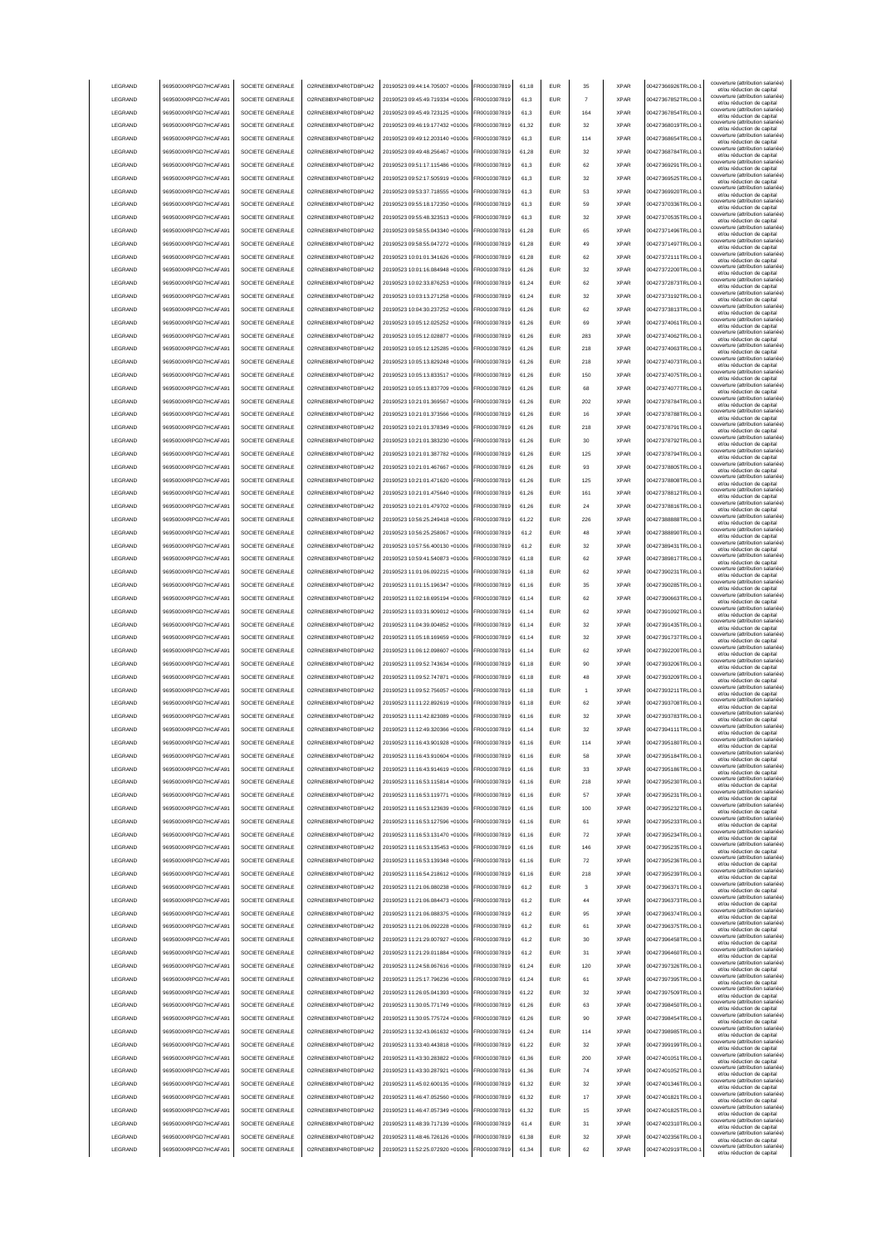|                    | 969500XXRPGD7HCAFA91                         | SOCIETE GENERALE                     | O2RNE8IBXP4R0TD8PU42                          | 20190523 09:44:14.705007 +0100s                                    | FR0010307819                 | 61.18          | <b>EUR</b>               | 35             | <b>XPAR</b>                | 00427366926TRLO0-                      | couverture (attribution salariée<br>et/ou réduction de capital                                       |
|--------------------|----------------------------------------------|--------------------------------------|-----------------------------------------------|--------------------------------------------------------------------|------------------------------|----------------|--------------------------|----------------|----------------------------|----------------------------------------|------------------------------------------------------------------------------------------------------|
| LEGRAND            | 969500XXRPGD7HCAFA91                         | SOCIETE GENERALE                     | O2RNE8IBXP4R0TD8PU42                          | 20190523 09:45:49.719334 +0100s                                    | FR0010307819                 | 61.3           | <b>EUR</b>               | $\overline{7}$ | <b>XPAR</b>                | 00427367852TRLO0-                      | couverture (attribution salariée)<br>et/ou réduction de capital                                      |
| LEGRAND            | 969500XXRPGD7HCAFA91                         | SOCIETE GENERALE                     | O2RNE8IBXP4R0TD8PU42                          | 20190523 09:45:49.723125 +0100s                                    | FR0010307819                 | 61.3           | <b>EUR</b>               | 164            | <b>XPAR</b>                | 00427367854TRLO0-                      | couverture (attribution salariée)<br>et/ou réduction de capital                                      |
| LEGRAND            | 969500XXRPGD7HCAFA91                         | SOCIETE GENERALE                     | O2RNE8IBXP4R0TD8PU42                          | 20190523 09:46:19.177432 +0100s                                    | FR0010307819                 | 61,32          | EUR                      | 32             | <b>XPAR</b>                | 00427368019TRLO0-                      | couverture (attribution salariée)<br>et/ou réduction de capital                                      |
| LEGRAND            | 969500XXRPGD7HCAFA91                         | SOCIETE GENERALE                     | O2RNE8IBXP4R0TD8PU42                          | 20190523 09:49:12.203140 +0100s                                    | FR0010307819                 | 61,3           | EUR                      | 114            | <b>XPAR</b>                | 00427368654TRLO0-                      | couverture (attribution salariée)<br>et/ou réduction de capital                                      |
| LEGRAND            | 969500XXRPGD7HCAFA91                         | SOCIETE GENERALE                     | O2RNE8IBXP4R0TD8PU42                          | 20190523 09:49:48.256467 +0100s                                    | FR0010307819                 | 61,28          | EUR                      | 32             | <b>XPAR</b>                | 00427368784TRLO0-                      | couverture (attribution salariée)<br>et/ou réduction de capital                                      |
| LEGRAND            | 969500XXRPGD7HCAFA91                         | SOCIETE GENERALE                     | O2RNE8IBXP4R0TD8PU42                          | 20190523 09:51:17.115486 +0100s                                    | FR0010307819                 | 61.3           | EUR                      | 62             | <b>XPAR</b>                | 00427369291TRLO0-                      | couverture (attribution salariée)<br>et/ou réduction de capital                                      |
| LEGRAND            | 969500XXRPGD7HCAFA91                         | SOCIETE GENERALE                     | O2RNE8IBXP4R0TD8PU42                          | 20190523 09:52:17.505919 +0100s                                    | FR0010307819                 | 61,3           | EUR                      | 32             | <b>XPAR</b>                | 00427369525TRLO0-                      | couverture (attribution salariée)<br>et/ou réduction de capital                                      |
| LEGRAND            | 969500XXRPGD7HCAFA91                         | SOCIETE GENERALE                     | O2RNE8IBXP4R0TD8PU42                          | 20190523 09:53:37.718555 +0100s                                    | FR0010307819                 | 61,3           | EUR                      | 53             | <b>XPAR</b>                | 00427369920TRLO0-                      | couverture (attribution salariée)<br>et/ou réduction de capital                                      |
| LEGRAND            | 969500XXRPGD7HCAFA91                         | SOCIETE GENERALE                     | O2RNE8IBXP4R0TD8PU42                          | 20190523 09:55:18.172350 +0100s                                    | FR0010307819                 | 61,3           | EUR                      | 59             | <b>XPAR</b>                | 00427370336TRLO0-                      | couverture (attribution salariée)<br>et/ou réduction de capital                                      |
| LEGRAND            | 969500XXRPGD7HCAFA91                         | SOCIETE GENERALE                     | O2RNE8IBXP4R0TD8PU42                          | 20190523 09:55:48.323513 +0100s                                    | FR0010307819                 | 61,3           | <b>EUR</b>               | 32             | <b>XPAR</b>                | 00427370535TRLO0-                      | couverture (attribution salariée)<br>et/ou réduction de capital                                      |
| LEGRAND            | 969500XXRPGD7HCAFA91                         | SOCIETE GENERALE                     | O2RNE8IBXP4R0TD8PU42                          | 20190523 09:58:55.043340 +0100s                                    | FR0010307819                 | 61,28          | <b>EUR</b>               | 65             | <b>XPAR</b>                | 00427371496TRLO0-                      | couverture (attribution salariée)<br>et/ou réduction de capital                                      |
| LEGRAND            | 969500XXRPGD7HCAFA91                         | SOCIETE GENERALE                     | O2RNE8IBXP4R0TD8PU42                          | 20190523 09:58:55.047272 +0100s                                    | FR0010307819                 | 61.28          | <b>EUR</b>               | 49             | <b>XPAR</b>                | 00427371497TRLO0-                      | couverture (attribution salariée)<br>et/ou réduction de capital                                      |
| LEGRAND            | 969500XXRPGD7HCAFA91                         | SOCIETE GENERALE                     | O2RNE8IBXP4R0TD8PU42                          | 20190523 10:01:01.341626 +0100s                                    | FR0010307819                 | 61.28          | EUR                      | 62             | <b>XPAR</b>                | 00427372111TRLO0-                      | couverture (attribution salariée)<br>et/ou réduction de capital                                      |
| LEGRAND            | 969500XXRPGD7HCAFA91                         | SOCIETE GENERALE                     | O2RNE8IBXP4R0TD8PU42                          | 20190523 10:01:16.084948 +0100s                                    | FR0010307819                 | 61.26          | <b>EUR</b>               | 32             | <b>XPAR</b>                | 00427372200TRLO0-                      | couverture (attribution salariée)<br>et/ou réduction de capital                                      |
| LEGRAND            | 969500XXRPGD7HCAFA91                         | SOCIETE GENERALE                     | O2RNE8IBXP4R0TD8PU42                          | 20190523 10:02:33 876253 +0100s                                    | FR0010307819                 | 61.24          | EUR                      | 62             | <b>XPAR</b>                | 00427372873TRLO0-                      | couverture (attribution salariée)<br>et/ou réduction de capital                                      |
| LEGRAND            | 969500XXRPGD7HCAFA91                         | SOCIETE GENERALE                     | O2RNE8IBXP4R0TD8PU42                          | 20190523 10:03:13.271258 +0100s                                    | FR0010307819                 | 61,24          | EUR                      | 32             | <b>XPAR</b>                | 00427373192TRLO0-                      | couverture (attribution salariée)<br>et/ou réduction de capital                                      |
| LEGRAND            | 969500XXRPGD7HCAFA91                         | SOCIETE GENERALE                     | O2RNE8IBXP4R0TD8PU42                          | 20190523 10:04:30.237252 +0100s                                    | FR0010307819                 | 61,26          | EUR                      | 62             | <b>XPAR</b>                | 00427373813TRLO0-                      | couverture (attribution salariée)<br>et/ou réduction de capital                                      |
| LEGRAND            | 969500XXRPGD7HCAFA91                         | SOCIETE GENERALE                     | O2RNE8IBXP4R0TD8PU42                          | 20190523 10:05:12.025252 +0100s                                    | FR0010307819                 | 61,26          | EUR                      | 69             | <b>XPAR</b>                | 00427374061TRLO0-                      | couverture (attribution salariée)<br>et/ou réduction de capital                                      |
| LEGRAND            | 969500XXRPGD7HCAFA91                         | SOCIETE GENERALE                     | O2RNE8IBXP4R0TD8PU42                          | 20190523 10:05:12.028877 +0100s                                    | FR0010307819                 | 61,26          | EUR                      | 283            | <b>XPAR</b>                | 00427374062TRLO0-                      | couverture (attribution salariée)<br>et/ou réduction de capital                                      |
| LEGRAND            | 969500XXRPGD7HCAFA91                         | SOCIETE GENERALE                     | O2RNE8IBXP4R0TD8PU42                          | 20190523 10:05:12.125285 +0100s                                    | FR0010307819                 | 61,26          | EUR                      | 218            | <b>XPAR</b>                | 00427374063TRLO0-                      | couverture (attribution salariée)<br>et/ou réduction de capital                                      |
| LEGRAND            | 969500XXRPGD7HCAFA91                         | SOCIETE GENERALE                     | O2RNE8IBXP4R0TD8PU42                          | 20190523 10:05:13.829248 +0100s                                    | FR0010307819                 | 61,26          | EUR                      | 218            | <b>XPAR</b>                | 00427374073TRLO0-                      | couverture (attribution salariée)<br>et/ou réduction de capital                                      |
| LEGRAND            | 969500XXRPGD7HCAFA91                         | SOCIETE GENERALE                     | O2RNE8IBXP4R0TD8PU42                          | 20190523 10:05:13.833517 +0100s                                    | FR0010307819                 | 61,26          | EUR                      | 150            | <b>XPAR</b>                | 00427374075TRLO0-                      | couverture (attribution salariée)<br>et/ou réduction de capital                                      |
| <b>I FGRAND</b>    | 969500XXRPGD7HCAFA91                         | SOCIETE GENERALE                     | O2RNE8IBXP4R0TD8PLI42                         | 20190523 10:05:13.837709 +0100s                                    | FR0010307819                 | 61.26          | <b>EUR</b>               | 68             | <b>XPAR</b>                | 00427374077TRLO0-                      | couverture (attribution salariée)<br>et/ou réduction de capital                                      |
| LEGRAND            | 969500XXRPGD7HCAFA91                         | SOCIETE GENERALE                     | O2RNE8IBXP4R0TD8PU42                          | 20190523 10:21:01.369567 +0100s                                    | FR0010307819                 | 61.26          | <b>EUR</b>               | 202            | <b>XPAR</b>                | 00427378784TRLO0-                      | couverture (attribution salariée)<br>et/ou réduction de capital                                      |
| LEGRAND            | 969500XXRPGD7HCAFA91                         | SOCIETE GENERALE                     | O2RNE8IBXP4R0TD8PU42                          | 20190523 10:21:01.373566 +0100s                                    | FR0010307819                 | 61.26          | <b>EUR</b>               | 16             | <b>XPAR</b>                | 00427378788TRLO0-                      | couverture (attribution salariée)<br>et/ou réduction de capital                                      |
| LEGRAND            | 969500XXRPGD7HCAFA91                         | SOCIETE GENERALE                     | O2RNE8IBXP4R0TD8PU42                          | 20190523 10:21:01 378349 +0100s                                    | FR0010307819                 | 61.26          | <b>EUR</b>               | 218            | <b>XPAR</b>                | 00427378791TRLO0-                      | couverture (attribution salariée)<br>et/ou réduction de capital                                      |
| <b>LEGRAND</b>     | 969500XXRPGD7HCAFA91                         | SOCIETE GENERALE                     | O2RNE8IBXP4R0TD8PU42                          | 20190523 10:21:01 383230 +0100s                                    | FR0010307819                 | 61.26          | EUR                      | 30             | <b>XPAR</b>                | 00427378792TRLO0-                      | couverture (attribution salariée)<br>et/ou réduction de capital                                      |
| <b>LEGRAND</b>     | 969500XXRPGD7HCAFA91                         | SOCIETE GENERALE                     | O2RNE8IBXP4R0TD8PLI42                         | 20190523 10:21:01 387782 +0100s                                    | FR0010307819                 | 61.26          | <b>EUR</b>               | 125            | <b>XPAR</b>                | 00427378794TRLO0-                      | couverture (attribution salariée)<br>et/ou réduction de capital                                      |
| LEGRAND            | 969500XXRPGD7HCAFA91                         | SOCIETE GENERALE                     | O2RNE8IBXP4R0TD8PU42                          | 20190523 10:21:01.467667 +0100s                                    | FR0010307819                 | 61,26          | EUR                      | 93             | <b>XPAR</b>                | 00427378805TRLO0-                      | couverture (attribution salariée)<br>et/ou réduction de capital                                      |
| LEGRAND            | 969500XXRPGD7HCAFA91                         | SOCIETE GENERALE                     | O2RNE8IBXP4R0TD8PU42                          | 20190523 10:21:01.471620 +0100s                                    | FR0010307819                 | 61,26          | EUR                      | 125            | <b>XPAR</b>                | 00427378808TRLO0-                      | couverture (attribution salariée)<br>et/ou réduction de capital                                      |
| LEGRAND            | 969500XXRPGD7HCAFA91                         | SOCIETE GENERALE                     | O2RNE8IBXP4R0TD8PU42                          | 20190523 10:21:01.475640 +0100s                                    | FR0010307819                 | 61,26          | EUR                      | 161            | <b>XPAR</b>                | 00427378812TRLO0-                      | couverture (attribution salariée)<br>et/ou réduction de capital                                      |
| LEGRAND            | 969500XXRPGD7HCAFA91                         | SOCIETE GENERALE                     | O2RNE8IBXP4R0TD8PU42                          | 20190523 10:21:01.479702 +0100s                                    | R0010307819                  | 61,26          | EUR                      | 24             | <b>XPAR</b>                | 00427378816TRLO0-                      | couverture (attribution salariée)<br>et/ou réduction de capital                                      |
| LEGRAND            | 969500XXRPGD7HCAFA91                         | SOCIETE GENERALE                     | O2RNE8IBXP4R0TD8PU42                          | 20190523 10:56:25.249418 +0100s                                    | R0010307819                  | 61,22          | EUR                      | 226            | <b>XPAR</b>                | 00427388888TRLO0-                      | couverture (attribution salariée)<br>et/ou réduction de capital                                      |
| LEGRAND            | 969500XXRPGD7HCAFA91                         | SOCIETE GENERALE                     | O2RNE8IBXP4R0TD8PU42                          | 20190523 10:56:25.258067 +0100s                                    | R0010307819                  | 61,2           | EUR                      | 48             | <b>XPAR</b>                | 00427388890TRLO0-                      | couverture (attribution salariée)                                                                    |
| LEGRAND            | 969500XXRPGD7HCAFA91                         | SOCIETE GENERALE                     | O2RNE8IBXP4R0TD8PU42                          | 20190523 10:57:56.400130 +0100s                                    | FR0010307819                 | 61,2           | <b>EUR</b>               | 32             | <b>XPAR</b>                | 00427389431TRLO0-                      | et/ou réduction de capital<br>couverture (attribution salariée)                                      |
| LEGRAND            | 969500XXRPGD7HCAFA91                         | SOCIETE GENERALE                     | O2RNE8IBXP4R0TD8PU42                          | 20190523 10:59:41.540873 +0100s                                    | FR0010307819                 | 61,18          | <b>EUR</b>               | 62             | <b>XPAR</b>                | 00427389817TRLO0-                      | et/ou réduction de capital<br>couverture (attribution salariée)                                      |
| <b>I FGRAND</b>    | 969500XXRPGD7HCAFA91                         | SOCIETE GENERALE                     | O2RNE8IBXP4R0TD8PU42                          | 20190523 11:01:06.092215 +0100s                                    | FR0010307819                 | 61.18          | <b>FUR</b>               | 62             | <b>XPAR</b>                | 00427390231TRLO0-                      | et/ou réduction de capital<br>couverture (attribution salariée)                                      |
| LEGRAND            | 969500XXRPGD7HCAFA91                         | SOCIETE GENERALE                     | O2RNE8IBXP4R0TD8PU42                          | 20190523 11:01:15.196347 +0100s                                    | FR0010307819                 | 61,16          | <b>EUR</b>               | 35             | <b>XPAR</b>                | 00427390285TRLO0-                      | et/ou réduction de capital<br>couverture (attribution salariée)                                      |
| LEGRAND            | 969500XXRPGD7HCAFA91                         | SOCIETE GENERALE                     | O2RNE8IBXP4R0TD8PU42                          | 20190523 11:02:18.695194 +0100s                                    | FR0010307819                 | 61.14          | EUR                      | 62             | <b>XPAR</b>                | 00427390663TRLO0-                      | et/ou réduction de capital<br>couverture (attribution salariée)                                      |
| LEGRAND            | 969500XXRPGD7HCAFA91                         | SOCIETE GENERALE                     | O2RNE8IBXP4R0TD8PU42                          | 20190523 11:03:31.909012 +0100s                                    | FR0010307819                 | 61.14          | EUR                      | 62             | <b>XPAR</b>                | 00427391092TRLO0-                      | et/ou réduction de capital<br>couverture (attribution salariée)                                      |
| LEGRAND            | 969500XXRPGD7HCAFA91                         | SOCIETE GENERALE                     | O2RNE8IBXP4R0TD8PU42                          | 20190523 11:04:39.004852 +0100s                                    | FR0010307819                 | 61.14          | <b>EUR</b>               | 32             | <b>XPAR</b>                | 00427391435TRLO0-                      | et/ou réduction de capital<br>couverture (attribution salariée)                                      |
| LEGRAND            | 969500XXRPGD7HCAFA91                         | SOCIETE GENERALE                     | O2RNE8IBXP4R0TD8PU42                          | 20190523 11:05:18.169659 +0100s                                    | FR0010307819                 | 61,14          | EUR                      | 32             | <b>XPAR</b>                | 00427391737TRLO0-                      | et/ou réduction de capital<br>couverture (attribution salariée)                                      |
| LEGRAND            | 969500XXRPGD7HCAFA91                         | SOCIETE GENERALE                     | O2RNE8IBXP4R0TD8PU42                          | 20190523 11:06:12.098607 +0100s                                    | FR0010307819                 | 61,14          | EUR                      | 62             | <b>XPAR</b>                | 00427392200TRLO0-                      | et/ou réduction de capital<br>couverture (attribution salariée)                                      |
| LEGRAND            | 969500XXRPGD7HCAFA91                         | SOCIETE GENERALE                     | O2RNE8IBXP4R0TD8PU42                          | 20190523 11:09:52.743634 +0100s                                    | FR0010307819                 | 61,18          | EUR                      | 90             | <b>XPAR</b>                | 00427393206TRLO0-                      | et/ou réduction de capital<br>couverture (attribution salariée)                                      |
| LEGRAND            | 969500XXRPGD7HCAFA91                         | SOCIETE GENERALE                     | O2RNE8IBXP4R0TD8PU42                          | 20190523 11:09:52.747871 +0100s                                    | R0010307819                  | 61,18          | <b>EUR</b>               | 48             | <b>XPAR</b>                | 00427393209TRLO0-                      | et/ou réduction de capital<br>couverture (attribution salariée)                                      |
| LEGRAND            | 969500XXRPGD7HCAFA91                         | SOCIETE GENERALE                     | O2RNE8IBXP4R0TD8PU42                          | 20190523 11:09:52.756057 +0100s                                    | FR0010307819                 | 61,18          | <b>EUR</b>               |                | <b>XPAR</b>                | 00427393211TRLO0-                      | et/ou réduction de capital<br>couverture (attribution salariée)                                      |
| LEGRAND            |                                              |                                      |                                               |                                                                    |                              |                |                          |                |                            |                                        |                                                                                                      |
| <b>I FGRAND</b>    |                                              |                                      |                                               |                                                                    |                              |                |                          |                |                            |                                        | et/ou réduction de capital<br>couverture (attribution salariée)                                      |
|                    | 969500XXRPGD7HCAFA91                         | SOCIETE GENERALE                     | O2RNE8IBXP4R0TD8PU42                          | 20190523 11:11:22.892619 +0100s                                    | FR0010307819                 | 61,18          | <b>EUR</b><br><b>FUR</b> | 62<br>32       | <b>XPAR</b><br><b>XPAR</b> | 00427393708TRLO0-<br>00427393783TRLO0- | et/ou réduction de capital<br>couverture (attribution salariée)                                      |
|                    | 969500XXRPGD7HCAFA91                         | SOCIETE GENERALE                     | O2RNE8IBXP4R0TD8PU42                          | 20190523 11:11:42.823089 +0100s                                    | FR0010307819                 | 61.16          |                          |                |                            |                                        | et/ou réduction de capital<br>couverture (attribution salariée)                                      |
| <b>I FGRAND</b>    | 969500XXRPGD7HCAFA91                         | SOCIETE GENERALE                     | O2RNE8IBXP4R0TD8PU42                          | 20190523 11:12:49 320366 +0100s                                    | FR0010307819                 | 61,14          | <b>EUR</b>               | 32             | <b>XPAR</b>                | 00427394111TRLO0-                      | et/ou réduction de capital<br>couverture (attribution salariée)                                      |
| <b>I FGRAND</b>    | 969500XXRPGD7HCAFA91<br>969500XXRPGD7HCAFA91 | SOCIETE GENERALE                     | O2RNE8IBXP4R0TD8PU42<br>O2RNE8IBXP4R0TD8PLI42 | 20190523 11:16:43 901928 +0100s<br>20190523 11:16:43 910604 +0100s | FR0010307819                 | 61,16          | FUR                      | 114            | <b>XPAR</b>                | 00427395180TRLO0-                      | et/ou reduction de capita<br>couverture (attribution salariée)                                       |
| LEGRAND            |                                              | SOCIETE GENERALE                     |                                               | 20190523 11:16:43 914619 +0100s                                    | FR0010307819                 | 61.16          | <b>EUR</b>               | 58             | <b>XPAR</b>                | 00427395184TRLO0-                      | et/ou réduction de capital<br>couverture (attribution salariée)                                      |
| LEGRAND            | 969500XXRPGD7HCAFA91                         | SOCIETE GENERALE                     | O2RNE8IBXP4R0TD8PU42                          |                                                                    | FR0010307819                 | 61.16          | <b>EUR</b>               | 33             | <b>XPAR</b>                | 00427395186TRLO0-                      | et/ou réduction de capital<br>couverture (attribution salariée)                                      |
| LEGRAND            | 969500XXRPGD7HCAFA91                         | SOCIETE GENERALE                     | O2RNE8IBXP4R0TD8PU42                          | 20190523 11:16:53.115814 +0100s                                    | FR0010307819                 | 61.16          | <b>EUR</b>               | 218            | <b>XPAR</b>                | 00427395230TRLO0-                      | et/ou réduction de capital<br>couverture (attribution salariée)                                      |
| LEGRAND            | 969500XXRPGD7HCAFA91                         | SOCIETE GENERALE                     | O2RNE8IBXP4R0TD8PU42                          | 20190523 11:16:53.119771 +0100s                                    | FR0010307819                 | 61.16          | <b>EUR</b>               | 57             | <b>XPAR</b>                | 00427395231TRLO0-                      | et/ou réduction de capital<br>couverture (attribution salariée)                                      |
| LEGRAND            | 969500XXRPGD7HCAFA91                         | SOCIETE GENERALE                     | O2RNE8IBXP4R0TD8PU42                          | 20190523 11:16:53.123639 +0100s                                    | FR0010307819                 | 61,16          | EUR                      | 100            | <b>XPAR</b>                | 00427395232TRLO0-1                     | et/ou réduction de capital<br>couverture (attribution salariée)                                      |
| LEGRAND            | 969500XXRPGD7HCAFA91                         | SOCIETE GENERALE                     | O2RNE8IBXP4R0TD8PU42                          | 20190523 11:16:53.127596 +0100s                                    | FR0010307819                 | 61,16          | EUR                      | 61             | <b>XPAR</b>                | 00427395233TRLO0-                      | et/ou réduction de capital<br>couverture (attribution salariée)                                      |
| LEGRAND            | 969500XXRPGD7HCAFA91                         | SOCIETE GENERALE                     | O2RNE8IBXP4R0TD8PU42                          | 20190523 11:16:53.131470 +0100s                                    | FR0010307819                 | 61,16          | EUR                      | ${\bf 72}$     | <b>XPAR</b>                | 00427395234TRLO0-                      | et/ou réduction de capital<br>couverture (attribution salariée)                                      |
| LEGRAND            | 969500XXRPGD7HCAFA91                         | SOCIETE GENERALE                     | O2RNE8IBXP4R0TD8PU42                          | 20190523 11:16:53.135453 +0100s                                    | FR0010307819                 | 61,16          | <b>EUR</b>               | 146            | <b>XPAR</b>                | 00427395235TRLO0-                      | et/ou réduction de capital<br>couverture (attribution salariée)                                      |
| LEGRAND            | 969500XXRPGD7HCAFA91                         | SOCIETE GENERALE                     | O2RNE8IBXP4R0TD8PU42                          | 20190523 11:16:53.139348 +0100s                                    | FR0010307819                 | 61,16          | <b>EUR</b>               | 72             | <b>XPAR</b>                | 00427395236TRLO0-                      | et/ou réduction de capital<br>couverture (attribution salariée)                                      |
| LEGRAND            | 969500XXRPGD7HCAFA91                         | SOCIETE GENERALE                     | O2RNE8IBXP4R0TD8PU42                          | 20190523 11:16:54.218612 +0100s                                    | FR0010307819                 | 61,16          | <b>EUR</b>               | 218            | <b>XPAR</b>                | 00427395239TRLO0-                      | et/ou réduction de capital<br>couverture (attribution salariée)                                      |
| LEGRAND            | 969500XXRPGD7HCAFA91                         | SOCIETE GENERALE                     | O2RNE8IBXP4R0TD8PU42                          | 20190523 11:21:06 080238 +0100s                                    | FR0010307819                 | 61,2           | <b>EUR</b>               | $\mathbf{3}$   | <b>XPAR</b>                | 00427396371TRLO0-                      | et/ou réduction de capital<br>couverture (attribution salariée)                                      |
| LEGRAND            | 969500XXRPGD7HCAFA91                         | SOCIETE GENERALE                     | O2RNE8IBXP4R0TD8PLI42                         | 20190523 11:21:06.084473 +0100s                                    | FR0010307819                 | 61,2           | <b>EUR</b>               | 44             | <b>XPAR</b>                | 00427396373TRLO0-                      | et/ou réduction de capital                                                                           |
| LEGRAND            | 969500XXRPGD7HCAFA91                         | SOCIETE GENERALE                     | O2RNE8IBXP4R0TD8PU42                          | 20190523 11:21:06 088375 +0100s                                    | FR0010307819                 | 61,2           | <b>EUR</b>               | 95             | <b>XPAR</b>                | 00427396374TRLO0-                      | couverture (attribution salariée)<br>et/ou réduction de capital<br>couverture (attribution salariée) |
| LEGRAND            | 969500XXRPGD7HCAFA91                         | SOCIETE GENERALE                     | O2RNE8IBXP4R0TD8PU42                          | 20190523 11:21:06.092228 +0100s                                    | FR0010307819                 | 61.2           | <b>EUR</b>               | 61             | <b>XPAR</b>                | 00427396375TRLO0-                      | et/ou réduction de capital                                                                           |
| LEGRAND            | 969500XXRPGD7HCAFA91                         | SOCIETE GENERALE                     | O2RNE8IBXP4R0TD8PU42                          | 20190523 11:21:29.007927 +0100s                                    | FR0010307819                 | 61.2           | <b>EUR</b>               | 30             | <b>XPAR</b>                | 00427396458TRLO0-                      | couverture (attribution salariée)<br>et/ou réduction de capital                                      |
| LEGRAND            | 969500XXRPGD7HCAFA91                         | SOCIETE GENERALE                     | O2RNE8IBXP4R0TD8PU42                          | 20190523 11:21:29.011884 +0100s                                    | FR0010307819                 | 61.2           | <b>EUR</b>               | 31             | <b>XPAR</b>                | 00427396460TRLO0-                      | couverture (attribution salariée)<br>et/ou réduction de capital                                      |
| LEGRAND            | 969500XXRPGD7HCAFA91                         | SOCIETE GENERALE                     | O2RNE8IBXP4R0TD8PU42                          | 20190523 11:24:58.067616 +0100s                                    | FR0010307819                 | 61,24          | EUR                      | 120            | <b>XPAR</b>                | 00427397326TRLO0-                      | couverture (attribution salariée)<br>et/ou réduction de capital                                      |
| LEGRAND            | 969500XXRPGD7HCAFA91                         | SOCIETE GENERALE                     | O2RNE8IBXP4R0TD8PU42                          | 20190523 11:25:17.796236 +0100s                                    | FR0010307819                 | 61,24          | EUR                      | 61             | <b>XPAR</b>                | 00427397395TRLO0-1                     | couverture (attribution salariée)<br>et/ou réduction de capital                                      |
| LEGRAND            | 969500XXRPGD7HCAFA91                         | SOCIETE GENERALE                     | O2RNE8IBXP4R0TD8PU42                          | 20190523 11:26:05.041393 +0100s                                    | FR0010307819                 | 61,22          | EUR                      | 32             | <b>XPAR</b>                | 00427397509TRLO0-1                     | couverture (attribution salariée)<br>et/ou réduction de capital<br>couverture (attribution salariée) |
| LEGRAND            | 969500XXRPGD7HCAFA91                         | SOCIETE GENERALE                     | O2RNE8IBXP4R0TD8PU42                          | 20190523 11:30:05.771749 +0100s                                    | FR0010307819                 | 61,26          | <b>EUR</b>               | 63             | <b>XPAR</b>                | 00427398450TRLO0-                      | et/ou réduction de capital                                                                           |
| LEGRAND            | 969500XXRPGD7HCAFA91                         | SOCIETE GENERALE                     | O2RNE8IBXP4R0TD8PU42                          | 20190523 11:30:05.775724 +0100s                                    | FR0010307819                 | 61,26          | <b>EUR</b>               | 90             | <b>XPAR</b>                | 00427398454TRLO0-                      | couverture (attribution salariée)<br>et/ou réduction de capital                                      |
| LEGRAND            | 969500XXRPGD7HCAFA91                         | SOCIETE GENERALE                     | O2RNE8IBXP4R0TD8PU42                          | 20190523 11:32:43.061632 +0100s                                    | FR0010307819                 | 61,24          | <b>EUR</b>               | 114            | <b>XPAR</b>                | 00427398985TRLO0-                      | couverture (attribution salariée)<br>et/ou réduction de capital                                      |
| LEGRAND            | 969500XXRPGD7HCAFA91                         | SOCIETE GENERALE                     | O2RNE8IBXP4R0TD8PU42                          | 20190523 11:33:40.443818 +0100s                                    | FR0010307819                 | 61,22          | <b>EUR</b>               | 32             | <b>XPAR</b>                | 00427399199TRLO0-                      | couverture (attribution salariée)<br>et/ou réduction de capital                                      |
| LEGRAND            | 969500XXRPGD7HCAFA91                         | SOCIETE GENERALE                     | O2RNE8IBXP4R0TD8PU42                          | 20190523 11:43:30.283822 +0100s                                    | FR0010307819                 | 61,36          | <b>EUR</b>               | 200            | <b>XPAR</b>                | 00427401051TRLO0-                      | couverture (attribution salariée)<br>et/ou réduction de capital                                      |
| LEGRAND            | 969500XXRPGD7HCAFA91                         | SOCIETE GENERALE                     | O2RNE8IBXP4R0TD8PU42                          | 20190523 11:43:30.287921 +0100s                                    | FR0010307819                 | 61,36          | <b>EUR</b>               | 74             | <b>XPAR</b>                | 00427401052TRLO0-                      | couverture (attribution salariée)<br>et/ou réduction de capital                                      |
| <b>I FGRAND</b>    | 969500XXRPGD7HCAFA91                         | SOCIETE GENERALE                     | O2RNE8IBXP4R0TD8PU42                          | 20190523 11:45:02.600135 +0100s                                    | FR0010307819                 | 61,32          | <b>EUR</b>               | 32             | <b>XPAR</b>                | 00427401346TRLO0-                      | couverture (attribution salariée)<br>et/ou réduction de capital                                      |
| LEGRAND            | 969500XXRPGD7HCAFA91                         | SOCIETE GENERALE                     | O2RNE8IBXP4R0TD8PU42                          | 20190523 11:46:47.052560 +0100s                                    | FR0010307819                 | 61.32          | <b>EUR</b>               | 17             | <b>XPAR</b>                | 00427401821TRLO0-                      | couverture (attribution salariée)<br>et/ou réduction de capital                                      |
| LEGRAND            | 969500XXRPGD7HCAFA91                         | SOCIETE GENERALE                     | O2RNE8IBXP4R0TD8PU42                          | 20190523 11:46:47.057349 +0100s                                    | FR0010307819                 | 61.32          | <b>EUR</b>               | 15             | <b>XPAR</b>                | 00427401825TRLO0-                      | couverture (attribution salariée)<br>et/ou réduction de capital                                      |
| LEGRAND            | 969500XXRPGD7HCAFA91                         | SOCIETE GENERALE                     | O2RNE8IBXP4R0TD8PU42                          | 20190523 11:48:39.717139 +0100s                                    | FR0010307819                 | 61.4           | <b>EUR</b>               | 31             | <b>XPAR</b>                | 00427402310TRLO0-                      | couverture (attribution salariée)<br>et/ou réduction de capital                                      |
| LEGRAND<br>LEGRAND | 969500XXRPGD7HCAFA91<br>969500XXRPGD7HCAFA91 | SOCIETE GENERALE<br>SOCIETE GENERALE | O2RNE8IBXP4R0TD8PU42<br>O2RNE8IBXP4R0TD8PU42  | 20190523 11:48:46.726126 +0100s<br>20190523 11:52:25.072920 +0100s | FR0010307819<br>FR0010307819 | 61,38<br>61,34 | <b>EUR</b><br>EUR        | 32<br>62       | <b>XPAR</b><br><b>XPAR</b> | 00427402356TRLO0-<br>00427402919TRLO0- | couverture (attribution salariée)<br>et/ou réduction de capital<br>couverture (attribution salariée) |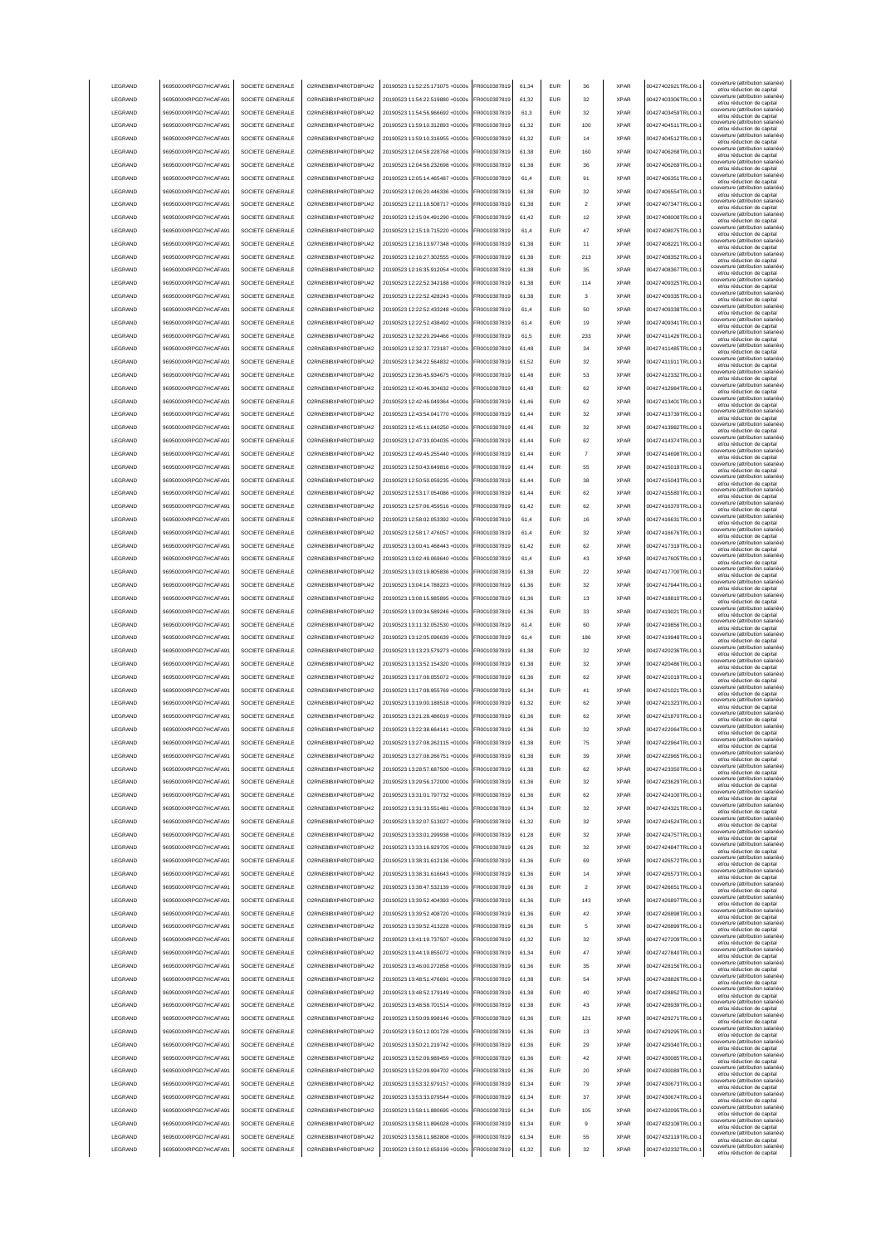| LEGRAND            | 969500XXRPGD7HCAFA91                         | SOCIETE GENERALE                     | O2RNE8IBXP4R0TD8PU42                         | 20190523 11:52:25.173075 +0100s                                    | FR0010307819                 | 61,34 | <b>EUR</b>               | 36             | <b>XPAR</b> | 00427402921TRLO0-                      | couverture (attribution salariée)<br>et/ou réduction de capital                                      |
|--------------------|----------------------------------------------|--------------------------------------|----------------------------------------------|--------------------------------------------------------------------|------------------------------|-------|--------------------------|----------------|-------------|----------------------------------------|------------------------------------------------------------------------------------------------------|
| LEGRAND            | 969500XXRPGD7HCAFA91                         | SOCIETE GENERALE                     | O2RNE8IBXP4R0TD8PU42                         | 20190523 11:54:22.519880 +0100s                                    | FR0010307819                 | 61,32 | <b>EUR</b>               | 32             | <b>XPAR</b> | 00427403306TRLO0-                      | couverture (attribution salariée)                                                                    |
|                    |                                              |                                      |                                              |                                                                    |                              |       |                          |                |             |                                        | et/ou réduction de capital<br>couverture (attribution salariée)                                      |
| LEGRAND            | 969500XXRPGD7HCAFA91                         | SOCIETE GENERALE                     | O2RNE8IBXP4R0TD8PU42                         | 20190523 11:54:56.966692 +0100s                                    | FR0010307819                 | 61,3  | <b>EUR</b>               | 32             | <b>XPAR</b> | 00427403459TRLO0-                      | et/ou réduction de capital<br>couverture (attribution salariée)                                      |
| <b>LEGRAND</b>     | 969500XXRPGD7HCAFA91                         | SOCIETE GENERALE                     | O2RNE8IBXP4R0TD8PLI42                        | 20190523 11:59:10.312893 +0100s                                    | FR0010307819                 | 61.32 | <b>EUR</b>               | 100            | <b>XPAR</b> | 00427404511TRLO0-                      | et/ou réduction de capital                                                                           |
| LEGRAND            | 969500XXRPGD7HCAFA91                         | SOCIETE GENERALE                     | O2RNE8IBXP4R0TD8PU42                         | 20190523 11:59:10.316955 +0100s                                    | FR0010307819                 | 61.32 | <b>EUR</b>               | 14             | <b>XPAR</b> | 00427404512TRLO0-                      | couverture (attribution salariée)<br>et/ou réduction de capital                                      |
| LEGRAND            | 969500XXRPGD7HCAFA91                         | SOCIETE GENERALE                     | O2RNE8IBXP4R0TD8PU42                         | 20190523 12:04:58.228768 +0100s                                    | FR0010307819                 | 61.38 | EUR                      | 160            | <b>XPAR</b> | 00427406268TRLO0-                      | couverture (attribution salariée)<br>et/ou réduction de capital                                      |
| <b>LEGRAND</b>     | 969500XXRPGD7HCAFA91                         | SOCIETE GENERALE                     | O2RNE8IBXP4R0TD8PU42                         | 20190523 12:04:58 232698 +0100s                                    | FR0010307819                 | 61.38 | <b>EUR</b>               | 36             | <b>XPAR</b> | 00427406269TRLO0-                      | couverture (attribution salariée)                                                                    |
|                    |                                              |                                      |                                              |                                                                    |                              |       |                          |                |             |                                        | et/ou réduction de capital<br>couverture (attribution salariée)                                      |
| LEGRAND            | 969500XXRPGD7HCAFA91                         | SOCIETE GENERALE                     | O2RNE8IBXP4R0TD8PU42                         | 20190523 12:05:14.465487 +0100s                                    | R0010307819                  | 61,4  | EUR                      | 91             | <b>XPAR</b> | 00427406351TRLO0-                      | et/ou réduction de capital                                                                           |
| LEGRAND            | 969500XXRPGD7HCAFA91                         | SOCIETE GENERALE                     | O2RNE8IBXP4R0TD8PU42                         | 20190523 12:06:20.446336 +0100s                                    | FR0010307819                 | 61,38 | EUR                      | 32             | <b>XPAR</b> | 00427406554TRLO0-                      | couverture (attribution salariée)<br>et/ou réduction de capital                                      |
| LEGRAND            | 969500XXRPGD7HCAFA91                         | SOCIETE GENERALE                     | O2RNE8IBXP4R0TD8PU42                         | 20190523 12:11:18.508717 +0100s                                    | R0010307819                  | 61,38 | EUR                      | $\overline{2}$ | <b>XPAR</b> | 00427407347TRLO0-                      | couverture (attribution salariée)<br>et/ou réduction de capital                                      |
| LEGRAND            | 969500XXRPGD7HCAFA91                         | SOCIETE GENERALE                     | O2RNE8IBXP4R0TD8PU42                         | 20190523 12:15:04.491290 +0100s                                    | FR0010307819                 | 61,42 | EUR                      | 12             | <b>XPAR</b> | 00427408008TRLO0-                      | couverture (attribution salariée)                                                                    |
|                    |                                              |                                      |                                              |                                                                    |                              |       |                          |                |             |                                        | et/ou réduction de capital<br>couverture (attribution salariée)                                      |
| LEGRAND            | 969500XXRPGD7HCAFA91                         | SOCIETE GENERALE                     | O2RNE8IBXP4R0TD8PU42                         | 20190523 12:15:19.715220 +0100s                                    | R0010307819                  | 61,4  | EUR                      | 47             | <b>XPAR</b> | 00427408075TRLO0-                      | et/ou réduction de capital                                                                           |
| LEGRAND            | 969500XXRPGD7HCAFA91                         | SOCIETE GENERALE                     | O2RNE8IBXP4R0TD8PU42                         | 20190523 12:16:13.977348 +0100s                                    | R001030781                   | 61,38 | EUR                      | 11             | <b>XPAR</b> | 00427408221TRLO0-                      | couverture (attribution salariée)<br>et/ou réduction de capital                                      |
| LEGRAND            | 969500XXRPGD7HCAFA91                         | SOCIETE GENERALE                     | O2RNE8IBXP4R0TD8PU42                         | 20190523 12:16:27.302555 +0100s                                    | FR0010307819                 | 61,38 | <b>EUR</b>               | 213            | <b>XPAR</b> | 00427408352TRLO0-                      | couverture (attribution salariée)<br>et/ou réduction de capital                                      |
| LEGRAND            | 969500XXRPGD7HCAFA91                         | SOCIETE GENERALE                     | O2RNE8IBXP4R0TD8PU42                         | 20190523 12:16:35.912054 +0100s                                    | R0010307819                  | 61,38 | <b>EUR</b>               | 35             | <b>XPAR</b> | 00427408367TRLO0-                      | couverture (attribution salariée)                                                                    |
|                    |                                              |                                      |                                              |                                                                    |                              |       |                          |                |             |                                        | et/ou réduction de capital<br>couverture (attribution salariée)                                      |
| LEGRAND            | 969500XXRPGD7HCAFA91                         | SOCIETE GENERALE                     | O2RNE8IBXP4R0TD8PU42                         | 20190523 12:22:52.342188 +0100s                                    | R0010307819                  | 61,38 | <b>EUR</b>               | 114            | <b>XPAR</b> | 00427409325TRLO0-                      | et/ou réduction de capital<br>couverture (attribution salariée)                                      |
| LEGRAND            | 969500XXRPGD7HCAFA91                         | SOCIETE GENERALE                     | O2RNE8IBXP4R0TD8PU42                         | 20190523 12:22:52.428243 +0100s                                    | FR0010307819                 | 61.38 | <b>EUR</b>               | 3              | <b>XPAR</b> | 00427409335TRLO0-                      | et/ou réduction de capital                                                                           |
| LEGRAND            | 969500XXRPGD7HCAFA91                         | SOCIETE GENERALE                     | O2RNE8IBXP4R0TD8PU42                         | 20190523 12:22:52.433248 +0100s                                    | FR0010307819                 | 61.4  | <b>EUR</b>               | 50             | <b>XPAR</b> | 00427409338TRLO0-                      | couverture (attribution salariée)<br>et/ou réduction de capital                                      |
| LEGRAND            | 969500XXRPGD7HCAFA91                         | SOCIETE GENERALE                     | O2RNE8IBXP4R0TD8PU42                         | 20190523 12:22:52.438492 +0100s                                    | R0010307819                  | 61.4  | EUR                      | 19             | <b>XPAR</b> | 00427409341TRLO0-                      | couverture (attribution salariée)                                                                    |
|                    |                                              |                                      |                                              |                                                                    |                              |       |                          |                |             |                                        | et/ou réduction de capital<br>couverture (attribution salariée)                                      |
| LEGRAND            | 969500XXRPGD7HCAFA91                         | SOCIETE GENERALE                     | O2RNE8IBXP4R0TD8PU42                         | 20190523 12:32:20.294466 +0100s                                    | R0010307819                  | 61,5  | <b>EUR</b>               | 233            | <b>XPAR</b> | 00427411426TRLO0-                      | et/ou réduction de capital                                                                           |
| LEGRAND            | 969500XXRPGD7HCAFA91                         | SOCIETE GENERALE                     | O2RNE8IBXP4R0TD8PU42                         | 20190523 12:32:37.723187 +0100s                                    | R0010307819                  | 61,48 | EUR                      | 34             | <b>XPAR</b> | 00427411485TRLO0-                      | couverture (attribution salariée)<br>et/ou réduction de capital                                      |
| LEGRAND            | 969500XXRPGD7HCAFA91                         | SOCIETE GENERALE                     | O2RNE8IBXP4R0TD8PU42                         | 20190523 12:34:22.564832 +0100s                                    | FR0010307819                 | 61,52 | <b>EUR</b>               | 32             | <b>XPAR</b> | 00427411911TRLO0-                      | couverture (attribution salariée)<br>et/ou réduction de capital                                      |
| <b>LEGRAND</b>     | 969500XXRPGD7HCAFA91                         | SOCIETE GENERALE                     | O2RNE8IBXP4R0TD8PU42                         | 20190523 12:36:45 934675 +0100s                                    | R0010307819                  | 61,48 | EUR                      | 53             | <b>XPAR</b> | 00427412332TRLO0-                      | couverture (attribution salariée)                                                                    |
|                    |                                              |                                      |                                              |                                                                    |                              |       |                          |                |             |                                        | et/ou réduction de capital<br>couverture (attribution salariée)                                      |
| LEGRAND            | 969500XXRPGD7HCAFA91                         | SOCIETE GENERALE                     | O2RNE8IBXP4R0TD8PU42                         | 20190523 12:40:46.304632 +0100s                                    | FR0010307819                 | 61,48 | EUR                      | 62             | <b>XPAR</b> | 00427412984TRLO0-                      | et/ou réduction de capital                                                                           |
| LEGRAND            | 969500XXRPGD7HCAFA91                         | SOCIETE GENERALE                     | O2RNE8IBXP4R0TD8PU42                         | 20190523 12:42:46.049364 +0100s                                    | FR0010307819                 | 61,46 | EUR                      | 62             | <b>XPAR</b> | 00427413401TRLO0-                      | couverture (attribution salariée)<br>et/ou réduction de capital                                      |
| LEGRAND            | 969500XXRPGD7HCAFA91                         | SOCIETE GENERALE                     | O2RNE8IBXP4R0TD8PU42                         | 20190523 12:43:54.041770 +0100s                                    | FR0010307819                 | 61,44 | EUR                      | 32             | <b>XPAR</b> | 00427413739TRLO0-                      | couverture (attribution salariée)<br>et/ou réduction de capital                                      |
| LEGRAND            | 969500XXRPGD7HCAFA91                         | SOCIETE GENERALE                     | O2RNE8IBXP4R0TD8PU42                         | 20190523 12:45:11.640250 +0100s                                    | FR0010307819                 | 61,46 | <b>EUR</b>               | 32             | <b>XPAR</b> | 00427413982TRLO0-                      | couverture (attribution salariée)                                                                    |
|                    |                                              |                                      |                                              |                                                                    |                              |       |                          |                |             |                                        | et/ou réduction de capital<br>couverture (attribution salariée)                                      |
| LEGRAND            | 969500XXRPGD7HCAFA91                         | SOCIETE GENERALE                     | O2RNE8IBXP4R0TD8PLI42                        | 20190523 12:47:33.004035 +0100s                                    | FR0010307819                 | 61,44 | <b>EUR</b>               | 62             | <b>XPAR</b> | 00427414374TRLO0-                      | et/ou réduction de capital                                                                           |
| LEGRAND            | 969500XXRPGD7HCAFA91                         | SOCIETE GENERALE                     | O2RNE8IBXP4R0TD8PU42                         | 20190523 12:49:45.255440 +0100s                                    | FR0010307819                 | 61,44 | <b>EUR</b>               | 7              | <b>XPAR</b> | 00427414698TRLO0-                      | couverture (attribution salariée)<br>et/ou réduction de capital                                      |
| <b>I FGRAND</b>    | 969500XXRPGD7HCAFA91                         | SOCIETE GENERALE                     | O2RNE8IBXP4R0TD8PU42                         | 20190523 12:50:43.649816 +0100s                                    | FR0010307819                 | 61.44 | <b>EUR</b>               | 55             | <b>XPAR</b> | 00427415019TRLO0-                      | couverture (attribution salariée)<br>et/ou réduction de capital                                      |
| <b>LEGRAND</b>     | 969500XXRPGD7HCAFA91                         | SOCIETE GENERALE                     | O2RNE8IBXP4R0TD8PLI42                        | 20190523 12:50:50.059235 +0100s                                    | FR0010307819                 | 61.44 | <b>EUR</b>               | 38             | <b>XPAR</b> | 00427415043TRLO0-                      | couverture (attribution salariée)                                                                    |
|                    |                                              |                                      |                                              |                                                                    |                              |       |                          |                |             |                                        | et/ou réduction de capital<br>couverture (attribution salariée)                                      |
| <b>LEGRAND</b>     | 969500XXRPGD7HCAFA91                         | SOCIETE GENERALE                     | O2RNE8IBXP4R0TD8PU42                         | 20190523 12:53:17.054086 +0100s                                    | FR0010307819                 | 61.44 | <b>EUR</b>               | 62             | <b>XPAR</b> | 00427415580TRLO0-                      | et/ou réduction de capital<br>couverture (attribution salariée)                                      |
| LEGRAND            | 969500XXRPGD7HCAFA91                         | SOCIETE GENERALE                     | O2RNE8IBXP4R0TD8PU42                         | 20190523 12:57:06.459516 +0100s                                    | R0010307819                  | 61,42 | EUR                      | 62             | <b>XPAR</b> | 00427416370TRLO0-                      | et/ou réduction de capital                                                                           |
| LEGRAND            | 969500XXRPGD7HCAFA91                         | SOCIETE GENERALE                     | O2RNE8IBXP4R0TD8PU42                         | 20190523 12:58:02.053392 +0100s                                    | FR0010307819                 | 61,4  | <b>EUR</b>               | 16             | <b>XPAR</b> | 00427416631TRLO0-                      | couverture (attribution salariée)<br>et/ou réduction de capital                                      |
| LEGRAND            | 969500XXRPGD7HCAFA91                         | SOCIETE GENERALE                     | O2RNE8IBXP4R0TD8PU42                         | 20190523 12:58:17.476057 +0100s                                    | R0010307819                  | 61,4  | EUR                      | 32             | <b>XPAR</b> | 00427416676TRLO0-                      | couverture (attribution salariée)                                                                    |
|                    |                                              |                                      |                                              |                                                                    |                              |       |                          |                |             |                                        | et/ou réduction de capital<br>couverture (attribution salariée)                                      |
| LEGRAND            | 969500XXRPGD7HCAFA91                         | SOCIETE GENERALE                     | O2RNE8IBXP4R0TD8PU42                         | 20190523 13:00:41.468443 +0100s                                    | R0010307819                  | 61,42 | EUR                      | 62             | <b>XPAR</b> | 00427417319TRLO0-                      | et/ou réduction de capital<br>couverture (attribution salariée)                                      |
| LEGRAND            | 969500XXRPGD7HCAFA91                         | SOCIETE GENERALE                     | O2RNE8IBXP4R0TD8PU42                         | 20190523 13:02:49.069640 +0100s                                    | R0010307819                  | 61,4  | EUR                      | 43             | <b>XPAR</b> | 00427417605TRLO0-                      | et/ou réduction de capital                                                                           |
| LEGRAND            | 969500XXRPGD7HCAFA91                         | SOCIETE GENERALE                     | O2RNE8IBXP4R0TD8PU42                         | 20190523 13:03:19.805836 +0100s                                    | R0010307819                  | 61,38 | EUR                      | 22             | <b>XPAR</b> | 00427417700TRLO0-                      | couverture (attribution salariée)<br>et/ou réduction de capital                                      |
| LEGRAND            | 969500XXRPGD7HCAFA91                         | SOCIETE GENERALE                     | O2RNE8IBXP4R0TD8PU42                         | 20190523 13:04:14.788223 +0100s                                    | R0010307819                  | 61,36 | EUR                      | 32             | <b>XPAR</b> | 00427417944TRLO0-                      | couverture (attribution salariée)                                                                    |
|                    |                                              |                                      |                                              |                                                                    |                              |       |                          |                |             |                                        | et/ou réduction de capital<br>couverture (attribution salariée)                                      |
| LEGRAND            | 969500XXRPGD7HCAFA91                         | SOCIETE GENERALE                     | O2RNE8IBXP4R0TD8PU42                         | 20190523 13:08:15.985895 +0100s                                    | FR0010307819                 | 61,36 | <b>EUR</b>               | 13             | <b>XPAR</b> | 00427418810TRLO0-                      | et/ou réduction de capital                                                                           |
|                    |                                              |                                      |                                              |                                                                    |                              |       |                          |                |             |                                        |                                                                                                      |
| LEGRAND            | 969500XXRPGD7HCAFA91                         | SOCIETE GENERALE                     | O2RNE8IBXP4R0TD8PU42                         | 20190523 13:09:34.589246 +0100s                                    | FR0010307819                 | 61,36 | <b>EUR</b>               | 33             | <b>XPAR</b> | 00427419021TRLO0-                      | couverture (attribution salariée)<br>et/ou réduction de capital                                      |
| LEGRAND            | 969500XXRPGD7HCAFA91                         | SOCIETE GENERALE                     | O2RNE8IBXP4R0TD8PU42                         | 20190523 13:11:32.052530 +0100s                                    | R0010307819                  | 61,4  | <b>EUR</b>               | 60             | <b>XPAR</b> | 00427419856TRLO0-                      | couverture (attribution salariée)                                                                    |
| LEGRAND            | 969500XXRPGD7HCAFA91                         | SOCIETE GENERALE                     | O2RNE8IBXP4R0TD8PU42                         | 20190523 13:12:05.096639 +0100s                                    | FR0010307819                 | 61.4  | <b>EUR</b>               | 186            | <b>XPAR</b> | 00427419948TRLO0-                      | et/ou réduction de capital<br>couverture (attribution salariée)                                      |
|                    |                                              |                                      |                                              |                                                                    |                              |       |                          |                |             |                                        | et/ou réduction de capital<br>couverture (attribution salariée)                                      |
| <b>LEGRAND</b>     | 969500XXRPGD7HCAFA91                         | SOCIETE GENERALE                     | O2RNE8IBXP4R0TD8PLI42                        | 20190523 13:13:23.579273 +0100s                                    | FR0010307819                 | 61.38 | <b>EUR</b>               | 32             | <b>XPAR</b> | 00427420236TRLO0-                      | et/ou réduction de capital                                                                           |
| <b>LEGRAND</b>     | 969500XXRPGD7HCAFA91                         | SOCIETE GENERALE                     | O2RNE8IBXP4R0TD8PU42                         | 20190523 13:13:52.154320 +0100s                                    | FR0010307819                 | 61.38 | <b>EUR</b>               | 32             | <b>XPAR</b> | 00427420486TRLO0-                      | couverture (attribution salariée)<br>et/ou réduction de capital                                      |
| LEGRAND            | 969500XXRPGD7HCAFA91                         | SOCIETE GENERALE                     | O2RNE8IBXP4R0TD8PU42                         | 20190523 13:17:08.055072 +0100s                                    | R0010307819                  | 61,36 | EUR                      | 62             | <b>XPAR</b> | 00427421019TRLO0-                      | couverture (attribution salariée)                                                                    |
|                    |                                              |                                      |                                              |                                                                    |                              | 61,34 | <b>EUR</b>               | 41             |             |                                        | et/ou réduction de capital<br>couverture (attribution salariée)                                      |
| LEGRAND            | 969500XXRPGD7HCAFA91                         | SOCIETE GENERALE                     | O2RNE8IBXP4R0TD8PU42                         | 20190523 13:17:08.955769 +0100s                                    | FR0010307819                 |       |                          |                | <b>XPAR</b> | 00427421021TRLO0-1                     | et/ou réduction de capital<br>couverture (attribution salariée)                                      |
| LEGRAND            | 969500XXRPGD7HCAFA91                         | SOCIETE GENERALE                     | O2RNE8IBXP4R0TD8PU42                         | 20190523 13:19:00.188518 +0100s                                    | FR0010307819                 | 61,32 | <b>EUR</b>               | 62             | <b>XPAR</b> | 00427421323TRLO0-                      | et/ou réduction de capital                                                                           |
| LEGRAND            | 969500XXRPGD7HCAFA91                         | SOCIETE GENERALE                     | O2RNE8IBXP4R0TD8PU42                         | 20190523 13:21:28.486019 +0100s                                    | FR0010307819                 | 61,36 | EUR                      | 62             | <b>XPAR</b> | 00427421870TRLO0-                      | couverture (attribution salariée)<br>et/ou réduction de capital                                      |
| LEGRAND            | 969500XXRPGD7HCAFA91                         | SOCIETE GENERALE                     | O2RNE8IBXP4R0TD8PU42                         | 20190523 13:22:38.664141 +0100s                                    | FR0010307819                 | 61,36 | EUR                      | 32             | <b>XPAR</b> | 00427422064TRLO0-                      | couverture (attribution salariée)<br>et/ou réduction de capital                                      |
| LEGRAND            |                                              | SOCIETE GENERALE                     |                                              |                                                                    | FR0010307819                 | 61,38 | EUR                      |                | <b>XPAR</b> |                                        | couverture (attribution salariée)                                                                    |
|                    | 969500XXRPGD7HCAFA91                         |                                      | O2RNE8IBXP4R0TD8PU42                         | 20190523 13:27:08.262115 +0100s                                    |                              |       |                          |                |             | 00427422964TRLO0-                      | et/ou réduction de capital<br>couverture (attribution salariée)                                      |
| <b>I FGRAND</b>    | 969500XXRPGD7HCAFA91                         | SOCIETE GENERALE                     | O2RNE8IBXP4R0TD8PU42                         | 20190523 13:27:08 266751 +0100s                                    | FR0010307819                 | 61.38 | <b>FUR</b>               | 39             | <b>XPAR</b> | 00427422965TRLO0-                      | et/ou réduction de capital                                                                           |
| <b>I FGRAND</b>    | 969500XXRPGD7HCAFA91                         | SOCIETE GENERALE                     | O2RNE8IBXP4R0TD8PU42                         | 20190523 13:28:57.687500 +0100s                                    | FR0010307819                 | 61,38 | <b>EUR</b>               | 62             | <b>XPAR</b> | 00427423350TRLO0-                      | couverture (attribution salariée)<br>et/ou réduction de capital                                      |
| <b>I FGRAND</b>    | 969500XXRPGD7HCAFA91                         | SOCIETE GENERALE                     | O2RNE8IBXP4R0TD8PLI42                        | 20190523 13:29:56.172000 +0100s                                    | FR0010307819                 | 61,36 | <b>FUR</b>               | 32             | <b>XPAR</b> | 00427423629TRLO0-                      | couverture (attribution salariée)                                                                    |
| LEGRAND            | 969500XXRPGD7HCAFA91                         | SOCIETE GENERALE                     | O2RNE8IBXP4R0TD8PU42                         |                                                                    | FR0010307819                 |       | <b>EUR</b>               | 62             | <b>XPAR</b> | 00427424100TRLO0-                      | et/ou réduction de capital<br>couverture (attribution salariée)                                      |
|                    |                                              |                                      |                                              | 20190523 13:31:01.797732 +0100s                                    |                              | 61,36 |                          |                |             |                                        | et/ou réduction de capital<br>couverture (attribution salariée)                                      |
| LEGRAND            | 969500XXRPGD7HCAFA91                         | SOCIETE GENERALE                     | O2RNE8IBXP4R0TD8PU42                         | 20190523 13:31:33.551481 +0100s                                    | FR0010307819                 | 61.34 | <b>EUR</b>               | 32             | <b>XPAR</b> | 00427424321TRLO0-                      | et/ou réduction de capital                                                                           |
| LEGRAND            | 969500XXRPGD7HCAFA91                         | SOCIETE GENERALE                     | O2RNE8IBXP4R0TD8PU42                         | 20190523 13:32:07.513027 +0100s                                    | FR0010307819                 | 61.32 | <b>EUR</b>               | 32             | <b>XPAR</b> | 00427424524TRLO0-                      | couverture (attribution salariée)<br>et/ou réduction de capital                                      |
| LEGRAND            | 969500XXRPGD7HCAFA91                         | SOCIETE GENERALE                     | O2RNE8IBXP4R0TD8PU42                         | 20190523 13:33:01.299938 +0100s                                    | FR0010307819                 | 61.28 | <b>EUR</b>               | 32             | <b>XPAR</b> | 00427424757TRLO0-                      | couverture (attribution salariée)<br>et/ou réduction de capital                                      |
| LEGRAND            | 969500XXRPGD7HCAFA91                         | SOCIETE GENERALE                     | O2RNE8IBXP4R0TD8PU42                         | 20190523 13:33:16.929705 +0100s                                    | FR0010307819                 | 61,26 | <b>EUR</b>               | 32             | <b>XPAR</b> | 00427424847TRLO0-                      | couverture (attribution salariée)                                                                    |
|                    |                                              |                                      |                                              |                                                                    |                              |       |                          |                |             |                                        | et/ou réduction de capital<br>couverture (attribution salariée)                                      |
| LEGRAND            | 969500XXRPGD7HCAFA91                         | SOCIETE GENERALE                     | O2RNE8IBXP4R0TD8PU42                         | 20190523 13:38:31.612136 +0100s                                    | FR0010307819                 | 61,36 | <b>EUR</b>               | 69             | <b>XPAR</b> | 00427426572TRLO0-1                     | et/ou réduction de capital                                                                           |
| LEGRAND            | 969500XXRPGD7HCAFA91                         | SOCIETE GENERALE                     | O2RNE8IBXP4R0TD8PU42                         | 20190523 13:38:31.616643 +0100s                                    | FR0010307819                 | 61,36 | <b>EUR</b>               | 14             | <b>XPAR</b> | 00427426573TRLO0-                      | couverture (attribution salariée)<br>et/ou réduction de capital                                      |
| LEGRAND            | 969500XXRPGD7HCAFA91                         | SOCIETE GENERALE                     | O2RNE8IBXP4R0TD8PU42                         | 20190523 13:38:47.532139 +0100s                                    | R0010307819                  | 61,36 | EUR                      | $\overline{a}$ | <b>XPAR</b> | 00427426651TRLO0-1                     | couverture (attribution salariée)<br>et/ou réduction de capital                                      |
| LEGRAND            | 969500XXRPGD7HCAFA91                         | SOCIETE GENERALE                     | O2RNE8IBXP4R0TD8PU42                         | 20190523 13:39:52.404393 +0100s                                    | R0010307819                  | 61,36 | EUR                      | 143            | <b>XPAR</b> | 00427426897TRLO0-                      | couverture (attribution salariée)                                                                    |
|                    |                                              |                                      |                                              |                                                                    |                              |       |                          |                |             |                                        | et/ou réduction de capital<br>couverture (attribution salariée)                                      |
| LEGRAND            | 969500XXRPGD7HCAFA91                         | SOCIETE GENERALE                     | O2RNE8IBXP4R0TD8PU42                         | 20190523 13:39:52.408720 +0100s                                    | R0010307819                  | 61,36 | <b>EUR</b>               | 42             | <b>XPAR</b> | 00427426898TRLO0-1                     | et/ou réduction de capital<br>couverture (attribution salariée)                                      |
| LEGRAND            | 969500XXRPGD7HCAFA91                         | SOCIETE GENERALE                     | O2RNE8IBXP4R0TD8PLI42                        | 20190523 13:39:52.413228 +0100s                                    | FR0010307819                 | 61,36 | <b>FUR</b>               | 5              | <b>XPAR</b> | 00427426899TRLO0-                      | et/ou réduction de capital                                                                           |
| LEGRAND            | 969500XXRPGD7HCAFA91                         | SOCIETE GENERALE                     | O2RNE8IBXP4R0TD8PU42                         | 20190523 13:41:19.737507 +0100s                                    | FR0010307819                 | 61,32 | <b>EUR</b>               | 32             | <b>XPAR</b> | 00427427209TRLO0-                      | couverture (attribution salariée)<br>et/ou réduction de capital                                      |
| LEGRAND            | 969500XXRPGD7HCAFA91                         | SOCIETE GENERALE                     | O2RNE8IBXP4R0TD8PU42                         | 20190523 13:44:19.855072 +0100s                                    | FR0010307819                 | 61,34 | <b>FUR</b>               | 47             | <b>XPAR</b> | 00427427840TRLO0-                      | couverture (attribution salariée)                                                                    |
|                    |                                              |                                      |                                              |                                                                    |                              |       |                          |                |             |                                        | et/ou réduction de capital<br>couverture (attribution salariée)                                      |
| LEGRAND            | 969500XXRPGD7HCAFA91                         | SOCIETE GENERALE                     | O2RNE8IBXP4R0TD8PU42                         | 20190523 13:46:00.272858 +0100s                                    | FR0010307819                 | 61.36 | <b>EUR</b>               | 35             | <b>XPAR</b> | 00427428156TRLO0-                      | et/ou réduction de capital                                                                           |
| LEGRAND            | 969500XXRPGD7HCAFA91                         | SOCIETE GENERALE                     | O2RNE8IBXP4R0TD8PU42                         | 20190523 13:48:51.476691 +0100s                                    | FR0010307819                 | 61.38 | <b>EUR</b>               | 54             | <b>XPAR</b> | 00427428826TRLO0-                      | couverture (attribution salariée)<br>et/ou réduction de capital                                      |
| LEGRAND            | 969500XXRPGD7HCAFA91                         | SOCIETE GENERALE                     | O2RNE8IBXP4R0TD8PU42                         | 20190523 13:48:52.179149 +0100s                                    | FR0010307819                 | 61.38 | <b>EUR</b>               | 40             | <b>XPAR</b> | 00427428852TRLO0-                      | couverture (attribution salariée)<br>et/ou réduction de capital                                      |
| LEGRAND            | 969500XXRPGD7HCAFA91                         | SOCIETE GENERALE                     | O2RNE8IBXP4R0TD8PU42                         | 20190523 13:48:58.701514 +0100s                                    | R0010307819                  | 61,38 | <b>EUR</b>               | 43             | <b>XPAR</b> | 00427428939TRLO0-1                     | couverture (attribution salariée)                                                                    |
|                    |                                              |                                      |                                              |                                                                    |                              |       |                          |                |             |                                        | et/ou réduction de capital<br>couverture (attribution salariée)                                      |
| LEGRAND            | 969500XXRPGD7HCAFA91                         | SOCIETE GENERALE                     | O2RNE8IBXP4R0TD8PU42                         | 20190523 13:50:09.998146 +0100s                                    | FR0010307819                 | 61,36 | EUR                      | 121            | <b>XPAR</b> | 00427429271TRLO0-1                     | et/ou réduction de capital                                                                           |
| LEGRAND            | 969500XXRPGD7HCAFA91                         | SOCIETE GENERALE                     | O2RNE8IBXP4R0TD8PU42                         | 20190523 13:50:12.001728 +0100s                                    | R0010307819                  | 61,36 | EUR                      | 13             | <b>XPAR</b> | 00427429295TRLO0-1                     | couverture (attribution salariée)<br>et/ou réduction de capital                                      |
| LEGRAND            | 969500XXRPGD7HCAFA91                         | SOCIETE GENERALE                     | O2RNE8IBXP4R0TD8PU42                         | 20190523 13:50:21.219742 +0100s                                    | FR0010307819                 | 61,36 | EUR                      | 29             | <b>XPAR</b> | 00427429340TRLO0-1                     | couverture (attribution salariée)<br>et/ou réduction de capital                                      |
| LEGRAND            | 969500XXRPGD7HCAFA91                         | SOCIETE GENERALE                     | O2RNE8IBXP4R0TD8PU42                         | 20190523 13:52:09.989459 +0100s                                    | R0010307819                  | 61,36 | EUR                      | 42             | <b>XPAR</b> | 00427430085TRLO0-                      | couverture (attribution salariée)                                                                    |
|                    |                                              |                                      |                                              |                                                                    |                              |       |                          |                |             |                                        | et/ou réduction de capital<br>couverture (attribution salariée)                                      |
| LEGRAND            | 969500XXRPGD7HCAFA91                         | SOCIETE GENERALE                     | O2RNE8IBXP4R0TD8PU42                         | 20190523 13:52:09.994702 +0100s                                    | FR0010307819                 | 61,36 | <b>EUR</b>               | 20             | <b>XPAR</b> | 00427430089TRLO0-                      | et/ou réduction de capital                                                                           |
| LEGRAND            | 969500XXRPGD7HCAFA91                         | SOCIETE GENERALE                     | O2RNE8IBXP4R0TD8PU42                         | 20190523 13:53:32.979157 +0100s                                    | FR0010307819                 | 61,34 | <b>EUR</b>               | 79             | <b>XPAR</b> | 00427430673TRLO0-                      | couverture (attribution salariée)<br>et/ou réduction de capital                                      |
| <b>I FGRAND</b>    | 969500XXRPGD7HCAFA91                         | SOCIETE GENERALE                     | O2RNE8IBXP4R0TD8PU42                         | 20190523 13:53:33.079544 +0100s                                    | FR0010307819                 | 61,34 | <b>EUR</b>               | 37             | <b>XPAR</b> | 00427430674TRLO0-                      | couverture (attribution salariée)<br>et/ou réduction de capital                                      |
| <b>I FGRAND</b>    | 969500XXRPGD7HCAFA91                         | SOCIETE GENERALE                     | O2RNE8IBXP4R0TD8PU42                         | 20190523 13:58:11.880695 +0100s                                    | FR0010307819                 | 61,34 | <b>FUR</b>               | 105            | <b>XPAR</b> | 00427432095TRLO0-                      | couverture (attribution salariée)                                                                    |
|                    |                                              |                                      |                                              |                                                                    |                              |       |                          |                |             |                                        | et/ou réduction de capital<br>couverture (attribution salariée)                                      |
| <b>I FGRAND</b>    | 969500XXRPGD7HCAFA91                         | SOCIETE GENERALE                     | O2RNE8IBXP4R0TD8PU42                         | 20190523 13:58:11.896028 +0100s                                    | FR0010307819                 | 61.34 | <b>FUR</b>               | $\overline{9}$ | <b>XPAR</b> | 00427432108TRLO0-                      | et/ou réduction de capital                                                                           |
| LEGRAND<br>LEGRAND | 969500XXRPGD7HCAFA91<br>969500XXRPGD7HCAFA91 | SOCIETE GENERALE<br>SOCIETE GENERALE | O2RNE8IBXP4R0TD8PU42<br>O2RNE8IBXP4R0TD8PU42 | 20190523 13:58:11.982808 +0100s<br>20190523 13:59:12.659199 +0100s | FR0010307819<br>FR0010307819 | 61.34 | <b>EUR</b><br><b>EUR</b> | 55             | <b>XPAR</b> | 00427432119TRLO0-<br>00427432332TRLO0- | couverture (attribution salariée)<br>et/ou réduction de capital<br>couverture (attribution salariée) |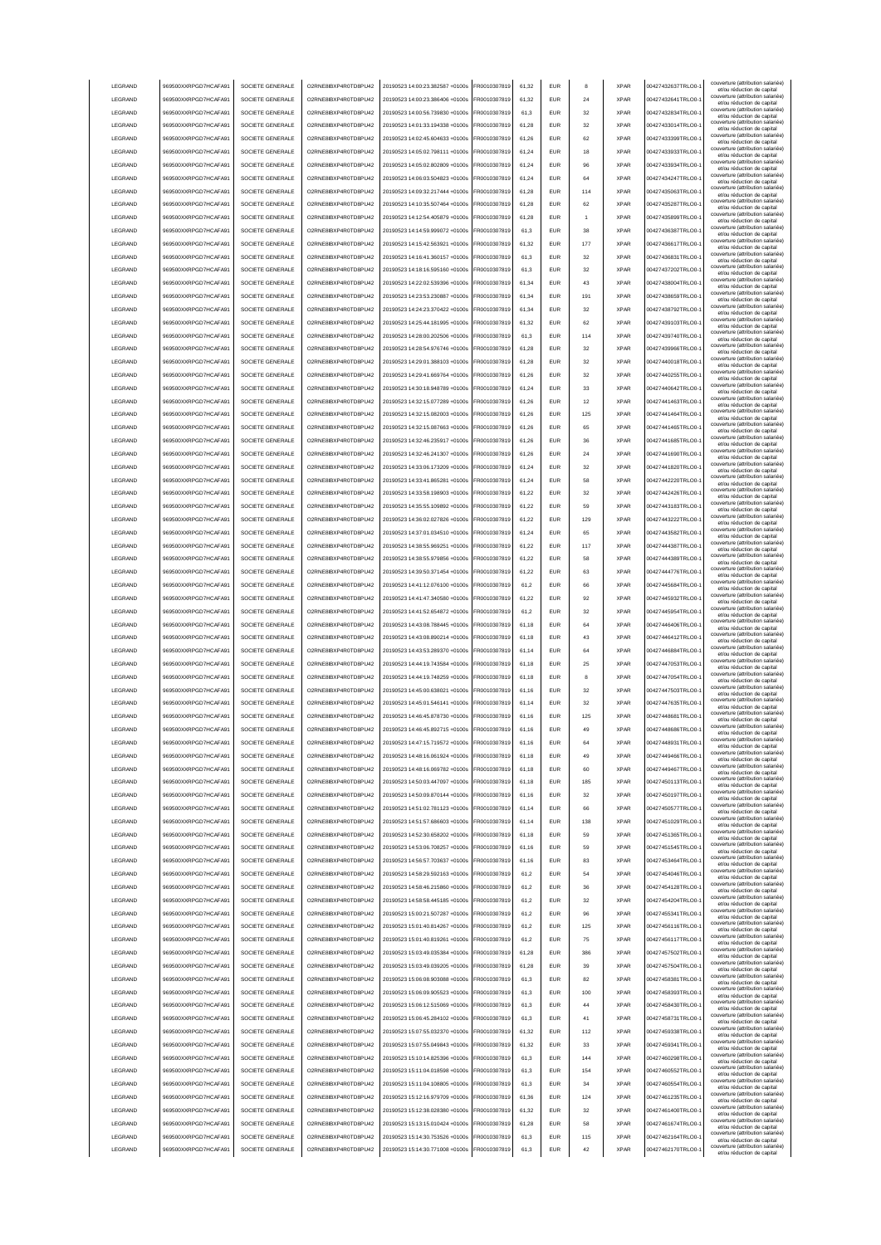|                                    | 969500XXRPGD7HCAFA91                         | SOCIETE GENERALE                     | O2RNE8IBXP4R0TD8PU42                         | 20190523 14:00:23.382587 +0100s                                    | FR0010307819                 | 61.32          | <b>EUR</b>               | 8         | <b>XPAR</b>                | 00427432637TRLO0-                      | couverture (attribution salariée<br>et/ou réduction de capital<br>couverture (attribution salariée)  |
|------------------------------------|----------------------------------------------|--------------------------------------|----------------------------------------------|--------------------------------------------------------------------|------------------------------|----------------|--------------------------|-----------|----------------------------|----------------------------------------|------------------------------------------------------------------------------------------------------|
| LEGRAND                            | 969500XXRPGD7HCAFA91                         | SOCIETE GENERALE                     | O2RNE8IBXP4R0TD8PU42                         | 20190523 14:00:23.386406 +0100s                                    | FR0010307819                 | 61.32          | <b>EUR</b>               | 24        | <b>XPAR</b>                | 00427432641TRLO0-                      | et/ou réduction de capital<br>couverture (attribution salariée)                                      |
| LEGRAND                            | 969500XXRPGD7HCAFA91                         | SOCIETE GENERALE                     | O2RNE8IBXP4R0TD8PU42                         | 20190523 14:00:56.739830 +0100s                                    | FR0010307819                 | 61.3           | <b>EUR</b>               | 32        | <b>XPAR</b>                | 00427432834TRLO0-                      | et/ou réduction de capital<br>couverture (attribution salariée)                                      |
| LEGRAND                            | 969500XXRPGD7HCAFA91                         | SOCIETE GENERALE                     | O2RNE8IBXP4R0TD8PU42                         | 20190523 14:01:33.194338 +0100s                                    | FR0010307819                 | 61,28          | EUR                      | 32        | <b>XPAR</b>                | 00427433014TRLO0-                      | et/ou réduction de capital<br>couverture (attribution salariée)                                      |
| LEGRAND                            | 969500XXRPGD7HCAFA91                         | SOCIETE GENERALE                     | O2RNE8IBXP4R0TD8PU42                         | 20190523 14:02:45.604633 +0100s                                    | FR0010307819                 | 61,26          | EUR                      | 62        | <b>XPAR</b>                | 00427433399TRLO0-                      | et/ou réduction de capital<br>couverture (attribution salariée)                                      |
| LEGRAND                            | 969500XXRPGD7HCAFA91                         | SOCIETE GENERALE                     | O2RNE8IBXP4R0TD8PU42                         | 20190523 14:05:02.798111 +0100s                                    | FR0010307819                 | 61,24          | EUR                      | 18        | <b>XPAR</b>                | 00427433933TRLO0-                      | et/ou réduction de capital<br>couverture (attribution salariée)                                      |
| LEGRAND                            | 969500XXRPGD7HCAFA91                         | SOCIETE GENERALE                     | O2RNE8IBXP4R0TD8PU42                         | 20190523 14:05:02.802809 +0100s                                    | FR0010307819                 | 61,24          | EUR                      | 96        | <b>XPAR</b>                | 00427433934TRLO0-                      | et/ou réduction de capital<br>couverture (attribution salariée)                                      |
| LEGRAND                            | 969500XXRPGD7HCAFA91                         | SOCIETE GENERALE                     | O2RNE8IBXP4R0TD8PU42                         | 20190523 14:06:03.504823 +0100s                                    | FR0010307819                 | 61,24          | EUR                      | 64        | <b>XPAR</b><br><b>XPAR</b> | 00427434247TRLO0-                      | et/ou réduction de capital<br>couverture (attribution salariée)                                      |
| LEGRAND                            | 969500XXRPGD7HCAFA91                         | SOCIETE GENERALE                     | O2RNE8IBXP4R0TD8PU42                         | 20190523 14:09:32.217444 +0100s                                    | FR0010307819                 | 61,28          | EUR                      | 114<br>62 | <b>XPAR</b>                | 00427435063TRLO0-                      | et/ou réduction de capital<br>couverture (attribution salariée)                                      |
| LEGRAND<br>LEGRAND                 | 969500XXRPGD7HCAFA91                         | SOCIETE GENERALE<br>SOCIETE GENERALE | O2RNE8IBXP4R0TD8PU42<br>O2RNE8IBXP4R0TD8PU42 | 20190523 14:10:35.507464 +0100s<br>20190523 14:12:54.405879 +0100s | FR0010307819<br>FR0010307819 | 61,28<br>61.28 | EUR<br><b>EUR</b>        |           | <b>XPAR</b>                | 00427435287TRLO0-<br>00427435899TRLO0- | et/ou réduction de capital<br>couverture (attribution salariée)                                      |
|                                    | 969500XXRPGD7HCAFA91                         |                                      |                                              | 20190523 14:14:59 999072 +0100s                                    |                              |                |                          |           |                            |                                        | et/ou réduction de capital<br>couverture (attribution salariée)                                      |
| LEGRAND                            | 969500XXRPGD7HCAFA91                         | SOCIETE GENERALE                     | O2RNE8IBXP4R0TD8PU42                         |                                                                    | FR0010307819                 | 61,3           | <b>EUR</b>               | 38        | <b>XPAR</b>                | 00427436387TRLO0-<br>00427436617TRLO0- | et/ou réduction de capital<br>couverture (attribution salariée)                                      |
| LEGRAND<br>LEGRAND                 | 969500XXRPGD7HCAFA91<br>969500XXRPGD7HCAFA91 | SOCIETE GENERALE<br>SOCIETE GENERALE | O2RNE8IBXP4R0TD8PU42<br>O2RNE8IBXP4R0TD8PU42 | 20190523 14:15:42.563921 +0100s<br>20190523 14:16:41.360157 +0100s | FR0010307819<br>FR0010307819 | 61,32<br>61.3  | <b>EUR</b><br>EUR        | 177<br>32 | <b>XPAR</b><br><b>XPAR</b> | 00427436831TRLO0-                      | et/ou réduction de capital<br>couverture (attribution salariée)                                      |
| LEGRAND                            | 969500XXRPGD7HCAFA91                         | SOCIETE GENERALE                     | O2RNE8IBXP4R0TD8PU42                         | 20190523 14:18:16.595160 +0100s                                    | FR0010307819                 | 61.3           | <b>EUR</b>               | 32        | <b>XPAR</b>                | 00427437202TRLO0-                      | et/ou réduction de capital<br>couverture (attribution salariée)                                      |
| LEGRAND                            | 969500XXRPGD7HCAFA91                         | SOCIETE GENERALE                     | O2RNE8IBXP4R0TD8PU42                         | 20190523 14:22:02.539396 +0100s                                    | FR0010307819                 | 61.34          | EUR                      | 43        | <b>XPAR</b>                | 00427438004TRLO0-                      | et/ou réduction de capital<br>couverture (attribution salariée)                                      |
| LEGRAND                            | 969500XXRPGD7HCAFA91                         | SOCIETE GENERALE                     | O2RNE8IBXP4R0TD8PU42                         | 20190523 14:23:53.230887 +0100s                                    | FR0010307819                 | 61,34          | EUR                      | 191       | <b>XPAR</b>                | 00427438659TRLO0-                      | et/ou réduction de capital<br>couverture (attribution salariée)                                      |
| LEGRAND                            | 969500XXRPGD7HCAFA91                         | SOCIETE GENERALE                     | O2RNE8IBXP4R0TD8PU42                         | 20190523 14:24:23.370422 +0100s                                    | FR0010307819                 | 61,34          | EUR                      | 32        | <b>XPAR</b>                | 00427438792TRLO0-                      | et/ou réduction de capital<br>couverture (attribution salariée)                                      |
| LEGRAND                            | 969500XXRPGD7HCAFA91                         | SOCIETE GENERALE                     | O2RNE8IBXP4R0TD8PU42                         | 20190523 14:25:44.181995 +0100s                                    | FR0010307819                 | 61,32          | EUR                      | 62        | <b>XPAR</b>                | 00427439103TRLO0-                      | et/ou réduction de capital<br>couverture (attribution salariée)                                      |
| LEGRAND                            | 969500XXRPGD7HCAFA91                         | SOCIETE GENERALE                     | O2RNE8IBXP4R0TD8PU42                         | 20190523 14:28:00.202506 +0100s                                    | FR0010307819                 | 61,3           | EUR                      | 114       | <b>XPAR</b>                | 00427439740TRLO0-                      | et/ou réduction de capital<br>couverture (attribution salariée)                                      |
| LEGRAND                            | 969500XXRPGD7HCAFA91                         | SOCIETE GENERALE                     | O2RNE8IBXP4R0TD8PU42                         | 20190523 14:28:54.976746 +0100s                                    | FR0010307819                 | 61,28          | EUR                      | 32        | <b>XPAR</b>                | 00427439966TRLO0-                      | et/ou réduction de capital<br>couverture (attribution salariée)<br>et/ou réduction de capital        |
| LEGRAND                            | 969500XXRPGD7HCAFA91                         | SOCIETE GENERALE                     | O2RNE8IBXP4R0TD8PU42                         | 20190523 14:29:01.388103 +0100s                                    | FR0010307819                 | 61,28          | EUR                      | 32        | <b>XPAR</b>                | 00427440018TRLO0-                      | couverture (attribution salariée)                                                                    |
| LEGRAND                            | 969500XXRPGD7HCAFA91                         | SOCIETE GENERALE                     | O2RNE8IBXP4R0TD8PU42                         | 20190523 14:29:41.669764 +0100s                                    | FR0010307819                 | 61,26          | <b>EUR</b>               | 32        | <b>XPAR</b>                | 00427440255TRLO0-                      | et/ou réduction de capital<br>couverture (attribution salariée)<br>et/ou réduction de capital        |
| LEGRAND                            | 969500XXRPGD7HCAFA91                         | SOCIETE GENERALE                     | O2RNE8IBXP4R0TD8PLI42                        | 20190523 14:30:18.948789 +0100s                                    | FR0010307819                 | 61.24          | <b>EUR</b>               | 33        | <b>XPAR</b>                | 00427440642TRLO0-                      | couverture (attribution salariée)<br>et/ou réduction de capital                                      |
| LEGRAND                            | 969500XXRPGD7HCAFA91                         | SOCIETE GENERALE                     | O2RNE8IBXP4R0TD8PU42                         | 20190523 14:32:15.077289 +0100s                                    | FR0010307819                 | 61.26          | <b>EUR</b>               | 12        | <b>XPAR</b>                | 00427441463TRLO0-                      | couverture (attribution salariée)<br>et/ou réduction de capital                                      |
| LEGRAND                            | 969500XXRPGD7HCAFA91                         | SOCIETE GENERALE                     | O2RNE8IBXP4R0TD8PLI42                        | 20190523 14:32:15.082003 +0100s                                    | FR0010307819                 | 61.26          | <b>EUR</b>               | 125       | <b>XPAR</b>                | 00427441464TRLO0-                      | couverture (attribution salariée)<br>et/ou réduction de capital                                      |
| LEGRAND                            | 969500XXRPGD7HCAFA91                         | SOCIETE GENERALE                     | O2RNE8IBXP4R0TD8PU42                         | 20190523 14:32:15 087663 +0100s                                    | FR0010307819                 | 61.26          | <b>EUR</b>               | 65        | <b>XPAR</b>                | 00427441465TRLO0-                      | couverture (attribution salariée)<br>et/ou réduction de capital                                      |
| LEGRAND                            | 969500XXRPGD7HCAFA91                         | SOCIETE GENERALE                     | O2RNE8IBXP4R0TD8PU42                         | 20190523 14:32:46.235917 +0100s                                    | FR0010307819                 | 61.26          | EUR                      | 36        | <b>XPAR</b>                | 00427441685TRLO0-                      | couverture (attribution salariée)<br>et/ou réduction de capital                                      |
| LEGRAND                            | 969500XXRPGD7HCAFA91                         | SOCIETE GENERALE                     | O2RNE8IBXP4R0TD8PU42                         | 20190523 14:32:46 241307 +0100s                                    | FR0010307819                 | 61.26          | <b>EUR</b>               | 24        | <b>XPAR</b>                | 00427441690TRLO0-                      | couverture (attribution salariée)<br>et/ou réduction de capital                                      |
| LEGRAND                            | 969500XXRPGD7HCAFA91                         | SOCIETE GENERALE                     | O2RNE8IBXP4R0TD8PU42                         | 20190523 14:33:06.173209 +0100s                                    | FR0010307819                 | 61,24          | EUR                      | 32        | <b>XPAR</b>                | 00427441820TRLO0-                      | couverture (attribution salariée)<br>et/ou réduction de capital                                      |
| LEGRAND                            | 969500XXRPGD7HCAFA91                         | SOCIETE GENERALE                     | O2RNE8IBXP4R0TD8PU42                         | 20190523 14:33:41.865281 +0100s                                    | FR0010307819                 | 61,24          | EUR                      | 58        | <b>XPAR</b>                | 00427442220TRLO0-                      | couverture (attribution salariée)<br>et/ou réduction de capital                                      |
| LEGRAND                            | 969500XXRPGD7HCAFA91                         | SOCIETE GENERALE                     | O2RNE8IBXP4R0TD8PU42                         | 20190523 14:33:58.198903 +0100s                                    | FR0010307819                 | 61,22          | EUR                      | 32        | <b>XPAR</b>                | 00427442426TRLO0-                      | couverture (attribution salariée)<br>et/ou réduction de capital                                      |
| LEGRAND                            | 969500XXRPGD7HCAFA91                         | SOCIETE GENERALE                     | O2RNE8IBXP4R0TD8PU42                         | 20190523 14:35:55.109892 +0100s                                    | R0010307819                  | 61,22          | <b>EUR</b>               | 59        | <b>XPAR</b>                | 00427443183TRLO0-                      | couverture (attribution salariée)<br>et/ou réduction de capital                                      |
| LEGRAND                            | 969500XXRPGD7HCAFA91                         | SOCIETE GENERALE                     | O2RNE8IBXP4R0TD8PU42                         | 20190523 14:36:02.027826 +0100s                                    | R0010307819                  | 61,22          | EUR                      | 129       | <b>XPAR</b>                | 00427443222TRLO0-                      | couverture (attribution salariée)<br>et/ou réduction de capital                                      |
| LEGRAND                            | 969500XXRPGD7HCAFA91                         | SOCIETE GENERALE                     | O2RNE8IBXP4R0TD8PU42                         | 20190523 14:37:01.034510 +0100s                                    | R0010307819                  | 61,24          | EUR                      | 65        | <b>XPAR</b>                | 00427443582TRLO0-                      | couverture (attribution salariée)<br>et/ou réduction de capital                                      |
| LEGRAND                            | 969500XXRPGD7HCAFA91                         | SOCIETE GENERALE                     | O2RNE8IBXP4R0TD8PU42                         | 20190523 14:38:55.969251 +0100s                                    | FR0010307819                 | 61.22          | <b>EUR</b>               | 117       | <b>XPAR</b>                | 00427444387TRLO0-                      | couverture (attribution salariée)<br>et/ou réduction de capital                                      |
| LEGRAND                            | 969500XXRPGD7HCAFA91                         | SOCIETE GENERALE                     | O2RNE8IBXP4R0TD8PU42                         | 20190523 14:38:55.979856 +0100s                                    | FR0010307819                 | 61.22          | <b>EUR</b>               | 58        | <b>XPAR</b>                | 00427444389TRLO0-                      | couverture (attribution salariée)<br>et/ou réduction de capital                                      |
| LEGRAND                            | 969500XXRPGD7HCAFA91                         | SOCIETE GENERALE                     | O2RNE8IBXP4R0TD8PU42                         | 20190523 14:39:50.371454 +0100s                                    | FR0010307819                 | 61.22          | <b>EUR</b>               | 63        | <b>XPAR</b>                | 00427444776TRLO0-                      | couverture (attribution salariée)<br>et/ou réduction de capital                                      |
| LEGRAND                            | 969500XXRPGD7HCAFA91                         | SOCIETE GENERALE                     | O2RNE8IBXP4R0TD8PU42                         | 20190523 14:41:12.076100 +0100s                                    | FR0010307819                 | 61,2           | <b>EUR</b>               | 66        | <b>XPAR</b>                | 00427445684TRLO0-                      | couverture (attribution salariée)<br>et/ou réduction de capital                                      |
| LEGRAND                            | 969500XXRPGD7HCAFA91                         | SOCIETE GENERALE                     | O2RNE8IBXP4R0TD8PU42                         | 20190523 14:41:47.340580 +0100s                                    | FR0010307819                 | 61.22          | EUR                      | 92        | <b>XPAR</b>                | 00427445932TRLO0-                      | couverture (attribution salariée)<br>et/ou réduction de capital                                      |
| LEGRAND                            | 969500XXRPGD7HCAFA91                         | SOCIETE GENERALE                     | O2RNE8IBXP4R0TD8PU42                         | 20190523 14:41:52.654872 +0100s                                    | FR0010307819                 | 61.2           | EUR                      | 32        | <b>XPAR</b>                | 00427445954TRLO0-                      | couverture (attribution salariée)<br>et/ou réduction de capital                                      |
| LEGRAND                            | 969500XXRPGD7HCAFA91                         | SOCIETE GENERALE                     | O2RNE8IBXP4R0TD8PU42                         | 20190523 14:43:08.788445 +0100s                                    | FR0010307819                 | 61.18          | <b>EUR</b>               | 64        | <b>XPAR</b>                | 00427446406TRLO0-                      | couverture (attribution salariée)<br>et/ou réduction de capital                                      |
| LEGRAND                            | 969500XXRPGD7HCAFA91                         | SOCIETE GENERALE                     | O2RNE8IBXP4R0TD8PU42                         | 20190523 14:43:08.890214 +0100s                                    | FR0010307819                 | 61,18          | EUR                      | 43        | <b>XPAR</b>                | 00427446412TRLO0-                      | couverture (attribution salariée)<br>et/ou réduction de capital                                      |
| LEGRAND                            | 969500XXRPGD7HCAFA91                         | SOCIETE GENERALE                     | O2RNE8IBXP4R0TD8PU42                         | 20190523 14:43:53.289370 +0100s                                    | FR0010307819                 | 61,14          | EUR                      | 64        | <b>XPAR</b>                | 00427446884TRLO0-                      | couverture (attribution salariée)<br>et/ou réduction de capital                                      |
| LEGRAND                            | 969500XXRPGD7HCAFA91                         | SOCIETE GENERALE                     | O2RNE8IBXP4R0TD8PU42                         | 20190523 14:44:19.743584 +0100s                                    | FR0010307819                 | 61,18          | EUR                      | 25        | <b>XPAR</b>                | 00427447053TRLO0-                      | couverture (attribution salariée)<br>et/ou réduction de capital<br>couverture (attribution salariée) |
| LEGRAND                            | 969500XXRPGD7HCAFA91                         | SOCIETE GENERALE                     | O2RNE8IBXP4R0TD8PU42                         | 20190523 14:44:19.748259 +0100s                                    | R0010307819                  | 61,18          | <b>EUR</b>               |           | <b>XPAR</b>                | 00427447054TRLO0-                      | et/ou réduction de capital<br>couverture (attribution salariée)                                      |
| LEGRAND                            | 969500XXRPGD7HCAFA91                         | SOCIETE GENERALE                     | O2RNE8IBXP4R0TD8PU42                         | 20190523 14:45:00.638021 +0100s                                    | FR0010307819                 | 61,16          | <b>EUR</b>               | 32        | <b>XPAR</b>                | 00427447503TRLO0-                      | et/ou réduction de capital<br>couverture (attribution salariée)                                      |
| LEGRAND                            | 969500XXRPGD7HCAFA91                         | SOCIETE GENERALE                     | O2RNE8IBXP4R0TD8PU42                         | 20190523 14:45:01.546141 +0100s<br>20190523 14:46:45.878730 +0100s | FR0010307819<br>FR0010307819 | 61,14          | <b>EUR</b>               | 32        | <b>XPAR</b>                | 00427447635TRLO0-                      |                                                                                                      |
| <b>I FGRAND</b><br><b>I FGRAND</b> | 969500XXRPGD7HCAFA91<br>969500XXRPGD7HCAFA91 |                                      |                                              |                                                                    |                              |                |                          |           |                            |                                        | et/ou réduction de capital                                                                           |
|                                    |                                              | SOCIETE GENERALE                     | O2RNE8IBXP4R0TD8PU42                         |                                                                    |                              | 61.16          | <b>FUR</b>               | 125       | <b>XPAR</b>                | 00427448681TRLO0-                      | couverture (attribution salariée)<br>et/ou réduction de capital<br>couverture (attribution salariée) |
|                                    |                                              | SOCIETE GENERALE                     | O2RNE8IBXP4R0TD8PLI42                        | 20190523 14:46:45 892715 +0100s                                    | FR0010307819                 | 61,16          | <b>EUR</b>               | 49        | <b>XPAR</b>                | 00427448686TRLO0-                      | et/ou réduction de capital<br>couverture (attribution salariée)                                      |
| <b>I FGRAND</b>                    | 969500XXRPGD7HCAFA91                         | SOCIETE GENERALE                     | O2RNE8IBXP4R0TD8PU42                         | 20190523 14:47:15 719572 +0100s                                    | FR0010307819                 | 61,16          | FUR                      | 64        | <b>XPAR</b>                | 00427448931TRLO0-                      | et/ou reduction de capita<br>couverture (attribution salariée)                                       |
| LEGRAND                            | 969500XXRPGD7HCAFA91                         | SOCIETE GENERALE                     | O2RNE8IBXP4R0TD8PLI42                        | 20190523 14:48:16.061924 +0100s                                    | FR0010307819                 | 61.18          | <b>EUR</b>               | 49        | <b>XPAR</b>                | 00427449466TRLO0-                      | et/ou réduction de capital<br>couverture (attribution salariée)                                      |
| LEGRAND                            | 969500XXRPGD7HCAFA91                         | SOCIETE GENERALE                     | O2RNE8IBXP4R0TD8PU42                         | 20190523 14:48:16.069782 +0100s                                    | FR0010307819                 | 61.18          | <b>EUR</b>               | 60        | <b>XPAR</b>                | 00427449467TRLO0-                      | et/ou réduction de capital<br>couverture (attribution salariée)                                      |
| LEGRAND                            | 969500XXRPGD7HCAFA91                         | SOCIETE GENERALE                     | O2RNE8IBXP4R0TD8PU42                         | 20190523 14:50:03.447097 +0100s                                    | FR0010307819                 | 61.18          | <b>EUR</b>               | 185       | <b>XPAR</b>                | 00427450113TRLO0-                      | et/ou réduction de capital<br>couverture (attribution salariée)                                      |
| LEGRAND                            | 969500XXRPGD7HCAFA91                         | SOCIETE GENERALE                     | O2RNE8IBXP4R0TD8PU42                         | 20190523 14:50:09.870144 +0100s                                    | FR0010307819                 | 61.16          | <b>EUR</b>               | 32        | <b>XPAR</b>                | 00427450197TRLO0-                      | et/ou réduction de capital<br>couverture (attribution salariée)                                      |
| LEGRAND                            | 969500XXRPGD7HCAFA91                         | SOCIETE GENERALE<br>SOCIETE GENERALE | O2RNE8IBXP4R0TD8PU42                         | 20190523 14:51:02.781123 +0100s<br>20190523 14:51:57.686603 +0100s | FR0010307819                 | 61,14<br>61,14 | EUR<br>EUR               | 66<br>138 | <b>XPAR</b><br><b>XPAR</b> | 00427450577TRLO0-1                     | et/ou réduction de capital<br>couverture (attribution salariée)                                      |
| LEGRAND                            | 969500XXRPGD7HCAFA91                         | SOCIETE GENERALE                     | O2RNE8IBXP4R0TD8PU42                         |                                                                    | FR0010307819                 | 61,18          | EUR                      | 59        | <b>XPAR</b>                | 00427451029TRLO0-                      | et/ou réduction de capital<br>couverture (attribution salariée)                                      |
| LEGRAND<br>LEGRAND                 | 969500XXRPGD7HCAFA91<br>969500XXRPGD7HCAFA91 | SOCIETE GENERALE                     | O2RNE8IBXP4R0TD8PU42<br>O2RNE8IBXP4R0TD8PU42 | 20190523 14:52:30.658202 +0100s<br>20190523 14:53:06.708257 +0100s | FR0010307819<br>FR0010307819 | 61,16          | <b>EUR</b>               | 59        | <b>XPAR</b>                | 00427451365TRLO0-<br>00427451545TRLO0- | et/ou réduction de capital<br>couverture (attribution salariée)                                      |
| LEGRAND                            | 969500XXRPGD7HCAFA91                         | SOCIETE GENERALE                     | O2RNE8IBXP4R0TD8PU42                         | 20190523 14:56:57.703637 +0100s                                    | FR0010307819                 | 61,16          | <b>EUR</b>               | 83        | <b>XPAR</b>                | 00427453464TRLO0-                      | et/ou réduction de capital<br>couverture (attribution salariée)                                      |
| LEGRAND                            | 969500XXRPGD7HCAFA91                         | SOCIETE GENERALE                     | O2RNE8IBXP4R0TD8PU42                         | 20190523 14:58:29.592163 +0100s                                    | FR0010307819                 | 61,2           | <b>EUR</b>               | 54        | <b>XPAR</b>                | 00427454046TRLO0-                      | et/ou réduction de capital<br>couverture (attribution salariée)                                      |
| LEGRAND                            | 969500XXRPGD7HCAFA91                         | SOCIETE GENERALE                     | O2RNE8IBXP4R0TD8PU42                         | 20190523 14:58:46.215860 +0100s                                    | FR0010307819                 | 61,2           | <b>EUR</b>               | 36        | <b>XPAR</b>                | 00427454128TRLO0-                      | et/ou réduction de capital<br>couverture (attribution salariée)                                      |
| LEGRAND                            | 969500XXRPGD7HCAFA91                         | SOCIETE GENERALE                     | O2RNE8IBXP4R0TD8PU42                         | 20190523 14:58:58.445185 +0100s                                    | FR0010307819                 | 61,2           | <b>EUR</b>               | 32        | <b>XPAR</b>                | 00427454204TRLO0-                      | et/ou réduction de capital<br>couverture (attribution salariée)                                      |
| LEGRAND                            | 969500XXRPGD7HCAFA91                         | SOCIETE GENERALE                     | O2RNE8IBXP4R0TD8PU42                         | 20190523 15:00:21.507287 +0100s                                    | FR0010307819                 | 61,2           | <b>EUR</b>               | 96        | <b>XPAR</b>                | 00427455341TRLO0-                      | et/ou réduction de capital<br>couverture (attribution salariée)                                      |
| LEGRAND                            | 969500XXRPGD7HCAFA91                         | SOCIETE GENERALE                     | O2RNE8IBXP4R0TD8PU42                         | 20190523 15:01:40.814267 +0100s                                    | FR0010307819                 | 61.2           | <b>EUR</b>               | 125       | <b>XPAR</b>                | 00427456116TRLO0-                      | et/ou réduction de capital<br>couverture (attribution salariée)<br>et/ou réduction de capital        |
| LEGRAND                            | 969500XXRPGD7HCAFA91                         | SOCIETE GENERALE                     | O2RNE8IBXP4R0TD8PU42                         | 20190523 15:01:40.819261 +0100s                                    | FR0010307819                 | 61.2           | <b>EUR</b>               | 75        | <b>XPAR</b>                | 00427456117TRLO0-                      | couverture (attribution salariée)                                                                    |
| LEGRAND                            | 969500XXRPGD7HCAFA91                         | SOCIETE GENERALE                     | O2RNE8IBXP4R0TD8PU42                         | 20190523 15:03:49.035384 +0100s                                    | FR0010307819                 | 61.28          | <b>EUR</b>               | 386       | <b>XPAR</b>                | 00427457502TRLO0-                      | et/ou réduction de capital<br>couverture (attribution salariée)<br>et/ou réduction de capital        |
| LEGRAND                            | 969500XXRPGD7HCAFA91                         | SOCIETE GENERALE                     | O2RNE8IBXP4R0TD8PU42                         | 20190523 15:03:49.039205 +0100s                                    | FR0010307819                 | 61,28          | EUR                      | 39        | <b>XPAR</b>                | 00427457504TRLO0-                      | couverture (attribution salariée)<br>et/ou réduction de capital                                      |
| LEGRAND                            | 969500XXRPGD7HCAFA91                         | SOCIETE GENERALE                     | O2RNE8IBXP4R0TD8PU42                         | 20190523 15:06:08.903088 +0100s                                    | FR0010307819                 | 61,3           | <b>EUR</b>               | 82        | <b>XPAR</b>                | 00427458381TRLO0-1                     | couverture (attribution salariée)<br>et/ou réduction de capital                                      |
| LEGRAND                            | 969500XXRPGD7HCAFA91                         | SOCIETE GENERALE                     | O2RNE8IBXP4R0TD8PU42                         | 20190523 15:06:09.905523 +0100s                                    | FR0010307819                 | 61,3           | EUR                      | 100       | <b>XPAR</b>                | 00427458393TRLO0-                      | couverture (attribution salariée)<br>et/ou réduction de capital                                      |
| LEGRAND                            | 969500XXRPGD7HCAFA91                         | SOCIETE GENERALE                     | O2RNE8IBXP4R0TD8PU42                         | 20190523 15:06:12.515069 +0100s                                    | FR0010307819                 | 61,3           | <b>EUR</b>               | 44        | <b>XPAR</b>                | 00427458430TRLO0-                      | couverture (attribution salariée)<br>et/ou réduction de capital                                      |
| LEGRAND                            | 969500XXRPGD7HCAFA91                         | SOCIETE GENERALE                     | O2RNE8IBXP4R0TD8PU42                         | 20190523 15:06:45.284102 +0100s                                    | FR0010307819                 | 61,3           | <b>EUR</b>               | 41        | <b>XPAR</b>                | 00427458731TRLO0-                      | couverture (attribution salariée)<br>et/ou réduction de capital                                      |
| LEGRAND                            | 969500XXRPGD7HCAFA91                         | SOCIETE GENERALE                     | O2RNE8IBXP4R0TD8PU42                         | 20190523 15:07:55.032370 +0100s                                    | FR0010307819                 | 61,32          | <b>EUR</b>               | 112       | <b>XPAR</b>                | 00427459338TRLO0-                      | couverture (attribution salariée)<br>et/ou réduction de capital                                      |
| LEGRAND                            | 969500XXRPGD7HCAFA91                         | SOCIETE GENERALE                     | O2RNE8IBXP4R0TD8PU42                         | 20190523 15:07:55.049843 +0100s                                    | FR0010307819                 | 61,32          | <b>EUR</b>               | 33        | <b>XPAR</b>                | 00427459341TRLO0-                      | couverture (attribution salariée)<br>et/ou réduction de capital                                      |
| LEGRAND                            | 969500XXRPGD7HCAFA91                         | SOCIETE GENERALE                     | O2RNE8IBXP4R0TD8PU42                         | 20190523 15:10:14.825396 +0100s                                    | FR0010307819                 | 61,3           | <b>EUR</b>               | 144       | <b>XPAR</b>                | 00427460298TRLO0-                      | couverture (attribution salariée)<br>et/ou réduction de capital                                      |
| LEGRAND                            | 969500XXRPGD7HCAFA91                         | SOCIETE GENERALE                     | O2RNE8IBXP4R0TD8PU42                         | 20190523 15:11:04.018598 +0100s                                    | FR0010307819                 | 61,3           | <b>EUR</b>               | 154       | <b>XPAR</b>                | 00427460552TRLO0-                      | couverture (attribution salariée)<br>et/ou réduction de capital                                      |
| LEGRAND                            | 969500XXRPGD7HCAFA91                         | SOCIETE GENERALE                     | O2RNE8IBXP4R0TD8PU42                         | 20190523 15:11:04.108805 +0100s                                    | FR0010307819                 | 61,3           | <b>EUR</b>               | 34        | <b>XPAR</b>                | 00427460554TRLO0-                      | couverture (attribution salariée)<br>et/ou réduction de capital                                      |
| LEGRAND                            | 969500XXRPGD7HCAFA91                         | SOCIETE GENERALE                     | O2RNE8IBXP4R0TD8PU42                         | 20190523 15:12:16.979709 +0100s                                    | FR0010307819                 | 61.36          | <b>EUR</b>               | 124       | <b>XPAR</b>                | 00427461235TRLO0-                      | couverture (attribution salariée)<br>et/ou réduction de capital                                      |
| LEGRAND                            | 969500XXRPGD7HCAFA91                         | SOCIETE GENERALE                     | O2RNE8IBXP4R0TD8PU42                         | 20190523 15:12:38.028380 +0100s                                    | FR0010307819                 | 61.32          | <b>EUR</b>               | 32        | <b>XPAR</b>                | 00427461400TRLO0-                      | couverture (attribution salariée)<br>et/ou réduction de capital                                      |
| LEGRAND                            | 969500XXRPGD7HCAFA91                         | SOCIETE GENERALE                     | O2RNE8IBXP4R0TD8PU42                         | 20190523 15:13:15.010424 +0100s                                    | FR0010307819                 | 61.28          | <b>EUR</b>               | 58        | <b>XPAR</b>                | 00427461674TRLO0-                      | couverture (attribution salariée)<br>et/ou réduction de capital<br>couverture (attribution salariée) |
| LEGRAND<br>LEGRAND                 | 969500XXRPGD7HCAFA91<br>969500XXRPGD7HCAFA91 | SOCIETE GENERALE<br>SOCIETE GENERALE | O2RNE8IBXP4R0TD8PU42<br>O2RNE8IBXP4R0TD8PU42 | 20190523 15:14:30.753526 +0100s<br>20190523 15:14:30.771008 +0100s | FR0010307819<br>FR0010307819 | 61.3<br>61,3   | <b>EUR</b><br><b>EUR</b> | 115<br>42 | <b>XPAR</b><br><b>XPAR</b> | 00427462164TRLO0-<br>00427462170TRLO0- | et/ou réduction de capital<br>couverture (attribution salariée)                                      |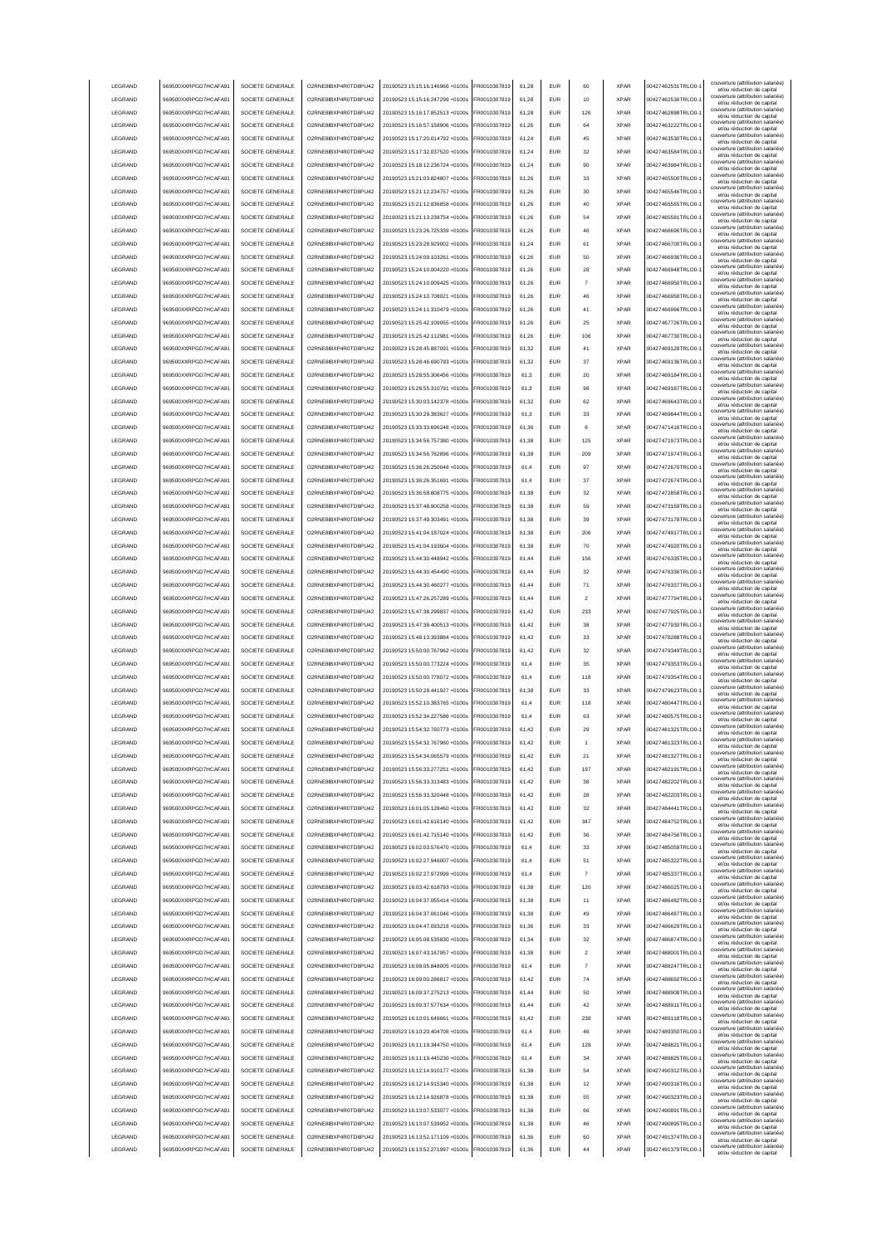|                 | 969500XXRPGD7HCAFA91 | SOCIETE GENERALE | O2RNE8IBXP4R0TD8PU42  | 20190523 15:15:16.146966 +0100s | FR0010307819 | 61.28 | <b>EUR</b> | 60             | <b>XPAR</b> | 00427462531TRLO0- | couverture (attribution salariée<br>et/ou réduction de capital                                       |
|-----------------|----------------------|------------------|-----------------------|---------------------------------|--------------|-------|------------|----------------|-------------|-------------------|------------------------------------------------------------------------------------------------------|
| LEGRAND         | 969500XXRPGD7HCAFA91 | SOCIETE GENERALE | O2RNE8IBXP4R0TD8PU42  | 20190523 15:15:16.247299 +0100s | FR0010307819 | 61.28 | <b>EUR</b> | 10             | <b>XPAR</b> | 00427462536TRLO0- | couverture (attribution salariée)<br>et/ou réduction de capital                                      |
| LEGRAND         | 969500XXRPGD7HCAFA91 | SOCIETE GENERALE | O2RNE8IBXP4R0TD8PU42  | 20190523 15:16:17.852513 +0100s | FR0010307819 | 61.28 | <b>EUR</b> | 126            | <b>XPAR</b> | 00427462898TRLO0- | couverture (attribution salariée)<br>et/ou réduction de capital                                      |
| LEGRAND         | 969500XXRPGD7HCAFA91 | SOCIETE GENERALE | O2RNE8IBXP4R0TD8PU42  | 20190523 15:16:57.158906 +0100s | FR0010307819 | 61,26 | EUR        | 64             | <b>XPAR</b> | 00427463222TRLO0- | couverture (attribution salariée)<br>et/ou réduction de capital                                      |
| LEGRAND         | 969500XXRPGD7HCAFA91 | SOCIETE GENERALE | O2RNE8IBXP4R0TD8PU42  | 20190523 15:17:20.014792 +0100s | FR0010307819 | 61,24 | EUR        | 45             | <b>XPAR</b> | 00427463530TRLO0- | couverture (attribution salariée)<br>et/ou réduction de capital                                      |
| LEGRAND         | 969500XXRPGD7HCAFA91 | SOCIETE GENERALE | O2RNE8IBXP4R0TD8PU42  | 20190523 15:17:32.037520 +0100s | FR0010307819 | 61,24 | EUR        | 32             | <b>XPAR</b> | 00427463584TRLO0- | couverture (attribution salariée)<br>et/ou réduction de capital                                      |
| LEGRAND         | 969500XXRPGD7HCAFA91 | SOCIETE GENERALE | O2RNE8IBXP4R0TD8PU42  | 20190523 15:18:12.236724 +0100s | FR0010307819 | 61,24 | EUR        | 90             | <b>XPAR</b> | 00427463984TRLO0- | couverture (attribution salariée)<br>et/ou réduction de capital                                      |
| LEGRAND         | 969500XXRPGD7HCAFA91 | SOCIETE GENERALE | O2RNE8IBXP4R0TD8PU42  | 20190523 15:21:03.824807 +0100s | FR0010307819 | 61,26 | EUR        | 33             | <b>XPAR</b> | 00427465500TRLO0- | couverture (attribution salariée)<br>et/ou réduction de capital                                      |
| LEGRAND         | 969500XXRPGD7HCAFA91 | SOCIETE GENERALE | O2RNE8IBXP4R0TD8PU42  | 20190523 15:21:12.234757 +0100s | FR0010307819 | 61,26 | EUR        | 30             | <b>XPAR</b> | 00427465546TRLO0- | couverture (attribution salariée)<br>et/ou réduction de capital                                      |
| LEGRAND         | 969500XXRPGD7HCAFA91 | SOCIETE GENERALE | O2RNE8IBXP4R0TD8PU42  | 20190523 15:21:12.836858 +0100s | FR0010307819 | 61,26 | EUR        | 40             | <b>XPAR</b> | 00427465565TRLO0- | couverture (attribution salariée)<br>et/ou réduction de capital                                      |
| LEGRAND         | 969500XXRPGD7HCAFA91 | SOCIETE GENERALE | O2RNE8IBXP4R0TD8PU42  | 20190523 15:21:13.238754 +0100s | FR0010307819 | 61.26 | <b>EUR</b> | 54             | <b>XPAR</b> | 00427465581TRLO0- | couverture (attribution salariée)<br>et/ou réduction de capital                                      |
| LEGRAND         | 969500XXRPGD7HCAFA91 | SOCIETE GENERALE | O2RNE8IBXP4R0TD8PU42  | 20190523 15:23:26.725339 +0100s | FR0010307819 | 61,26 | <b>EUR</b> | 46             | <b>XPAR</b> | 00427466696TRLO0- | couverture (attribution salariée)<br>et/ou réduction de capital                                      |
| LEGRAND         | 969500XXRPGD7HCAFA91 | SOCIETE GENERALE | O2RNE8IBXP4R0TD8PU42  | 20190523 15:23:28.929002 +0100s | FR0010307819 | 61.24 | <b>EUR</b> | 61             | <b>XPAR</b> | 00427466700TRLO0- | couverture (attribution salariée)<br>et/ou réduction de capital                                      |
| LEGRAND         | 969500XXRPGD7HCAFA91 | SOCIETE GENERALE | O2RNE8IBXP4R0TD8PU42  | 20190523 15:24:09.103261 +0100s | FR0010307819 | 61.26 | EUR        | 50             | <b>XPAR</b> | 00427466936TRLO0- | couverture (attribution salariée)<br>et/ou réduction de capital                                      |
| LEGRAND         | 969500XXRPGD7HCAFA91 | SOCIETE GENERALE | O2RNE8IBXP4R0TD8PU42  | 20190523 15:24:10.004220 +0100s | FR0010307819 | 61.26 | <b>EUR</b> | 28             | <b>XPAR</b> | 00427466948TRLO0- | couverture (attribution salariée)<br>et/ou réduction de capital                                      |
| LEGRAND         | 969500XXRPGD7HCAFA91 | SOCIETE GENERALE | O2RNE8IBXP4R0TD8PU42  | 20190523 15:24:10 009425 +0100s | FR0010307819 | 61.26 | EUR        | $\overline{7}$ | <b>XPAR</b> | 00427466950TRLO0- | couverture (attribution salariée)<br>et/ou réduction de capital                                      |
| LEGRAND         | 969500XXRPGD7HCAFA91 | SOCIETE GENERALE | O2RNE8IBXP4R0TD8PU42  | 20190523 15:24:10.708021 +0100s | FR0010307819 | 61,26 | EUR        | 46             | <b>XPAR</b> | 00427466958TRLO0- | couverture (attribution salariée)<br>et/ou réduction de capital                                      |
| LEGRAND         | 969500XXRPGD7HCAFA91 | SOCIETE GENERALE | O2RNE8IBXP4R0TD8PU42  | 20190523 15:24:11.310479 +0100s | FR0010307819 | 61,26 | EUR        | 41             | <b>XPAR</b> | 00427466966TRLO0- | couverture (attribution salariée)<br>et/ou réduction de capital                                      |
| LEGRAND         | 969500XXRPGD7HCAFA91 | SOCIETE GENERALE | O2RNE8IBXP4R0TD8PU42  | 20190523 15:25:42.109055 +0100s | FR0010307819 | 61,26 | EUR        | 25             | <b>XPAR</b> | 00427467726TRLO0- | couverture (attribution salariée)<br>et/ou réduction de capital                                      |
| LEGRAND         | 969500XXRPGD7HCAFA91 | SOCIETE GENERALE | O2RNE8IBXP4R0TD8PU42  | 20190523 15:25:42.112981 +0100s | FR0010307819 | 61,26 | EUR        | 106            | <b>XPAR</b> | 00427467730TRLO0- | couverture (attribution salariée)<br>et/ou réduction de capital                                      |
| LEGRAND         | 969500XXRPGD7HCAFA91 | SOCIETE GENERALE | O2RNE8IBXP4R0TD8PU42  | 20190523 15:28:45.887091 +0100s | FR0010307819 | 61,32 | EUR        | 41             | <b>XPAR</b> | 00427469128TRLO0- | couverture (attribution salariée)<br>et/ou réduction de capital                                      |
| LEGRAND         | 969500XXRPGD7HCAFA91 | SOCIETE GENERALE | O2RNE8IBXP4R0TD8PU42  | 20190523 15:28:46.690793 +0100s | FR0010307819 | 61,32 | EUR        | 37             | <b>XPAR</b> | 00427469136TRLO0- | couverture (attribution salariée)<br>et/ou réduction de capital                                      |
| LEGRAND         | 969500XXRPGD7HCAFA91 | SOCIETE GENERALE | O2RNE8IBXP4R0TD8PU42  | 20190523 15:28:55.306456 +0100s | FR0010307819 | 61,3  | EUR        | 20             | <b>XPAR</b> | 00427469184TRLO0- | couverture (attribution salariée)<br>et/ou réduction de capital                                      |
| LEGRAND         | 969500XXRPGD7HCAFA91 | SOCIETE GENERALE | O2RNE8IBXP4R0TD8PLI42 | 20190523 15:28:55.310791 +0100s | FR0010307819 | 61.3  | <b>EUR</b> | 98             | <b>XPAR</b> | 00427469187TRLO0- | couverture (attribution salariée)<br>et/ou réduction de capital                                      |
| LEGRAND         | 969500XXRPGD7HCAFA91 | SOCIETE GENERALE | O2RNE8IBXP4R0TD8PU42  | 20190523 15:30:03.142378 +0100s | FR0010307819 | 61,32 | <b>EUR</b> | 62             | <b>XPAR</b> | 00427469643TRLO0- | couverture (attribution salariée)<br>et/ou réduction de capital                                      |
| LEGRAND         | 969500XXRPGD7HCAFA91 | SOCIETE GENERALE | O2RNE8IBXP4R0TD8PU42  | 20190523 15:30:29.383627 +0100s | FR0010307819 | 61.3  | <b>EUR</b> | 33             | <b>XPAR</b> | 00427469844TRLO0- | couverture (attribution salariée)<br>et/ou réduction de capital                                      |
| LEGRAND         | 969500XXRPGD7HCAFA91 | SOCIETE GENERALE | O2RNE8IBXP4R0TD8PU42  | 20190523 15:33:33 696248 +0100s | FR0010307819 | 61.36 | <b>EUR</b> | 6              | <b>XPAR</b> | 00427471416TRLO0- | couverture (attribution salariée)<br>et/ou réduction de capital                                      |
| LEGRAND         | 969500XXRPGD7HCAFA91 | SOCIETE GENERALE | O2RNE8IBXP4R0TD8PU42  | 20190523 15:34:56 757380 +0100s | FR0010307819 | 61.38 | EUR        | 125            | <b>XPAR</b> | 00427471973TRLO0- | couverture (attribution salariée)<br>et/ou réduction de capital                                      |
| <b>LEGRAND</b>  | 969500XXRPGD7HCAFA91 | SOCIETE GENERALE | O2RNE8IBXP4R0TD8PLI42 | 20190523 15:34:56.762896 +0100s | FR0010307819 | 61.38 | <b>EUR</b> | 209            | <b>XPAR</b> | 00427471974TRLO0- | couverture (attribution salariée)<br>et/ou réduction de capital                                      |
| LEGRAND         | 969500XXRPGD7HCAFA91 | SOCIETE GENERALE | O2RNE8IBXP4R0TD8PU42  | 20190523 15:36:26.250048 +0100s | FR0010307819 | 61,4  | EUR        | 97             | <b>XPAR</b> | 00427472670TRLO0- | couverture (attribution salariée)<br>et/ou réduction de capital                                      |
| LEGRAND         | 969500XXRPGD7HCAFA91 | SOCIETE GENERALE | O2RNE8IBXP4R0TD8PU42  | 20190523 15:36:26.351691 +0100s | FR0010307819 | 61,4  | EUR        | 37             | <b>XPAR</b> | 00427472674TRLO0- | couverture (attribution salariée)                                                                    |
| LEGRAND         | 969500XXRPGD7HCAFA91 | SOCIETE GENERALE | O2RNE8IBXP4R0TD8PU42  | 20190523 15:36:58.808775 +0100s | FR0010307819 | 61,38 | EUR        | 32             | <b>XPAR</b> | 00427472858TRLO0- | et/ou réduction de capital<br>couverture (attribution salariée)<br>et/ou réduction de capital        |
| LEGRAND         | 969500XXRPGD7HCAFA91 | SOCIETE GENERALE | O2RNE8IBXP4R0TD8PU42  | 20190523 15:37:48.900258 +0100s | R0010307819  | 61,38 | <b>EUR</b> | 59             | <b>XPAR</b> | 00427473159TRLO0- | couverture (attribution salariée)                                                                    |
| LEGRAND         | 969500XXRPGD7HCAFA91 | SOCIETE GENERALE | O2RNE8IBXP4R0TD8PU42  | 20190523 15:37:49.303491 +0100s | R0010307819  | 61,38 | EUR        | 39             | <b>XPAR</b> | 00427473178TRLO0- | et/ou réduction de capital<br>couverture (attribution salariée)                                      |
| LEGRAND         | 969500XXRPGD7HCAFA91 | SOCIETE GENERALE | O2RNE8IBXP4R0TD8PU42  | 20190523 15:41:04.187024 +0100s | R0010307819  | 61,38 | EUR        | 206            | <b>XPAR</b> | 00427474917TRLO0- | et/ou réduction de capital<br>couverture (attribution salariée)                                      |
| LEGRAND         | 969500XXRPGD7HCAFA91 | SOCIETE GENERALE | O2RNE8IBXP4R0TD8PU42  | 20190523 15:41:04.193604 +0100s | FR0010307819 | 61.38 | <b>EUR</b> | 70             | <b>XPAR</b> | 00427474920TRLO0- | et/ou réduction de capital<br>couverture (attribution salariée)                                      |
| LEGRAND         | 969500XXRPGD7HCAFA91 | SOCIETE GENERALE | O2RNE8IBXP4R0TD8PU42  | 20190523 15:44:30.448942 +0100s | FR0010307819 | 61,44 | <b>EUR</b> | 156            | <b>XPAR</b> | 00427476335TRLO0- | et/ou réduction de capital<br>couverture (attribution salariée)                                      |
| LEGRAND         | 969500XXRPGD7HCAFA91 | SOCIETE GENERALE | O2RNE8IBXP4R0TD8PU42  | 20190523 15:44:30.454490 +0100s | FR0010307819 | 61.44 | <b>FUR</b> | 32             | <b>XPAR</b> | 00427476336TRLO0- | et/ou réduction de capital<br>couverture (attribution salariée)                                      |
| LEGRAND         | 969500XXRPGD7HCAFA91 | SOCIETE GENERALE | O2RNE8IBXP4R0TD8PU42  | 20190523 15:44:30.460277 +0100s | FR0010307819 | 61,44 | <b>EUR</b> | 71             | <b>XPAR</b> | 00427476337TRLO0- | et/ou réduction de capital<br>couverture (attribution salariée)                                      |
| LEGRAND         | 969500XXRPGD7HCAFA91 | SOCIETE GENERALE | O2RNE8IBXP4R0TD8PU42  | 20190523 15:47:26.257289 +0100s | FR0010307819 | 61.44 | EUR        | $\overline{2}$ | <b>XPAR</b> | 00427477794TRLO0- | et/ou réduction de capital<br>couverture (attribution salariée)                                      |
| LEGRAND         | 969500XXRPGD7HCAFA91 | SOCIETE GENERALE | O2RNE8IBXP4R0TD8PU42  | 20190523 15:47:38.299837 +0100s | FR0010307819 | 61.42 | EUR        | 233            | <b>XPAR</b> | 00427477925TRLO0- | et/ou réduction de capital<br>couverture (attribution salariée)                                      |
| LEGRAND         | 969500XXRPGD7HCAFA91 | SOCIETE GENERALE | O2RNE8IBXP4R0TD8PU42  | 20190523 15:47:38.400513 +0100s | FR0010307819 | 61.42 | <b>EUR</b> | 38             | <b>XPAR</b> | 00427477930TRLO0- | et/ou réduction de capital<br>couverture (attribution salariée)                                      |
| LEGRAND         | 969500XXRPGD7HCAFA91 |                  |                       |                                 |              |       |            |                |             |                   | et/ou réduction de capital                                                                           |
|                 |                      |                  |                       |                                 |              |       |            |                |             |                   |                                                                                                      |
|                 |                      | SOCIETE GENERALE | O2RNE8IBXP4R0TD8PU42  | 20190523 15:48:13.393884 +0100s | FR0010307819 | 61,42 | EUR        | 33             | <b>XPAR</b> | 00427478288TRLO0- | couverture (attribution salariée)<br>et/ou réduction de capital                                      |
| LEGRAND         | 969500XXRPGD7HCAFA91 | SOCIETE GENERALE | O2RNE8IBXP4R0TD8PU42  | 20190523 15:50:00.767962 +0100s | FR0010307819 | 61,42 | EUR        | 32             | <b>XPAR</b> | 00427479349TRLO0- | couverture (attribution salariée)<br>et/ou réduction de capital<br>couverture (attribution salariée) |
| LEGRAND         | 969500XXRPGD7HCAFA91 | SOCIETE GENERALE | O2RNE8IBXP4R0TD8PU42  | 20190523 15:50:00.773224 +0100s | FR0010307819 | 61,4  | EUR        | 35             | <b>XPAR</b> | 00427479353TRLO0- | et/ou réduction de capital<br>couverture (attribution salariée)                                      |
| LEGRAND         | 969500XXRPGD7HCAFA91 | SOCIETE GENERALE | O2RNE8IBXP4R0TD8PU42  | 20190523 15:50:00.778072 +0100s | R0010307819  | 61,4  | <b>EUR</b> | 118            | <b>XPAR</b> | 00427479354TRLO0- | et/ou réduction de capital<br>couverture (attribution salariée)                                      |
| LEGRAND         | 969500XXRPGD7HCAFA91 | SOCIETE GENERALE | O2RNE8IBXP4R0TD8PU42  | 20190523 15:50:28.441927 +0100s | FR0010307819 | 61,38 | <b>EUR</b> | 33             | <b>XPAR</b> | 00427479623TRLO0- | et/ou réduction de capital<br>couverture (attribution salariée)                                      |
| LEGRAND         | 969500XXRPGD7HCAFA91 | SOCIETE GENERALE | O2RNE8IBXP4R0TD8PU42  | 20190523 15:52:10.383765 +0100s | FR0010307819 | 61,4  | <b>EUR</b> | 118            | <b>XPAR</b> | 00427480447TRLO0- | et/ou réduction de capital<br>couverture (attribution salariée)                                      |
| <b>I FGRAND</b> | 969500XXRPGD7HCAFA91 | SOCIETE GENERALE | O2RNE8IBXP4R0TD8PU42  | 20190523 15:52:34.227586 +0100s | FR0010307819 | 61.4  | <b>FUR</b> | 63             | <b>XPAR</b> | 00427480575TRLO0- | et/ou réduction de capital<br>couverture (attribution salariée)                                      |
| <b>I FGRAND</b> | 969500XXRPGD7HCAFA91 | SOCIETE GENERALE | O2RNE8IBXP4R0TD8PU42  | 20190523 15:54:32.760773 +0100s | FR0010307819 | 61,42 | <b>EUR</b> | 29             | <b>XPAR</b> | 00427481321TRLO0- | et/ou réduction de capital<br>couverture (attribution salariée)                                      |
| <b>I FGRAND</b> | 969500XXRPGD7HCAFA91 | SOCIETE GENERALE | O2RNE8IBXP4R0TD8PU42  | 20190523 15:54:32 767960 +0100s | FR0010307819 | 61.42 | FUR        |                | <b>XPAR</b> | 00427481323TRLO0- | et/ou réduction de canita                                                                            |
| LEGRAND         | 969500XXRPGD7HCAFA91 | SOCIETE GENERALE | O2RNE8IBXP4R0TD8PLI42 | 20190523 15:54:34.065579 +0100s | FR0010307819 | 61.42 | <b>EUR</b> | 21             | <b>XPAR</b> | 00427481327TRLO0- | couverture (attribution salariée)<br>et/ou réduction de capital                                      |
| LEGRAND         | 969500XXRPGD7HCAFA91 | SOCIETE GENERALE | O2RNE8IBXP4R0TD8PU42  | 20190523 15:56:33.277251 +0100s | FR0010307819 | 61.42 | <b>EUR</b> | 197            | <b>XPAR</b> | 00427482191TRLO0- | couverture (attribution salariée)<br>et/ou réduction de capital                                      |
| LEGRAND         | 969500XXRPGD7HCAFA91 | SOCIETE GENERALE | O2RNE8IBXP4R0TD8PU42  | 20190523 15:56:33.313483 +0100s | FR0010307819 | 61.42 | <b>EUR</b> | 38             | <b>XPAR</b> | 00427482202TRLO0- | couverture (attribution salariée)<br>et/ou réduction de capital                                      |
| LEGRAND         | 969500XXRPGD7HCAFA91 | SOCIETE GENERALE | O2RNE8IBXP4R0TD8PU42  | 20190523 15:56:33.320448 +0100s | FR0010307819 | 61.42 | <b>EUR</b> | 28             | <b>XPAR</b> | 00427482203TRLO0- | couverture (attribution salariée)<br>et/ou réduction de capital                                      |
| LEGRAND         | 969500XXRPGD7HCAFA91 | SOCIETE GENERALE | O2RNE8IBXP4R0TD8PU42  | 20190523 16:01:05.128460 +0100s | FR0010307819 | 61,42 | <b>EUR</b> | 32             | <b>XPAR</b> | 00427484441TRLO0- | couverture (attribution salariée)<br>et/ou réduction de capital                                      |
| LEGRAND         | 969500XXRPGD7HCAFA91 | SOCIETE GENERALE | O2RNE8IBXP4R0TD8PU42  | 20190523 16:01:42.616140 +0100s | FR0010307819 | 61,42 | EUR        | 347            | <b>XPAR</b> | 00427484752TRLO0- | couverture (attribution salariée)<br>et/ou réduction de capital                                      |
| LEGRAND         | 969500XXRPGD7HCAFA91 | SOCIETE GENERALE | O2RNE8IBXP4R0TD8PU42  | 20190523 16:01:42.715140 +0100s | FR0010307819 | 61,42 | EUR        | 36             | <b>XPAR</b> | 00427484756TRLO0- | couverture (attribution salariée)<br>et/ou réduction de capital                                      |
| LEGRAND         | 969500XXRPGD7HCAFA91 | SOCIETE GENERALE | O2RNE8IBXP4R0TD8PU42  | 20190523 16:02:03.576470 +0100s | FR0010307819 | 61,4  | <b>EUR</b> | 33             | <b>XPAR</b> | 00427485059TRLO0- | couverture (attribution salariée)<br>et/ou réduction de capital                                      |
| LEGRAND         | 969500XXRPGD7HCAFA91 | SOCIETE GENERALE | O2RNE8IBXP4R0TD8PU42  | 20190523 16:02:27.946007 +0100s | FR0010307819 | 61,4  | <b>EUR</b> | 51             | <b>XPAR</b> | 00427485322TRLO0- | couverture (attribution salariée)<br>et/ou réduction de capital                                      |
| LEGRAND         | 969500XXRPGD7HCAFA91 | SOCIETE GENERALE | O2RNE8IBXP4R0TD8PU42  | 20190523 16:02:27.972999 +0100s | FR0010307819 | 61,4  | <b>EUR</b> | $\overline{7}$ | <b>XPAR</b> | 00427485337TRLO0- | couverture (attribution salariée)<br>et/ou réduction de capital                                      |
| LEGRAND         | 969500XXRPGD7HCAFA91 | SOCIETE GENERALE | O2RNE8IBXP4R0TD8PU42  | 20190523 16:03:42.618793 +0100s | FR0010307819 | 61,38 | <b>EUR</b> | 120            | <b>XPAR</b> | 00427486025TRLO0- | couverture (attribution salariée)<br>et/ou réduction de capital                                      |
| LEGRAND         | 969500XXRPGD7HCAFA91 | SOCIETE GENERALE | O2RNE8IBXP4R0TD8PU42  | 20190523 16:04:37.055414 +0100s | FR0010307819 | 61,38 | <b>EUR</b> | 11             | <b>XPAR</b> | 00427486482TRLO0- | couverture (attribution salariée)<br>et/ou réduction de capital                                      |
| LEGRAND         | 969500XXRPGD7HCAFA91 | SOCIETE GENERALE | O2RNE8IBXP4R0TD8PU42  | 20190523 16:04:37 061046 +0100s | FR0010307819 | 61,38 | <b>EUR</b> | 49             | <b>XPAR</b> | 00427486487TRLO0- | couverture (attribution salariée)<br>et/ou réduction de capital                                      |
| LEGRAND         | 969500XXRPGD7HCAFA91 | SOCIETE GENERALE | O2RNE8IBXP4R0TD8PU42  | 20190523 16:04:47.093218 +0100s | FR0010307819 | 61.36 | <b>EUR</b> | 33             | <b>XPAR</b> | 00427486629TRLO0- | couverture (attribution salariée)<br>et/ou réduction de capital                                      |
| LEGRAND         | 969500XXRPGD7HCAFA91 | SOCIETE GENERALE | O2RNE8IBXP4R0TD8PU42  | 20190523 16:05:08.535830 +0100s | FR0010307819 | 61.34 | <b>EUR</b> | 32             | <b>XPAR</b> | 00427486874TRLO0- | couverture (attribution salariée)<br>et/ou réduction de capital                                      |
| LEGRAND         | 969500XXRPGD7HCAFA91 | SOCIETE GENERALE | O2RNE8IBXP4R0TD8PU42  | 20190523 16:07:43.167957 +0100s | FR0010307819 | 61.38 | <b>EUR</b> | $\overline{2}$ | <b>XPAR</b> | 00427488001TRLO0- | couverture (attribution salariée)<br>et/ou réduction de capital                                      |
| LEGRAND         | 969500XXRPGD7HCAFA91 | SOCIETE GENERALE | O2RNE8IBXP4R0TD8PU42  | 20190523 16:08:05.848005 +0100s | FR0010307819 | 61,4  | <b>EUR</b> | 7              | <b>XPAR</b> | 00427488247TRLO0- | couverture (attribution salariée)<br>et/ou réduction de capital                                      |
| LEGRAND         | 969500XXRPGD7HCAFA91 | SOCIETE GENERALE | O2RNE8IBXP4R0TD8PU42  | 20190523 16:09:00.286817 +0100s | FR0010307819 | 61,42 | <b>EUR</b> | 74             | <b>XPAR</b> | 00427488650TRLO0- | couverture (attribution salariée)<br>et/ou réduction de capital                                      |
| LEGRAND         | 969500XXRPGD7HCAFA91 | SOCIETE GENERALE | O2RNE8IBXP4R0TD8PU42  | 20190523 16:09:37.275213 +0100s | FR0010307819 | 61,44 | EUR        | 50             | <b>XPAR</b> | 00427488908TRLO0- | couverture (attribution salariée)<br>et/ou réduction de capital                                      |
| LEGRAND         | 969500XXRPGD7HCAFA91 | SOCIETE GENERALE | O2RNE8IBXP4R0TD8PU42  | 20190523 16:09:37.577634 +0100s | FR0010307819 | 61,44 | <b>EUR</b> | 42             | <b>XPAR</b> | 00427488911TRLO0- | couverture (attribution salariée)<br>et/ou réduction de capital                                      |
| LEGRAND         | 969500XXRPGD7HCAFA91 | SOCIETE GENERALE | O2RNE8IBXP4R0TD8PU42  | 20190523 16:10:01.649661 +0100s | FR0010307819 | 61,42 | <b>EUR</b> | 238            | <b>XPAR</b> | 00427489118TRLO0- | couverture (attribution salariée)<br>et/ou réduction de capital                                      |
| LEGRAND         | 969500XXRPGD7HCAFA91 | SOCIETE GENERALE | O2RNE8IBXP4R0TD8PU42  | 20190523 16:10:20.404708 +0100s | FR0010307819 | 61,4  | <b>EUR</b> | 46             | <b>XPAR</b> | 00427489350TRLO0- | couverture (attribution salariée)<br>et/ou réduction de capital                                      |
| LEGRAND         | 969500XXRPGD7HCAFA91 | SOCIETE GENERALE | O2RNE8IBXP4R0TD8PU42  | 20190523 16:11:19.344750 +0100s | FR0010307819 | 61,4  | <b>EUR</b> | 128            | <b>XPAR</b> | 00427489821TRLO0- | couverture (attribution salariée)<br>et/ou réduction de capital                                      |
| LEGRAND         | 969500XXRPGD7HCAFA91 | SOCIETE GENERALE | O2RNE8IBXP4R0TD8PU42  | 20190523 16:11:19.445230 +0100s | FR0010307819 | 61,4  | <b>EUR</b> | 34             | <b>XPAR</b> | 00427489825TRLO0- | couverture (attribution salariée)<br>et/ou réduction de capital                                      |
| LEGRAND         | 969500XXRPGD7HCAFA91 | SOCIETE GENERALE | O2RNE8IBXP4R0TD8PU42  | 20190523 16:12:14.910177 +0100s | FR0010307819 | 61,38 | <b>EUR</b> | 54             | <b>XPAR</b> | 00427490312TRLO0- | couverture (attribution salariée)<br>et/ou réduction de capital                                      |
| LEGRAND         | 969500XXRPGD7HCAFA91 | SOCIETE GENERALE | O2RNE8IBXP4R0TD8PU42  | 20190523 16:12:14.915340 +0100s | FR0010307819 | 61,38 | <b>EUR</b> | 12             | <b>XPAR</b> | 00427490316TRLO0- | couverture (attribution salariée)<br>et/ou réduction de capital                                      |
| LEGRAND         | 969500XXRPGD7HCAFA91 | SOCIETE GENERALE | O2RNE8IBXP4R0TD8PU42  | 20190523 16:12:14.926878 +0100s | FR0010307819 | 61.38 | <b>EUR</b> | 55             | <b>XPAR</b> | 00427490323TRLO0- | couverture (attribution salariée)<br>et/ou réduction de capital                                      |
| LEGRAND         | 969500XXRPGD7HCAFA91 | SOCIETE GENERALE | O2RNE8IBXP4R0TD8PU42  | 20190523 16:13:07.533077 +0100s | FR0010307819 | 61.38 | <b>EUR</b> | 66             | <b>XPAR</b> | 00427490891TRLO0- | couverture (attribution salariée)<br>et/ou réduction de capital                                      |
| LEGRAND         | 969500XXRPGD7HCAFA91 | SOCIETE GENERALE | O2RNE8IBXP4R0TD8PU42  | 20190523 16:13:07.539952 +0100s | FR0010307819 | 61.38 | <b>EUR</b> | 46             | <b>XPAR</b> | 00427490895TRLO0- | couverture (attribution salariée)<br>et/ou réduction de capital                                      |
| LEGRAND         | 969500XXRPGD7HCAFA91 | SOCIETE GENERALE | O2RNE8IBXP4R0TD8PU42  | 20190523 16:13:52.171109 +0100s | FR0010307819 | 61,36 | <b>EUR</b> | 60             | <b>XPAR</b> | 00427491374TRLO0- | couverture (attribution salariée)<br>et/ou réduction de capital<br>couverture (attribution salariée) |